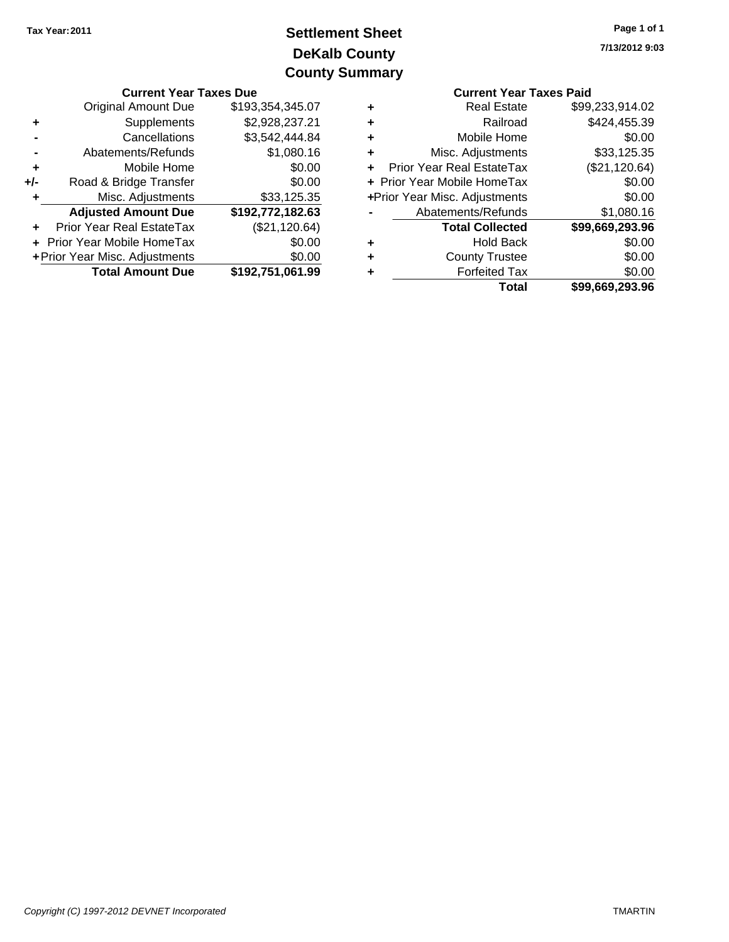# **DeKalb County Settlement Sheet Tax Year:2011 County Summary**

|       | <b>Current Year Taxes Due</b>    |                  |   | <b>Current Year Taxes Paid</b> |                       |  |
|-------|----------------------------------|------------------|---|--------------------------------|-----------------------|--|
|       | <b>Original Amount Due</b>       | \$193,354,345.07 | ٠ | <b>Real Estate</b>             | \$99,233,914.02       |  |
|       | <b>Supplements</b>               | \$2,928,237.21   | ٠ | Railroad                       | \$424,455.39          |  |
|       | Cancellations                    | \$3,542,444.84   | ٠ | Mobile Home                    | \$0.00                |  |
|       | Abatements/Refunds               | \$1,080.16       | ٠ | Misc. Adjustments              | \$33,125.35           |  |
|       | Mobile Home                      | \$0.00           |   | + Prior Year Real EstateTax    | (\$21,120.64)         |  |
| $+/-$ | Road & Bridge Transfer           | \$0.00           |   | + Prior Year Mobile HomeTax    | \$0.00                |  |
|       | Misc. Adjustments                | \$33,125.35      |   | +Prior Year Misc. Adjustments  | \$0.00                |  |
|       | <b>Adjusted Amount Due</b>       | \$192,772,182.63 |   | Abatements/Refunds             | \$1,080.16            |  |
|       | <b>Prior Year Real EstateTax</b> | (\$21,120.64)    |   | <b>Total Collected</b>         | \$99,669,293.96       |  |
|       | + Prior Year Mobile HomeTax      | \$0.00           | ٠ | <b>Hold Back</b>               | \$0.00                |  |
|       | + Prior Year Misc. Adjustments   | \$0.00           | ٠ | <b>County Trustee</b>          | \$0.00                |  |
|       | <b>Total Amount Due</b>          | \$192,751,061.99 | ٠ | <b>Forfeited Tax</b>           | \$0.00                |  |
|       |                                  |                  |   | T <sub>ofol</sub>              | <b>COO GGO 202 OG</b> |  |

|   | <b>Current Year Taxes Paid</b> |                 |  |  |  |  |  |
|---|--------------------------------|-----------------|--|--|--|--|--|
| ٠ | <b>Real Estate</b>             | \$99,233,914.02 |  |  |  |  |  |
|   | Railroad                       | \$424,455.39    |  |  |  |  |  |
|   | Mobile Home                    | \$0.00          |  |  |  |  |  |
| ٠ | Misc. Adjustments              | \$33,125.35     |  |  |  |  |  |
|   | Prior Year Real EstateTax      | (\$21,120.64)   |  |  |  |  |  |
|   | + Prior Year Mobile HomeTax    | \$0.00          |  |  |  |  |  |
|   | +Prior Year Misc. Adjustments  | \$0.00          |  |  |  |  |  |
|   | Abatements/Refunds             | \$1,080.16      |  |  |  |  |  |
|   | <b>Total Collected</b>         | \$99,669,293.96 |  |  |  |  |  |
|   | <b>Hold Back</b>               | \$0.00          |  |  |  |  |  |
|   | <b>County Trustee</b>          | \$0.00          |  |  |  |  |  |
|   | <b>Forfeited Tax</b>           | \$0.00          |  |  |  |  |  |
|   | Total                          | \$99,669,293.96 |  |  |  |  |  |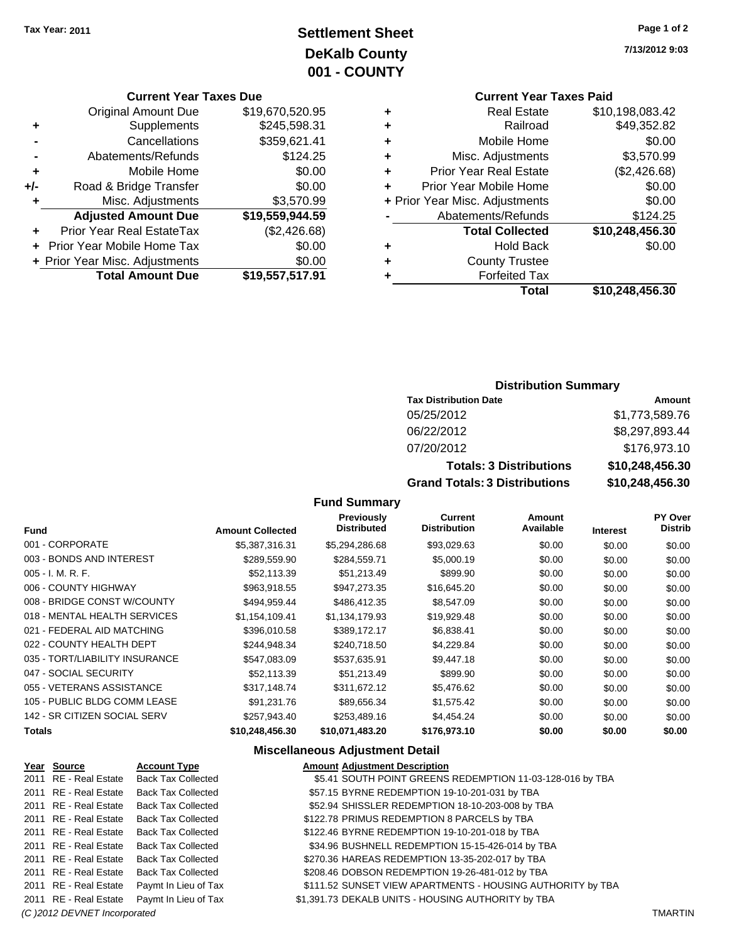# **Settlement Sheet Tax Year: 2011 Page 1 of 2 DeKalb County 001 - COUNTY**

### **Current Year Taxes Due**

|       | <b>Original Amount Due</b>     | \$19,670,520.95 |
|-------|--------------------------------|-----------------|
| ٠     | Supplements                    | \$245,598.31    |
|       | Cancellations                  | \$359,621.41    |
|       | Abatements/Refunds             | \$124.25        |
| ٠     | Mobile Home                    | \$0.00          |
| $+/-$ | Road & Bridge Transfer         | \$0.00          |
|       | Misc. Adjustments              | \$3,570.99      |
|       | <b>Adjusted Amount Due</b>     | \$19,559,944.59 |
|       | Prior Year Real EstateTax      | (\$2,426.68)    |
|       | Prior Year Mobile Home Tax     | \$0.00          |
|       | + Prior Year Misc. Adjustments | \$0.00          |
|       | <b>Total Amount Due</b>        | \$19,557,517.91 |

#### **Current Year Taxes Paid**<br>Case Fetate **+** Real Estate \$10,198,083.42

|   | Total                          | \$10,248,456.30 |
|---|--------------------------------|-----------------|
| ٠ | <b>Forfeited Tax</b>           |                 |
| ٠ | <b>County Trustee</b>          |                 |
| ٠ | <b>Hold Back</b>               | \$0.00          |
|   | <b>Total Collected</b>         | \$10,248,456.30 |
|   | Abatements/Refunds             | \$124.25        |
|   | + Prior Year Misc. Adjustments | \$0.00          |
| ٠ | Prior Year Mobile Home         | \$0.00          |
| ÷ | <b>Prior Year Real Estate</b>  | (\$2,426.68)    |
| ٠ | Misc. Adjustments              | \$3,570.99      |
| ٠ | Mobile Home                    | \$0.00          |
| ÷ | Railroad                       | \$49,352.82     |
| ٠ | Real Estate                    | \$10.190.000.42 |

### **Distribution Summary**

| <b>Tax Distribution Date</b>         | Amount          |
|--------------------------------------|-----------------|
| 05/25/2012                           | \$1,773,589.76  |
| 06/22/2012                           | \$8,297,893.44  |
| 07/20/2012                           | \$176,973.10    |
| <b>Totals: 3 Distributions</b>       | \$10,248,456.30 |
| <b>Grand Totals: 3 Distributions</b> | \$10,248,456.30 |

### **Fund Summary**

| <b>Fund</b>                    | <b>Amount Collected</b> | Previously<br>Distributed | <b>Current</b><br><b>Distribution</b> | Amount<br>Available | <b>Interest</b> | <b>PY Over</b><br><b>Distrib</b> |
|--------------------------------|-------------------------|---------------------------|---------------------------------------|---------------------|-----------------|----------------------------------|
| 001 - CORPORATE                | \$5,387,316.31          | \$5,294,286.68            | \$93,029.63                           | \$0.00              | \$0.00          | \$0.00                           |
| 003 - BONDS AND INTEREST       | \$289,559.90            | \$284,559.71              | \$5,000.19                            | \$0.00              | \$0.00          | \$0.00                           |
| 005 - I. M. R. F.              | \$52,113.39             | \$51,213.49               | \$899.90                              | \$0.00              | \$0.00          | \$0.00                           |
| 006 - COUNTY HIGHWAY           | \$963,918.55            | \$947,273.35              | \$16,645.20                           | \$0.00              | \$0.00          | \$0.00                           |
| 008 - BRIDGE CONST W/COUNTY    | \$494,959.44            | \$486,412.35              | \$8,547.09                            | \$0.00              | \$0.00          | \$0.00                           |
| 018 - MENTAL HEALTH SERVICES   | \$1,154,109.41          | \$1,134,179.93            | \$19,929.48                           | \$0.00              | \$0.00          | \$0.00                           |
| 021 - FEDERAL AID MATCHING     | \$396.010.58            | \$389.172.17              | \$6,838.41                            | \$0.00              | \$0.00          | \$0.00                           |
| 022 - COUNTY HEALTH DEPT       | \$244.948.34            | \$240,718.50              | \$4,229.84                            | \$0.00              | \$0.00          | \$0.00                           |
| 035 - TORT/LIABILITY INSURANCE | \$547,083.09            | \$537,635.91              | \$9,447.18                            | \$0.00              | \$0.00          | \$0.00                           |
| 047 - SOCIAL SECURITY          | \$52.113.39             | \$51,213.49               | \$899.90                              | \$0.00              | \$0.00          | \$0.00                           |
| 055 - VETERANS ASSISTANCE      | \$317,148.74            | \$311,672.12              | \$5,476.62                            | \$0.00              | \$0.00          | \$0.00                           |
| 105 - PUBLIC BLDG COMM LEASE   | \$91,231.76             | \$89,656.34               | \$1,575.42                            | \$0.00              | \$0.00          | \$0.00                           |
| 142 - SR CITIZEN SOCIAL SERV   | \$257,943.40            | \$253,489.16              | \$4,454.24                            | \$0.00              | \$0.00          | \$0.00                           |
| Totals                         | \$10,248,456.30         | \$10,071,483.20           | \$176,973.10                          | \$0.00              | \$0.00          | \$0.00                           |
|                                |                         |                           |                                       |                     |                 |                                  |

### **Miscellaneous Adjustment Detail**

| Year Source                  | <b>Account Type</b>       | <b>Amount Adjustment Description</b>                       |                |
|------------------------------|---------------------------|------------------------------------------------------------|----------------|
| 2011 RE - Real Estate        | <b>Back Tax Collected</b> | \$5.41 SOUTH POINT GREENS REDEMPTION 11-03-128-016 by TBA  |                |
| 2011 RE - Real Estate        | <b>Back Tax Collected</b> | \$57.15 BYRNE REDEMPTION 19-10-201-031 by TBA              |                |
| 2011 RE - Real Estate        | Back Tax Collected        | \$52.94 SHISSLER REDEMPTION 18-10-203-008 by TBA           |                |
| 2011 RE - Real Estate        | <b>Back Tax Collected</b> | \$122.78 PRIMUS REDEMPTION 8 PARCELS by TBA                |                |
| 2011 RE - Real Estate        | Back Tax Collected        | \$122.46 BYRNE REDEMPTION 19-10-201-018 by TBA             |                |
| 2011 RE - Real Estate        | Back Tax Collected        | \$34.96 BUSHNELL REDEMPTION 15-15-426-014 by TBA           |                |
| 2011 RE - Real Estate        | <b>Back Tax Collected</b> | \$270.36 HAREAS REDEMPTION 13-35-202-017 by TBA            |                |
| 2011 RE - Real Estate        | <b>Back Tax Collected</b> | \$208.46 DOBSON REDEMPTION 19-26-481-012 by TBA            |                |
| 2011 RE - Real Estate        | Paymt In Lieu of Tax      | \$111.52 SUNSET VIEW APARTMENTS - HOUSING AUTHORITY by TBA |                |
| 2011 RE - Real Estate        | Paymt In Lieu of Tax      | \$1,391.73 DEKALB UNITS - HOUSING AUTHORITY by TBA         |                |
| (C) 2012 DEVNET Incorporated |                           |                                                            | <b>TMARTIN</b> |

**7/13/2012 9:03**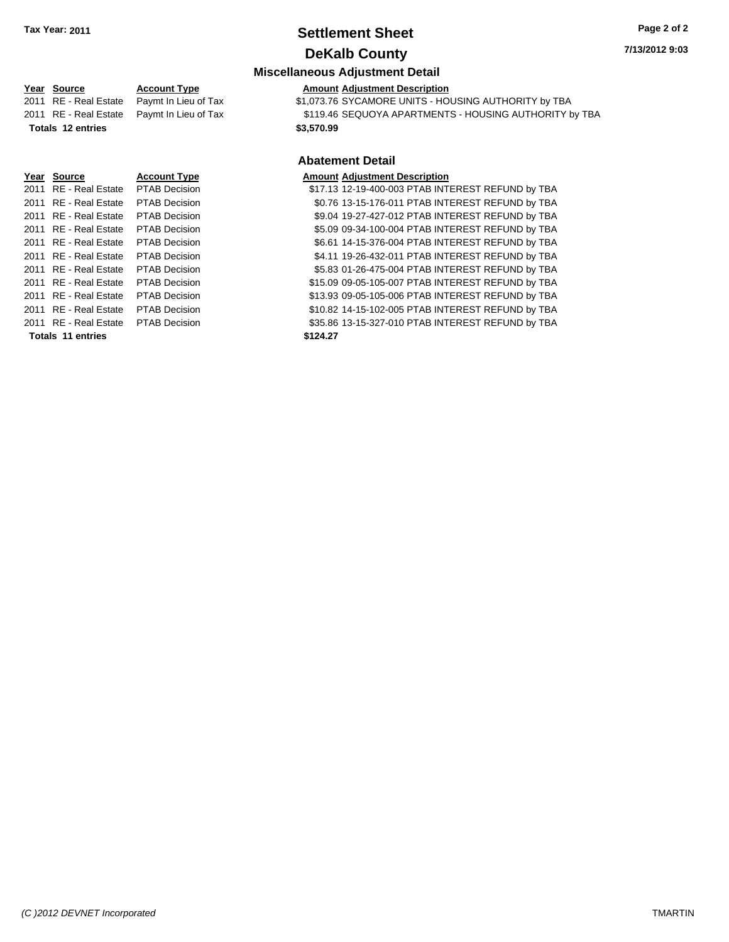### **Settlement Sheet Tax Year: 2011 Page 2 of 2 DeKalb County**

#### **7/13/2012 9:03**

### **Miscellaneous Adjustment Detail**

#### **Year Source Account Type Amount Adjustment Description**

2011 RE - Real Estate Paymt In Lieu of Tax \$1,073.76 SYCAMORE UNITS - HOUSING AUTHORITY by TBA 2011 RE - Real Estate Paymt In Lieu of Tax \$119.46 SEQUOYA APARTMENTS - HOUSING AUTHORITY by TBA **Totals \$3,570.99 12 entries**

### **Abatement Detail**

| <b>Amount Adjustment Description</b> |  |  |  |
|--------------------------------------|--|--|--|
| A7 10 10 10 100 000 0710 11T         |  |  |  |

2011 RE - Real Estate \$17.13 12-19-400-003 PTAB INTEREST REFUND by TBA PTAB Decision 2011 RE - Real Estate \$0.76 13-15-176-011 PTAB INTEREST REFUND by TBA PTAB Decision 2011 RE - Real Estate \$9.04 19-27-427-012 PTAB INTEREST REFUND by TBA PTAB Decision 2011 RE - Real Estate \$5.09 09-34-100-004 PTAB INTEREST REFUND by TBA PTAB Decision 2011 RE - Real Estate \$6.61 14-15-376-004 PTAB INTEREST REFUND by TBA PTAB Decision 2011 RE - Real Estate \$4.11 19-26-432-011 PTAB INTEREST REFUND by TBA PTAB Decision 2011 RE - Real Estate \$5.83 01-26-475-004 PTAB INTEREST REFUND by TBA PTAB Decision 2011 RE - Real Estate \$15.09 09-05-105-007 PTAB INTEREST REFUND by TBA PTAB Decision 2011 RE - Real Estate \$13.93 09-05-105-006 PTAB INTEREST REFUND by TBA PTAB Decision 2011 RE - Real Estate \$10.82 14-15-102-005 PTAB INTEREST REFUND by TBA PTAB Decision 2011 RE - Real Estate PTAB Decision S35.86 13-15-327-010 PTAB INTEREST REFUND by TBA

**Year Source Account Type** 

**Totals \$124.27 11 entries**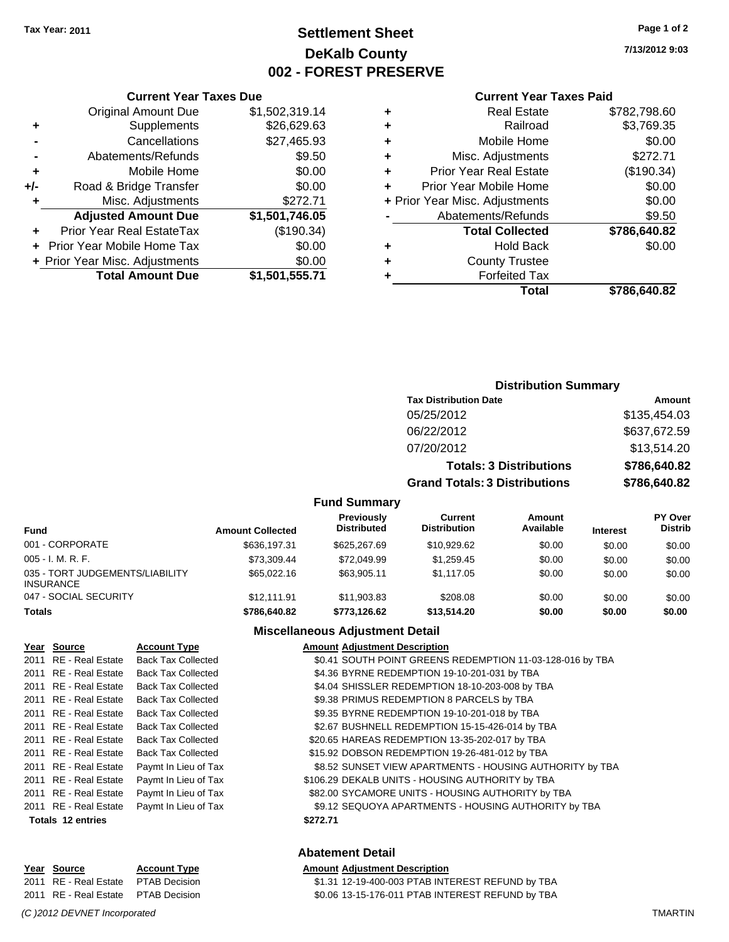# **Settlement Sheet Tax Year: 2011 Page 1 of 2 DeKalb County 002 - FOREST PRESERVE**

**7/13/2012 9:03**

#### **Current Year Taxes Paid**

| Total                          | \$786.640.82 |
|--------------------------------|--------------|
| <b>Forfeited Tax</b>           |              |
| <b>County Trustee</b>          |              |
| <b>Hold Back</b>               | \$0.00       |
| <b>Total Collected</b>         | \$786,640.82 |
| Abatements/Refunds             | \$9.50       |
| + Prior Year Misc. Adjustments | \$0.00       |
| Prior Year Mobile Home         | \$0.00       |
| <b>Prior Year Real Estate</b>  | (\$190.34)   |
| Misc. Adjustments              | \$272.71     |
| Mobile Home                    | \$0.00       |
| Railroad                       | \$3,769.35   |
| <b>Real Estate</b>             | \$782,798.60 |
|                                |              |

|     | <b>Current Year Taxes Due</b>     |                |  |  |  |  |  |
|-----|-----------------------------------|----------------|--|--|--|--|--|
|     | <b>Original Amount Due</b>        | \$1,502,319.14 |  |  |  |  |  |
| ٠   | Supplements                       | \$26,629.63    |  |  |  |  |  |
|     | Cancellations                     | \$27,465.93    |  |  |  |  |  |
|     | Abatements/Refunds                | \$9.50         |  |  |  |  |  |
| ٠   | Mobile Home                       | \$0.00         |  |  |  |  |  |
| +/- | Road & Bridge Transfer            | \$0.00         |  |  |  |  |  |
| ٠   | Misc. Adjustments                 | \$272.71       |  |  |  |  |  |
|     | <b>Adjusted Amount Due</b>        | \$1,501,746.05 |  |  |  |  |  |
|     | Prior Year Real EstateTax         | (\$190.34)     |  |  |  |  |  |
|     | <b>Prior Year Mobile Home Tax</b> | \$0.00         |  |  |  |  |  |
|     | + Prior Year Misc. Adjustments    | \$0.00         |  |  |  |  |  |
|     | <b>Total Amount Due</b>           | \$1,501,555.71 |  |  |  |  |  |

### **Distribution Summary**

| <b>Tax Distribution Date</b>         | Amount       |
|--------------------------------------|--------------|
| 05/25/2012                           | \$135,454.03 |
| 06/22/2012                           | \$637,672.59 |
| 07/20/2012                           | \$13,514.20  |
| <b>Totals: 3 Distributions</b>       | \$786,640.82 |
| <b>Grand Totals: 3 Distributions</b> | \$786,640.82 |

### **Fund Summary**

| Fund                                                | <b>Amount Collected</b> | Previously<br><b>Distributed</b> | Current<br><b>Distribution</b> | Amount<br>Available | <b>Interest</b> | <b>PY Over</b><br><b>Distrib</b> |
|-----------------------------------------------------|-------------------------|----------------------------------|--------------------------------|---------------------|-----------------|----------------------------------|
| 001 - CORPORATE                                     | \$636.197.31            | \$625,267.69                     | \$10,929.62                    | \$0.00              | \$0.00          | \$0.00                           |
| $005 - I. M. R. F.$                                 | \$73.309.44             | \$72,049.99                      | \$1,259.45                     | \$0.00              | \$0.00          | \$0.00                           |
| 035 - TORT JUDGEMENTS/LIABILITY<br><b>INSURANCE</b> | \$65,022.16             | \$63,905.11                      | \$1.117.05                     | \$0.00              | \$0.00          | \$0.00                           |
| 047 - SOCIAL SECURITY                               | \$12.111.91             | \$11,903.83                      | \$208.08                       | \$0.00              | \$0.00          | \$0.00                           |
| <b>Totals</b>                                       | \$786,640.82            | \$773.126.62                     | \$13,514.20                    | \$0.00              | \$0.00          | \$0.00                           |

### **Miscellaneous Adjustment Detail**

| Year Source           | <b>Account Type</b>       | <b>Amount Adjustment Description</b>                      |
|-----------------------|---------------------------|-----------------------------------------------------------|
| 2011 RE - Real Estate | <b>Back Tax Collected</b> | \$0.41 SOUTH POINT GREENS REDEMPTION 11-03-128-016 by TBA |
| 2011 RE - Real Estate | <b>Back Tax Collected</b> | \$4.36 BYRNE REDEMPTION 19-10-201-031 by TBA              |
| 2011 RE - Real Estate | <b>Back Tax Collected</b> | \$4.04 SHISSLER REDEMPTION 18-10-203-008 by TBA           |
| 2011 RE - Real Estate | <b>Back Tax Collected</b> | \$9.38 PRIMUS REDEMPTION 8 PARCELS by TBA                 |
| 2011 RE - Real Estate | <b>Back Tax Collected</b> | \$9.35 BYRNE REDEMPTION 19-10-201-018 by TBA              |
| 2011 RE - Real Estate | <b>Back Tax Collected</b> | \$2.67 BUSHNELL REDEMPTION 15-15-426-014 by TBA           |
| 2011 RE - Real Estate | <b>Back Tax Collected</b> | \$20.65 HAREAS REDEMPTION 13-35-202-017 by TBA            |
| 2011 RE - Real Estate | <b>Back Tax Collected</b> | \$15.92 DOBSON REDEMPTION 19-26-481-012 by TBA            |
| 2011 RE - Real Estate | Paymt In Lieu of Tax      | \$8.52 SUNSET VIEW APARTMENTS - HOUSING AUTHORITY by TBA  |
| 2011 RE - Real Estate | Paymt In Lieu of Tax      | \$106.29 DEKALB UNITS - HOUSING AUTHORITY by TBA          |
| 2011 RE - Real Estate | Paymt In Lieu of Tax      | \$82.00 SYCAMORE UNITS - HOUSING AUTHORITY by TBA         |
| 2011 RE - Real Estate | Paymt In Lieu of Tax      | \$9.12 SEQUOYA APARTMENTS - HOUSING AUTHORITY by TBA      |
| Totals 12 entries     |                           | \$272.71                                                  |

### **Abatement Detail**

| Year Source                         | <b>Account Type</b> | <b>Amount Adiustment Description</b>             |
|-------------------------------------|---------------------|--------------------------------------------------|
| 2011 RE - Real Estate PTAB Decision |                     | \$1.31 12-19-400-003 PTAB INTEREST REFUND by TBA |
| 2011 RE - Real Estate PTAB Decision |                     | \$0.06 13-15-176-011 PTAB INTEREST REFUND by TBA |

*(C )2012 DEVNET Incorporated* TMARTIN

**Year Source Account Type Amount Adjustment Description**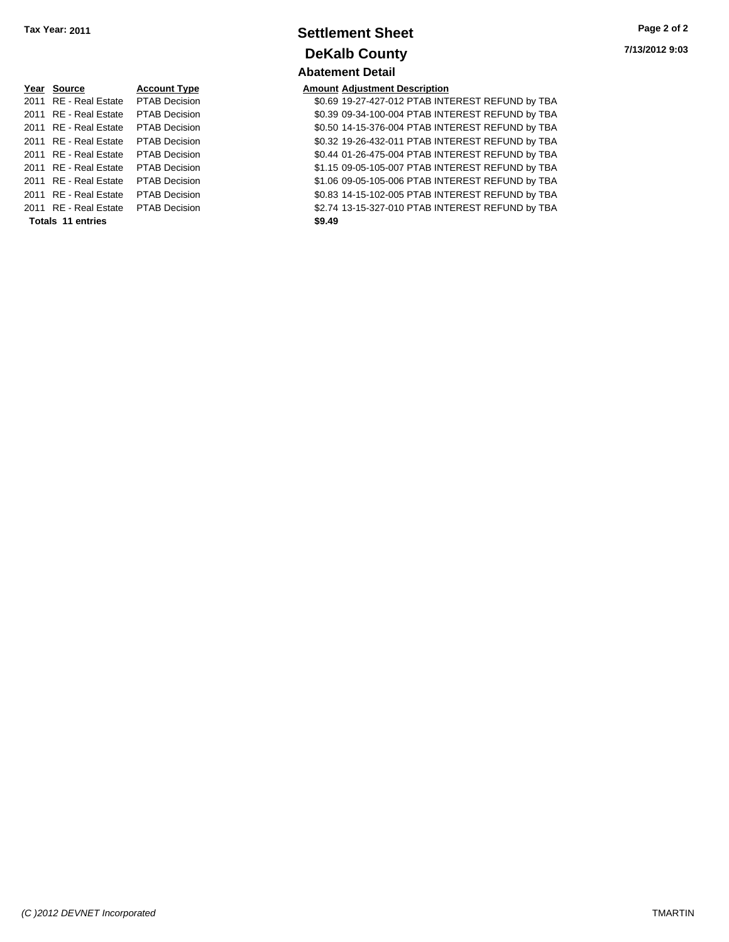| Year Source                         | <b>Account Type</b>  | Amount |
|-------------------------------------|----------------------|--------|
| 2011 RE - Real Estate               | PTAB Decision        | \$0.69 |
| 2011 RE - Real Estate               | <b>PTAB Decision</b> | \$0.39 |
| 2011 RE - Real Estate               | <b>PTAB Decision</b> | \$0.50 |
| 2011 RE - Real Estate               | <b>PTAB Decision</b> | \$0.32 |
| 2011 RE - Real Estate               | <b>PTAB Decision</b> | \$0.44 |
| 2011 RE - Real Estate               | PTAB Decision        | \$1.15 |
| 2011 RE - Real Estate               | <b>PTAB Decision</b> | \$1.06 |
| 2011 RE - Real Estate               | <b>PTAB Decision</b> | \$0.83 |
| 2011 RE - Real Estate PTAB Decision |                      | \$2.74 |
| Totals 11 entries                   |                      | \$9.49 |

### **Settlement Sheet Tax Year: 2011 Page 2 of 2 DeKalb County Abatement Detail**

### **Year Source Account Type Amount Adjustment Description**

0.69 19-27-427-012 PTAB INTEREST REFUND by TBA 1011 80.39 09-34-100-004 PTAB INTEREST REFUND by TBA 0.50 14-15-376-004 PTAB INTEREST REFUND by TBA 2011 B2012 19-26-432-011 PTAB INTEREST REFUND by TBA 0.44 01-26-475-004 PTAB INTEREST REFUND by TBA 1.15 09-05-105-007 PTAB INTEREST REFUND by TBA 011 2011 81.06 09-05-105-006 PTAB INTEREST REFUND by TBA 0.83 14-15-102-005 PTAB INTEREST REFUND by TBA n 2.74 13-15-327-010 PTAB INTEREST REFUND by TBA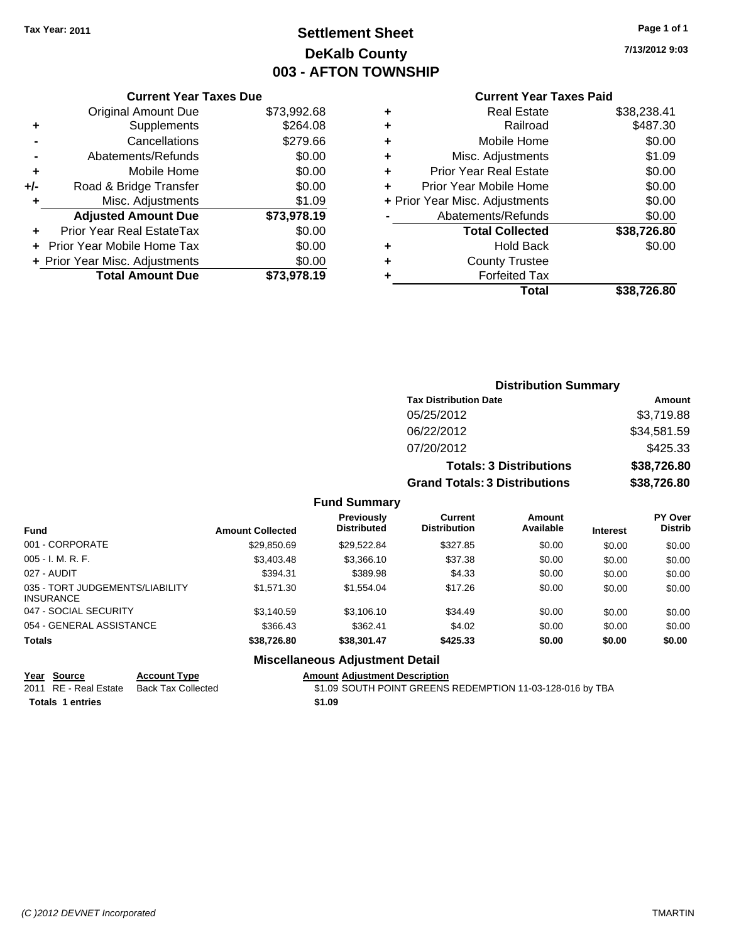# **Settlement Sheet Tax Year: 2011 Page 1 of 1 DeKalb County 003 - AFTON TOWNSHIP**

# **7/13/2012 9:03**

|     | <b>Current Year Taxes Due</b>  |             |
|-----|--------------------------------|-------------|
|     | Original Amount Due            | \$73,992.68 |
|     | Supplements                    | \$264.08    |
|     | Cancellations                  | \$279.66    |
|     | Abatements/Refunds             | \$0.00      |
| ٠   | Mobile Home                    | \$0.00      |
| +/- | Road & Bridge Transfer         | \$0.00      |
| ٠   | Misc. Adjustments              | \$1.09      |
|     | <b>Adjusted Amount Due</b>     | \$73,978.19 |
| ٠   | Prior Year Real EstateTax      | \$0.00      |
|     | Prior Year Mobile Home Tax     | \$0.00      |
|     | + Prior Year Misc. Adjustments | \$0.00      |
|     | <b>Total Amount Due</b>        | \$73,978.19 |
|     |                                |             |

#### **Current Year Taxes Paid**

| ٠ | <b>Real Estate</b>             | \$38,238.41 |
|---|--------------------------------|-------------|
| ٠ | Railroad                       | \$487.30    |
| ٠ | Mobile Home                    | \$0.00      |
| ÷ | Misc. Adjustments              | \$1.09      |
| ٠ | <b>Prior Year Real Estate</b>  | \$0.00      |
| ÷ | Prior Year Mobile Home         | \$0.00      |
|   | + Prior Year Misc. Adjustments | \$0.00      |
|   | Abatements/Refunds             | \$0.00      |
|   | <b>Total Collected</b>         | \$38,726.80 |
| ٠ | <b>Hold Back</b>               | \$0.00      |
| ٠ | <b>County Trustee</b>          |             |
| ٠ | <b>Forfeited Tax</b>           |             |
|   | Total                          | \$38,726.80 |
|   |                                |             |

### **Distribution Summary Tax Distribution Date Amount** 05/25/2012 \$3,719.88 06/22/2012 \$34,581.59 07/20/2012 \$425.33 **Totals: 3 Distributions \$38,726.80 Grand Totals: 3 Distributions \$38,726.80**

#### **Fund Summary**

| <b>Fund</b>                                         | <b>Amount Collected</b> | <b>Previously</b><br><b>Distributed</b> | Current<br><b>Distribution</b> | <b>Amount</b><br>Available | <b>Interest</b> | <b>PY Over</b><br><b>Distrib</b> |
|-----------------------------------------------------|-------------------------|-----------------------------------------|--------------------------------|----------------------------|-----------------|----------------------------------|
| 001 - CORPORATE                                     | \$29,850.69             | \$29.522.84                             | \$327.85                       | \$0.00                     | \$0.00          | \$0.00                           |
| $005 - I. M. R. F.$                                 | \$3,403.48              | \$3,366.10                              | \$37.38                        | \$0.00                     | \$0.00          | \$0.00                           |
| 027 - AUDIT                                         | \$394.31                | \$389.98                                | \$4.33                         | \$0.00                     | \$0.00          | \$0.00                           |
| 035 - TORT JUDGEMENTS/LIABILITY<br><b>INSURANCE</b> | \$1,571.30              | \$1.554.04                              | \$17.26                        | \$0.00                     | \$0.00          | \$0.00                           |
| 047 - SOCIAL SECURITY                               | \$3.140.59              | \$3.106.10                              | \$34.49                        | \$0.00                     | \$0.00          | \$0.00                           |
| 054 - GENERAL ASSISTANCE                            | \$366.43                | \$362.41                                | \$4.02                         | \$0.00                     | \$0.00          | \$0.00                           |
| <b>Totals</b>                                       | \$38,726.80             | \$38,301.47                             | \$425.33                       | \$0.00                     | \$0.00          | \$0.00                           |

#### **Miscellaneous Adjustment Detail**

#### **Year Source Account Type Amount Adjustment Description**

**Totals 1 entries** \$1.09

2011 RE - Real Estate Back Tax Collected \$1.09 SOUTH POINT GREENS REDEMPTION 11-03-128-016 by TBA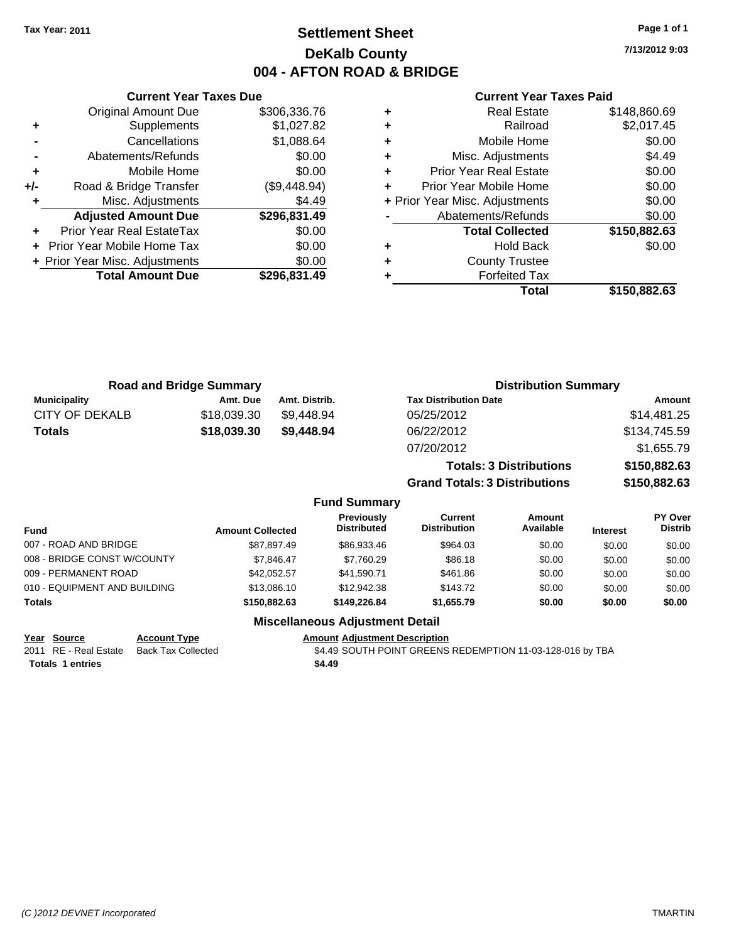**7/13/2012 9:03**

#### **Current Year Taxes Paid**

|   | <b>Real Estate</b>             | \$148,860.69 |
|---|--------------------------------|--------------|
| ٠ | Railroad                       | \$2,017.45   |
| ٠ | Mobile Home                    | \$0.00       |
| ٠ | Misc. Adjustments              | \$4.49       |
| ٠ | <b>Prior Year Real Estate</b>  | \$0.00       |
| ٠ | Prior Year Mobile Home         | \$0.00       |
|   | + Prior Year Misc. Adjustments | \$0.00       |
|   | Abatements/Refunds             | \$0.00       |
|   | <b>Total Collected</b>         | \$150,882.63 |
| ٠ | <b>Hold Back</b>               | \$0.00       |
| ٠ | <b>County Trustee</b>          |              |
|   | <b>Forfeited Tax</b>           |              |
|   | Total                          | \$150,882.63 |

|     | <b>Current Year Taxes Due</b>  |              |
|-----|--------------------------------|--------------|
|     | <b>Original Amount Due</b>     | \$306,336.76 |
| ٠   | Supplements                    | \$1,027.82   |
|     | Cancellations                  | \$1,088.64   |
|     | Abatements/Refunds             | \$0.00       |
| ÷   | Mobile Home                    | \$0.00       |
| +/- | Road & Bridge Transfer         | (\$9,448.94) |
| ٠   | Misc. Adjustments              | \$4.49       |
|     | <b>Adjusted Amount Due</b>     | \$296,831.49 |
|     | Prior Year Real EstateTax      | \$0.00       |
|     | Prior Year Mobile Home Tax     | \$0.00       |
|     | + Prior Year Misc. Adjustments | \$0.00       |
|     | <b>Total Amount Due</b>        | \$296,831.49 |
|     |                                |              |

|                       | <b>Road and Bridge Summary</b> |                     | <b>Distribution Summary</b>          |                                |                   |
|-----------------------|--------------------------------|---------------------|--------------------------------------|--------------------------------|-------------------|
| <b>Municipality</b>   | Amt. Due                       | Amt. Distrib.       | <b>Tax Distribution Date</b>         |                                | Amount            |
| <b>CITY OF DEKALB</b> | \$18,039.30                    | \$9,448.94          | 05/25/2012                           |                                | \$14,481.25       |
| <b>Totals</b>         | \$18,039.30                    | \$9,448.94          | 06/22/2012                           |                                | \$134,745.59      |
|                       |                                |                     | 07/20/2012                           |                                | \$1,655.79        |
|                       |                                |                     |                                      | <b>Totals: 3 Distributions</b> | \$150,882.63      |
|                       |                                |                     | <b>Grand Totals: 3 Distributions</b> |                                | \$150,882.63      |
|                       |                                | <b>Fund Summary</b> |                                      |                                |                   |
|                       |                                | <b>Droviaught</b>   | $P$                                  | $A_{\rm max}$                  | $DV$ $O(10^{-6})$ |

| Fund                         | <b>Amount Collected</b> | <b>Previously</b><br><b>Distributed</b> | Current<br><b>Distribution</b> | Amount<br>Available | <b>Interest</b> | <b>PY Over</b><br><b>Distrib</b> |
|------------------------------|-------------------------|-----------------------------------------|--------------------------------|---------------------|-----------------|----------------------------------|
| 007 - ROAD AND BRIDGE        | \$87.897.49             | \$86,933,46                             | \$964.03                       | \$0.00              | \$0.00          | \$0.00                           |
| 008 - BRIDGE CONST W/COUNTY  | \$7.846.47              | \$7.760.29                              | \$86.18                        | \$0.00              | \$0.00          | \$0.00                           |
| 009 - PERMANENT ROAD         | \$42.052.57             | \$41.590.71                             | \$461.86                       | \$0.00              | \$0.00          | \$0.00                           |
| 010 - EQUIPMENT AND BUILDING | \$13,086.10             | \$12,942.38                             | \$143.72                       | \$0.00              | \$0.00          | \$0.00                           |
| Totals                       | \$150,882,63            | \$149,226.84                            | \$1.655.79                     | \$0.00              | \$0.00          | \$0.00                           |
|                              |                         |                                         |                                |                     |                 |                                  |

### **Miscellaneous Adjustment Detail**

**Year Source Account Type Amount Adjustment Description**

Totals 1 entries **\$4.49** 

2011 RE - Real Estate Back Tax Collected \$4.49 SOUTH POINT GREENS REDEMPTION 11-03-128-016 by TBA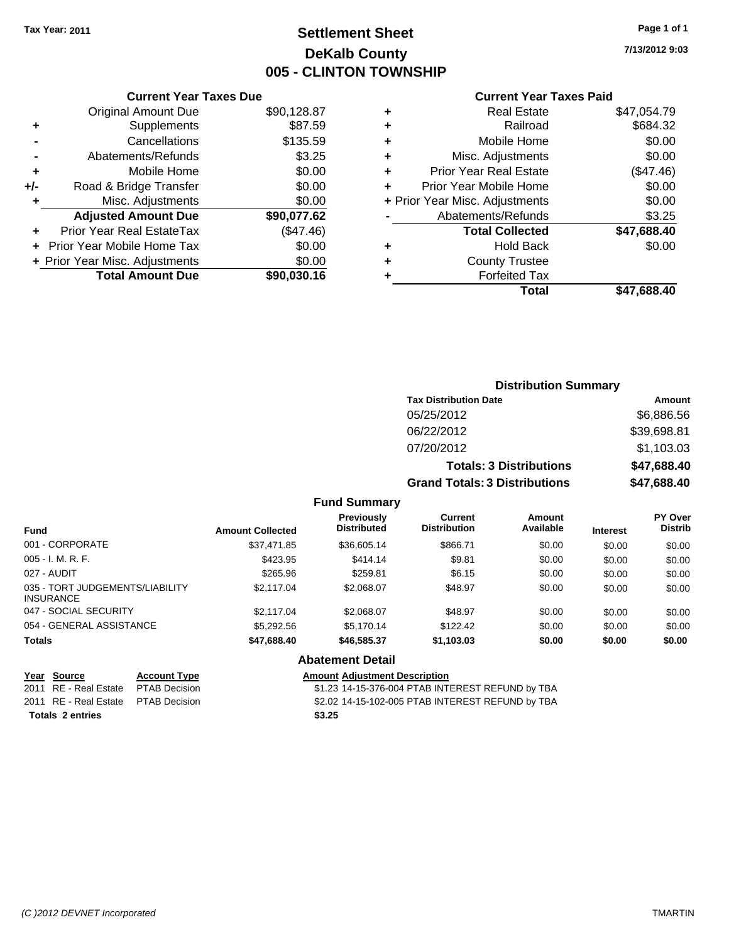# **Settlement Sheet Tax Year: 2011 Page 1 of 1 DeKalb County 005 - CLINTON TOWNSHIP**

**7/13/2012 9:03**

### **Current Year Taxes Paid**

|                   |   |             | <b>Current Year Taxes Due</b>  |       |
|-------------------|---|-------------|--------------------------------|-------|
|                   | ٠ | \$90,128.87 | <b>Original Amount Due</b>     |       |
|                   | ٠ | \$87.59     | <b>Supplements</b>             | ٠     |
|                   | ٠ | \$135.59    | Cancellations                  |       |
| Misc              |   | \$3.25      | Abatements/Refunds             |       |
| Prior Yea         |   | \$0.00      | Mobile Home                    |       |
| <b>Prior Year</b> |   | \$0.00      | Road & Bridge Transfer         | $+/-$ |
| + Prior Year Misc |   | \$0.00      | Misc. Adjustments              |       |
| Abatem            |   | \$90,077.62 | <b>Adjusted Amount Due</b>     |       |
| To                |   | (\$47.46)   | Prior Year Real EstateTax      |       |
|                   |   | \$0.00      | Prior Year Mobile Home Tax     |       |
| C۱                |   | \$0.00      | + Prior Year Misc. Adjustments |       |
|                   |   | \$90,030.16 | <b>Total Amount Due</b>        |       |
|                   |   |             |                                |       |

|   | <b>Real Estate</b>             | \$47,054.79 |
|---|--------------------------------|-------------|
| ٠ | Railroad                       | \$684.32    |
| ٠ | Mobile Home                    | \$0.00      |
| ٠ | Misc. Adjustments              | \$0.00      |
| ٠ | <b>Prior Year Real Estate</b>  | (\$47.46)   |
|   | Prior Year Mobile Home         | \$0.00      |
|   | + Prior Year Misc. Adjustments | \$0.00      |
|   | Abatements/Refunds             | \$3.25      |
|   | <b>Total Collected</b>         | \$47,688.40 |
| ٠ | <b>Hold Back</b>               | \$0.00      |
|   | <b>County Trustee</b>          |             |
|   | <b>Forfeited Tax</b>           |             |
|   | Total                          | \$47,688.40 |
|   |                                |             |

### **Distribution Summary Tax Distribution Date Amount** 05/25/2012 \$6,886.56 06/22/2012 \$39,698.81 07/20/2012 \$1,103.03 **Totals: 3 Distributions \$47,688.40 Grand Totals: 3 Distributions \$47,688.40 Fund Summary**

| <b>Fund</b>                                         | <b>Amount Collected</b> | Previously<br><b>Distributed</b>     | Current<br><b>Distribution</b> | Amount<br>Available | <b>Interest</b> | PY Over<br><b>Distrib</b> |
|-----------------------------------------------------|-------------------------|--------------------------------------|--------------------------------|---------------------|-----------------|---------------------------|
| 001 - CORPORATE                                     | \$37.471.85             | \$36,605.14                          | \$866.71                       | \$0.00              | \$0.00          | \$0.00                    |
| $005 - I. M. R. F.$                                 | \$423.95                | \$414.14                             | \$9.81                         | \$0.00              | \$0.00          | \$0.00                    |
| 027 - AUDIT                                         | \$265.96                | \$259.81                             | \$6.15                         | \$0.00              | \$0.00          | \$0.00                    |
| 035 - TORT JUDGEMENTS/LIABILITY<br><b>INSURANCE</b> | \$2,117.04              | \$2,068,07                           | \$48.97                        | \$0.00              | \$0.00          | \$0.00                    |
| 047 - SOCIAL SECURITY                               | \$2,117.04              | \$2,068,07                           | \$48.97                        | \$0.00              | \$0.00          | \$0.00                    |
| 054 - GENERAL ASSISTANCE                            | \$5.292.56              | \$5.170.14                           | \$122.42                       | \$0.00              | \$0.00          | \$0.00                    |
| <b>Totals</b>                                       | \$47,688.40             | \$46,585,37                          | \$1,103.03                     | \$0.00              | \$0.00          | \$0.00                    |
|                                                     |                         | <b>Abatement Detail</b>              |                                |                     |                 |                           |
| Year<br>Source<br><b>Account Type</b>               |                         | <b>Amount Adjustment Description</b> |                                |                     |                 |                           |

| <u>rear Source</u>                   | Account Type | Amount Adiustment Description                    |
|--------------------------------------|--------------|--------------------------------------------------|
| 2011 RE - Real Estate PTAB Decision  |              | \$1.23 14-15-376-004 PTAB INTEREST REFUND by TBA |
| 2011 RE - Real Estate  PTAB Decision |              | \$2.02 14-15-102-005 PTAB INTEREST REFUND by TBA |
| Totals 2 entries                     |              | \$3.25                                           |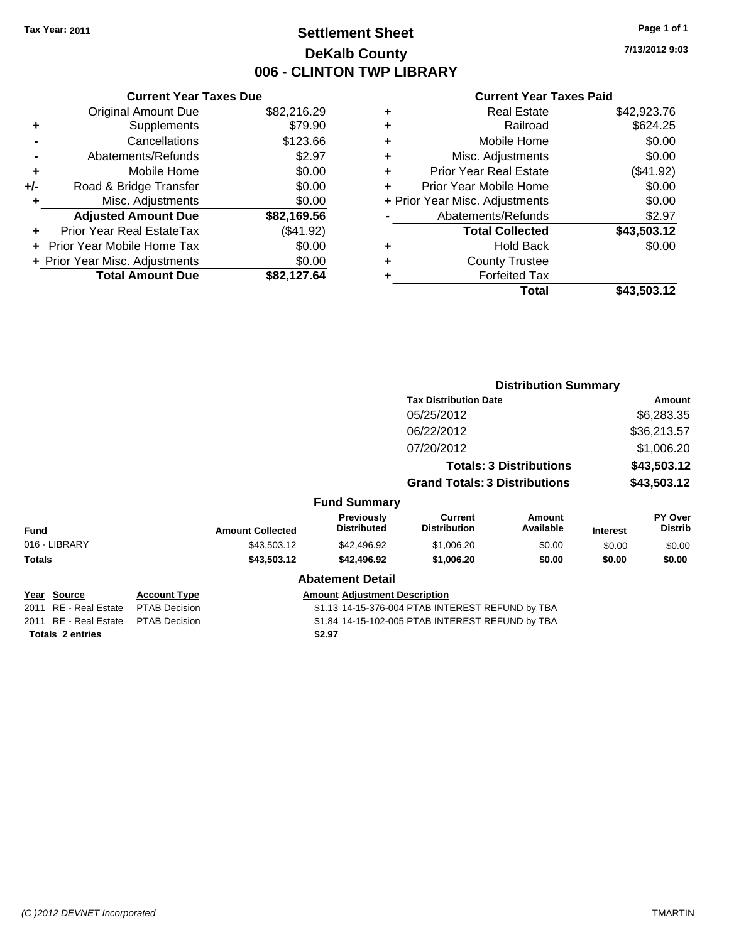# **Settlement Sheet Tax Year: 2011 Page 1 of 1 DeKalb County 006 - CLINTON TWP LIBRARY**

### **Current Year Taxes Due** Original Amount Due \$82,216.29 **+** Supplements \$79.90 **-** Cancellations \$123.66 **-** Abatements/Refunds \$2.97 **+** Mobile Home \$0.00 **+/-** Road & Bridge Transfer \$0.00 **+** Misc. Adjustments \$0.00 **Adjusted Amount Due \$82,169.56 +** Prior Year Real EstateTax (\$41.92) **+** Prior Year Mobile Home Tax \$0.00 **+ Prior Year Misc. Adjustments**  $$0.00$ **Total Amount Due \$82,127.64**

| ٠ | <b>Real Estate</b>             | \$42,923.76 |
|---|--------------------------------|-------------|
| ٠ | Railroad                       | \$624.25    |
| ٠ | Mobile Home                    | \$0.00      |
| ٠ | Misc. Adjustments              | \$0.00      |
| ÷ | <b>Prior Year Real Estate</b>  | (\$41.92)   |
| ٠ | Prior Year Mobile Home         | \$0.00      |
|   | + Prior Year Misc. Adjustments | \$0.00      |
|   | Abatements/Refunds             | \$2.97      |
|   | <b>Total Collected</b>         | \$43,503.12 |
| ٠ | Hold Back                      | \$0.00      |
| ٠ | <b>County Trustee</b>          |             |
| ٠ | <b>Forfeited Tax</b>           |             |
|   | Total                          | \$43,503.12 |
|   |                                |             |

|                         |                      |                                                  |                                         |                                      | <b>Distribution Summary</b>    |                 |                           |
|-------------------------|----------------------|--------------------------------------------------|-----------------------------------------|--------------------------------------|--------------------------------|-----------------|---------------------------|
|                         |                      |                                                  |                                         | <b>Tax Distribution Date</b>         |                                |                 | Amount                    |
|                         |                      |                                                  |                                         | 05/25/2012                           |                                |                 | \$6,283.35                |
|                         |                      |                                                  |                                         | 06/22/2012                           |                                |                 | \$36,213.57               |
|                         |                      |                                                  |                                         | 07/20/2012                           |                                |                 | \$1,006.20                |
|                         |                      |                                                  |                                         |                                      | <b>Totals: 3 Distributions</b> |                 | \$43,503.12               |
|                         |                      |                                                  |                                         | <b>Grand Totals: 3 Distributions</b> |                                |                 | \$43,503.12               |
|                         |                      |                                                  | <b>Fund Summary</b>                     |                                      |                                |                 |                           |
| <b>Fund</b>             |                      | <b>Amount Collected</b>                          | <b>Previously</b><br><b>Distributed</b> | Current<br><b>Distribution</b>       | Amount<br>Available            | <b>Interest</b> | PY Over<br><b>Distrib</b> |
| 016 - LIBRARY           |                      | \$43,503.12                                      | \$42,496.92                             | \$1,006.20                           | \$0.00                         | \$0.00          | \$0.00                    |
| Totals                  |                      | \$43,503.12                                      | \$42,496.92                             | \$1,006.20                           | \$0.00                         | \$0.00          | \$0.00                    |
|                         |                      |                                                  | <b>Abatement Detail</b>                 |                                      |                                |                 |                           |
| Year Source             | <b>Account Type</b>  |                                                  | <b>Amount Adjustment Description</b>    |                                      |                                |                 |                           |
| 2011 RE - Real Estate   | PTAB Decision        | \$1.13 14-15-376-004 PTAB INTEREST REFUND by TBA |                                         |                                      |                                |                 |                           |
| 2011 RE - Real Estate   | <b>PTAB Decision</b> | \$1.84 14-15-102-005 PTAB INTEREST REFUND by TBA |                                         |                                      |                                |                 |                           |
| <b>Totals 2 entries</b> |                      |                                                  | \$2.97                                  |                                      |                                |                 |                           |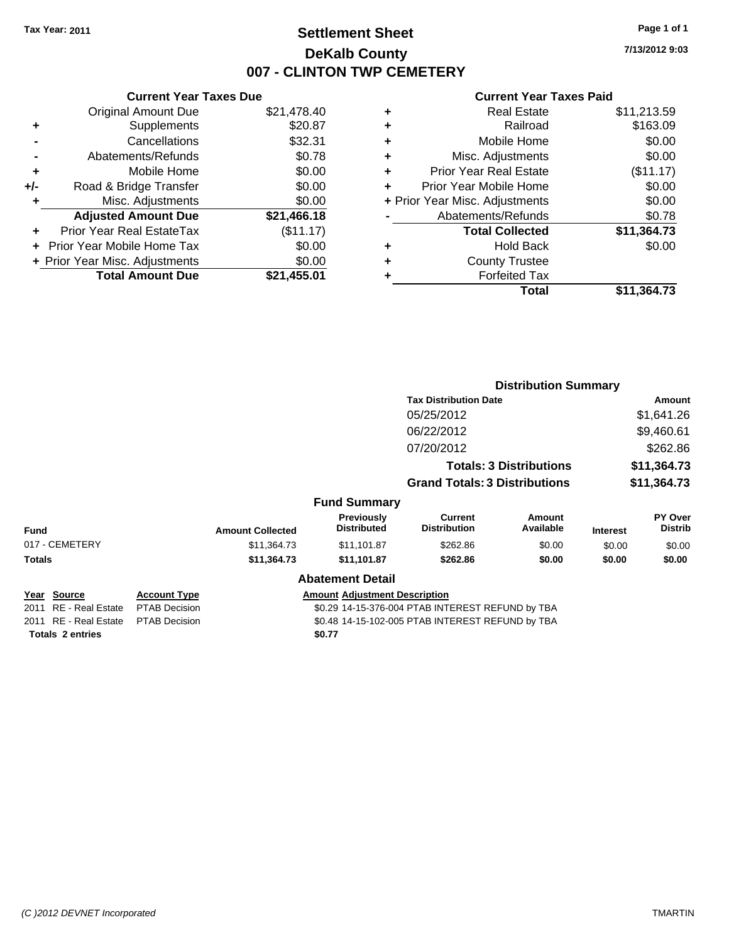### **Settlement Sheet Tax Year: 2011 Page 1 of 1 DeKalb County 007 - CLINTON TWP CEMETERY**

**7/13/2012 9:03**

|     | <b>Current Year Taxes Due</b>  |             |  |
|-----|--------------------------------|-------------|--|
|     | <b>Original Amount Due</b>     | \$21,478.40 |  |
| ٠   | Supplements                    | \$20.87     |  |
|     | Cancellations                  | \$32.31     |  |
|     | Abatements/Refunds             | \$0.78      |  |
| ٠   | Mobile Home                    | \$0.00      |  |
| +/- | Road & Bridge Transfer         | \$0.00      |  |
| ٠   | Misc. Adjustments              | \$0.00      |  |
|     | <b>Adjusted Amount Due</b>     | \$21,466.18 |  |
| ÷   | Prior Year Real EstateTax      | (\$11.17)   |  |
|     | Prior Year Mobile Home Tax     | \$0.00      |  |
|     | + Prior Year Misc. Adjustments | \$0.00      |  |
|     | <b>Total Amount Due</b>        | \$21,455.01 |  |
|     |                                |             |  |

|   | <b>Real Estate</b>             | \$11,213.59 |
|---|--------------------------------|-------------|
| ٠ | Railroad                       | \$163.09    |
| ٠ | Mobile Home                    | \$0.00      |
| ٠ | Misc. Adjustments              | \$0.00      |
| ٠ | <b>Prior Year Real Estate</b>  | (\$11.17)   |
|   | Prior Year Mobile Home         | \$0.00      |
|   | + Prior Year Misc. Adjustments | \$0.00      |
|   | Abatements/Refunds             | \$0.78      |
|   | <b>Total Collected</b>         | \$11,364.73 |
| ٠ | <b>Hold Back</b>               | \$0.00      |
| ٠ | <b>County Trustee</b>          |             |
| ٠ | <b>Forfeited Tax</b>           |             |
|   | Total                          | \$11,364.73 |
|   |                                |             |

|                         |                      |                                                  |                                      | <b>Distribution Summary</b>           |                                |                 |                           |
|-------------------------|----------------------|--------------------------------------------------|--------------------------------------|---------------------------------------|--------------------------------|-----------------|---------------------------|
|                         |                      |                                                  |                                      | <b>Tax Distribution Date</b>          |                                | Amount          |                           |
|                         |                      |                                                  |                                      | 05/25/2012                            |                                |                 | \$1,641.26                |
|                         |                      |                                                  |                                      | 06/22/2012                            |                                | \$9,460.61      |                           |
|                         |                      |                                                  |                                      | 07/20/2012                            |                                |                 | \$262.86                  |
|                         |                      |                                                  |                                      |                                       | <b>Totals: 3 Distributions</b> |                 | \$11,364.73               |
|                         |                      |                                                  |                                      | <b>Grand Totals: 3 Distributions</b>  |                                | \$11,364.73     |                           |
|                         |                      |                                                  | <b>Fund Summary</b>                  |                                       |                                |                 |                           |
| <b>Fund</b>             |                      | <b>Amount Collected</b>                          | Previously<br><b>Distributed</b>     | <b>Current</b><br><b>Distribution</b> | Amount<br>Available            | <b>Interest</b> | PY Over<br><b>Distrib</b> |
| 017 - CEMETERY          |                      | \$11,364.73                                      | \$11,101.87                          | \$262.86                              | \$0.00                         | \$0.00          | \$0.00                    |
| Totals                  |                      | \$11,364.73                                      | \$11,101.87                          | \$262.86                              | \$0.00                         | \$0.00          | \$0.00                    |
|                         |                      |                                                  | <b>Abatement Detail</b>              |                                       |                                |                 |                           |
| Year Source             | <b>Account Type</b>  |                                                  | <b>Amount Adjustment Description</b> |                                       |                                |                 |                           |
| 2011 RE - Real Estate   | <b>PTAB Decision</b> | \$0.29 14-15-376-004 PTAB INTEREST REFUND by TBA |                                      |                                       |                                |                 |                           |
| 2011 RE - Real Estate   | <b>PTAB Decision</b> | \$0.48 14-15-102-005 PTAB INTEREST REFUND by TBA |                                      |                                       |                                |                 |                           |
| <b>Totals 2 entries</b> |                      |                                                  | \$0.77                               |                                       |                                |                 |                           |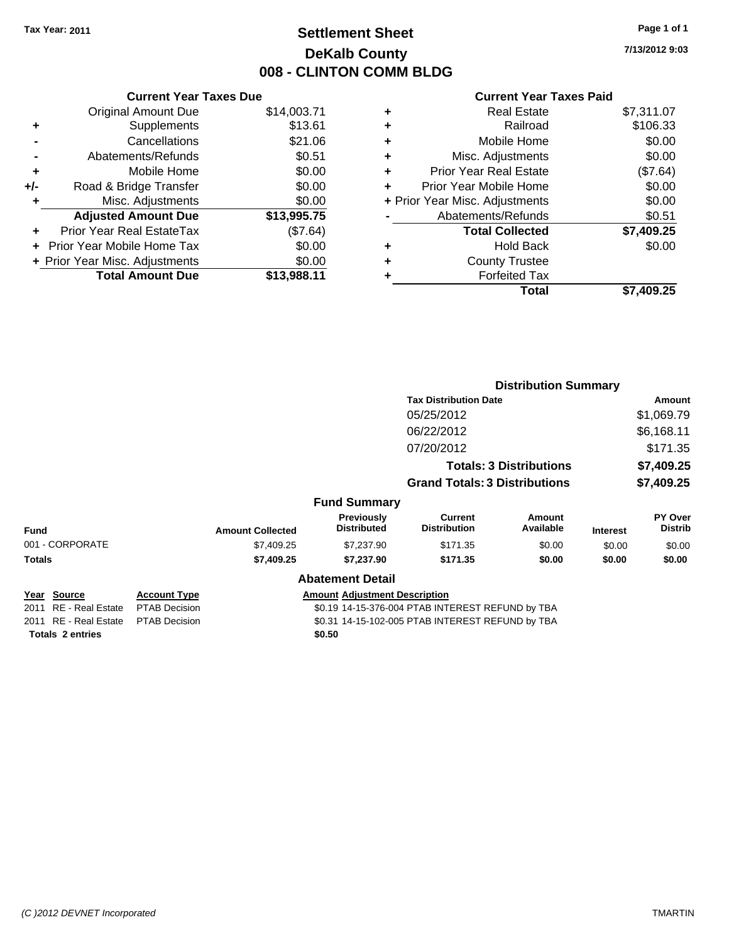# **Settlement Sheet Tax Year: 2011 Page 1 of 1 DeKalb County 008 - CLINTON COMM BLDG**

**7/13/2012 9:03**

|     | <b>Current Year Taxes Due</b>  |             |  |  |  |
|-----|--------------------------------|-------------|--|--|--|
|     | <b>Original Amount Due</b>     | \$14,003.71 |  |  |  |
| ٠   | Supplements                    | \$13.61     |  |  |  |
|     | Cancellations                  | \$21.06     |  |  |  |
|     | \$0.51<br>Abatements/Refunds   |             |  |  |  |
| ٠   | Mobile Home                    | \$0.00      |  |  |  |
| +/- | Road & Bridge Transfer         | \$0.00      |  |  |  |
| ٠   | Misc. Adjustments              | \$0.00      |  |  |  |
|     | <b>Adjusted Amount Due</b>     | \$13,995.75 |  |  |  |
| ÷   | Prior Year Real EstateTax      | (\$7.64)    |  |  |  |
|     | Prior Year Mobile Home Tax     | \$0.00      |  |  |  |
|     | + Prior Year Misc. Adjustments | \$0.00      |  |  |  |
|     | <b>Total Amount Due</b>        | \$13.988.11 |  |  |  |
|     |                                |             |  |  |  |

| ٠ | <b>Real Estate</b>             | \$7,311.07 |
|---|--------------------------------|------------|
| ٠ | Railroad                       | \$106.33   |
| ٠ | Mobile Home                    | \$0.00     |
| ٠ | Misc. Adjustments              | \$0.00     |
| ÷ | <b>Prior Year Real Estate</b>  | (\$7.64)   |
| ٠ | Prior Year Mobile Home         | \$0.00     |
|   | + Prior Year Misc. Adjustments | \$0.00     |
|   | Abatements/Refunds             | \$0.51     |
|   | <b>Total Collected</b>         | \$7,409.25 |
| ٠ | <b>Hold Back</b>               | \$0.00     |
| ٠ | <b>County Trustee</b>          |            |
| ٠ | <b>Forfeited Tax</b>           |            |
|   | Total                          | \$7,409.25 |
|   |                                |            |

|                         |                      |                                                  |                                         | <b>Distribution Summary</b>           |                                |                 |                           |  |
|-------------------------|----------------------|--------------------------------------------------|-----------------------------------------|---------------------------------------|--------------------------------|-----------------|---------------------------|--|
|                         |                      |                                                  |                                         | <b>Tax Distribution Date</b>          |                                |                 | Amount                    |  |
|                         |                      |                                                  |                                         | 05/25/2012                            |                                |                 | \$1,069.79                |  |
|                         |                      |                                                  |                                         | 06/22/2012                            |                                |                 | \$6,168.11                |  |
|                         |                      |                                                  |                                         | 07/20/2012                            |                                |                 | \$171.35                  |  |
|                         |                      |                                                  |                                         |                                       | <b>Totals: 3 Distributions</b> |                 | \$7,409.25                |  |
|                         |                      |                                                  |                                         | <b>Grand Totals: 3 Distributions</b>  |                                |                 | \$7,409.25                |  |
|                         |                      |                                                  | <b>Fund Summary</b>                     |                                       |                                |                 |                           |  |
| Fund                    |                      | <b>Amount Collected</b>                          | <b>Previously</b><br><b>Distributed</b> | <b>Current</b><br><b>Distribution</b> | Amount<br>Available            | <b>Interest</b> | PY Over<br><b>Distrib</b> |  |
| 001 - CORPORATE         |                      | \$7,409.25                                       | \$7,237.90                              | \$171.35                              | \$0.00                         | \$0.00          | \$0.00                    |  |
| Totals                  |                      | \$7,409.25                                       | \$7,237.90                              | \$171.35                              | \$0.00                         | \$0.00          | \$0.00                    |  |
|                         |                      |                                                  | <b>Abatement Detail</b>                 |                                       |                                |                 |                           |  |
| <u> Year Source</u>     | <b>Account Type</b>  |                                                  | <b>Amount Adjustment Description</b>    |                                       |                                |                 |                           |  |
| 2011 RE - Real Estate   | <b>PTAB Decision</b> | \$0.19 14-15-376-004 PTAB INTEREST REFUND by TBA |                                         |                                       |                                |                 |                           |  |
| 2011 RE - Real Estate   | <b>PTAB Decision</b> | \$0.31 14-15-102-005 PTAB INTEREST REFUND by TBA |                                         |                                       |                                |                 |                           |  |
| <b>Totals 2 entries</b> |                      |                                                  | \$0.50                                  |                                       |                                |                 |                           |  |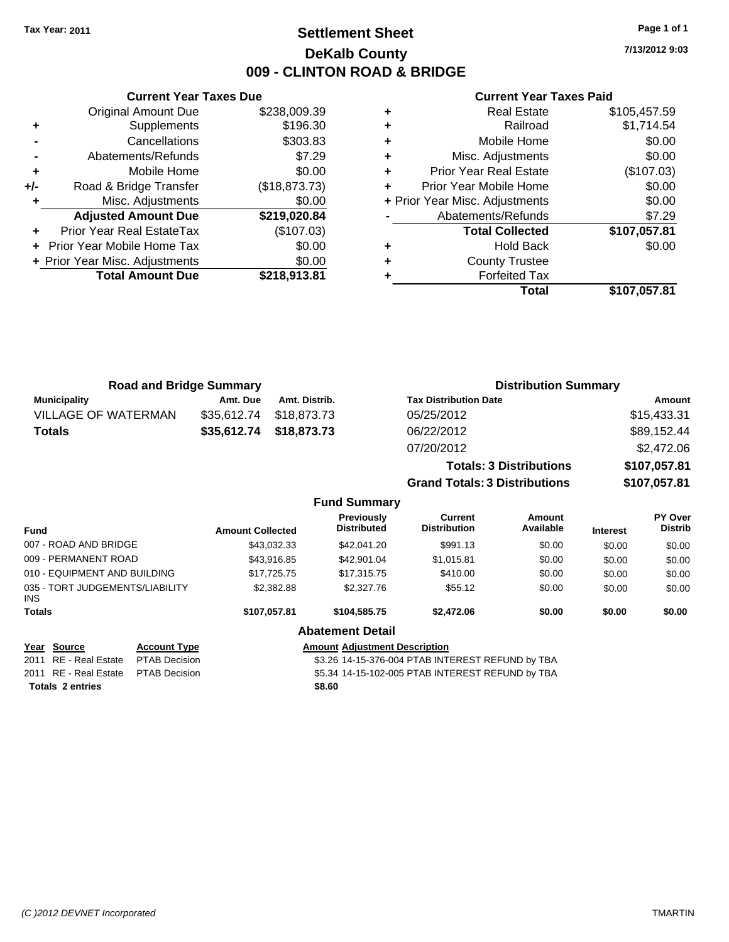### **Settlement Sheet Tax Year: 2011 Page 1 of 1 DeKalb County 009 - CLINTON ROAD & BRIDGE**

**7/13/2012 9:03**

#### **Current Year Taxes Paid**

|       | <b>Current Year Taxes Due</b>  |               |
|-------|--------------------------------|---------------|
|       | <b>Original Amount Due</b>     | \$238,009.39  |
| ٠     | Supplements                    | \$196.30      |
|       | Cancellations                  | \$303.83      |
|       | Abatements/Refunds             | \$7.29        |
| ٠     | Mobile Home                    | \$0.00        |
| $+/-$ | Road & Bridge Transfer         | (\$18,873.73) |
|       | Misc. Adjustments              | \$0.00        |
|       | <b>Adjusted Amount Due</b>     | \$219,020.84  |
|       | Prior Year Real EstateTax      | (\$107.03)    |
|       | Prior Year Mobile Home Tax     | \$0.00        |
|       | + Prior Year Misc. Adjustments | \$0.00        |
|       | <b>Total Amount Due</b>        | \$218,913.81  |
|       |                                |               |

|   | <b>Real Estate</b>             | \$105,457.59 |
|---|--------------------------------|--------------|
| ٠ | Railroad                       | \$1,714.54   |
| ٠ | Mobile Home                    | \$0.00       |
| ٠ | Misc. Adjustments              | \$0.00       |
| ٠ | <b>Prior Year Real Estate</b>  | (\$107.03)   |
|   | Prior Year Mobile Home         | \$0.00       |
|   | + Prior Year Misc. Adjustments | \$0.00       |
|   | Abatements/Refunds             | \$7.29       |
|   | <b>Total Collected</b>         | \$107,057.81 |
|   | <b>Hold Back</b>               | \$0.00       |
| ٠ | <b>County Trustee</b>          |              |
|   | <b>Forfeited Tax</b>           |              |
|   | Total                          | \$107,057.81 |

| <b>Road and Bridge Summary</b> |             |                     | <b>Distribution Summary</b>          |              |
|--------------------------------|-------------|---------------------|--------------------------------------|--------------|
| <b>Municipality</b>            | Amt. Due    | Amt. Distrib.       | <b>Tax Distribution Date</b>         | Amount       |
| <b>VILLAGE OF WATERMAN</b>     | \$35,612.74 | \$18,873.73         | 05/25/2012                           | \$15,433.31  |
| <b>Totals</b>                  | \$35,612.74 | \$18,873.73         | 06/22/2012                           | \$89,152.44  |
|                                |             |                     | 07/20/2012                           | \$2,472.06   |
|                                |             |                     | <b>Totals: 3 Distributions</b>       | \$107,057.81 |
|                                |             |                     | <b>Grand Totals: 3 Distributions</b> | \$107,057.81 |
|                                |             | <b>Fund Summary</b> |                                      |              |

|                                         |                      |                                                  | UITU VUIIIIIIII Y                       |                                |                     |                 |                           |
|-----------------------------------------|----------------------|--------------------------------------------------|-----------------------------------------|--------------------------------|---------------------|-----------------|---------------------------|
| <b>Fund</b>                             |                      | <b>Amount Collected</b>                          | <b>Previously</b><br><b>Distributed</b> | Current<br><b>Distribution</b> | Amount<br>Available | <b>Interest</b> | PY Over<br><b>Distrib</b> |
| 007 - ROAD AND BRIDGE                   |                      | \$43,032,33                                      | \$42,041.20                             | \$991.13                       | \$0.00              | \$0.00          | \$0.00                    |
| 009 - PERMANENT ROAD                    |                      | \$43,916.85                                      | \$42,901.04                             | \$1.015.81                     | \$0.00              | \$0.00          | \$0.00                    |
| 010 - EQUIPMENT AND BUILDING            |                      | \$17,725.75                                      | \$17,315.75                             | \$410.00                       | \$0.00              | \$0.00          | \$0.00                    |
| 035 - TORT JUDGEMENTS/LIABILITY<br>INS. |                      | \$2,382.88                                       | \$2,327.76                              | \$55.12                        | \$0.00              | \$0.00          | \$0.00                    |
| <b>Totals</b>                           |                      | \$107.057.81                                     | \$104,585.75                            | \$2,472.06                     | \$0.00              | \$0.00          | \$0.00                    |
|                                         |                      |                                                  | <b>Abatement Detail</b>                 |                                |                     |                 |                           |
| Year Source                             | <b>Account Type</b>  | <b>Amount Adiustment Description</b>             |                                         |                                |                     |                 |                           |
| RE - Real Estate<br>2011                | <b>PTAB Decision</b> | \$3.26 14-15-376-004 PTAB INTEREST REFUND by TBA |                                         |                                |                     |                 |                           |

2011 RE - Real Estate PTAB Decision S5.34 14-15-102-005 PTAB INTEREST REFUND by TBA

**Totals \$8.60 2 entries**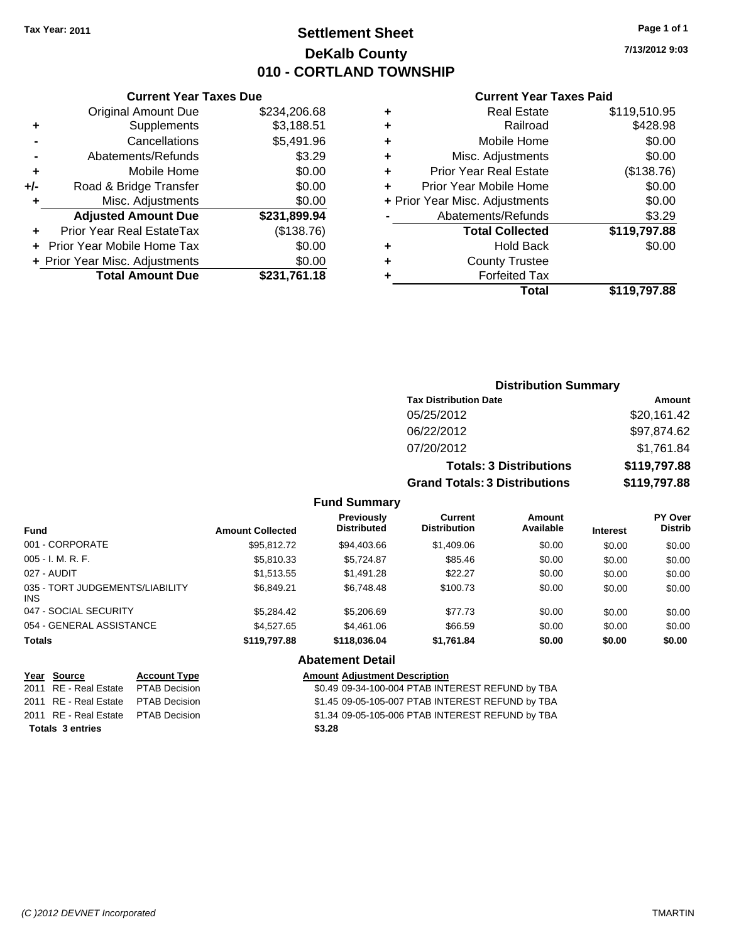# **Settlement Sheet Tax Year: 2011 Page 1 of 1 DeKalb County 010 - CORTLAND TOWNSHIP**

**7/13/2012 9:03**

#### **Current Year Taxes Paid**

|     | <b>Current Year Taxes Due</b>  |              |  |
|-----|--------------------------------|--------------|--|
|     | <b>Original Amount Due</b>     | \$234,206.68 |  |
| ٠   | Supplements                    | \$3,188.51   |  |
|     | Cancellations                  | \$5,491.96   |  |
|     | Abatements/Refunds             | \$3.29       |  |
| ٠   | Mobile Home                    | \$0.00       |  |
| +/- | Road & Bridge Transfer         | \$0.00       |  |
| ٠   | Misc. Adjustments              | \$0.00       |  |
|     | <b>Adjusted Amount Due</b>     | \$231,899.94 |  |
|     | Prior Year Real EstateTax      | (\$138.76)   |  |
|     | Prior Year Mobile Home Tax     | \$0.00       |  |
|     | + Prior Year Misc. Adjustments | \$0.00       |  |
|     | <b>Total Amount Due</b>        | \$231,761.18 |  |

|   | <b>Real Estate</b>             | \$119,510.95 |
|---|--------------------------------|--------------|
| ٠ | Railroad                       | \$428.98     |
| ٠ | Mobile Home                    | \$0.00       |
| ٠ | Misc. Adjustments              | \$0.00       |
| ٠ | <b>Prior Year Real Estate</b>  | (\$138.76)   |
|   | Prior Year Mobile Home         | \$0.00       |
|   | + Prior Year Misc. Adjustments | \$0.00       |
|   | Abatements/Refunds             | \$3.29       |
|   | <b>Total Collected</b>         | \$119,797.88 |
| ٠ | <b>Hold Back</b>               | \$0.00       |
| ٠ | <b>County Trustee</b>          |              |
| ٠ | <b>Forfeited Tax</b>           |              |
|   | Total                          | \$119,797.88 |
|   |                                |              |

### **Distribution Summary Tax Distribution Date Amount** 05/25/2012 \$20,161.42 06/22/2012 \$97,874.62 07/20/2012 \$1,761.84 **Totals: 3 Distributions \$119,797.88 Grand Totals: 3 Distributions \$119,797.88**

### **Fund Summary**

| <b>Fund</b>                             | <b>Amount Collected</b> | <b>Previously</b><br><b>Distributed</b> | Current<br><b>Distribution</b> | Amount<br>Available | <b>Interest</b> | <b>PY Over</b><br><b>Distrib</b> |
|-----------------------------------------|-------------------------|-----------------------------------------|--------------------------------|---------------------|-----------------|----------------------------------|
| 001 - CORPORATE                         | \$95.812.72             | \$94,403.66                             | \$1,409.06                     | \$0.00              | \$0.00          | \$0.00                           |
| $005 - I. M. R. F.$                     | \$5,810.33              | \$5,724.87                              | \$85.46                        | \$0.00              | \$0.00          | \$0.00                           |
| 027 - AUDIT                             | \$1.513.55              | \$1,491.28                              | \$22.27                        | \$0.00              | \$0.00          | \$0.00                           |
| 035 - TORT JUDGEMENTS/LIABILITY<br>INS. | \$6.849.21              | \$6,748.48                              | \$100.73                       | \$0.00              | \$0.00          | \$0.00                           |
| 047 - SOCIAL SECURITY                   | \$5.284.42              | \$5,206.69                              | \$77.73                        | \$0.00              | \$0.00          | \$0.00                           |
| 054 - GENERAL ASSISTANCE                | \$4,527.65              | \$4,461.06                              | \$66.59                        | \$0.00              | \$0.00          | \$0.00                           |
| <b>Totals</b>                           | \$119,797.88            | \$118,036,04                            | \$1,761.84                     | \$0.00              | \$0.00          | \$0.00                           |

#### **Abatement Detail**

| Year Source                         | <b>Account Type</b> | <b>Amount Adjustment Description</b>             |
|-------------------------------------|---------------------|--------------------------------------------------|
| 2011 RE - Real Estate PTAB Decision |                     | \$0.49 09-34-100-004 PTAB INTEREST REFUND by TBA |
| 2011 RE - Real Estate PTAB Decision |                     | \$1.45 09-05-105-007 PTAB INTEREST REFUND by TBA |
| 2011 RE - Real Estate PTAB Decision |                     | \$1.34 09-05-105-006 PTAB INTEREST REFUND by TBA |
| <b>Totals 3 entries</b>             |                     | \$3.28                                           |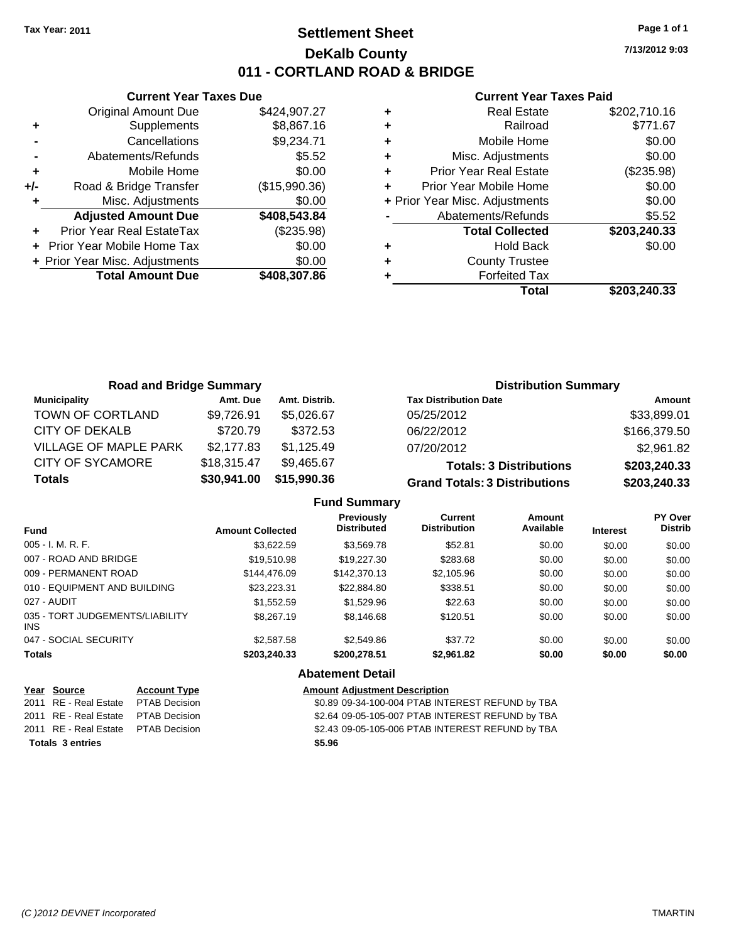# **Settlement Sheet Tax Year: 2011 Page 1 of 1 DeKalb County 011 - CORTLAND ROAD & BRIDGE**

**7/13/2012 9:03**

### **Current Year Taxes Paid**

|       | <b>Current Year Taxes Due</b>  |               |
|-------|--------------------------------|---------------|
|       | <b>Original Amount Due</b>     | \$424,907.27  |
| ÷     | Supplements                    | \$8,867.16    |
|       | Cancellations                  | \$9,234.71    |
|       | Abatements/Refunds             | \$5.52        |
| ٠     | Mobile Home                    | \$0.00        |
| $+/-$ | Road & Bridge Transfer         | (\$15,990.36) |
|       | Misc. Adjustments              | \$0.00        |
|       | <b>Adjusted Amount Due</b>     | \$408,543.84  |
|       | Prior Year Real EstateTax      | (\$235.98)    |
|       | Prior Year Mobile Home Tax     | \$0.00        |
|       | + Prior Year Misc. Adjustments | \$0.00        |
|       | <b>Total Amount Due</b>        | \$408,307.86  |
|       |                                |               |

| ٠ | <b>Real Estate</b>             | \$202,710.16 |
|---|--------------------------------|--------------|
| ٠ | Railroad                       | \$771.67     |
| ٠ | Mobile Home                    | \$0.00       |
| ٠ | Misc. Adjustments              | \$0.00       |
| ٠ | <b>Prior Year Real Estate</b>  | (\$235.98)   |
| ٠ | Prior Year Mobile Home         | \$0.00       |
|   | + Prior Year Misc. Adjustments | \$0.00       |
|   | Abatements/Refunds             | \$5.52       |
|   | <b>Total Collected</b>         | \$203,240.33 |
| ٠ | <b>Hold Back</b>               | \$0.00       |
| ٠ | <b>County Trustee</b>          |              |
|   | <b>Forfeited Tax</b>           |              |
|   | Total                          | \$203,240.33 |

| <b>Road and Bridge Summary</b> |             |               | <b>Distribution Summary</b>          |              |
|--------------------------------|-------------|---------------|--------------------------------------|--------------|
| <b>Municipality</b>            | Amt. Due    | Amt. Distrib. | <b>Tax Distribution Date</b>         | Amount       |
| TOWN OF CORTLAND               | \$9,726.91  | \$5,026,67    | 05/25/2012                           | \$33,899.01  |
| <b>CITY OF DEKALB</b>          | \$720.79    | \$372.53      | 06/22/2012                           | \$166,379.50 |
| VILLAGE OF MAPLE PARK          | \$2,177.83  | \$1,125.49    | 07/20/2012                           | \$2,961.82   |
| <b>CITY OF SYCAMORE</b>        | \$18,315.47 | \$9,465.67    | <b>Totals: 3 Distributions</b>       | \$203,240.33 |
| <b>Totals</b>                  | \$30,941.00 | \$15,990.36   | <b>Grand Totals: 3 Distributions</b> | \$203,240.33 |

| <b>Fund Summary</b> |  |  |
|---------------------|--|--|
|---------------------|--|--|

| <b>Fund</b>                             | <b>Amount Collected</b> | <b>Previously</b><br><b>Distributed</b> | <b>Current</b><br><b>Distribution</b> | Amount<br>Available | <b>Interest</b> | <b>PY Over</b><br><b>Distrib</b> |
|-----------------------------------------|-------------------------|-----------------------------------------|---------------------------------------|---------------------|-----------------|----------------------------------|
| $005 - I. M. R. F.$                     | \$3.622.59              | \$3,569.78                              | \$52.81                               | \$0.00              | \$0.00          | \$0.00                           |
| 007 - ROAD AND BRIDGE                   | \$19,510.98             | \$19,227.30                             | \$283.68                              | \$0.00              | \$0.00          | \$0.00                           |
| 009 - PERMANENT ROAD                    | \$144,476.09            | \$142,370.13                            | \$2,105.96                            | \$0.00              | \$0.00          | \$0.00                           |
| 010 - EQUIPMENT AND BUILDING            | \$23,223.31             | \$22,884.80                             | \$338.51                              | \$0.00              | \$0.00          | \$0.00                           |
| 027 - AUDIT                             | \$1.552.59              | \$1,529.96                              | \$22.63                               | \$0.00              | \$0.00          | \$0.00                           |
| 035 - TORT JUDGEMENTS/LIABILITY<br>INS. | \$8,267.19              | \$8,146.68                              | \$120.51                              | \$0.00              | \$0.00          | \$0.00                           |
| 047 - SOCIAL SECURITY                   | \$2,587.58              | \$2,549.86                              | \$37.72                               | \$0.00              | \$0.00          | \$0.00                           |
| <b>Totals</b>                           | \$203,240.33            | \$200,278.51                            | \$2,961.82                            | \$0.00              | \$0.00          | \$0.00                           |

### **Abatement Detail**

| Year Source                          | <b>Account Type</b> | <b>Amount Adjustment Description</b>             |
|--------------------------------------|---------------------|--------------------------------------------------|
| 2011 RE - Real Estate  PTAB Decision |                     | \$0.89 09-34-100-004 PTAB INTEREST REFUND by TBA |
| 2011 RE - Real Estate PTAB Decision  |                     | \$2.64 09-05-105-007 PTAB INTEREST REFUND by TBA |
| 2011 RE - Real Estate PTAB Decision  |                     | \$2.43 09-05-105-006 PTAB INTEREST REFUND by TBA |
| <b>Totals 3 entries</b>              |                     | \$5.96                                           |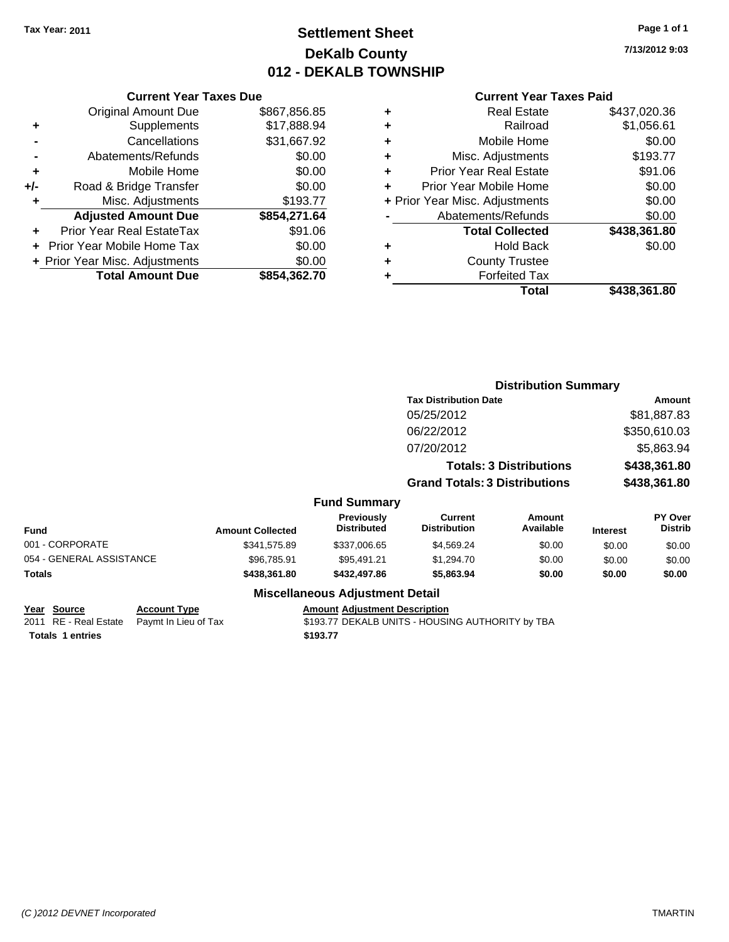# **Settlement Sheet Tax Year: 2011 Page 1 of 1 DeKalb County 012 - DEKALB TOWNSHIP**

**7/13/2012 9:03**

|     | <b>Current Year Taxes Due</b>  |              |  |  |  |
|-----|--------------------------------|--------------|--|--|--|
|     | <b>Original Amount Due</b>     | \$867,856.85 |  |  |  |
| ٠   | Supplements                    | \$17,888.94  |  |  |  |
|     | Cancellations                  | \$31,667.92  |  |  |  |
|     | Abatements/Refunds             | \$0.00       |  |  |  |
| ٠   | Mobile Home                    | \$0.00       |  |  |  |
| +/- | Road & Bridge Transfer         | \$0.00       |  |  |  |
| ٠   | Misc. Adjustments              | \$193.77     |  |  |  |
|     | <b>Adjusted Amount Due</b>     | \$854,271.64 |  |  |  |
| ٠   | Prior Year Real EstateTax      | \$91.06      |  |  |  |
|     | Prior Year Mobile Home Tax     | \$0.00       |  |  |  |
|     | + Prior Year Misc. Adjustments | \$0.00       |  |  |  |
|     | <b>Total Amount Due</b>        | \$854,362.70 |  |  |  |
|     |                                |              |  |  |  |

#### **Current Year Taxes Paid**

|   | <b>Real Estate</b>             | \$437,020.36 |
|---|--------------------------------|--------------|
| ٠ | Railroad                       | \$1,056.61   |
| ٠ | Mobile Home                    | \$0.00       |
| ٠ | Misc. Adjustments              | \$193.77     |
| ٠ | Prior Year Real Estate         | \$91.06      |
| ÷ | Prior Year Mobile Home         | \$0.00       |
|   | + Prior Year Misc. Adjustments | \$0.00       |
|   | Abatements/Refunds             | \$0.00       |
|   | <b>Total Collected</b>         | \$438,361.80 |
| ٠ | <b>Hold Back</b>               | \$0.00       |
| ٠ | <b>County Trustee</b>          |              |
| ٠ | <b>Forfeited Tax</b>           |              |
|   | Total                          | \$438,361.80 |
|   |                                |              |

#### **Distribution Summary Tax Distribution Date Amount** 05/25/2012 \$81,887.83 06/22/2012 \$350,610.03 07/20/2012 \$5,863.94 **Totals: 3 Distributions \$438,361.80 Grand Totals: 3 Distributions \$438,361.80 Fund Summary Fund Interest Amount Collected Distributed PY Over Distrib Amount Available Current Distribution Previously** 001 - CORPORATE \$341,575.89 \$337,006.65 \$4,569.24 \$0.00 \$0.00 \$0.00 054 - GENERAL ASSISTANCE \$96,785.91 \$95,491.21 \$1,294.70 \$0.00 \$0.00 \$0.00 **Totals \$438,361.80 \$432,497.86 \$5,863.94 \$0.00 \$0.00 \$0.00**

#### **Year Source Account Type Amount Adjustment Description**

**Totals 1 entries** \$193.77

### **Miscellaneous Adjustment Detail**

2011 RE - Real Estate Paymt In Lieu of Tax \$193.77 DEKALB UNITS - HOUSING AUTHORITY by TBA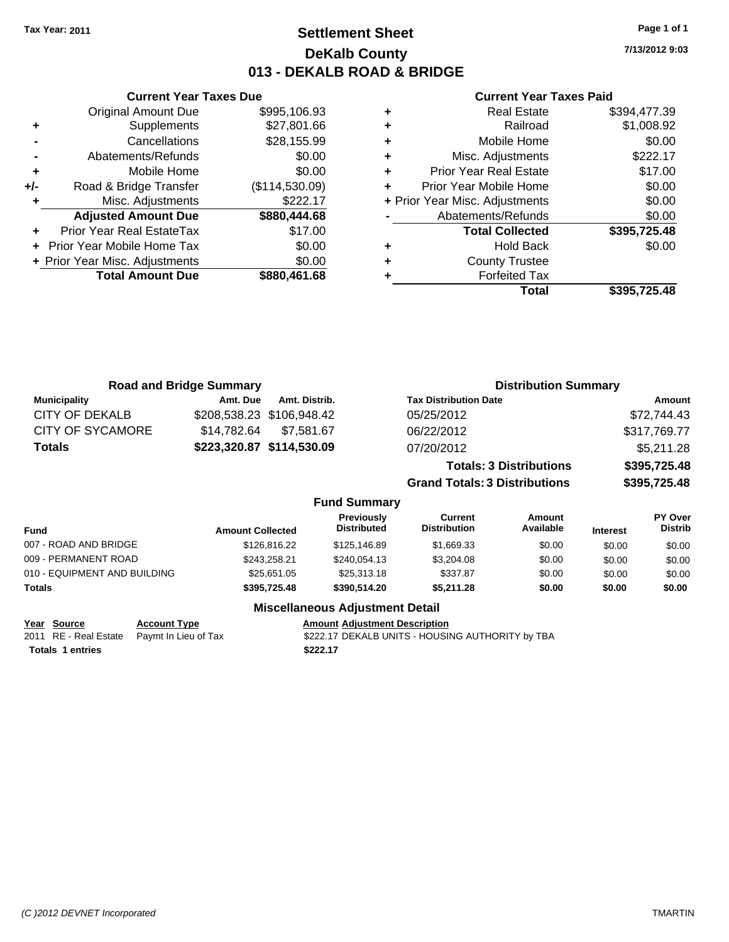### **Settlement Sheet Tax Year: 2011 Page 1 of 1 DeKalb County 013 - DEKALB ROAD & BRIDGE**

**7/13/2012 9:03**

#### **Current Year Taxes Paid**

|     | <b>Current Year Taxes Due</b>  |                |  |
|-----|--------------------------------|----------------|--|
|     | <b>Original Amount Due</b>     | \$995,106.93   |  |
| ٠   | Supplements                    | \$27,801.66    |  |
|     | Cancellations                  | \$28,155.99    |  |
|     | Abatements/Refunds             | \$0.00         |  |
| ٠   | Mobile Home                    | \$0.00         |  |
| +/- | Road & Bridge Transfer         | (\$114,530.09) |  |
|     | Misc. Adjustments              | \$222.17       |  |
|     | <b>Adjusted Amount Due</b>     | \$880,444.68   |  |
| ÷   | Prior Year Real EstateTax      | \$17.00        |  |
|     | Prior Year Mobile Home Tax     | \$0.00         |  |
|     | + Prior Year Misc. Adjustments | \$0.00         |  |
|     | <b>Total Amount Due</b>        | \$880,461.68   |  |
|     |                                |                |  |

| <b>Real Estate</b>             | \$394,477.39 |
|--------------------------------|--------------|
| Railroad                       | \$1,008.92   |
| Mobile Home                    | \$0.00       |
| Misc. Adjustments              | \$222.17     |
| <b>Prior Year Real Estate</b>  | \$17.00      |
| Prior Year Mobile Home         | \$0.00       |
| + Prior Year Misc. Adjustments | \$0.00       |
| Abatements/Refunds             | \$0.00       |
| <b>Total Collected</b>         | \$395,725.48 |
| <b>Hold Back</b>               | \$0.00       |
| <b>County Trustee</b>          |              |
| <b>Forfeited Tax</b>           |              |
|                                |              |
|                                |              |

|                              | <b>Road and Bridge Summary</b> |               |                                  |                                       | <b>Distribution Summary</b>          |                 |                           |
|------------------------------|--------------------------------|---------------|----------------------------------|---------------------------------------|--------------------------------------|-----------------|---------------------------|
| <b>Municipality</b>          | Amt. Due                       | Amt. Distrib. |                                  | <b>Tax Distribution Date</b>          |                                      |                 | Amount                    |
| CITY OF DEKALB               | \$208,538.23                   | \$106,948.42  |                                  | 05/25/2012                            |                                      |                 | \$72,744.43               |
| CITY OF SYCAMORE             | \$14,782.64                    | \$7.581.67    |                                  | 06/22/2012                            |                                      |                 | \$317,769.77              |
| <b>Totals</b>                | \$223,320.87 \$114,530.09      |               |                                  | 07/20/2012                            |                                      |                 | \$5,211.28                |
|                              |                                |               |                                  |                                       | <b>Totals: 3 Distributions</b>       |                 | \$395,725.48              |
|                              |                                |               |                                  |                                       | <b>Grand Totals: 3 Distributions</b> |                 | \$395,725.48              |
|                              |                                |               | <b>Fund Summary</b>              |                                       |                                      |                 |                           |
| <b>Fund</b>                  | <b>Amount Collected</b>        |               | Previously<br><b>Distributed</b> | <b>Current</b><br><b>Distribution</b> | Amount<br>Available                  | <b>Interest</b> | PY Over<br><b>Distrib</b> |
| 007 - ROAD AND BRIDGE        |                                | \$126,816.22  | \$125,146.89                     | \$1,669.33                            | \$0.00                               | \$0.00          | \$0.00                    |
| 009 - PERMANENT ROAD         |                                | \$243,258.21  | \$240.054.13                     | \$3,204.08                            | \$0.00                               | \$0.00          | \$0.00                    |
| 010 - EQUIPMENT AND BUILDING |                                | \$25.651.05   | \$25,313.18                      | \$337.87                              | \$0.00                               | \$0.00          | \$0.00                    |
| Totals                       |                                | \$395,725.48  | \$390,514.20                     | \$5,211.28                            | \$0.00                               | \$0.00          | \$0.00                    |
|                              |                                |               |                                  |                                       |                                      |                 |                           |

### **Miscellaneous Adjustment Detail**

**Year Source Account Type Amount Adjustment Description Totals 1 entries 1 and 1 and 1 and 1 and 1 and 1 and 1 and 1 and 1 and 1 and 1 and 1 and 1 and 1 and 1 and 1 and 1 and 1 and 1 and 1 and 1 and 1 and 1 and 1 and 1 and 1 and 1 and 1 and 1 and 1 and 1 and 1 and 1 and 1 an** 

**\$222.17 DEKALB UNITS - HOUSING AUTHORITY by TBA**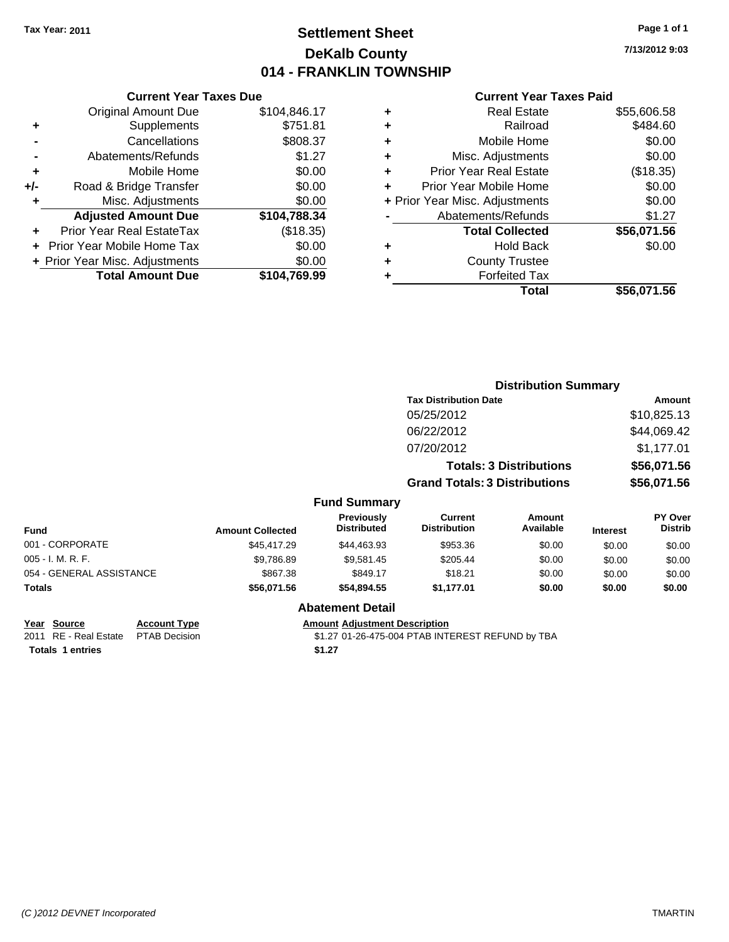# **Settlement Sheet Tax Year: 2011 Page 1 of 1 DeKalb County 014 - FRANKLIN TOWNSHIP**

**7/13/2012 9:03**

#### **Current Year Taxes Paid**

|     | <b>Current Year Taxes Due</b>  |              |  |
|-----|--------------------------------|--------------|--|
|     | <b>Original Amount Due</b>     | \$104,846.17 |  |
| ٠   | Supplements                    | \$751.81     |  |
|     | Cancellations                  | \$808.37     |  |
|     | Abatements/Refunds             | \$1.27       |  |
| ٠   | Mobile Home                    | \$0.00       |  |
| +/- | Road & Bridge Transfer         | \$0.00       |  |
| ٠   | Misc. Adjustments              | \$0.00       |  |
|     | <b>Adjusted Amount Due</b>     | \$104,788.34 |  |
| ÷   | Prior Year Real EstateTax      | (\$18.35)    |  |
|     | Prior Year Mobile Home Tax     | \$0.00       |  |
|     | + Prior Year Misc. Adjustments | \$0.00       |  |
|     | <b>Total Amount Due</b>        | \$104,769.99 |  |
|     |                                |              |  |

| ٠ | <b>Real Estate</b>             | \$55,606.58 |
|---|--------------------------------|-------------|
| ÷ | Railroad                       | \$484.60    |
| ٠ | Mobile Home                    | \$0.00      |
| ٠ | Misc. Adjustments              | \$0.00      |
| ÷ | Prior Year Real Estate         | (\$18.35)   |
| ٠ | Prior Year Mobile Home         | \$0.00      |
|   | + Prior Year Misc. Adjustments | \$0.00      |
|   | Abatements/Refunds             | \$1.27      |
|   | <b>Total Collected</b>         | \$56,071.56 |
| ٠ | <b>Hold Back</b>               | \$0.00      |
| ٠ | <b>County Trustee</b>          |             |
| ٠ | <b>Forfeited Tax</b>           |             |
|   | Total                          | \$56,071.56 |
|   |                                |             |

|                          |                         |                                         |                                       | <b>Distribution Summary</b>    |                 |                                  |
|--------------------------|-------------------------|-----------------------------------------|---------------------------------------|--------------------------------|-----------------|----------------------------------|
|                          |                         |                                         | <b>Tax Distribution Date</b>          |                                |                 | <b>Amount</b>                    |
|                          |                         |                                         | 05/25/2012                            |                                |                 | \$10,825.13                      |
|                          |                         |                                         | 06/22/2012                            |                                |                 | \$44,069.42                      |
|                          |                         |                                         | 07/20/2012                            |                                |                 | \$1,177.01                       |
|                          |                         |                                         |                                       | <b>Totals: 3 Distributions</b> |                 | \$56,071.56                      |
|                          |                         |                                         | <b>Grand Totals: 3 Distributions</b>  |                                |                 | \$56,071.56                      |
|                          |                         | <b>Fund Summary</b>                     |                                       |                                |                 |                                  |
| Fund                     | <b>Amount Collected</b> | <b>Previously</b><br><b>Distributed</b> | <b>Current</b><br><b>Distribution</b> | <b>Amount</b><br>Available     | <b>Interest</b> | <b>PY Over</b><br><b>Distrib</b> |
| 001 - CORPORATE          | \$45,417.29             | \$44,463.93                             | \$953.36                              | \$0.00                         | \$0.00          | \$0.00                           |
| 005 - I. M. R. F.        | \$9,786.89              | \$9,581.45                              | \$205.44                              | \$0.00                         | \$0.00          | \$0.00                           |
| 054 - GENERAL ASSISTANCE | \$867.38                | \$849.17                                | \$18.21                               | \$0.00                         | \$0.00          | \$0.00                           |
| Totals                   | \$56,071.56             | \$54,894.55                             | \$1,177.01                            | \$0.00                         | \$0.00          | \$0.00                           |
|                          |                         | <b>Abatement Detail</b>                 |                                       |                                |                 |                                  |

**Year Source Account Type Amount Adjustment Description**<br>2011 RE - Real Estate PTAB Decision **\$1.27 01-26-475-004 PTAB INTI Totals 1 entries** \$1.27

\$1.27 01-26-475-004 PTAB INTEREST REFUND by TBA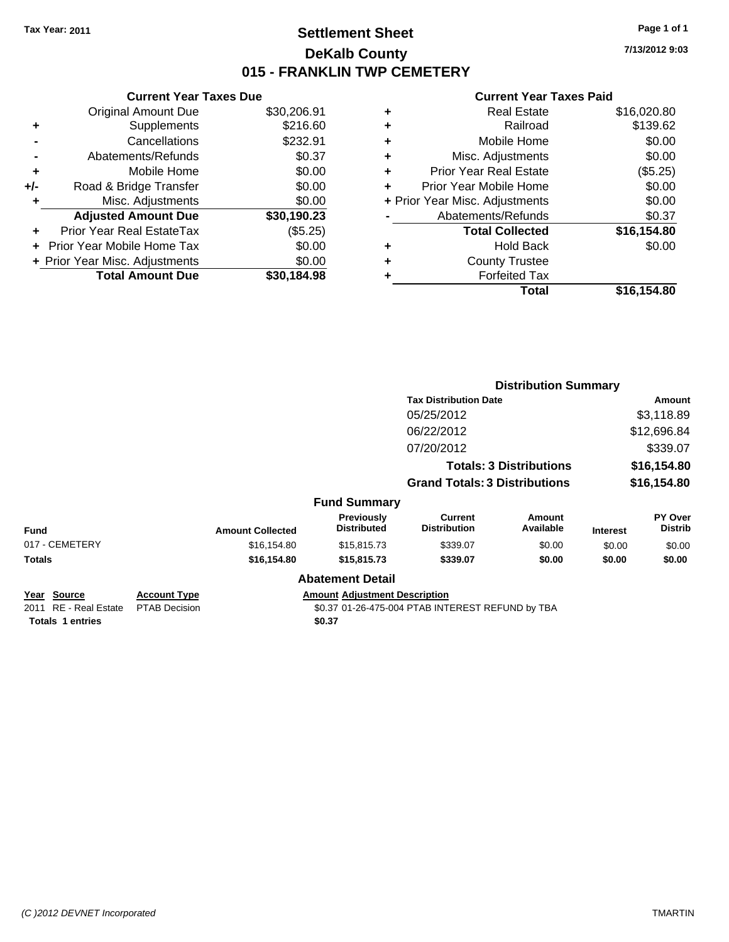# **Settlement Sheet Tax Year: 2011 Page 1 of 1 DeKalb County 015 - FRANKLIN TWP CEMETERY**

**7/13/2012 9:03**

|     | <b>Current Year Taxes Due</b>  |             |   | <b>Current Year Taxes Paid</b> |             |
|-----|--------------------------------|-------------|---|--------------------------------|-------------|
|     | Original Amount Due            | \$30,206.91 | ٠ | <b>Real Estate</b>             | \$16,020.80 |
| ٠   | <b>Supplements</b>             | \$216.60    | ٠ | Railroad                       | \$139.62    |
|     | Cancellations                  | \$232.91    | ٠ | Mobile Home                    | \$0.00      |
|     | Abatements/Refunds             | \$0.37      | ٠ | Misc. Adjustments              | \$0.00      |
| ٠   | Mobile Home                    | \$0.00      | ٠ | <b>Prior Year Real Estate</b>  | (\$5.25)    |
| +/- | Road & Bridge Transfer         | \$0.00      |   | Prior Year Mobile Home         | \$0.00      |
|     | Misc. Adjustments              | \$0.00      |   | + Prior Year Misc. Adjustments | \$0.00      |
|     | <b>Adjusted Amount Due</b>     | \$30,190.23 |   | Abatements/Refunds             | \$0.37      |
| ٠   | Prior Year Real EstateTax      | (\$5.25)    |   | <b>Total Collected</b>         | \$16,154.80 |
|     | + Prior Year Mobile Home Tax   | \$0.00      | ٠ | <b>Hold Back</b>               | \$0.00      |
|     | + Prior Year Misc. Adjustments | \$0.00      | ٠ | <b>County Trustee</b>          |             |
|     | <b>Total Amount Due</b>        | \$30,184.98 |   | <b>Forfeited Tax</b>           |             |
|     |                                |             |   | <b>Total</b>                   | \$16,154.80 |

|                                      |                                             |                         |                                         |                                                  | <b>Distribution Summary</b>    |                 |                           |
|--------------------------------------|---------------------------------------------|-------------------------|-----------------------------------------|--------------------------------------------------|--------------------------------|-----------------|---------------------------|
|                                      |                                             |                         |                                         | <b>Tax Distribution Date</b>                     |                                |                 | Amount                    |
|                                      |                                             |                         |                                         | 05/25/2012                                       |                                |                 | \$3,118.89                |
|                                      |                                             |                         |                                         | 06/22/2012                                       |                                |                 | \$12,696.84               |
|                                      |                                             |                         |                                         | 07/20/2012                                       |                                |                 | \$339.07                  |
|                                      |                                             |                         |                                         |                                                  | <b>Totals: 3 Distributions</b> |                 | \$16,154.80               |
|                                      |                                             |                         |                                         | <b>Grand Totals: 3 Distributions</b>             |                                |                 | \$16,154.80               |
|                                      |                                             |                         | <b>Fund Summary</b>                     |                                                  |                                |                 |                           |
| Fund                                 |                                             | <b>Amount Collected</b> | <b>Previously</b><br><b>Distributed</b> | <b>Current</b><br><b>Distribution</b>            | <b>Amount</b><br>Available     | <b>Interest</b> | PY Over<br><b>Distrib</b> |
| 017 - CEMETERY                       |                                             | \$16,154.80             | \$15,815.73                             | \$339.07                                         | \$0.00                         | \$0.00          | \$0.00                    |
| Totals                               |                                             | \$16,154.80             | \$15,815.73                             | \$339.07                                         | \$0.00                         | \$0.00          | \$0.00                    |
|                                      |                                             |                         | <b>Abatement Detail</b>                 |                                                  |                                |                 |                           |
| Year Source<br>2011 RE - Real Estate | <u>Account Type</u><br><b>PTAB Decision</b> |                         | <b>Amount Adjustment Description</b>    | \$0.37 01-26-475-004 PTAB INTEREST REFUND by TBA |                                |                 |                           |
| <b>Totals 1 entries</b>              |                                             |                         | \$0.37                                  |                                                  |                                |                 |                           |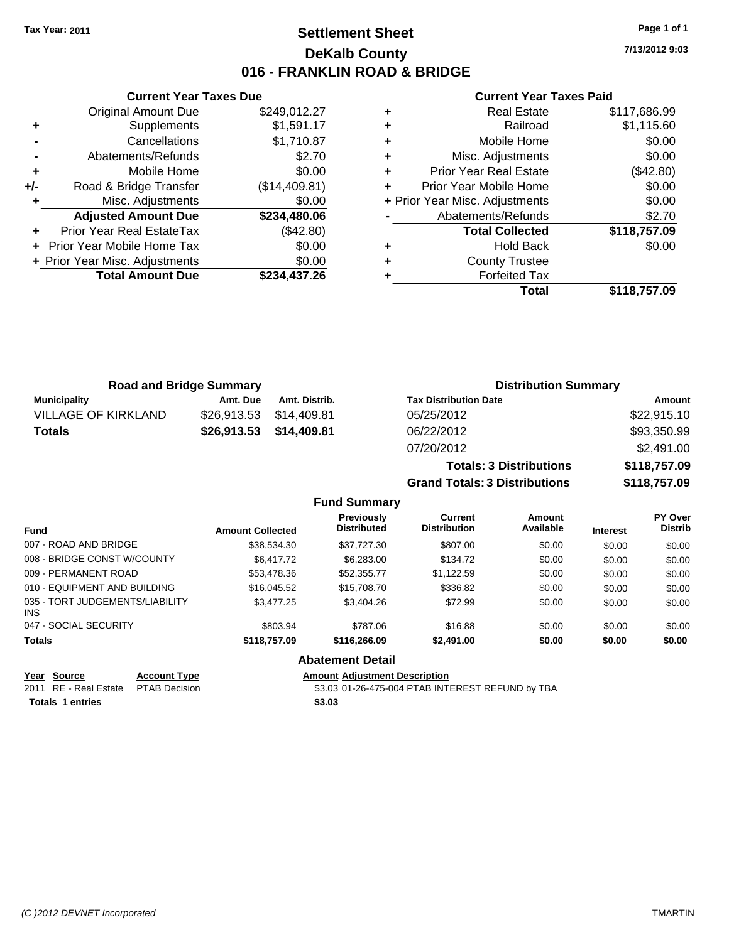**Current Year Taxes Due** Original Amount Due \$249,012.27

**Adjusted Amount Due \$234,480.06**

**Total Amount Due \$234,437.26**

**+** Supplements \$1,591.17 **-** Cancellations \$1,710.87 **-** Abatements/Refunds \$2.70 **+** Mobile Home \$0.00 **+/-** Road & Bridge Transfer (\$14,409.81) **+** Misc. Adjustments \$0.00

**+** Prior Year Real EstateTax (\$42.80) **+** Prior Year Mobile Home Tax \$0.00 **+ Prior Year Misc. Adjustments**  $$0.00$ 

### **Settlement Sheet Tax Year: 2011 Page 1 of 1 DeKalb County 016 - FRANKLIN ROAD & BRIDGE**

**7/13/2012 9:03**

#### **Current Year Taxes Paid**

| Total                          | \$118,757.09 |
|--------------------------------|--------------|
| <b>Forfeited Tax</b>           |              |
| <b>County Trustee</b>          |              |
| <b>Hold Back</b>               | \$0.00       |
| <b>Total Collected</b>         | \$118,757.09 |
| Abatements/Refunds             | \$2.70       |
| + Prior Year Misc. Adjustments | \$0.00       |
| Prior Year Mobile Home         | \$0.00       |
| <b>Prior Year Real Estate</b>  | (\$42.80)    |
| Misc. Adjustments              | \$0.00       |
| Mobile Home                    | \$0.00       |
| Railroad                       | \$1,115.60   |
| <b>Real Estate</b>             | \$117,686.99 |
|                                |              |

| <b>Road and Bridge Summary</b> |             |                         | <b>Distribution Summary</b>    |              |  |
|--------------------------------|-------------|-------------------------|--------------------------------|--------------|--|
| <b>Municipality</b>            | Amt. Due    | Amt. Distrib.           | <b>Tax Distribution Date</b>   | Amount       |  |
| <b>VILLAGE OF KIRKLAND</b>     | \$26,913.53 | \$14,409.81             | 05/25/2012                     | \$22,915.10  |  |
| <b>Totals</b>                  |             | \$26,913.53 \$14,409.81 | 06/22/2012                     | \$93,350.99  |  |
|                                |             |                         | 07/20/2012                     | \$2,491.00   |  |
|                                |             |                         | <b>Totals: 3 Distributions</b> | \$118,757.09 |  |

**Grand Totals: 3 Distributions \$118,757.09**

|  | <b>Fund Summary</b> |
|--|---------------------|
|--|---------------------|

| <b>Fund</b>                                   | <b>Amount Collected</b> | <b>Previously</b><br><b>Distributed</b> | Current<br><b>Distribution</b> | Amount<br>Available | <b>Interest</b> | PY Over<br><b>Distrib</b> |
|-----------------------------------------------|-------------------------|-----------------------------------------|--------------------------------|---------------------|-----------------|---------------------------|
| 007 - ROAD AND BRIDGE                         | \$38,534.30             | \$37.727.30                             | \$807.00                       | \$0.00              | \$0.00          | \$0.00                    |
| 008 - BRIDGE CONST W/COUNTY                   | \$6,417.72              | \$6,283.00                              | \$134.72                       | \$0.00              | \$0.00          | \$0.00                    |
| 009 - PERMANENT ROAD                          | \$53,478.36             | \$52,355,77                             | \$1.122.59                     | \$0.00              | \$0.00          | \$0.00                    |
| 010 - EQUIPMENT AND BUILDING                  | \$16,045.52             | \$15,708.70                             | \$336.82                       | \$0.00              | \$0.00          | \$0.00                    |
| 035 - TORT JUDGEMENTS/LIABILITY<br><b>INS</b> | \$3,477.25              | \$3,404.26                              | \$72.99                        | \$0.00              | \$0.00          | \$0.00                    |
| 047 - SOCIAL SECURITY                         | \$803.94                | \$787.06                                | \$16.88                        | \$0.00              | \$0.00          | \$0.00                    |
| <b>Totals</b>                                 | \$118,757.09            | \$116,266.09                            | \$2,491.00                     | \$0.00              | \$0.00          | \$0.00                    |
|                                               |                         | Abatamant Datall                        |                                |                     |                 |                           |

### **Abatement Detail**

### **Year Source Account Type Amount Adjustment Description**

2011 RE - Real Estate \$3.03 01-26-475-004 PTAB INTEREST REFUND by TBA PTAB Decision **Totals \$3.03 1 entries**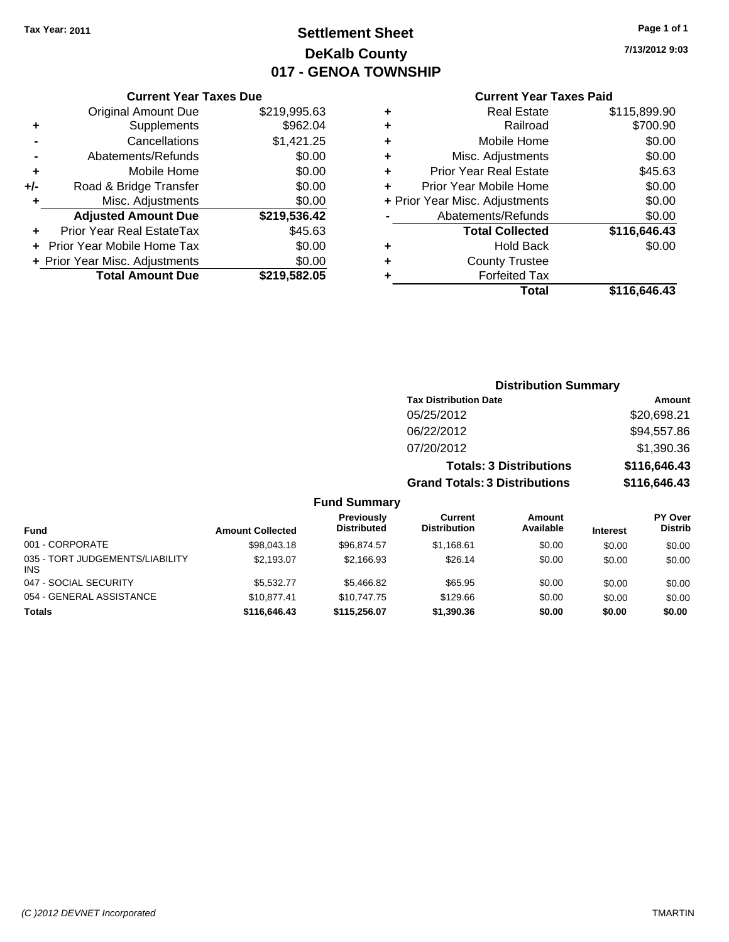# **Settlement Sheet Tax Year: 2011 Page 1 of 1 DeKalb County 017 - GENOA TOWNSHIP**

**7/13/2012 9:03**

### **Current Year Taxes Paid**

|       | <b>Current Year Taxes Due</b>  |              |
|-------|--------------------------------|--------------|
|       | <b>Original Amount Due</b>     | \$219,995.63 |
| ٠     | Supplements                    | \$962.04     |
|       | Cancellations                  | \$1,421.25   |
|       | Abatements/Refunds             | \$0.00       |
| ٠     | Mobile Home                    | \$0.00       |
| $+/-$ | Road & Bridge Transfer         | \$0.00       |
| ÷     | Misc. Adjustments              | \$0.00       |
|       | <b>Adjusted Amount Due</b>     | \$219,536.42 |
|       | Prior Year Real EstateTax      | \$45.63      |
|       | Prior Year Mobile Home Tax     | \$0.00       |
|       | + Prior Year Misc. Adjustments | \$0.00       |
|       | <b>Total Amount Due</b>        | \$219,582.05 |
|       |                                |              |

| ٠ | <b>Real Estate</b>             | \$115,899.90 |
|---|--------------------------------|--------------|
| ٠ | Railroad                       | \$700.90     |
| ٠ | Mobile Home                    | \$0.00       |
| ٠ | Misc. Adjustments              | \$0.00       |
| ٠ | <b>Prior Year Real Estate</b>  | \$45.63      |
|   | Prior Year Mobile Home         | \$0.00       |
|   | + Prior Year Misc. Adjustments | \$0.00       |
|   | Abatements/Refunds             | \$0.00       |
|   | <b>Total Collected</b>         | \$116,646.43 |
| ٠ | Hold Back                      | \$0.00       |
| ٠ | <b>County Trustee</b>          |              |
| ٠ | <b>Forfeited Tax</b>           |              |
|   | Total                          | \$116,646.43 |
|   |                                |              |

### **Distribution Summary Tax Distribution Date Amount** 05/25/2012 \$20,698.21 06/22/2012 \$94,557.86 07/20/2012 \$1,390.36 **Totals: 3 Distributions \$116,646.43 Grand Totals: 3 Distributions \$116,646.43 Fund Summary**

| Fund                                          | <b>Amount Collected</b> | Previously<br><b>Distributed</b> | Current<br><b>Distribution</b> | Amount<br>Available | <b>Interest</b> | <b>PY Over</b><br><b>Distrib</b> |
|-----------------------------------------------|-------------------------|----------------------------------|--------------------------------|---------------------|-----------------|----------------------------------|
| 001 - CORPORATE                               | \$98,043.18             | \$96.874.57                      | \$1.168.61                     | \$0.00              | \$0.00          | \$0.00                           |
| 035 - TORT JUDGEMENTS/LIABILITY<br><b>INS</b> | \$2.193.07              | \$2.166.93                       | \$26.14                        | \$0.00              | \$0.00          | \$0.00                           |
| 047 - SOCIAL SECURITY                         | \$5,532,77              | \$5,466.82                       | \$65.95                        | \$0.00              | \$0.00          | \$0.00                           |
| 054 - GENERAL ASSISTANCE                      | \$10.877.41             | \$10,747.75                      | \$129.66                       | \$0.00              | \$0.00          | \$0.00                           |
| <b>Totals</b>                                 | \$116,646.43            | \$115,256.07                     | \$1,390.36                     | \$0.00              | \$0.00          | \$0.00                           |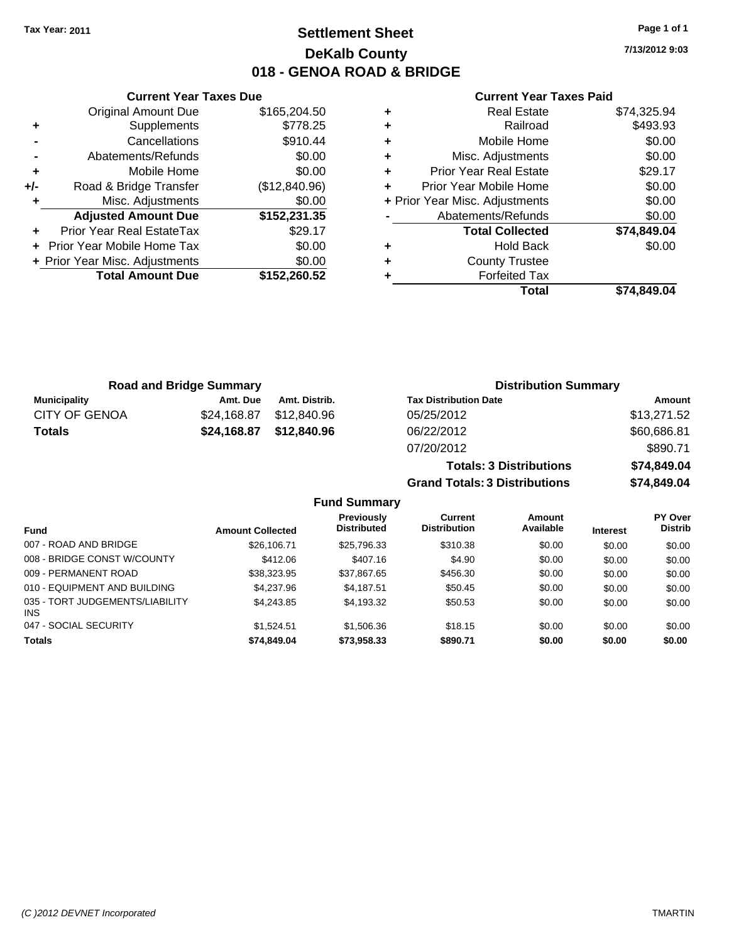# **Settlement Sheet Tax Year: 2011 Page 1 of 1 DeKalb County 018 - GENOA ROAD & BRIDGE**

**7/13/2012 9:03**

#### **Current Year Taxes Paid**

|     | <b>Current Year Taxes Due</b>  |               |
|-----|--------------------------------|---------------|
|     | <b>Original Amount Due</b>     | \$165,204.50  |
| ٠   | Supplements                    | \$778.25      |
|     | Cancellations                  | \$910.44      |
|     | Abatements/Refunds             | \$0.00        |
| ٠   | Mobile Home                    | \$0.00        |
| +/- | Road & Bridge Transfer         | (\$12,840.96) |
| ٠   | Misc. Adjustments              | \$0.00        |
|     | <b>Adjusted Amount Due</b>     | \$152,231.35  |
|     | Prior Year Real EstateTax      | \$29.17       |
|     | Prior Year Mobile Home Tax     | \$0.00        |
|     | + Prior Year Misc. Adjustments | \$0.00        |
|     | <b>Total Amount Due</b>        | \$152,260.52  |
|     |                                |               |

|   | <b>Real Estate</b>             | \$74,325.94 |
|---|--------------------------------|-------------|
| ÷ | Railroad                       | \$493.93    |
| ٠ | Mobile Home                    | \$0.00      |
| ٠ | Misc. Adjustments              | \$0.00      |
| ٠ | <b>Prior Year Real Estate</b>  | \$29.17     |
| ٠ | Prior Year Mobile Home         | \$0.00      |
|   | + Prior Year Misc. Adjustments | \$0.00      |
|   | Abatements/Refunds             | \$0.00      |
|   | <b>Total Collected</b>         | \$74,849.04 |
| ٠ | <b>Hold Back</b>               | \$0.00      |
| ٠ | <b>County Trustee</b>          |             |
|   | <b>Forfeited Tax</b>           |             |
|   | Total                          | \$74.849.04 |

| <b>Road and Bridge Summary</b> |             | <b>Distribution Summary</b> |                                |             |
|--------------------------------|-------------|-----------------------------|--------------------------------|-------------|
| <b>Municipality</b>            | Amt. Due    | Amt. Distrib.               | <b>Tax Distribution Date</b>   | Amount      |
| <b>CITY OF GENOA</b>           | \$24,168.87 | \$12,840.96                 | 05/25/2012                     | \$13,271.52 |
| <b>Totals</b>                  | \$24,168.87 | \$12,840.96                 | 06/22/2012                     | \$60,686.81 |
|                                |             |                             | 07/20/2012                     | \$890.71    |
|                                |             |                             | <b>Totals: 3 Distributions</b> | \$74,849.04 |

**Grand Totals: 3 Distributions \$74,849.04**

|                                               |                         | <b>Previously</b>  | Current             | Amount    |                 | <b>PY Over</b> |
|-----------------------------------------------|-------------------------|--------------------|---------------------|-----------|-----------------|----------------|
| <b>Fund</b>                                   | <b>Amount Collected</b> | <b>Distributed</b> | <b>Distribution</b> | Available | <b>Interest</b> | <b>Distrib</b> |
| 007 - ROAD AND BRIDGE                         | \$26,106.71             | \$25,796.33        | \$310.38            | \$0.00    | \$0.00          | \$0.00         |
| 008 - BRIDGE CONST W/COUNTY                   | \$412.06                | \$407.16           | \$4.90              | \$0.00    | \$0.00          | \$0.00         |
| 009 - PERMANENT ROAD                          | \$38,323.95             | \$37,867.65        | \$456.30            | \$0.00    | \$0.00          | \$0.00         |
| 010 - EQUIPMENT AND BUILDING                  | \$4,237.96              | \$4.187.51         | \$50.45             | \$0.00    | \$0.00          | \$0.00         |
| 035 - TORT JUDGEMENTS/LIABILITY<br><b>INS</b> | \$4,243.85              | \$4,193.32         | \$50.53             | \$0.00    | \$0.00          | \$0.00         |
| 047 - SOCIAL SECURITY                         | \$1.524.51              | \$1,506.36         | \$18.15             | \$0.00    | \$0.00          | \$0.00         |
| <b>Totals</b>                                 | \$74,849.04             | \$73,958.33        | \$890.71            | \$0.00    | \$0.00          | \$0.00         |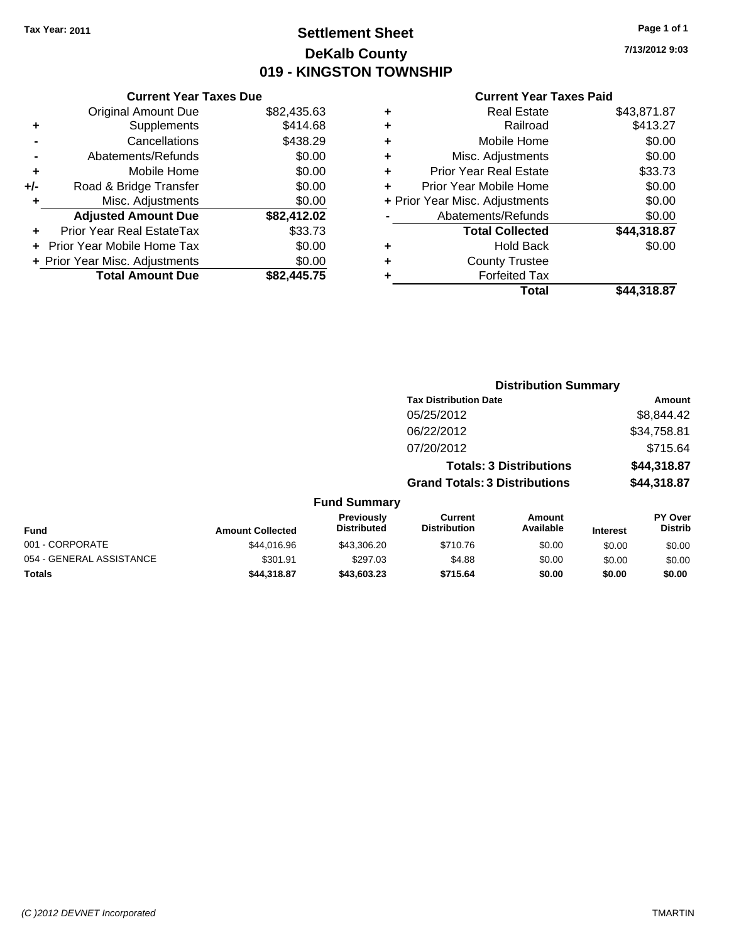# **Settlement Sheet Tax Year: 2011 Page 1 of 1 DeKalb County 019 - KINGSTON TOWNSHIP**

**7/13/2012 9:03**

|     | <b>Current Year Taxes Due</b>  |             |
|-----|--------------------------------|-------------|
|     | <b>Original Amount Due</b>     | \$82,435.63 |
| ٠   | Supplements                    | \$414.68    |
|     | Cancellations                  | \$438.29    |
|     | Abatements/Refunds             | \$0.00      |
| ٠   | Mobile Home                    | \$0.00      |
| +/- | Road & Bridge Transfer         | \$0.00      |
| ٠   | Misc. Adjustments              | \$0.00      |
|     | <b>Adjusted Amount Due</b>     | \$82,412.02 |
| ٠   | Prior Year Real EstateTax      | \$33.73     |
|     | Prior Year Mobile Home Tax     | \$0.00      |
|     | + Prior Year Misc. Adjustments | \$0.00      |
|     | <b>Total Amount Due</b>        | \$82,445.75 |

| ٠ | <b>Real Estate</b>             | \$43,871.87 |
|---|--------------------------------|-------------|
| ٠ | Railroad                       | \$413.27    |
| ٠ | Mobile Home                    | \$0.00      |
| ٠ | Misc. Adjustments              | \$0.00      |
| ÷ | <b>Prior Year Real Estate</b>  | \$33.73     |
| ٠ | Prior Year Mobile Home         | \$0.00      |
|   | + Prior Year Misc. Adjustments | \$0.00      |
|   | Abatements/Refunds             | \$0.00      |
|   | <b>Total Collected</b>         | \$44,318.87 |
| ٠ | <b>Hold Back</b>               | \$0.00      |
| ٠ | <b>County Trustee</b>          |             |
| ٠ | <b>Forfeited Tax</b>           |             |
|   | Total                          | \$44,318.87 |

|                          |                         | <b>Distribution Summary</b>      |                                       |                                |                 |                                  |  |
|--------------------------|-------------------------|----------------------------------|---------------------------------------|--------------------------------|-----------------|----------------------------------|--|
|                          |                         |                                  | <b>Tax Distribution Date</b>          |                                |                 | <b>Amount</b>                    |  |
|                          |                         |                                  | 05/25/2012                            |                                |                 | \$8,844.42                       |  |
|                          |                         |                                  | 06/22/2012                            |                                |                 | \$34,758.81                      |  |
|                          |                         |                                  | 07/20/2012                            |                                |                 | \$715.64                         |  |
|                          |                         |                                  |                                       | <b>Totals: 3 Distributions</b> |                 | \$44,318.87                      |  |
|                          |                         |                                  | <b>Grand Totals: 3 Distributions</b>  |                                |                 | \$44,318.87                      |  |
|                          |                         | <b>Fund Summary</b>              |                                       |                                |                 |                                  |  |
| <b>Fund</b>              | <b>Amount Collected</b> | Previously<br><b>Distributed</b> | <b>Current</b><br><b>Distribution</b> | Amount<br>Available            | <b>Interest</b> | <b>PY Over</b><br><b>Distrib</b> |  |
| 001 - CORPORATE          | \$44,016.96             | \$43,306.20                      | \$710.76                              | \$0.00                         | \$0.00          | \$0.00                           |  |
| 054 - GENERAL ASSISTANCE | \$301.91                | \$297.03                         | \$4.88                                | \$0.00                         | \$0.00          | \$0.00                           |  |
| Totals                   | \$44,318.87             | \$43,603.23                      | \$715.64                              | \$0.00                         | \$0.00          | \$0.00                           |  |
|                          |                         |                                  |                                       |                                |                 |                                  |  |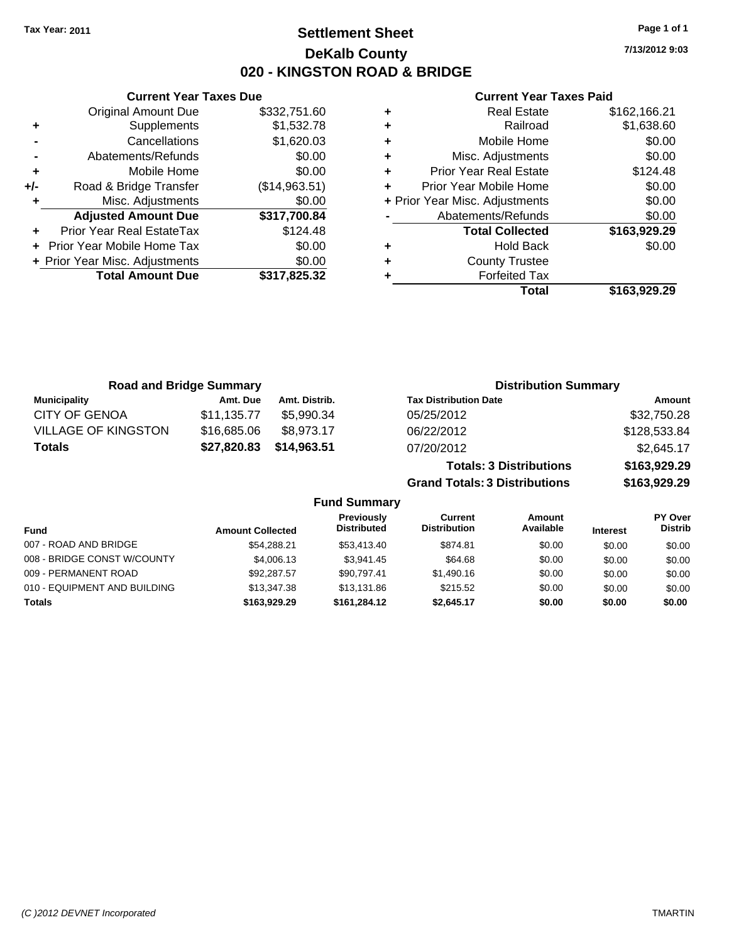**Current Year Taxes Due** Original Amount Due \$332,751.60

**Adjusted Amount Due \$317,700.84**

**Total Amount Due \$317,825.32**

**+** Supplements \$1,532.78 **-** Cancellations \$1,620.03 **-** Abatements/Refunds \$0.00 **+** Mobile Home \$0.00 **+/-** Road & Bridge Transfer (\$14,963.51) **+** Misc. Adjustments \$0.00

**+** Prior Year Real EstateTax \$124.48 **+** Prior Year Mobile Home Tax \$0.00 **+ Prior Year Misc. Adjustments**  $$0.00$ 

### **Settlement Sheet Tax Year: 2011 Page 1 of 1 DeKalb County 020 - KINGSTON ROAD & BRIDGE**

**7/13/2012 9:03**

|   | Total                          | \$163,929.29 |
|---|--------------------------------|--------------|
| ٠ | <b>Forfeited Tax</b>           |              |
| ٠ | <b>County Trustee</b>          |              |
| ٠ | <b>Hold Back</b>               | \$0.00       |
|   | <b>Total Collected</b>         | \$163,929.29 |
|   | Abatements/Refunds             | \$0.00       |
|   | + Prior Year Misc. Adjustments | \$0.00       |
| ÷ | Prior Year Mobile Home         | \$0.00       |
| ÷ | <b>Prior Year Real Estate</b>  | \$124.48     |
| ٠ | Misc. Adjustments              | \$0.00       |
| ٠ | Mobile Home                    | \$0.00       |
| ٠ | Railroad                       | \$1,638.60   |
| ٠ | <b>Real Estate</b>             | \$162,166.21 |
|   |                                |              |

|                            | <b>Road and Bridge Summary</b> |               | <b>Distribution Summary</b>          |              |
|----------------------------|--------------------------------|---------------|--------------------------------------|--------------|
| <b>Municipality</b>        | Amt. Due                       | Amt. Distrib. | <b>Tax Distribution Date</b>         | Amount       |
| <b>CITY OF GENOA</b>       | \$11,135.77                    | \$5,990.34    | 05/25/2012                           | \$32,750.28  |
| <b>VILLAGE OF KINGSTON</b> | \$16,685.06                    | \$8,973.17    | 06/22/2012                           | \$128,533.84 |
| <b>Totals</b>              | \$27,820.83                    | \$14,963.51   | 07/20/2012                           | \$2,645.17   |
|                            |                                |               | <b>Totals: 3 Distributions</b>       | \$163,929.29 |
|                            |                                |               | <b>Grand Totals: 3 Distributions</b> | \$163,929.29 |

| <b>Fund Summary</b>          |                         |                                         |                                |                     |                 |                           |
|------------------------------|-------------------------|-----------------------------------------|--------------------------------|---------------------|-----------------|---------------------------|
| <b>Fund</b>                  | <b>Amount Collected</b> | <b>Previously</b><br><b>Distributed</b> | Current<br><b>Distribution</b> | Amount<br>Available | <b>Interest</b> | PY Over<br><b>Distrib</b> |
| 007 - ROAD AND BRIDGE        | \$54,288.21             | \$53,413,40                             | \$874.81                       | \$0.00              | \$0.00          | \$0.00                    |
| 008 - BRIDGE CONST W/COUNTY  | \$4,006.13              | \$3.941.45                              | \$64.68                        | \$0.00              | \$0.00          | \$0.00                    |
| 009 - PERMANENT ROAD         | \$92,287.57             | \$90.797.41                             | \$1,490.16                     | \$0.00              | \$0.00          | \$0.00                    |
| 010 - EQUIPMENT AND BUILDING | \$13,347.38             | \$13.131.86                             | \$215.52                       | \$0.00              | \$0.00          | \$0.00                    |
| <b>Totals</b>                | \$163.929.29            | \$161.284.12                            | \$2,645.17                     | \$0.00              | \$0.00          | \$0.00                    |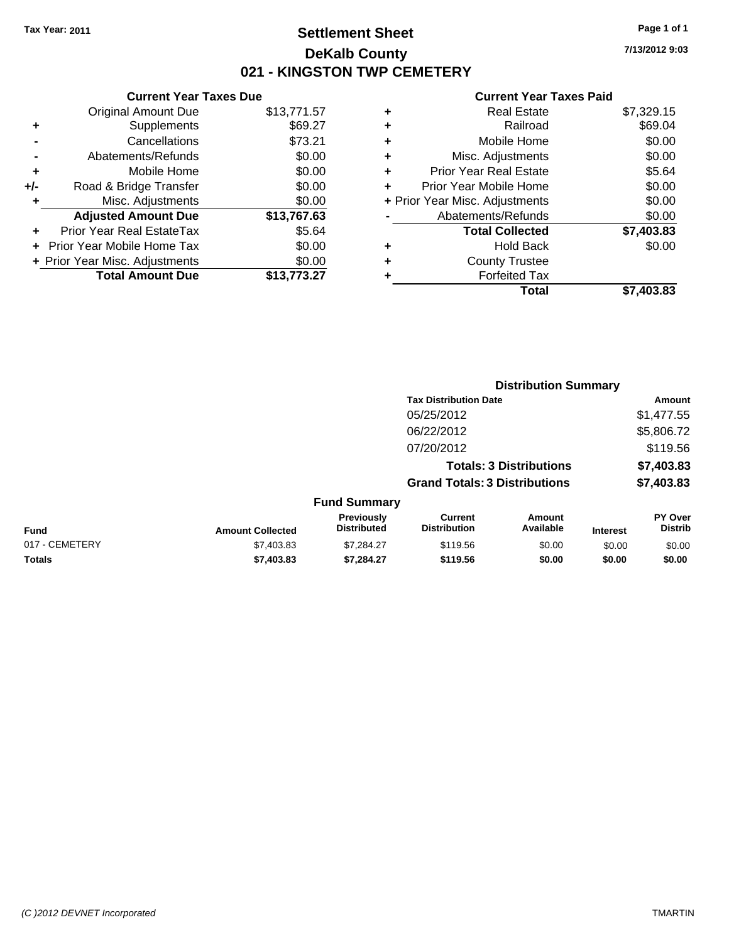# **Settlement Sheet Tax Year: 2011 Page 1 of 1 DeKalb County 021 - KINGSTON TWP CEMETERY**

### **Current Year Taxes Due** Original Amount Due \$13,771.57 **+** Supplements \$69.27 **-** Cancellations \$73.21 **-** Abatements/Refunds \$0.00 **+** Mobile Home \$0.00 **+/-** Road & Bridge Transfer \$0.00 **+** Misc. Adjustments \$0.00 **Adjusted Amount Due \$13,767.63 +** Prior Year Real EstateTax \$5.64 **+** Prior Year Mobile Home Tax \$0.00 **+ Prior Year Misc. Adjustments**  $$0.00$ **Total Amount Due \$13,773.27**

#### **Current Year Taxes Paid**

|   | <b>Real Estate</b>             | \$7,329.15 |
|---|--------------------------------|------------|
| ٠ | Railroad                       | \$69.04    |
| ٠ | Mobile Home                    | \$0.00     |
| ٠ | Misc. Adjustments              | \$0.00     |
| ٠ | <b>Prior Year Real Estate</b>  | \$5.64     |
|   | Prior Year Mobile Home         | \$0.00     |
|   | + Prior Year Misc. Adjustments | \$0.00     |
|   | Abatements/Refunds             | \$0.00     |
|   | <b>Total Collected</b>         | \$7,403.83 |
| ٠ | Hold Back                      | \$0.00     |
| ٠ | <b>County Trustee</b>          |            |
| ٠ | <b>Forfeited Tax</b>           |            |
|   | Total                          | \$7,403.83 |
|   |                                |            |

|                |                         |                                  |                                       | <b>Distribution Summary</b>    |                 |                                  |
|----------------|-------------------------|----------------------------------|---------------------------------------|--------------------------------|-----------------|----------------------------------|
|                |                         |                                  | <b>Tax Distribution Date</b>          |                                |                 | Amount                           |
|                |                         |                                  | 05/25/2012                            |                                |                 | \$1,477.55                       |
|                |                         |                                  | 06/22/2012                            |                                |                 | \$5,806.72                       |
|                |                         |                                  | 07/20/2012                            |                                |                 | \$119.56                         |
|                |                         |                                  |                                       | <b>Totals: 3 Distributions</b> |                 | \$7,403.83                       |
|                |                         |                                  | <b>Grand Totals: 3 Distributions</b>  |                                |                 | \$7,403.83                       |
|                |                         | <b>Fund Summary</b>              |                                       |                                |                 |                                  |
| <b>Fund</b>    | <b>Amount Collected</b> | Previously<br><b>Distributed</b> | <b>Current</b><br><b>Distribution</b> | Amount<br>Available            | <b>Interest</b> | <b>PY Over</b><br><b>Distrib</b> |
| 017 - CEMETERY | \$7,403.83              | \$7,284.27                       | \$119.56                              | \$0.00                         | \$0.00          | \$0.00                           |
| Totals         | \$7,403.83              | \$7.284.27                       | \$119.56                              | \$0.00                         | \$0.00          | \$0.00                           |

**7/13/2012 9:03**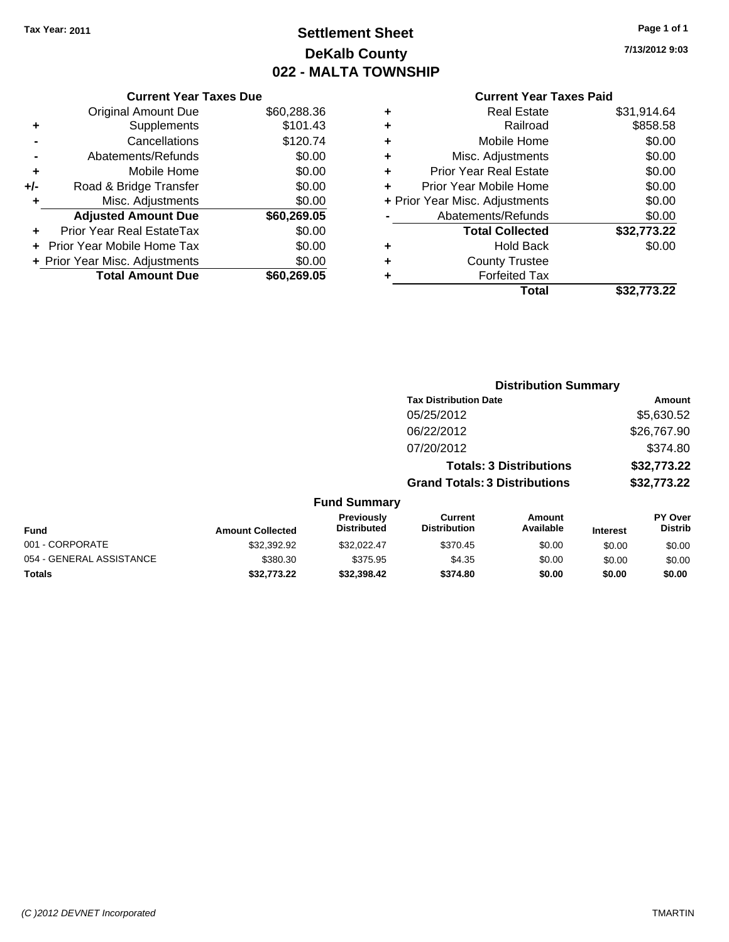# **Settlement Sheet Tax Year: 2011 Page 1 of 1 DeKalb County 022 - MALTA TOWNSHIP**

**7/13/2012 9:03**

|     | <b>Current Year Taxes Due</b>  |             |
|-----|--------------------------------|-------------|
|     | <b>Original Amount Due</b>     | \$60,288.36 |
| ٠   | Supplements                    | \$101.43    |
|     | Cancellations                  | \$120.74    |
|     | Abatements/Refunds             | \$0.00      |
| ٠   | Mobile Home                    | \$0.00      |
| +/- | Road & Bridge Transfer         | \$0.00      |
|     | Misc. Adjustments              | \$0.00      |
|     | <b>Adjusted Amount Due</b>     | \$60,269.05 |
|     | Prior Year Real EstateTax      | \$0.00      |
|     | Prior Year Mobile Home Tax     | \$0.00      |
|     | + Prior Year Misc. Adjustments | \$0.00      |
|     | <b>Total Amount Due</b>        | \$60,269.05 |
|     |                                |             |

|   | <b>Real Estate</b>             | \$31,914.64 |
|---|--------------------------------|-------------|
| ٠ | Railroad                       | \$858.58    |
| ٠ | Mobile Home                    | \$0.00      |
| ٠ | Misc. Adjustments              | \$0.00      |
| ÷ | <b>Prior Year Real Estate</b>  | \$0.00      |
|   | Prior Year Mobile Home         | \$0.00      |
|   | + Prior Year Misc. Adjustments | \$0.00      |
|   | Abatements/Refunds             | \$0.00      |
|   | <b>Total Collected</b>         | \$32,773.22 |
| ٠ | <b>Hold Back</b>               | \$0.00      |
|   | <b>County Trustee</b>          |             |
| ٠ | <b>Forfeited Tax</b>           |             |
|   | Total                          | \$32,773.22 |
|   |                                |             |

|                          |                         |                                  | <b>Distribution Summary</b>           |                                |                 |                           |
|--------------------------|-------------------------|----------------------------------|---------------------------------------|--------------------------------|-----------------|---------------------------|
|                          |                         |                                  | <b>Tax Distribution Date</b>          |                                |                 | Amount                    |
|                          |                         |                                  | 05/25/2012                            |                                |                 | \$5,630.52                |
|                          |                         |                                  | 06/22/2012                            |                                |                 | \$26,767.90               |
|                          |                         |                                  | 07/20/2012                            |                                |                 | \$374.80                  |
|                          |                         |                                  |                                       | <b>Totals: 3 Distributions</b> |                 | \$32,773.22               |
|                          |                         |                                  | <b>Grand Totals: 3 Distributions</b>  |                                |                 | \$32,773.22               |
|                          |                         | <b>Fund Summary</b>              |                                       |                                |                 |                           |
| <b>Fund</b>              | <b>Amount Collected</b> | Previously<br><b>Distributed</b> | <b>Current</b><br><b>Distribution</b> | Amount<br>Available            | <b>Interest</b> | PY Over<br><b>Distrib</b> |
| 001 - CORPORATE          | \$32,392.92             | \$32,022.47                      | \$370.45                              | \$0.00                         | \$0.00          | \$0.00                    |
| 054 - GENERAL ASSISTANCE | \$380.30                | \$375.95                         | \$4.35                                | \$0.00                         | \$0.00          | \$0.00                    |
| Totals                   | \$32,773.22             | \$32,398.42                      | \$374.80                              | \$0.00                         | \$0.00          | \$0.00                    |
|                          |                         |                                  |                                       |                                |                 |                           |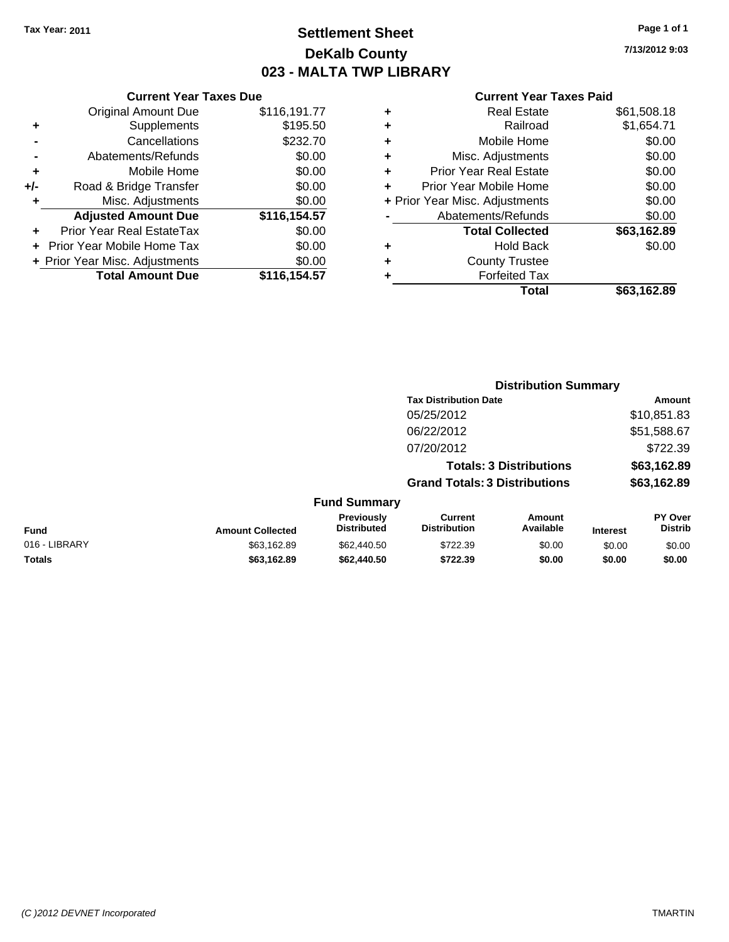# **Settlement Sheet Tax Year: 2011 Page 1 of 1 DeKalb County 023 - MALTA TWP LIBRARY**

**7/13/2012 9:03**

|     | <b>Current Year Taxes Due</b>  |              |  |  |  |  |
|-----|--------------------------------|--------------|--|--|--|--|
|     | <b>Original Amount Due</b>     | \$116,191.77 |  |  |  |  |
| ٠   | Supplements                    | \$195.50     |  |  |  |  |
|     | Cancellations                  | \$232.70     |  |  |  |  |
|     | Abatements/Refunds             | \$0.00       |  |  |  |  |
| ٠   | Mobile Home                    | \$0.00       |  |  |  |  |
| +/- | Road & Bridge Transfer         | \$0.00       |  |  |  |  |
| ٠   | Misc. Adjustments              | \$0.00       |  |  |  |  |
|     | <b>Adjusted Amount Due</b>     | \$116,154.57 |  |  |  |  |
|     | Prior Year Real EstateTax      | \$0.00       |  |  |  |  |
|     | Prior Year Mobile Home Tax     | \$0.00       |  |  |  |  |
|     | + Prior Year Misc. Adjustments | \$0.00       |  |  |  |  |
|     | <b>Total Amount Due</b>        | \$116,154.57 |  |  |  |  |
|     |                                |              |  |  |  |  |

| ٠ | <b>Real Estate</b>             | \$61,508.18 |
|---|--------------------------------|-------------|
| ٠ | Railroad                       | \$1,654.71  |
| ٠ | Mobile Home                    | \$0.00      |
| ٠ | Misc. Adjustments              | \$0.00      |
| ٠ | <b>Prior Year Real Estate</b>  | \$0.00      |
|   | Prior Year Mobile Home         | \$0.00      |
|   | + Prior Year Misc. Adjustments | \$0.00      |
|   | Abatements/Refunds             | \$0.00      |
|   | <b>Total Collected</b>         | \$63,162.89 |
| ٠ | Hold Back                      | \$0.00      |
| ٠ | <b>County Trustee</b>          |             |
| ٠ | <b>Forfeited Tax</b>           |             |
|   | Total                          | \$63,162.89 |
|   |                                |             |

|               |                         |                                  | <b>Distribution Summary</b>          |                                |                 |                           |
|---------------|-------------------------|----------------------------------|--------------------------------------|--------------------------------|-----------------|---------------------------|
|               |                         |                                  | <b>Tax Distribution Date</b>         |                                |                 | Amount                    |
|               |                         |                                  | 05/25/2012                           |                                |                 | \$10,851.83               |
|               |                         |                                  | 06/22/2012                           |                                |                 | \$51,588.67               |
|               |                         |                                  | 07/20/2012                           |                                |                 | \$722.39                  |
|               |                         |                                  |                                      | <b>Totals: 3 Distributions</b> |                 | \$63,162.89               |
|               |                         |                                  | <b>Grand Totals: 3 Distributions</b> |                                |                 | \$63,162.89               |
|               |                         | <b>Fund Summary</b>              |                                      |                                |                 |                           |
| <b>Fund</b>   | <b>Amount Collected</b> | Previously<br><b>Distributed</b> | Current<br><b>Distribution</b>       | Amount<br>Available            | <b>Interest</b> | PY Over<br><b>Distrib</b> |
| 016 - LIBRARY | \$63,162.89             | \$62,440.50                      | \$722.39                             | \$0.00                         | \$0.00          | \$0.00                    |
| Totals        | \$63,162.89             | \$62,440.50                      | \$722.39                             | \$0.00                         | \$0.00          | \$0.00                    |
|               |                         |                                  |                                      |                                |                 |                           |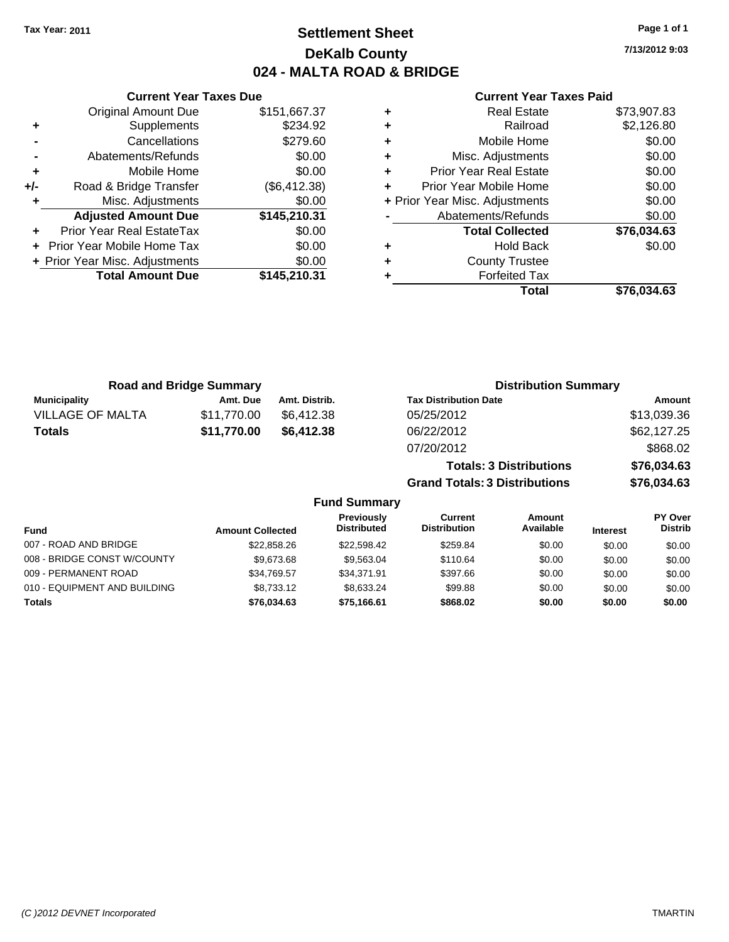# **Settlement Sheet Tax Year: 2011 Page 1 of 1 DeKalb County 024 - MALTA ROAD & BRIDGE**

**7/13/2012 9:03**

|     | <b>Current Year Taxes Due</b>  |              |  |  |  |  |
|-----|--------------------------------|--------------|--|--|--|--|
|     | <b>Original Amount Due</b>     | \$151,667.37 |  |  |  |  |
| ٠   | Supplements                    | \$234.92     |  |  |  |  |
|     | Cancellations                  | \$279.60     |  |  |  |  |
|     | Abatements/Refunds             | \$0.00       |  |  |  |  |
| ٠   | Mobile Home                    | \$0.00       |  |  |  |  |
| +/- | Road & Bridge Transfer         | (\$6,412.38) |  |  |  |  |
|     | Misc. Adjustments              | \$0.00       |  |  |  |  |
|     | <b>Adjusted Amount Due</b>     | \$145,210.31 |  |  |  |  |
|     | Prior Year Real EstateTax      | \$0.00       |  |  |  |  |
|     | Prior Year Mobile Home Tax     | \$0.00       |  |  |  |  |
|     | + Prior Year Misc. Adjustments | \$0.00       |  |  |  |  |
|     | <b>Total Amount Due</b>        | \$145,210.31 |  |  |  |  |
|     |                                |              |  |  |  |  |

### **Current Year Taxes Paid**

|   | <b>Real Estate</b>             | \$73,907.83 |
|---|--------------------------------|-------------|
| ٠ | Railroad                       | \$2,126.80  |
| ÷ | Mobile Home                    | \$0.00      |
| ٠ | Misc. Adjustments              | \$0.00      |
| ٠ | <b>Prior Year Real Estate</b>  | \$0.00      |
|   | Prior Year Mobile Home         | \$0.00      |
|   | + Prior Year Misc. Adjustments | \$0.00      |
|   | Abatements/Refunds             | \$0.00      |
|   | <b>Total Collected</b>         | \$76,034.63 |
| ٠ | <b>Hold Back</b>               | \$0.00      |
| ٠ | <b>County Trustee</b>          |             |
|   | <b>Forfeited Tax</b>           |             |
|   | Total                          | \$76,034.63 |
|   |                                |             |

| <b>Road and Bridge Summary</b> |             |               | <b>Distribution Summary</b>    |             |
|--------------------------------|-------------|---------------|--------------------------------|-------------|
| <b>Municipality</b>            | Amt. Due    | Amt. Distrib. | <b>Tax Distribution Date</b>   | Amount      |
| <b>VILLAGE OF MALTA</b>        | \$11.770.00 | \$6.412.38    | 05/25/2012                     | \$13,039.36 |
| Totals                         | \$11,770.00 | \$6.412.38    | 06/22/2012                     | \$62,127.25 |
|                                |             |               | 07/20/2012                     | \$868.02    |
|                                |             |               | <b>Totals: 3 Distributions</b> | \$76,034.63 |

**Grand Totals: 3 Distributions \$76,034.63**

### **Fund Summary**

| Fund                         | <b>Amount Collected</b> | Previously<br><b>Distributed</b> | Current<br><b>Distribution</b> | Amount<br>Available | <b>Interest</b> | PY Over<br><b>Distrib</b> |
|------------------------------|-------------------------|----------------------------------|--------------------------------|---------------------|-----------------|---------------------------|
|                              |                         |                                  |                                |                     |                 |                           |
| 007 - ROAD AND BRIDGE        | \$22,858.26             | \$22,598.42                      | \$259.84                       | \$0.00              | \$0.00          | \$0.00                    |
| 008 - BRIDGE CONST W/COUNTY  | \$9.673.68              | \$9.563.04                       | \$110.64                       | \$0.00              | \$0.00          | \$0.00                    |
| 009 - PERMANENT ROAD         | \$34,769.57             | \$34.371.91                      | \$397.66                       | \$0.00              | \$0.00          | \$0.00                    |
| 010 - EQUIPMENT AND BUILDING | \$8,733.12              | \$8.633.24                       | \$99.88                        | \$0.00              | \$0.00          | \$0.00                    |
| Totals                       | \$76,034,63             | \$75,166.61                      | \$868.02                       | \$0.00              | \$0.00          | \$0.00                    |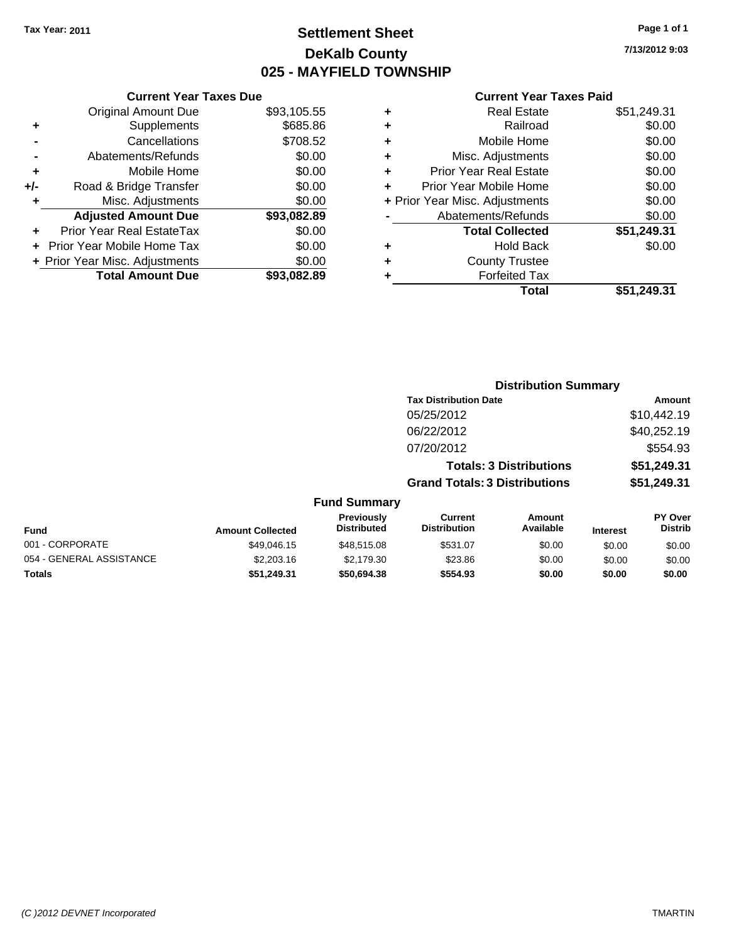# **Settlement Sheet Tax Year: 2011 Page 1 of 1 DeKalb County 025 - MAYFIELD TOWNSHIP**

**7/13/2012 9:03**

|          |   | Total                          | \$51,249.31 |
|----------|---|--------------------------------|-------------|
| 3,082.89 |   | <b>Forfeited Tax</b>           |             |
| \$0.00   | ٠ | <b>County Trustee</b>          |             |
| \$0.00   | ٠ | <b>Hold Back</b>               | \$0.00      |
| \$0.00   |   | <b>Total Collected</b>         | \$51,249.31 |
| 3,082.89 |   | Abatements/Refunds             | \$0.00      |
| \$0.00   |   | + Prior Year Misc. Adjustments | \$0.00      |
| \$0.00   |   | Prior Year Mobile Home         | \$0.00      |
| \$0.00   | ٠ | <b>Prior Year Real Estate</b>  | \$0.00      |
| \$0.00   | ٠ | Misc. Adjustments              | \$0.00      |
| \$708.52 | ٠ | Mobile Home                    | \$0.00      |
| \$685.86 | ٠ | Railroad                       | \$0.00      |
| 3,105.55 | ٠ | <b>Real Estate</b>             | \$51,249.31 |
|          |   |                                |             |

|     | <b>Current Year Taxes Due</b>    |             |
|-----|----------------------------------|-------------|
|     | <b>Original Amount Due</b>       | \$93,105.55 |
| ٠   | Supplements                      | \$685.86    |
|     | Cancellations                    | \$708.52    |
|     | Abatements/Refunds               | \$0.00      |
| ٠   | Mobile Home                      | \$0.00      |
| +/- | Road & Bridge Transfer           | \$0.00      |
| ٠   | Misc. Adjustments                | \$0.00      |
|     | <b>Adjusted Amount Due</b>       | \$93,082.89 |
|     | <b>Prior Year Real EstateTax</b> | \$0.00      |
|     | Prior Year Mobile Home Tax       | \$0.00      |
|     | + Prior Year Misc. Adjustments   | \$0.00      |
|     | <b>Total Amount Due</b>          | \$93.082.89 |

|                     |                                      | <b>Distribution Summary</b>    |                |
|---------------------|--------------------------------------|--------------------------------|----------------|
|                     | <b>Tax Distribution Date</b>         |                                | Amount         |
|                     | 05/25/2012                           |                                | \$10,442.19    |
|                     | 06/22/2012                           |                                | \$40,252.19    |
|                     | 07/20/2012                           |                                | \$554.93       |
|                     |                                      | <b>Totals: 3 Distributions</b> | \$51,249.31    |
|                     | <b>Grand Totals: 3 Distributions</b> |                                | \$51,249.31    |
| <b>Fund Summary</b> |                                      |                                |                |
| <b>Previously</b>   | Current                              | Amount                         | <b>PY Over</b> |

| Fund                     | <b>Amount Collected</b> | <b>Previously</b><br>Distributed | Current<br><b>Distribution</b> | Amount<br>Available | <b>Interest</b> | <b>PY Over</b><br><b>Distrib</b> |
|--------------------------|-------------------------|----------------------------------|--------------------------------|---------------------|-----------------|----------------------------------|
| 001 - CORPORATE          | \$49.046.15             | \$48.515.08                      | \$531.07                       | \$0.00              | \$0.00          | \$0.00                           |
| 054 - GENERAL ASSISTANCE | \$2,203.16              | \$2.179.30                       | \$23.86                        | \$0.00              | \$0.00          | \$0.00                           |
| Totals                   | \$51.249.31             | \$50,694.38                      | \$554.93                       | \$0.00              | \$0.00          | \$0.00                           |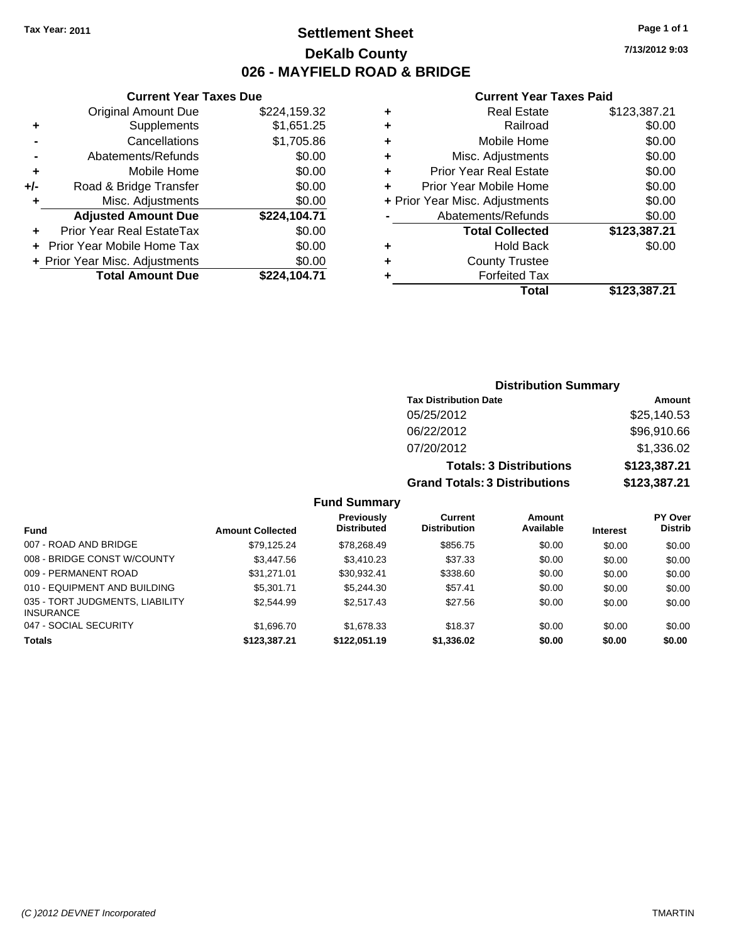**Current Year Taxes Due** Original Amount Due \$224,159.32

**Adjusted Amount Due \$224,104.71**

**Total Amount Due \$224,104.71**

**+** Supplements \$1,651.25 **-** Cancellations \$1,705.86 **-** Abatements/Refunds \$0.00 **+** Mobile Home \$0.00 **+/-** Road & Bridge Transfer \$0.00 **+** Misc. Adjustments **1998** Misc. Adjustments

**+** Prior Year Real EstateTax \$0.00 **+** Prior Year Mobile Home Tax \$0.00 **+ Prior Year Misc. Adjustments**  $$0.00$ 

### **Settlement Sheet Tax Year: 2011 Page 1 of 1 DeKalb County 026 - MAYFIELD ROAD & BRIDGE**

**7/13/2012 9:03**

#### **Current Year Taxes Paid**

| Total                          | \$123.387.21 |
|--------------------------------|--------------|
| <b>Forfeited Tax</b>           |              |
| <b>County Trustee</b>          |              |
| <b>Hold Back</b>               | \$0.00       |
| <b>Total Collected</b>         | \$123,387.21 |
| Abatements/Refunds             | \$0.00       |
| + Prior Year Misc. Adjustments | \$0.00       |
| Prior Year Mobile Home         | \$0.00       |
| <b>Prior Year Real Estate</b>  | \$0.00       |
| Misc. Adjustments              | \$0.00       |
| Mobile Home                    | \$0.00       |
| Railroad                       | \$0.00       |
| <b>Real Estate</b>             | \$123,387.21 |
|                                |              |

|                              | <b>Distribution Summary</b> |                                  |                                       |                                |                 |                                  |
|------------------------------|-----------------------------|----------------------------------|---------------------------------------|--------------------------------|-----------------|----------------------------------|
|                              |                             |                                  | <b>Tax Distribution Date</b>          |                                |                 | Amount                           |
|                              |                             |                                  | 05/25/2012                            |                                |                 | \$25,140.53                      |
|                              |                             |                                  | 06/22/2012                            |                                |                 | \$96,910.66                      |
|                              |                             |                                  | 07/20/2012                            |                                |                 | \$1,336.02                       |
|                              |                             |                                  |                                       | <b>Totals: 3 Distributions</b> |                 | \$123,387.21                     |
|                              |                             |                                  | <b>Grand Totals: 3 Distributions</b>  |                                |                 | \$123,387.21                     |
|                              |                             | <b>Fund Summary</b>              |                                       |                                |                 |                                  |
| <b>Fund</b>                  | <b>Amount Collected</b>     | Previously<br><b>Distributed</b> | <b>Current</b><br><b>Distribution</b> | Amount<br>Available            | <b>Interest</b> | <b>PY Over</b><br><b>Distrib</b> |
| 007 - ROAD AND BRIDGE        | \$79,125.24                 | \$78,268.49                      | \$856.75                              | \$0.00                         | \$0.00          | \$0.00                           |
| 008 - BRIDGE CONST W/COUNTY  | \$3,447.56                  | \$3,410.23                       | \$37.33                               | \$0.00                         | \$0.00          | \$0.00                           |
| 009 - PERMANENT ROAD         | \$31,271.01                 | \$30,932.41                      | \$338.60                              | \$0.00                         | \$0.00          | \$0.00                           |
| 010 - EQUIPMENT AND BUILDING | \$5,301.71                  | \$5,244.30                       | \$57.41                               | \$0.00                         | \$0.00          | \$0.00                           |

047 - SOCIAL SECURITY \$1,696.70 \$1,678.33 \$0.00 \$0.00 \$0.00 \$0.00 **Totals \$123,387.21 \$122,051.19 \$1,336.02 \$0.00 \$0.00 \$0.00**

\$2,544.99 \$2,517.43 \$27.56 \$0.00 \$0.00 \$0.00 \$0.00

035 - TORT JUDGMENTS, LIABILITY

INSURANCE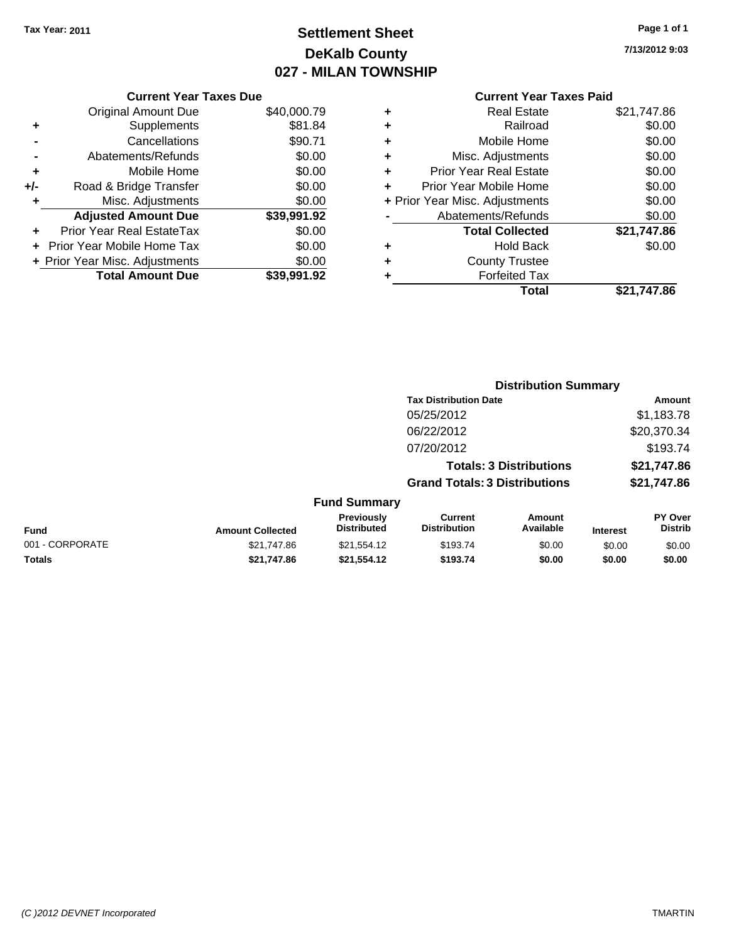# **Settlement Sheet Tax Year: 2011 Page 1 of 1 DeKalb County 027 - MILAN TOWNSHIP**

**7/13/2012 9:03**

| <b>Current Year Taxes Paid</b> |  |  |
|--------------------------------|--|--|
|                                |  |  |

| <b>Current Year Taxes Due</b>  |             |
|--------------------------------|-------------|
| <b>Original Amount Due</b>     | \$40,000.79 |
| Supplements                    | \$81.84     |
| Cancellations                  | \$90.71     |
| Abatements/Refunds             | \$0.00      |
| Mobile Home                    | \$0.00      |
| Road & Bridge Transfer         | \$0.00      |
| Misc. Adjustments              | \$0.00      |
| <b>Adjusted Amount Due</b>     | \$39,991.92 |
| Prior Year Real EstateTax      | \$0.00      |
| Prior Year Mobile Home Tax     | \$0.00      |
| + Prior Year Misc. Adjustments | \$0.00      |
| <b>Total Amount Due</b>        | \$39,991.92 |
|                                |             |

| ٠ | <b>Real Estate</b>             | \$21,747.86 |
|---|--------------------------------|-------------|
| ٠ | Railroad                       | \$0.00      |
| ٠ | Mobile Home                    | \$0.00      |
| ٠ | Misc. Adjustments              | \$0.00      |
| ÷ | <b>Prior Year Real Estate</b>  | \$0.00      |
|   | Prior Year Mobile Home         | \$0.00      |
|   | + Prior Year Misc. Adjustments | \$0.00      |
|   | Abatements/Refunds             | \$0.00      |
|   | <b>Total Collected</b>         | \$21,747.86 |
| ٠ | <b>Hold Back</b>               | \$0.00      |
| ٠ | <b>County Trustee</b>          |             |
| ٠ | <b>Forfeited Tax</b>           |             |
|   | Total                          | \$21.747.86 |

|                 |                         |                                  |                                       | <b>Distribution Summary</b>    |                 |                                  |
|-----------------|-------------------------|----------------------------------|---------------------------------------|--------------------------------|-----------------|----------------------------------|
|                 |                         |                                  | <b>Tax Distribution Date</b>          |                                |                 | Amount                           |
|                 |                         |                                  | 05/25/2012                            |                                |                 | \$1,183.78                       |
|                 |                         |                                  | 06/22/2012                            |                                |                 | \$20,370.34                      |
|                 |                         |                                  | 07/20/2012                            |                                |                 | \$193.74                         |
|                 |                         |                                  |                                       | <b>Totals: 3 Distributions</b> |                 | \$21,747.86                      |
|                 |                         |                                  | <b>Grand Totals: 3 Distributions</b>  |                                |                 | \$21,747.86                      |
|                 |                         | <b>Fund Summary</b>              |                                       |                                |                 |                                  |
| <b>Fund</b>     | <b>Amount Collected</b> | Previously<br><b>Distributed</b> | <b>Current</b><br><b>Distribution</b> | <b>Amount</b><br>Available     | <b>Interest</b> | <b>PY Over</b><br><b>Distrib</b> |
| 001 - CORPORATE | \$21,747.86             | \$21,554.12                      | \$193.74                              | \$0.00                         | \$0.00          | \$0.00                           |
| Totals          | \$21,747.86             | \$21,554.12                      | \$193.74                              | \$0.00                         | \$0.00          | \$0.00                           |
|                 |                         |                                  |                                       |                                |                 |                                  |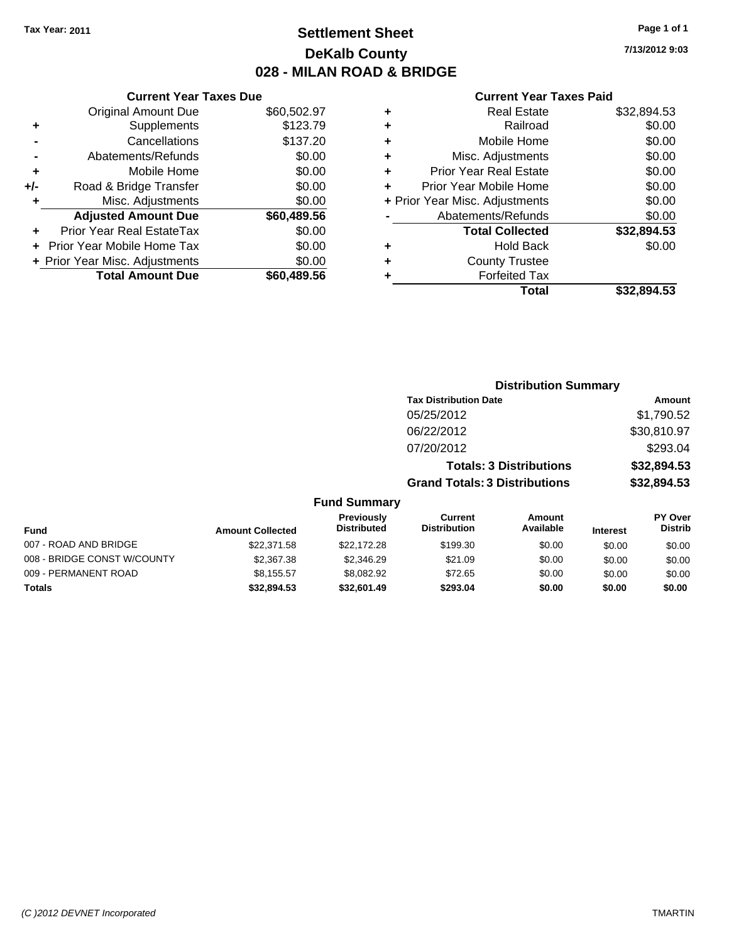# **Settlement Sheet Tax Year: 2011 Page 1 of 1 DeKalb County 028 - MILAN ROAD & BRIDGE**

**7/13/2012 9:03**

| \$60,502.97<br><b>Original Amount Due</b><br>\$123.79<br>Supplements<br>٠<br>\$137.20<br>Cancellations<br>\$0.00<br>Abatements/Refunds<br>\$0.00<br>Mobile Home<br>٠<br>\$0.00<br>Road & Bridge Transfer<br>+/-<br>\$0.00<br>Misc. Adjustments<br>٠<br>\$60,489.56<br><b>Adjusted Amount Due</b><br>\$0.00<br>Prior Year Real EstateTax<br>٠<br>\$0.00<br><b>Prior Year Mobile Home Tax</b><br>\$0.00<br>+ Prior Year Misc. Adjustments | <b>Current Year Taxes Due</b> |             |
|-----------------------------------------------------------------------------------------------------------------------------------------------------------------------------------------------------------------------------------------------------------------------------------------------------------------------------------------------------------------------------------------------------------------------------------------|-------------------------------|-------------|
|                                                                                                                                                                                                                                                                                                                                                                                                                                         |                               |             |
|                                                                                                                                                                                                                                                                                                                                                                                                                                         |                               |             |
|                                                                                                                                                                                                                                                                                                                                                                                                                                         |                               |             |
|                                                                                                                                                                                                                                                                                                                                                                                                                                         |                               |             |
|                                                                                                                                                                                                                                                                                                                                                                                                                                         |                               |             |
|                                                                                                                                                                                                                                                                                                                                                                                                                                         |                               |             |
|                                                                                                                                                                                                                                                                                                                                                                                                                                         |                               |             |
|                                                                                                                                                                                                                                                                                                                                                                                                                                         |                               |             |
|                                                                                                                                                                                                                                                                                                                                                                                                                                         |                               |             |
|                                                                                                                                                                                                                                                                                                                                                                                                                                         |                               |             |
|                                                                                                                                                                                                                                                                                                                                                                                                                                         |                               |             |
|                                                                                                                                                                                                                                                                                                                                                                                                                                         | <b>Total Amount Due</b>       | \$60,489.56 |

| ٠ | <b>Real Estate</b>             | \$32,894.53 |
|---|--------------------------------|-------------|
| ٠ | Railroad                       | \$0.00      |
| ٠ | Mobile Home                    | \$0.00      |
| ٠ | Misc. Adjustments              | \$0.00      |
| ٠ | Prior Year Real Estate         | \$0.00      |
|   | Prior Year Mobile Home         | \$0.00      |
|   | + Prior Year Misc. Adjustments | \$0.00      |
|   | Abatements/Refunds             | \$0.00      |
|   | <b>Total Collected</b>         | \$32,894.53 |
| ٠ | <b>Hold Back</b>               | \$0.00      |
| ٠ | <b>County Trustee</b>          |             |
| ٠ | <b>Forfeited Tax</b>           |             |
|   | Total                          | \$32.894.53 |
|   |                                |             |

|                             |                         |                                         | <b>Distribution Summary</b>           |                                |                 |                           |
|-----------------------------|-------------------------|-----------------------------------------|---------------------------------------|--------------------------------|-----------------|---------------------------|
|                             |                         |                                         | <b>Tax Distribution Date</b>          |                                |                 | Amount                    |
|                             |                         |                                         | 05/25/2012                            |                                |                 | \$1,790.52                |
|                             |                         |                                         | 06/22/2012                            |                                |                 | \$30,810.97               |
|                             |                         |                                         | 07/20/2012                            |                                |                 | \$293.04                  |
|                             |                         |                                         |                                       | <b>Totals: 3 Distributions</b> |                 | \$32,894.53               |
|                             |                         |                                         | <b>Grand Totals: 3 Distributions</b>  |                                |                 | \$32,894.53               |
|                             |                         | <b>Fund Summary</b>                     |                                       |                                |                 |                           |
| <b>Fund</b>                 | <b>Amount Collected</b> | <b>Previously</b><br><b>Distributed</b> | <b>Current</b><br><b>Distribution</b> | Amount<br>Available            | <b>Interest</b> | PY Over<br><b>Distrib</b> |
| 007 - ROAD AND BRIDGE       | \$22,371.58             | \$22,172.28                             | \$199.30                              | \$0.00                         | \$0.00          | \$0.00                    |
| 008 - BRIDGE CONST W/COUNTY | \$2,367.38              | \$2,346.29                              | \$21.09                               | \$0.00                         | \$0.00          | \$0.00                    |
| 009 - PERMANENT ROAD        | \$8,155.57              | \$8,082.92                              | \$72.65                               | \$0.00                         | \$0.00          | \$0.00                    |
| Totals                      | \$32,894.53             | \$32,601.49                             | \$293.04                              | \$0.00                         | \$0.00          | \$0.00                    |
|                             |                         |                                         |                                       |                                |                 |                           |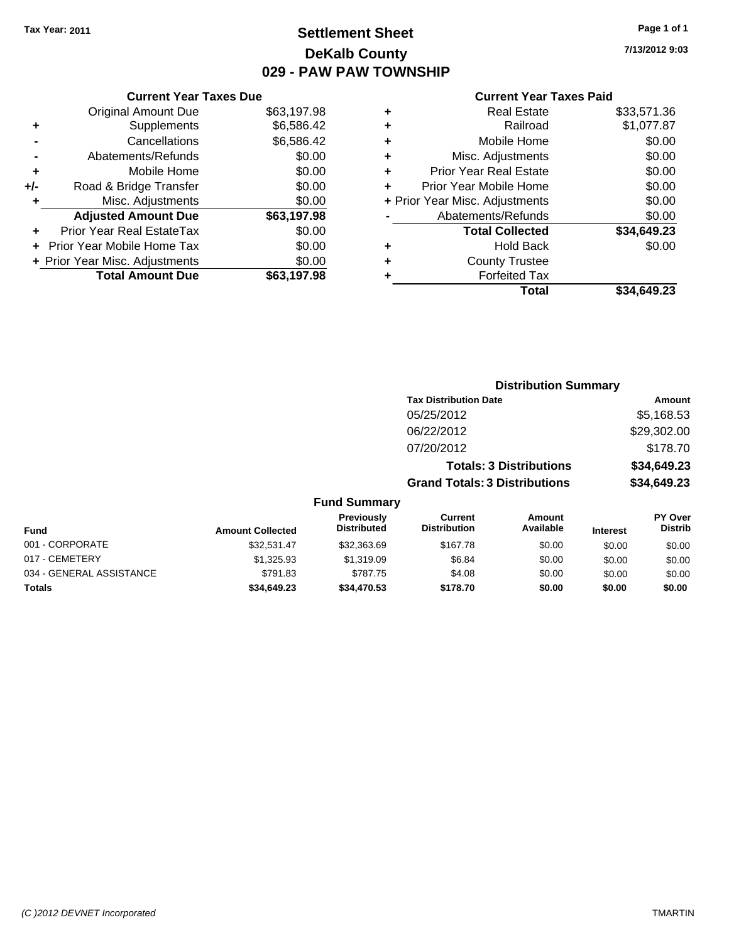# **Settlement Sheet Tax Year: 2011 Page 1 of 1 DeKalb County 029 - PAW PAW TOWNSHIP**

**7/13/2012 9:03**

### **Current Year Taxes Paid**

|     | <b>Current Year Taxes Due</b>  |             |
|-----|--------------------------------|-------------|
|     | <b>Original Amount Due</b>     | \$63,197.98 |
| ٠   | Supplements                    | \$6,586.42  |
|     | Cancellations                  | \$6,586.42  |
|     | Abatements/Refunds             | \$0.00      |
| ٠   | Mobile Home                    | \$0.00      |
| +/- | Road & Bridge Transfer         | \$0.00      |
|     | Misc. Adjustments              | \$0.00      |
|     | <b>Adjusted Amount Due</b>     | \$63,197.98 |
| ÷   | Prior Year Real EstateTax      | \$0.00      |
|     | Prior Year Mobile Home Tax     | \$0.00      |
|     | + Prior Year Misc. Adjustments | \$0.00      |
|     | <b>Total Amount Due</b>        | \$63.197.98 |
|     |                                |             |

| ٠ | <b>Real Estate</b>             | \$33,571.36 |
|---|--------------------------------|-------------|
| ٠ | Railroad                       | \$1,077.87  |
| ٠ | Mobile Home                    | \$0.00      |
| ٠ | Misc. Adjustments              | \$0.00      |
| ÷ | <b>Prior Year Real Estate</b>  | \$0.00      |
| ٠ | Prior Year Mobile Home         | \$0.00      |
|   | + Prior Year Misc. Adjustments | \$0.00      |
|   | Abatements/Refunds             | \$0.00      |
|   | <b>Total Collected</b>         | \$34,649.23 |
| ٠ | Hold Back                      | \$0.00      |
| ٠ | <b>County Trustee</b>          |             |
| ٠ | <b>Forfeited Tax</b>           |             |
|   | Total                          | \$34.649.23 |
|   |                                |             |

|                          |                         |                                  | <b>Distribution Summary</b>           |                                |                 |                                  |
|--------------------------|-------------------------|----------------------------------|---------------------------------------|--------------------------------|-----------------|----------------------------------|
|                          |                         |                                  | <b>Tax Distribution Date</b>          |                                |                 | Amount                           |
|                          |                         |                                  | 05/25/2012                            |                                |                 | \$5,168.53                       |
|                          |                         |                                  | 06/22/2012                            |                                |                 | \$29,302.00                      |
|                          |                         |                                  | 07/20/2012                            |                                |                 | \$178.70                         |
|                          |                         |                                  |                                       | <b>Totals: 3 Distributions</b> |                 | \$34,649.23                      |
|                          |                         |                                  | <b>Grand Totals: 3 Distributions</b>  |                                |                 | \$34,649.23                      |
|                          |                         | <b>Fund Summary</b>              |                                       |                                |                 |                                  |
| Fund                     | <b>Amount Collected</b> | Previously<br><b>Distributed</b> | <b>Current</b><br><b>Distribution</b> | <b>Amount</b><br>Available     | <b>Interest</b> | <b>PY Over</b><br><b>Distrib</b> |
| 001 - CORPORATE          | \$32.531.47             | \$32,363.69                      | \$167.78                              | \$0.00                         | \$0.00          | \$0.00                           |
| 017 - CEMETERY           | \$1,325.93              | \$1,319.09                       | \$6.84                                | \$0.00                         | \$0.00          | \$0.00                           |
| 034 - GENERAL ASSISTANCE | \$791.83                | \$787.75                         | \$4.08                                | \$0.00                         | \$0.00          | \$0.00                           |

**Totals \$34,649.23 \$34,470.53 \$178.70 \$0.00 \$0.00 \$0.00**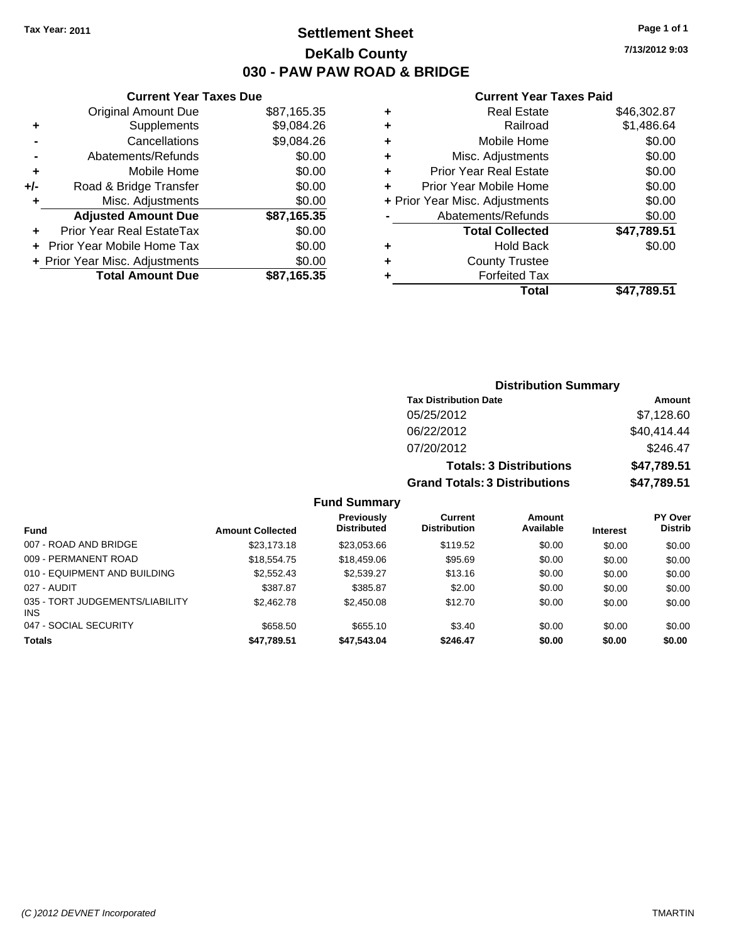### **Settlement Sheet Tax Year: 2011 Page 1 of 1 DeKalb County 030 - PAW PAW ROAD & BRIDGE**

**7/13/2012 9:03**

| \$87,165.35                                                                                     |
|-------------------------------------------------------------------------------------------------|
|                                                                                                 |
| \$9,084.26                                                                                      |
|                                                                                                 |
|                                                                                                 |
|                                                                                                 |
|                                                                                                 |
|                                                                                                 |
|                                                                                                 |
|                                                                                                 |
|                                                                                                 |
| \$87,165.35                                                                                     |
| \$9,084.26<br>\$0.00<br>\$0.00<br>\$0.00<br>\$0.00<br>\$87,165.35<br>\$0.00<br>\$0.00<br>\$0.00 |

| ٠ | <b>Real Estate</b>             | \$46,302.87 |
|---|--------------------------------|-------------|
| ٠ | Railroad                       | \$1,486.64  |
| ٠ | Mobile Home                    | \$0.00      |
| ٠ | Misc. Adjustments              | \$0.00      |
| ٠ | <b>Prior Year Real Estate</b>  | \$0.00      |
| ÷ | Prior Year Mobile Home         | \$0.00      |
|   | + Prior Year Misc. Adjustments | \$0.00      |
|   | Abatements/Refunds             | \$0.00      |
|   | <b>Total Collected</b>         | \$47,789.51 |
| ٠ | <b>Hold Back</b>               | \$0.00      |
| ٠ | <b>County Trustee</b>          |             |
|   | <b>Forfeited Tax</b>           |             |
|   | Total                          | \$47,789.51 |

| <b>Distribution Summary</b>          |             |
|--------------------------------------|-------------|
| <b>Tax Distribution Date</b>         | Amount      |
| 05/25/2012                           | \$7,128.60  |
| 06/22/2012                           | \$40,414.44 |
| 07/20/2012                           | \$246.47    |
| <b>Totals: 3 Distributions</b>       | \$47,789.51 |
| <b>Grand Totals: 3 Distributions</b> | \$47,789.51 |

|  | <b>Fund Summary</b> |
|--|---------------------|
|--|---------------------|

|                                               |                         | Previously         | <b>Current</b>      | Amount    |                 | <b>PY Over</b> |
|-----------------------------------------------|-------------------------|--------------------|---------------------|-----------|-----------------|----------------|
| <b>Fund</b>                                   | <b>Amount Collected</b> | <b>Distributed</b> | <b>Distribution</b> | Available | <b>Interest</b> | <b>Distrib</b> |
| 007 - ROAD AND BRIDGE                         | \$23.173.18             | \$23.053.66        | \$119.52            | \$0.00    | \$0.00          | \$0.00         |
| 009 - PERMANENT ROAD                          | \$18,554.75             | \$18,459.06        | \$95.69             | \$0.00    | \$0.00          | \$0.00         |
| 010 - EQUIPMENT AND BUILDING                  | \$2,552.43              | \$2,539.27         | \$13.16             | \$0.00    | \$0.00          | \$0.00         |
| 027 - AUDIT                                   | \$387.87                | \$385.87           | \$2.00              | \$0.00    | \$0.00          | \$0.00         |
| 035 - TORT JUDGEMENTS/LIABILITY<br><b>INS</b> | \$2,462.78              | \$2,450.08         | \$12.70             | \$0.00    | \$0.00          | \$0.00         |
| 047 - SOCIAL SECURITY                         | \$658.50                | \$655.10           | \$3.40              | \$0.00    | \$0.00          | \$0.00         |
| <b>Totals</b>                                 | \$47,789.51             | \$47,543.04        | \$246.47            | \$0.00    | \$0.00          | \$0.00         |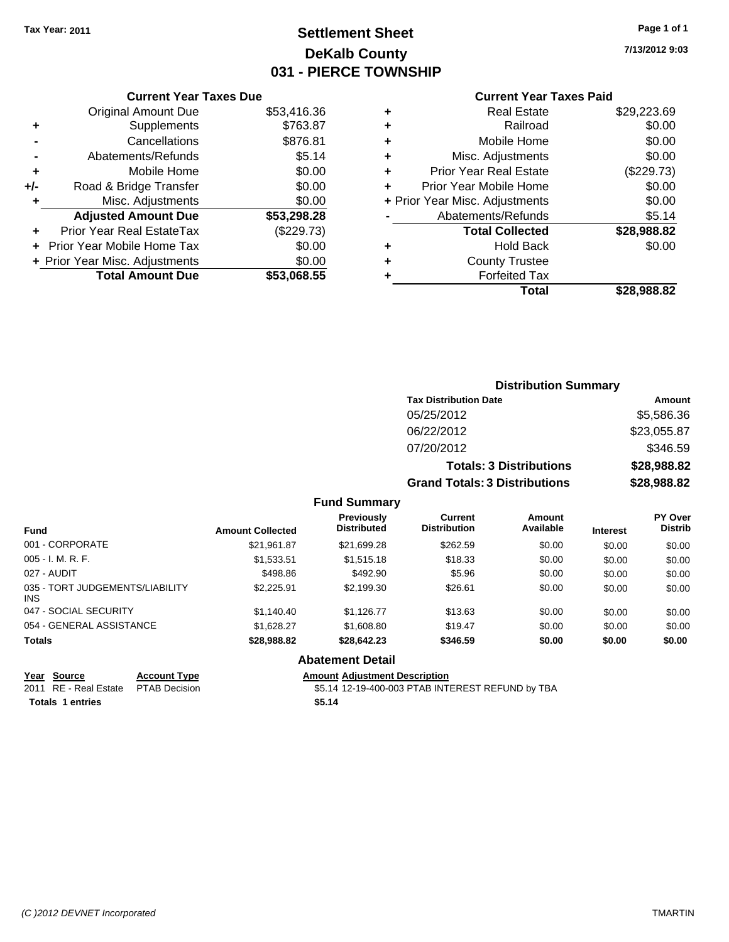# **Settlement Sheet Tax Year: 2011 Page 1 of 1 DeKalb County 031 - PIERCE TOWNSHIP**

**7/13/2012 9:03**

### **Current Year Taxes Paid**

|       | <b>Current Year Taxes Due</b>  |             |
|-------|--------------------------------|-------------|
|       | <b>Original Amount Due</b>     | \$53,416.36 |
| ٠     | Supplements                    | \$763.87    |
|       | Cancellations                  | \$876.81    |
|       | Abatements/Refunds             | \$5.14      |
| ٠     | Mobile Home                    | \$0.00      |
| $+/-$ | Road & Bridge Transfer         | \$0.00      |
|       | Misc. Adjustments              | \$0.00      |
|       | <b>Adjusted Amount Due</b>     | \$53,298.28 |
|       | Prior Year Real EstateTax      | (\$229.73)  |
|       | Prior Year Mobile Home Tax     | \$0.00      |
|       | + Prior Year Misc. Adjustments | \$0.00      |
|       | <b>Total Amount Due</b>        | \$53,068.55 |
|       |                                |             |

|   | <b>Real Estate</b>             | \$29,223.69 |
|---|--------------------------------|-------------|
| ٠ | Railroad                       | \$0.00      |
| ٠ | Mobile Home                    | \$0.00      |
| ٠ | Misc. Adjustments              | \$0.00      |
| ٠ | <b>Prior Year Real Estate</b>  | (\$229.73)  |
| ÷ | Prior Year Mobile Home         | \$0.00      |
|   | + Prior Year Misc. Adjustments | \$0.00      |
|   | Abatements/Refunds             | \$5.14      |
|   | <b>Total Collected</b>         | \$28,988.82 |
| ٠ | Hold Back                      | \$0.00      |
| ٠ | <b>County Trustee</b>          |             |
|   | <b>Forfeited Tax</b>           |             |
|   | Total                          | \$28.988.82 |

### **Distribution Summary Tax Distribution Date Amount** 05/25/2012 \$5,586.36 06/22/2012 \$23,055.87 07/20/2012 \$346.59 **Totals: 3 Distributions \$28,988.82 Grand Totals: 3 Distributions \$28,988.82**

#### **Fund Summary**

| <b>Fund</b>                                   | <b>Amount Collected</b> | <b>Previously</b><br><b>Distributed</b> | <b>Current</b><br><b>Distribution</b> | <b>Amount</b><br>Available | <b>Interest</b> | <b>PY Over</b><br><b>Distrib</b> |
|-----------------------------------------------|-------------------------|-----------------------------------------|---------------------------------------|----------------------------|-----------------|----------------------------------|
| 001 - CORPORATE                               | \$21,961.87             | \$21,699.28                             | \$262.59                              | \$0.00                     | \$0.00          | \$0.00                           |
| $005 - I. M. R. F.$                           | \$1,533.51              | \$1,515.18                              | \$18.33                               | \$0.00                     | \$0.00          | \$0.00                           |
| 027 - AUDIT                                   | \$498.86                | \$492.90                                | \$5.96                                | \$0.00                     | \$0.00          | \$0.00                           |
| 035 - TORT JUDGEMENTS/LIABILITY<br><b>INS</b> | \$2,225.91              | \$2.199.30                              | \$26.61                               | \$0.00                     | \$0.00          | \$0.00                           |
| 047 - SOCIAL SECURITY                         | \$1,140.40              | \$1.126.77                              | \$13.63                               | \$0.00                     | \$0.00          | \$0.00                           |
| 054 - GENERAL ASSISTANCE                      | \$1.628.27              | \$1,608.80                              | \$19.47                               | \$0.00                     | \$0.00          | \$0.00                           |
| <b>Totals</b>                                 | \$28,988.82             | \$28,642.23                             | \$346.59                              | \$0.00                     | \$0.00          | \$0.00                           |

### **Abatement Detail**

#### **Year Source Account Type Amount Adjustment Description**

2011 RE - Real Estate \$5.14 12-19-400-003 PTAB INTEREST REFUND by TBA PTAB Decision **Totals \$5.14 1 entries**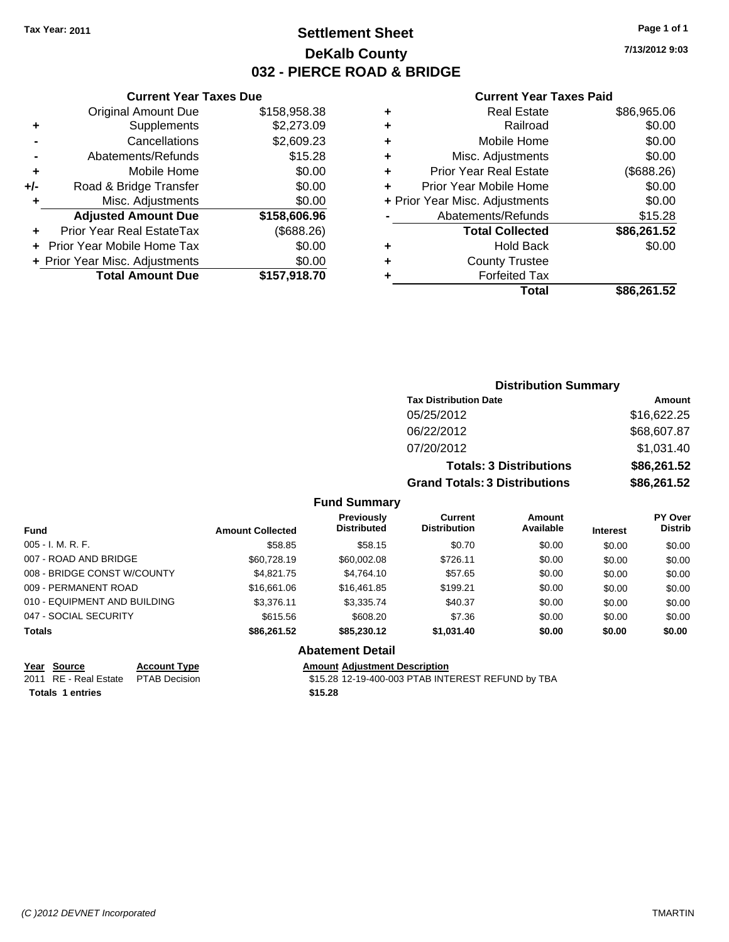## **Settlement Sheet Tax Year: 2011 Page 1 of 1 DeKalb County 032 - PIERCE ROAD & BRIDGE**

**7/13/2012 9:03**

### **Current Year Taxes Paid**

|   | Total                          | \$86.261.52 |
|---|--------------------------------|-------------|
|   | <b>Forfeited Tax</b>           |             |
| ٠ | <b>County Trustee</b>          |             |
| ٠ | <b>Hold Back</b>               | \$0.00      |
|   | <b>Total Collected</b>         | \$86,261.52 |
|   | Abatements/Refunds             | \$15.28     |
|   | + Prior Year Misc. Adjustments | \$0.00      |
|   | Prior Year Mobile Home         | \$0.00      |
| ÷ | <b>Prior Year Real Estate</b>  | (\$688.26)  |
| ÷ | Misc. Adjustments              | \$0.00      |
| ÷ | Mobile Home                    | \$0.00      |
| ٠ | Railroad                       | \$0.00      |
| ٠ | <b>Real Estate</b>             | \$86,965.06 |
|   |                                |             |

|     | <b>Current Year Taxes Due</b>    |              |
|-----|----------------------------------|--------------|
|     | <b>Original Amount Due</b>       | \$158,958.38 |
| ٠   | Supplements                      | \$2,273.09   |
|     | Cancellations                    | \$2,609.23   |
|     | Abatements/Refunds               | \$15.28      |
| ٠   | Mobile Home                      | \$0.00       |
| +/- | Road & Bridge Transfer           | \$0.00       |
| ٠   | Misc. Adjustments                | \$0.00       |
|     | <b>Adjusted Amount Due</b>       | \$158,606.96 |
|     | <b>Prior Year Real EstateTax</b> | (\$688.26)   |
|     | Prior Year Mobile Home Tax       | \$0.00       |
|     | + Prior Year Misc. Adjustments   | \$0.00       |
|     | <b>Total Amount Due</b>          | \$157.918.70 |

| <b>Distribution Summary</b>          |             |  |  |
|--------------------------------------|-------------|--|--|
| <b>Tax Distribution Date</b>         | Amount      |  |  |
| 05/25/2012                           | \$16,622.25 |  |  |
| 06/22/2012                           | \$68,607.87 |  |  |
| 07/20/2012                           | \$1,031.40  |  |  |
| <b>Totals: 3 Distributions</b>       | \$86,261.52 |  |  |
| <b>Grand Totals: 3 Distributions</b> | \$86,261.52 |  |  |

### **Fund Summary**

|                              |                         | <b>Previously</b>  | Current             | <b>Amount</b> |                 | <b>PY Over</b> |
|------------------------------|-------------------------|--------------------|---------------------|---------------|-----------------|----------------|
| <b>Fund</b>                  | <b>Amount Collected</b> | <b>Distributed</b> | <b>Distribution</b> | Available     | <b>Interest</b> | <b>Distrib</b> |
| $005 - I. M. R. F.$          | \$58.85                 | \$58.15            | \$0.70              | \$0.00        | \$0.00          | \$0.00         |
| 007 - ROAD AND BRIDGE        | \$60.728.19             | \$60,002.08        | \$726.11            | \$0.00        | \$0.00          | \$0.00         |
| 008 - BRIDGE CONST W/COUNTY  | \$4.821.75              | \$4.764.10         | \$57.65             | \$0.00        | \$0.00          | \$0.00         |
| 009 - PERMANENT ROAD         | \$16,661.06             | \$16,461.85        | \$199.21            | \$0.00        | \$0.00          | \$0.00         |
| 010 - EQUIPMENT AND BUILDING | \$3.376.11              | \$3,335.74         | \$40.37             | \$0.00        | \$0.00          | \$0.00         |
| 047 - SOCIAL SECURITY        | \$615.56                | \$608.20           | \$7.36              | \$0.00        | \$0.00          | \$0.00         |
| <b>Totals</b>                | \$86,261.52             | \$85,230.12        | \$1,031.40          | \$0.00        | \$0.00          | \$0.00         |

# **Abatement Detail**

**Year Source Account Type Amount Adjustment Description**

2011 RE - Real Estate \$15.28 12-19-400-003 PTAB INTEREST REFUND by TBA PTAB Decision **Totals \$15.28 1 entries**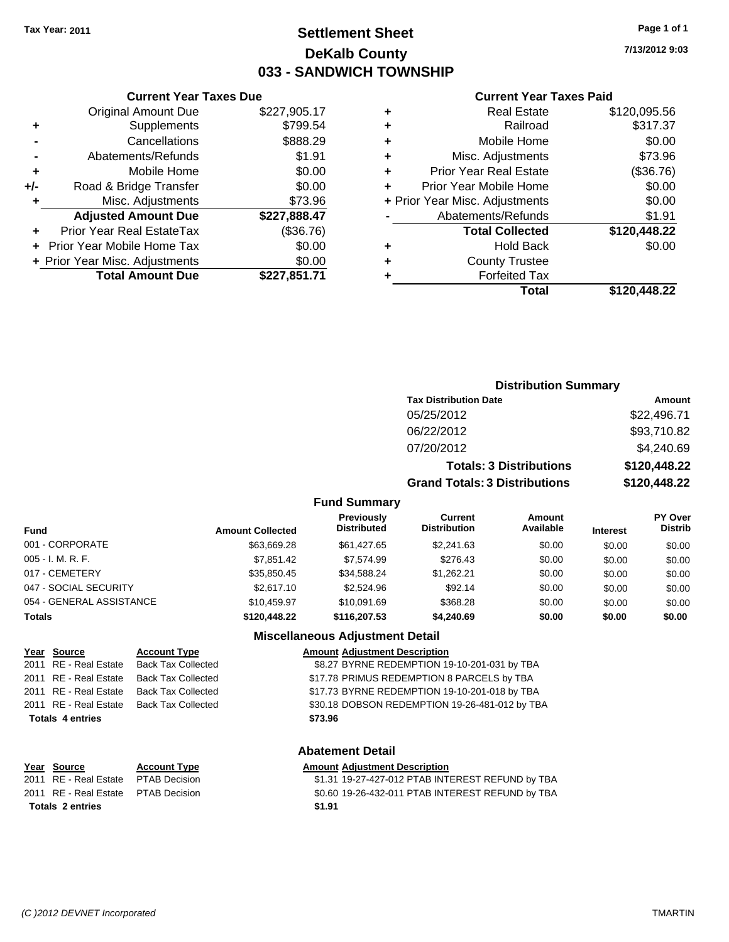# **Settlement Sheet Tax Year: 2011 Page 1 of 1 DeKalb County 033 - SANDWICH TOWNSHIP**

**7/13/2012 9:03**

#### **Current Year Taxes Paid**

| Total                          | \$120,448.22 |
|--------------------------------|--------------|
| <b>Forfeited Tax</b>           |              |
| <b>County Trustee</b>          |              |
| <b>Hold Back</b>               | \$0.00       |
| <b>Total Collected</b>         | \$120,448.22 |
| Abatements/Refunds             | \$1.91       |
| + Prior Year Misc. Adjustments | \$0.00       |
| Prior Year Mobile Home         | \$0.00       |
| <b>Prior Year Real Estate</b>  | (\$36.76)    |
| Misc. Adjustments              | \$73.96      |
| Mobile Home                    | \$0.00       |
| Railroad                       | \$317.37     |
| <b>Real Estate</b>             | \$120,095.56 |
|                                |              |

| ÷         | Misc. Adjustments              | \$73.96      |   | + Prior Year |
|-----------|--------------------------------|--------------|---|--------------|
|           | <b>Adjusted Amount Due</b>     | \$227,888.47 |   | Ab           |
| $\ddot{}$ | Prior Year Real EstateTax      | (\$36.76)    |   |              |
|           | + Prior Year Mobile Home Tax   | \$0.00       |   |              |
|           | + Prior Year Misc. Adjustments | \$0.00       | ٠ |              |
|           | <b>Total Amount Due</b>        | \$227,851.71 |   |              |
|           |                                |              |   |              |
|           |                                |              |   |              |
|           |                                |              |   |              |

**Current Year Taxes Due** Original Amount Due \$227,905.17

**+** Supplements \$799.54 **-** Cancellations \$888.29 **-** Abatements/Refunds \$1.91 **+** Mobile Home \$0.00 **+/-** Road & Bridge Transfer \$0.00

### **Distribution Summary**

| <b>Tax Distribution Date</b>         | Amount       |
|--------------------------------------|--------------|
| 05/25/2012                           | \$22,496.71  |
| 06/22/2012                           | \$93,710.82  |
| 07/20/2012                           | \$4,240.69   |
| <b>Totals: 3 Distributions</b>       | \$120,448.22 |
| <b>Grand Totals: 3 Distributions</b> | \$120,448.22 |

#### **Fund Summary**

| <b>Fund</b>              | <b>Amount Collected</b> | <b>Previously</b><br><b>Distributed</b> | Current<br><b>Distribution</b> | <b>Amount</b><br>Available | <b>Interest</b> | <b>PY Over</b><br><b>Distrib</b> |
|--------------------------|-------------------------|-----------------------------------------|--------------------------------|----------------------------|-----------------|----------------------------------|
| 001 - CORPORATE          | \$63.669.28             | \$61,427.65                             | \$2,241.63                     | \$0.00                     | \$0.00          | \$0.00                           |
| 005 - I. M. R. F.        | \$7,851.42              | \$7.574.99                              | \$276.43                       | \$0.00                     | \$0.00          | \$0.00                           |
| 017 - CEMETERY           | \$35.850.45             | \$34.588.24                             | \$1.262.21                     | \$0.00                     | \$0.00          | \$0.00                           |
| 047 - SOCIAL SECURITY    | \$2,617.10              | \$2,524.96                              | \$92.14                        | \$0.00                     | \$0.00          | \$0.00                           |
| 054 - GENERAL ASSISTANCE | \$10,459.97             | \$10.091.69                             | \$368.28                       | \$0.00                     | \$0.00          | \$0.00                           |
| <b>Totals</b>            | \$120,448.22            | \$116,207.53                            | \$4,240.69                     | \$0.00                     | \$0.00          | \$0.00                           |

#### **Miscellaneous Adjustment Detail**

|                         | Year Source           | <b>Account Type</b>       | <b>Amount Adjustment Description</b>           |  |  |  |
|-------------------------|-----------------------|---------------------------|------------------------------------------------|--|--|--|
|                         | 2011 RE - Real Estate | Back Tax Collected        | \$8.27 BYRNE REDEMPTION 19-10-201-031 by TBA   |  |  |  |
|                         | 2011 RE - Real Estate | <b>Back Tax Collected</b> | \$17.78 PRIMUS REDEMPTION 8 PARCELS by TBA     |  |  |  |
|                         | 2011 RE - Real Estate | <b>Back Tax Collected</b> | \$17.73 BYRNE REDEMPTION 19-10-201-018 by TBA  |  |  |  |
|                         | 2011 RE - Real Estate | <b>Back Tax Collected</b> | \$30.18 DOBSON REDEMPTION 19-26-481-012 by TBA |  |  |  |
| <b>Totals 4 entries</b> |                       |                           | \$73.96                                        |  |  |  |
|                         |                       |                           |                                                |  |  |  |
|                         |                       |                           | <b>Abatement Detail</b>                        |  |  |  |

**Totals \$1.91 2 entries**

#### **Abatement Detail**

**Year Source Account Type Amount Adjustment Description** 2011 RE - Real Estate \$1.31 19-27-427-012 PTAB INTEREST REFUND by TBA PTAB Decision 2011 RE - Real Estate \$0.60 19-26-432-011 PTAB INTEREST REFUND by TBA PTAB Decision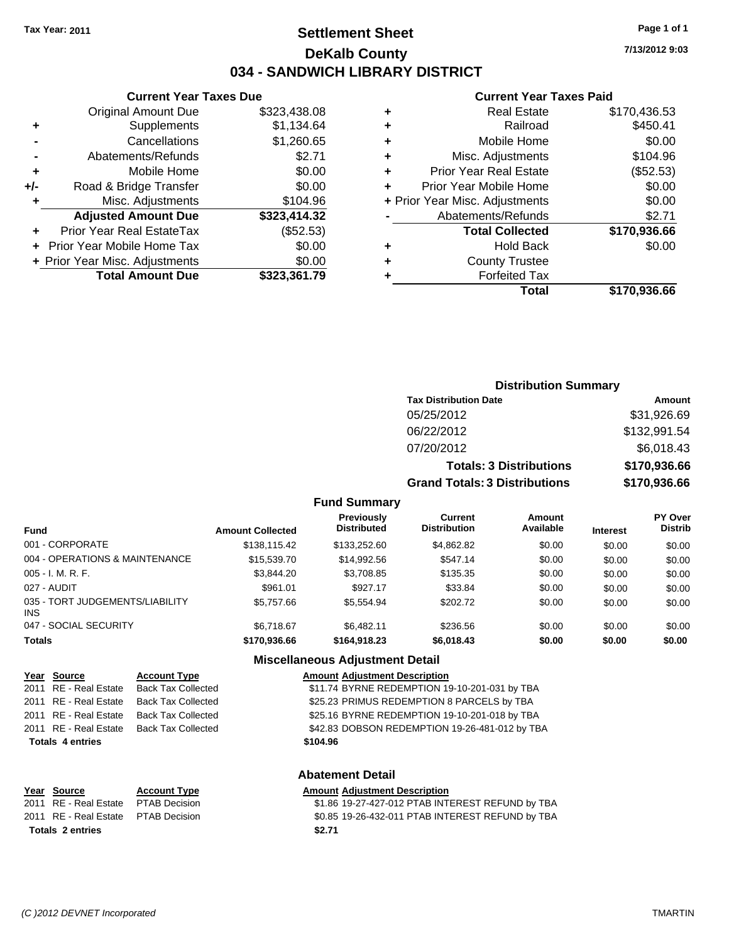# **Settlement Sheet Tax Year: 2011 Page 1 of 1 DeKalb County 034 - SANDWICH LIBRARY DISTRICT**

**7/13/2012 9:03**

### **Current Year Taxes Paid**

| <b>Forfeited Tax</b>          |                                |
|-------------------------------|--------------------------------|
|                               |                                |
| <b>County Trustee</b>         |                                |
| <b>Hold Back</b>              | \$0.00                         |
| <b>Total Collected</b>        | \$170,936.66                   |
| Abatements/Refunds            | \$2.71                         |
|                               | \$0.00                         |
| Prior Year Mobile Home        | \$0.00                         |
| <b>Prior Year Real Estate</b> | (\$52.53)                      |
| Misc. Adjustments             | \$104.96                       |
| Mobile Home                   | \$0.00                         |
| Railroad                      | \$450.41                       |
| <b>Real Estate</b>            | \$170,436.53                   |
|                               | + Prior Year Misc. Adjustments |

|     | <b>Current Year Taxes Due</b>    |              |
|-----|----------------------------------|--------------|
|     | <b>Original Amount Due</b>       | \$323,438.08 |
| ٠   | Supplements                      | \$1,134.64   |
|     | Cancellations                    | \$1,260.65   |
|     | Abatements/Refunds               | \$2.71       |
| ٠   | Mobile Home                      | \$0.00       |
| +/- | Road & Bridge Transfer           | \$0.00       |
| ٠   | Misc. Adjustments                | \$104.96     |
|     | <b>Adjusted Amount Due</b>       | \$323,414.32 |
|     | <b>Prior Year Real EstateTax</b> | (\$52.53)    |
|     | Prior Year Mobile Home Tax       | \$0.00       |
|     | + Prior Year Misc. Adjustments   | \$0.00       |
|     | <b>Total Amount Due</b>          | \$323,361.79 |
|     |                                  |              |

## **Distribution Summary**

| <b>Tax Distribution Date</b>         | Amount       |
|--------------------------------------|--------------|
| 05/25/2012                           | \$31,926.69  |
| 06/22/2012                           | \$132,991.54 |
| 07/20/2012                           | \$6,018.43   |
| <b>Totals: 3 Distributions</b>       | \$170,936.66 |
| <b>Grand Totals: 3 Distributions</b> | \$170,936.66 |

### **Fund Summary**

| <b>Fund</b>                             | <b>Amount Collected</b> | <b>Previously</b><br><b>Distributed</b> | Current<br><b>Distribution</b> | Amount<br>Available | <b>Interest</b> | <b>PY Over</b><br><b>Distrib</b> |
|-----------------------------------------|-------------------------|-----------------------------------------|--------------------------------|---------------------|-----------------|----------------------------------|
| 001 - CORPORATE                         | \$138,115.42            | \$133,252.60                            | \$4,862.82                     | \$0.00              | \$0.00          | \$0.00                           |
| 004 - OPERATIONS & MAINTENANCE          | \$15,539,70             | \$14.992.56                             | \$547.14                       | \$0.00              | \$0.00          | \$0.00                           |
| $005 - I. M. R. F.$                     | \$3.844.20              | \$3,708.85                              | \$135.35                       | \$0.00              | \$0.00          | \$0.00                           |
| 027 - AUDIT                             | \$961.01                | \$927.17                                | \$33.84                        | \$0.00              | \$0.00          | \$0.00                           |
| 035 - TORT JUDGEMENTS/LIABILITY<br>INS. | \$5,757.66              | \$5,554.94                              | \$202.72                       | \$0.00              | \$0.00          | \$0.00                           |
| 047 - SOCIAL SECURITY                   | \$6.718.67              | \$6,482.11                              | \$236.56                       | \$0.00              | \$0.00          | \$0.00                           |
| <b>Totals</b>                           | \$170,936.66            | \$164,918.23                            | \$6,018.43                     | \$0.00              | \$0.00          | \$0.00                           |

### **Miscellaneous Adjustment Detail**

### **Year Source Account Type Amount Adjustment Description**

| <b>Totals 4 entries</b> |                           | \$104.96                                       |
|-------------------------|---------------------------|------------------------------------------------|
| 2011 RE - Real Estate   | <b>Back Tax Collected</b> | \$42.83 DOBSON REDEMPTION 19-26-481-012 by TBA |
| 2011 RE - Real Estate   | <b>Back Tax Collected</b> | \$25.16 BYRNE REDEMPTION 19-10-201-018 by TBA  |
| 2011 RE - Real Estate   | <b>Back Tax Collected</b> | \$25.23 PRIMUS REDEMPTION 8 PARCELS by TBA     |
| 2011 RE - Real Estate   | <b>Back Tax Collected</b> | \$11.74 BYRNE REDEMPTION 19-10-201-031 by TBA  |
|                         |                           |                                                |

### **Abatement Detail**

# **Year Source Account Type Amount Adjustment Description Totals \$2.71 2 entries**

2011 RE - Real Estate \$1.86 19-27-427-012 PTAB INTEREST REFUND by TBA PTAB Decision 2011 RE - Real Estate \$0.85 19-26-432-011 PTAB INTEREST REFUND by TBA PTAB Decision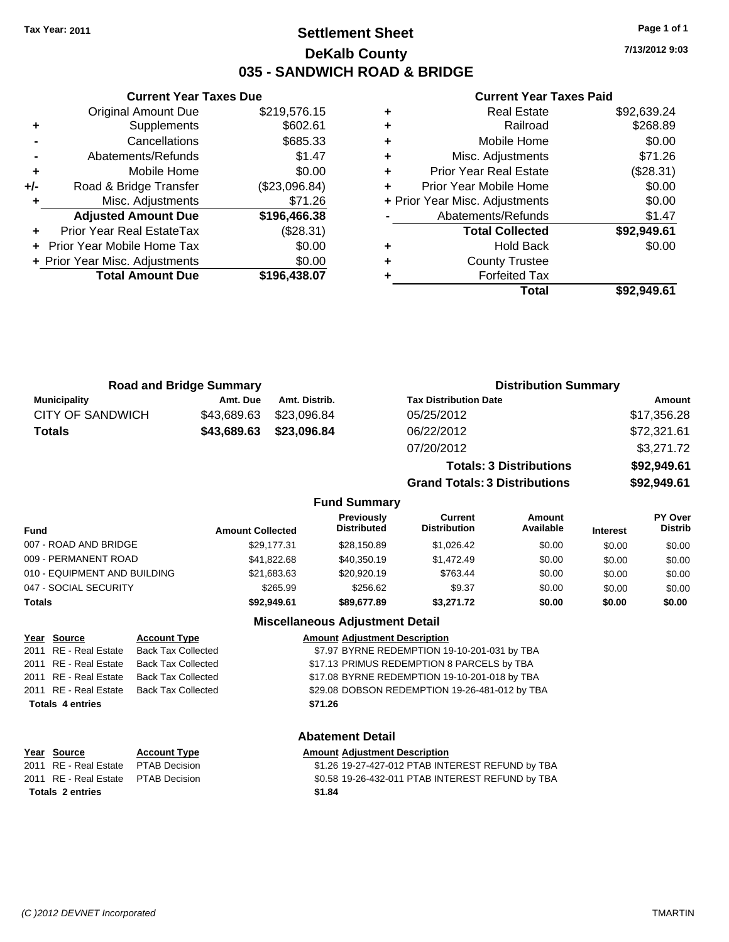# **Settlement Sheet Tax Year: 2011 Page 1 of 1 DeKalb County 035 - SANDWICH ROAD & BRIDGE**

**7/13/2012 9:03**

### **Current Year Taxes Paid**

|     | <b>Original Amount Due</b>     | \$219,576.15  |   |                  |
|-----|--------------------------------|---------------|---|------------------|
|     | <b>Supplements</b>             | \$602.61      | ٠ |                  |
|     | Cancellations                  | \$685.33      | ٠ |                  |
|     | Abatements/Refunds             | \$1.47        | ٠ | Mis              |
| ٠   | Mobile Home                    | \$0.00        | ٠ | Prior Y          |
| +/- | Road & Bridge Transfer         | (\$23,096.84) |   | Prior Yea        |
| ٠   | Misc. Adjustments              | \$71.26       |   | + Prior Year Mis |
|     | <b>Adjusted Amount Due</b>     | \$196,466.38  |   | Abate            |
|     | Prior Year Real EstateTax      | (\$28.31)     |   |                  |
|     | + Prior Year Mobile Home Tax   | \$0.00        | ٠ |                  |
|     | + Prior Year Misc. Adjustments | \$0.00        | ٠ |                  |
|     | <b>Total Amount Due</b>        | \$196,438.07  |   |                  |
|     |                                |               |   |                  |

**Current Year Taxes Due**

|   | Total                          | \$92.949.61 |
|---|--------------------------------|-------------|
|   | <b>Forfeited Tax</b>           |             |
|   | <b>County Trustee</b>          |             |
| ٠ | Hold Back                      | \$0.00      |
|   | <b>Total Collected</b>         | \$92,949.61 |
|   | Abatements/Refunds             | \$1.47      |
|   | + Prior Year Misc. Adjustments | \$0.00      |
|   | Prior Year Mobile Home         | \$0.00      |
| ٠ | <b>Prior Year Real Estate</b>  | (\$28.31)   |
| ٠ | Misc. Adjustments              | \$71.26     |
| ٠ | Mobile Home                    | \$0.00      |
|   | Railroad                       | \$268.89    |
|   | <b>Real Estate</b>             | \$92,639.24 |

**Grand Totals: 3 Distributions \$92,949.61**

| <b>Road and Bridge Summary</b> |             | <b>Distribution Summary</b> |                                |             |
|--------------------------------|-------------|-----------------------------|--------------------------------|-------------|
| <b>Municipality</b>            | Amt. Due    | Amt. Distrib.               | <b>Tax Distribution Date</b>   | Amount      |
| <b>CITY OF SANDWICH</b>        | \$43,689.63 | \$23,096.84                 | 05/25/2012                     | \$17,356.28 |
| <b>Totals</b>                  | \$43,689.63 | \$23,096.84                 | 06/22/2012                     | \$72,321.61 |
|                                |             |                             | 07/20/2012                     | \$3,271.72  |
|                                |             |                             | <b>Totals: 3 Distributions</b> | \$92,949.61 |

### **Fund Summary Fund Interest Amount Collected Distributed PY Over Distrib Amount Available Current Distribution Previously** 007 - ROAD AND BRIDGE 6 29,177.31 \$28,150.89 \$1,026.42 \$0.00 \$0.00 \$0.00 \$0.00 009 - PERMANENT ROAD \$41,822.68 \$40,350.19 \$1,472.49 \$0.00 \$0.00 \$0.00 \$0.00 010 - EQUIPMENT AND BUILDING \$21,683.63 \$20,920.19 \$763.44 \$0.00 \$0.00 \$0.00 \$0.00 047 - SOCIAL SECURITY \$265.99 \$256.62 \$0.00 \$0.00 \$0.00 \$0.00 \$0.00 **Totals \$92,949.61 \$89,677.89 \$3,271.72 \$0.00 \$0.00 \$0.00**

### **Miscellaneous Adjustment Detail**

| Year Source             | <b>Account Type</b>                      | <b>Amount Adjustment Description</b>           |
|-------------------------|------------------------------------------|------------------------------------------------|
| 2011 RE - Real Estate   | Back Tax Collected                       | \$7.97 BYRNE REDEMPTION 19-10-201-031 by TBA   |
| 2011 RE - Real Estate   | <b>Back Tax Collected</b>                | \$17.13 PRIMUS REDEMPTION 8 PARCELS by TBA     |
| 2011 RE - Real Estate   | <b>Back Tax Collected</b>                | \$17.08 BYRNE REDEMPTION 19-10-201-018 by TBA  |
|                         | 2011 RE - Real Estate Back Tax Collected | \$29.08 DOBSON REDEMPTION 19-26-481-012 by TBA |
| <b>Totals 4 entries</b> |                                          | \$71.26                                        |
|                         |                                          |                                                |
|                         |                                          |                                                |

### **Abatement Detail**

### **Year Source Account Type Amount Adjustment Description** 2011 RE - Real Estate \$1.26 19-27-427-012 PTAB INTEREST REFUND by TBA PTAB Decision 2011 RE - Real Estate \$0.58 19-26-432-011 PTAB INTEREST REFUND by TBA PTAB Decision

**Totals \$1.84 2 entries**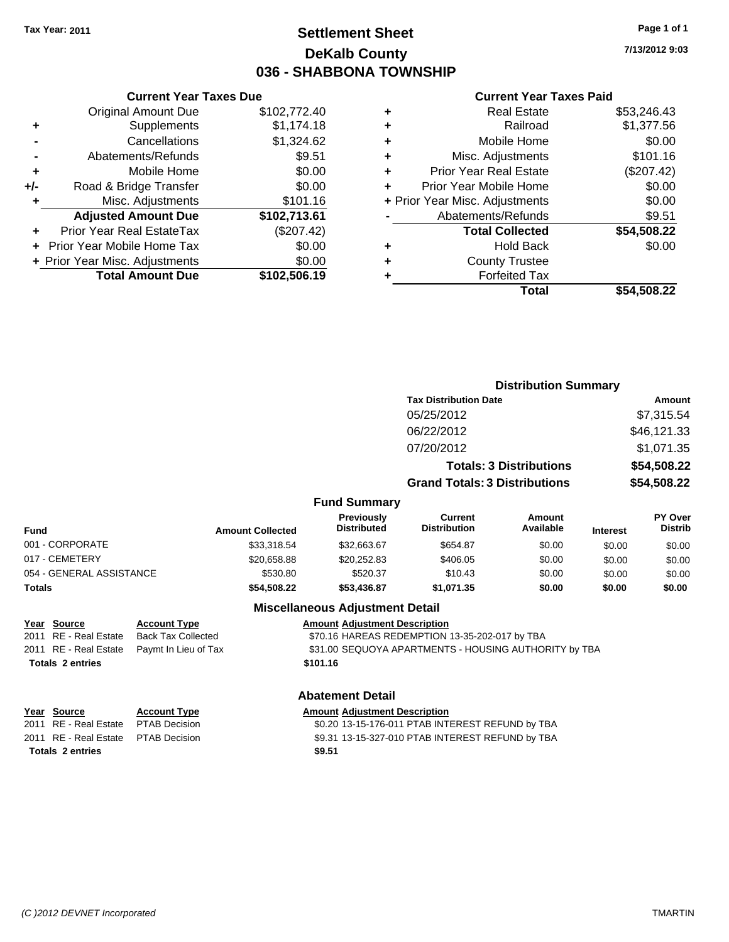# **Settlement Sheet Tax Year: 2011 Page 1 of 1 DeKalb County 036 - SHABBONA TOWNSHIP**

**7/13/2012 9:03**

### **Current Year Taxes Paid**

|   | Total                          | \$54.508.22 |
|---|--------------------------------|-------------|
|   | <b>Forfeited Tax</b>           |             |
| ٠ | <b>County Trustee</b>          |             |
| ٠ | <b>Hold Back</b>               | \$0.00      |
|   | <b>Total Collected</b>         | \$54,508.22 |
|   | Abatements/Refunds             | \$9.51      |
|   | + Prior Year Misc. Adjustments | \$0.00      |
| ÷ | Prior Year Mobile Home         | \$0.00      |
| ٠ | <b>Prior Year Real Estate</b>  | (\$207.42)  |
| ٠ | Misc. Adjustments              | \$101.16    |
| ٠ | Mobile Home                    | \$0.00      |
| ٠ | Railroad                       | \$1,377.56  |
| ٠ | <b>Real Estate</b>             | \$53,246.43 |
|   |                                |             |

|     | <b>Current Year Taxes Due</b>    |              |
|-----|----------------------------------|--------------|
|     | <b>Original Amount Due</b>       | \$102,772.40 |
| ٠   | Supplements                      | \$1,174.18   |
|     | Cancellations                    | \$1,324.62   |
|     | Abatements/Refunds               | \$9.51       |
| ٠   | Mobile Home                      | \$0.00       |
| +/- | Road & Bridge Transfer           | \$0.00       |
| ٠   | Misc. Adjustments                | \$101.16     |
|     | <b>Adjusted Amount Due</b>       | \$102,713.61 |
|     | <b>Prior Year Real EstateTax</b> | (\$207.42)   |
|     | Prior Year Mobile Home Tax       | \$0.00       |
|     | + Prior Year Misc. Adjustments   | \$0.00       |
|     | <b>Total Amount Due</b>          | \$102,506.19 |

|                     | <b>Distribution Summary</b>          |                                |                |
|---------------------|--------------------------------------|--------------------------------|----------------|
|                     | <b>Tax Distribution Date</b>         |                                | Amount         |
|                     | 05/25/2012                           |                                | \$7,315.54     |
|                     | 06/22/2012                           |                                | \$46,121.33    |
|                     | 07/20/2012                           |                                | \$1,071.35     |
|                     |                                      | <b>Totals: 3 Distributions</b> | \$54,508.22    |
|                     | <b>Grand Totals: 3 Distributions</b> |                                | \$54,508.22    |
| <b>Fund Summary</b> |                                      |                                |                |
| <b>Provinuely</b>   | $C$ urront                           | <b>Amount</b>                  | <b>PV Over</b> |

| <b>Fund</b>              | <b>Amount Collected</b> | <b>Previously</b><br><b>Distributed</b> | Current<br><b>Distribution</b> | Amount<br>Available | <b>Interest</b> | <b>PY Over</b><br><b>Distrib</b> |
|--------------------------|-------------------------|-----------------------------------------|--------------------------------|---------------------|-----------------|----------------------------------|
| 001 - CORPORATE          | \$33,318.54             | \$32.663.67                             | \$654.87                       | \$0.00              | \$0.00          | \$0.00                           |
| 017 - CEMETERY           | \$20,658.88             | \$20.252.83                             | \$406.05                       | \$0.00              | \$0.00          | \$0.00                           |
| 054 - GENERAL ASSISTANCE | \$530.80                | \$520.37                                | \$10.43                        | \$0.00              | \$0.00          | \$0.00                           |
| <b>Totals</b>            | \$54.508.22             | \$53,436.87                             | \$1.071.35                     | \$0.00              | \$0.00          | \$0.00                           |

### **Miscellaneous Adjustment Detail**

| Year Source             | <b>Account Type</b>                        | <b>Amount Adjustment Description</b>                  |
|-------------------------|--------------------------------------------|-------------------------------------------------------|
| 2011 RE - Real Estate   | Back Tax Collected                         | \$70.16 HAREAS REDEMPTION 13-35-202-017 by TBA        |
|                         | 2011 RE - Real Estate Paymt In Lieu of Tax | \$31.00 SEQUOYA APARTMENTS - HOUSING AUTHORITY by TBA |
| <b>Totals 2 entries</b> |                                            | \$101.16                                              |

### **Abatement Detail**

| \$0.20 13-15-176-011 PTAB INTEREST REFUND by TBA |
|--------------------------------------------------|
| \$9.31 13-15-327-010 PTAB INTEREST REFUND by TBA |
|                                                  |
|                                                  |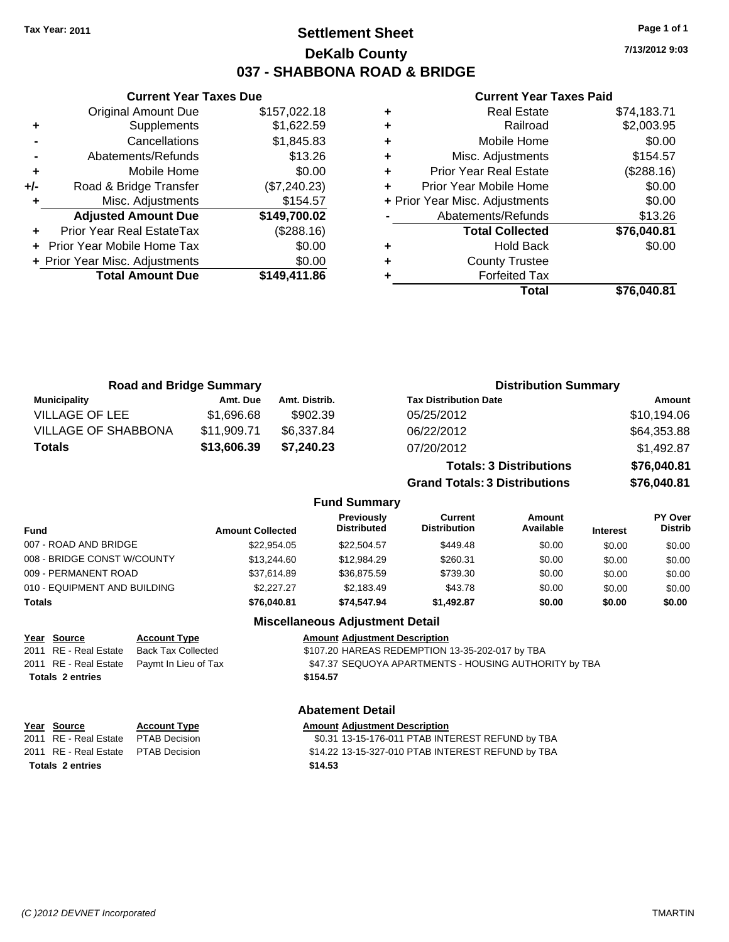# **Settlement Sheet Tax Year: 2011 Page 1 of 1 DeKalb County 037 - SHABBONA ROAD & BRIDGE**

**7/13/2012 9:03**

### **Current Year Taxes Paid**

| ٠ | <b>Real Estate</b>             | \$74,183.71 |
|---|--------------------------------|-------------|
| ٠ | Railroad                       | \$2,003.95  |
| ٠ | Mobile Home                    | \$0.00      |
| ٠ | Misc. Adjustments              | \$154.57    |
| ÷ | <b>Prior Year Real Estate</b>  | (\$288.16)  |
| ÷ | Prior Year Mobile Home         | \$0.00      |
|   | + Prior Year Misc. Adjustments | \$0.00      |
|   | Abatements/Refunds             | \$13.26     |
|   | <b>Total Collected</b>         | \$76,040.81 |
| ٠ | Hold Back                      | \$0.00      |
| ٠ | <b>County Trustee</b>          |             |
| ٠ | <b>Forfeited Tax</b>           |             |
|   | Total                          | \$76,040.81 |

|     | Cancellations                  | \$1,845.83   | ٠       |
|-----|--------------------------------|--------------|---------|
|     | Abatements/Refunds             | \$13.26      | ٠       |
| ÷   | Mobile Home                    | \$0.00       | ٠       |
| +/- | Road & Bridge Transfer         | (\$7,240.23) |         |
|     | Misc. Adjustments              | \$154.57     | + Prior |
|     | <b>Adjusted Amount Due</b>     | \$149,700.02 |         |
|     | Prior Year Real EstateTax      | (\$288.16)   |         |
|     | + Prior Year Mobile Home Tax   | \$0.00       | ٠       |
|     | + Prior Year Misc. Adjustments | \$0.00       | ٠       |
|     | <b>Total Amount Due</b>        | \$149,411.86 |         |
|     |                                |              |         |
|     |                                |              |         |
|     |                                |              |         |

**Current Year Taxes Due** Original Amount Due \$157,022.18

**+** Supplements \$1,622.59

| <b>Road and Bridge Summary</b> |                         |               |                                         | <b>Distribution Summary</b>           |                                |                 |                           |
|--------------------------------|-------------------------|---------------|-----------------------------------------|---------------------------------------|--------------------------------|-----------------|---------------------------|
| <b>Municipality</b>            | Amt. Due                | Amt. Distrib. |                                         | <b>Tax Distribution Date</b>          |                                |                 | Amount                    |
| <b>VILLAGE OF LEE</b>          | \$1,696.68              | \$902.39      |                                         | 05/25/2012                            |                                |                 | \$10,194.06               |
| <b>VILLAGE OF SHABBONA</b>     | \$11,909.71             | \$6,337.84    |                                         | 06/22/2012                            |                                |                 | \$64,353.88               |
| <b>Totals</b>                  | \$13,606.39             | \$7,240.23    |                                         | 07/20/2012                            |                                |                 | \$1,492.87                |
|                                |                         |               |                                         |                                       | <b>Totals: 3 Distributions</b> |                 | \$76,040.81               |
|                                |                         |               |                                         | <b>Grand Totals: 3 Distributions</b>  |                                |                 | \$76,040.81               |
|                                |                         |               | <b>Fund Summary</b>                     |                                       |                                |                 |                           |
| und                            | <b>Amount Collected</b> |               | <b>Previously</b><br><b>Distributed</b> | <b>Current</b><br><b>Distribution</b> | Amount<br>Available            | <b>Interest</b> | PY Over<br><b>Distrib</b> |
| $\sqrt{7}$ DOAD AND DDIDOF     |                         | 0.0000000000  |                                         | 0.110                                 | 0000                           | 0.00            | $\sim$ $\sim$             |

| Fund                         | <b>Amount Collected</b> | .<br><b>Distributed</b> | --------<br><b>Distribution</b> | .<br>Available | <b>Interest</b> | <b>Distrib</b> |
|------------------------------|-------------------------|-------------------------|---------------------------------|----------------|-----------------|----------------|
| 007 - ROAD AND BRIDGE        | \$22,954.05             | \$22,504.57             | \$449.48                        | \$0.00         | \$0.00          | \$0.00         |
| 008 - BRIDGE CONST W/COUNTY  | \$13,244.60             | \$12,984.29             | \$260.31                        | \$0.00         | \$0.00          | \$0.00         |
| 009 - PERMANENT ROAD         | \$37.614.89             | \$36,875.59             | \$739.30                        | \$0.00         | \$0.00          | \$0.00         |
| 010 - EQUIPMENT AND BUILDING | \$2,227.27              | \$2.183.49              | \$43.78                         | \$0.00         | \$0.00          | \$0.00         |
| Totals                       | \$76,040.81             | \$74.547.94             | \$1.492.87                      | \$0.00         | \$0.00          | \$0.00         |
|                              |                         |                         |                                 |                |                 |                |

## **Miscellaneous Adjustment Detail**

| <u>Year Source</u>      | <b>Account Type</b>                        | <b>Amount Adjustment Description</b>                  |
|-------------------------|--------------------------------------------|-------------------------------------------------------|
| 2011 RE - Real Estate   | Back Tax Collected                         | \$107.20 HAREAS REDEMPTION 13-35-202-017 by TBA       |
|                         | 2011 RE - Real Estate Paymt In Lieu of Tax | \$47.37 SEQUOYA APARTMENTS - HOUSING AUTHORITY by TBA |
| <b>Totals 2 entries</b> |                                            | \$154.57                                              |
|                         |                                            |                                                       |

| Year Source                         | <b>Account Type</b> | Amount  |
|-------------------------------------|---------------------|---------|
| 2011 RE - Real Estate PTAB Decision |                     | \$0.31  |
| 2011 RE - Real Estate PTAB Decision |                     | \$14.22 |
| <b>Totals 2 entries</b>             |                     | \$14.53 |

### **Abatement Detail**

**Year Source Account Type Amount Adjustment Description** 2012 80.31 13-15-176-011 PTAB INTEREST REFUND by TBA 2012 814.22 13-15-327-010 PTAB INTEREST REFUND by TBA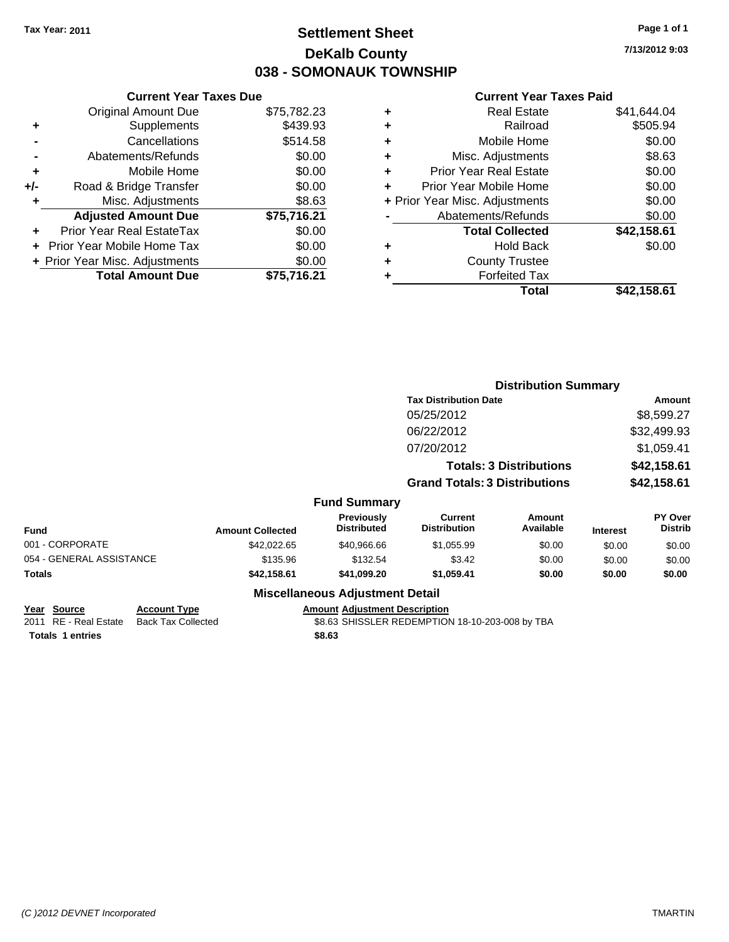# **Settlement Sheet Tax Year: 2011 Page 1 of 1 DeKalb County 038 - SOMONAUK TOWNSHIP**

**7/13/2012 9:03**

### **Current Year Taxes Paid**

| <b>Original Amount Due</b>        | \$75,782.23                   |
|-----------------------------------|-------------------------------|
| Supplements                       | \$439.93                      |
| Cancellations                     | \$514.58                      |
| Abatements/Refunds                | \$0.00                        |
| Mobile Home                       | \$0.00                        |
| Road & Bridge Transfer            | \$0.00                        |
| Misc. Adjustments                 | \$8.63                        |
| <b>Adjusted Amount Due</b>        | \$75,716.21                   |
| Prior Year Real EstateTax         | \$0.00                        |
| <b>Prior Year Mobile Home Tax</b> | \$0.00                        |
| + Prior Year Misc. Adjustments    | \$0.00                        |
| <b>Total Amount Due</b>           | \$75.716.21                   |
|                                   | <b>Current Year Taxes Due</b> |

| ٠ | <b>Real Estate</b>             | \$41,644.04 |
|---|--------------------------------|-------------|
| ٠ | Railroad                       | \$505.94    |
| ٠ | Mobile Home                    | \$0.00      |
| ٠ | Misc. Adjustments              | \$8.63      |
| ÷ | <b>Prior Year Real Estate</b>  | \$0.00      |
| ÷ | Prior Year Mobile Home         | \$0.00      |
|   | + Prior Year Misc. Adjustments | \$0.00      |
|   | Abatements/Refunds             | \$0.00      |
|   | <b>Total Collected</b>         | \$42,158.61 |
| ٠ | <b>Hold Back</b>               | \$0.00      |
| ٠ | <b>County Trustee</b>          |             |
| ٠ | <b>Forfeited Tax</b>           |             |
|   | Total                          | \$42,158.61 |
|   |                                |             |

|                          |                         |                                  | <b>Distribution Summary</b>           |                                |                 |                           |
|--------------------------|-------------------------|----------------------------------|---------------------------------------|--------------------------------|-----------------|---------------------------|
|                          |                         |                                  | <b>Tax Distribution Date</b>          |                                |                 | Amount                    |
|                          |                         |                                  | 05/25/2012                            |                                |                 | \$8,599.27                |
|                          |                         |                                  | 06/22/2012                            |                                |                 | \$32,499.93               |
|                          |                         |                                  | 07/20/2012                            |                                |                 | \$1,059.41                |
|                          |                         |                                  |                                       | <b>Totals: 3 Distributions</b> |                 | \$42,158.61               |
|                          |                         |                                  | <b>Grand Totals: 3 Distributions</b>  |                                |                 | \$42,158.61               |
|                          |                         | <b>Fund Summary</b>              |                                       |                                |                 |                           |
| <b>Fund</b>              | <b>Amount Collected</b> | Previously<br><b>Distributed</b> | <b>Current</b><br><b>Distribution</b> | Amount<br>Available            | <b>Interest</b> | PY Over<br><b>Distrib</b> |
| 001 - CORPORATE          | \$42,022.65             | \$40,966.66                      | \$1,055.99                            | \$0.00                         | \$0.00          | \$0.00                    |
| 054 - GENERAL ASSISTANCE | \$135.96                | \$132.54                         | \$3.42                                | \$0.00                         | \$0.00          | \$0.00                    |
| Totals                   | \$42,158.61             | \$41,099.20                      | \$1,059.41                            | \$0.00                         | \$0.00          | \$0.00                    |
|                          |                         |                                  |                                       |                                |                 |                           |

### **Miscellaneous Adjustment Detail**

**Year Source Account Type Amount Adjustment Description Totals \$8.63 1 entries**

\$8.63 SHISSLER REDEMPTION 18-10-203-008 by TBA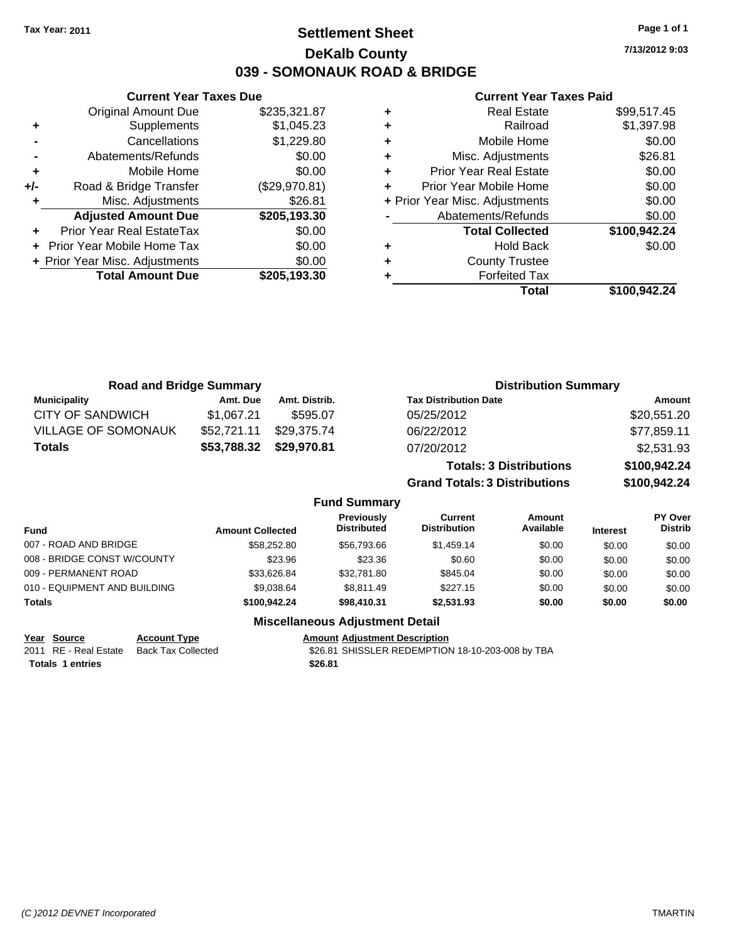**Settlement Sheet Tax Year: 2011 Page 1 of 1 DeKalb County 039 - SOMONAUK ROAD & BRIDGE**

|     | <b>Current Year Taxes Due</b>    |               |
|-----|----------------------------------|---------------|
|     | <b>Original Amount Due</b>       | \$235,321.87  |
| ٠   | Supplements                      | \$1,045.23    |
|     | Cancellations                    | \$1,229.80    |
|     | Abatements/Refunds               | \$0.00        |
| ٠   | Mobile Home                      | \$0.00        |
| +/- | Road & Bridge Transfer           | (\$29,970.81) |
|     | Misc. Adjustments                | \$26.81       |
|     | <b>Adjusted Amount Due</b>       | \$205,193.30  |
|     | <b>Prior Year Real EstateTax</b> | \$0.00        |
|     | Prior Year Mobile Home Tax       | \$0.00        |
|     | + Prior Year Misc. Adjustments   | \$0.00        |
|     | <b>Total Amount Due</b>          | \$205,193,30  |

### **Current Year Taxes Paid**

|   | <b>Real Estate</b>             | \$99,517.45  |
|---|--------------------------------|--------------|
| ٠ | Railroad                       | \$1,397.98   |
| ٠ | Mobile Home                    | \$0.00       |
| ٠ | Misc. Adjustments              | \$26.81      |
| ٠ | <b>Prior Year Real Estate</b>  | \$0.00       |
|   | Prior Year Mobile Home         | \$0.00       |
|   | + Prior Year Misc. Adjustments | \$0.00       |
|   | Abatements/Refunds             | \$0.00       |
|   | <b>Total Collected</b>         | \$100,942.24 |
| ٠ | <b>Hold Back</b>               | \$0.00       |
| ٠ | <b>County Trustee</b>          |              |
|   | <b>Forfeited Tax</b>           |              |
|   | Total                          | \$100,942.24 |
|   |                                |              |

| <b>Road and Bridge Summary</b> |             |               | <b>Distribution Summary</b>          |              |
|--------------------------------|-------------|---------------|--------------------------------------|--------------|
| <b>Municipality</b>            | Amt. Due    | Amt. Distrib. | <b>Tax Distribution Date</b>         | Amount       |
| <b>CITY OF SANDWICH</b>        | \$1,067.21  | \$595.07      | 05/25/2012                           | \$20,551.20  |
| <b>VILLAGE OF SOMONAUK</b>     | \$52,721.11 | \$29.375.74   | 06/22/2012                           | \$77,859.11  |
| <b>Totals</b>                  | \$53,788.32 | \$29,970.81   | 07/20/2012                           | \$2,531.93   |
|                                |             |               | <b>Totals: 3 Distributions</b>       | \$100,942.24 |
|                                |             |               | <b>Grand Totals: 3 Distributions</b> | \$100,942.24 |

### **Fund Summary**

| Fund                         | <b>Amount Collected</b> | Previously<br><b>Distributed</b> | Current<br><b>Distribution</b> | Amount<br>Available | <b>Interest</b> | <b>PY Over</b><br><b>Distrib</b> |
|------------------------------|-------------------------|----------------------------------|--------------------------------|---------------------|-----------------|----------------------------------|
| 007 - ROAD AND BRIDGE        | \$58,252.80             | \$56,793,66                      | \$1,459.14                     | \$0.00              | \$0.00          | \$0.00                           |
| 008 - BRIDGE CONST W/COUNTY  | \$23.96                 | \$23.36                          | \$0.60                         | \$0.00              | \$0.00          | \$0.00                           |
| 009 - PERMANENT ROAD         | \$33.626.84             | \$32,781.80                      | \$845.04                       | \$0.00              | \$0.00          | \$0.00                           |
| 010 - EQUIPMENT AND BUILDING | \$9.038.64              | \$8.811.49                       | \$227.15                       | \$0.00              | \$0.00          | \$0.00                           |
| Totals                       | \$100,942,24            | \$98,410.31                      | \$2,531.93                     | \$0.00              | \$0.00          | \$0.00                           |

### **Miscellaneous Adjustment Detail**

**Year Source Account Type Amount Adjustment Description**

2011 RE - Real Estate Back Tax Collected \$26.81 SHISSLER REDEMPTION 18-10-203-008 by TBA **Totals \$26.81 1 entries**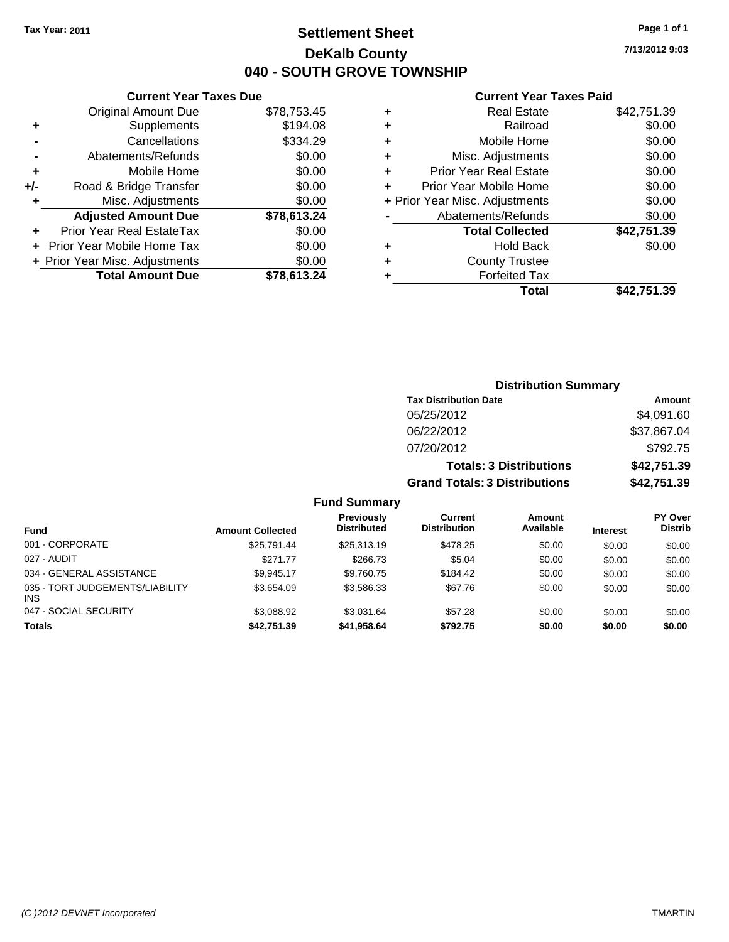**Current Year Taxes Due** Original Amount Due \$78,753.45

**Adjusted Amount Due \$78,613.24**

**Total Amount Due \$78,613.24**

**+** Supplements \$194.08 **-** Cancellations \$334.29 **-** Abatements/Refunds \$0.00 **+** Mobile Home \$0.00 **+/-** Road & Bridge Transfer \$0.00 **+** Misc. Adjustments \$0.00

**+** Prior Year Real EstateTax \$0.00 **+** Prior Year Mobile Home Tax \$0.00 **+ Prior Year Misc. Adjustments**  $$0.00$ 

# **Settlement Sheet Tax Year: 2011 Page 1 of 1 DeKalb County 040 - SOUTH GROVE TOWNSHIP**

**7/13/2012 9:03**

### **Current Year Taxes Paid**

|   | Total                          | \$42,751.39 |
|---|--------------------------------|-------------|
|   | <b>Forfeited Tax</b>           |             |
| ٠ | <b>County Trustee</b>          |             |
| ٠ | <b>Hold Back</b>               | \$0.00      |
|   | <b>Total Collected</b>         | \$42,751.39 |
|   | Abatements/Refunds             | \$0.00      |
|   | + Prior Year Misc. Adjustments | \$0.00      |
|   | Prior Year Mobile Home         | \$0.00      |
| ٠ | <b>Prior Year Real Estate</b>  | \$0.00      |
| ٠ | Misc. Adjustments              | \$0.00      |
| ٠ | Mobile Home                    | \$0.00      |
| ٠ | Railroad                       | \$0.00      |
| ٠ | <b>Real Estate</b>             | \$42,751.39 |

|                                               |                         |                                         |                                       | <b>Distribution Summary</b>    |                 |                                  |
|-----------------------------------------------|-------------------------|-----------------------------------------|---------------------------------------|--------------------------------|-----------------|----------------------------------|
|                                               |                         |                                         | <b>Tax Distribution Date</b>          |                                |                 | Amount                           |
|                                               |                         |                                         | 05/25/2012                            |                                |                 | \$4,091.60                       |
|                                               |                         |                                         | 06/22/2012                            |                                |                 | \$37,867.04                      |
|                                               |                         |                                         | 07/20/2012                            |                                |                 | \$792.75                         |
|                                               |                         |                                         |                                       | <b>Totals: 3 Distributions</b> |                 | \$42,751.39                      |
|                                               |                         |                                         | <b>Grand Totals: 3 Distributions</b>  |                                |                 | \$42,751.39                      |
|                                               |                         | <b>Fund Summary</b>                     |                                       |                                |                 |                                  |
| <b>Fund</b>                                   | <b>Amount Collected</b> | <b>Previously</b><br><b>Distributed</b> | <b>Current</b><br><b>Distribution</b> | Amount<br>Available            | <b>Interest</b> | <b>PY Over</b><br><b>Distrib</b> |
| 001 - CORPORATE                               | \$25,791.44             | \$25,313.19                             | \$478.25                              | \$0.00                         | \$0.00          | \$0.00                           |
| 027 - AUDIT                                   | \$271.77                | \$266.73                                | \$5.04                                | \$0.00                         | \$0.00          | \$0.00                           |
| 034 - GENERAL ASSISTANCE                      | \$9,945.17              | \$9,760.75                              | \$184.42                              | \$0.00                         | \$0.00          | \$0.00                           |
| 035 - TORT JUDGEMENTS/LIABILITY<br><b>INS</b> | \$3,654.09              | \$3,586.33                              | \$67.76                               | \$0.00                         | \$0.00          | \$0.00                           |
| 047 - SOCIAL SECURITY                         | \$3,088.92              | \$3,031.64                              | \$57.28                               | \$0.00                         | \$0.00          | \$0.00                           |

**Totals \$42,751.39 \$41,958.64 \$792.75 \$0.00 \$0.00 \$0.00**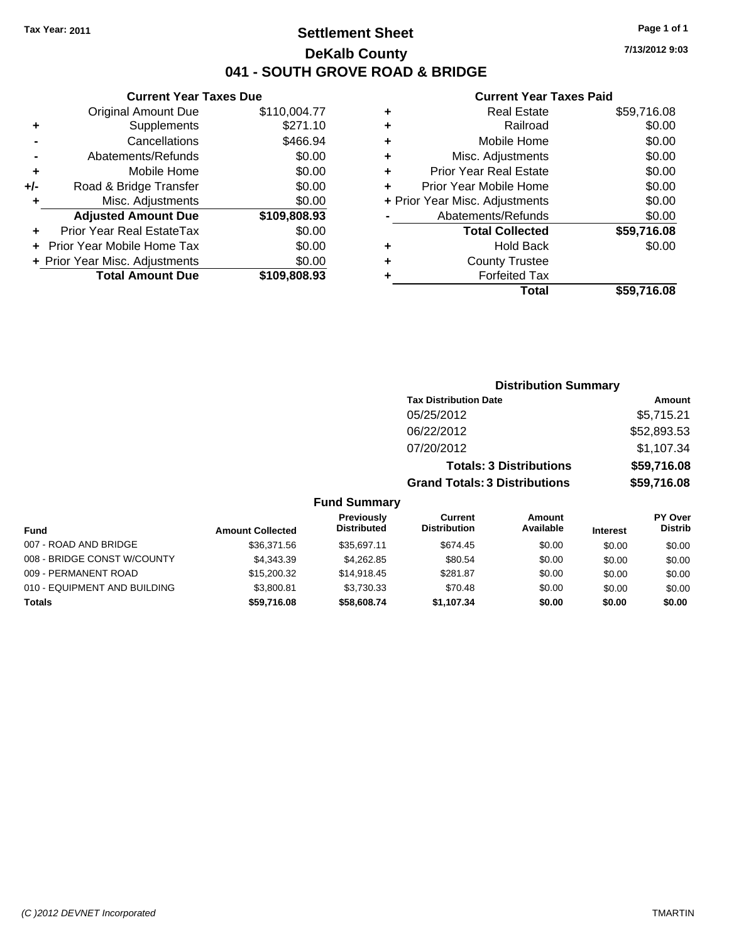# **Settlement Sheet Tax Year: 2011 Page 1 of 1 DeKalb County 041 - SOUTH GROVE ROAD & BRIDGE**

### **Current Year Taxes Due**

|     | <b>Original Amount Due</b>       | \$110,004.77 |
|-----|----------------------------------|--------------|
| ٠   | Supplements                      | \$271.10     |
|     | Cancellations                    | \$466.94     |
|     | Abatements/Refunds               | \$0.00       |
| ٠   | Mobile Home                      | \$0.00       |
| +/- | Road & Bridge Transfer           | \$0.00       |
| ٠   | Misc. Adjustments                | \$0.00       |
|     | <b>Adjusted Amount Due</b>       | \$109,808.93 |
|     | <b>Prior Year Real EstateTax</b> | \$0.00       |
|     | Prior Year Mobile Home Tax       | \$0.00       |
|     |                                  |              |
|     | + Prior Year Misc. Adjustments   | \$0.00       |
|     | <b>Total Amount Due</b>          | \$109,808.93 |

### **Current Year Taxes Paid**

|   | <b>Real Estate</b>             | \$59,716.08 |
|---|--------------------------------|-------------|
| ٠ | Railroad                       | \$0.00      |
| ÷ | Mobile Home                    | \$0.00      |
| ٠ | Misc. Adjustments              | \$0.00      |
| ٠ | <b>Prior Year Real Estate</b>  | \$0.00      |
|   | Prior Year Mobile Home         | \$0.00      |
|   | + Prior Year Misc. Adjustments | \$0.00      |
|   | Abatements/Refunds             | \$0.00      |
|   | <b>Total Collected</b>         | \$59,716.08 |
| ٠ | Hold Back                      | \$0.00      |
|   | <b>County Trustee</b>          |             |
|   | <b>Forfeited Tax</b>           |             |
|   | <b>Total</b>                   | \$59,716.08 |
|   |                                |             |

|                     | <b>Distribution Summary</b>          |             |
|---------------------|--------------------------------------|-------------|
|                     | <b>Tax Distribution Date</b>         | Amount      |
|                     | 05/25/2012                           | \$5,715.21  |
|                     | 06/22/2012                           | \$52,893.53 |
|                     | 07/20/2012                           | \$1,107.34  |
|                     | <b>Totals: 3 Distributions</b>       | \$59,716.08 |
|                     | <b>Grand Totals: 3 Distributions</b> | \$59,716.08 |
| <b>Fund Summary</b> |                                      |             |

| Fund                         | <b>Amount Collected</b> | Previously<br><b>Distributed</b> | Current<br><b>Distribution</b> | Amount<br>Available | <b>Interest</b> | PY Over<br><b>Distrib</b> |
|------------------------------|-------------------------|----------------------------------|--------------------------------|---------------------|-----------------|---------------------------|
| 007 - ROAD AND BRIDGE        | \$36,371.56             | \$35.697.11                      | \$674.45                       | \$0.00              | \$0.00          | \$0.00                    |
| 008 - BRIDGE CONST W/COUNTY  | \$4.343.39              | \$4.262.85                       | \$80.54                        | \$0.00              | \$0.00          | \$0.00                    |
| 009 - PERMANENT ROAD         | \$15,200.32             | \$14,918.45                      | \$281.87                       | \$0.00              | \$0.00          | \$0.00                    |
| 010 - EQUIPMENT AND BUILDING | \$3.800.81              | \$3.730.33                       | \$70.48                        | \$0.00              | \$0.00          | \$0.00                    |
| <b>Totals</b>                | \$59,716.08             | \$58,608.74                      | \$1,107.34                     | \$0.00              | \$0.00          | \$0.00                    |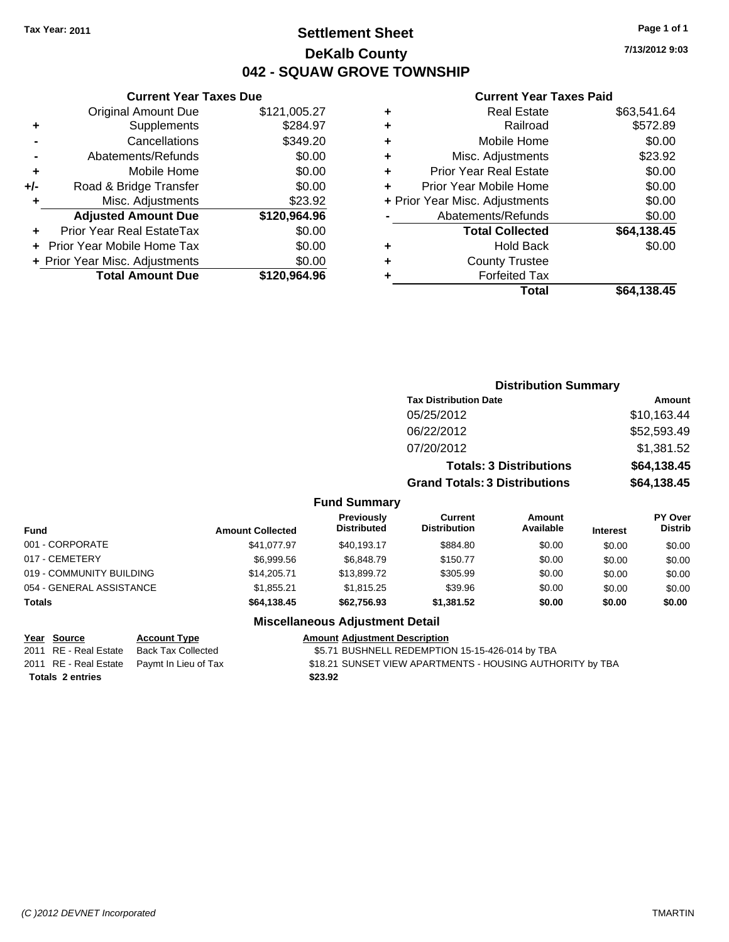**+** Supplements **-** Cancellations **-** Abatements/Refunds **+** Mobile Home **+/-** Road & Bridge Transfer **+** Misc. Adjustments

**+** Prior Year Real EstateTax **+** Prior Year Mobile Home Tax \$0.00 **+ Prior Year Misc. Adjustments** 

# **Settlement Sheet Tax Year: 2011 Page 1 of 1 DeKalb County 042 - SQUAW GROVE TOWNSHIP**

**7/13/2012 9:03**

### **Current Year Taxes Paid**

| <b>Original Amount Due</b> | \$121,005.27 | ٠ | <b>Real Estate</b>             | \$63,541.64 |
|----------------------------|--------------|---|--------------------------------|-------------|
| Supplements                | \$284.97     | ٠ | Railroad                       | \$572.89    |
| Cancellations              | \$349.20     | ٠ | Mobile Home                    | \$0.00      |
| Abatements/Refunds         | \$0.00       | ٠ | Misc. Adjustments              | \$23.92     |
| Mobile Home                | \$0.00       | ÷ | <b>Prior Year Real Estate</b>  | \$0.00      |
| Road & Bridge Transfer     | \$0.00       | ÷ | Prior Year Mobile Home         | \$0.00      |
| Misc. Adjustments          | \$23.92      |   | + Prior Year Misc. Adjustments | \$0.00      |
| <b>Adjusted Amount Due</b> | \$120,964.96 |   | Abatements/Refunds             | \$0.00      |
| ior Year Real EstateTax    | \$0.00       |   | <b>Total Collected</b>         | \$64,138.45 |
| r Year Mobile Home Tax     | \$0.00       | ٠ | <b>Hold Back</b>               | \$0.00      |
| Year Misc. Adjustments     | \$0.00       | ٠ | <b>County Trustee</b>          |             |
| <b>Total Amount Due</b>    | \$120,964.96 |   | <b>Forfeited Tax</b>           |             |
|                            |              |   | Total                          | \$64,138.45 |

|                          |                         | <b>Distribution Summary</b>             |                                       |                                |                 |                           |
|--------------------------|-------------------------|-----------------------------------------|---------------------------------------|--------------------------------|-----------------|---------------------------|
|                          |                         |                                         | <b>Tax Distribution Date</b>          |                                |                 | Amount                    |
|                          |                         |                                         | 05/25/2012                            |                                |                 | \$10,163.44               |
|                          |                         |                                         | 06/22/2012                            |                                |                 | \$52,593.49               |
|                          |                         |                                         | 07/20/2012                            |                                |                 | \$1,381.52                |
|                          |                         |                                         |                                       | <b>Totals: 3 Distributions</b> |                 | \$64,138.45               |
|                          |                         | <b>Grand Totals: 3 Distributions</b>    | \$64,138.45                           |                                |                 |                           |
|                          |                         | <b>Fund Summary</b>                     |                                       |                                |                 |                           |
| <b>Fund</b>              | <b>Amount Collected</b> | <b>Previously</b><br><b>Distributed</b> | <b>Current</b><br><b>Distribution</b> | Amount<br>Available            | <b>Interest</b> | PY Over<br><b>Distrib</b> |
| 001 - CORPORATE          | \$41.077.97             | \$40,193.17                             | \$884.80                              | \$0.00                         | \$0.00          | \$0.00                    |
| 017 - CEMETERY           | \$6,999.56              | \$6,848.79                              | \$150.77                              | \$0.00                         | \$0.00          | \$0.00                    |
| 019 - COMMUNITY BUILDING | \$14,205.71             | \$13,899.72                             | \$305.99                              | \$0.00                         | \$0.00          | \$0.00                    |
| 054 - GENERAL ASSISTANCE | \$1,855.21              | \$1,815.25                              | \$39.96                               | \$0.00                         | \$0.00          | \$0.00                    |

**Totals \$64,138.45 \$62,756.93 \$1,381.52 \$0.00 \$0.00 \$0.00**

**Totals \$23.92 2 entries**

**Current Year Taxes Due**

### **Miscellaneous Adjustment Detail Year Source Account Type Amount Adjustment Description**

2011 RE - Real Estate Back Tax Collected \$5.71 BUSHNELL REDEMPTION 15-15-426-014 by TBA

2011 RE - Real Estate Paymt In Lieu of Tax St8.21 SUNSET VIEW APARTMENTS - HOUSING AUTHORITY by TBA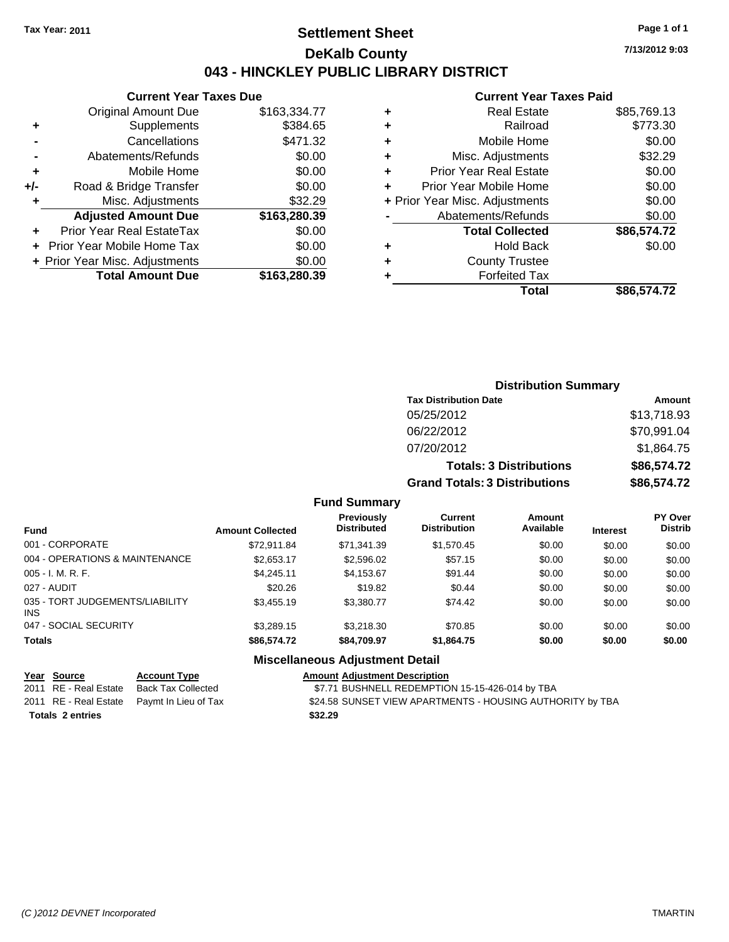# **Settlement Sheet Tax Year: 2011 Page 1 of 1 DeKalb County 043 - HINCKLEY PUBLIC LIBRARY DISTRICT**

**7/13/2012 9:03**

|     | <b>Current Year Taxes Due</b>  |              |
|-----|--------------------------------|--------------|
|     | <b>Original Amount Due</b>     | \$163,334.77 |
| ٠   | Supplements                    | \$384.65     |
|     | Cancellations                  | \$471.32     |
|     | Abatements/Refunds             | \$0.00       |
| ٠   | Mobile Home                    | \$0.00       |
| +/- | Road & Bridge Transfer         | \$0.00       |
| ٠   | Misc. Adjustments              | \$32.29      |
|     | <b>Adjusted Amount Due</b>     | \$163,280.39 |
|     | Prior Year Real EstateTax      | \$0.00       |
|     | Prior Year Mobile Home Tax     | \$0.00       |
|     | + Prior Year Misc. Adjustments | \$0.00       |
|     | <b>Total Amount Due</b>        | \$163,280.39 |
|     |                                |              |

### **Current Year Taxes Paid**

|   | <b>Real Estate</b>             | \$85,769.13 |
|---|--------------------------------|-------------|
| ÷ | Railroad                       | \$773.30    |
| ÷ | Mobile Home                    | \$0.00      |
| ٠ | Misc. Adjustments              | \$32.29     |
| ٠ | <b>Prior Year Real Estate</b>  | \$0.00      |
|   | Prior Year Mobile Home         | \$0.00      |
|   | + Prior Year Misc. Adjustments | \$0.00      |
|   | Abatements/Refunds             | \$0.00      |
|   | <b>Total Collected</b>         | \$86,574.72 |
| ٠ | <b>Hold Back</b>               | \$0.00      |
| ٠ | <b>County Trustee</b>          |             |
| ٠ | <b>Forfeited Tax</b>           |             |
|   | Total                          | \$86,574.72 |
|   |                                |             |

## **Distribution Summary Tax Distribution Date Amount** 05/25/2012 \$13,718.93 06/22/2012 \$70,991.04 07/20/2012 \$1,864.75 **Totals: 3 Distributions \$86,574.72 Grand Totals: 3 Distributions \$86,574.72**

### **Fund Summary**

| <b>Fund</b>                                   | <b>Amount Collected</b> | <b>Previously</b><br><b>Distributed</b> | Current<br><b>Distribution</b> | Amount<br>Available | <b>Interest</b> | <b>PY Over</b><br><b>Distrib</b> |
|-----------------------------------------------|-------------------------|-----------------------------------------|--------------------------------|---------------------|-----------------|----------------------------------|
| 001 - CORPORATE                               | \$72.911.84             | \$71,341.39                             | \$1,570.45                     | \$0.00              | \$0.00          | \$0.00                           |
| 004 - OPERATIONS & MAINTENANCE                | \$2,653.17              | \$2,596.02                              | \$57.15                        | \$0.00              | \$0.00          | \$0.00                           |
| $005 - I. M. R. F.$                           | \$4.245.11              | \$4,153.67                              | \$91.44                        | \$0.00              | \$0.00          | \$0.00                           |
| 027 - AUDIT                                   | \$20.26                 | \$19.82                                 | \$0.44                         | \$0.00              | \$0.00          | \$0.00                           |
| 035 - TORT JUDGEMENTS/LIABILITY<br><b>INS</b> | \$3,455.19              | \$3,380,77                              | \$74.42                        | \$0.00              | \$0.00          | \$0.00                           |
| 047 - SOCIAL SECURITY                         | \$3,289.15              | \$3,218,30                              | \$70.85                        | \$0.00              | \$0.00          | \$0.00                           |
| <b>Totals</b>                                 | \$86,574.72             | \$84.709.97                             | \$1,864.75                     | \$0.00              | \$0.00          | \$0.00                           |

### **Miscellaneous Adjustment Detail**

### **Year Source Account Type Amount Adjustment Description**

2011 RE - Real Estate Back Tax Collected \$7.71 BUSHNELL REDEMPTION 15-15-426-014 by TBA 2011 RE - Real Estate Paymt In Lieu of Tax S24.58 SUNSET VIEW APARTMENTS - HOUSING AUTHORITY by TBA **Totals \$32.29 2 entries**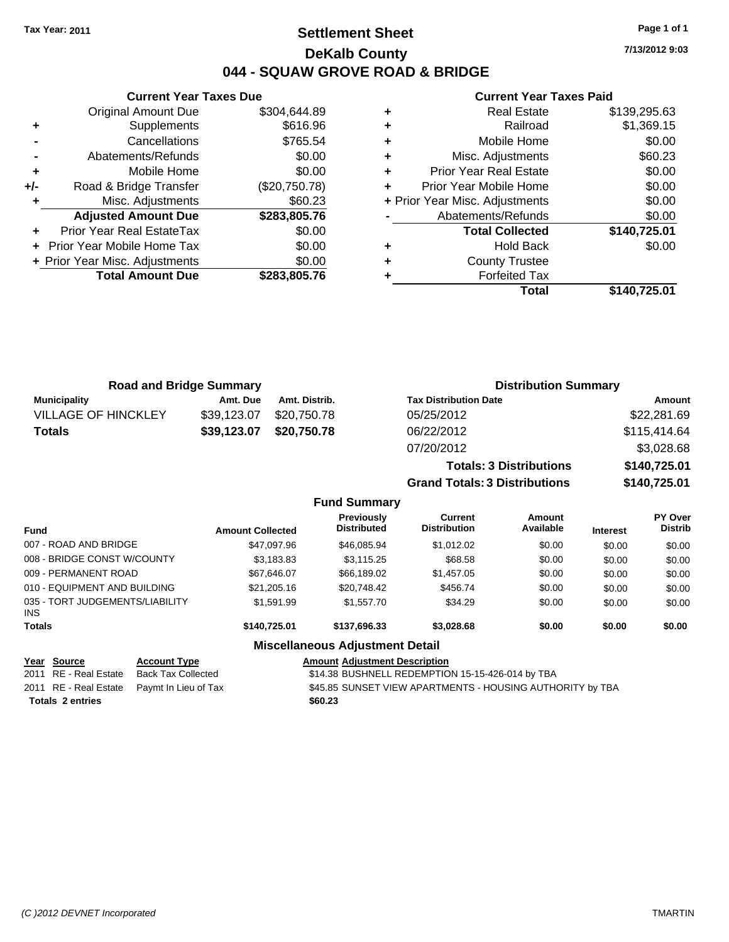# **Settlement Sheet Tax Year: 2011 Page 1 of 1 DeKalb County 044 - SQUAW GROVE ROAD & BRIDGE**

**7/13/2012 9:03**

### **Current Year Taxes Paid**

|     | <b>Current Year Taxes Due</b>  |               |
|-----|--------------------------------|---------------|
|     | <b>Original Amount Due</b>     | \$304,644.89  |
| ٠   | Supplements                    | \$616.96      |
|     | Cancellations                  | \$765.54      |
|     | Abatements/Refunds             | \$0.00        |
| ٠   | Mobile Home                    | \$0.00        |
| +/- | Road & Bridge Transfer         | (\$20,750.78) |
|     | Misc. Adjustments              | \$60.23       |
|     | <b>Adjusted Amount Due</b>     | \$283,805.76  |
|     | Prior Year Real EstateTax      | \$0.00        |
|     | Prior Year Mobile Home Tax     | \$0.00        |
|     | + Prior Year Misc. Adjustments | \$0.00        |
|     | <b>Total Amount Due</b>        | \$283,805,76  |
|     |                                |               |

|   | <b>Real Estate</b>             | \$139,295.63 |
|---|--------------------------------|--------------|
| ٠ | Railroad                       | \$1,369.15   |
| ٠ | Mobile Home                    | \$0.00       |
| ٠ | Misc. Adjustments              | \$60.23      |
| ٠ | <b>Prior Year Real Estate</b>  | \$0.00       |
|   | Prior Year Mobile Home         | \$0.00       |
|   | + Prior Year Misc. Adjustments | \$0.00       |
|   | Abatements/Refunds             | \$0.00       |
|   | <b>Total Collected</b>         | \$140,725.01 |
|   | <b>Hold Back</b>               | \$0.00       |
| ٠ | <b>County Trustee</b>          |              |
|   | <b>Forfeited Tax</b>           |              |
|   | Total                          | \$140.725.01 |

| <b>Road and Bridge Summary</b> |             |               | <b>Distribution Summary</b>    |              |  |
|--------------------------------|-------------|---------------|--------------------------------|--------------|--|
| <b>Municipality</b>            | Amt. Due    | Amt. Distrib. | <b>Tax Distribution Date</b>   | Amount       |  |
| <b>VILLAGE OF HINCKLEY</b>     | \$39,123.07 | \$20,750.78   | 05/25/2012                     | \$22,281.69  |  |
| Totals                         | \$39,123.07 | \$20,750.78   | 06/22/2012                     | \$115,414.64 |  |
|                                |             |               | 07/20/2012                     | \$3,028.68   |  |
|                                |             |               | <b>Totals: 3 Distributions</b> | \$140,725.01 |  |

**Grand Totals: 3 Distributions \$140,725.01**

|  |  | <b>Fund Summary</b> |
|--|--|---------------------|
|--|--|---------------------|

| <b>Fund</b>                                   | <b>Amount Collected</b> | <b>Previously</b><br><b>Distributed</b> | Current<br><b>Distribution</b> | Amount<br>Available | <b>Interest</b> | <b>PY Over</b><br><b>Distrib</b> |
|-----------------------------------------------|-------------------------|-----------------------------------------|--------------------------------|---------------------|-----------------|----------------------------------|
| 007 - ROAD AND BRIDGE                         | \$47,097.96             | \$46,085.94                             | \$1,012.02                     | \$0.00              | \$0.00          | \$0.00                           |
| 008 - BRIDGE CONST W/COUNTY                   | \$3,183.83              | \$3.115.25                              | \$68.58                        | \$0.00              | \$0.00          | \$0.00                           |
| 009 - PERMANENT ROAD                          | \$67,646.07             | \$66,189.02                             | \$1,457.05                     | \$0.00              | \$0.00          | \$0.00                           |
| 010 - EQUIPMENT AND BUILDING                  | \$21,205.16             | \$20,748.42                             | \$456.74                       | \$0.00              | \$0.00          | \$0.00                           |
| 035 - TORT JUDGEMENTS/LIABILITY<br><b>INS</b> | \$1.591.99              | \$1,557.70                              | \$34.29                        | \$0.00              | \$0.00          | \$0.00                           |
| <b>Totals</b>                                 | \$140.725.01            | \$137,696,33                            | \$3,028,68                     | \$0.00              | \$0.00          | \$0.00                           |
|                                               |                         | Miscellaneous Adjustment Detail         |                                |                     |                 |                                  |

### **Miscellaneous Adjustment Detail**

|                         | Year Source           | <b>Account Type</b>                        | <b>Amount Adiustment Description</b>                      |
|-------------------------|-----------------------|--------------------------------------------|-----------------------------------------------------------|
|                         | 2011 RE - Real Estate | Back Tax Collected                         | \$14.38 BUSHNELL REDEMPTION 15-15-426-014 by TBA          |
|                         |                       | 2011 RE - Real Estate Paymt In Lieu of Tax | \$45.85 SUNSET VIEW APARTMENTS - HOUSING AUTHORITY by TBA |
| <b>Totals 2 entries</b> |                       |                                            | \$60.23                                                   |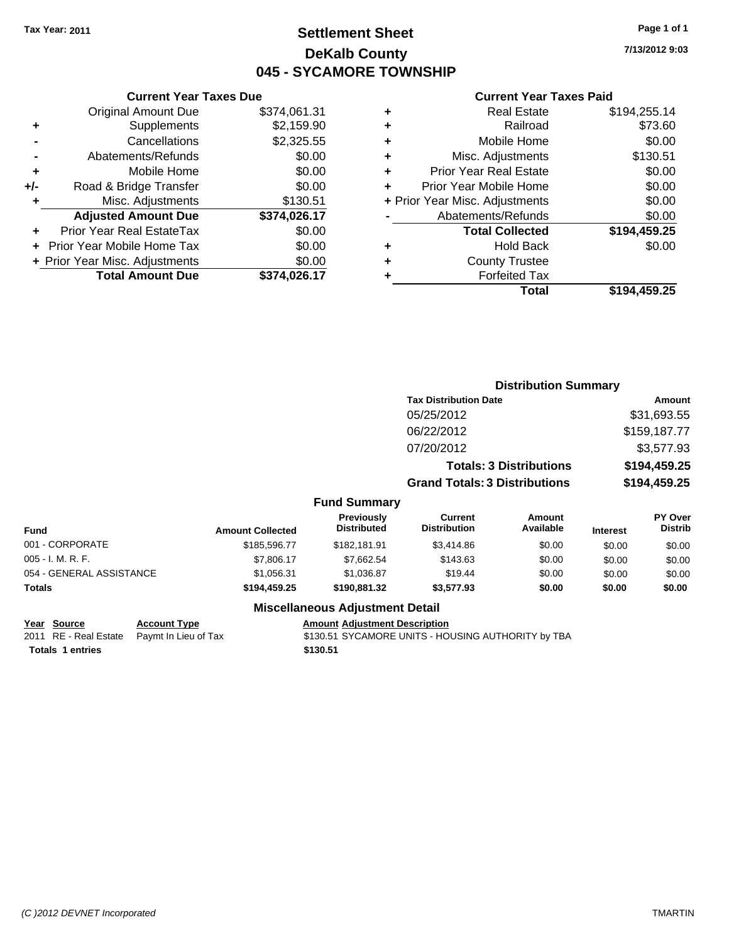# **Settlement Sheet Tax Year: 2011 Page 1 of 1 DeKalb County 045 - SYCAMORE TOWNSHIP**

**7/13/2012 9:03**

### **Current Year Taxes Paid**

|   | Total                          | \$194,459.25 |
|---|--------------------------------|--------------|
| ٠ | <b>Forfeited Tax</b>           |              |
| ٠ | <b>County Trustee</b>          |              |
| ٠ | <b>Hold Back</b>               | \$0.00       |
|   | <b>Total Collected</b>         | \$194,459.25 |
|   | Abatements/Refunds             | \$0.00       |
|   | + Prior Year Misc. Adjustments | \$0.00       |
| ÷ | Prior Year Mobile Home         | \$0.00       |
| ÷ | <b>Prior Year Real Estate</b>  | \$0.00       |
| ÷ | Misc. Adjustments              | \$130.51     |
| ٠ | Mobile Home                    | \$0.00       |
| ٠ | Railroad                       | \$73.60      |
| ٠ | <b>Real Estate</b>             | \$194,255.14 |
|   |                                |              |

|                          |                         |                                        |                                       | <b>Distribution Summary</b>    |                 |                                  |
|--------------------------|-------------------------|----------------------------------------|---------------------------------------|--------------------------------|-----------------|----------------------------------|
|                          |                         |                                        | <b>Tax Distribution Date</b>          |                                | <b>Amount</b>   |                                  |
|                          |                         |                                        | 05/25/2012                            |                                |                 | \$31,693.55                      |
|                          |                         |                                        | 06/22/2012                            |                                |                 | \$159,187.77                     |
|                          |                         |                                        | 07/20/2012                            |                                |                 | \$3,577.93                       |
|                          |                         |                                        |                                       | <b>Totals: 3 Distributions</b> |                 | \$194,459.25                     |
|                          |                         |                                        | <b>Grand Totals: 3 Distributions</b>  |                                | \$194,459.25    |                                  |
|                          |                         | <b>Fund Summary</b>                    |                                       |                                |                 |                                  |
| <b>Fund</b>              | <b>Amount Collected</b> | Previously<br><b>Distributed</b>       | <b>Current</b><br><b>Distribution</b> | Amount<br>Available            | <b>Interest</b> | <b>PY Over</b><br><b>Distrib</b> |
| 001 - CORPORATE          | \$185,596.77            | \$182,181.91                           | \$3,414.86                            | \$0.00                         | \$0.00          | \$0.00                           |
| 005 - I. M. R. F.        | \$7,806.17              | \$7,662.54                             | \$143.63                              | \$0.00                         | \$0.00          | \$0.00                           |
| 054 - GENERAL ASSISTANCE | \$1,056.31              | \$1,036.87                             | \$19.44                               | \$0.00                         | \$0.00          | \$0.00                           |
| Totals                   | \$194,459.25            | \$190,881.32                           | \$3,577.93                            | \$0.00                         | \$0.00          | \$0.00                           |
|                          |                         | <b>Miscellaneous Adjustment Detail</b> |                                       |                                |                 |                                  |

**Year Source Account Type Amount Adjustment Description**

**Totals \$130.51 1 entries**

**Current Year Taxes Due** Original Amount Due \$374,061.31

**Adjusted Amount Due \$374,026.17**

**Total Amount Due \$374,026.17**

**+** Supplements \$2,159.90 **-** Cancellations \$2,325.55 **-** Abatements/Refunds \$0.00 **+** Mobile Home \$0.00 **+/-** Road & Bridge Transfer \$0.00 **+** Misc. Adjustments \$130.51

**+** Prior Year Real EstateTax \$0.00 **+** Prior Year Mobile Home Tax \$0.00 **+ Prior Year Misc. Adjustments**  $$0.00$ 

2011 RE - Real Estate Paymt In Lieu of Tax \$130.51 SYCAMORE UNITS - HOUSING AUTHORITY by TBA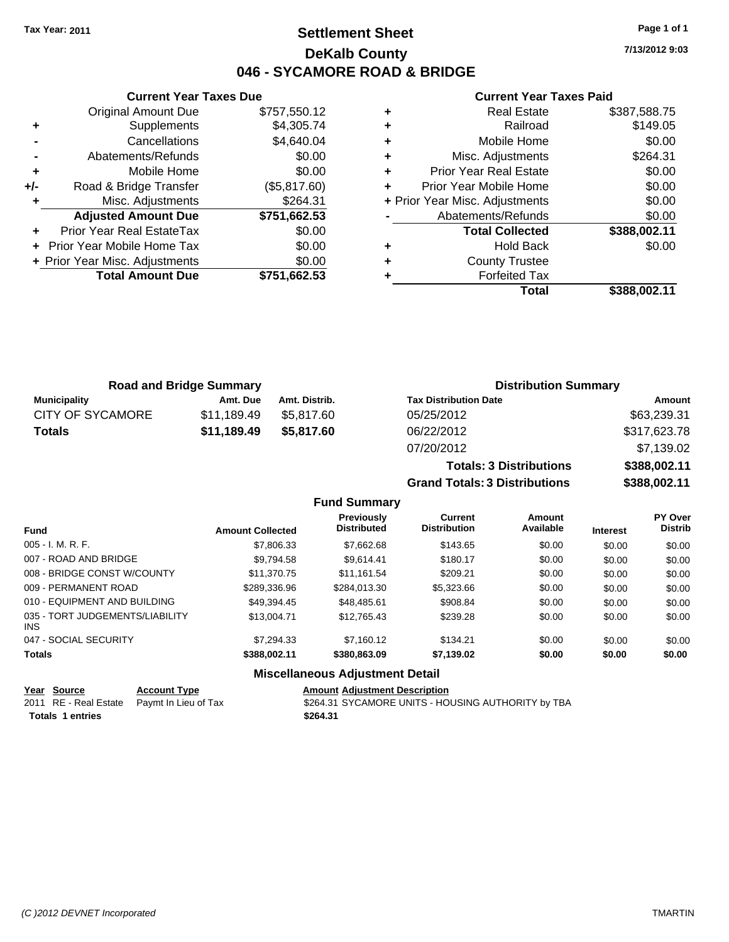**Current Year Taxes Due** Original Amount Due \$757,550.12

**Adjusted Amount Due \$751,662.53**

**Total Amount Due \$751,662.53**

**+** Supplements \$4,305.74 **-** Cancellations \$4,640.04 **-** Abatements/Refunds \$0.00 **+** Mobile Home \$0.00 **+/-** Road & Bridge Transfer (\$5,817.60) **+** Misc. Adjustments \$264.31

**+** Prior Year Real EstateTax \$0.00 **+** Prior Year Mobile Home Tax \$0.00 **+ Prior Year Misc. Adjustments**  $$0.00$ 

# **Settlement Sheet Tax Year: 2011 Page 1 of 1 DeKalb County 046 - SYCAMORE ROAD & BRIDGE**

**7/13/2012 9:03**

### **Current Year Taxes Paid**

**Totals: 3 Distributions \$388,002.11**

**Grand Totals: 3 Distributions \$388,002.11**

|   | <b>Real Estate</b>             | \$387,588.75 |
|---|--------------------------------|--------------|
| ٠ | Railroad                       | \$149.05     |
| ٠ | Mobile Home                    | \$0.00       |
| ٠ | Misc. Adjustments              | \$264.31     |
| ٠ | <b>Prior Year Real Estate</b>  | \$0.00       |
|   | Prior Year Mobile Home         | \$0.00       |
|   | + Prior Year Misc. Adjustments | \$0.00       |
|   | Abatements/Refunds             | \$0.00       |
|   | <b>Total Collected</b>         | \$388,002.11 |
| ٠ | <b>Hold Back</b>               | \$0.00       |
| ٠ | <b>County Trustee</b>          |              |
|   | <b>Forfeited Tax</b>           |              |
|   | Total                          | \$388.002.11 |
|   |                                |              |

| <b>Road and Bridge Summary</b> |             |               | <b>Distribution Summary</b>  |              |  |
|--------------------------------|-------------|---------------|------------------------------|--------------|--|
| Municipality                   | Amt. Due    | Amt. Distrib. | <b>Tax Distribution Date</b> | Amount       |  |
| CITY OF SYCAMORE               | \$11,189.49 | \$5.817.60    | 05/25/2012                   | \$63,239.31  |  |
| <b>Totals</b>                  | \$11,189.49 | \$5,817.60    | 06/22/2012                   | \$317,623.78 |  |
|                                |             |               | 07/20/2012                   | \$7,139.02   |  |

|                                         |                         | <b>Fund Summary</b>              |                                       |                     |                 |                           |
|-----------------------------------------|-------------------------|----------------------------------|---------------------------------------|---------------------|-----------------|---------------------------|
| <b>Fund</b>                             | <b>Amount Collected</b> | Previously<br><b>Distributed</b> | <b>Current</b><br><b>Distribution</b> | Amount<br>Available | <b>Interest</b> | PY Over<br><b>Distrib</b> |
| 005 - I. M. R. F.                       | \$7,806.33              | \$7,662.68                       | \$143.65                              | \$0.00              | \$0.00          | \$0.00                    |
| 007 - ROAD AND BRIDGE                   | \$9,794.58              | \$9.614.41                       | \$180.17                              | \$0.00              | \$0.00          | \$0.00                    |
| 008 - BRIDGE CONST W/COUNTY             | \$11.370.75             | \$11,161.54                      | \$209.21                              | \$0.00              | \$0.00          | \$0.00                    |
| 009 - PERMANENT ROAD                    | \$289,336.96            | \$284,013.30                     | \$5,323.66                            | \$0.00              | \$0.00          | \$0.00                    |
| 010 - EQUIPMENT AND BUILDING            | \$49.394.45             | \$48,485.61                      | \$908.84                              | \$0.00              | \$0.00          | \$0.00                    |
| 035 - TORT JUDGEMENTS/LIABILITY<br>INS. | \$13,004.71             | \$12,765.43                      | \$239.28                              | \$0.00              | \$0.00          | \$0.00                    |
| 047 - SOCIAL SECURITY                   | \$7.294.33              | \$7.160.12                       | \$134.21                              | \$0.00              | \$0.00          | \$0.00                    |
| Totals                                  | \$388,002.11            | \$380,863,09                     | \$7,139.02                            | \$0.00              | \$0.00          | \$0.00                    |
|                                         |                         | Miscollanoous Adiustmont Dotail  |                                       |                     |                 |                           |

### **Miscellaneous Adjustment Detail**

| <u>Year Source</u>      | <b>Account Type</b>                        | <b>Amount Adjustment Description</b>               |
|-------------------------|--------------------------------------------|----------------------------------------------------|
|                         | 2011 RE - Real Estate Paymt In Lieu of Tax | \$264.31 SYCAMORE UNITS - HOUSING AUTHORITY by TBA |
| <b>Totals 1 entries</b> |                                            | \$264.31                                           |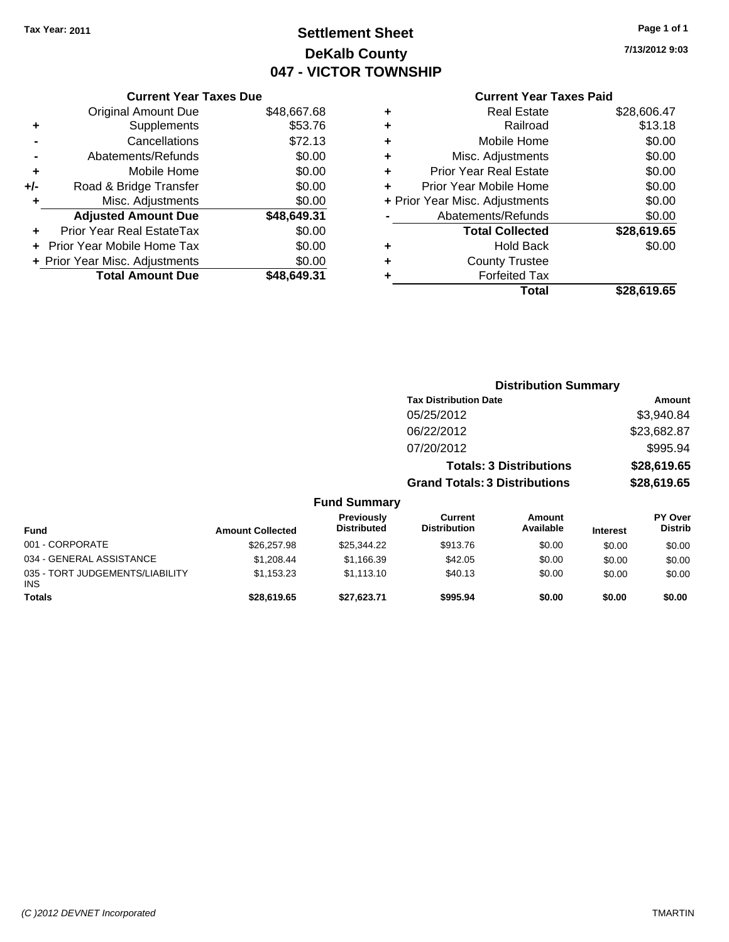# **Settlement Sheet Tax Year: 2011 Page 1 of 1 DeKalb County 047 - VICTOR TOWNSHIP**

**7/13/2012 9:03**

### **Current Year Taxes Paid**

| \$48,667.68 |
|-------------|
| \$53.76     |
| \$72.13     |
| \$0.00      |
| \$0.00      |
| \$0.00      |
| \$0.00      |
| \$48,649.31 |
| \$0.00      |
| \$0.00      |
| \$0.00      |
| \$48.649.31 |
|             |

| ٠ | <b>Real Estate</b>             | \$28,606.47 |
|---|--------------------------------|-------------|
| ٠ | Railroad                       | \$13.18     |
| ٠ | Mobile Home                    | \$0.00      |
| ٠ | Misc. Adjustments              | \$0.00      |
| ÷ | <b>Prior Year Real Estate</b>  | \$0.00      |
|   | Prior Year Mobile Home         | \$0.00      |
|   | + Prior Year Misc. Adjustments | \$0.00      |
|   | Abatements/Refunds             | \$0.00      |
|   | <b>Total Collected</b>         | \$28,619.65 |
| ٠ | <b>Hold Back</b>               | \$0.00      |
| ٠ | <b>County Trustee</b>          |             |
| ٠ | <b>Forfeited Tax</b>           |             |
|   | Total                          | \$28,619.65 |
|   |                                |             |

|                                               |                         |                                  |                                      | <b>Distribution Summary</b> |                 |                                  |  |
|-----------------------------------------------|-------------------------|----------------------------------|--------------------------------------|-----------------------------|-----------------|----------------------------------|--|
|                                               |                         |                                  | <b>Tax Distribution Date</b>         |                             | Amount          |                                  |  |
|                                               |                         |                                  | 05/25/2012                           |                             |                 | \$3,940.84                       |  |
|                                               |                         |                                  | 06/22/2012                           |                             | \$23,682.87     |                                  |  |
|                                               |                         |                                  | 07/20/2012                           |                             | \$995.94        |                                  |  |
|                                               |                         |                                  | <b>Totals: 3 Distributions</b>       |                             | \$28,619.65     |                                  |  |
|                                               |                         |                                  | <b>Grand Totals: 3 Distributions</b> |                             | \$28,619.65     |                                  |  |
|                                               |                         | <b>Fund Summary</b>              |                                      |                             |                 |                                  |  |
| <b>Fund</b>                                   | <b>Amount Collected</b> | Previously<br><b>Distributed</b> | Current<br><b>Distribution</b>       | Amount<br>Available         | <b>Interest</b> | <b>PY Over</b><br><b>Distrib</b> |  |
| 001 - CORPORATE                               | \$26,257.98             | \$25,344.22                      | \$913.76                             | \$0.00                      | \$0.00          | \$0.00                           |  |
| 034 - GENERAL ASSISTANCE                      | \$1,208.44              | \$1,166.39                       | \$42.05                              | \$0.00                      | \$0.00          | \$0.00                           |  |
| 035 - TORT JUDGEMENTS/LIABILITY<br><b>INS</b> | \$1,153.23              | \$1,113.10                       | \$40.13                              | \$0.00                      | \$0.00          | \$0.00                           |  |
| <b>Totals</b>                                 | \$28,619.65             | \$27,623.71                      | \$995.94                             | \$0.00                      | \$0.00          | \$0.00                           |  |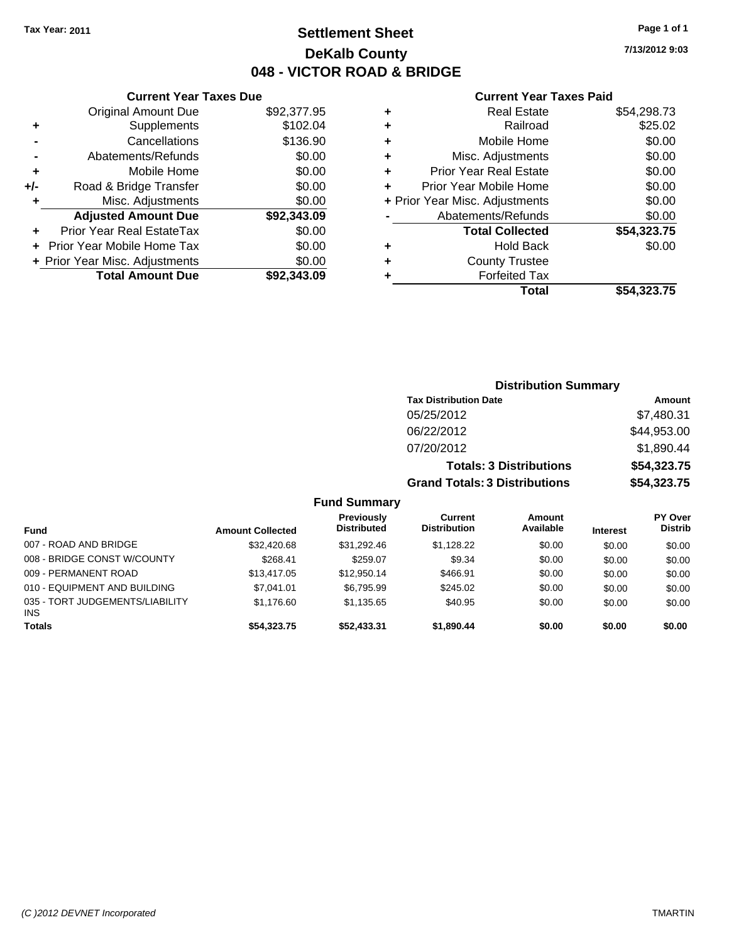Original Amount Due

**Road & Bridge Transfer** 

**Adjusted Amount Due** 

**Total Amount Due** 

**+** Supplements **-** Cancellations **-** Abatements/Refunds **+** Mobile Home<br>**+/-** Road & Bridge Transfer

**+** Misc. Adjustments

**+** Prior Year Real EstateTax **+** Prior Year Mobile Home Tax **+ Prior Year Misc. Adjustments** 

# **Settlement Sheet Tax Year: 2011 Page 1 of 1 DeKalb County 048 - VICTOR ROAD & BRIDGE**

**7/13/2012 9:03**

### **Current Year Taxes Paid**

| <b>Current Year Taxes Due</b> |             |   | <b>Current Year Taxes Paid</b> |             |
|-------------------------------|-------------|---|--------------------------------|-------------|
| ıl Amount Due                 | \$92,377.95 | ٠ | <b>Real Estate</b>             | \$54,298.73 |
| Supplements                   | \$102.04    | ٠ | Railroad                       | \$25.02     |
| Cancellations                 | \$136.90    | ٠ | Mobile Home                    | \$0.00      |
| าents/Refunds                 | \$0.00      | ÷ | Misc. Adjustments              | \$0.00      |
| Mobile Home                   | \$0.00      | ÷ | <b>Prior Year Real Estate</b>  | \$0.00      |
| ridge Transfer                | \$0.00      | ٠ | Prior Year Mobile Home         | \$0.00      |
| :. Adjustments                | \$0.00      |   | + Prior Year Misc. Adjustments | \$0.00      |
| <b>Amount Due</b>             | \$92,343.09 |   | Abatements/Refunds             | \$0.00      |
| eal EstateTax                 | \$0.00      |   | <b>Total Collected</b>         | \$54,323.75 |
| pile Home Tax                 | \$0.00      | ٠ | <b>Hold Back</b>               | \$0.00      |
| . Adjustments                 | \$0.00      | ٠ | <b>County Trustee</b>          |             |
| <b>Amount Due</b>             | \$92,343.09 |   | <b>Forfeited Tax</b>           |             |
|                               |             |   | Total                          | \$54,323.75 |

### **Distribution Summary Tax Distribution Date Amount** 05/25/2012 \$7,480.31 06/22/2012 \$44,953.00 07/20/2012 \$1,890.44 **Totals: 3 Distributions \$54,323.75 Grand Totals: 3 Distributions \$54,323.75 Fund Summary**

|                                               |                         | unu Junniary                            |                                |                     |                 |                                  |
|-----------------------------------------------|-------------------------|-----------------------------------------|--------------------------------|---------------------|-----------------|----------------------------------|
| <b>Fund</b>                                   | <b>Amount Collected</b> | <b>Previously</b><br><b>Distributed</b> | Current<br><b>Distribution</b> | Amount<br>Available | <b>Interest</b> | <b>PY Over</b><br><b>Distrib</b> |
| 007 - ROAD AND BRIDGE                         | \$32,420.68             | \$31.292.46                             | \$1.128.22                     | \$0.00              | \$0.00          | \$0.00                           |
| 008 - BRIDGE CONST W/COUNTY                   | \$268.41                | \$259.07                                | \$9.34                         | \$0.00              | \$0.00          | \$0.00                           |
| 009 - PERMANENT ROAD                          | \$13,417.05             | \$12,950.14                             | \$466.91                       | \$0.00              | \$0.00          | \$0.00                           |
| 010 - EQUIPMENT AND BUILDING                  | \$7.041.01              | \$6.795.99                              | \$245.02                       | \$0.00              | \$0.00          | \$0.00                           |
| 035 - TORT JUDGEMENTS/LIABILITY<br><b>INS</b> | \$1,176.60              | \$1,135.65                              | \$40.95                        | \$0.00              | \$0.00          | \$0.00                           |
| <b>Totals</b>                                 | \$54,323.75             | \$52,433.31                             | \$1,890.44                     | \$0.00              | \$0.00          | \$0.00                           |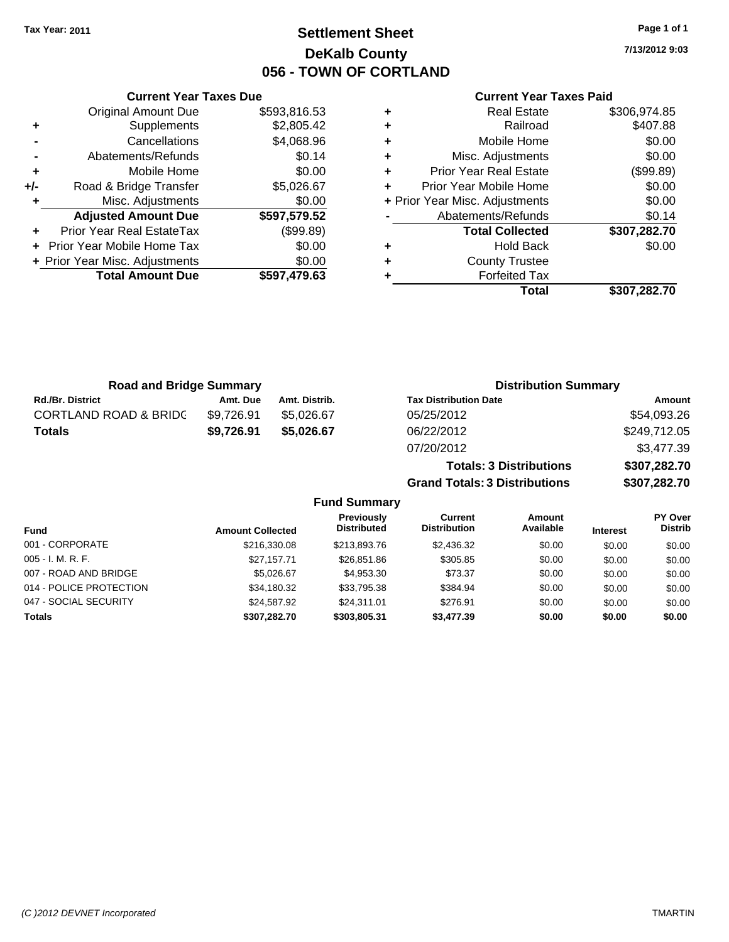# **Settlement Sheet Tax Year: 2011 Page 1 of 1 DeKalb County 056 - TOWN OF CORTLAND**

**7/13/2012 9:03**

### **Current Year Taxes Paid**

| Cu                   |   |              | <b>Current Year Taxes Due</b>  |       |
|----------------------|---|--------------|--------------------------------|-------|
|                      | ٠ | \$593,816.53 | <b>Original Amount Due</b>     |       |
|                      | ٠ | \$2,805.42   | Supplements                    | ٠     |
| M                    | ٠ | \$4,068.96   | Cancellations                  |       |
| Misc. A              | ٠ | \$0.14       | Abatements/Refunds             |       |
| Prior Year F         | ٠ | \$0.00       | Mobile Home                    |       |
| Prior Year Mo        | ٠ | \$5,026.67   | Road & Bridge Transfer         | $+/-$ |
| + Prior Year Misc. A |   | \$0.00       | Misc. Adjustments              |       |
| Abatemen             |   | \$597,579.52 | <b>Adjusted Amount Due</b>     |       |
| Total                |   | (\$99.89)    | Prior Year Real EstateTax      |       |
|                      | ٠ | \$0.00       | + Prior Year Mobile Home Tax   |       |
| Cou                  | ٠ | \$0.00       | + Prior Year Misc. Adjustments |       |
| Fc                   |   | \$597,479.63 | <b>Total Amount Due</b>        |       |
|                      |   |              |                                |       |

|   | Total                          | \$307,282.70 |
|---|--------------------------------|--------------|
|   | <b>Forfeited Tax</b>           |              |
| ٠ | <b>County Trustee</b>          |              |
| ٠ | Hold Back                      | \$0.00       |
|   | <b>Total Collected</b>         | \$307,282.70 |
|   | Abatements/Refunds             | \$0.14       |
|   | + Prior Year Misc. Adjustments | \$0.00       |
| ٠ | Prior Year Mobile Home         | \$0.00       |
| ٠ | <b>Prior Year Real Estate</b>  | (\$99.89)    |
| ٠ | Misc. Adjustments              | \$0.00       |
| ٠ | Mobile Home                    | \$0.00       |
| ٠ | Railroad                       | \$407.88     |
| ٠ | Real Estate                    | \$306,974.85 |

**Grand Totals: 3 Distributions \$307,282.70**

| <b>Road and Bridge Summary</b>   |            |               | <b>Distribution Summary</b>    |              |  |
|----------------------------------|------------|---------------|--------------------------------|--------------|--|
| <b>Rd./Br. District</b>          | Amt. Due   | Amt. Distrib. | <b>Tax Distribution Date</b>   | Amount       |  |
| <b>CORTLAND ROAD &amp; BRIDC</b> | \$9.726.91 | \$5,026,67    | 05/25/2012                     | \$54,093.26  |  |
| <b>Totals</b>                    | \$9,726.91 | \$5.026.67    | 06/22/2012                     | \$249,712.05 |  |
|                                  |            |               | 07/20/2012                     | \$3,477.39   |  |
|                                  |            |               | <b>Totals: 3 Distributions</b> | \$307,282.70 |  |

**Fund Summary Fund Interest Amount Collected Distributed PY Over Distrib Amount Available Current Distribution Previously** 001 - CORPORATE \$216,330.08 \$213,893.76 \$2,436.32 \$0.00 \$0.00 \$0.00 005 - I. M. R. F. Channel Channel Step (1977.71 \$26,851.86 \$305.85 \$0.00 \$0.00 \$0.00 \$0.00 007 - ROAD AND BRIDGE 60.00 \$5,026.67 \$4,953.30 \$73.37 \$0.00 \$0.00 \$0.00 \$0.00 014 - POLICE PROTECTION \$34,180.32 \$33,795.38 \$384.94 \$0.00 \$0.00 \$0.00 \$0.00 047 - SOCIAL SECURITY 624,587.92 \$24,311.01 \$276.91 \$0.00 \$0.00 \$0.00 \$0.00 **Totals \$307,282.70 \$303,805.31 \$3,477.39 \$0.00 \$0.00 \$0.00**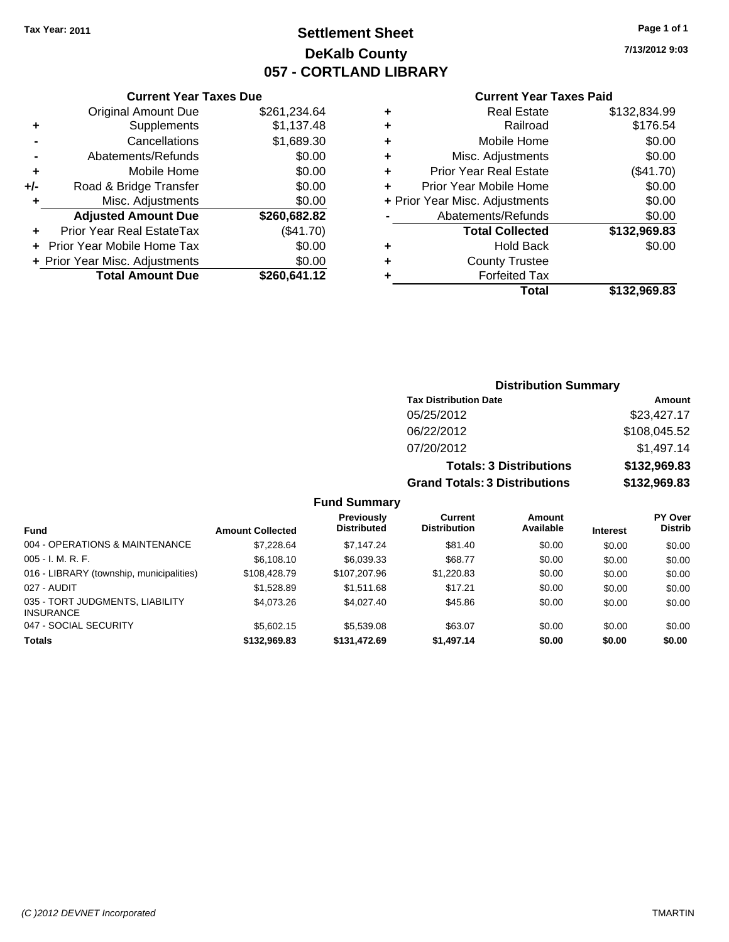# **Settlement Sheet Tax Year: 2011 Page 1 of 1 DeKalb County 057 - CORTLAND LIBRARY**

**7/13/2012 9:03**

### **Current Year Taxes Paid**

|   | Total                          | \$132.969.83 |
|---|--------------------------------|--------------|
|   | <b>Forfeited Tax</b>           |              |
|   | <b>County Trustee</b>          |              |
|   | <b>Hold Back</b>               | \$0.00       |
|   | <b>Total Collected</b>         | \$132,969.83 |
|   | Abatements/Refunds             | \$0.00       |
|   | + Prior Year Misc. Adjustments | \$0.00       |
|   | Prior Year Mobile Home         | \$0.00       |
| ٠ | <b>Prior Year Real Estate</b>  | (\$41.70)    |
| ٠ | Misc. Adjustments              | \$0.00       |
| ٠ | Mobile Home                    | \$0.00       |
| ٠ | Railroad                       | \$176.54     |
| ٠ | <b>Real Estate</b>             | \$132,834.99 |
|   |                                |              |

|     | <b>Current Year Taxes Due</b>  |              |
|-----|--------------------------------|--------------|
|     | <b>Original Amount Due</b>     | \$261,234.64 |
| ٠   | Supplements                    | \$1,137.48   |
|     | Cancellations                  | \$1,689.30   |
|     | Abatements/Refunds             | \$0.00       |
| ٠   | Mobile Home                    | \$0.00       |
| +/- | Road & Bridge Transfer         | \$0.00       |
| ٠   | Misc. Adjustments              | \$0.00       |
|     | <b>Adjusted Amount Due</b>     | \$260,682.82 |
|     | Prior Year Real EstateTax      | (\$41.70)    |
|     | Prior Year Mobile Home Tax     | \$0.00       |
|     | + Prior Year Misc. Adjustments | \$0.00       |
|     | <b>Total Amount Due</b>        | \$260,641.12 |
|     |                                |              |

# **Distribution Summary**

| <b>Tax Distribution Date</b>         | Amount       |
|--------------------------------------|--------------|
| 05/25/2012                           | \$23,427.17  |
| 06/22/2012                           | \$108,045.52 |
| 07/20/2012                           | \$1,497.14   |
| <b>Totals: 3 Distributions</b>       | \$132,969.83 |
| <b>Grand Totals: 3 Distributions</b> | \$132,969.83 |

### **Fund Summary**

| <b>Fund</b>                                         | <b>Amount Collected</b> | <b>Previously</b><br><b>Distributed</b> | Current<br><b>Distribution</b> | Amount<br>Available | <b>Interest</b> | <b>PY Over</b><br><b>Distrib</b> |
|-----------------------------------------------------|-------------------------|-----------------------------------------|--------------------------------|---------------------|-----------------|----------------------------------|
| 004 - OPERATIONS & MAINTENANCE                      | \$7.228.64              | \$7.147.24                              | \$81.40                        | \$0.00              | \$0.00          | \$0.00                           |
| $005 - I. M. R. F.$                                 | \$6,108.10              | \$6,039.33                              | \$68.77                        | \$0.00              | \$0.00          | \$0.00                           |
| 016 - LIBRARY (township, municipalities)            | \$108,428.79            | \$107,207.96                            | \$1,220.83                     | \$0.00              | \$0.00          | \$0.00                           |
| 027 - AUDIT                                         | \$1.528.89              | \$1,511.68                              | \$17.21                        | \$0.00              | \$0.00          | \$0.00                           |
| 035 - TORT JUDGMENTS, LIABILITY<br><b>INSURANCE</b> | \$4,073.26              | \$4,027.40                              | \$45.86                        | \$0.00              | \$0.00          | \$0.00                           |
| 047 - SOCIAL SECURITY                               | \$5,602.15              | \$5,539.08                              | \$63.07                        | \$0.00              | \$0.00          | \$0.00                           |
| <b>Totals</b>                                       | \$132,969.83            | \$131.472.69                            | \$1,497.14                     | \$0.00              | \$0.00          | \$0.00                           |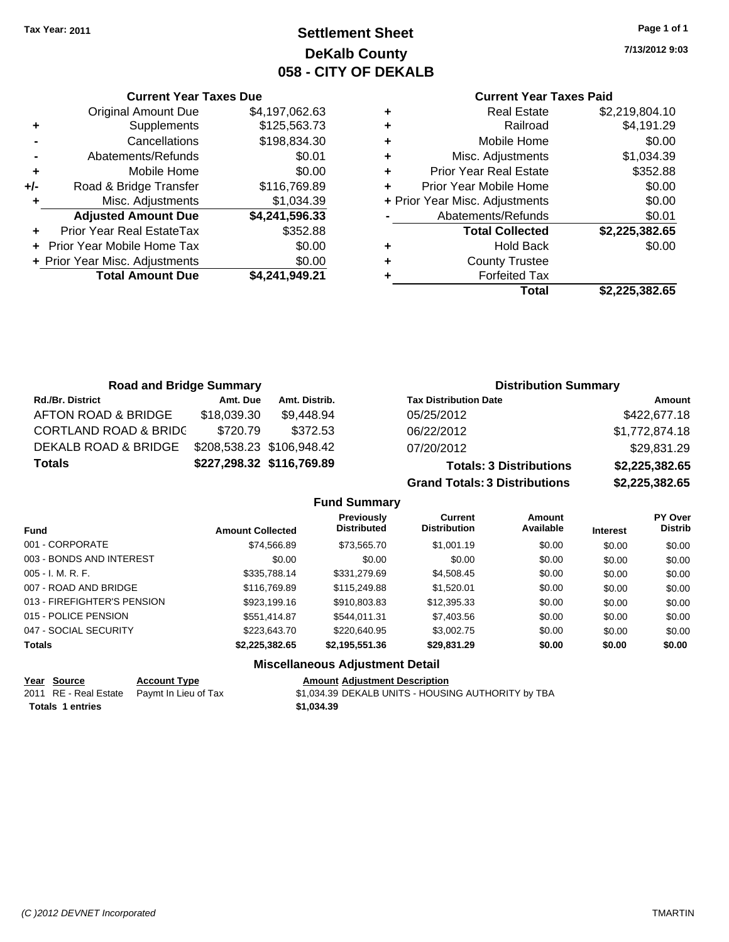**Current Year Taxes Due** Original Amount Due \$4,197,062.63

**Adjusted Amount Due \$4,241,596.33**

**Total Amount Due \$4,241,949.21**

**+** Supplements \$125,563.73 **-** Cancellations \$198,834.30 **-** Abatements/Refunds **\$0.01 +** Mobile Home \$0.00 **+/-** Road & Bridge Transfer \$116,769.89 **+** Misc. Adjustments \$1,034.39

**+** Prior Year Real EstateTax \$352.88 **+** Prior Year Mobile Home Tax \$0.00 **+** Prior Year Misc. Adjustments  $$0.00$ 

# **Settlement Sheet Tax Year: 2011 Page 1 of 1 DeKalb County 058 - CITY OF DEKALB**

**7/13/2012 9:03**

### **Current Year Taxes Paid**

| Total                          | \$2,225,382.65 |
|--------------------------------|----------------|
| <b>Forfeited Tax</b>           |                |
| <b>County Trustee</b>          |                |
| <b>Hold Back</b>               | \$0.00         |
| <b>Total Collected</b>         | \$2,225,382.65 |
| Abatements/Refunds             | \$0.01         |
| + Prior Year Misc. Adjustments | \$0.00         |
| Prior Year Mobile Home         | \$0.00         |
| <b>Prior Year Real Estate</b>  | \$352.88       |
| Misc. Adjustments              | \$1,034.39     |
| Mobile Home                    | \$0.00         |
| Railroad                       | \$4,191.29     |
| <b>Real Estate</b>             | \$2,219,804.10 |
|                                |                |

| <b>Road and Bridge Summary</b>   |             |                           | <b>Distribution Summary</b>          |                |
|----------------------------------|-------------|---------------------------|--------------------------------------|----------------|
| <b>Rd./Br. District</b>          | Amt. Due    | Amt. Distrib.             | <b>Tax Distribution Date</b>         | Amount         |
| AFTON ROAD & BRIDGE              | \$18,039.30 | \$9,448.94                | 05/25/2012                           | \$422,677.18   |
| <b>CORTLAND ROAD &amp; BRIDC</b> | \$720.79    | \$372.53                  | 06/22/2012                           | \$1,772,874.18 |
| DEKALB ROAD & BRIDGE             |             | \$208,538.23 \$106,948.42 | 07/20/2012                           | \$29,831.29    |
| <b>Totals</b>                    |             | \$227,298.32 \$116,769.89 | <b>Totals: 3 Distributions</b>       | \$2,225,382.65 |
|                                  |             |                           | <b>Grand Totals: 3 Distributions</b> | \$2,225,382.65 |

**Fund Summary Fund Interest Amount Collected Distributed PY Over Distrib Amount Available Current Distribution Previously** 001 - CORPORATE \$74,566.89 \$73,565.70 \$1,001.19 \$0.00 \$0.00 \$0.00 003 - BONDS AND INTEREST  $$0.00$   $$0.00$   $$0.00$   $$0.00$   $$0.00$   $$0.00$   $$0.00$   $$0.00$ 005 - I. M. R. F. \$335,788.14 \$331,279.69 \$4,508.45 \$0.00 \$0.00 \$0.00 007 - ROAD AND BRIDGE 60.00 \$116,769.89 \$115,249.88 \$1,520.01 \$0.00 \$0.00 \$0.00 013 - FIREFIGHTER'S PENSION \$923,199.16 \$910,803.83 \$12,395.33 \$0.00 \$0.00 \$0.00 015 - POLICE PENSION \$551,414.87 \$544,011.31 \$7,403.56 \$0.00 \$0.00 \$0.00 \$0.00 047 - SOCIAL SECURITY 6 223,643.70 \$220,649.95 \$3,002.75 \$0.00 \$0.00 \$0.00 \$0.00 **Totals \$2,225,382.65 \$2,195,551.36 \$29,831.29 \$0.00 \$0.00 \$0.00**

## **Miscellaneous Adjustment Detail**

| Year Source | <b>Account Type</b>                        | <b>Amount Adjustment Description</b> |
|-------------|--------------------------------------------|--------------------------------------|
|             | 2011 RE - Real Estate Paymt In Lieu of Tax | \$1,034.39 DEKALB UNITS - HOUSI      |

\$1,034.39 DEKALB UNITS - HOUSING AUTHORITY by TBA

**Totals 1 entries** \$1,034.39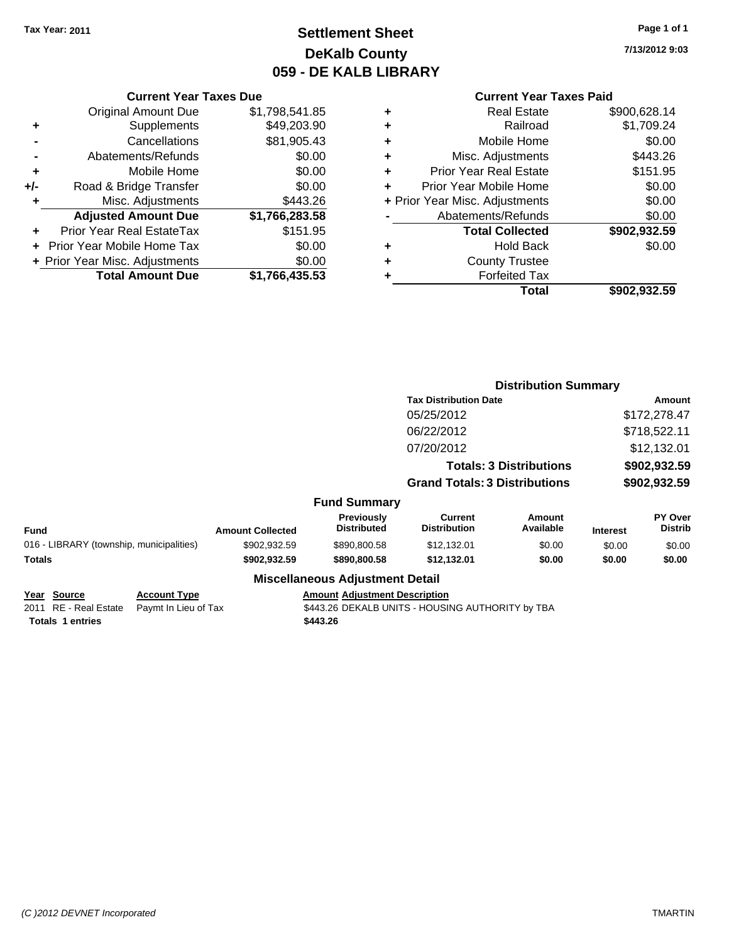# **Settlement Sheet Tax Year: 2011 Page 1 of 1 DeKalb County 059 - DE KALB LIBRARY**

**7/13/2012 9:03**

### **Current Year Taxes Paid**

|     | <b>Current Year Taxes Due</b>    |                |
|-----|----------------------------------|----------------|
|     | <b>Original Amount Due</b>       | \$1,798,541.85 |
| ٠   | Supplements                      | \$49,203.90    |
|     | Cancellations                    | \$81,905.43    |
|     | Abatements/Refunds               | \$0.00         |
| ٠   | Mobile Home                      | \$0.00         |
| +/- | Road & Bridge Transfer           | \$0.00         |
| ٠   | Misc. Adjustments                | \$443.26       |
|     | <b>Adjusted Amount Due</b>       | \$1,766,283.58 |
|     | <b>Prior Year Real EstateTax</b> | \$151.95       |
|     | Prior Year Mobile Home Tax       | \$0.00         |
|     | + Prior Year Misc. Adjustments   | \$0.00         |
|     | <b>Total Amount Due</b>          | \$1,766,435.53 |

|                                                                 |                                             |                         |                                                  | <b>Distribution Summary</b>                      |                                |                 |                                  |
|-----------------------------------------------------------------|---------------------------------------------|-------------------------|--------------------------------------------------|--------------------------------------------------|--------------------------------|-----------------|----------------------------------|
|                                                                 |                                             |                         |                                                  | <b>Tax Distribution Date</b>                     | Amount                         |                 |                                  |
|                                                                 |                                             |                         |                                                  | 05/25/2012                                       |                                |                 | \$172,278.47                     |
|                                                                 |                                             |                         |                                                  | 06/22/2012                                       |                                |                 | \$718,522.11                     |
|                                                                 |                                             |                         |                                                  | 07/20/2012                                       |                                |                 | \$12,132.01                      |
|                                                                 |                                             |                         |                                                  |                                                  | <b>Totals: 3 Distributions</b> |                 | \$902,932.59                     |
|                                                                 |                                             |                         |                                                  | <b>Grand Totals: 3 Distributions</b>             |                                |                 | \$902,932.59                     |
|                                                                 |                                             |                         | <b>Fund Summary</b>                              |                                                  |                                |                 |                                  |
| Fund                                                            |                                             | <b>Amount Collected</b> | Previously<br><b>Distributed</b>                 | <b>Current</b><br><b>Distribution</b>            | Amount<br>Available            | <b>Interest</b> | <b>PY Over</b><br><b>Distrib</b> |
| 016 - LIBRARY (township, municipalities)                        |                                             | \$902,932.59            | \$890,800.58                                     | \$12,132.01                                      | \$0.00                         | \$0.00          | \$0.00                           |
| <b>Totals</b>                                                   |                                             | \$902,932.59            | \$890,800.58                                     | \$12,132.01                                      | \$0.00                         | \$0.00          | \$0.00                           |
|                                                                 |                                             |                         | <b>Miscellaneous Adjustment Detail</b>           |                                                  |                                |                 |                                  |
| Year Source<br>2011 RE - Real Estate<br><b>Totals 1 entries</b> | <b>Account Type</b><br>Paymt In Lieu of Tax |                         | <b>Amount Adjustment Description</b><br>\$443.26 | \$443.26 DEKALB UNITS - HOUSING AUTHORITY by TBA |                                |                 |                                  |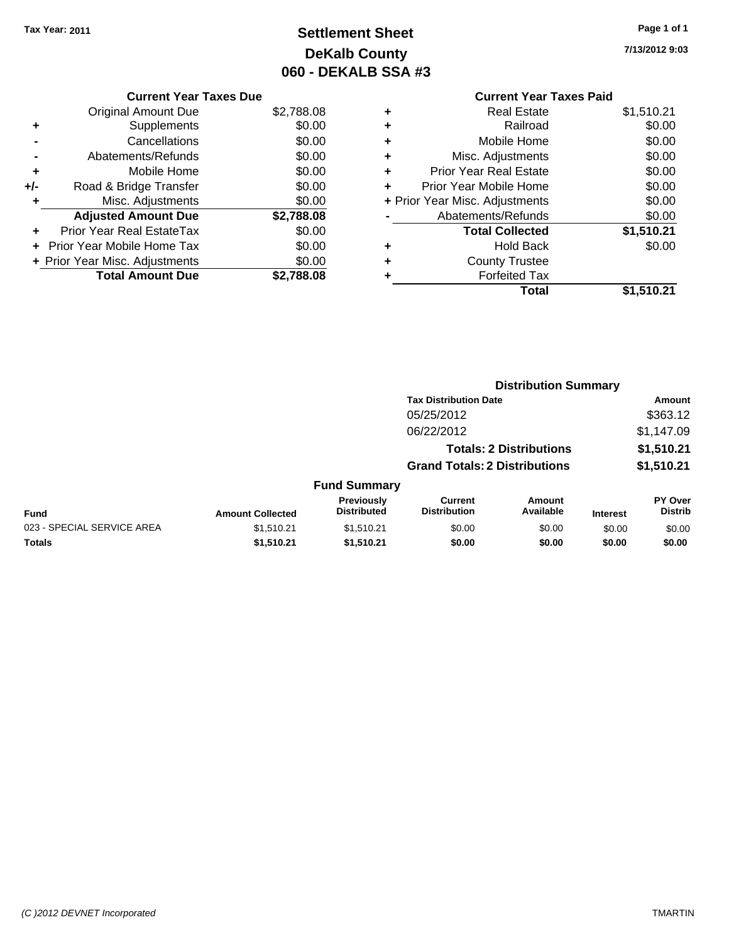**Current Year Taxes Due** Original Amount Due \$2,788.08

**Adjusted Amount Due \$2,788.08**

**Total Amount Due \$2,788.08**

**+** Supplements \$0.00 **-** Cancellations \$0.00 **-** Abatements/Refunds \$0.00 **+** Mobile Home \$0.00 **+/-** Road & Bridge Transfer \$0.00 **+** Misc. Adjustments \$0.00

**+** Prior Year Real EstateTax \$0.00 **+** Prior Year Mobile Home Tax \$0.00 **+ Prior Year Misc. Adjustments**  $$0.00$ 

# **Settlement Sheet Tax Year: 2011 Page 1 of 1 DeKalb County 060 - DEKALB SSA #3**

**7/13/2012 9:03**

### **Current Year Taxes Paid +** Real Estate \$1,510.21 **+** Railroad \$0.00 **+** Mobile Home \$0.00 **+** Misc. Adjustments \$0.00 **+** Prior Year Real Estate \$0.00 **+** Prior Year Mobile Home \$0.00 **+** Prior Year Misc. Adjustments \$0.00 **-** Abatements/Refunds \$0.00 **Total Collected \$1,510.21 +** Hold Back \$0.00 **+** County Trustee **+** Forfeited Tax **Total \$1,510.21**

|                            |                         |                                         |                                       | <b>Distribution Summary</b>    |                 |                                  |
|----------------------------|-------------------------|-----------------------------------------|---------------------------------------|--------------------------------|-----------------|----------------------------------|
|                            |                         |                                         | <b>Tax Distribution Date</b>          |                                |                 | Amount                           |
|                            |                         |                                         | 05/25/2012                            |                                |                 | \$363.12                         |
|                            |                         |                                         | 06/22/2012                            |                                |                 | \$1,147.09                       |
|                            |                         |                                         |                                       | <b>Totals: 2 Distributions</b> |                 | \$1,510.21                       |
|                            |                         |                                         | <b>Grand Totals: 2 Distributions</b>  |                                |                 | \$1,510.21                       |
|                            |                         | <b>Fund Summary</b>                     |                                       |                                |                 |                                  |
| Fund                       | <b>Amount Collected</b> | <b>Previously</b><br><b>Distributed</b> | <b>Current</b><br><b>Distribution</b> | <b>Amount</b><br>Available     | <b>Interest</b> | <b>PY Over</b><br><b>Distrib</b> |
| 023 - SPECIAL SERVICE AREA | \$1.510.21              | \$1.510.21                              | \$0.00                                | \$0.00                         | \$0.00          | \$0.00                           |
| Totals                     | \$1,510.21              | \$1,510.21                              | \$0.00                                | \$0.00                         | \$0.00          | \$0.00                           |
|                            |                         |                                         |                                       |                                |                 |                                  |

| (C) 2012 DEVNET Incorporated | <b>TMARTIN</b> |
|------------------------------|----------------|
|------------------------------|----------------|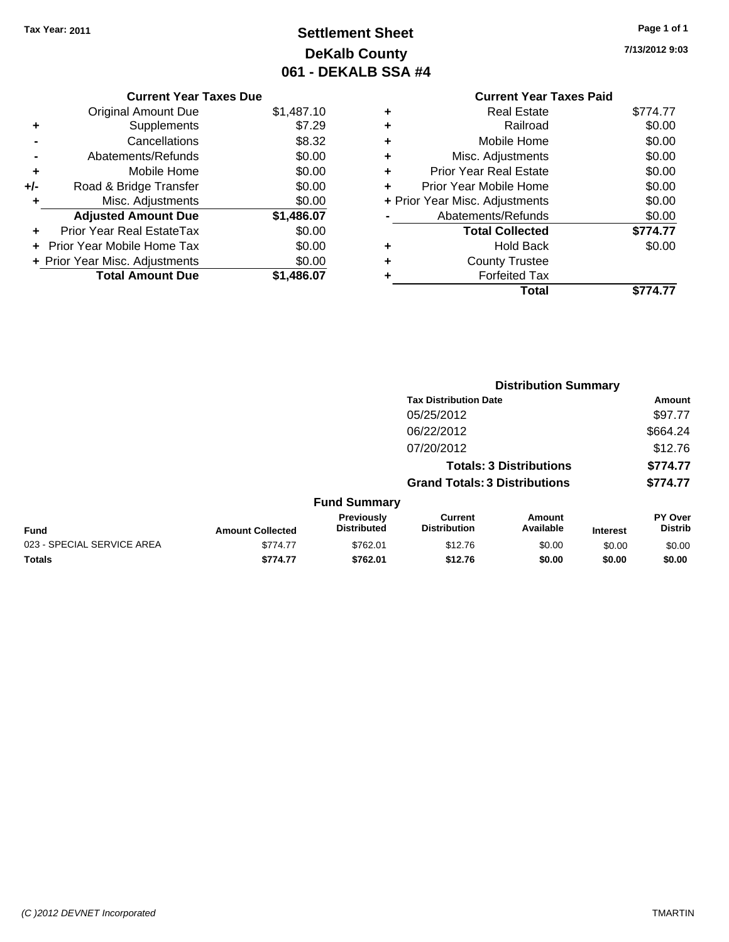# **Settlement Sheet Tax Year: 2011 Page 1 of 1 DeKalb County 061 - DEKALB SSA #4**

**7/13/2012 9:03**

|     | <b>Current Year Taxes Due</b>  |            |  |  |  |
|-----|--------------------------------|------------|--|--|--|
|     | <b>Original Amount Due</b>     | \$1,487.10 |  |  |  |
| ٠   | Supplements                    | \$7.29     |  |  |  |
|     | Cancellations                  | \$8.32     |  |  |  |
|     | Abatements/Refunds             | \$0.00     |  |  |  |
| ٠   | Mobile Home                    | \$0.00     |  |  |  |
| +/- | Road & Bridge Transfer         | \$0.00     |  |  |  |
| ٠   | Misc. Adjustments              | \$0.00     |  |  |  |
|     | <b>Adjusted Amount Due</b>     | \$1,486.07 |  |  |  |
|     | Prior Year Real EstateTax      | \$0.00     |  |  |  |
|     | Prior Year Mobile Home Tax     | \$0.00     |  |  |  |
|     | + Prior Year Misc. Adjustments | \$0.00     |  |  |  |
|     | <b>Total Amount Due</b>        | \$1,486.07 |  |  |  |

|   | <b>Current Year Taxes Paid</b>   |          |  |  |  |
|---|----------------------------------|----------|--|--|--|
|   | <b>Real Estate</b>               | \$774.77 |  |  |  |
| ٠ | Railroad                         | \$0.00   |  |  |  |
|   | Mobile Home                      | \$0.00   |  |  |  |
|   | Misc. Adjustments                | \$0.00   |  |  |  |
| ÷ | <b>Prior Year Real Estate</b>    | \$0.00   |  |  |  |
| ÷ | \$0.00<br>Prior Year Mobile Home |          |  |  |  |
|   | + Prior Year Misc. Adjustments   | \$0.00   |  |  |  |
|   | Abatements/Refunds               | \$0.00   |  |  |  |
|   | <b>Total Collected</b>           | \$774.77 |  |  |  |
|   | <b>Hold Back</b>                 | \$0.00   |  |  |  |
|   | <b>County Trustee</b>            |          |  |  |  |
|   | <b>Forfeited Tax</b>             |          |  |  |  |
|   | Total                            | \$774.77 |  |  |  |

|                            |                         |                                  |                                       | <b>Distribution Summary</b>    |                 |                                  |
|----------------------------|-------------------------|----------------------------------|---------------------------------------|--------------------------------|-----------------|----------------------------------|
|                            |                         |                                  | <b>Tax Distribution Date</b>          |                                |                 | Amount                           |
|                            |                         |                                  | 05/25/2012                            |                                |                 | \$97.77                          |
|                            |                         |                                  | 06/22/2012                            |                                |                 | \$664.24                         |
|                            |                         |                                  | 07/20/2012                            |                                |                 | \$12.76                          |
|                            |                         |                                  |                                       | <b>Totals: 3 Distributions</b> |                 | \$774.77                         |
|                            |                         |                                  | <b>Grand Totals: 3 Distributions</b>  |                                |                 | \$774.77                         |
|                            |                         | <b>Fund Summary</b>              |                                       |                                |                 |                                  |
| Fund                       | <b>Amount Collected</b> | Previously<br><b>Distributed</b> | <b>Current</b><br><b>Distribution</b> | Amount<br>Available            | <b>Interest</b> | <b>PY Over</b><br><b>Distrib</b> |
| 023 - SPECIAL SERVICE AREA | \$774.77                | \$762.01                         | \$12.76                               | \$0.00                         | \$0.00          | \$0.00                           |
| Totals                     | \$774.77                | \$762.01                         | \$12.76                               | \$0.00                         | \$0.00          | \$0.00                           |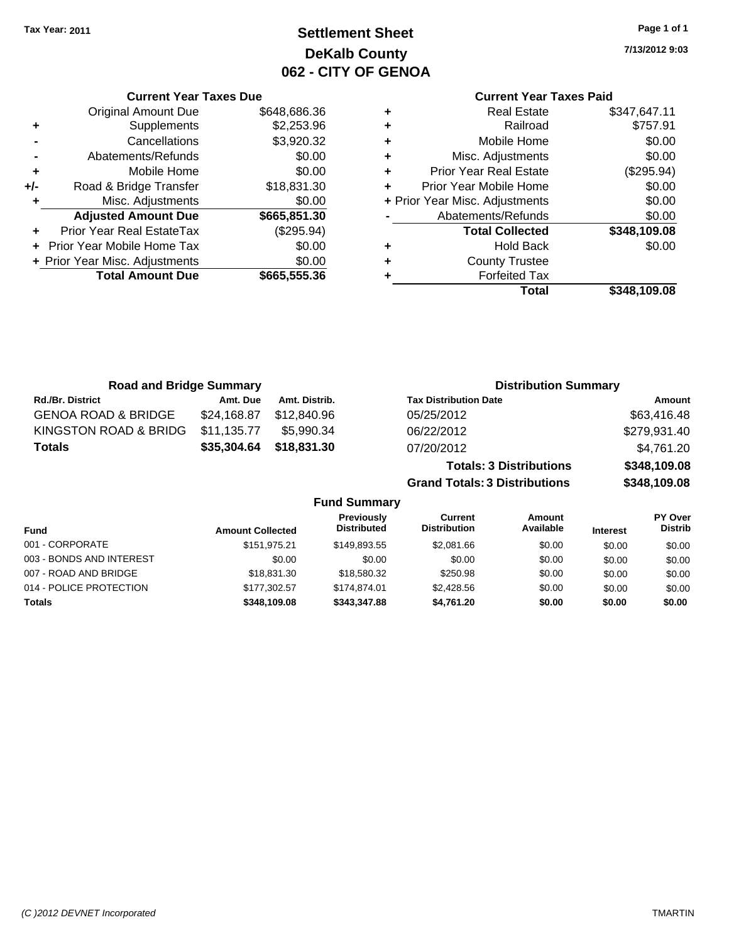# **Settlement Sheet Tax Year: 2011 Page 1 of 1 DeKalb County 062 - CITY OF GENOA**

**7/13/2012 9:03**

## **Current Year Taxes Paid**

| ٠ | <b>Real Estate</b>             | \$347,647.11 |
|---|--------------------------------|--------------|
| ٠ | Railroad                       | \$757.91     |
| ٠ | Mobile Home                    | \$0.00       |
| ٠ | Misc. Adjustments              | \$0.00       |
| ٠ | <b>Prior Year Real Estate</b>  | (\$295.94)   |
| ٠ | Prior Year Mobile Home         | \$0.00       |
|   | + Prior Year Misc. Adjustments | \$0.00       |
|   | Abatements/Refunds             | \$0.00       |
|   | <b>Total Collected</b>         | \$348,109.08 |
| ٠ | Hold Back                      | \$0.00       |
| ٠ | <b>County Trustee</b>          |              |
| ٠ | <b>Forfeited Tax</b>           |              |
|   | Total                          | \$348,109.08 |

|     | <b>Current Year Taxes Due</b>     |              |  |  |  |
|-----|-----------------------------------|--------------|--|--|--|
|     | <b>Original Amount Due</b>        | \$648,686.36 |  |  |  |
| ٠   | Supplements                       | \$2,253.96   |  |  |  |
|     | Cancellations                     | \$3,920.32   |  |  |  |
|     | Abatements/Refunds                | \$0.00       |  |  |  |
| ٠   | Mobile Home                       | \$0.00       |  |  |  |
| +/- | Road & Bridge Transfer            | \$18,831.30  |  |  |  |
| ٠   | Misc. Adjustments                 | \$0.00       |  |  |  |
|     | <b>Adjusted Amount Due</b>        | \$665,851.30 |  |  |  |
|     | Prior Year Real EstateTax         | (\$295.94)   |  |  |  |
|     | <b>Prior Year Mobile Home Tax</b> | \$0.00       |  |  |  |
|     | + Prior Year Misc. Adjustments    | \$0.00       |  |  |  |
|     | <b>Total Amount Due</b>           | \$665,555.36 |  |  |  |
|     |                                   |              |  |  |  |

| <b>Road and Bridge Summary</b> |             |                     | <b>Distribution Summary</b>          |              |
|--------------------------------|-------------|---------------------|--------------------------------------|--------------|
| Rd./Br. District               | Amt. Due    | Amt. Distrib.       | <b>Tax Distribution Date</b>         | Amount       |
| <b>GENOA ROAD &amp; BRIDGE</b> | \$24,168.87 | \$12,840.96         | 05/25/2012                           | \$63,416.48  |
| KINGSTON ROAD & BRIDG          | \$11,135.77 | \$5.990.34          | 06/22/2012                           | \$279,931.40 |
| <b>Totals</b>                  | \$35,304.64 | \$18,831.30         | 07/20/2012                           | \$4,761.20   |
|                                |             |                     | <b>Totals: 3 Distributions</b>       | \$348,109.08 |
|                                |             |                     | <b>Grand Totals: 3 Distributions</b> | \$348,109.08 |
|                                |             | <b>Fund Summary</b> |                                      |              |

| , טווט טעוווווט ז        |                         |                                  |                                |                     |                 |                           |
|--------------------------|-------------------------|----------------------------------|--------------------------------|---------------------|-----------------|---------------------------|
| <b>Fund</b>              | <b>Amount Collected</b> | Previously<br><b>Distributed</b> | Current<br><b>Distribution</b> | Amount<br>Available | <b>Interest</b> | PY Over<br><b>Distrib</b> |
| 001 - CORPORATE          | \$151.975.21            | \$149.893.55                     | \$2,081.66                     | \$0.00              | \$0.00          | \$0.00                    |
| 003 - BONDS AND INTEREST | \$0.00                  | \$0.00                           | \$0.00                         | \$0.00              | \$0.00          | \$0.00                    |
| 007 - ROAD AND BRIDGE    | \$18,831.30             | \$18,580.32                      | \$250.98                       | \$0.00              | \$0.00          | \$0.00                    |
| 014 - POLICE PROTECTION  | \$177,302.57            | \$174,874.01                     | \$2,428.56                     | \$0.00              | \$0.00          | \$0.00                    |
| <b>Totals</b>            | \$348.109.08            | \$343,347.88                     | \$4,761.20                     | \$0.00              | \$0.00          | \$0.00                    |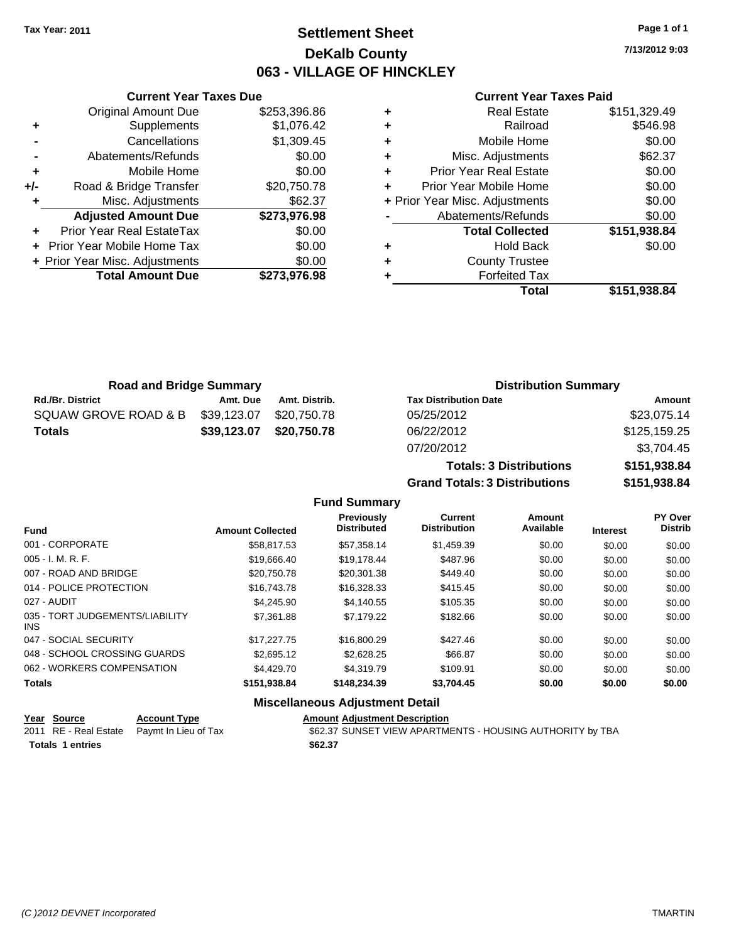# **Settlement Sheet Tax Year: 2011 Page 1 of 1 DeKalb County 063 - VILLAGE OF HINCKLEY**

**7/13/2012 9:03**

### **Current Year Taxes Paid**

|     | <b>Current Year Taxes Due</b>     |              |  |  |  |
|-----|-----------------------------------|--------------|--|--|--|
|     | <b>Original Amount Due</b>        | \$253.396.86 |  |  |  |
| ٠   | Supplements                       | \$1,076.42   |  |  |  |
|     | Cancellations                     | \$1,309.45   |  |  |  |
|     | Abatements/Refunds                | \$0.00       |  |  |  |
| ٠   | \$0.00<br>Mobile Home             |              |  |  |  |
| +/- | Road & Bridge Transfer            | \$20,750.78  |  |  |  |
| ٠   | Misc. Adjustments                 | \$62.37      |  |  |  |
|     | <b>Adjusted Amount Due</b>        | \$273,976.98 |  |  |  |
|     | Prior Year Real EstateTax         | \$0.00       |  |  |  |
|     | <b>Prior Year Mobile Home Tax</b> | \$0.00       |  |  |  |
|     | + Prior Year Misc. Adjustments    | \$0.00       |  |  |  |
|     | <b>Total Amount Due</b>           | \$273,976.98 |  |  |  |
|     |                                   |              |  |  |  |

|   | <b>Real Estate</b>             | \$151,329.49 |
|---|--------------------------------|--------------|
| ٠ | Railroad                       | \$546.98     |
| ٠ | Mobile Home                    | \$0.00       |
| ٠ | Misc. Adjustments              | \$62.37      |
| ÷ | <b>Prior Year Real Estate</b>  | \$0.00       |
|   | Prior Year Mobile Home         | \$0.00       |
|   | + Prior Year Misc. Adjustments | \$0.00       |
|   | Abatements/Refunds             | \$0.00       |
|   | <b>Total Collected</b>         | \$151,938.84 |
| ٠ | <b>Hold Back</b>               | \$0.00       |
| ٠ | <b>County Trustee</b>          |              |
|   | <b>Forfeited Tax</b>           |              |
|   | Total                          | \$151,938.84 |
|   |                                |              |

**Grand Totals: 3 Distributions \$151,938.84**

| <b>Road and Bridge Summary</b> |             |               | <b>Distribution Summary</b>    |               |  |
|--------------------------------|-------------|---------------|--------------------------------|---------------|--|
| <b>Rd./Br. District</b>        | Amt. Due    | Amt. Distrib. | <b>Tax Distribution Date</b>   | <b>Amount</b> |  |
| SQUAW GROVE ROAD & B           | \$39,123.07 | \$20,750.78   | 05/25/2012                     | \$23,075.14   |  |
| <b>Totals</b>                  | \$39,123.07 | \$20,750.78   | 06/22/2012                     | \$125,159.25  |  |
|                                |             |               | 07/20/2012                     | \$3,704.45    |  |
|                                |             |               | <b>Totals: 3 Distributions</b> | \$151,938.84  |  |

**Fund Summary Fund Interest Amount Collected Distributed PY Over Distrib Amount Available Current Distribution Previously** 001 - CORPORATE \$58,817.53 \$57,358.14 \$1,459.39 \$0.00 \$0.00 \$0.00 005 - I. M. R. F. \$19,666.40 \$19,178.44 \$487.96 \$0.00 \$0.00 \$0.00 007 - ROAD AND BRIDGE 60.00 \$20,750.78 \$20,301.38 \$449.40 \$0.00 \$0.00 \$0.00 \$0.00 014 - POLICE PROTECTION \$16,743.78 \$16,743.78 \$16,328.33 \$415.45 \$0.00 \$0.00 \$0.00 027 - AUDIT \$4,245.90 \$4,140.55 \$105.35 \$0.00 \$0.00 \$0.00 035 - TORT JUDGEMENTS/LIABILITY \$7,361.88 \$7,179.22 \$182.66 \$0.00 \$0.00 \$0.00 047 - SOCIAL SECURITY \$17,227.75 \$16,800.29 \$427.46 \$0.00 \$0.00 \$0.00 048 - SCHOOL CROSSING GUARDS \$2,695.12 \$2,628.25 \$66.87 \$0.00 \$0.00 \$0.00 \$0.00 062 - WORKERS COMPENSATION \$4,429.70 \$4,319.79 \$109.91 \$0.00 \$0.00 \$0.00 \$0.00 **Totals \$151,938.84 \$148,234.39 \$3,704.45 \$0.00 \$0.00 \$0.00**

### **Miscellaneous Adjustment Detail**

| Year Source             | <b>Account Type</b>                        | <b>Amount Adjustment Description</b>                      |
|-------------------------|--------------------------------------------|-----------------------------------------------------------|
|                         | 2011 RE - Real Estate Paymt In Lieu of Tax | \$62.37 SUNSET VIEW APARTMENTS - HOUSING AUTHORITY by TBA |
| <b>Totals 1 entries</b> |                                            | \$62.37                                                   |

INS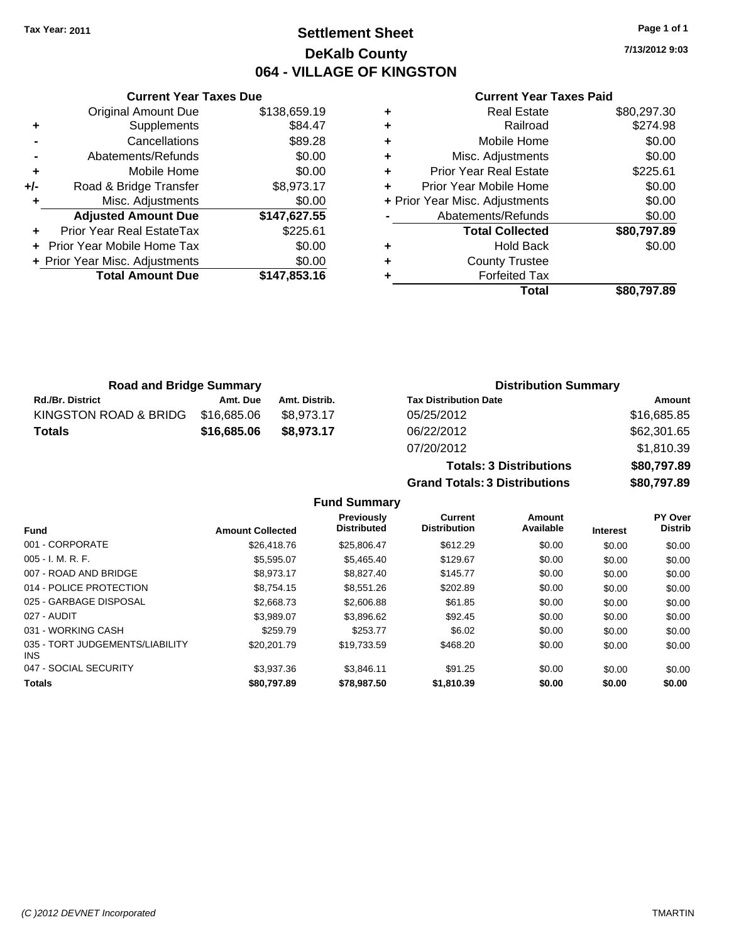# **Settlement Sheet Tax Year: 2011 Page 1 of 1 DeKalb County 064 - VILLAGE OF KINGSTON**

**7/13/2012 9:03**

### **Current Year Taxes Paid**

|     | <b>Current Year Taxes Due</b>  |              |  |  |  |
|-----|--------------------------------|--------------|--|--|--|
|     | <b>Original Amount Due</b>     | \$138,659.19 |  |  |  |
| ÷   | Supplements                    | \$84.47      |  |  |  |
|     | Cancellations                  | \$89.28      |  |  |  |
|     | Abatements/Refunds             | \$0.00       |  |  |  |
| ٠   | Mobile Home                    | \$0.00       |  |  |  |
| +/- | Road & Bridge Transfer         | \$8,973.17   |  |  |  |
|     | Misc. Adjustments              | \$0.00       |  |  |  |
|     | <b>Adjusted Amount Due</b>     | \$147,627.55 |  |  |  |
|     | Prior Year Real EstateTax      | \$225.61     |  |  |  |
|     | Prior Year Mobile Home Tax     | \$0.00       |  |  |  |
|     | + Prior Year Misc. Adjustments | \$0.00       |  |  |  |
|     | <b>Total Amount Due</b>        | \$147,853.16 |  |  |  |
|     |                                |              |  |  |  |

| <b>Real Estate</b>             | \$80,297.30 |  |
|--------------------------------|-------------|--|
| Railroad                       | \$274.98    |  |
| Mobile Home                    | \$0.00      |  |
| Misc. Adjustments              | \$0.00      |  |
| <b>Prior Year Real Estate</b>  | \$225.61    |  |
| Prior Year Mobile Home         | \$0.00      |  |
| + Prior Year Misc. Adjustments |             |  |
| Abatements/Refunds             | \$0.00      |  |
| <b>Total Collected</b>         | \$80,797.89 |  |
| <b>Hold Back</b>               | \$0.00      |  |
| <b>County Trustee</b>          |             |  |
| <b>Forfeited Tax</b>           |             |  |
| Total                          | \$80.797.89 |  |
|                                |             |  |

| <b>Road and Bridge Summary</b> |             |               | <b>Distribution Summary</b>  |             |
|--------------------------------|-------------|---------------|------------------------------|-------------|
| <b>Rd./Br. District</b>        | Amt. Due    | Amt. Distrib. | <b>Tax Distribution Date</b> | Amount      |
| KINGSTON ROAD & BRIDG          | \$16.685.06 | \$8.973.17    | 05/25/2012                   | \$16,685.85 |
| <b>Totals</b>                  | \$16,685.06 | \$8,973,17    | 06/22/2012                   | \$62,301.65 |
|                                |             |               | 07/20/2012                   | \$1,810.39  |

|                                         |                         |                                         | <b>Totals: 3 Distributions</b>        | \$80,797.89         |                 |                           |
|-----------------------------------------|-------------------------|-----------------------------------------|---------------------------------------|---------------------|-----------------|---------------------------|
|                                         |                         |                                         | <b>Grand Totals: 3 Distributions</b>  |                     |                 | \$80,797.89               |
|                                         |                         | <b>Fund Summary</b>                     |                                       |                     |                 |                           |
| Fund                                    | <b>Amount Collected</b> | <b>Previously</b><br><b>Distributed</b> | <b>Current</b><br><b>Distribution</b> | Amount<br>Available | <b>Interest</b> | PY Over<br><b>Distrib</b> |
| 001 - CORPORATE                         | \$26,418.76             | \$25,806.47                             | \$612.29                              | \$0.00              | \$0.00          | \$0.00                    |
| $005 - I. M. R. F.$                     | \$5,595.07              | \$5,465.40                              | \$129.67                              | \$0.00              | \$0.00          | \$0.00                    |
| 007 - ROAD AND BRIDGE                   | \$8.973.17              | \$8,827.40                              | \$145.77                              | \$0.00              | \$0.00          | \$0.00                    |
| 014 - POLICE PROTECTION                 | \$8,754.15              | \$8,551.26                              | \$202.89                              | \$0.00              | \$0.00          | \$0.00                    |
| 025 - GARBAGE DISPOSAL                  | \$2,668.73              | \$2,606.88                              | \$61.85                               | \$0.00              | \$0.00          | \$0.00                    |
| 027 - AUDIT                             | \$3,989.07              | \$3,896.62                              | \$92.45                               | \$0.00              | \$0.00          | \$0.00                    |
| 031 - WORKING CASH                      | \$259.79                | \$253.77                                | \$6.02                                | \$0.00              | \$0.00          | \$0.00                    |
| 035 - TORT JUDGEMENTS/LIABILITY<br>INS. | \$20,201.79             | \$19,733.59                             | \$468.20                              | \$0.00              | \$0.00          | \$0.00                    |
| 047 - SOCIAL SECURITY                   | \$3,937.36              | \$3,846.11                              | \$91.25                               | \$0.00              | \$0.00          | \$0.00                    |
| <b>Totals</b>                           | \$80.797.89             | \$78,987.50                             | \$1,810.39                            | \$0.00              | \$0.00          | \$0.00                    |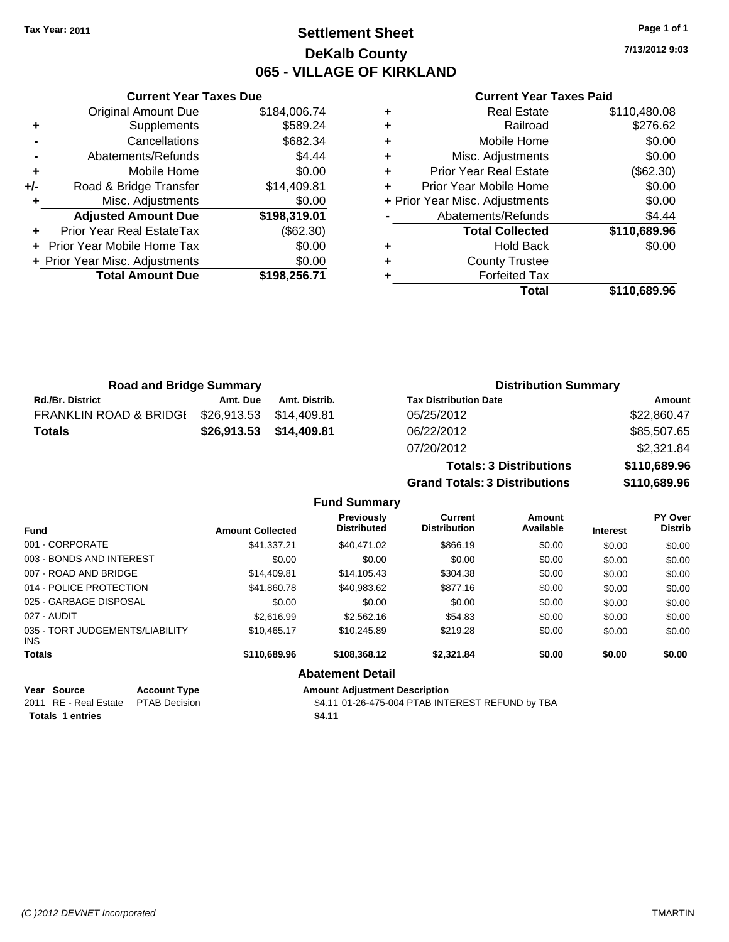# **Settlement Sheet Tax Year: 2011 Page 1 of 1 DeKalb County 065 - VILLAGE OF KIRKLAND**

**7/13/2012 9:03**

### **Current Year Taxes Paid**

|   | Total                          | \$110,689.96 |
|---|--------------------------------|--------------|
|   | <b>Forfeited Tax</b>           |              |
| ٠ | <b>County Trustee</b>          |              |
| ٠ | <b>Hold Back</b>               | \$0.00       |
|   | <b>Total Collected</b>         | \$110,689.96 |
|   | Abatements/Refunds             | \$4.44       |
|   | + Prior Year Misc. Adjustments | \$0.00       |
|   | Prior Year Mobile Home         | \$0.00       |
| ٠ | <b>Prior Year Real Estate</b>  | (\$62.30)    |
| ٠ | Misc. Adjustments              | \$0.00       |
| ٠ | Mobile Home                    | \$0.00       |
| ٠ | Railroad                       | \$276.62     |
|   | <b>Real Estate</b>             | \$110,480.08 |

|     | <b>Current Year Taxes Due</b>  |              |
|-----|--------------------------------|--------------|
|     | <b>Original Amount Due</b>     | \$184,006.74 |
| ٠   | Supplements                    | \$589.24     |
|     | Cancellations                  | \$682.34     |
|     | Abatements/Refunds             | \$4.44       |
| ٠   | Mobile Home                    | \$0.00       |
| +/- | Road & Bridge Transfer         | \$14,409.81  |
|     | Misc. Adjustments              | \$0.00       |
|     | <b>Adjusted Amount Due</b>     | \$198,319.01 |
|     | Prior Year Real EstateTax      | (\$62.30)    |
|     | Prior Year Mobile Home Tax     | \$0.00       |
|     | + Prior Year Misc. Adjustments | \$0.00       |
|     | <b>Total Amount Due</b>        | \$198,256.71 |
|     |                                |              |

| <b>Road and Bridge Summary</b>    |             |               | <b>Distribution Summary</b>    |              |
|-----------------------------------|-------------|---------------|--------------------------------|--------------|
| <b>Rd./Br. District</b>           | Amt. Due    | Amt. Distrib. | <b>Tax Distribution Date</b>   | Amount       |
| <b>FRANKLIN ROAD &amp; BRIDGI</b> | \$26,913.53 | \$14,409.81   | 05/25/2012                     | \$22,860.47  |
| <b>Totals</b>                     | \$26,913.53 | \$14,409.81   | 06/22/2012                     | \$85,507.65  |
|                                   |             |               | 07/20/2012                     | \$2,321.84   |
|                                   |             |               | <b>Totals: 3 Distributions</b> | \$110,689.96 |

**Grand Totals: 3 Distributions \$110,689.96**

|  | <b>Fund Summary</b> |  |
|--|---------------------|--|
|  |                     |  |

| <b>Fund</b>                             | <b>Amount Collected</b> | <b>Previously</b><br><b>Distributed</b> | Current<br><b>Distribution</b> | Amount<br>Available | <b>Interest</b> | PY Over<br><b>Distrib</b> |
|-----------------------------------------|-------------------------|-----------------------------------------|--------------------------------|---------------------|-----------------|---------------------------|
| 001 - CORPORATE                         | \$41,337.21             | \$40,471.02                             | \$866.19                       | \$0.00              | \$0.00          | \$0.00                    |
| 003 - BONDS AND INTEREST                | \$0.00                  | \$0.00                                  | \$0.00                         | \$0.00              | \$0.00          | \$0.00                    |
| 007 - ROAD AND BRIDGE                   | \$14,409.81             | \$14,105.43                             | \$304.38                       | \$0.00              | \$0.00          | \$0.00                    |
| 014 - POLICE PROTECTION                 | \$41,860.78             | \$40,983.62                             | \$877.16                       | \$0.00              | \$0.00          | \$0.00                    |
| 025 - GARBAGE DISPOSAL                  | \$0.00                  | \$0.00                                  | \$0.00                         | \$0.00              | \$0.00          | \$0.00                    |
| 027 - AUDIT                             | \$2.616.99              | \$2,562.16                              | \$54.83                        | \$0.00              | \$0.00          | \$0.00                    |
| 035 - TORT JUDGEMENTS/LIABILITY<br>INS. | \$10,465.17             | \$10,245.89                             | \$219.28                       | \$0.00              | \$0.00          | \$0.00                    |
| <b>Totals</b>                           | \$110,689.96            | \$108,368.12                            | \$2,321.84                     | \$0.00              | \$0.00          | \$0.00                    |
|                                         |                         | <b>Abatement Detail</b>                 |                                |                     |                 |                           |
|                                         |                         |                                         |                                |                     |                 |                           |

| <u>Year Source</u>                   | <b>Account Type</b> | <b>Amount Adiustment Description</b>             |
|--------------------------------------|---------------------|--------------------------------------------------|
| 2011 RE - Real Estate  PTAB Decision |                     | \$4.11 01-26-475-004 PTAB INTEREST REFUND by TBA |
| <b>Totals 1 entries</b>              |                     | \$4.11                                           |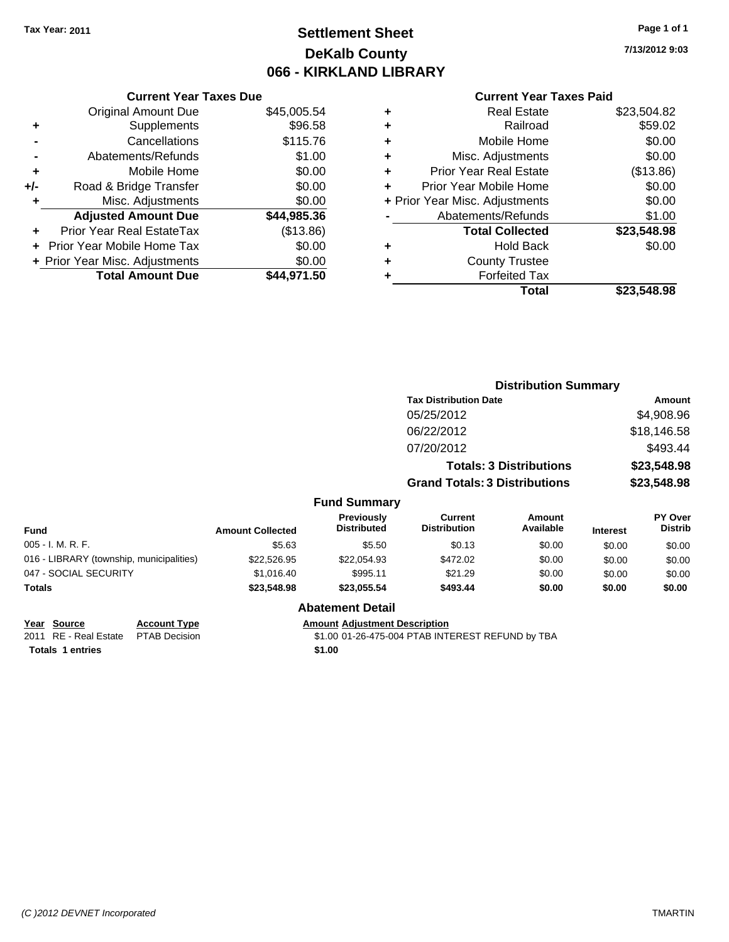# **Settlement Sheet Tax Year: 2011 Page 1 of 1 DeKalb County 066 - KIRKLAND LIBRARY**

**7/13/2012 9:03**

### **Current Year Taxes Paid**

|     | <b>Current Year Taxes Due</b>  |             |  |
|-----|--------------------------------|-------------|--|
|     | <b>Original Amount Due</b>     | \$45,005.54 |  |
| ٠   | Supplements                    | \$96.58     |  |
|     | Cancellations                  | \$115.76    |  |
|     | Abatements/Refunds             | \$1.00      |  |
| ٠   | Mobile Home                    | \$0.00      |  |
| +/- | Road & Bridge Transfer         | \$0.00      |  |
| ٠   | Misc. Adjustments              | \$0.00      |  |
|     | <b>Adjusted Amount Due</b>     | \$44,985.36 |  |
| ٠   | Prior Year Real EstateTax      | (\$13.86)   |  |
|     | Prior Year Mobile Home Tax     | \$0.00      |  |
|     | + Prior Year Misc. Adjustments | \$0.00      |  |
|     | <b>Total Amount Due</b>        | \$44,971.50 |  |

| ٠ | <b>Real Estate</b>             | \$23,504.82 |
|---|--------------------------------|-------------|
| ٠ | Railroad                       | \$59.02     |
| ٠ | Mobile Home                    | \$0.00      |
| ٠ | Misc. Adjustments              | \$0.00      |
| ÷ | <b>Prior Year Real Estate</b>  | (\$13.86)   |
|   | Prior Year Mobile Home         | \$0.00      |
|   | + Prior Year Misc. Adjustments | \$0.00      |
|   | Abatements/Refunds             | \$1.00      |
|   | <b>Total Collected</b>         | \$23,548.98 |
| ٠ | <b>Hold Back</b>               | \$0.00      |
| ٠ | <b>County Trustee</b>          |             |
| ٠ | <b>Forfeited Tax</b>           |             |
|   | Total                          | \$23.548.98 |
|   |                                |             |

|                                          |                         |                                         |                                       | <b>Distribution Summary</b>    |                 |                           |
|------------------------------------------|-------------------------|-----------------------------------------|---------------------------------------|--------------------------------|-----------------|---------------------------|
|                                          |                         |                                         | <b>Tax Distribution Date</b>          |                                |                 | <b>Amount</b>             |
|                                          |                         |                                         | 05/25/2012                            |                                |                 | \$4,908.96                |
|                                          |                         |                                         | 06/22/2012                            |                                |                 | \$18,146.58               |
|                                          |                         |                                         | 07/20/2012                            |                                |                 | \$493.44                  |
|                                          |                         |                                         |                                       | <b>Totals: 3 Distributions</b> |                 | \$23,548.98               |
|                                          |                         |                                         | <b>Grand Totals: 3 Distributions</b>  |                                |                 | \$23,548.98               |
|                                          |                         | <b>Fund Summary</b>                     |                                       |                                |                 |                           |
| <b>Fund</b>                              | <b>Amount Collected</b> | <b>Previously</b><br><b>Distributed</b> | <b>Current</b><br><b>Distribution</b> | Amount<br>Available            | <b>Interest</b> | PY Over<br><b>Distrib</b> |
| 005 - I. M. R. F.                        | \$5.63                  | \$5.50                                  | \$0.13                                | \$0.00                         | \$0.00          | \$0.00                    |
| 016 - LIBRARY (township, municipalities) | \$22,526.95             | \$22,054.93                             | \$472.02                              | \$0.00                         | \$0.00          | \$0.00                    |
| 047 - SOCIAL SECURITY                    | \$1,016.40              | \$995.11                                | \$21.29                               | \$0.00                         | \$0.00          | \$0.00                    |
| Totals                                   | \$23,548.98             | \$23,055.54                             | \$493.44                              | \$0.00                         | \$0.00          | \$0.00                    |
|                                          |                         | <b>Abatement Detail</b>                 |                                       |                                |                 |                           |

| Year Source                         | <b>Account Type</b> | <b>Amount Adiustment Description</b> |
|-------------------------------------|---------------------|--------------------------------------|
| 2011 RE - Real Estate PTAB Decision |                     | \$1.00 01-26-475-004 PTAB INTI       |
| <b>Totals 1 entries</b>             |                     | \$1.00                               |

2011 RE - Real Estate PTAB Decision 31.00 01-26-475-004 PTAB INTEREST REFUND by TBA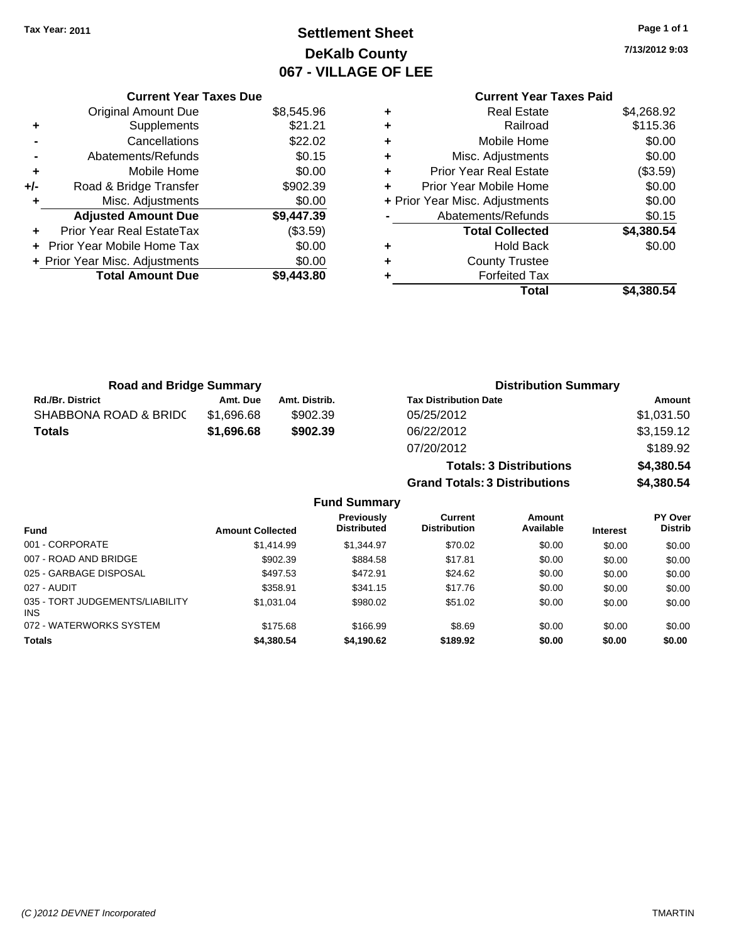# **Settlement Sheet Tax Year: 2011 Page 1 of 1 DeKalb County 067 - VILLAGE OF LEE**

**7/13/2012 9:03**

### **Current Year Taxes Paid +** Real Estate \$4,268.92 **+** Railroad \$115.36 **+** Mobile Home \$0.00 **+** Misc. Adjustments \$0.00 **+** Prior Year Real Estate (\$3.59) **+** Prior Year Mobile Home \$0.00 **+** Prior Year Misc. Adjustments  $$0.00$ **-** Abatements/Refunds \$0.15 **Total Collected \$4,380.54 +** Hold Back \$0.00 **+** County Trustee **+** Forfeited Tax **Total \$4,380.54**

|     | <b>Current Year Taxes Due</b>  |            |
|-----|--------------------------------|------------|
|     | <b>Original Amount Due</b>     | \$8,545.96 |
| ٠   | Supplements                    | \$21.21    |
|     | Cancellations                  | \$22.02    |
|     | Abatements/Refunds             | \$0.15     |
| ٠   | Mobile Home                    | \$0.00     |
| +/- | Road & Bridge Transfer         | \$902.39   |
| ٠   | Misc. Adjustments              | \$0.00     |
|     | <b>Adjusted Amount Due</b>     | \$9,447.39 |
|     | Prior Year Real EstateTax      | (\$3.59)   |
|     | Prior Year Mobile Home Tax     | \$0.00     |
|     | + Prior Year Misc. Adjustments | \$0.00     |
|     | <b>Total Amount Due</b>        | \$9,443.80 |
|     |                                |            |

| <b>Road and Bridge Summary</b> |            |               | <b>Distribution Summary</b>          |            |  |  |
|--------------------------------|------------|---------------|--------------------------------------|------------|--|--|
| <b>Rd./Br. District</b>        | Amt. Due   | Amt. Distrib. | <b>Tax Distribution Date</b>         | Amount     |  |  |
| SHABBONA ROAD & BRIDC          | \$1,696.68 | \$902.39      | 05/25/2012                           | \$1,031.50 |  |  |
| <b>Totals</b>                  | \$1,696.68 | \$902.39      | 06/22/2012                           | \$3,159.12 |  |  |
|                                |            |               | 07/20/2012                           | \$189.92   |  |  |
|                                |            |               | <b>Totals: 3 Distributions</b>       | \$4,380.54 |  |  |
|                                |            |               | <b>Grand Totals: 3 Distributions</b> | \$4,380.54 |  |  |

| <b>Fund Summary</b>                           |                         |                                  |                                |                     |                 |                           |  |
|-----------------------------------------------|-------------------------|----------------------------------|--------------------------------|---------------------|-----------------|---------------------------|--|
| <b>Fund</b>                                   | <b>Amount Collected</b> | Previously<br><b>Distributed</b> | Current<br><b>Distribution</b> | Amount<br>Available | <b>Interest</b> | PY Over<br><b>Distrib</b> |  |
| 001 - CORPORATE                               | \$1,414.99              | \$1,344.97                       | \$70.02                        | \$0.00              | \$0.00          | \$0.00                    |  |
| 007 - ROAD AND BRIDGE                         | \$902.39                | \$884.58                         | \$17.81                        | \$0.00              | \$0.00          | \$0.00                    |  |
| 025 - GARBAGE DISPOSAL                        | \$497.53                | \$472.91                         | \$24.62                        | \$0.00              | \$0.00          | \$0.00                    |  |
| 027 - AUDIT                                   | \$358.91                | \$341.15                         | \$17.76                        | \$0.00              | \$0.00          | \$0.00                    |  |
| 035 - TORT JUDGEMENTS/LIABILITY<br><b>INS</b> | \$1.031.04              | \$980.02                         | \$51.02                        | \$0.00              | \$0.00          | \$0.00                    |  |
| 072 - WATERWORKS SYSTEM                       | \$175.68                | \$166.99                         | \$8.69                         | \$0.00              | \$0.00          | \$0.00                    |  |
| <b>Totals</b>                                 | \$4,380.54              | \$4,190.62                       | \$189.92                       | \$0.00              | \$0.00          | \$0.00                    |  |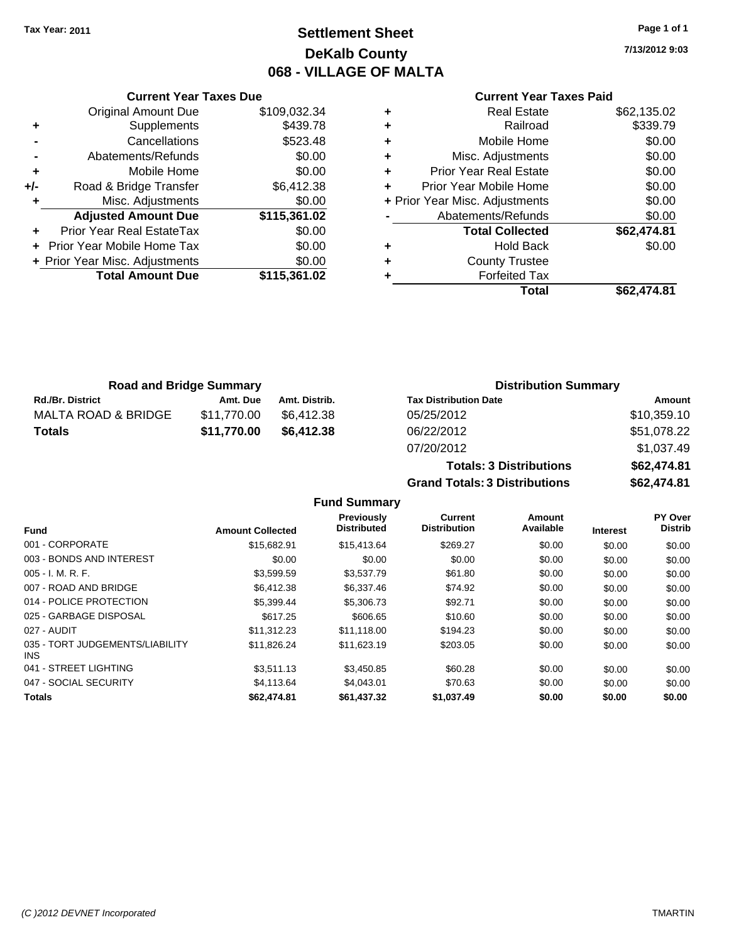# **Settlement Sheet Tax Year: 2011 Page 1 of 1 DeKalb County 068 - VILLAGE OF MALTA**

**7/13/2012 9:03**

### **Current Year Taxes Paid**

|     | <b>Current Year Taxes Due</b>     |              |  |  |  |  |
|-----|-----------------------------------|--------------|--|--|--|--|
|     | <b>Original Amount Due</b>        | \$109,032.34 |  |  |  |  |
| ٠   | Supplements                       | \$439.78     |  |  |  |  |
|     | Cancellations                     | \$523.48     |  |  |  |  |
|     | Abatements/Refunds                | \$0.00       |  |  |  |  |
| ٠   | Mobile Home                       | \$0.00       |  |  |  |  |
| +/- | Road & Bridge Transfer            | \$6,412.38   |  |  |  |  |
|     | Misc. Adjustments                 | \$0.00       |  |  |  |  |
|     | <b>Adjusted Amount Due</b>        | \$115,361.02 |  |  |  |  |
|     | Prior Year Real EstateTax         | \$0.00       |  |  |  |  |
|     | <b>Prior Year Mobile Home Tax</b> | \$0.00       |  |  |  |  |
|     | + Prior Year Misc. Adjustments    | \$0.00       |  |  |  |  |
|     | <b>Total Amount Due</b>           | \$115,361.02 |  |  |  |  |
|     |                                   |              |  |  |  |  |

| \$62,135.02 |
|-------------|
| \$339.79    |
| \$0.00      |
| \$0.00      |
| \$0.00      |
| \$0.00      |
| \$0.00      |
| \$0.00      |
| \$62,474.81 |
| \$0.00      |
|             |
|             |
| \$62,474.81 |
|             |

|                         | <b>Road and Bridge Summary</b> |               | <b>Distribution Summary</b>  |             |
|-------------------------|--------------------------------|---------------|------------------------------|-------------|
| <b>Rd./Br. District</b> | Amt. Due                       | Amt. Distrib. | <b>Tax Distribution Date</b> | Amount      |
| MALTA ROAD & BRIDGE     | \$11.770.00                    | \$6.412.38    | 05/25/2012                   | \$10,359.10 |
| <b>Totals</b>           | \$11,770.00                    | \$6,412.38    | 06/22/2012                   | \$51,078.22 |
|                         |                                |               | 07/20/2012                   | 4.037A9     |

| 07/20/2012                           | \$1.037.49  |
|--------------------------------------|-------------|
| <b>Totals: 3 Distributions</b>       | \$62,474.81 |
| <b>Grand Totals: 3 Distributions</b> | \$62,474.81 |

**Fund Summary**

|                                               |                         | <b>Previously</b>  | <b>Current</b>      | <b>Amount</b> |                 | PY Over        |
|-----------------------------------------------|-------------------------|--------------------|---------------------|---------------|-----------------|----------------|
| <b>Fund</b>                                   | <b>Amount Collected</b> | <b>Distributed</b> | <b>Distribution</b> | Available     | <b>Interest</b> | <b>Distrib</b> |
| 001 - CORPORATE                               | \$15,682.91             | \$15,413.64        | \$269.27            | \$0.00        | \$0.00          | \$0.00         |
| 003 - BONDS AND INTEREST                      | \$0.00                  | \$0.00             | \$0.00              | \$0.00        | \$0.00          | \$0.00         |
| $005 - I. M. R. F.$                           | \$3.599.59              | \$3,537.79         | \$61.80             | \$0.00        | \$0.00          | \$0.00         |
| 007 - ROAD AND BRIDGE                         | \$6,412.38              | \$6,337.46         | \$74.92             | \$0.00        | \$0.00          | \$0.00         |
| 014 - POLICE PROTECTION                       | \$5,399.44              | \$5,306,73         | \$92.71             | \$0.00        | \$0.00          | \$0.00         |
| 025 - GARBAGE DISPOSAL                        | \$617.25                | \$606.65           | \$10.60             | \$0.00        | \$0.00          | \$0.00         |
| 027 - AUDIT                                   | \$11.312.23             | \$11.118.00        | \$194.23            | \$0.00        | \$0.00          | \$0.00         |
| 035 - TORT JUDGEMENTS/LIABILITY<br><b>INS</b> | \$11.826.24             | \$11.623.19        | \$203.05            | \$0.00        | \$0.00          | \$0.00         |
| 041 - STREET LIGHTING                         | \$3.511.13              | \$3,450.85         | \$60.28             | \$0.00        | \$0.00          | \$0.00         |
| 047 - SOCIAL SECURITY                         | \$4,113,64              | \$4.043.01         | \$70.63             | \$0.00        | \$0.00          | \$0.00         |
| <b>Totals</b>                                 | \$62,474.81             | \$61,437,32        | \$1.037.49          | \$0.00        | \$0.00          | \$0.00         |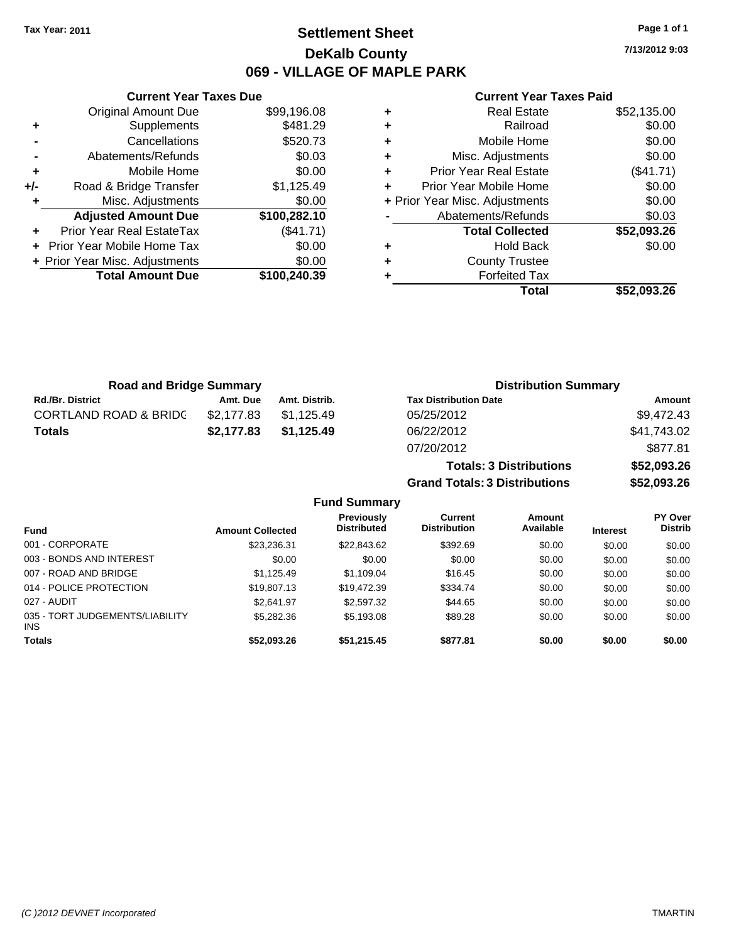# **Settlement Sheet Tax Year: 2011 Page 1 of 1 DeKalb County 069 - VILLAGE OF MAPLE PARK**

**7/13/2012 9:03**

### **Current Year Taxes Paid**

|     | <b>Current Year Taxes Due</b>  |              |
|-----|--------------------------------|--------------|
|     | <b>Original Amount Due</b>     | \$99,196.08  |
| ٠   | Supplements                    | \$481.29     |
|     | Cancellations                  | \$520.73     |
|     | Abatements/Refunds             | \$0.03       |
| ٠   | Mobile Home                    | \$0.00       |
| +/- | Road & Bridge Transfer         | \$1,125.49   |
|     | Misc. Adjustments              | \$0.00       |
|     | <b>Adjusted Amount Due</b>     | \$100,282.10 |
|     | Prior Year Real EstateTax      | (\$41.71)    |
|     | Prior Year Mobile Home Tax     | \$0.00       |
|     | + Prior Year Misc. Adjustments | \$0.00       |
|     | <b>Total Amount Due</b>        | \$100,240.39 |
|     |                                |              |

| ٠ | <b>Real Estate</b>             | \$52,135.00 |
|---|--------------------------------|-------------|
| ٠ | Railroad                       | \$0.00      |
| ٠ | Mobile Home                    | \$0.00      |
| ٠ | Misc. Adjustments              | \$0.00      |
| ٠ | <b>Prior Year Real Estate</b>  | (\$41.71)   |
| ÷ | Prior Year Mobile Home         | \$0.00      |
|   | + Prior Year Misc. Adjustments | \$0.00      |
|   | Abatements/Refunds             | \$0.03      |
|   | <b>Total Collected</b>         | \$52,093.26 |
| ٠ | <b>Hold Back</b>               | \$0.00      |
| ٠ | <b>County Trustee</b>          |             |
|   | <b>Forfeited Tax</b>           |             |
|   | Total                          | \$52.093.26 |

**Totals: 3 Distributions \$52,093.26**

**Grand Totals: 3 Distributions \$52,093.26**

| <b>Road and Bridge Summary</b>   |            |               | <b>Distribution Summary</b>  |             |  |
|----------------------------------|------------|---------------|------------------------------|-------------|--|
| <b>Rd./Br. District</b>          | Amt. Due   | Amt. Distrib. | <b>Tax Distribution Date</b> | Amount      |  |
| <b>CORTLAND ROAD &amp; BRIDC</b> | \$2.177.83 | \$1.125.49    | 05/25/2012                   | \$9,472.43  |  |
| <b>Totals</b>                    | \$2,177.83 | \$1,125.49    | 06/22/2012                   | \$41,743.02 |  |
|                                  |            |               | 07/20/2012                   | \$877.81    |  |

|                                         |                         | <b>Fund Summary</b>              |                                |                     |                 |                           |
|-----------------------------------------|-------------------------|----------------------------------|--------------------------------|---------------------|-----------------|---------------------------|
| <b>Fund</b>                             | <b>Amount Collected</b> | Previously<br><b>Distributed</b> | Current<br><b>Distribution</b> | Amount<br>Available | <b>Interest</b> | PY Over<br><b>Distrib</b> |
| 001 - CORPORATE                         | \$23,236.31             | \$22,843.62                      | \$392.69                       | \$0.00              | \$0.00          | \$0.00                    |
| 003 - BONDS AND INTEREST                | \$0.00                  | \$0.00                           | \$0.00                         | \$0.00              | \$0.00          | \$0.00                    |
| 007 - ROAD AND BRIDGE                   | \$1.125.49              | \$1,109.04                       | \$16.45                        | \$0.00              | \$0.00          | \$0.00                    |
| 014 - POLICE PROTECTION                 | \$19,807.13             | \$19.472.39                      | \$334.74                       | \$0.00              | \$0.00          | \$0.00                    |
| 027 - AUDIT                             | \$2.641.97              | \$2,597.32                       | \$44.65                        | \$0.00              | \$0.00          | \$0.00                    |
| 035 - TORT JUDGEMENTS/LIABILITY<br>INS. | \$5,282.36              | \$5,193.08                       | \$89.28                        | \$0.00              | \$0.00          | \$0.00                    |
| Totals                                  | \$52,093.26             | \$51,215.45                      | \$877.81                       | \$0.00              | \$0.00          | \$0.00                    |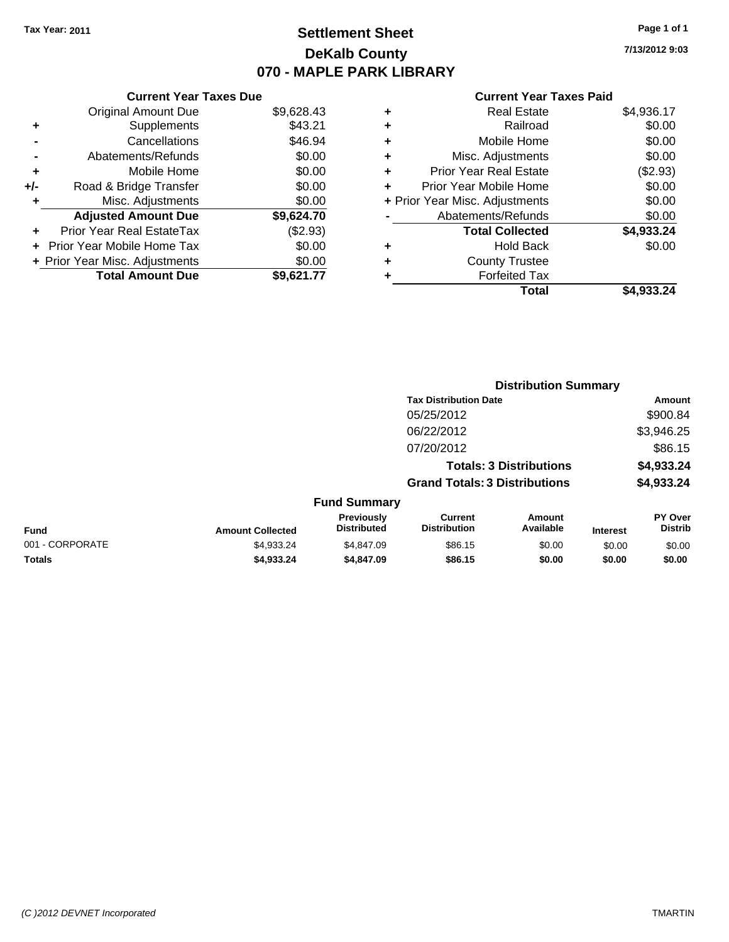# **Settlement Sheet Tax Year: 2011 Page 1 of 1 DeKalb County 070 - MAPLE PARK LIBRARY**

**7/13/2012 9:03**

### **Current Year Taxes Paid**

| <b>Current</b>             |   |            | <b>Current Year Taxes Due</b>  |       |
|----------------------------|---|------------|--------------------------------|-------|
| Real Es                    | ٠ | \$9,628.43 | Original Amount Due            |       |
| Rail                       | ٠ | \$43.21    | Supplements                    | ٠     |
| Mobile H                   | ٠ | \$46.94    | Cancellations                  |       |
| Misc. Adjustm              | ٠ | \$0.00     | Abatements/Refunds             |       |
| Prior Year Real Es         | ٠ | \$0.00     | Mobile Home                    | ٠     |
| Prior Year Mobile H        | ÷ | \$0.00     | Road & Bridge Transfer         | $+/-$ |
| + Prior Year Misc. Adjustm |   | \$0.00     | Misc. Adjustments              |       |
| Abatements/Ref             |   | \$9,624.70 | <b>Adjusted Amount Due</b>     |       |
| <b>Total Colle</b>         |   | (\$2.93)   | Prior Year Real EstateTax      |       |
| Hold I                     | ٠ | \$0.00     | + Prior Year Mobile Home Tax   |       |
| County Tru                 | ٠ | \$0.00     | + Prior Year Misc. Adjustments |       |
| Forfeited                  | ٠ | \$9,621.77 | <b>Total Amount Due</b>        |       |
|                            |   |            |                                |       |

| <b>Real Estate</b>                 | \$4,936.17 |
|------------------------------------|------------|
| Railroad<br>٠                      | \$0.00     |
| Mobile Home<br>٠                   | \$0.00     |
| Misc. Adjustments<br>٠             | \$0.00     |
| <b>Prior Year Real Estate</b><br>٠ | (\$2.93)   |
| Prior Year Mobile Home             | \$0.00     |
| + Prior Year Misc. Adjustments     | \$0.00     |
| Abatements/Refunds                 | \$0.00     |
| <b>Total Collected</b>             | \$4,933.24 |
| Hold Back<br>٠                     | \$0.00     |
| <b>County Trustee</b><br>٠         |            |
| <b>Forfeited Tax</b>               |            |
| Total                              | \$4,933.24 |

|                 |                         |                                  | <b>Distribution Summary</b>           |                                |                 |                           |
|-----------------|-------------------------|----------------------------------|---------------------------------------|--------------------------------|-----------------|---------------------------|
|                 |                         |                                  | <b>Tax Distribution Date</b>          |                                |                 | Amount                    |
|                 |                         |                                  | 05/25/2012                            |                                |                 | \$900.84                  |
|                 |                         |                                  | 06/22/2012                            |                                |                 | \$3,946.25                |
|                 |                         |                                  | 07/20/2012                            |                                |                 | \$86.15                   |
|                 |                         |                                  |                                       | <b>Totals: 3 Distributions</b> |                 | \$4,933.24                |
|                 |                         |                                  | <b>Grand Totals: 3 Distributions</b>  |                                |                 | \$4,933.24                |
|                 |                         | <b>Fund Summary</b>              |                                       |                                |                 |                           |
| Fund            | <b>Amount Collected</b> | Previously<br><b>Distributed</b> | <b>Current</b><br><b>Distribution</b> | <b>Amount</b><br>Available     | <b>Interest</b> | PY Over<br><b>Distrib</b> |
| 001 - CORPORATE | \$4.933.24              | \$4,847.09                       | \$86.15                               | \$0.00                         | \$0.00          | \$0.00                    |
| Totals          | \$4,933.24              | \$4,847.09                       | \$86.15                               | \$0.00                         | \$0.00          | \$0.00                    |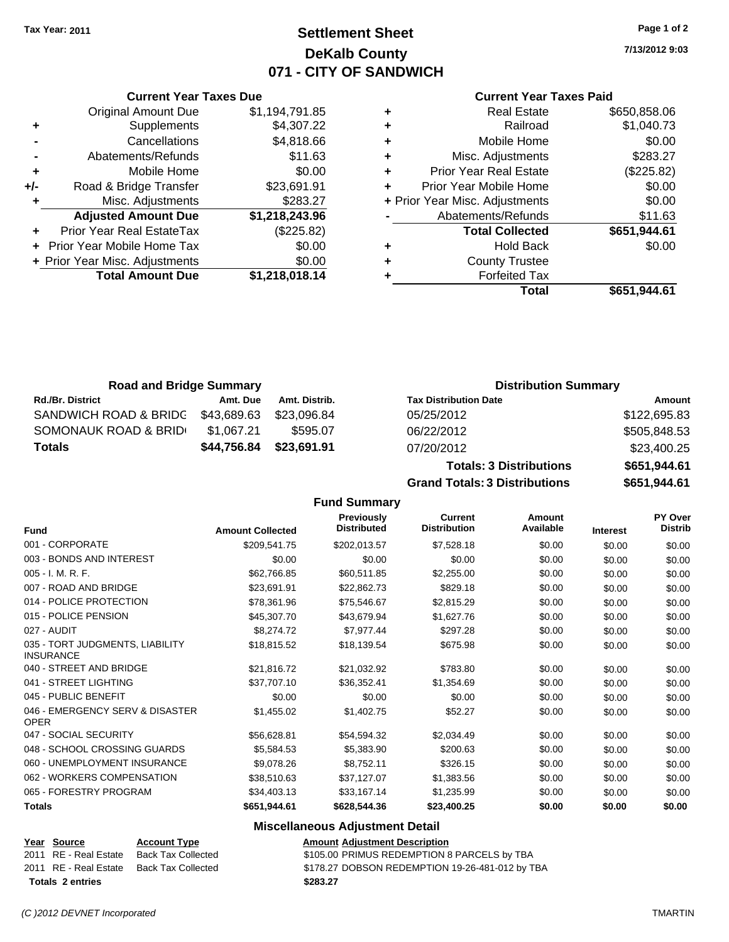# **Settlement Sheet Tax Year: 2011 Page 1 of 2 DeKalb County 071 - CITY OF SANDWICH**

**7/13/2012 9:03**

### **Current Year Taxes Paid**

| ٠ | <b>Real Estate</b>             | \$650,858.06 |
|---|--------------------------------|--------------|
| ٠ | Railroad                       | \$1,040.73   |
| ٠ | Mobile Home                    | \$0.00       |
| ٠ | Misc. Adjustments              | \$283.27     |
| ÷ | <b>Prior Year Real Estate</b>  | (\$225.82)   |
| ٠ | Prior Year Mobile Home         | \$0.00       |
|   | + Prior Year Misc. Adjustments | \$0.00       |
|   | Abatements/Refunds             | \$11.63      |
|   | <b>Total Collected</b>         | \$651,944.61 |
| ٠ | Hold Back                      | \$0.00       |
| ٠ | <b>County Trustee</b>          |              |
|   | <b>Forfeited Tax</b>           |              |
|   | Total                          | \$651.944.61 |

|     | <b>Current Year Taxes Due</b>     |                |
|-----|-----------------------------------|----------------|
|     | <b>Original Amount Due</b>        | \$1,194,791.85 |
| ٠   | Supplements                       | \$4,307.22     |
|     | Cancellations                     | \$4,818.66     |
|     | Abatements/Refunds                | \$11.63        |
| ÷   | Mobile Home                       | \$0.00         |
| +/- | Road & Bridge Transfer            | \$23,691.91    |
| ٠   | Misc. Adjustments                 | \$283.27       |
|     | <b>Adjusted Amount Due</b>        | \$1,218,243.96 |
| ٠   | Prior Year Real EstateTax         | (\$225.82)     |
|     | <b>Prior Year Mobile Home Tax</b> | \$0.00         |
|     | + Prior Year Misc. Adjustments    | \$0.00         |
|     | <b>Total Amount Due</b>           | \$1,218,018.14 |

| <b>Road and Bridge Summary</b>   |             |               | <b>Distribution Summary</b>    |              |
|----------------------------------|-------------|---------------|--------------------------------|--------------|
| <b>Rd./Br. District</b>          | Amt. Due    | Amt. Distrib. | <b>Tax Distribution Date</b>   | Amount       |
| <b>SANDWICH ROAD &amp; BRIDG</b> | \$43,689.63 | \$23,096.84   | 05/25/2012                     | \$122,695.83 |
| SOMONAUK ROAD & BRID             | \$1,067.21  | \$595.07      | 06/22/2012                     | \$505,848.53 |
| <b>Totals</b>                    | \$44,756.84 | \$23,691.91   | 07/20/2012                     | \$23,400.25  |
|                                  |             |               | <b>Totals: 3 Distributions</b> | \$651,944.61 |

**Grand Totals: 3 Distributions \$651,944.61**

|                                                     |                         | <b>Fund Summary</b>                     |                                       |                     |                 |                           |
|-----------------------------------------------------|-------------------------|-----------------------------------------|---------------------------------------|---------------------|-----------------|---------------------------|
| <b>Fund</b>                                         | <b>Amount Collected</b> | <b>Previously</b><br><b>Distributed</b> | <b>Current</b><br><b>Distribution</b> | Amount<br>Available | <b>Interest</b> | PY Over<br><b>Distrib</b> |
| 001 - CORPORATE                                     | \$209,541.75            | \$202,013.57                            | \$7,528.18                            | \$0.00              | \$0.00          | \$0.00                    |
| 003 - BONDS AND INTEREST                            | \$0.00                  | \$0.00                                  | \$0.00                                | \$0.00              | \$0.00          | \$0.00                    |
| 005 - I. M. R. F.                                   | \$62,766.85             | \$60,511.85                             | \$2,255.00                            | \$0.00              | \$0.00          | \$0.00                    |
| 007 - ROAD AND BRIDGE                               | \$23,691.91             | \$22,862.73                             | \$829.18                              | \$0.00              | \$0.00          | \$0.00                    |
| 014 - POLICE PROTECTION                             | \$78,361.96             | \$75,546.67                             | \$2,815.29                            | \$0.00              | \$0.00          | \$0.00                    |
| 015 - POLICE PENSION                                | \$45,307.70             | \$43,679.94                             | \$1,627.76                            | \$0.00              | \$0.00          | \$0.00                    |
| 027 - AUDIT                                         | \$8,274.72              | \$7,977.44                              | \$297.28                              | \$0.00              | \$0.00          | \$0.00                    |
| 035 - TORT JUDGMENTS, LIABILITY<br><b>INSURANCE</b> | \$18.815.52             | \$18,139.54                             | \$675.98                              | \$0.00              | \$0.00          | \$0.00                    |
| 040 - STREET AND BRIDGE                             | \$21.816.72             | \$21,032.92                             | \$783.80                              | \$0.00              | \$0.00          | \$0.00                    |
| 041 - STREET LIGHTING                               | \$37,707.10             | \$36,352.41                             | \$1,354.69                            | \$0.00              | \$0.00          | \$0.00                    |
| 045 - PUBLIC BENEFIT                                | \$0.00                  | \$0.00                                  | \$0.00                                | \$0.00              | \$0.00          | \$0.00                    |
| 046 - EMERGENCY SERV & DISASTER<br><b>OPER</b>      | \$1,455.02              | \$1,402.75                              | \$52.27                               | \$0.00              | \$0.00          | \$0.00                    |
| 047 - SOCIAL SECURITY                               | \$56,628.81             | \$54,594.32                             | \$2,034.49                            | \$0.00              | \$0.00          | \$0.00                    |
| 048 - SCHOOL CROSSING GUARDS                        | \$5,584.53              | \$5,383.90                              | \$200.63                              | \$0.00              | \$0.00          | \$0.00                    |
| 060 - UNEMPLOYMENT INSURANCE                        | \$9.078.26              | \$8,752.11                              | \$326.15                              | \$0.00              | \$0.00          | \$0.00                    |
| 062 - WORKERS COMPENSATION                          | \$38,510.63             | \$37,127.07                             | \$1,383.56                            | \$0.00              | \$0.00          | \$0.00                    |
| 065 - FORESTRY PROGRAM                              | \$34,403.13             | \$33,167.14                             | \$1,235.99                            | \$0.00              | \$0.00          | \$0.00                    |
| <b>Totals</b>                                       | \$651,944.61            | \$628,544.36                            | \$23,400.25                           | \$0.00              | \$0.00          | \$0.00                    |

### **Miscellaneous Adjustment Detail**

|                         | Year Source           | <b>Account Type</b>       | Amount   |
|-------------------------|-----------------------|---------------------------|----------|
|                         | 2011 RE - Real Estate | <b>Back Tax Collected</b> | \$105.00 |
|                         | 2011 RE - Real Estate | <b>Back Tax Collected</b> | \$178.27 |
| <b>Totals 2 entries</b> |                       |                           | \$283.27 |

**Year Source Account Type Amount Adjustment Description** 0llected **2011 SEAU ESTATE SERVIT SEED EMPTION 8 PARCELS by TBA** 2011 allected S178.27 DOBSON REDEMPTION 19-26-481-012 by TBA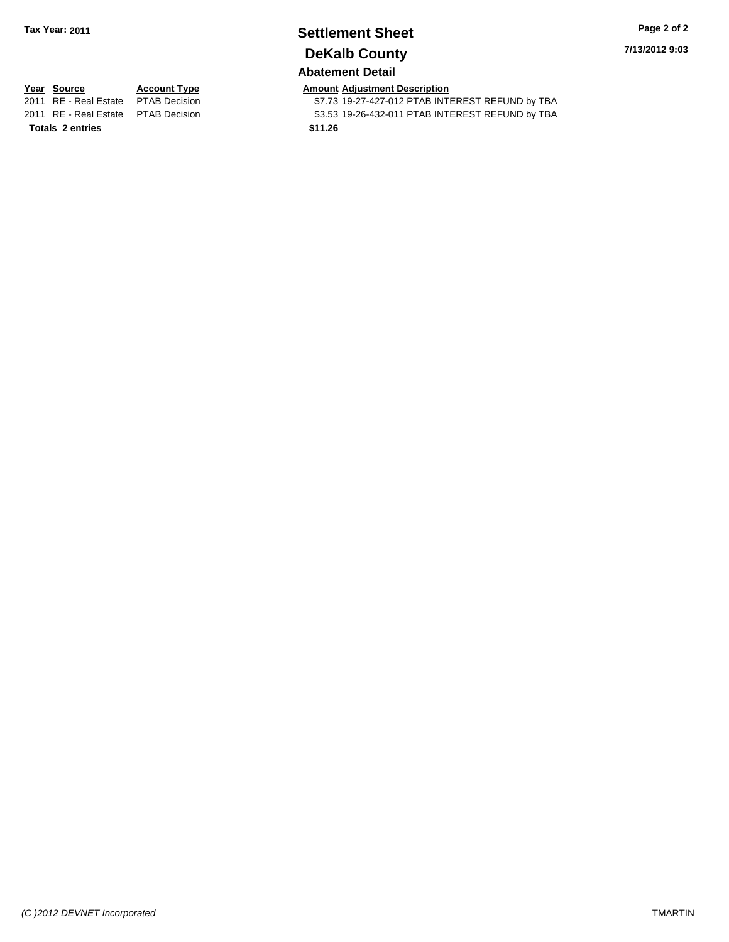# **Settlement Sheet Tax Year: 2011 Page 2 of 2 DeKalb County**

**7/13/2012 9:03**

### **Abatement Detail**

**Totals \$11.26 2 entries**

**Year Source Account Type Amount Adjustment Description**<br>2011 RE - Real Estate PTAB Decision **Amount** \$7.73 19-27-427-012 PTAB INTI \$7.73 19-27-427-012 PTAB INTEREST REFUND by TBA 2011 RE - Real Estate \$3.53 19-26-432-011 PTAB INTEREST REFUND by TBA PTAB Decision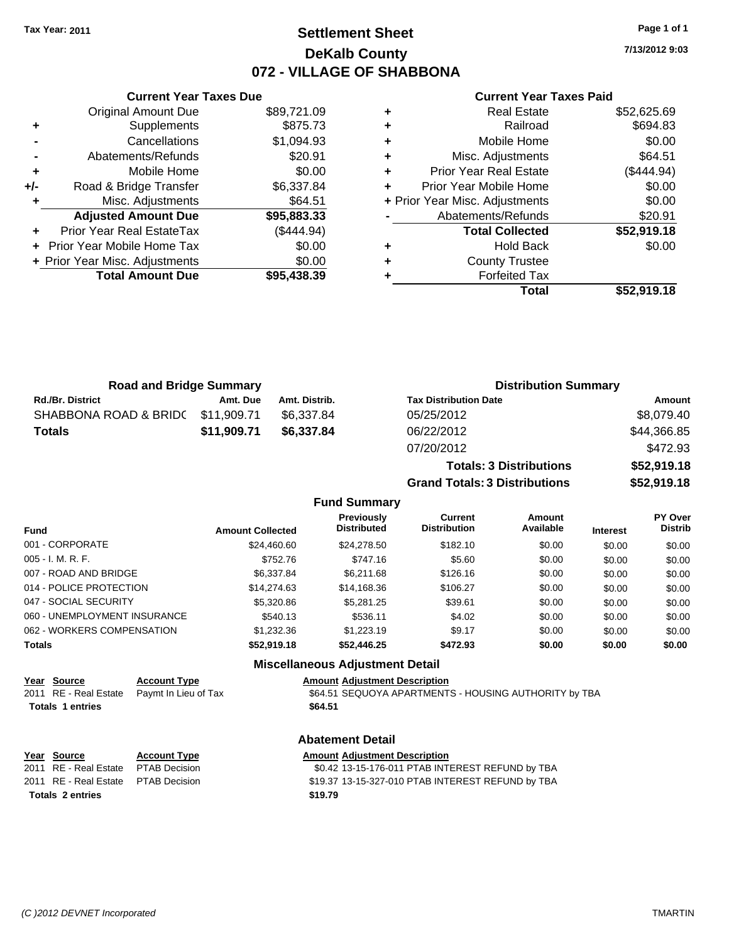# **Settlement Sheet Tax Year: 2011 Page 1 of 1 DeKalb County 072 - VILLAGE OF SHABBONA**

**7/13/2012 9:03**

### **Current Year Taxes Paid**

|     | <b>Current Year Taxes Due</b>  |             |  |  |  |
|-----|--------------------------------|-------------|--|--|--|
|     | <b>Original Amount Due</b>     | \$89,721.09 |  |  |  |
| ٠   | Supplements                    | \$875.73    |  |  |  |
|     | Cancellations                  | \$1,094.93  |  |  |  |
|     | Abatements/Refunds             | \$20.91     |  |  |  |
| ٠   | Mobile Home                    | \$0.00      |  |  |  |
| +/- | Road & Bridge Transfer         | \$6,337.84  |  |  |  |
| ٠   | Misc. Adjustments              | \$64.51     |  |  |  |
|     | <b>Adjusted Amount Due</b>     | \$95,883.33 |  |  |  |
|     | Prior Year Real EstateTax      | (\$444.94)  |  |  |  |
|     | Prior Year Mobile Home Tax     | \$0.00      |  |  |  |
|     | + Prior Year Misc. Adjustments | \$0.00      |  |  |  |
|     | <b>Total Amount Due</b>        | \$95,438.39 |  |  |  |
|     |                                |             |  |  |  |

| <b>Real Estate</b>            | \$52,625.69                    |
|-------------------------------|--------------------------------|
| Railroad                      | \$694.83                       |
| Mobile Home                   | \$0.00                         |
| Misc. Adjustments             | \$64.51                        |
| <b>Prior Year Real Estate</b> | (\$444.94)                     |
| Prior Year Mobile Home        | \$0.00                         |
|                               | \$0.00                         |
| Abatements/Refunds            | \$20.91                        |
| <b>Total Collected</b>        | \$52,919.18                    |
| Hold Back                     | \$0.00                         |
| <b>County Trustee</b>         |                                |
| <b>Forfeited Tax</b>          |                                |
| Total                         | \$52,919.18                    |
|                               | + Prior Year Misc. Adjustments |

| <b>Road and Bridge Summary</b>    |             |               | <b>Distribution Summary</b>  |             |
|-----------------------------------|-------------|---------------|------------------------------|-------------|
| <b>Rd./Br. District</b>           | Amt. Due    | Amt. Distrib. | <b>Tax Distribution Date</b> | Amount      |
| SHABBONA ROAD & BRIDC \$11,909.71 |             | \$6.337.84    | 05/25/2012                   | \$8,079.40  |
| <b>Totals</b>                     | \$11.909.71 | \$6.337.84    | 06/22/2012                   | \$44,366.85 |
|                                   |             |               | 07/20/2012                   | \$472.93    |

| \$52,919.18 |
|-------------|
| \$52,919.18 |
|             |

### **Fund Summary**

| <b>Fund</b>                  | <b>Amount Collected</b> | Previously<br><b>Distributed</b> | <b>Current</b><br><b>Distribution</b> | Amount<br>Available | <b>Interest</b> | <b>PY Over</b><br><b>Distrib</b> |
|------------------------------|-------------------------|----------------------------------|---------------------------------------|---------------------|-----------------|----------------------------------|
| 001 - CORPORATE              | \$24,460.60             | \$24,278.50                      | \$182.10                              | \$0.00              | \$0.00          | \$0.00                           |
| 005 - I. M. R. F.            | \$752.76                | \$747.16                         | \$5.60                                | \$0.00              | \$0.00          | \$0.00                           |
| 007 - ROAD AND BRIDGE        | \$6,337.84              | \$6.211.68                       | \$126.16                              | \$0.00              | \$0.00          | \$0.00                           |
| 014 - POLICE PROTECTION      | \$14,274.63             | \$14,168.36                      | \$106.27                              | \$0.00              | \$0.00          | \$0.00                           |
| 047 - SOCIAL SECURITY        | \$5,320.86              | \$5,281.25                       | \$39.61                               | \$0.00              | \$0.00          | \$0.00                           |
| 060 - UNEMPLOYMENT INSURANCE | \$540.13                | \$536.11                         | \$4.02                                | \$0.00              | \$0.00          | \$0.00                           |
| 062 - WORKERS COMPENSATION   | \$1,232,36              | \$1,223.19                       | \$9.17                                | \$0.00              | \$0.00          | \$0.00                           |
| Totals                       | \$52,919.18             | \$52,446.25                      | \$472.93                              | \$0.00              | \$0.00          | \$0.00                           |
|                              |                         |                                  |                                       |                     |                 |                                  |

### **Miscellaneous Adjustment Detail**

### **Year Source Account Type Amount Adjustment Description**

2011 RE - Real Estate Paymt In Lieu of Tax **\$64.51 SEQUOYA APARTMENTS - HOUSING AUTHORITY by TBA Totals \$64.51 1 entries**

### **Abatement Detail**

| Year Source                          | <b>Account Type</b> | <b>Amount Adjustment Description</b>              |
|--------------------------------------|---------------------|---------------------------------------------------|
| 2011 RE - Real Estate                | PTAB Decision       | \$0.42 13-15-176-011 PTAB INTEREST REFUND by TBA  |
| 2011 RE - Real Estate  PTAB Decision |                     | \$19.37 13-15-327-010 PTAB INTEREST REFUND by TBA |
| <b>Totals 2 entries</b>              |                     | \$19.79                                           |
|                                      |                     |                                                   |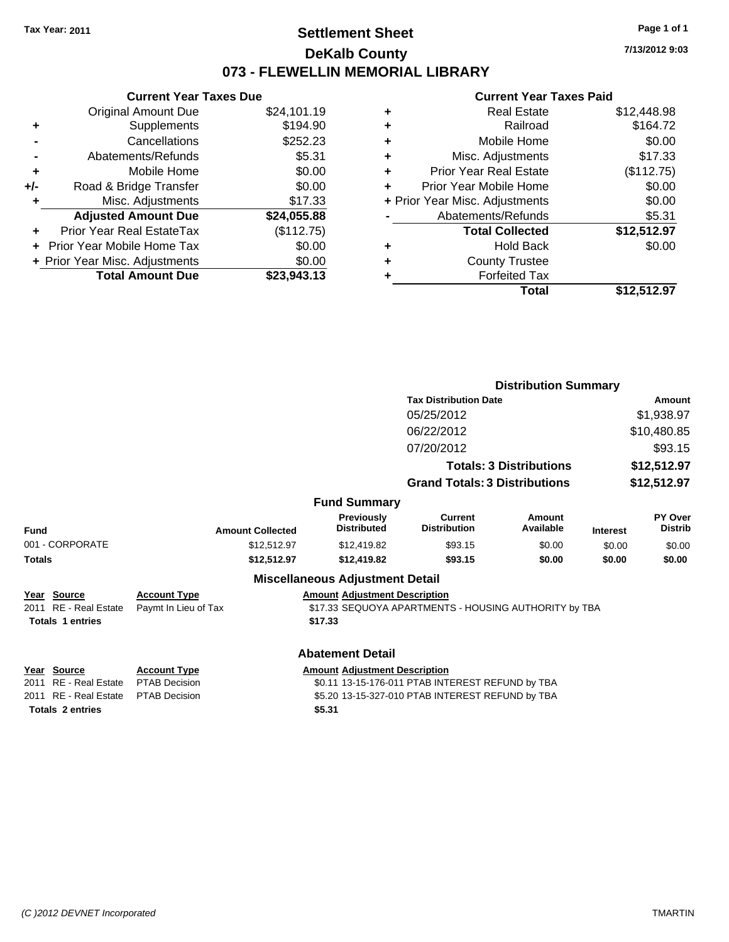# **Settlement Sheet Tax Year: 2011 Page 1 of 1 DeKalb County 073 - FLEWELLIN MEMORIAL LIBRARY**

**7/13/2012 9:03**

### **Current Year Taxes Paid**

|     | <b>Current Year Taxes Due</b>             |             |  |  |  |  |
|-----|-------------------------------------------|-------------|--|--|--|--|
|     | <b>Original Amount Due</b>                | \$24,101.19 |  |  |  |  |
| ٠   | Supplements                               | \$194.90    |  |  |  |  |
|     | Cancellations                             | \$252.23    |  |  |  |  |
|     | \$5.31<br>Abatements/Refunds              |             |  |  |  |  |
| ٠   | \$0.00<br>Mobile Home                     |             |  |  |  |  |
| +/- | \$0.00<br>Road & Bridge Transfer          |             |  |  |  |  |
| ٠   | Misc. Adjustments                         | \$17.33     |  |  |  |  |
|     | <b>Adjusted Amount Due</b><br>\$24,055.88 |             |  |  |  |  |
| ÷   | Prior Year Real EstateTax<br>(\$112.75)   |             |  |  |  |  |
|     | \$0.00<br>Prior Year Mobile Home Tax      |             |  |  |  |  |
|     | \$0.00<br>+ Prior Year Misc. Adjustments  |             |  |  |  |  |
|     | <b>Total Amount Due</b><br>\$23.943.13    |             |  |  |  |  |

| ٠ | <b>Real Estate</b>             | \$12,448.98 |
|---|--------------------------------|-------------|
| ٠ | Railroad                       | \$164.72    |
| ٠ | Mobile Home                    | \$0.00      |
| ٠ | Misc. Adjustments              | \$17.33     |
| ٠ | <b>Prior Year Real Estate</b>  | (\$112.75)  |
| ÷ | Prior Year Mobile Home         | \$0.00      |
|   | + Prior Year Misc. Adjustments | \$0.00      |
|   | Abatements/Refunds             | \$5.31      |
|   | <b>Total Collected</b>         | \$12,512.97 |
| ٠ | Hold Back                      | \$0.00      |
| ٠ | <b>County Trustee</b>          |             |
| ٠ | <b>Forfeited Tax</b>           |             |
|   | Total                          | \$12,512.97 |
|   |                                |             |

|                         |                         |                                         |                                                       | <b>Distribution Summary</b>    |                 |                           |  |
|-------------------------|-------------------------|-----------------------------------------|-------------------------------------------------------|--------------------------------|-----------------|---------------------------|--|
|                         |                         |                                         | <b>Tax Distribution Date</b>                          | <b>Amount</b>                  |                 |                           |  |
|                         |                         |                                         | 05/25/2012                                            |                                |                 | \$1,938.97                |  |
|                         |                         |                                         | 06/22/2012                                            |                                |                 | \$10,480.85               |  |
|                         |                         |                                         | 07/20/2012                                            |                                |                 | \$93.15                   |  |
|                         |                         |                                         |                                                       | <b>Totals: 3 Distributions</b> |                 | \$12,512.97               |  |
|                         |                         |                                         | <b>Grand Totals: 3 Distributions</b>                  |                                | \$12,512.97     |                           |  |
|                         |                         | <b>Fund Summary</b>                     |                                                       |                                |                 |                           |  |
| Fund                    | <b>Amount Collected</b> | <b>Previously</b><br><b>Distributed</b> | Current<br><b>Distribution</b>                        | Amount<br>Available            | <b>Interest</b> | PY Over<br><b>Distrib</b> |  |
| 001 - CORPORATE         | \$12,512.97             | \$12,419.82                             | \$93.15                                               | \$0.00                         | \$0.00          | \$0.00                    |  |
| <b>Totals</b>           | \$12,512.97             | \$12,419.82                             | \$93.15                                               | \$0.00                         | \$0.00          | \$0.00                    |  |
|                         |                         | <b>Miscellaneous Adjustment Detail</b>  |                                                       |                                |                 |                           |  |
| Year Source             | <b>Account Type</b>     | <b>Amount Adjustment Description</b>    |                                                       |                                |                 |                           |  |
| 2011 RE - Real Estate   | Paymt In Lieu of Tax    |                                         | \$17.33 SEQUOYA APARTMENTS - HOUSING AUTHORITY by TBA |                                |                 |                           |  |
| <b>Totals 1 entries</b> |                         | \$17.33                                 |                                                       |                                |                 |                           |  |
|                         |                         | <b>Abatement Detail</b>                 |                                                       |                                |                 |                           |  |
| Year Source             | <b>Account Type</b>     | <b>Amount Adjustment Description</b>    |                                                       |                                |                 |                           |  |
| 2011 RE - Real Estate   | <b>PTAB Decision</b>    |                                         | \$0.11 13-15-176-011 PTAB INTEREST REFUND by TBA      |                                |                 |                           |  |
| 2011 RE - Real Estate   | <b>PTAB Decision</b>    |                                         | \$5.20 13-15-327-010 PTAB INTEREST REFUND by TBA      |                                |                 |                           |  |
| <b>Totals 2 entries</b> |                         | \$5.31                                  |                                                       |                                |                 |                           |  |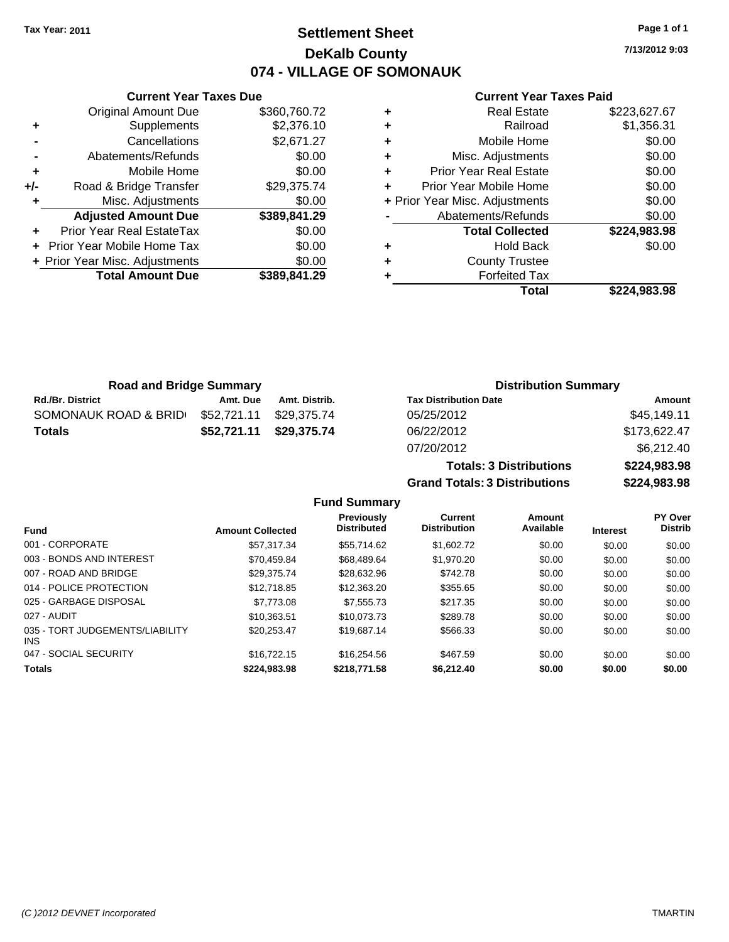**Current Year Taxes Due** Original Amount Due \$360,760.72

**Adjusted Amount Due \$389,841.29**

**Total Amount Due \$389,841.29**

**+** Supplements \$2,376.10 **-** Cancellations \$2,671.27 **-** Abatements/Refunds \$0.00 **+** Mobile Home \$0.00 **+/-** Road & Bridge Transfer \$29,375.74 **+** Misc. Adjustments \$0.00

**+** Prior Year Real EstateTax \$0.00 **+** Prior Year Mobile Home Tax \$0.00 **+ Prior Year Misc. Adjustments**  $$0.00$ 

# **Settlement Sheet Tax Year: 2011 Page 1 of 1 DeKalb County 074 - VILLAGE OF SOMONAUK**

**7/13/2012 9:03**

### **Current Year Taxes Paid**

| ٠ | <b>Real Estate</b>             | \$223,627.67 |
|---|--------------------------------|--------------|
| ٠ | Railroad                       | \$1,356.31   |
| ٠ | Mobile Home                    | \$0.00       |
| ٠ | Misc. Adjustments              | \$0.00       |
| ٠ | <b>Prior Year Real Estate</b>  | \$0.00       |
| ٠ | Prior Year Mobile Home         | \$0.00       |
|   | + Prior Year Misc. Adjustments | \$0.00       |
|   | Abatements/Refunds             | \$0.00       |
|   | <b>Total Collected</b>         | \$224,983.98 |
| ٠ | <b>Hold Back</b>               | \$0.00       |
| ٠ | <b>County Trustee</b>          |              |
| ٠ | <b>Forfeited Tax</b>           |              |
|   | Total                          | \$224.983.98 |

| <b>Road and Bridge Summary</b> |             |               | <b>Distribution Summary</b>  |              |
|--------------------------------|-------------|---------------|------------------------------|--------------|
| <b>Rd./Br. District</b>        | Amt. Due    | Amt. Distrib. | <b>Tax Distribution Date</b> | Amount       |
| SOMONAUK ROAD & BRID           | \$52,721.11 | \$29.375.74   | 05/25/2012                   | \$45,149.11  |
| <b>Totals</b>                  | \$52,721.11 | \$29.375.74   | 06/22/2012                   | \$173,622.47 |
|                                |             |               | 07/20/2012                   | \$6,212.40   |

**Totals: 3 Distributions \$224,983.98 Grand Totals: 3 Distributions \$224,983.98 Fund Summary**

| <b>Fund</b>                             | <b>Amount Collected</b> | <b>Previously</b><br><b>Distributed</b> | Current<br><b>Distribution</b> | Amount<br>Available | <b>Interest</b> | PY Over<br><b>Distrib</b> |
|-----------------------------------------|-------------------------|-----------------------------------------|--------------------------------|---------------------|-----------------|---------------------------|
| 001 - CORPORATE                         | \$57.317.34             | \$55,714.62                             | \$1,602.72                     | \$0.00              | \$0.00          | \$0.00                    |
| 003 - BONDS AND INTEREST                | \$70.459.84             | \$68,489.64                             | \$1,970.20                     | \$0.00              | \$0.00          | \$0.00                    |
| 007 - ROAD AND BRIDGE                   | \$29.375.74             | \$28.632.96                             | \$742.78                       | \$0.00              | \$0.00          | \$0.00                    |
| 014 - POLICE PROTECTION                 | \$12,718.85             | \$12,363,20                             | \$355.65                       | \$0.00              | \$0.00          | \$0.00                    |
| 025 - GARBAGE DISPOSAL                  | \$7,773.08              | \$7,555,73                              | \$217.35                       | \$0.00              | \$0.00          | \$0.00                    |
| 027 - AUDIT                             | \$10.363.51             | \$10.073.73                             | \$289.78                       | \$0.00              | \$0.00          | \$0.00                    |
| 035 - TORT JUDGEMENTS/LIABILITY<br>INS. | \$20.253.47             | \$19,687.14                             | \$566.33                       | \$0.00              | \$0.00          | \$0.00                    |
| 047 - SOCIAL SECURITY                   | \$16,722.15             | \$16,254.56                             | \$467.59                       | \$0.00              | \$0.00          | \$0.00                    |
| <b>Totals</b>                           | \$224,983.98            | \$218,771,58                            | \$6,212.40                     | \$0.00              | \$0.00          | \$0.00                    |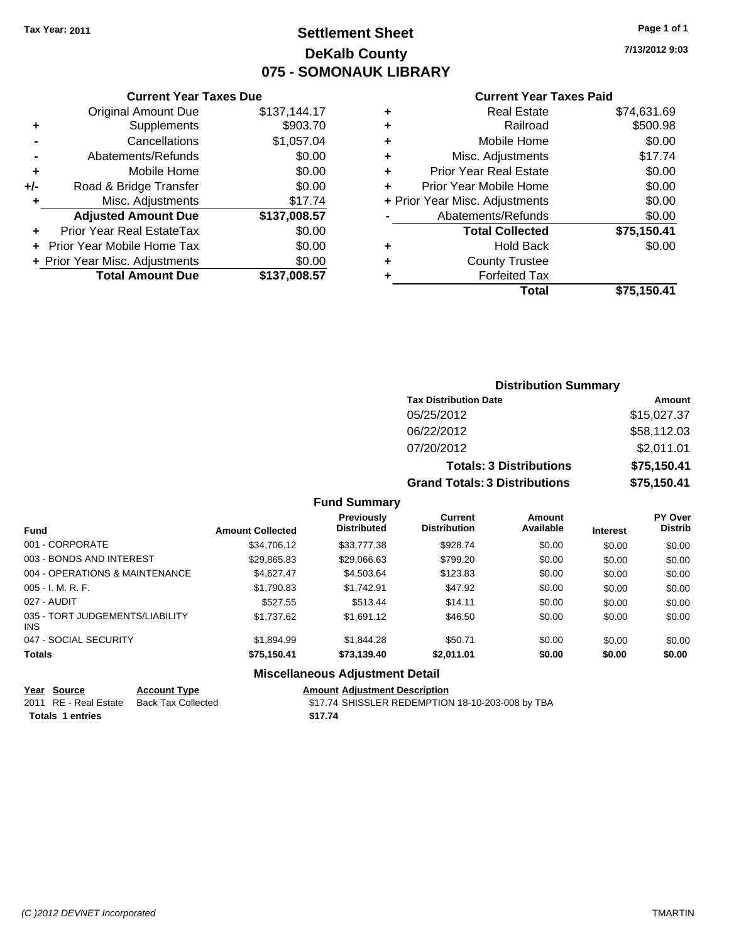# **Settlement Sheet Tax Year: 2011 Page 1 of 1 DeKalb County 075 - SOMONAUK LIBRARY**

**7/13/2012 9:03**

### **Current Year Taxes Paid**

|     | <b>Original Amount Due</b>           | \$137,144.17 |  |  |
|-----|--------------------------------------|--------------|--|--|
| ٠   | Supplements                          | \$903.70     |  |  |
|     | Cancellations                        | \$1,057.04   |  |  |
|     | Abatements/Refunds                   | \$0.00       |  |  |
| ÷   | Mobile Home                          | \$0.00       |  |  |
| +/- | Road & Bridge Transfer               | \$0.00       |  |  |
| ٠   | Misc. Adjustments                    | \$17.74      |  |  |
|     | <b>Adjusted Amount Due</b>           | \$137,008.57 |  |  |
| ٠   | Prior Year Real EstateTax            | \$0.00       |  |  |
|     | \$0.00<br>Prior Year Mobile Home Tax |              |  |  |
|     | + Prior Year Misc. Adjustments       | \$0.00       |  |  |
|     | <b>Total Amount Due</b>              | \$137,008.57 |  |  |
|     |                                      |              |  |  |

**Current Year Taxes Due**

| ٠ | <b>Real Estate</b>             | \$74,631.69 |
|---|--------------------------------|-------------|
| ٠ | Railroad                       | \$500.98    |
| ٠ | Mobile Home                    | \$0.00      |
| ٠ | Misc. Adjustments              | \$17.74     |
| ٠ | <b>Prior Year Real Estate</b>  | \$0.00      |
|   | Prior Year Mobile Home         | \$0.00      |
|   | + Prior Year Misc. Adjustments | \$0.00      |
|   | Abatements/Refunds             | \$0.00      |
|   | <b>Total Collected</b>         | \$75,150.41 |
| ٠ | Hold Back                      | \$0.00      |
| ٠ | <b>County Trustee</b>          |             |
| ٠ | <b>Forfeited Tax</b>           |             |
|   | Total                          | \$75,150.41 |
|   |                                |             |

## **Distribution Summary Tax Distribution Date Amount** 05/25/2012 \$15,027.37 06/22/2012 \$58,112.03 07/20/2012 \$2,011.01 **Totals: 3 Distributions \$75,150.41 Grand Totals: 3 Distributions \$75,150.41**

### **Fund Summary**

| <b>Fund</b>                            | <b>Amount Collected</b> | Previously<br><b>Distributed</b> | Current<br><b>Distribution</b> | Amount<br>Available | <b>Interest</b> | PY Over<br><b>Distrib</b> |
|----------------------------------------|-------------------------|----------------------------------|--------------------------------|---------------------|-----------------|---------------------------|
| 001 - CORPORATE                        | \$34,706.12             | \$33,777.38                      | \$928.74                       | \$0.00              | \$0.00          | \$0.00                    |
| 003 - BONDS AND INTEREST               | \$29,865.83             | \$29,066.63                      | \$799.20                       | \$0.00              | \$0.00          | \$0.00                    |
| 004 - OPERATIONS & MAINTENANCE         | \$4.627.47              | \$4,503.64                       | \$123.83                       | \$0.00              | \$0.00          | \$0.00                    |
| $005 - I. M. R. F.$                    | \$1,790.83              | \$1,742.91                       | \$47.92                        | \$0.00              | \$0.00          | \$0.00                    |
| 027 - AUDIT                            | \$527.55                | \$513.44                         | \$14.11                        | \$0.00              | \$0.00          | \$0.00                    |
| 035 - TORT JUDGEMENTS/LIABILITY<br>INS | \$1.737.62              | \$1.691.12                       | \$46.50                        | \$0.00              | \$0.00          | \$0.00                    |
| 047 - SOCIAL SECURITY                  | \$1,894.99              | \$1,844.28                       | \$50.71                        | \$0.00              | \$0.00          | \$0.00                    |
| <b>Totals</b>                          | \$75,150.41             | \$73,139.40                      | \$2,011.01                     | \$0.00              | \$0.00          | \$0.00                    |
|                                        | --- --                  |                                  |                                |                     |                 |                           |

### **Miscellaneous Adjustment Detail**

| Year Source           | <b>Account Type</b> | <b>Amount Adjustment Description</b> |
|-----------------------|---------------------|--------------------------------------|
| 2011 RE - Real Estate | Back Tax Collected  | \$17.74 SHISSLER REDEMPTION          |

**Totals \$17.74 1 entries**

2011 Collected **317.74 SHISSLER REDEMPTION 18-10-203-008 by TBA**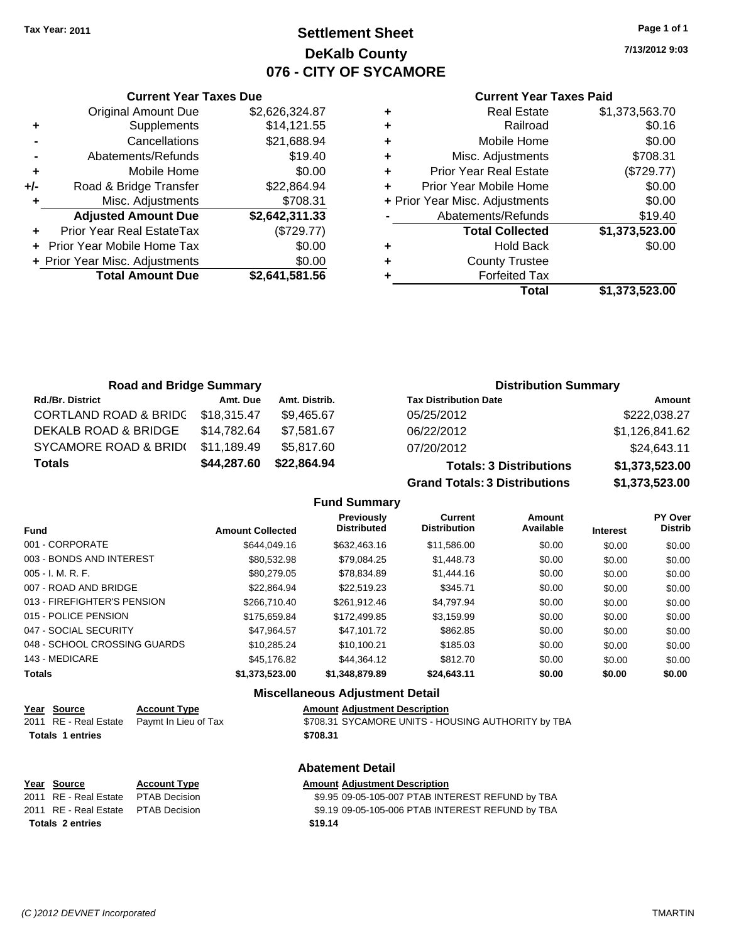# **Settlement Sheet Tax Year: 2011 Page 1 of 1 DeKalb County 076 - CITY OF SYCAMORE**

**7/13/2012 9:03**

| <b>Current Year Taxes Paid</b> |  |  |  |  |
|--------------------------------|--|--|--|--|
|--------------------------------|--|--|--|--|

|     | <b>Current Year Taxes Due</b>  |                |
|-----|--------------------------------|----------------|
|     | <b>Original Amount Due</b>     | \$2,626,324.87 |
| ٠   | Supplements                    | \$14,121.55    |
|     | Cancellations                  | \$21,688.94    |
|     | Abatements/Refunds             | \$19.40        |
| ٠   | Mobile Home                    | \$0.00         |
| +/- | Road & Bridge Transfer         | \$22,864.94    |
| ٠   | Misc. Adjustments              | \$708.31       |
|     | <b>Adjusted Amount Due</b>     | \$2,642,311.33 |
| ٠   | Prior Year Real EstateTax      | (\$729.77)     |
|     | Prior Year Mobile Home Tax     | \$0.00         |
|     | + Prior Year Misc. Adjustments | \$0.00         |
|     | <b>Total Amount Due</b>        | \$2,641,581.56 |
|     |                                |                |

| <b>Real Estate</b>             | \$1,373,563.70 |
|--------------------------------|----------------|
| Railroad                       | \$0.16         |
| Mobile Home                    | \$0.00         |
| Misc. Adjustments              | \$708.31       |
| <b>Prior Year Real Estate</b>  | (\$729.77)     |
| Prior Year Mobile Home         | \$0.00         |
| + Prior Year Misc. Adjustments | \$0.00         |
| Abatements/Refunds             | \$19.40        |
| <b>Total Collected</b>         | \$1,373,523.00 |
| <b>Hold Back</b>               | \$0.00         |
| <b>County Trustee</b>          |                |
| <b>Forfeited Tax</b>           |                |
| Total                          | \$1,373,523.00 |
|                                |                |

| <b>Road and Bridge Summary</b>   |             |               | <b>Distribution Summary</b>                                                                                                                                                                                                   |                |  |
|----------------------------------|-------------|---------------|-------------------------------------------------------------------------------------------------------------------------------------------------------------------------------------------------------------------------------|----------------|--|
| <b>Rd./Br. District</b>          | Amt. Due    | Amt. Distrib. | <b>Tax Distribution Date</b>                                                                                                                                                                                                  | Amount         |  |
| <b>CORTLAND ROAD &amp; BRIDC</b> | \$18,315.47 | \$9,465.67    | 05/25/2012                                                                                                                                                                                                                    | \$222,038.27   |  |
| DEKALB ROAD & BRIDGE             | \$14.782.64 | \$7,581.67    | 06/22/2012                                                                                                                                                                                                                    | \$1,126,841.62 |  |
| SYCAMORE ROAD & BRID(            | \$11.189.49 | \$5,817.60    | 07/20/2012                                                                                                                                                                                                                    | \$24,643.11    |  |
| <b>Totals</b>                    | \$44,287.60 | \$22,864.94   | <b>Totals: 3 Distributions</b>                                                                                                                                                                                                | \$1,373,523.00 |  |
|                                  |             |               | Account The collection in Indian Account to the U.S. of the Collection of the U.S. of the U.S. of the U.S. of the U.S. of the U.S. of the U.S. of the U.S. of the U.S. of the U.S. of the U.S. of the U.S. of the U.S. of the | $A$ and fac as |  |

**Grand Totals: 3 Distributions \$1,373,523.00**

**Fund Summary**

|                              |                         | Previously<br><b>Distributed</b> | <b>Current</b><br><b>Distribution</b> | Amount<br>Available |                 | <b>PY Over</b><br><b>Distrib</b> |
|------------------------------|-------------------------|----------------------------------|---------------------------------------|---------------------|-----------------|----------------------------------|
| <b>Fund</b>                  | <b>Amount Collected</b> |                                  |                                       |                     | <b>Interest</b> |                                  |
| 001 - CORPORATE              | \$644,049.16            | \$632,463.16                     | \$11,586,00                           | \$0.00              | \$0.00          | \$0.00                           |
| 003 - BONDS AND INTEREST     | \$80.532.98             | \$79,084.25                      | \$1,448.73                            | \$0.00              | \$0.00          | \$0.00                           |
| $005 - I. M. R. F.$          | \$80,279.05             | \$78.834.89                      | \$1,444.16                            | \$0.00              | \$0.00          | \$0.00                           |
| 007 - ROAD AND BRIDGE        | \$22.864.94             | \$22.519.23                      | \$345.71                              | \$0.00              | \$0.00          | \$0.00                           |
| 013 - FIREFIGHTER'S PENSION  | \$266,710.40            | \$261.912.46                     | \$4.797.94                            | \$0.00              | \$0.00          | \$0.00                           |
| 015 - POLICE PENSION         | \$175,659.84            | \$172,499.85                     | \$3.159.99                            | \$0.00              | \$0.00          | \$0.00                           |
| 047 - SOCIAL SECURITY        | \$47.964.57             | \$47.101.72                      | \$862.85                              | \$0.00              | \$0.00          | \$0.00                           |
| 048 - SCHOOL CROSSING GUARDS | \$10.285.24             | \$10.100.21                      | \$185.03                              | \$0.00              | \$0.00          | \$0.00                           |
| 143 - MEDICARE               | \$45,176.82             | \$44.364.12                      | \$812.70                              | \$0.00              | \$0.00          | \$0.00                           |
| <b>Totals</b>                | \$1.373.523.00          | \$1,348,879.89                   | \$24,643.11                           | \$0.00              | \$0.00          | \$0.00                           |

|                         |                      | <b>Miscellaneous Adjustment Detail</b>             |
|-------------------------|----------------------|----------------------------------------------------|
| Year Source             | <b>Account Type</b>  | <b>Amount Adjustment Description</b>               |
| 2011 RE - Real Estate   | Paymt In Lieu of Tax | \$708.31 SYCAMORE UNITS - HOUSING AUTHORITY by TBA |
| <b>Totals 1 entries</b> |                      | \$708.31                                           |
|                         |                      | <b>Abatement Detail</b>                            |
| Year Source             | <b>Account Type</b>  | <b>Amount Adjustment Description</b>               |
| 2011 RE - Real Estate   | <b>PTAB Decision</b> | \$9.95 09-05-105-007 PTAB INTEREST REFUND by TBA   |
| 2011 RE - Real Estate   | <b>PTAB Decision</b> | \$9.19 09-05-105-006 PTAB INTEREST REFUND by TBA   |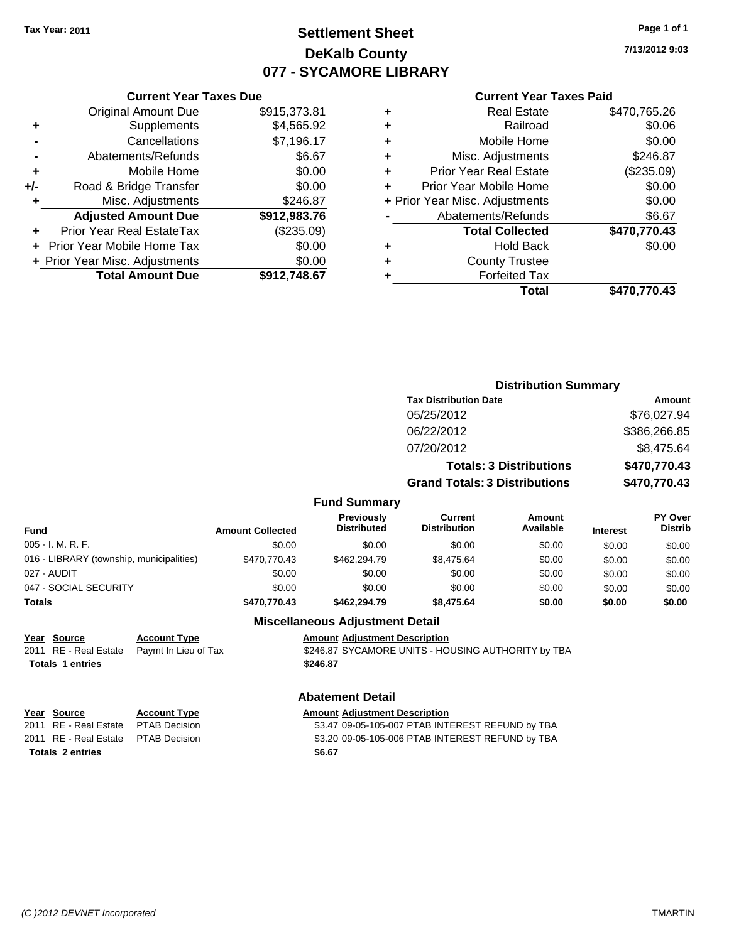# **Settlement Sheet Tax Year: 2011 Page 1 of 1 DeKalb County 077 - SYCAMORE LIBRARY**

**7/13/2012 9:03**

#### **Current Year Taxes Paid**

|     | <b>Original Amount Due</b>        | \$915,373.81 |
|-----|-----------------------------------|--------------|
| ٠   | Supplements                       | \$4,565.92   |
|     | Cancellations                     | \$7,196.17   |
|     | Abatements/Refunds                | \$6.67       |
| ÷   | Mobile Home                       | \$0.00       |
| +/- | Road & Bridge Transfer            | \$0.00       |
| ٠   | Misc. Adjustments                 | \$246.87     |
|     | <b>Adjusted Amount Due</b>        | \$912,983.76 |
| ٠   | Prior Year Real EstateTax         | (\$235.09)   |
|     | <b>Prior Year Mobile Home Tax</b> | \$0.00       |
|     | + Prior Year Misc. Adjustments    | \$0.00       |
|     | <b>Total Amount Due</b>           | \$912,748.67 |
|     |                                   |              |

**Current Year Taxes Due**

| ٠ | <b>Real Estate</b>             | \$470,765.26 |
|---|--------------------------------|--------------|
| ٠ | Railroad                       | \$0.06       |
| ٠ | Mobile Home                    | \$0.00       |
| ٠ | Misc. Adjustments              | \$246.87     |
| ٠ | <b>Prior Year Real Estate</b>  | (\$235.09)   |
|   | Prior Year Mobile Home         | \$0.00       |
|   | + Prior Year Misc. Adjustments | \$0.00       |
|   | Abatements/Refunds             | \$6.67       |
|   | <b>Total Collected</b>         | \$470,770.43 |
| ٠ | Hold Back                      | \$0.00       |
| ٠ | <b>County Trustee</b>          |              |
|   | <b>Forfeited Tax</b>           |              |
|   | Total                          | \$470,770.43 |
|   |                                |              |

|                                          |                         |                                  |                                       | <b>Distribution Summary</b>    |                 |                           |  |
|------------------------------------------|-------------------------|----------------------------------|---------------------------------------|--------------------------------|-----------------|---------------------------|--|
|                                          |                         |                                  | <b>Tax Distribution Date</b>          |                                |                 | <b>Amount</b>             |  |
|                                          |                         |                                  | 05/25/2012                            |                                |                 | \$76,027.94               |  |
|                                          |                         |                                  | 06/22/2012                            |                                |                 | \$386,266.85              |  |
|                                          |                         |                                  | 07/20/2012                            |                                |                 | \$8,475.64                |  |
|                                          |                         |                                  |                                       | <b>Totals: 3 Distributions</b> |                 | \$470,770.43              |  |
|                                          |                         |                                  | <b>Grand Totals: 3 Distributions</b>  |                                |                 | \$470,770.43              |  |
|                                          |                         | <b>Fund Summary</b>              |                                       |                                |                 |                           |  |
| Fund                                     | <b>Amount Collected</b> | Previously<br><b>Distributed</b> | <b>Current</b><br><b>Distribution</b> | <b>Amount</b><br>Available     | <b>Interest</b> | PY Over<br><b>Distrib</b> |  |
| 005 - I. M. R. F.                        | \$0.00                  | \$0.00                           | \$0.00                                | \$0.00                         | \$0.00          | \$0.00                    |  |
| 016 - LIBRARY (township, municipalities) | \$470,770.43            | \$462,294.79                     | \$8,475.64                            | \$0.00                         | \$0.00          | \$0.00                    |  |
| 027 - AUDIT                              | \$0.00                  | \$0.00                           | \$0.00                                | \$0.00                         | \$0.00          | \$0.00                    |  |
| 047 - SOCIAL SECURITY                    | \$0.00                  | \$0.00                           | \$0.00                                | \$0.00                         | \$0.00          | \$0.00                    |  |
| Totals                                   | \$470,770.43            | \$462,294.79                     | \$8,475.64                            | \$0.00                         | \$0.00          | \$0.00                    |  |

## **Miscellaneous Adjustment Detail Year Source Account Type Amount Adjustment Description** 2011 RE - Real Estate Paymt In Lieu of Tax S246.87 SYCAMORE UNITS - HOUSING AUTHORITY by TBA **Totals \$246.87 1 entries Abatement Detail Year Source Account Type Amount Adjustment Description** 2011 RE - Real Estate \$3.47 09-05-105-007 PTAB INTEREST REFUND by TBA PTAB Decision

2011 RE - Real Estate \$3.20 09-05-105-006 PTAB INTEREST REFUND by TBA PTAB Decision **Totals \$6.67 2 entries**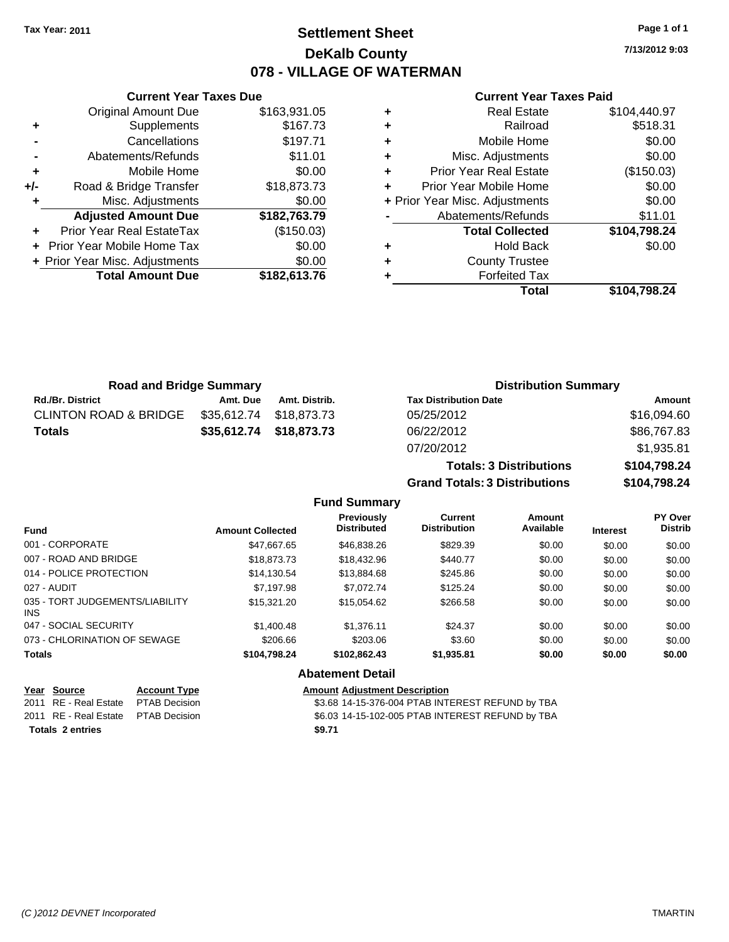# **Settlement Sheet Tax Year: 2011 Page 1 of 1 DeKalb County 078 - VILLAGE OF WATERMAN**

**7/13/2012 9:03**

#### **Current Year Taxes Paid**

|     | <b>Current Year Taxes Due</b>    |              |  |  |  |  |
|-----|----------------------------------|--------------|--|--|--|--|
|     | <b>Original Amount Due</b>       | \$163,931.05 |  |  |  |  |
| ٠   | Supplements                      | \$167.73     |  |  |  |  |
|     | Cancellations                    | \$197.71     |  |  |  |  |
|     | Abatements/Refunds               | \$11.01      |  |  |  |  |
| ٠   | Mobile Home                      | \$0.00       |  |  |  |  |
| +/- | Road & Bridge Transfer           | \$18,873.73  |  |  |  |  |
| ٠   | Misc. Adjustments                | \$0.00       |  |  |  |  |
|     | <b>Adjusted Amount Due</b>       | \$182,763.79 |  |  |  |  |
|     | <b>Prior Year Real EstateTax</b> | (\$150.03)   |  |  |  |  |
|     | Prior Year Mobile Home Tax       | \$0.00       |  |  |  |  |
|     | + Prior Year Misc. Adjustments   | \$0.00       |  |  |  |  |
|     | <b>Total Amount Due</b>          | \$182,613.76 |  |  |  |  |
|     |                                  |              |  |  |  |  |

|   | <b>Real Estate</b>             | \$104,440.97 |
|---|--------------------------------|--------------|
| ٠ | Railroad                       | \$518.31     |
| ٠ | Mobile Home                    | \$0.00       |
| ٠ | Misc. Adjustments              | \$0.00       |
| ÷ | <b>Prior Year Real Estate</b>  | (\$150.03)   |
| ÷ | Prior Year Mobile Home         | \$0.00       |
|   | + Prior Year Misc. Adjustments | \$0.00       |
|   | Abatements/Refunds             | \$11.01      |
|   | <b>Total Collected</b>         | \$104,798.24 |
| ٠ | <b>Hold Back</b>               | \$0.00       |
| ٠ | <b>County Trustee</b>          |              |
| ٠ | <b>Forfeited Tax</b>           |              |
|   | Total                          | \$104,798.24 |

**Grand Totals: 3 Distributions \$104,798.24**

| <b>Road and Bridge Summary</b>   |             |                         | <b>Distribution Summary</b>    |              |  |
|----------------------------------|-------------|-------------------------|--------------------------------|--------------|--|
| <b>Rd./Br. District</b>          | Amt. Due    | Amt. Distrib.           | <b>Tax Distribution Date</b>   | Amount       |  |
| <b>CLINTON ROAD &amp; BRIDGE</b> | \$35,612.74 | \$18.873.73             | 05/25/2012                     | \$16,094.60  |  |
| <b>Totals</b>                    |             | \$35,612.74 \$18,873.73 | 06/22/2012                     | \$86,767.83  |  |
|                                  |             |                         | 07/20/2012                     | \$1,935.81   |  |
|                                  |             |                         | <b>Totals: 3 Distributions</b> | \$104,798.24 |  |

**Fund Summary Fund Interest Amount Collected Distributed PY Over Distrib Amount Available Current Distribution Previously** 001 - CORPORATE \$47,667.65 \$46,838.26 \$829.39 \$0.00 \$0.00 \$0.00 007 - ROAD AND BRIDGE 60.00 \$18,873.73 \$18,873.73 \$18,432.96 \$440.77 \$0.00 \$0.00 \$0.00 \$0.00 014 - POLICE PROTECTION \$14,130.54 \$13,884.68 \$245.86 \$0.00 \$0.00 \$0.00 \$0.00 027 - AUDIT \$7,197.98 \$7,072.74 \$125.24 \$0.00 \$0.00 \$0.00 035 - TORT JUDGEMENTS/LIABILITY INS \$15,321.20 \$15,054.62 \$266.58 \$0.00 \$0.00 \$0.00 047 - SOCIAL SECURITY \$1,400.48 \$1,376.11 \$24.37 \$0.00 \$0.00 \$0.00 073 - CHLORINATION OF SEWAGE \$206.66 \$203.06 \$3.60 \$0.00 \$0.00 \$0.00 \$0.00 **Totals \$104,798.24 \$102,862.43 \$1,935.81 \$0.00 \$0.00 \$0.00 Abatement Detail**

|                         | Year Source                         | <b>Account Type</b> | <b>Amount Adjustment Description</b>             |
|-------------------------|-------------------------------------|---------------------|--------------------------------------------------|
|                         | 2011 RE - Real Estate PTAB Decision |                     | \$3.68 14-15-376-004 PTAB INTEREST REFUND by TBA |
|                         | 2011 RE - Real Estate PTAB Decision |                     | \$6.03 14-15-102-005 PTAB INTEREST REFUND by TBA |
| <b>Totals 2 entries</b> |                                     |                     | \$9.71                                           |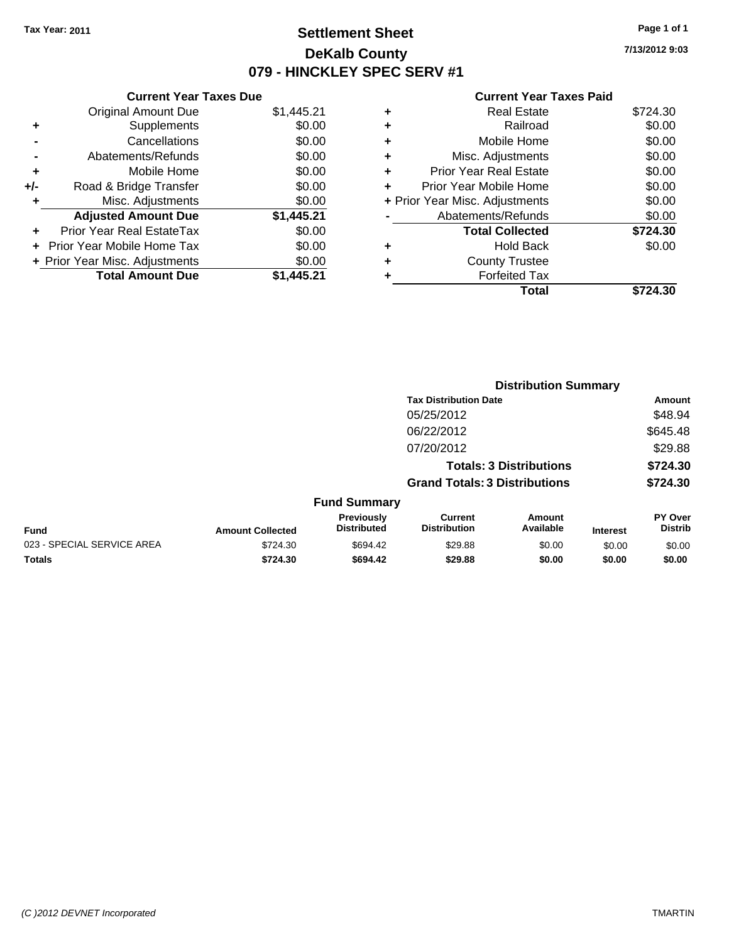# **Settlement Sheet Tax Year: 2011 Page 1 of 1 DeKalb County 079 - HINCKLEY SPEC SERV #1**

**7/13/2012 9:03**

| <b>Current Year Taxes Due</b> |                                |
|-------------------------------|--------------------------------|
| <b>Original Amount Due</b>    | \$1,445.21                     |
| Supplements                   | \$0.00                         |
| Cancellations                 | \$0.00                         |
| Abatements/Refunds            | \$0.00                         |
| Mobile Home                   | \$0.00                         |
| Road & Bridge Transfer        | \$0.00                         |
| Misc. Adjustments             | \$0.00                         |
| <b>Adjusted Amount Due</b>    | \$1,445.21                     |
| Prior Year Real EstateTax     | \$0.00                         |
| Prior Year Mobile Home Tax    | \$0.00                         |
|                               | \$0.00                         |
| <b>Total Amount Due</b>       | \$1.445.21                     |
|                               | + Prior Year Misc. Adjustments |

| ٠ | Real Estate                    | \$724.30 |
|---|--------------------------------|----------|
| ٠ | Railroad                       | \$0.00   |
| ٠ | Mobile Home                    | \$0.00   |
| ٠ | Misc. Adjustments              | \$0.00   |
| ٠ | <b>Prior Year Real Estate</b>  | \$0.00   |
|   | Prior Year Mobile Home         | \$0.00   |
|   | + Prior Year Misc. Adjustments | \$0.00   |
|   | Abatements/Refunds             | \$0.00   |
|   | <b>Total Collected</b>         | \$724.30 |
| ٠ | <b>Hold Back</b>               | \$0.00   |
| ٠ | <b>County Trustee</b>          |          |
| ٠ | <b>Forfeited Tax</b>           |          |
|   | Total                          | \$724.30 |
|   |                                |          |

|                            |                         | <b>Distribution Summary</b>      |                                       |                                |                 |                                  |  |
|----------------------------|-------------------------|----------------------------------|---------------------------------------|--------------------------------|-----------------|----------------------------------|--|
|                            |                         |                                  | <b>Tax Distribution Date</b>          |                                |                 | Amount                           |  |
|                            |                         |                                  | 05/25/2012                            |                                |                 | \$48.94                          |  |
|                            |                         |                                  | 06/22/2012                            |                                |                 | \$645.48                         |  |
|                            |                         |                                  | 07/20/2012                            |                                |                 | \$29.88                          |  |
|                            |                         |                                  |                                       | <b>Totals: 3 Distributions</b> |                 | \$724.30                         |  |
|                            |                         |                                  | <b>Grand Totals: 3 Distributions</b>  |                                |                 | \$724.30                         |  |
|                            |                         | <b>Fund Summary</b>              |                                       |                                |                 |                                  |  |
| Fund                       | <b>Amount Collected</b> | Previously<br><b>Distributed</b> | <b>Current</b><br><b>Distribution</b> | <b>Amount</b><br>Available     | <b>Interest</b> | <b>PY Over</b><br><b>Distrib</b> |  |
| 023 - SPECIAL SERVICE AREA | \$724.30                | \$694.42                         | \$29.88                               | \$0.00                         | \$0.00          | \$0.00                           |  |
| Totals                     | \$724.30                | \$694.42                         | \$29.88                               | \$0.00                         | \$0.00          | \$0.00                           |  |
|                            |                         |                                  |                                       |                                |                 |                                  |  |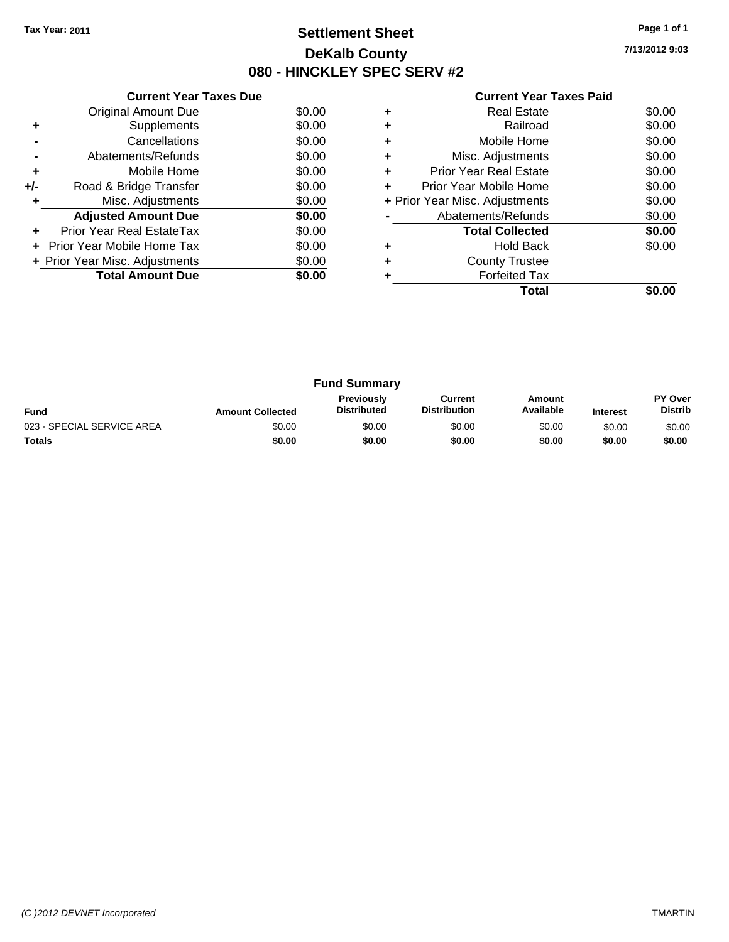# **Settlement Sheet Tax Year: 2011 Page 1 of 1 DeKalb County 080 - HINCKLEY SPEC SERV #2**

**7/13/2012 9:03**

|  | <b>Current Year Taxes Paid</b> |  |  |  |
|--|--------------------------------|--|--|--|
|--|--------------------------------|--|--|--|

|     | <b>Current Year Taxes Due</b>  |        |
|-----|--------------------------------|--------|
|     | <b>Original Amount Due</b>     | \$0.00 |
| ٠   | Supplements                    | \$0.00 |
|     | Cancellations                  | \$0.00 |
|     | Abatements/Refunds             | \$0.00 |
| ٠   | Mobile Home                    | \$0.00 |
| +/- | Road & Bridge Transfer         | \$0.00 |
|     | Misc. Adjustments              | \$0.00 |
|     | <b>Adjusted Amount Due</b>     | \$0.00 |
|     | Prior Year Real EstateTax      | \$0.00 |
|     | Prior Year Mobile Home Tax     | \$0.00 |
|     | + Prior Year Misc. Adjustments | \$0.00 |
|     | <b>Total Amount Due</b>        | \$0.00 |
|     |                                |        |

|   | <b>Real Estate</b>             | \$0.00 |
|---|--------------------------------|--------|
| ٠ | Railroad                       | \$0.00 |
| ٠ | Mobile Home                    | \$0.00 |
| ٠ | Misc. Adjustments              | \$0.00 |
| ٠ | <b>Prior Year Real Estate</b>  | \$0.00 |
|   | Prior Year Mobile Home         | \$0.00 |
|   | + Prior Year Misc. Adjustments | \$0.00 |
|   | Abatements/Refunds             | \$0.00 |
|   | <b>Total Collected</b>         | \$0.00 |
|   | <b>Hold Back</b>               | \$0.00 |
|   | <b>County Trustee</b>          |        |
|   | <b>Forfeited Tax</b>           |        |
|   | Total                          |        |

| <b>Fund Summary</b>        |                         |                                         |                                |                     |                 |                           |
|----------------------------|-------------------------|-----------------------------------------|--------------------------------|---------------------|-----------------|---------------------------|
| <b>Fund</b>                | <b>Amount Collected</b> | <b>Previously</b><br><b>Distributed</b> | Current<br><b>Distribution</b> | Amount<br>Available | <b>Interest</b> | PY Over<br><b>Distrib</b> |
| 023 - SPECIAL SERVICE AREA | \$0.00                  | \$0.00                                  | \$0.00                         | \$0.00              | \$0.00          | \$0.00                    |
| <b>Totals</b>              | \$0.00                  | \$0.00                                  | \$0.00                         | \$0.00              | \$0.00          | \$0.00                    |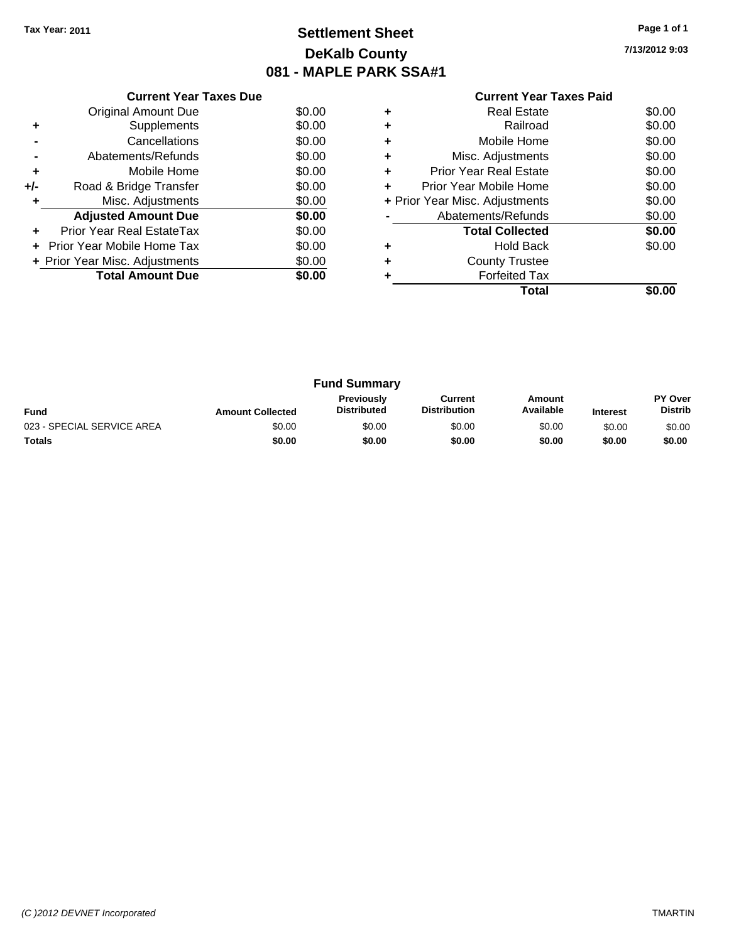# **Settlement Sheet Tax Year: 2011 Page 1 of 1 DeKalb County 081 - MAPLE PARK SSA#1**

**7/13/2012 9:03**

|     | <b>Current Year Taxes Due</b>  |        |
|-----|--------------------------------|--------|
|     | Original Amount Due            | \$0.00 |
| ٠   | Supplements                    | \$0.00 |
|     | Cancellations                  | \$0.00 |
|     | Abatements/Refunds             | \$0.00 |
| ٠   | Mobile Home                    | \$0.00 |
| +/- | Road & Bridge Transfer         | \$0.00 |
| ٠   | Misc. Adjustments              | \$0.00 |
|     | <b>Adjusted Amount Due</b>     | \$0.00 |
| ÷   | Prior Year Real EstateTax      | \$0.00 |
| ÷   | - Prior Year Mobile Home Tax   | \$0.00 |
|     | + Prior Year Misc. Adjustments | \$0.00 |
|     | <b>Total Amount Due</b>        | \$0.00 |
|     |                                |        |

| Real Estate                   | \$0.00                         |
|-------------------------------|--------------------------------|
| Railroad                      | \$0.00                         |
| Mobile Home                   | \$0.00                         |
| Misc. Adjustments             | \$0.00                         |
| <b>Prior Year Real Estate</b> | \$0.00                         |
| Prior Year Mobile Home        | \$0.00                         |
|                               | \$0.00                         |
| Abatements/Refunds            | \$0.00                         |
| <b>Total Collected</b>        | \$0.00                         |
| <b>Hold Back</b>              | \$0.00                         |
| <b>County Trustee</b>         |                                |
| <b>Forfeited Tax</b>          |                                |
| Total                         |                                |
|                               | + Prior Year Misc. Adjustments |

| <b>Fund Summary</b>        |                         |                                         |                                |                     |                 |                           |
|----------------------------|-------------------------|-----------------------------------------|--------------------------------|---------------------|-----------------|---------------------------|
| <b>Fund</b>                | <b>Amount Collected</b> | <b>Previously</b><br><b>Distributed</b> | Current<br><b>Distribution</b> | Amount<br>Available | <b>Interest</b> | PY Over<br><b>Distrib</b> |
| 023 - SPECIAL SERVICE AREA | \$0.00                  | \$0.00                                  | \$0.00                         | \$0.00              | \$0.00          | \$0.00                    |
| <b>Totals</b>              | \$0.00                  | \$0.00                                  | \$0.00                         | \$0.00              | \$0.00          | \$0.00                    |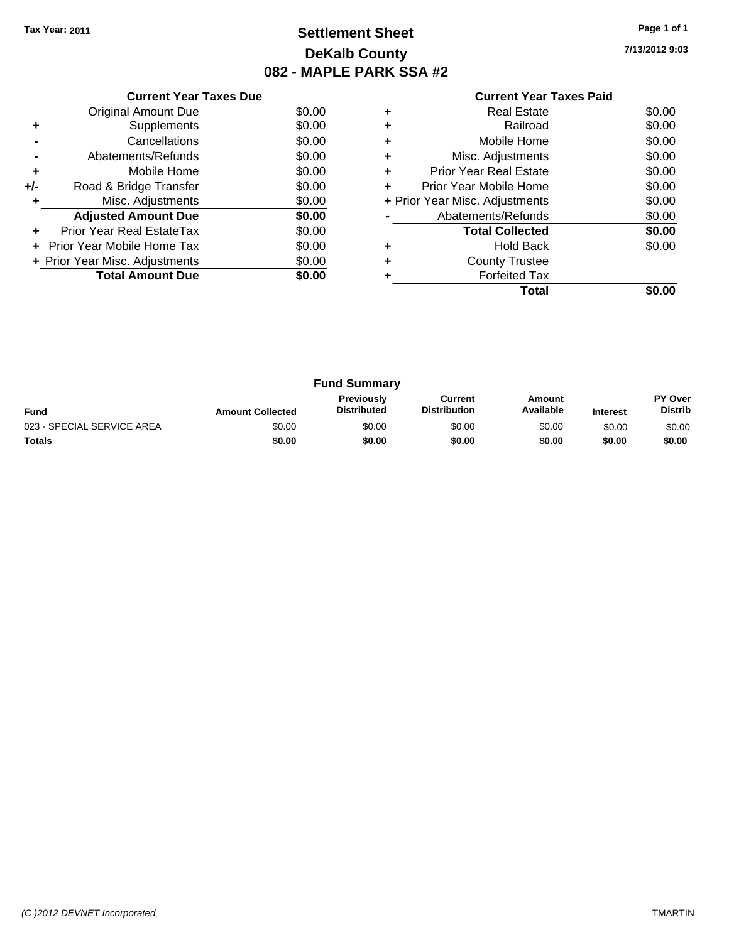# **Settlement Sheet Tax Year: 2011 Page 1 of 1 DeKalb County 082 - MAPLE PARK SSA #2**

**7/13/2012 9:03**

|     | <b>Current Year Taxes Due</b>  |        |
|-----|--------------------------------|--------|
|     | <b>Original Amount Due</b>     | \$0.00 |
| ٠   | Supplements                    | \$0.00 |
|     | Cancellations                  | \$0.00 |
|     | Abatements/Refunds             | \$0.00 |
| ٠   | Mobile Home                    | \$0.00 |
| +/- | Road & Bridge Transfer         | \$0.00 |
| ٠   | Misc. Adjustments              | \$0.00 |
|     | <b>Adjusted Amount Due</b>     | \$0.00 |
| ÷   | Prior Year Real EstateTax      | \$0.00 |
|     | Prior Year Mobile Home Tax     | \$0.00 |
|     | + Prior Year Misc. Adjustments | \$0.00 |
|     | <b>Total Amount Due</b>        | \$0.00 |
|     |                                |        |

|   | Real Estate                    | \$0.00 |
|---|--------------------------------|--------|
|   | Railroad                       | \$0.00 |
| ٠ | Mobile Home                    | \$0.00 |
| ٠ | Misc. Adjustments              | \$0.00 |
| ÷ | Prior Year Real Estate         | \$0.00 |
| ٠ | Prior Year Mobile Home         | \$0.00 |
|   | + Prior Year Misc. Adjustments | \$0.00 |
|   | Abatements/Refunds             | \$0.00 |
|   | <b>Total Collected</b>         | \$0.00 |
| ٠ | <b>Hold Back</b>               | \$0.00 |
| ٠ | <b>County Trustee</b>          |        |
|   | <b>Forfeited Tax</b>           |        |
|   | Total                          |        |

|                            | <b>Fund Summary</b>     |                                         |                                |                     |                 |                                  |
|----------------------------|-------------------------|-----------------------------------------|--------------------------------|---------------------|-----------------|----------------------------------|
| <b>Fund</b>                | <b>Amount Collected</b> | <b>Previously</b><br><b>Distributed</b> | Current<br><b>Distribution</b> | Amount<br>Available | <b>Interest</b> | <b>PY Over</b><br><b>Distrib</b> |
| 023 - SPECIAL SERVICE AREA | \$0.00                  | \$0.00                                  | \$0.00                         | \$0.00              | \$0.00          | \$0.00                           |
| <b>Totals</b>              | \$0.00                  | \$0.00                                  | \$0.00                         | \$0.00              | \$0.00          | \$0.00                           |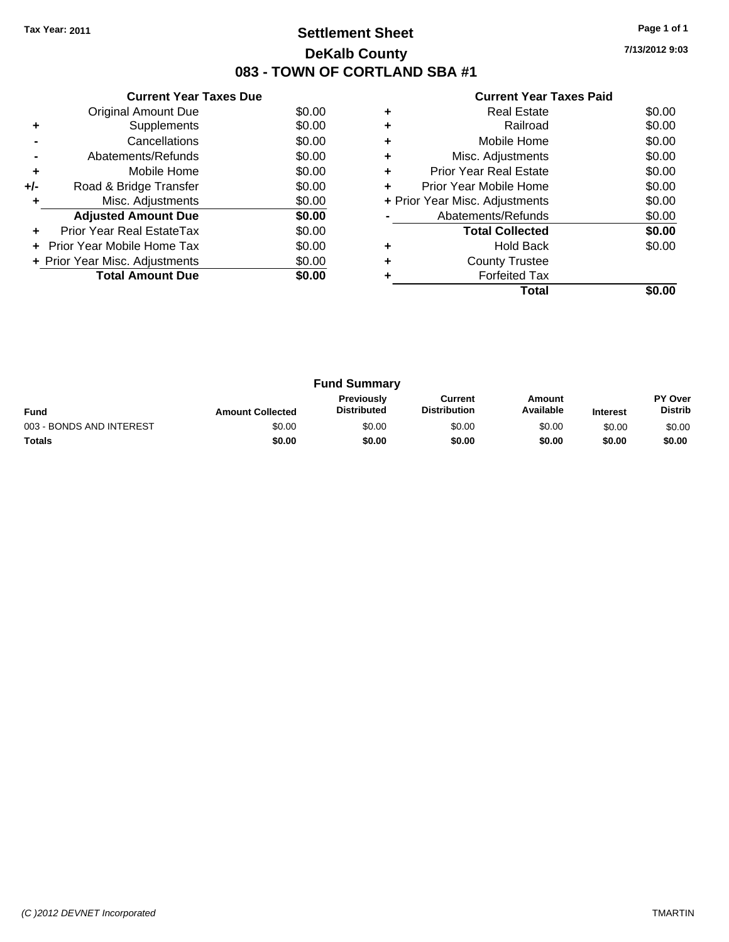# **Settlement Sheet Tax Year: 2011 Page 1 of 1 DeKalb County 083 - TOWN OF CORTLAND SBA #1**

**7/13/2012 9:03**

|     | <b>Current Year Taxes Due</b>  |        |
|-----|--------------------------------|--------|
|     | Original Amount Due            | \$0.00 |
| ٠   | Supplements                    | \$0.00 |
|     | Cancellations                  | \$0.00 |
|     | Abatements/Refunds             | \$0.00 |
| ٠   | Mobile Home                    | \$0.00 |
| +/- | Road & Bridge Transfer         | \$0.00 |
| ٠   | Misc. Adjustments              | \$0.00 |
|     | <b>Adjusted Amount Due</b>     | \$0.00 |
|     | Prior Year Real EstateTax      | \$0.00 |
|     | Prior Year Mobile Home Tax     | \$0.00 |
|     | + Prior Year Misc. Adjustments | \$0.00 |
|     | <b>Total Amount Due</b>        | \$0.00 |
|     |                                |        |

|   | Total                          |        |
|---|--------------------------------|--------|
|   | <b>Forfeited Tax</b>           |        |
|   | <b>County Trustee</b>          |        |
|   | <b>Hold Back</b>               | \$0.00 |
|   | <b>Total Collected</b>         | \$0.00 |
|   | Abatements/Refunds             | \$0.00 |
|   | + Prior Year Misc. Adjustments | \$0.00 |
| ٠ | Prior Year Mobile Home         | \$0.00 |
| ٠ | <b>Prior Year Real Estate</b>  | \$0.00 |
|   | Misc. Adjustments              | \$0.00 |
| ٠ | Mobile Home                    | \$0.00 |
|   | Railroad                       | \$0.00 |
|   | <b>Real Estate</b>             | \$0.00 |
|   |                                |        |

| <b>Fund Summary</b>      |                         |                                         |                                |                     |                 |                                  |
|--------------------------|-------------------------|-----------------------------------------|--------------------------------|---------------------|-----------------|----------------------------------|
| <b>Fund</b>              | <b>Amount Collected</b> | <b>Previously</b><br><b>Distributed</b> | Current<br><b>Distribution</b> | Amount<br>Available | <b>Interest</b> | <b>PY Over</b><br><b>Distrib</b> |
| 003 - BONDS AND INTEREST | \$0.00                  | \$0.00                                  | \$0.00                         | \$0.00              | \$0.00          | \$0.00                           |
| <b>Totals</b>            | \$0.00                  | \$0.00                                  | \$0.00                         | \$0.00              | \$0.00          | \$0.00                           |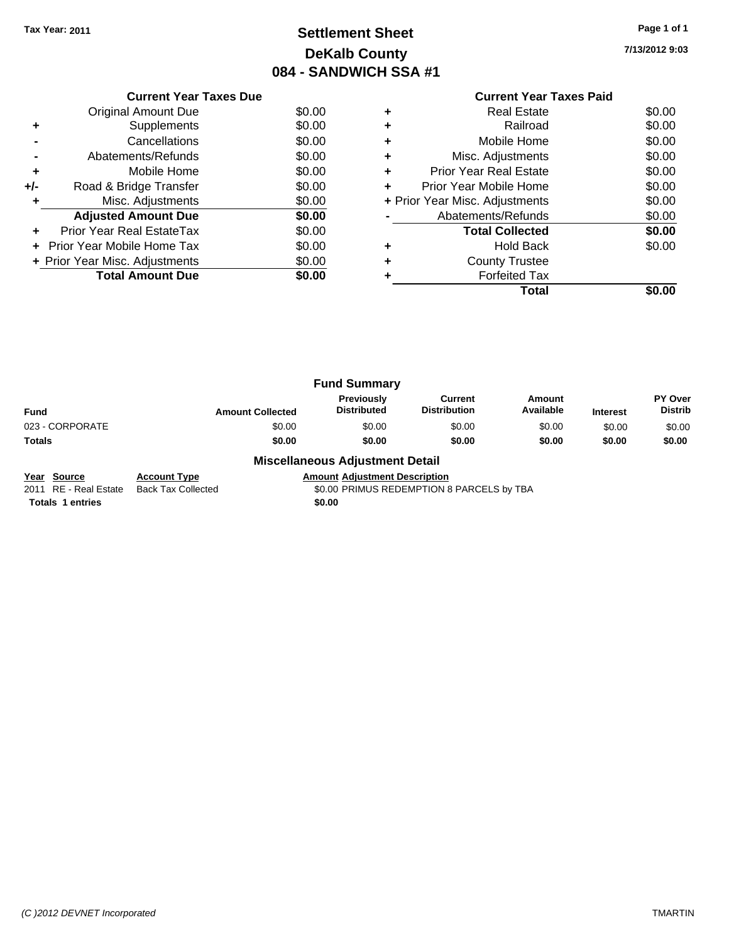# **Settlement Sheet Tax Year: 2011 Page 1 of 1 DeKalb County 084 - SANDWICH SSA #1**

**7/13/2012 9:03**

|       | <b>Current Year Taxes Due</b>  |        |
|-------|--------------------------------|--------|
|       | Original Amount Due            | \$0.00 |
|       | Supplements                    | \$0.00 |
|       | Cancellations                  | \$0.00 |
|       | Abatements/Refunds             | \$0.00 |
| ٠     | Mobile Home                    | \$0.00 |
| $+/-$ | Road & Bridge Transfer         | \$0.00 |
|       | Misc. Adjustments              | \$0.00 |
|       | <b>Adjusted Amount Due</b>     | \$0.00 |
|       | Prior Year Real EstateTax      | \$0.00 |
|       | Prior Year Mobile Home Tax     | \$0.00 |
|       | + Prior Year Misc. Adjustments | \$0.00 |
|       | <b>Total Amount Due</b>        | \$0.00 |
|       |                                |        |

## **Current Year Taxes Paid +** Real Estate \$0.00 **+** Railroad \$0.00 **+** Mobile Home \$0.00 **+** Misc. Adjustments \$0.00 **+** Prior Year Real Estate \$0.00 **+** Prior Year Mobile Home \$0.00 **+ Prior Year Misc. Adjustments**  $$0.00$ **-** Abatements/Refunds \$0.00 **Total Collected \$0.00 +** Hold Back \$0.00 **+** County Trustee **+** Forfeited Tax **Total \$0.00**

|                 | <b>Fund Summary</b>     |                                  |                                       |                     |                 |                                  |
|-----------------|-------------------------|----------------------------------|---------------------------------------|---------------------|-----------------|----------------------------------|
| <b>Fund</b>     | <b>Amount Collected</b> | Previously<br><b>Distributed</b> | <b>Current</b><br><b>Distribution</b> | Amount<br>Available | <b>Interest</b> | <b>PY Over</b><br><b>Distrib</b> |
| 023 - CORPORATE | \$0.00                  | \$0.00                           | \$0.00                                | \$0.00              | \$0.00          | \$0.00                           |
| Totals          | \$0.00                  | \$0.00                           | \$0.00                                | \$0.00              | \$0.00          | \$0.00                           |
|                 | - - -<br>$ -$           |                                  |                                       |                     |                 |                                  |

#### **Miscellaneous Adjustment Detail**

**Year Source Account Type Amount Adjustment Description**<br>2011 RE - Real Estate Back Tax Collected **Amount SO.00 PRIMUS REDEMPTION** Back Tax Collected **2011 COLLECTED** S0.00 PRIMUS REDEMPTION 8 PARCELS by TBA

**Totals 1 entries** \$0.00

*(C )2012 DEVNET Incorporated* TMARTIN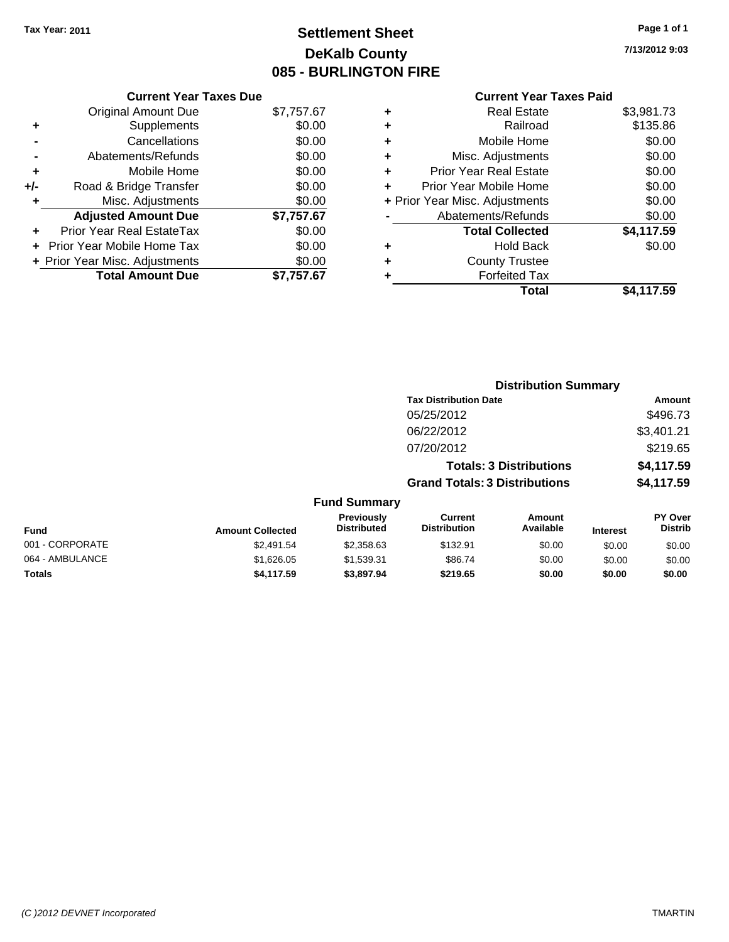# **Settlement Sheet Tax Year: 2011 Page 1 of 1 DeKalb County 085 - BURLINGTON FIRE**

**7/13/2012 9:03**

| <b>Current Year Taxes Due</b>     |            |
|-----------------------------------|------------|
| <b>Original Amount Due</b>        | \$7,757.67 |
| Supplements                       | \$0.00     |
| Cancellations                     | \$0.00     |
| Abatements/Refunds                | \$0.00     |
| Mobile Home                       | \$0.00     |
| Road & Bridge Transfer            | \$0.00     |
| Misc. Adjustments                 | \$0.00     |
| <b>Adjusted Amount Due</b>        | \$7,757.67 |
| Prior Year Real EstateTax         | \$0.00     |
| <b>Prior Year Mobile Home Tax</b> | \$0.00     |
| + Prior Year Misc. Adjustments    | \$0.00     |
| <b>Total Amount Due</b>           | \$7.757.67 |
|                                   |            |

| ٠ | <b>Real Estate</b>             | \$3,981.73 |
|---|--------------------------------|------------|
| ٠ | Railroad                       | \$135.86   |
| ٠ | Mobile Home                    | \$0.00     |
| ٠ | Misc. Adjustments              | \$0.00     |
| ÷ | <b>Prior Year Real Estate</b>  | \$0.00     |
| ٠ | Prior Year Mobile Home         | \$0.00     |
|   | + Prior Year Misc. Adjustments | \$0.00     |
|   | Abatements/Refunds             | \$0.00     |
|   | <b>Total Collected</b>         | \$4,117.59 |
| ٠ | Hold Back                      | \$0.00     |
| ٠ | <b>County Trustee</b>          |            |
| ٠ | <b>Forfeited Tax</b>           |            |
|   | Total                          | \$4,117.59 |
|   |                                |            |

|                 |                         |                                  | <b>Distribution Summary</b>           |                                |                 |                                  |
|-----------------|-------------------------|----------------------------------|---------------------------------------|--------------------------------|-----------------|----------------------------------|
|                 |                         |                                  | <b>Tax Distribution Date</b>          |                                |                 | Amount                           |
|                 |                         |                                  | 05/25/2012                            |                                |                 | \$496.73                         |
|                 |                         |                                  | 06/22/2012                            |                                |                 | \$3,401.21                       |
|                 |                         |                                  | 07/20/2012                            |                                |                 | \$219.65                         |
|                 |                         |                                  |                                       | <b>Totals: 3 Distributions</b> |                 | \$4,117.59                       |
|                 |                         |                                  | <b>Grand Totals: 3 Distributions</b>  |                                |                 | \$4,117.59                       |
|                 |                         | <b>Fund Summary</b>              |                                       |                                |                 |                                  |
| Fund            | <b>Amount Collected</b> | Previously<br><b>Distributed</b> | <b>Current</b><br><b>Distribution</b> | Amount<br>Available            | <b>Interest</b> | <b>PY Over</b><br><b>Distrib</b> |
| 001 - CORPORATE | \$2,491.54              | \$2,358.63                       | \$132.91                              | \$0.00                         | \$0.00          | \$0.00                           |
| 064 - AMBULANCE | \$1,626.05              | \$1,539.31                       | \$86.74                               | \$0.00                         | \$0.00          | \$0.00                           |
| Totals          | \$4,117.59              | \$3,897.94                       | \$219.65                              | \$0.00                         | \$0.00          | \$0.00                           |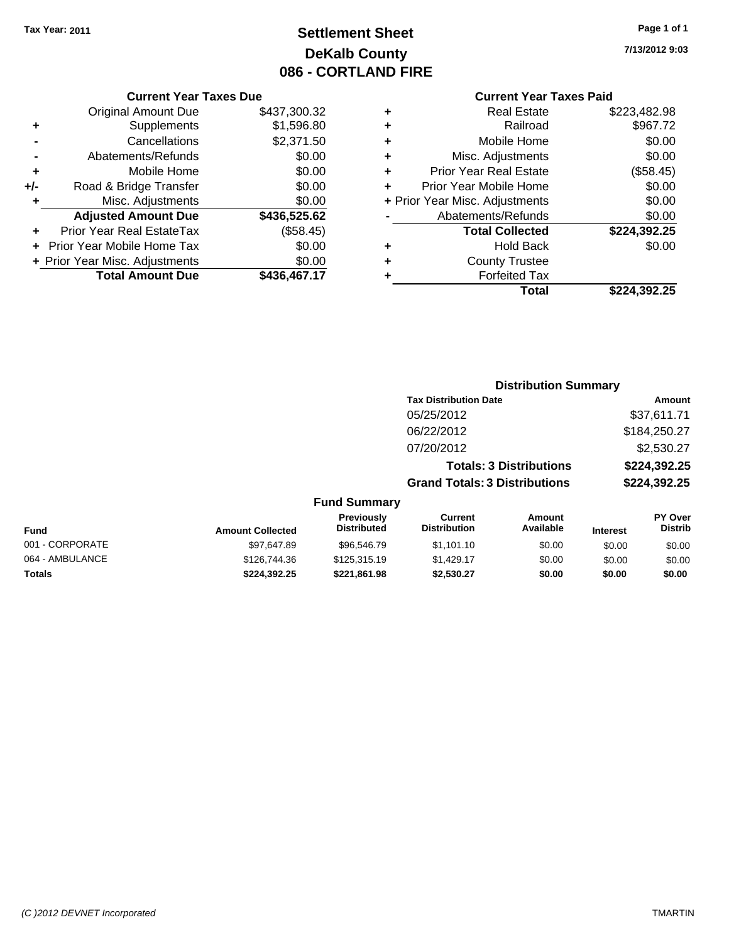# **Settlement Sheet Tax Year: 2011 Page 1 of 1 DeKalb County 086 - CORTLAND FIRE**

## **7/13/2012 9:03**

#### **Current Year Taxes Paid**

|     | OUITCHL TCUL TUACS DUC         |              |
|-----|--------------------------------|--------------|
|     | <b>Original Amount Due</b>     | \$437,300.32 |
| ٠   | Supplements                    | \$1,596.80   |
|     | Cancellations                  | \$2,371.50   |
|     | Abatements/Refunds             | \$0.00       |
| ٠   | Mobile Home                    | \$0.00       |
| +/- | Road & Bridge Transfer         | \$0.00       |
| ٠   | Misc. Adjustments              | \$0.00       |
|     | <b>Adjusted Amount Due</b>     | \$436,525.62 |
| ٠   | Prior Year Real EstateTax      | (\$58.45)    |
|     | Prior Year Mobile Home Tax     | \$0.00       |
|     | + Prior Year Misc. Adjustments | \$0.00       |
|     | <b>Total Amount Due</b>        | \$436,467.17 |
|     |                                |              |

**Current Year Taxes Due**

| ٠ | <b>Real Estate</b>             | \$223,482.98 |
|---|--------------------------------|--------------|
| ٠ | Railroad                       | \$967.72     |
| ٠ | Mobile Home                    | \$0.00       |
| ٠ | Misc. Adjustments              | \$0.00       |
| ٠ | <b>Prior Year Real Estate</b>  | (\$58.45)    |
|   | Prior Year Mobile Home         | \$0.00       |
|   | + Prior Year Misc. Adjustments | \$0.00       |
|   | Abatements/Refunds             | \$0.00       |
|   | <b>Total Collected</b>         | \$224,392.25 |
| ٠ | Hold Back                      | \$0.00       |
| ٠ | <b>County Trustee</b>          |              |
|   | <b>Forfeited Tax</b>           |              |
|   | Total                          | \$224,392.25 |
|   |                                |              |

#### **Distribution Summary Tax Distribution Date Amount** 05/25/2012 \$37,611.71 06/22/2012 \$184,250.27 07/20/2012 \$2,530.27 **Totals: 3 Distributions \$224,392.25 Grand Totals: 3 Distributions \$224,392.25 Fund Summary Fund Interest Amount Collected Distributed PY Over Distrib Amount Available Current Distribution Previously** 001 - CORPORATE \$97,647.89 \$96,546.79 \$1,101.10 \$0.00 \$0.00 \$0.00 064 - AMBULANCE \$126,744.36 \$125,315.19 \$1,429.17 \$0.00 \$0.00 \$0.00 **Totals \$224,392.25 \$221,861.98 \$2,530.27 \$0.00 \$0.00 \$0.00**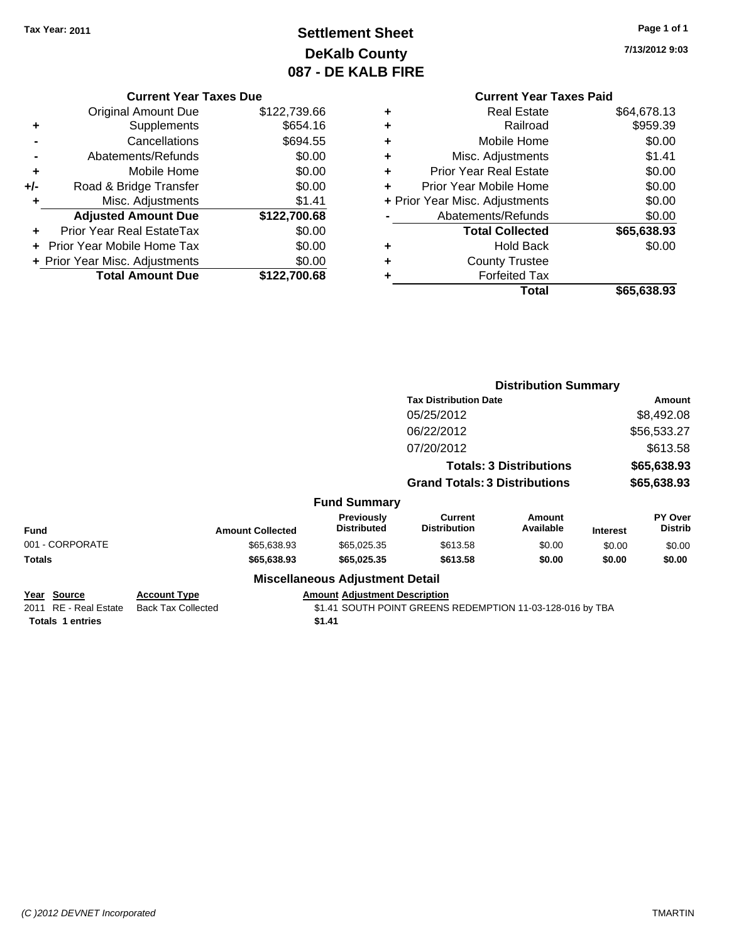# **Settlement Sheet Tax Year: 2011 Page 1 of 1 DeKalb County 087 - DE KALB FIRE**

**7/13/2012 9:03**

|     | <b>Current Year Taxes Due</b>     |              |  |  |
|-----|-----------------------------------|--------------|--|--|
|     | Original Amount Due               | \$122,739.66 |  |  |
| ٠   | Supplements                       | \$654.16     |  |  |
|     | Cancellations                     | \$694.55     |  |  |
|     | Abatements/Refunds                | \$0.00       |  |  |
| ٠   | Mobile Home                       | \$0.00       |  |  |
| +/- | Road & Bridge Transfer            | \$0.00       |  |  |
| ÷   | Misc. Adjustments                 | \$1.41       |  |  |
|     | <b>Adjusted Amount Due</b>        | \$122,700.68 |  |  |
|     | Prior Year Real EstateTax         | \$0.00       |  |  |
| ÷   | <b>Prior Year Mobile Home Tax</b> | \$0.00       |  |  |
|     | + Prior Year Misc. Adjustments    | \$0.00       |  |  |
|     | <b>Total Amount Due</b>           | \$122,700.68 |  |  |

|   | Real Estate                    | \$64,678.13 |
|---|--------------------------------|-------------|
| ٠ | Railroad                       | \$959.39    |
| ٠ | Mobile Home                    | \$0.00      |
| ٠ | Misc. Adjustments              | \$1.41      |
| ٠ | <b>Prior Year Real Estate</b>  | \$0.00      |
| ٠ | Prior Year Mobile Home         | \$0.00      |
|   | + Prior Year Misc. Adjustments | \$0.00      |
|   | Abatements/Refunds             | \$0.00      |
|   | <b>Total Collected</b>         | \$65,638.93 |
| ٠ | <b>Hold Back</b>               | \$0.00      |
| ٠ | <b>County Trustee</b>          |             |
|   | <b>Forfeited Tax</b>           |             |
|   | Total                          | \$65,638.93 |
|   |                                |             |

|                                                                 |                                                  | <b>Distribution Summary</b>                    |                                                           |                                |                 |                           |
|-----------------------------------------------------------------|--------------------------------------------------|------------------------------------------------|-----------------------------------------------------------|--------------------------------|-----------------|---------------------------|
|                                                                 |                                                  |                                                | <b>Tax Distribution Date</b>                              |                                |                 | Amount                    |
|                                                                 |                                                  |                                                | 05/25/2012                                                |                                |                 | \$8,492.08                |
|                                                                 |                                                  |                                                | 06/22/2012                                                |                                |                 | \$56,533.27               |
|                                                                 |                                                  |                                                | 07/20/2012                                                |                                |                 | \$613.58                  |
|                                                                 |                                                  |                                                |                                                           | <b>Totals: 3 Distributions</b> |                 | \$65,638.93               |
|                                                                 |                                                  |                                                | <b>Grand Totals: 3 Distributions</b>                      |                                |                 | \$65,638.93               |
|                                                                 |                                                  | <b>Fund Summary</b>                            |                                                           |                                |                 |                           |
| <b>Fund</b>                                                     | <b>Amount Collected</b>                          | Previously<br><b>Distributed</b>               | Current<br><b>Distribution</b>                            | Amount<br>Available            | <b>Interest</b> | PY Over<br><b>Distrib</b> |
| 001 - CORPORATE                                                 | \$65,638.93                                      | \$65,025.35                                    | \$613.58                                                  | \$0.00                         | \$0.00          | \$0.00                    |
| Totals                                                          | \$65,638.93                                      | \$65,025.35                                    | \$613.58                                                  | \$0.00                         | \$0.00          | \$0.00                    |
|                                                                 |                                                  | <b>Miscellaneous Adjustment Detail</b>         |                                                           |                                |                 |                           |
| Year Source<br>2011 RE - Real Estate<br><b>Totals 1 entries</b> | <b>Account Type</b><br><b>Back Tax Collected</b> | <b>Amount Adjustment Description</b><br>\$1.41 | \$1.41 SOUTH POINT GREENS REDEMPTION 11-03-128-016 by TBA |                                |                 |                           |
|                                                                 |                                                  |                                                |                                                           |                                |                 |                           |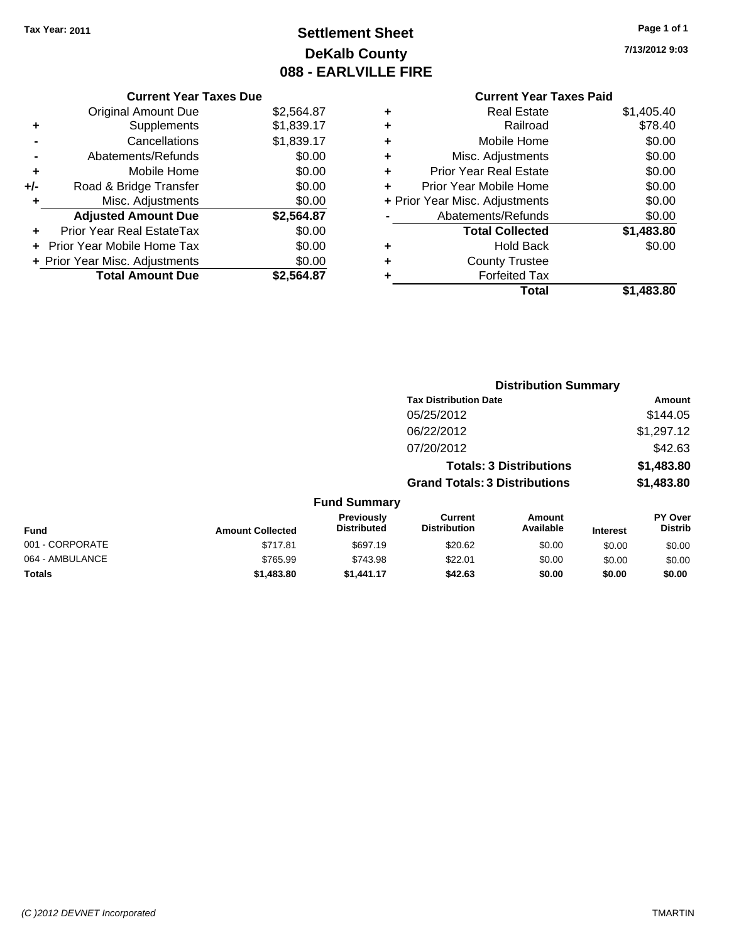# **Settlement Sheet Tax Year: 2011 Page 1 of 1 DeKalb County 088 - EARLVILLE FIRE**

**7/13/2012 9:03**

|     | <b>Current Year Taxes Due</b>  |            |
|-----|--------------------------------|------------|
|     | <b>Original Amount Due</b>     | \$2,564.87 |
| ٠   | Supplements                    | \$1,839.17 |
|     | Cancellations                  | \$1,839.17 |
|     | Abatements/Refunds             | \$0.00     |
| ٠   | Mobile Home                    | \$0.00     |
| +/- | Road & Bridge Transfer         | \$0.00     |
| ٠   | Misc. Adjustments              | \$0.00     |
|     | <b>Adjusted Amount Due</b>     | \$2,564.87 |
|     | Prior Year Real EstateTax      | \$0.00     |
|     | Prior Year Mobile Home Tax     | \$0.00     |
|     | + Prior Year Misc. Adjustments | \$0.00     |
|     | <b>Total Amount Due</b>        | \$2.564.87 |
|     |                                |            |

| ٠ | <b>Real Estate</b>             | \$1,405.40 |
|---|--------------------------------|------------|
| ٠ | Railroad                       | \$78.40    |
| ٠ | Mobile Home                    | \$0.00     |
| ٠ | Misc. Adjustments              | \$0.00     |
| ÷ | <b>Prior Year Real Estate</b>  | \$0.00     |
| ٠ | Prior Year Mobile Home         | \$0.00     |
|   | + Prior Year Misc. Adjustments | \$0.00     |
|   | Abatements/Refunds             | \$0.00     |
|   | <b>Total Collected</b>         | \$1,483.80 |
| ٠ | Hold Back                      | \$0.00     |
| ÷ | <b>County Trustee</b>          |            |
| ٠ | <b>Forfeited Tax</b>           |            |
|   | Total                          | \$1,483.80 |
|   |                                |            |

|                 |                         |                                  | <b>Distribution Summary</b>           |                                |                 |                           |  |
|-----------------|-------------------------|----------------------------------|---------------------------------------|--------------------------------|-----------------|---------------------------|--|
|                 |                         |                                  | <b>Tax Distribution Date</b>          |                                |                 | Amount                    |  |
|                 |                         |                                  | 05/25/2012                            |                                |                 | \$144.05                  |  |
|                 |                         |                                  | 06/22/2012                            |                                |                 | \$1,297.12                |  |
|                 |                         |                                  | 07/20/2012                            |                                |                 | \$42.63                   |  |
|                 |                         |                                  |                                       | <b>Totals: 3 Distributions</b> |                 | \$1,483.80                |  |
|                 |                         |                                  | <b>Grand Totals: 3 Distributions</b>  |                                |                 | \$1,483.80                |  |
|                 |                         | <b>Fund Summary</b>              |                                       |                                |                 |                           |  |
| Fund            | <b>Amount Collected</b> | Previously<br><b>Distributed</b> | <b>Current</b><br><b>Distribution</b> | Amount<br>Available            | <b>Interest</b> | PY Over<br><b>Distrib</b> |  |
| 001 - CORPORATE | \$717.81                | \$697.19                         | \$20.62                               | \$0.00                         | \$0.00          | \$0.00                    |  |
| 064 - AMBULANCE | \$765.99                | \$743.98                         | \$22.01                               | \$0.00                         | \$0.00          | \$0.00                    |  |
| Totals          | \$1,483.80              | \$1,441.17                       | \$42.63                               | \$0.00                         | \$0.00          | \$0.00                    |  |
|                 |                         |                                  |                                       |                                |                 |                           |  |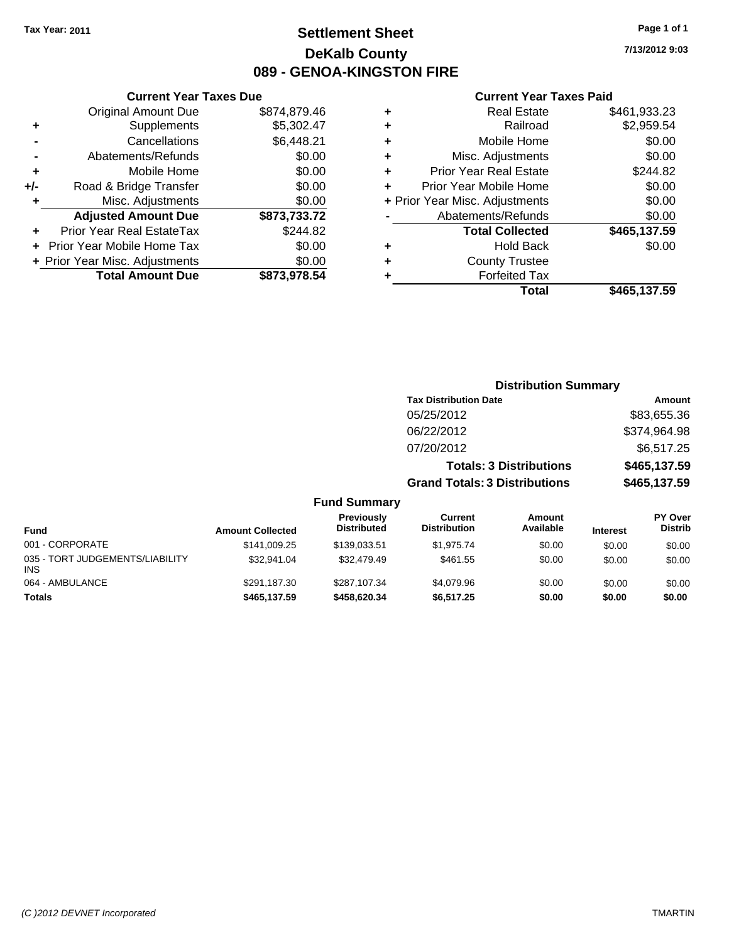# **Settlement Sheet Tax Year: 2011 Page 1 of 1 DeKalb County 089 - GENOA-KINGSTON FIRE**

**7/13/2012 9:03**

|     | <b>Current Year Taxes Due</b>  |              |   |
|-----|--------------------------------|--------------|---|
|     | <b>Original Amount Due</b>     | \$874,879.46 |   |
| ٠   | Supplements                    | \$5,302.47   | ٠ |
|     | Cancellations                  | \$6,448.21   | ÷ |
|     | Abatements/Refunds             | \$0.00       | ÷ |
| ٠   | Mobile Home                    | \$0.00       | ÷ |
| +/- | Road & Bridge Transfer         | \$0.00       | ٠ |
| ٠   | Misc. Adjustments              | \$0.00       | ٠ |
|     | <b>Adjusted Amount Due</b>     | \$873,733.72 |   |
|     | Prior Year Real EstateTax      | \$244.82     |   |
|     | Prior Year Mobile Home Tax     | \$0.00       |   |
|     | + Prior Year Misc. Adjustments | \$0.00       | ÷ |
|     | <b>Total Amount Due</b>        | \$873,978.54 |   |
|     |                                |              |   |

| ٠ | <b>Real Estate</b>             | \$461,933.23 |
|---|--------------------------------|--------------|
| ٠ | Railroad                       | \$2,959.54   |
| ٠ | Mobile Home                    | \$0.00       |
| ÷ | Misc. Adjustments              | \$0.00       |
| ٠ | <b>Prior Year Real Estate</b>  | \$244.82     |
| ٠ | Prior Year Mobile Home         | \$0.00       |
|   | + Prior Year Misc. Adjustments | \$0.00       |
|   | Abatements/Refunds             | \$0.00       |
|   | <b>Total Collected</b>         | \$465,137.59 |
| ٠ | <b>Hold Back</b>               | \$0.00       |
| ٠ | <b>County Trustee</b>          |              |
| ٠ | <b>Forfeited Tax</b>           |              |
|   | Total                          | \$465,137.59 |
|   |                                |              |

|                                               |                         |                                  | <b>Distribution Summary</b>          |                                |                 |                                  |
|-----------------------------------------------|-------------------------|----------------------------------|--------------------------------------|--------------------------------|-----------------|----------------------------------|
|                                               |                         |                                  | <b>Tax Distribution Date</b>         |                                |                 | Amount                           |
|                                               |                         |                                  | 05/25/2012                           |                                |                 | \$83,655.36                      |
|                                               |                         |                                  | 06/22/2012                           |                                |                 | \$374,964.98                     |
|                                               |                         |                                  | 07/20/2012                           |                                |                 | \$6,517.25                       |
|                                               |                         |                                  |                                      | <b>Totals: 3 Distributions</b> |                 | \$465,137.59                     |
|                                               |                         |                                  | <b>Grand Totals: 3 Distributions</b> |                                |                 | \$465,137.59                     |
|                                               |                         | <b>Fund Summary</b>              |                                      |                                |                 |                                  |
| <b>Fund</b>                                   | <b>Amount Collected</b> | Previously<br><b>Distributed</b> | Current<br><b>Distribution</b>       | Amount<br>Available            | <b>Interest</b> | <b>PY Over</b><br><b>Distrib</b> |
| 001 - CORPORATE                               | \$141.009.25            | \$139,033.51                     | \$1,975.74                           | \$0.00                         | \$0.00          | \$0.00                           |
| 035 - TORT JUDGEMENTS/LIABILITY<br><b>INS</b> | \$32,941.04             | \$32,479.49                      | \$461.55                             | \$0.00                         | \$0.00          | \$0.00                           |
| 064 - AMBULANCE                               | \$291,187.30            | \$287,107.34                     | \$4,079.96                           | \$0.00                         | \$0.00          | \$0.00                           |
| <b>Totals</b>                                 | \$465,137.59            | \$458,620.34                     | \$6,517.25                           | \$0.00                         | \$0.00          | \$0.00                           |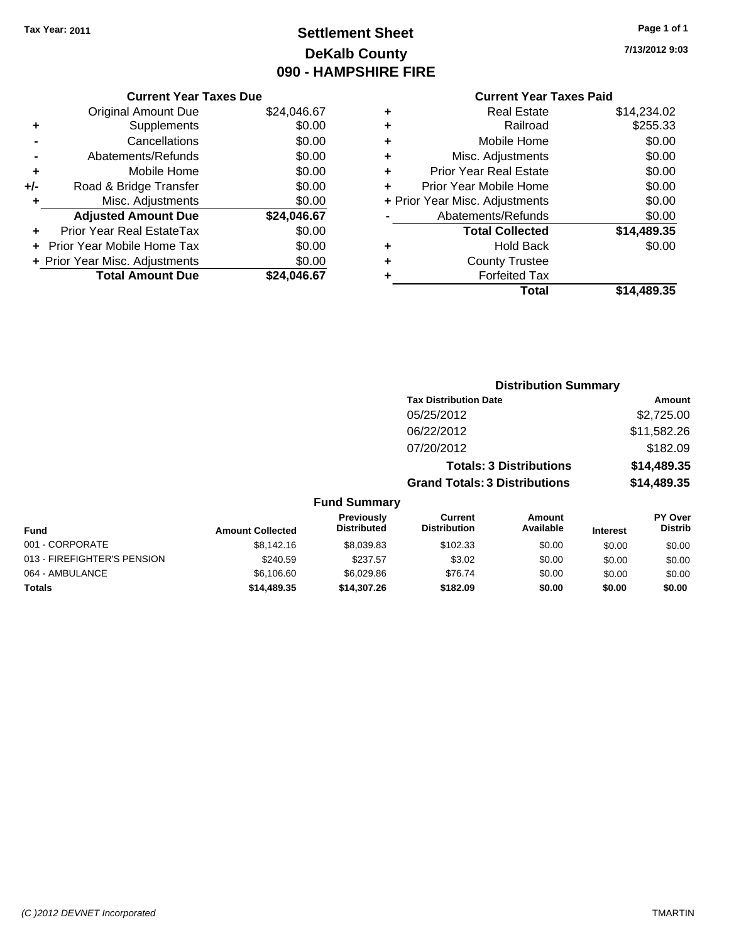# **Settlement Sheet Tax Year: 2011 Page 1 of 1 DeKalb County 090 - HAMPSHIRE FIRE**

**7/13/2012 9:03**

|     | <b>Current Year Taxes Due</b>  |             |  |  |  |
|-----|--------------------------------|-------------|--|--|--|
|     | <b>Original Amount Due</b>     | \$24,046.67 |  |  |  |
| ٠   | Supplements                    | \$0.00      |  |  |  |
|     | Cancellations                  | \$0.00      |  |  |  |
|     | Abatements/Refunds             | \$0.00      |  |  |  |
| ٠   | Mobile Home                    | \$0.00      |  |  |  |
| +/- | Road & Bridge Transfer         | \$0.00      |  |  |  |
|     | Misc. Adjustments              | \$0.00      |  |  |  |
|     | <b>Adjusted Amount Due</b>     | \$24,046.67 |  |  |  |
|     | Prior Year Real EstateTax      | \$0.00      |  |  |  |
|     | Prior Year Mobile Home Tax     | \$0.00      |  |  |  |
|     | + Prior Year Misc. Adjustments | \$0.00      |  |  |  |
|     | <b>Total Amount Due</b>        | \$24.046.67 |  |  |  |
|     |                                |             |  |  |  |

| ٠ | <b>Real Estate</b>             | \$14,234.02 |
|---|--------------------------------|-------------|
| ٠ | Railroad                       | \$255.33    |
| ٠ | Mobile Home                    | \$0.00      |
| ٠ | Misc. Adjustments              | \$0.00      |
| ٠ | <b>Prior Year Real Estate</b>  | \$0.00      |
| ٠ | Prior Year Mobile Home         | \$0.00      |
|   | + Prior Year Misc. Adjustments | \$0.00      |
|   | Abatements/Refunds             | \$0.00      |
|   | <b>Total Collected</b>         | \$14,489.35 |
| ٠ | <b>Hold Back</b>               | \$0.00      |
| ٠ | <b>County Trustee</b>          |             |
| ٠ | <b>Forfeited Tax</b>           |             |
|   | Total                          | \$14,489.35 |
|   |                                |             |

|                             |                         | <b>Distribution Summary</b>      |                                       |                                |                 |                           |
|-----------------------------|-------------------------|----------------------------------|---------------------------------------|--------------------------------|-----------------|---------------------------|
|                             |                         |                                  | <b>Tax Distribution Date</b>          |                                |                 | Amount                    |
|                             |                         |                                  | 05/25/2012                            |                                |                 | \$2,725.00                |
|                             |                         |                                  | 06/22/2012                            |                                |                 | \$11,582.26               |
|                             |                         |                                  | 07/20/2012                            |                                |                 | \$182.09                  |
|                             |                         |                                  |                                       | <b>Totals: 3 Distributions</b> |                 | \$14,489.35               |
|                             |                         |                                  | <b>Grand Totals: 3 Distributions</b>  |                                |                 | \$14,489.35               |
|                             |                         | <b>Fund Summary</b>              |                                       |                                |                 |                           |
| Fund                        | <b>Amount Collected</b> | Previously<br><b>Distributed</b> | <b>Current</b><br><b>Distribution</b> | Amount<br>Available            | <b>Interest</b> | PY Over<br><b>Distrib</b> |
| 001 - CORPORATE             | \$8,142.16              | \$8,039.83                       | \$102.33                              | \$0.00                         | \$0.00          | \$0.00                    |
| 013 - FIREFIGHTER'S PENSION | \$240.59                | \$237.57                         | \$3.02                                | \$0.00                         | \$0.00          | \$0.00                    |
| 064 - AMBULANCE             | \$6,106.60              | \$6,029.86                       | \$76.74                               | \$0.00                         | \$0.00          | \$0.00                    |
| Totals                      | \$14,489.35             | \$14,307.26                      | \$182.09                              | \$0.00                         | \$0.00          | \$0.00                    |
|                             |                         |                                  |                                       |                                |                 |                           |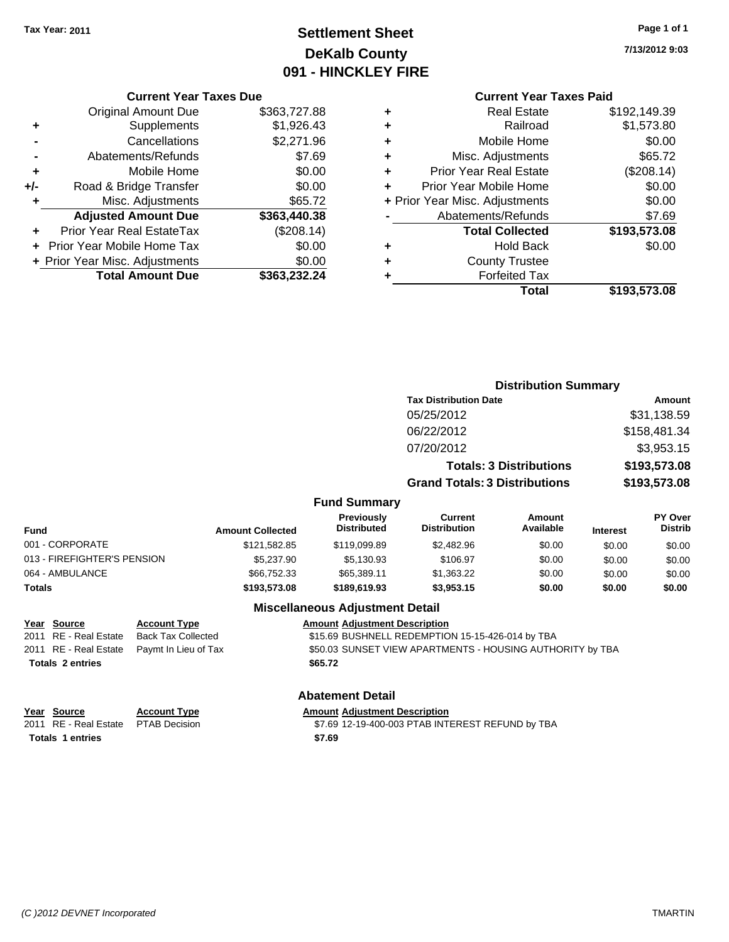# **Settlement Sheet Tax Year: 2011 Page 1 of 1 DeKalb County 091 - HINCKLEY FIRE**

**7/13/2012 9:03**

## **Current Year Taxes Paid**

|      | Total                              | \$193,573.08 |
|------|------------------------------------|--------------|
| 2.24 | <b>Forfeited Tax</b>               |              |
| 0.00 | <b>County Trustee</b><br>٠         |              |
| 00.( | <b>Hold Back</b><br>٠              | \$0.00       |
| .14) | <b>Total Collected</b>             | \$193,573.08 |
| 0.38 | Abatements/Refunds                 | \$7.69       |
| 5.72 | + Prior Year Misc. Adjustments     | \$0.00       |
| 00.( | Prior Year Mobile Home<br>٠        | \$0.00       |
| 00.( | <b>Prior Year Real Estate</b><br>٠ | (\$208.14)   |
| 7.69 | Misc. Adjustments<br>٠             | \$65.72      |
| .96  | Mobile Home<br>٠                   | \$0.00       |
| እ.43 | Railroad<br>٠                      | \$1,573.80   |
| 7.88 | <b>Real Estate</b><br>٠            | \$192,149.39 |
|      |                                    |              |

|     | <b>Current Year Taxes Due</b>    |              |
|-----|----------------------------------|--------------|
|     | <b>Original Amount Due</b>       | \$363,727.88 |
| ٠   | Supplements                      | \$1,926.43   |
|     | Cancellations                    | \$2,271.96   |
|     | Abatements/Refunds               | \$7.69       |
| ٠   | Mobile Home                      | \$0.00       |
| +/- | Road & Bridge Transfer           | \$0.00       |
| ٠   | Misc. Adjustments                | \$65.72      |
|     | <b>Adjusted Amount Due</b>       | \$363,440.38 |
|     | <b>Prior Year Real EstateTax</b> | (\$208.14)   |
|     | Prior Year Mobile Home Tax       | \$0.00       |
|     | + Prior Year Misc. Adjustments   | \$0.00       |
|     | <b>Total Amount Due</b>          | \$363,232.24 |
|     |                                  |              |

|                     |                                      | <b>Distribution Summary</b>    |                |
|---------------------|--------------------------------------|--------------------------------|----------------|
|                     | <b>Tax Distribution Date</b>         |                                | Amount         |
|                     | 05/25/2012                           |                                | \$31,138.59    |
|                     | 06/22/2012                           |                                | \$158,481.34   |
|                     | 07/20/2012                           |                                | \$3,953.15     |
|                     |                                      | <b>Totals: 3 Distributions</b> | \$193,573.08   |
|                     | <b>Grand Totals: 3 Distributions</b> |                                | \$193,573.08   |
| <b>Fund Summary</b> |                                      |                                |                |
| <b>Previously</b>   | Current                              | Amount                         | <b>PY Over</b> |

| <b>Amount Collected</b> | <b>Distributed</b> | <b>Distribution</b> | Available | <b>Interest</b> | <b>PT OVER</b><br><b>Distrib</b> |
|-------------------------|--------------------|---------------------|-----------|-----------------|----------------------------------|
| \$121,582.85            | \$119,099.89       | \$2,482.96          | \$0.00    | \$0.00          | \$0.00                           |
| \$5,237.90              | \$5.130.93         | \$106.97            | \$0.00    | \$0.00          | \$0.00                           |
| \$66,752.33             | \$65,389.11        | \$1,363.22          | \$0.00    | \$0.00          | \$0.00                           |
| \$193,573,08            | \$189,619,93       | \$3,953.15          | \$0.00    | \$0.00          | \$0.00                           |
|                         |                    | <b>Previously</b>   | current   | Amount          |                                  |

## **Miscellaneous Adjustment Detail**

**Year Source Account Type Amount Adjustment Description** 2011 RE - Real Estate Back Tax Collected \$15.69 BUSHNELL REDEMPTION 15-15-426-014 by TBA 2011 RE - Real Estate Paymt In Lieu of Tax Sto.03 SUNSET VIEW APARTMENTS - HOUSING AUTHORITY by TBA **Totals \$65.72 2 entries**

## **Abatement Detail**

| Year Source                         | <b>Account Type</b> | <b>Amount Adiustment Description</b>             |
|-------------------------------------|---------------------|--------------------------------------------------|
| 2011 RE - Real Estate PTAB Decision |                     | \$7.69 12-19-400-003 PTAB INTEREST REFUND by TBA |
| <b>Totals 1 entries</b>             |                     | \$7.69                                           |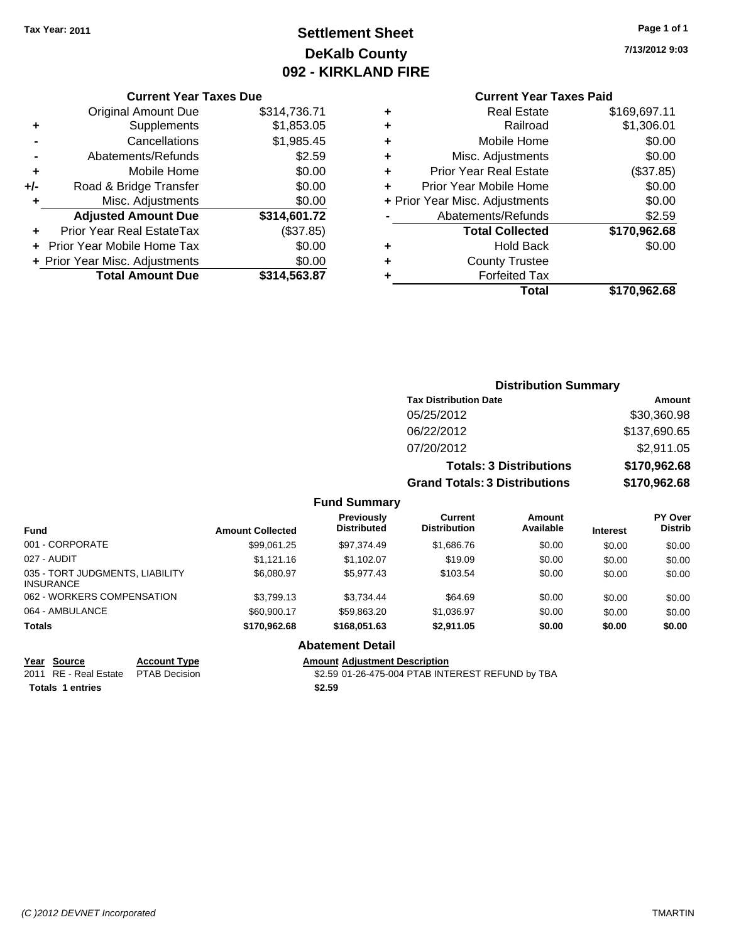# **Settlement Sheet Tax Year: 2011 Page 1 of 1 DeKalb County 092 - KIRKLAND FIRE**

**7/13/2012 9:03**

### **Current Year Taxes Due**

|     | <b>Original Amount Due</b>       | \$314,736.71 |
|-----|----------------------------------|--------------|
| ٠   | Supplements                      | \$1,853.05   |
|     | Cancellations                    | \$1,985.45   |
|     | Abatements/Refunds               | \$2.59       |
| ÷   | Mobile Home                      | \$0.00       |
| +/- | Road & Bridge Transfer           | \$0.00       |
| ٠   | Misc. Adjustments                | \$0.00       |
|     | <b>Adjusted Amount Due</b>       | \$314,601.72 |
|     | <b>Prior Year Real EstateTax</b> | (\$37.85)    |
|     | Prior Year Mobile Home Tax       | \$0.00       |
|     | + Prior Year Misc. Adjustments   | \$0.00       |
|     | <b>Total Amount Due</b>          | \$314,563.87 |

## **Current Year Taxes Paid**

| ٠ | <b>Real Estate</b>             | \$169,697.11 |
|---|--------------------------------|--------------|
| ÷ | Railroad                       | \$1,306.01   |
| ÷ | Mobile Home                    | \$0.00       |
| ٠ | Misc. Adjustments              | \$0.00       |
| ٠ | Prior Year Real Estate         | (\$37.85)    |
| ÷ | Prior Year Mobile Home         | \$0.00       |
|   | + Prior Year Misc. Adjustments | \$0.00       |
|   | Abatements/Refunds             | \$2.59       |
|   | <b>Total Collected</b>         | \$170,962.68 |
| ٠ | <b>Hold Back</b>               | \$0.00       |
| ٠ | <b>County Trustee</b>          |              |
| ٠ | <b>Forfeited Tax</b>           |              |
|   | Total                          | \$170,962.68 |
|   |                                |              |

#### **Distribution Summary Tax Distribution Date Amount** 05/25/2012 \$30,360.98 06/22/2012 \$137,690.65 07/20/2012 \$2,911.05 **Totals: 3 Distributions \$170,962.68 Grand Totals: 3 Distributions \$170,962.68 Fund Summary Fund Interest Amount Collected Distributed PY Over Distrib Amount Available Current Distribution Previously** 001 - CORPORATE \$99,061.25 \$97,374.49 \$1,686.76 \$0.00 \$0.00 \$0.00 027 - AUDIT \$1,121.16 \$1,102.07 \$19.09 \$0.00 \$0.00 \$0.00

|                                              |                      |              |                                      |                                                  |        | -----  | -----  |
|----------------------------------------------|----------------------|--------------|--------------------------------------|--------------------------------------------------|--------|--------|--------|
| 035 - TORT JUDGMENTS. LIABILITY<br>INSURANCE |                      | \$6,080.97   | \$5.977.43                           | \$103.54                                         | \$0.00 | \$0.00 | \$0.00 |
| 062 - WORKERS COMPENSATION                   |                      | \$3.799.13   | \$3.734.44                           | \$64.69                                          | \$0.00 | \$0.00 | \$0.00 |
| 064 - AMBULANCE                              |                      | \$60,900.17  | \$59.863.20                          | \$1,036.97                                       | \$0.00 | \$0.00 | \$0.00 |
| Totals                                       |                      | \$170.962.68 | \$168,051.63                         | \$2.911.05                                       | \$0.00 | \$0.00 | \$0.00 |
|                                              |                      |              | <b>Abatement Detail</b>              |                                                  |        |        |        |
| Year Source                                  | <b>Account Type</b>  |              | <b>Amount Adjustment Description</b> |                                                  |        |        |        |
| 2011 RE - Real Estate                        | <b>PTAB Decision</b> |              |                                      | \$2.59 01-26-475-004 PTAB INTEREST REFUND by TBA |        |        |        |
| <b>Totals 1 entries</b>                      |                      |              | \$2.59                               |                                                  |        |        |        |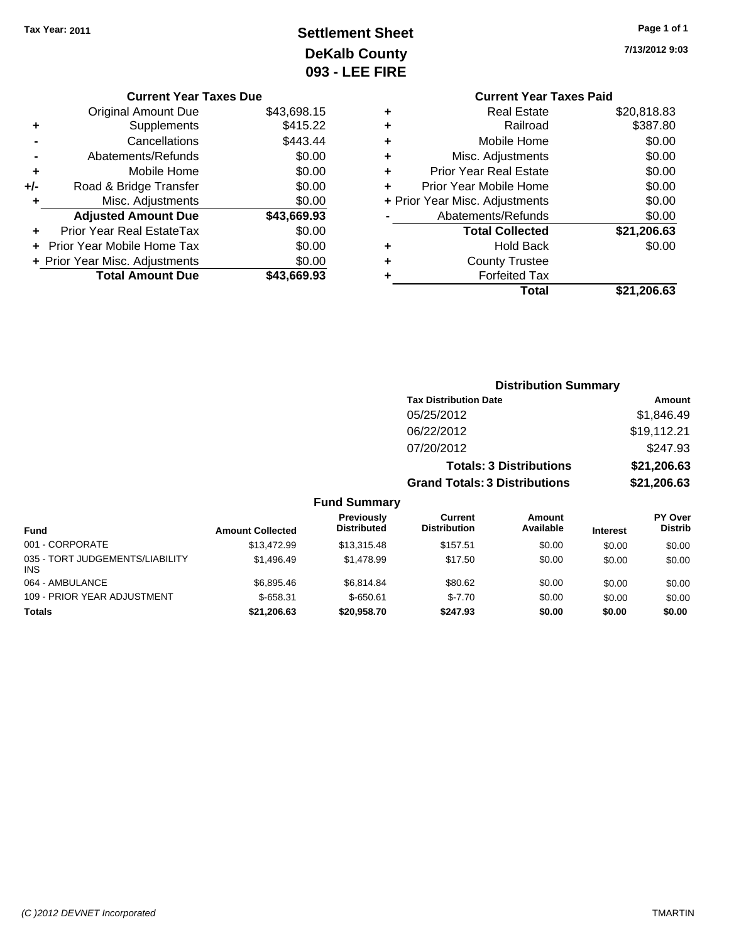# **Settlement Sheet Tax Year: 2011 Page 1 of 1 DeKalb County 093 - LEE FIRE**

**7/13/2012 9:03**

| <b>Current Year Taxes Paid</b> |             |
|--------------------------------|-------------|
| <b>Real Estate</b>             | \$20,818.83 |
| Railroad                       | \$387.80    |
| Mobile Home                    | \$0.00      |
| Misc. Adjustments              | \$0.00      |
| <b>Prior Year Real Estate</b>  | \$0.00      |
| Prior Year Mobile Home         | \$0.00      |
| + Prior Year Misc. Adjustments | \$0.00      |
| Abatements/Refunds             | \$0.00      |
| <b>Total Collected</b>         | \$21,206.63 |
| <b>Hold Back</b>               | \$0.00      |
| <b>County Trustee</b>          |             |
| <b>Forfeited Tax</b>           |             |
| Total                          | \$21.206.63 |
|                                |             |

|     | <b>Current Year Taxes Due</b>  |             |
|-----|--------------------------------|-------------|
|     | Original Amount Due            | \$43,698.15 |
| ٠   | Supplements                    | \$415.22    |
|     | Cancellations                  | \$443.44    |
|     | Abatements/Refunds             | \$0.00      |
| ٠   | Mobile Home                    | \$0.00      |
| +/- | Road & Bridge Transfer         | \$0.00      |
| ٠   | Misc. Adjustments              | \$0.00      |
|     | <b>Adjusted Amount Due</b>     | \$43,669.93 |
|     | Prior Year Real EstateTax      | \$0.00      |
|     | Prior Year Mobile Home Tax     | \$0.00      |
|     | + Prior Year Misc. Adjustments | \$0.00      |
|     | <b>Total Amount Due</b>        | \$43.669.93 |

|                                 |                         | <b>Distribution Summary</b>             |                                       |                                |                 |                                  |  |
|---------------------------------|-------------------------|-----------------------------------------|---------------------------------------|--------------------------------|-----------------|----------------------------------|--|
|                                 |                         |                                         | <b>Tax Distribution Date</b>          |                                |                 | Amount                           |  |
|                                 |                         |                                         | 05/25/2012                            |                                |                 | \$1,846.49                       |  |
|                                 |                         |                                         | 06/22/2012                            |                                |                 | \$19,112.21                      |  |
|                                 |                         |                                         | 07/20/2012                            |                                |                 | \$247.93                         |  |
|                                 |                         |                                         |                                       | <b>Totals: 3 Distributions</b> |                 | \$21,206.63                      |  |
|                                 |                         |                                         | <b>Grand Totals: 3 Distributions</b>  |                                |                 | \$21,206.63                      |  |
|                                 |                         | <b>Fund Summary</b>                     |                                       |                                |                 |                                  |  |
| <b>Fund</b>                     | <b>Amount Collected</b> | <b>Previously</b><br><b>Distributed</b> | <b>Current</b><br><b>Distribution</b> | Amount<br>Available            | <b>Interest</b> | <b>PY Over</b><br><b>Distrib</b> |  |
| 001 - CORPORATE                 | \$13,472.99             | \$13,315.48                             | \$157.51                              | \$0.00                         | \$0.00          | \$0.00                           |  |
| 035 - TORT JUDGEMENTS/LIABILITY | \$1,496.49              | \$1,478.99                              | \$17.50                               | \$0.00                         | \$0.00          | \$0.00                           |  |

064 - AMBULANCE 6.00 \$6,895.46 \$6,895.46 \$6,814.84 \$80.62 \$0.00 \$0.00 \$0.00 \$0.00 109 - PRIOR YEAR ADJUSTMENT  $$-658.31$   $$-650.61$   $$-7.70$   $$0.00$   $$0.00$   $$0.00$ **Totals \$21,206.63 \$20,958.70 \$247.93 \$0.00 \$0.00 \$0.00**

INS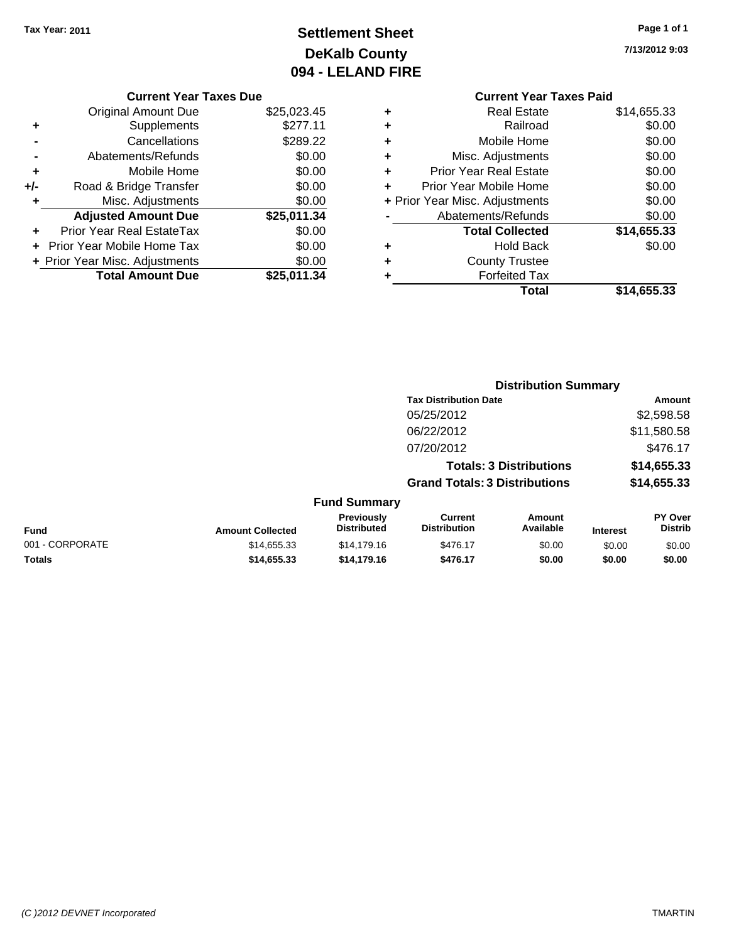# **Settlement Sheet Tax Year: 2011 Page 1 of 1 DeKalb County 094 - LELAND FIRE**

**7/13/2012 9:03**

## **Current Year Taxes Due**

|     | <b>Original Amount Due</b>       | \$25,023.45 |
|-----|----------------------------------|-------------|
| ٠   | Supplements                      | \$277.11    |
|     | Cancellations                    | \$289.22    |
|     | Abatements/Refunds               | \$0.00      |
| ٠   | Mobile Home                      | \$0.00      |
| +/- | Road & Bridge Transfer           | \$0.00      |
| ٠   | Misc. Adjustments                | \$0.00      |
|     | <b>Adjusted Amount Due</b>       | \$25,011.34 |
|     | <b>Prior Year Real EstateTax</b> | \$0.00      |
|     | Prior Year Mobile Home Tax       | \$0.00      |
|     | + Prior Year Misc. Adjustments   | \$0.00      |
|     | <b>Total Amount Due</b>          | \$25,011.34 |

## **Current Year Taxes Paid +** Real Estate \$14,655.33

|   | Railroad                       | \$0.00      |
|---|--------------------------------|-------------|
|   |                                |             |
| ÷ | Mobile Home                    | \$0.00      |
| ٠ | Misc. Adjustments              | \$0.00      |
|   | <b>Prior Year Real Estate</b>  | \$0.00      |
|   | Prior Year Mobile Home         | \$0.00      |
|   | + Prior Year Misc. Adjustments | \$0.00      |
|   | Abatements/Refunds             | \$0.00      |
|   |                                |             |
|   | <b>Total Collected</b>         | \$14,655.33 |
|   | <b>Hold Back</b>               | \$0.00      |
|   | <b>County Trustee</b>          |             |
|   | <b>Forfeited Tax</b>           |             |
|   | Total                          | \$14,655.33 |

|                 |                         |                                  | <b>Distribution Summary</b>           |                                |                 |                                  |
|-----------------|-------------------------|----------------------------------|---------------------------------------|--------------------------------|-----------------|----------------------------------|
|                 |                         |                                  | <b>Tax Distribution Date</b>          |                                |                 | Amount                           |
|                 |                         |                                  | 05/25/2012                            |                                |                 | \$2,598.58                       |
|                 |                         |                                  | 06/22/2012                            |                                |                 | \$11,580.58                      |
|                 |                         |                                  | 07/20/2012                            |                                |                 | \$476.17                         |
|                 |                         |                                  |                                       | <b>Totals: 3 Distributions</b> |                 | \$14,655.33                      |
|                 |                         |                                  | <b>Grand Totals: 3 Distributions</b>  |                                |                 | \$14,655.33                      |
|                 |                         | <b>Fund Summary</b>              |                                       |                                |                 |                                  |
| Fund            | <b>Amount Collected</b> | Previously<br><b>Distributed</b> | <b>Current</b><br><b>Distribution</b> | Amount<br>Available            | <b>Interest</b> | <b>PY Over</b><br><b>Distrib</b> |
| 001 - CORPORATE | \$14,655.33             | \$14,179.16                      | \$476.17                              | \$0.00                         | \$0.00          | \$0.00                           |
| Totals          | \$14,655.33             | \$14,179.16                      | \$476.17                              | \$0.00                         | \$0.00          | \$0.00                           |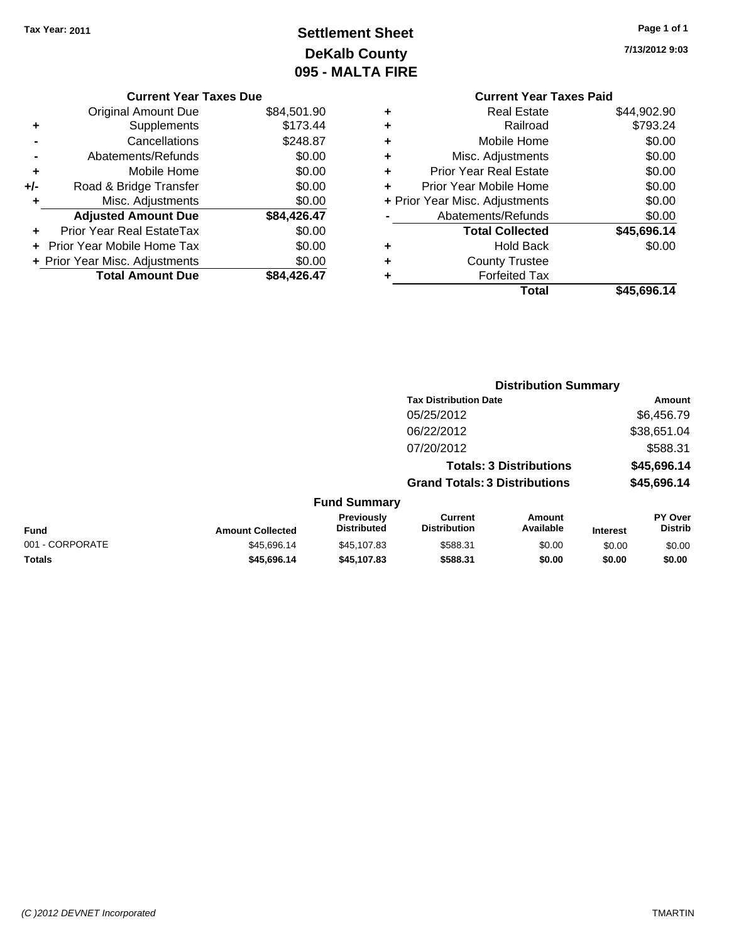# **Settlement Sheet Tax Year: 2011 Page 1 of 1 DeKalb County 095 - MALTA FIRE**

**7/13/2012 9:03**

|   | <b>Current Year Taxes Paid</b> |             |
|---|--------------------------------|-------------|
| ٠ | <b>Real Estate</b>             | \$44,902.90 |
| ٠ | Railroad                       | \$793.24    |
| ٠ | Mobile Home                    | \$0.00      |
| ٠ | Misc. Adjustments              | \$0.00      |
| ٠ | <b>Prior Year Real Estate</b>  | \$0.00      |
|   | Prior Year Mobile Home         | \$0.00      |
|   | + Prior Year Misc. Adjustments | \$0.00      |
|   | Abatements/Refunds             | \$0.00      |
|   | <b>Total Collected</b>         | \$45,696.14 |
| ٠ | Hold Back                      | \$0.00      |
|   | <b>County Trustee</b>          |             |
|   | <b>Forfeited Tax</b>           |             |
|   | Total                          | \$45.696.14 |
|   |                                |             |

**Distribution Summary**

| <b>Current Year Taxes Due</b>  |             |
|--------------------------------|-------------|
| <b>Original Amount Due</b>     | \$84,501.90 |
| Supplements                    | \$173.44    |
| Cancellations                  | \$248.87    |
| Abatements/Refunds             | \$0.00      |
| Mobile Home                    | \$0.00      |
| Road & Bridge Transfer         | \$0.00      |
| Misc. Adjustments              | \$0.00      |
| <b>Adjusted Amount Due</b>     | \$84,426.47 |
| Prior Year Real EstateTax      | \$0.00      |
| Prior Year Mobile Home Tax     | \$0.00      |
| + Prior Year Misc. Adjustments | \$0.00      |
| <b>Total Amount Due</b>        | \$84,426.47 |
|                                |             |

|                 |                         |                                  | <b>Tax Distribution Date</b>          |                                |                 | Amount                           |
|-----------------|-------------------------|----------------------------------|---------------------------------------|--------------------------------|-----------------|----------------------------------|
|                 |                         |                                  | 05/25/2012                            |                                |                 | \$6,456.79                       |
|                 |                         |                                  | 06/22/2012                            |                                |                 | \$38,651.04                      |
|                 |                         |                                  | 07/20/2012                            |                                |                 | \$588.31                         |
|                 |                         |                                  |                                       | <b>Totals: 3 Distributions</b> |                 | \$45,696.14                      |
|                 |                         |                                  | <b>Grand Totals: 3 Distributions</b>  |                                |                 | \$45,696.14                      |
|                 |                         | <b>Fund Summary</b>              |                                       |                                |                 |                                  |
| Fund            | <b>Amount Collected</b> | Previously<br><b>Distributed</b> | <b>Current</b><br><b>Distribution</b> | <b>Amount</b><br>Available     | <b>Interest</b> | <b>PY Over</b><br><b>Distrib</b> |
| 001 - CORPORATE | \$45.696.14             | \$45,107.83                      | \$588.31                              | \$0.00                         | \$0.00          | \$0.00                           |
| Totals          | \$45.696.14             | \$45,107.83                      | \$588.31                              | \$0.00                         | \$0.00          | \$0.00                           |
|                 |                         |                                  |                                       |                                |                 |                                  |

### *(C )2012 DEVNET Incorporated* TMARTIN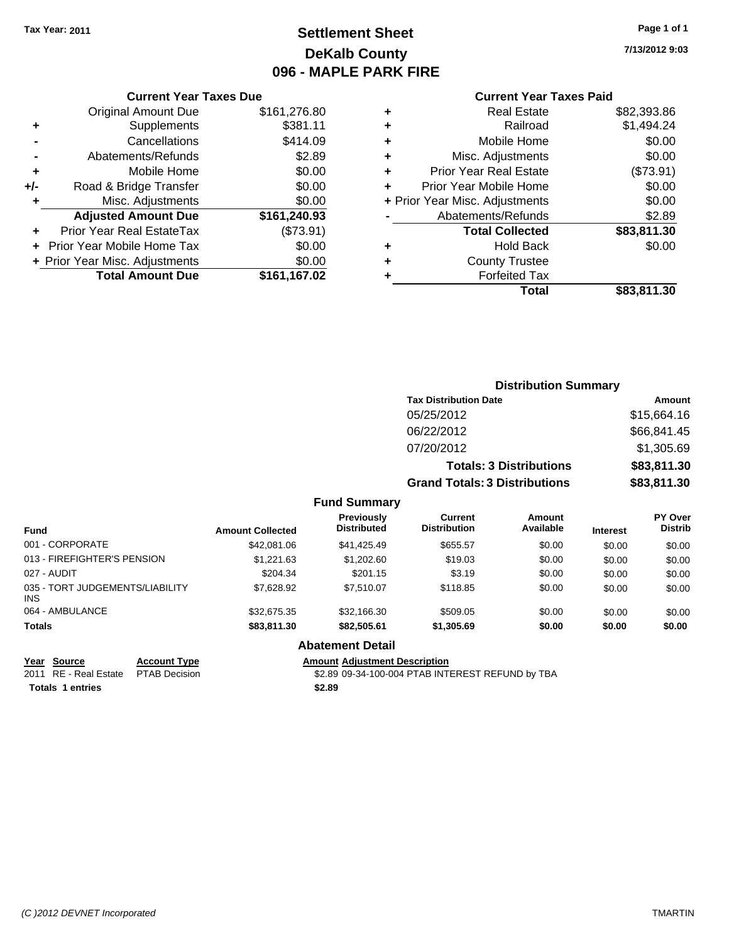# **Settlement Sheet Tax Year: 2011 Page 1 of 1 DeKalb County 096 - MAPLE PARK FIRE**

**7/13/2012 9:03**

### **Current Year Taxes Paid**

|     | <b>Current Year Taxes Due</b>  |              |
|-----|--------------------------------|--------------|
|     | <b>Original Amount Due</b>     | \$161,276.80 |
| ٠   | Supplements                    | \$381.11     |
|     | Cancellations                  | \$414.09     |
|     | Abatements/Refunds             | \$2.89       |
| ٠   | Mobile Home                    | \$0.00       |
| +/- | Road & Bridge Transfer         | \$0.00       |
| ٠   | Misc. Adjustments              | \$0.00       |
|     | <b>Adjusted Amount Due</b>     | \$161,240.93 |
|     | Prior Year Real EstateTax      | (\$73.91)    |
|     | Prior Year Mobile Home Tax     | \$0.00       |
|     | + Prior Year Misc. Adjustments | \$0.00       |
|     | <b>Total Amount Due</b>        | \$161,167.02 |
|     |                                |              |

| <b>Real Estate</b>            | \$82,393.86                    |
|-------------------------------|--------------------------------|
| Railroad                      | \$1,494.24                     |
| Mobile Home                   | \$0.00                         |
| Misc. Adjustments             | \$0.00                         |
| <b>Prior Year Real Estate</b> | (\$73.91)                      |
| Prior Year Mobile Home        | \$0.00                         |
|                               | \$0.00                         |
| Abatements/Refunds            | \$2.89                         |
| <b>Total Collected</b>        | \$83,811.30                    |
| Hold Back                     | \$0.00                         |
| <b>County Trustee</b>         |                                |
| <b>Forfeited Tax</b>          |                                |
| Total                         | \$83,811.30                    |
|                               | + Prior Year Misc. Adjustments |

|                                 |                         |                                  |                                      | <b>Distribution Summary</b>    |                 |                                  |
|---------------------------------|-------------------------|----------------------------------|--------------------------------------|--------------------------------|-----------------|----------------------------------|
|                                 |                         |                                  | <b>Tax Distribution Date</b>         |                                |                 | Amount                           |
|                                 |                         |                                  | 05/25/2012                           |                                |                 | \$15,664.16                      |
|                                 |                         |                                  | 06/22/2012                           |                                |                 | \$66,841.45                      |
|                                 |                         |                                  | 07/20/2012                           |                                |                 | \$1,305.69                       |
|                                 |                         |                                  |                                      | <b>Totals: 3 Distributions</b> |                 | \$83,811.30                      |
|                                 |                         |                                  | <b>Grand Totals: 3 Distributions</b> |                                |                 | \$83,811.30                      |
|                                 |                         | <b>Fund Summary</b>              |                                      |                                |                 |                                  |
| <b>Fund</b>                     | <b>Amount Collected</b> | <b>Previously</b><br>Distributed | Current<br><b>Distribution</b>       | Amount<br>Available            | <b>Interest</b> | <b>PY Over</b><br><b>Distrib</b> |
| 001 - CORPORATE                 | \$42,081.06             | \$41,425.49                      | \$655.57                             | \$0.00                         | \$0.00          | \$0.00                           |
| 013 - FIREFIGHTER'S PENSION     | \$1,221.63              | \$1,202.60                       | \$19.03                              | \$0.00                         | \$0.00          | \$0.00                           |
| 027 - AUDIT                     | \$204.34                | \$201.15                         | \$3.19                               | \$0.00                         | \$0.00          | \$0.00                           |
| 035 - TORT JUDGEMENTS/LIABILITY | \$7,628.92              | \$7,510.07                       | \$118.85                             | \$0.00                         | \$0.00          | \$0.00                           |

| <b>INS</b>                                                                                        |                     | --------    |                                      |            |        |        |        |
|---------------------------------------------------------------------------------------------------|---------------------|-------------|--------------------------------------|------------|--------|--------|--------|
| 064 - AMBULANCE                                                                                   |                     | \$32,675.35 | \$32,166,30                          | \$509.05   | \$0.00 | \$0.00 | \$0.00 |
| Totals                                                                                            |                     | \$83,811.30 | \$82,505.61                          | \$1,305.69 | \$0.00 | \$0.00 | \$0.00 |
|                                                                                                   |                     |             | <b>Abatement Detail</b>              |            |        |        |        |
| Year Source                                                                                       | <b>Account Type</b> |             | <b>Amount Adiustment Description</b> |            |        |        |        |
| \$2.89 09-34-100-004 PTAB INTEREST REFUND by TBA<br>2011 RE - Real Estate<br><b>PTAB Decision</b> |                     |             |                                      |            |        |        |        |
| <b>Totals 1 entries</b>                                                                           |                     |             | \$2.89                               |            |        |        |        |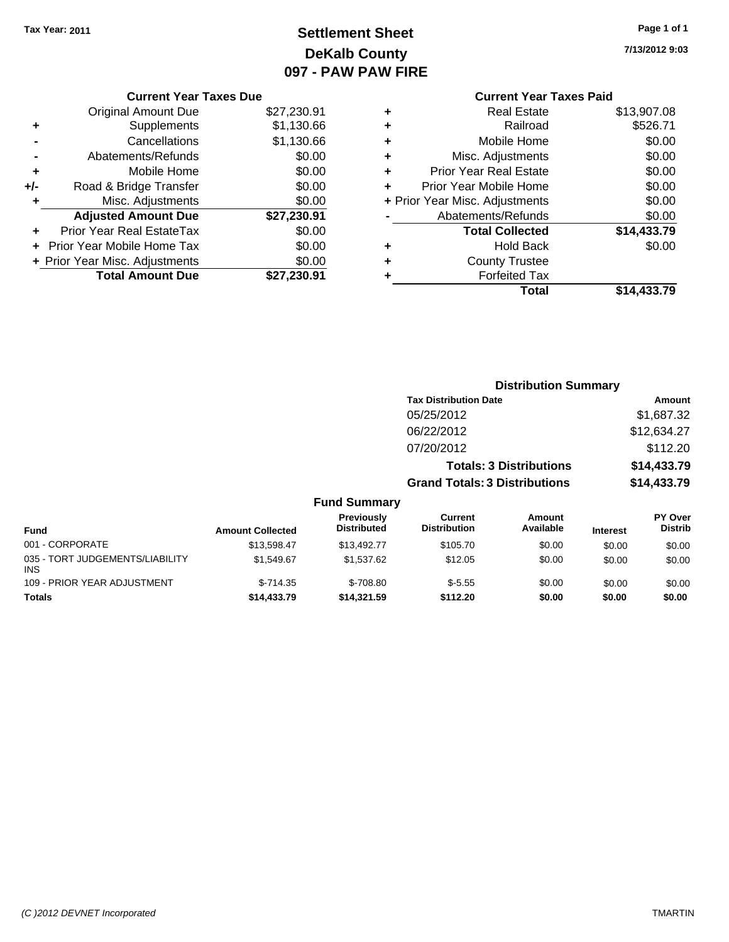# **Settlement Sheet Tax Year: 2011 Page 1 of 1 DeKalb County 097 - PAW PAW FIRE**

**7/13/2012 9:03**

|     | <b>Original Amount Due</b>     | \$27,230.91 |
|-----|--------------------------------|-------------|
|     | Supplements                    | \$1,130.66  |
|     | Cancellations                  | \$1,130.66  |
|     | Abatements/Refunds             | \$0.00      |
| ٠   | Mobile Home                    | \$0.00      |
| +/- | Road & Bridge Transfer         | \$0.00      |
| ÷   | Misc. Adjustments              | \$0.00      |
|     | <b>Adjusted Amount Due</b>     | \$27,230.91 |
|     | Prior Year Real EstateTax      | \$0.00      |
|     | Prior Year Mobile Home Tax     | \$0.00      |
|     | + Prior Year Misc. Adjustments | \$0.00      |
|     | <b>Total Amount Due</b>        | \$27,230.91 |

## **Current Year Taxes Paid +** Real Estate \$13,907.08 **+** Railroad \$526.71 **+** Mobile Home \$0.00 **+** Misc. Adjustments \$0.00 **+** Prior Year Real Estate \$0.00 **+** Prior Year Mobile Home \$0.00 **+** Prior Year Misc. Adjustments  $$0.00$ **-** Abatements/Refunds \$0.00 **Total Collected \$14,433.79 +** Hold Back \$0.00 **+** County Trustee **+** Forfeited Tax **Total \$14,433.79**

|                                               |                         |                                  |                                       | <b>Distribution Summary</b>    |                 |                                  |
|-----------------------------------------------|-------------------------|----------------------------------|---------------------------------------|--------------------------------|-----------------|----------------------------------|
|                                               |                         |                                  | <b>Tax Distribution Date</b>          |                                |                 | Amount                           |
|                                               |                         |                                  | 05/25/2012                            |                                |                 | \$1,687.32                       |
|                                               |                         |                                  | 06/22/2012                            |                                |                 | \$12,634.27                      |
|                                               |                         |                                  | 07/20/2012                            |                                |                 | \$112.20                         |
|                                               |                         |                                  |                                       | <b>Totals: 3 Distributions</b> |                 | \$14,433.79                      |
|                                               |                         |                                  | <b>Grand Totals: 3 Distributions</b>  |                                |                 | \$14,433.79                      |
|                                               |                         | <b>Fund Summary</b>              |                                       |                                |                 |                                  |
| <b>Fund</b>                                   | <b>Amount Collected</b> | Previously<br><b>Distributed</b> | <b>Current</b><br><b>Distribution</b> | <b>Amount</b><br>Available     | <b>Interest</b> | <b>PY Over</b><br><b>Distrib</b> |
| 001 - CORPORATE                               | \$13,598.47             | \$13,492.77                      | \$105.70                              | \$0.00                         | \$0.00          | \$0.00                           |
| 035 - TORT JUDGEMENTS/LIABILITY<br><b>INS</b> | \$1,549.67              | \$1,537.62                       | \$12.05                               | \$0.00                         | \$0.00          | \$0.00                           |
| 109 - PRIOR YEAR ADJUSTMENT                   | $$-714.35$              | $$-708.80$                       | $$-5.55$                              | \$0.00                         | \$0.00          | \$0.00                           |
| Totals                                        | \$14,433.79             | \$14,321.59                      | \$112.20                              | \$0.00                         | \$0.00          | \$0.00                           |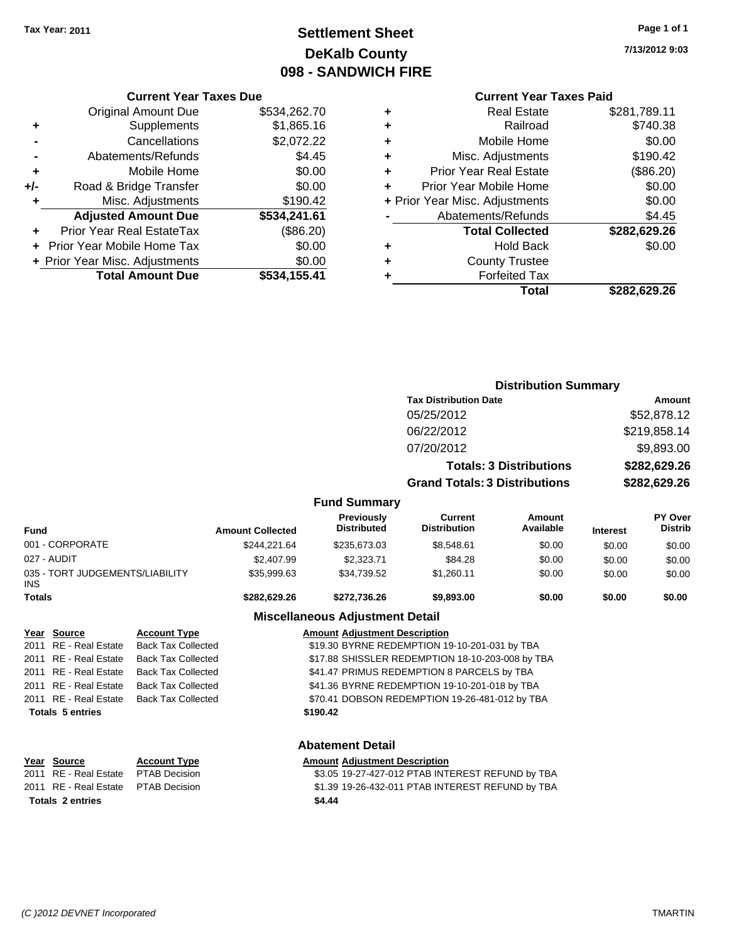# **Settlement Sheet Tax Year: 2011 Page 1 of 1 DeKalb County 098 - SANDWICH FIRE**

**7/13/2012 9:03**

## **Current Year Taxes Paid**

|   | <b>Real Estate</b>             | \$281,789.11 |
|---|--------------------------------|--------------|
| ٠ | Railroad                       | \$740.38     |
| ٠ | Mobile Home                    | \$0.00       |
| ٠ | Misc. Adjustments              | \$190.42     |
| ٠ | <b>Prior Year Real Estate</b>  | (\$86.20)    |
|   | Prior Year Mobile Home         | \$0.00       |
|   | + Prior Year Misc. Adjustments | \$0.00       |
|   | Abatements/Refunds             | \$4.45       |
|   | <b>Total Collected</b>         | \$282,629.26 |
| ÷ | Hold Back                      | \$0.00       |
| ٠ | <b>County Trustee</b>          |              |
|   | <b>Forfeited Tax</b>           |              |
|   | Total                          | \$282,629.26 |

**Distribution Summary**

|     | <b>Current Year Taxes Due</b>  |              |
|-----|--------------------------------|--------------|
|     | <b>Original Amount Due</b>     | \$534,262.70 |
| ٠   | Supplements                    | \$1,865.16   |
|     | Cancellations                  | \$2,072.22   |
|     | Abatements/Refunds             | \$4.45       |
| ٠   | Mobile Home                    | \$0.00       |
| +/- | Road & Bridge Transfer         | \$0.00       |
| ٠   | Misc. Adjustments              | \$190.42     |
|     | <b>Adjusted Amount Due</b>     | \$534,241.61 |
|     | Prior Year Real EstateTax      | (\$86.20)    |
|     | Prior Year Mobile Home Tax     | \$0.00       |
|     | + Prior Year Misc. Adjustments | \$0.00       |
|     | <b>Total Amount Due</b>        | \$534,155.41 |

|               |                                 |                           |                                      |                                                  | <b>Tax Distribution Date</b>          |                                |                            | Amount                    |
|---------------|---------------------------------|---------------------------|--------------------------------------|--------------------------------------------------|---------------------------------------|--------------------------------|----------------------------|---------------------------|
|               |                                 |                           |                                      |                                                  | 05/25/2012                            |                                |                            | \$52,878.12               |
|               |                                 |                           |                                      |                                                  | 06/22/2012                            |                                |                            | \$219,858.14              |
|               |                                 |                           |                                      |                                                  | 07/20/2012                            |                                | \$9,893.00<br>\$282,629.26 |                           |
|               |                                 |                           |                                      |                                                  |                                       | <b>Totals: 3 Distributions</b> |                            |                           |
|               |                                 |                           |                                      |                                                  | <b>Grand Totals: 3 Distributions</b>  |                                | \$282,629.26               |                           |
|               |                                 |                           |                                      | <b>Fund Summary</b>                              |                                       |                                |                            |                           |
| <b>Fund</b>   |                                 |                           | <b>Amount Collected</b>              | <b>Previously</b><br><b>Distributed</b>          | <b>Current</b><br><b>Distribution</b> | <b>Amount</b><br>Available     | <b>Interest</b>            | PY Over<br><b>Distrib</b> |
|               | 001 - CORPORATE                 |                           | \$244,221.64                         | \$235,673.03                                     | \$8,548.61                            | \$0.00                         | \$0.00                     | \$0.00                    |
|               | 027 - AUDIT                     |                           | \$2,407.99                           | \$2,323.71                                       | \$84.28                               | \$0.00                         | \$0.00                     | \$0.00                    |
| <b>INS</b>    | 035 - TORT JUDGEMENTS/LIABILITY |                           | \$35,999.63                          | \$34,739.52                                      | \$1,260.11                            | \$0.00                         | \$0.00                     | \$0.00                    |
| <b>Totals</b> |                                 |                           | \$282,629.26                         | \$272,736.26                                     | \$9,893.00                            | \$0.00                         | \$0.00                     | \$0.00                    |
|               |                                 |                           |                                      | <b>Miscellaneous Adjustment Detail</b>           |                                       |                                |                            |                           |
|               | Year Source                     | <b>Account Type</b>       | <b>Amount Adjustment Description</b> |                                                  |                                       |                                |                            |                           |
|               | 2011 RE - Real Estate           | <b>Back Tax Collected</b> |                                      | \$19.30 BYRNE REDEMPTION 19-10-201-031 by TBA    |                                       |                                |                            |                           |
| 2011          | <b>RE</b> - Real Estate         | <b>Back Tax Collected</b> |                                      | \$17.88 SHISSLER REDEMPTION 18-10-203-008 by TBA |                                       |                                |                            |                           |
|               | 2011 RE - Real Estate           | <b>Back Tax Collected</b> |                                      | \$41.47 PRIMUS REDEMPTION 8 PARCELS by TBA       |                                       |                                |                            |                           |

# **Abatement Detail Year Source Account Type Amount Adjustment Description**

**Totals \$190.42 5 entries**

2011 RE - Real Estate Back Tax Collected \$41.36 BYRNE REDEMPTION 19-10-201-018 by TBA 2011 RE - Real Estate Back Tax Collected \$70.41 DOBSON REDEMPTION 19-26-481-012 by TBA

2011 RE - Real Estate PTAB Decision<br>2011 RE - Real Estate PTAB Decision 61 19-27-427-012 PTAB INTEREST REFUND by TBA \$1.39 19-26-432-011 PTAB INTEREST REFUND by TBA **Totals \$4.44 2 entries**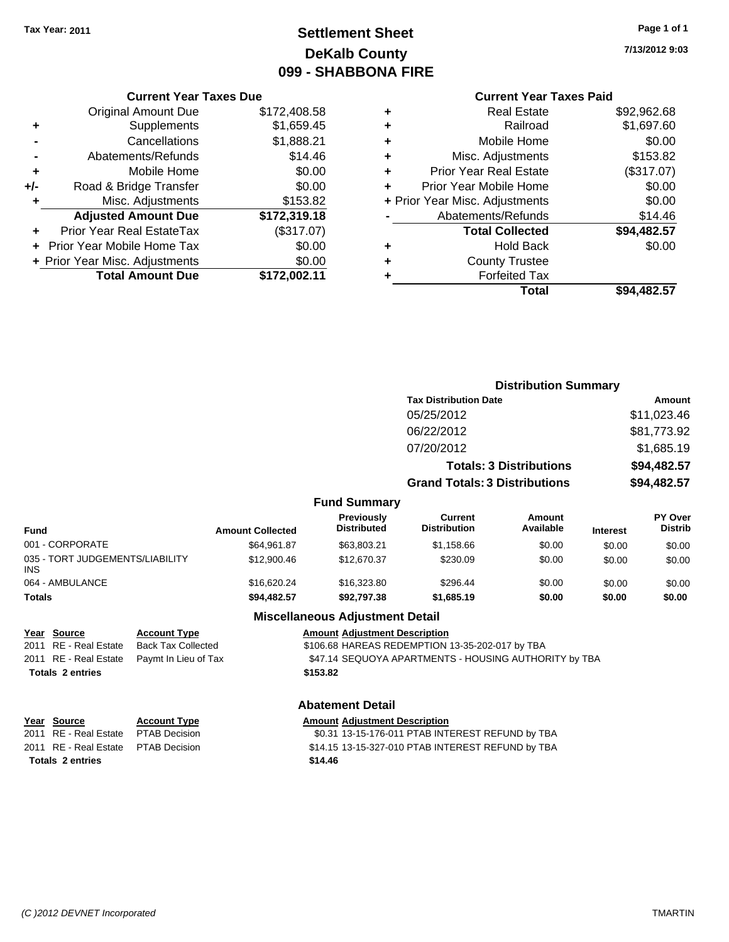# **Settlement Sheet Tax Year: 2011 Page 1 of 1 DeKalb County 099 - SHABBONA FIRE**

**7/13/2012 9:03**

#### **Current Year Taxes Due**

|     | + Prior Year Misc. Adjustments<br><b>Total Amount Due</b> | \$0.00<br>\$172.002.11 |
|-----|-----------------------------------------------------------|------------------------|
|     | <b>Prior Year Mobile Home Tax</b>                         | \$0.00                 |
|     | <b>Prior Year Real EstateTax</b>                          | (\$317.07)             |
|     | <b>Adjusted Amount Due</b>                                | \$172,319.18           |
| ٠   | Misc. Adjustments                                         | \$153.82               |
| +/- | Road & Bridge Transfer                                    | \$0.00                 |
| ٠   | Mobile Home                                               | \$0.00                 |
|     | Abatements/Refunds                                        | \$14.46                |
|     | Cancellations                                             | \$1,888.21             |
| ٠   | Supplements                                               | \$1,659.45             |
|     | <b>Original Amount Due</b>                                | \$172,408.58           |

## **Current Year Taxes Paid**

|   | Total                          | \$94,482.57 |
|---|--------------------------------|-------------|
| ٠ | <b>Forfeited Tax</b>           |             |
| ٠ | <b>County Trustee</b>          |             |
| ٠ | <b>Hold Back</b>               | \$0.00      |
|   | <b>Total Collected</b>         | \$94,482.57 |
|   | Abatements/Refunds             | \$14.46     |
|   | + Prior Year Misc. Adjustments | \$0.00      |
| ٠ | Prior Year Mobile Home         | \$0.00      |
| ٠ | <b>Prior Year Real Estate</b>  | (\$317.07)  |
| ٠ | Misc. Adjustments              | \$153.82    |
| ٠ | Mobile Home                    | \$0.00      |
| ٠ | Railroad                       | \$1,697.60  |
| ٠ | <b>Real Estate</b>             | \$92,962.68 |

|                                               |                         |                                         | <b>Distribution Summary</b>           |                                |                 |                           |
|-----------------------------------------------|-------------------------|-----------------------------------------|---------------------------------------|--------------------------------|-----------------|---------------------------|
|                                               |                         |                                         | <b>Tax Distribution Date</b>          |                                |                 | Amount                    |
|                                               |                         |                                         | 05/25/2012                            |                                |                 | \$11,023.46               |
|                                               |                         |                                         | 06/22/2012                            |                                |                 | \$81,773.92               |
|                                               |                         |                                         | 07/20/2012                            |                                |                 | \$1,685.19                |
|                                               |                         |                                         |                                       | <b>Totals: 3 Distributions</b> |                 | \$94,482.57               |
|                                               |                         |                                         | <b>Grand Totals: 3 Distributions</b>  |                                |                 | \$94,482.57               |
|                                               |                         | <b>Fund Summary</b>                     |                                       |                                |                 |                           |
| <b>Fund</b>                                   | <b>Amount Collected</b> | <b>Previously</b><br><b>Distributed</b> | <b>Current</b><br><b>Distribution</b> | <b>Amount</b><br>Available     | <b>Interest</b> | PY Over<br><b>Distrib</b> |
| 001 - CORPORATE                               | \$64,961.87             | \$63,803.21                             | \$1,158.66                            | \$0.00                         | \$0.00          | \$0.00                    |
| 035 - TORT JUDGEMENTS/LIABILITY<br><b>INS</b> | \$12,900.46             | \$12,670.37                             | \$230.09                              | \$0.00                         | \$0.00          | \$0.00                    |
| 064 - AMBULANCE                               | \$16,620.24             | \$16,323.80                             | \$296.44                              | \$0.00                         | \$0.00          | \$0.00                    |
| <b>Totals</b>                                 | \$94,482.57             | \$92,797.38                             | \$1,685.19                            | \$0.00                         | \$0.00          | \$0.00                    |

## **Miscellaneous Adjustment Detail**

**Year Source Account Type Amount Adjustment Description** 2011 RE - Real Estate Back Tax Collected \$106.68 HAREAS REDEMPTION 13-35-202-017 by TBA 2011 RE - Real Estate Paymt In Lieu of Tax **\$47.14 SEQUOYA APARTMENTS - HOUSING AUTHORITY by TBA Totals \$153.82 2 entries**

# **Year Source Account Type Amount Adjustment Description**

**Totals \$14.46 2 entries**

## **Abatement Detail**

\$0.31 13-15-176-011 PTAB INTEREST REFUND by TBA 2011 RE - Real Estate \$14.15 13-15-327-010 PTAB INTEREST REFUND by TBA PTAB Decision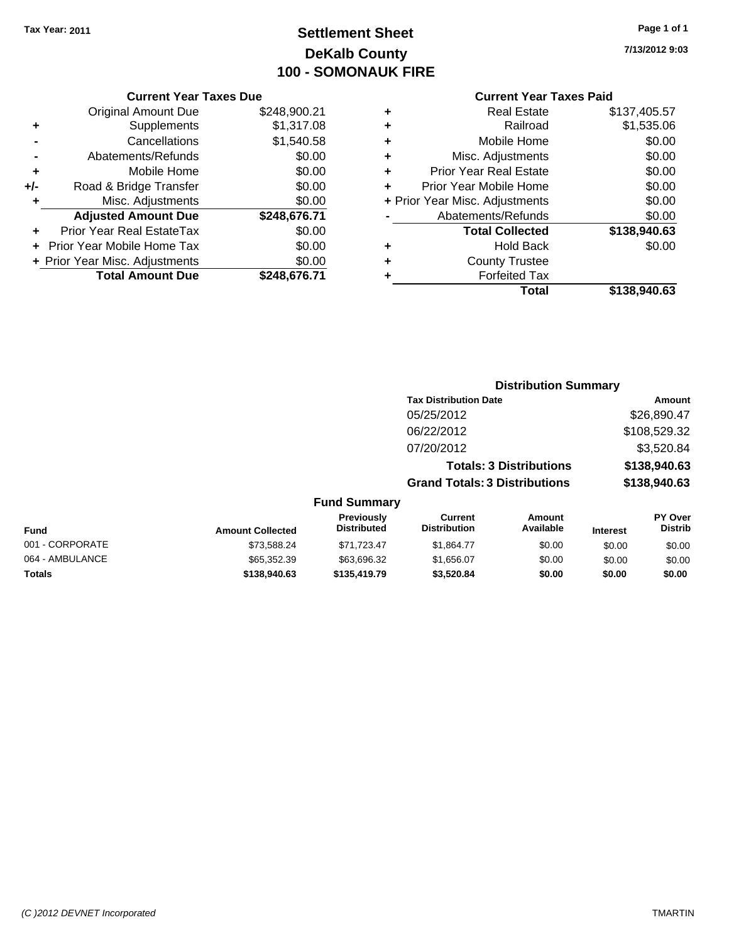# **Settlement Sheet Tax Year: 2011 Page 1 of 1 DeKalb County 100 - SOMONAUK FIRE**

#### **Current Year Taxes Due**

|       | <b>Original Amount Due</b>        | \$248,900.21 |
|-------|-----------------------------------|--------------|
| ٠     | Supplements                       | \$1,317.08   |
|       | Cancellations                     | \$1,540.58   |
|       | Abatements/Refunds                | \$0.00       |
| ٠     | Mobile Home                       | \$0.00       |
| $+/-$ | Road & Bridge Transfer            | \$0.00       |
| ٠     | Misc. Adjustments                 | \$0.00       |
|       | <b>Adjusted Amount Due</b>        | \$248,676.71 |
|       | Prior Year Real EstateTax         | \$0.00       |
|       | <b>Prior Year Mobile Home Tax</b> | \$0.00       |
|       | + Prior Year Misc. Adjustments    | \$0.00       |
|       | <b>Total Amount Due</b>           | \$248.676.71 |

#### **Current Year Taxes Paid**

|   | <b>Real Estate</b>             | \$137,405.57 |
|---|--------------------------------|--------------|
| ٠ | Railroad                       | \$1,535.06   |
| ٠ | Mobile Home                    | \$0.00       |
| ٠ | Misc. Adjustments              | \$0.00       |
| ٠ | <b>Prior Year Real Estate</b>  | \$0.00       |
|   | Prior Year Mobile Home         | \$0.00       |
|   | + Prior Year Misc. Adjustments | \$0.00       |
|   | Abatements/Refunds             | \$0.00       |
|   | <b>Total Collected</b>         | \$138,940.63 |
| ٠ | <b>Hold Back</b>               | \$0.00       |
| ٠ | <b>County Trustee</b>          |              |
| ٠ | <b>Forfeited Tax</b>           |              |
|   | Total                          | \$138,940.63 |
|   |                                |              |

# **7/13/2012 9:03**

| <b>Distribution Summary</b>          |              |  |  |  |
|--------------------------------------|--------------|--|--|--|
| <b>Tax Distribution Date</b>         | Amount       |  |  |  |
| 05/25/2012                           | \$26,890.47  |  |  |  |
| 06/22/2012                           | \$108,529.32 |  |  |  |
| 07/20/2012                           | \$3,520.84   |  |  |  |
| <b>Totals: 3 Distributions</b>       | \$138,940.63 |  |  |  |
| <b>Grand Totals: 3 Distributions</b> | \$138,940.63 |  |  |  |

#### **Fund Summary Fund Interest Amount Collected Distributed PY Over Distrib Amount Available Current Distribution Previously** 001 - CORPORATE 6000 \$1,588.24 \$71,723.47 \$1,864.77 \$0.00 \$0.00 \$0.00 \$0.00 064 - AMBULANCE \$65,352.39 \$63,696.32 \$1,656.07 \$0.00 \$0.00 \$0.00 **Totals \$138,940.63 \$135,419.79 \$3,520.84 \$0.00 \$0.00 \$0.00**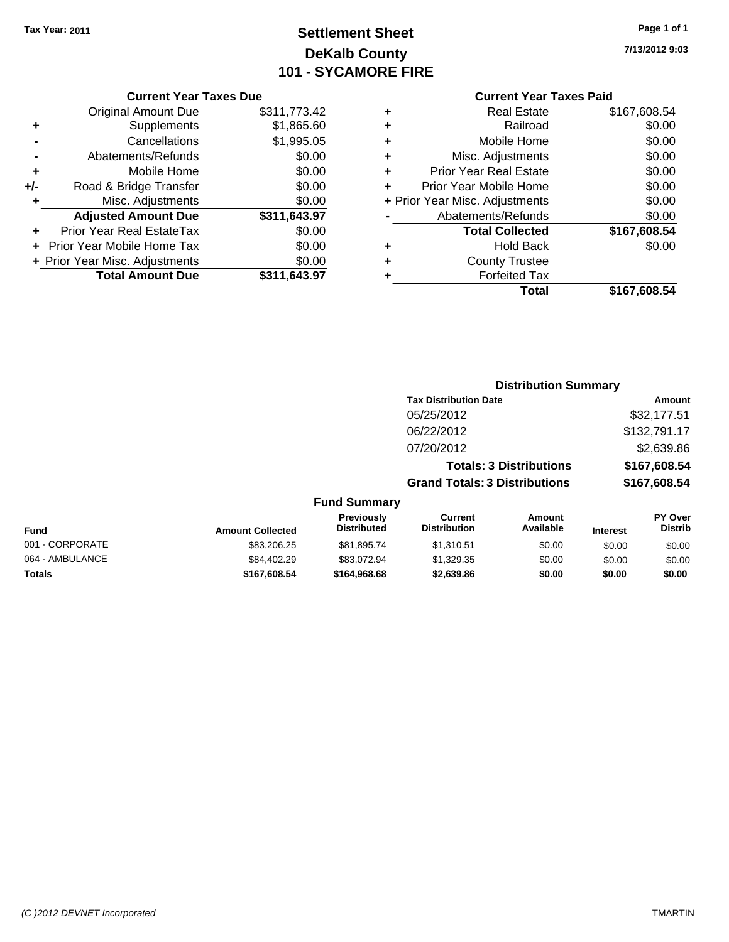# **Settlement Sheet Tax Year: 2011 Page 1 of 1 DeKalb County 101 - SYCAMORE FIRE**

**7/13/2012 9:03**

|   | <b>Current Year Taxes Paid</b> |              |
|---|--------------------------------|--------------|
| ٠ | <b>Real Estate</b>             | \$167,608.54 |
| ٠ | Railroad                       | \$0.00       |
| ٠ | Mobile Home                    | \$0.00       |
| ٠ | Misc. Adjustments              | \$0.00       |
| ٠ | Prior Year Real Estate         | \$0.00       |
|   | Prior Year Mobile Home         | \$0.00       |
|   | + Prior Year Misc. Adjustments | \$0.00       |
|   | Abatements/Refunds             | \$0.00       |
|   | <b>Total Collected</b>         | \$167,608.54 |
| ٠ | <b>Hold Back</b>               | \$0.00       |
| ٠ | <b>County Trustee</b>          |              |
|   | <b>Forfeited Tax</b>           |              |
|   | Total                          | \$167,608.54 |

## **Current Year Taxes Due** Original Amount Due \$311,773.42 **+** Supplements \$1,865.60 **-** Cancellations \$1,995.05 **-** Abatements/Refunds \$0.00 **+** Mobile Home \$0.00 **+/-** Road & Bridge Transfer \$0.00 **+** Misc. Adjustments \$0.00 **Adjusted Amount Due \$311,643.97 +** Prior Year Real EstateTax \$0.00 **+** Prior Year Mobile Home Tax \$0.00 **+ Prior Year Misc. Adjustments**  $$0.00$ **Total Amount Due \$311,643.97**

## **Distribution Summary**

| Amount       |
|--------------|
| \$32,177.51  |
| \$132,791.17 |
| \$2,639.86   |
| \$167,608.54 |
| \$167,608.54 |
|              |

#### **Fund Summary**

| <b>Fund</b>     | <b>Amount Collected</b> | <b>Previously</b><br>Distributed | Current<br>Distribution | Amount<br>Available | <b>Interest</b> | <b>PY Over</b><br><b>Distrib</b> |
|-----------------|-------------------------|----------------------------------|-------------------------|---------------------|-----------------|----------------------------------|
| 001 - CORPORATE | \$83,206.25             | \$81.895.74                      | \$1.310.51              | \$0.00              | \$0.00          | \$0.00                           |
| 064 - AMBULANCE | \$84,402.29             | \$83.072.94                      | \$1.329.35              | \$0.00              | \$0.00          | \$0.00                           |
| <b>Totals</b>   | \$167.608.54            | \$164.968.68                     | \$2,639.86              | \$0.00              | \$0.00          | \$0.00                           |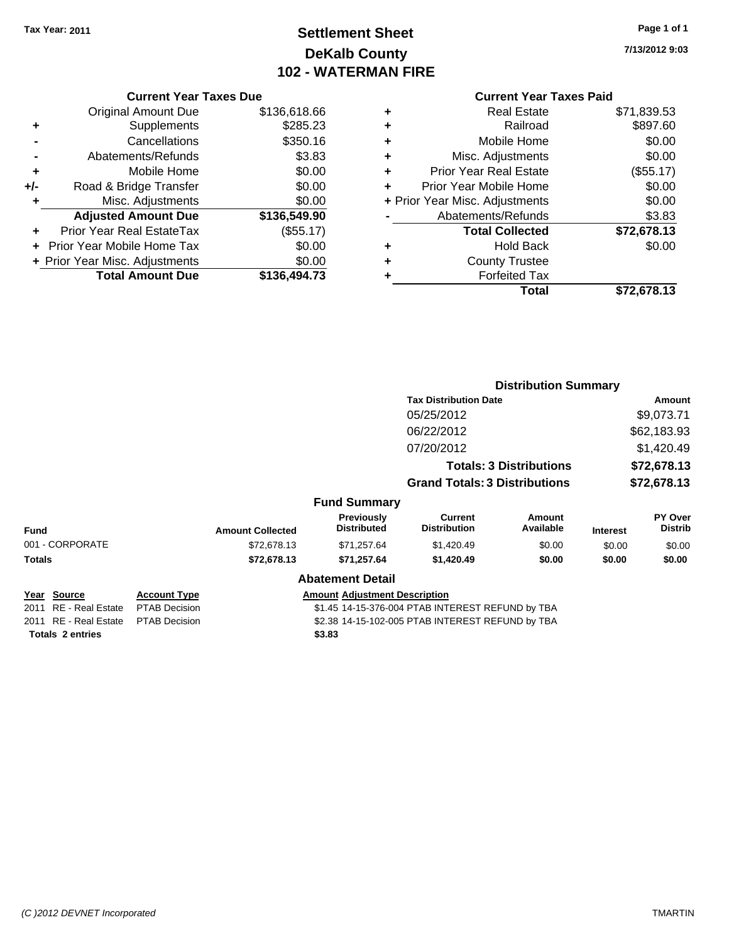# **Settlement Sheet Tax Year: 2011 Page 1 of 1 DeKalb County 102 - WATERMAN FIRE**

**7/13/2012 9:03**

|     | <b>Adjusted Amount Due</b><br>Prior Year Real EstateTax | \$136,549.90<br>(\$55.17) |
|-----|---------------------------------------------------------|---------------------------|
|     |                                                         |                           |
|     |                                                         |                           |
| ٠   | Misc. Adjustments                                       | \$0.00                    |
| +/- | Road & Bridge Transfer                                  | \$0.00                    |
| ٠   | Mobile Home                                             | \$0.00                    |
|     | Abatements/Refunds                                      | \$3.83                    |
|     | Cancellations                                           | \$350.16                  |
| ٠   | Supplements                                             | \$285.23                  |
|     | <b>Original Amount Due</b>                              | \$136,618.66              |

| ٠ | <b>Real Estate</b>             | \$71,839.53 |
|---|--------------------------------|-------------|
| ٠ | Railroad                       | \$897.60    |
| ٠ | Mobile Home                    | \$0.00      |
| ٠ | Misc. Adjustments              | \$0.00      |
| ٠ | <b>Prior Year Real Estate</b>  | (\$55.17)   |
| ÷ | Prior Year Mobile Home         | \$0.00      |
|   | + Prior Year Misc. Adjustments | \$0.00      |
|   | Abatements/Refunds             | \$3.83      |
|   | <b>Total Collected</b>         | \$72,678.13 |
| ٠ | <b>Hold Back</b>               | \$0.00      |
| ٠ | <b>County Trustee</b>          |             |
| ٠ | <b>Forfeited Tax</b>           |             |
|   | Total                          | \$72,678.13 |
|   |                                |             |

|                         |                      |                         |                                         | <b>Distribution Summary</b>                      |                                |                 |                           |
|-------------------------|----------------------|-------------------------|-----------------------------------------|--------------------------------------------------|--------------------------------|-----------------|---------------------------|
|                         |                      |                         |                                         | <b>Tax Distribution Date</b>                     |                                | Amount          |                           |
|                         |                      |                         |                                         | 05/25/2012                                       |                                |                 | \$9,073.71                |
|                         |                      |                         |                                         | 06/22/2012                                       |                                |                 | \$62,183.93               |
|                         |                      |                         |                                         | 07/20/2012                                       |                                |                 | \$1,420.49                |
|                         |                      |                         |                                         |                                                  | <b>Totals: 3 Distributions</b> |                 | \$72,678.13               |
|                         |                      |                         |                                         | <b>Grand Totals: 3 Distributions</b>             |                                |                 | \$72,678.13               |
|                         |                      |                         | <b>Fund Summary</b>                     |                                                  |                                |                 |                           |
| <b>Fund</b>             |                      | <b>Amount Collected</b> | <b>Previously</b><br><b>Distributed</b> | <b>Current</b><br><b>Distribution</b>            | Amount<br>Available            | <b>Interest</b> | PY Over<br><b>Distrib</b> |
| 001 - CORPORATE         |                      | \$72,678.13             | \$71,257.64                             | \$1,420.49                                       | \$0.00                         | \$0.00          | \$0.00                    |
| Totals                  |                      | \$72,678.13             | \$71,257.64                             | \$1,420.49                                       | \$0.00                         | \$0.00          | \$0.00                    |
|                         |                      |                         | <b>Abatement Detail</b>                 |                                                  |                                |                 |                           |
| Year Source             | <b>Account Type</b>  |                         | <b>Amount Adjustment Description</b>    |                                                  |                                |                 |                           |
| 2011 RE - Real Estate   | <b>PTAB Decision</b> |                         |                                         | \$1.45 14-15-376-004 PTAB INTEREST REFUND by TBA |                                |                 |                           |
| 2011 RE - Real Estate   | <b>PTAB Decision</b> |                         |                                         | \$2.38 14-15-102-005 PTAB INTEREST REFUND by TBA |                                |                 |                           |
| <b>Totals 2 entries</b> |                      |                         | \$3.83                                  |                                                  |                                |                 |                           |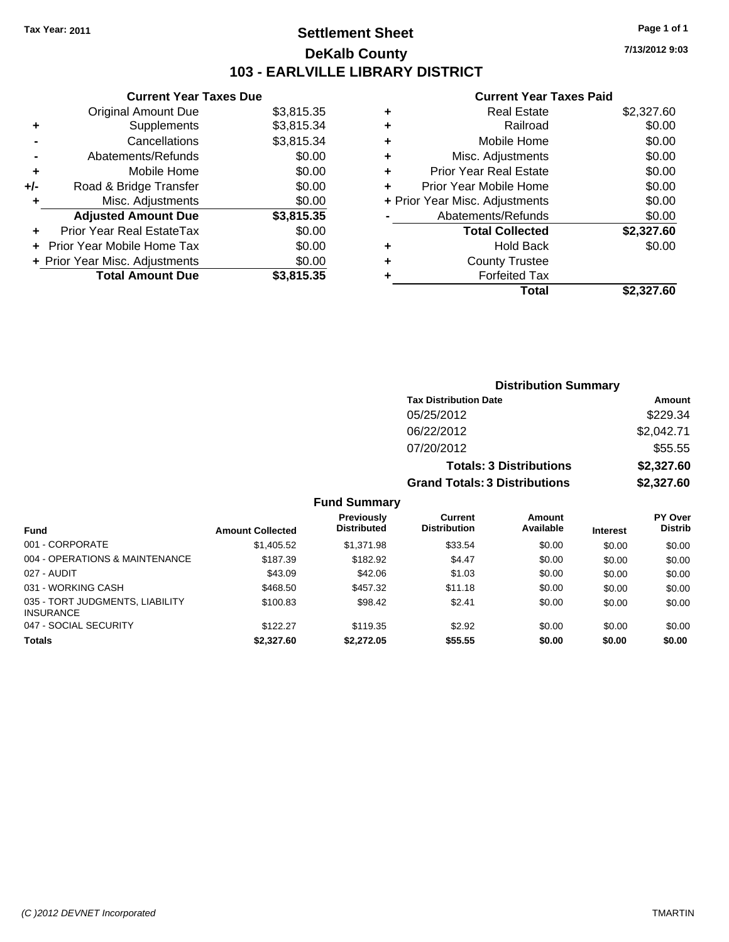# **Settlement Sheet Tax Year: 2011 Page 1 of 1 DeKalb County 103 - EARLVILLE LIBRARY DISTRICT**

**Current Year Taxes Due**

|     | <b>Total Amount Due</b>           | \$3,815.35 |
|-----|-----------------------------------|------------|
|     | + Prior Year Misc. Adjustments    | \$0.00     |
|     | <b>Prior Year Mobile Home Tax</b> | \$0.00     |
|     | Prior Year Real EstateTax         | \$0.00     |
|     | <b>Adjusted Amount Due</b>        | \$3,815.35 |
| ٠   | Misc. Adjustments                 | \$0.00     |
| +/- | Road & Bridge Transfer            | \$0.00     |
| ÷   | Mobile Home                       | \$0.00     |
|     | Abatements/Refunds                | \$0.00     |
|     | Cancellations                     | \$3,815.34 |
| ٠   | Supplements                       | \$3,815.34 |
|     | <b>Original Amount Due</b>        | \$3,815.35 |
|     |                                   |            |

### **Current Year Taxes Paid**

| ٠ | <b>Real Estate</b>             | \$2,327.60 |
|---|--------------------------------|------------|
| ٠ | Railroad                       | \$0.00     |
| ٠ | Mobile Home                    | \$0.00     |
| ٠ | Misc. Adjustments              | \$0.00     |
| ÷ | <b>Prior Year Real Estate</b>  | \$0.00     |
|   | Prior Year Mobile Home         | \$0.00     |
|   | + Prior Year Misc. Adjustments | \$0.00     |
|   | Abatements/Refunds             | \$0.00     |
|   | <b>Total Collected</b>         | \$2,327.60 |
| ٠ | Hold Back                      | \$0.00     |
| ٠ | <b>County Trustee</b>          |            |
| ٠ | <b>Forfeited Tax</b>           |            |
|   | Total                          | \$2,327.60 |
|   |                                |            |

| <b>Distribution Summary</b>  |        |
|------------------------------|--------|
| <b>Tax Distribution Date</b> | Amount |

| TAA DISU IDUUUTI DALE                | <u>Allivulit</u> |
|--------------------------------------|------------------|
| 05/25/2012                           | \$229.34         |
| 06/22/2012                           | \$2,042.71       |
| 07/20/2012                           | \$55.55          |
| <b>Totals: 3 Distributions</b>       | \$2,327.60       |
| <b>Grand Totals: 3 Distributions</b> | \$2,327.60       |
|                                      |                  |

## **Fund Summary**

|                                                     |                         | <b>Previously</b>  | Current             | Amount    |                 | <b>PY Over</b> |
|-----------------------------------------------------|-------------------------|--------------------|---------------------|-----------|-----------------|----------------|
| <b>Fund</b>                                         | <b>Amount Collected</b> | <b>Distributed</b> | <b>Distribution</b> | Available | <b>Interest</b> | <b>Distrib</b> |
| 001 - CORPORATE                                     | \$1,405.52              | \$1.371.98         | \$33.54             | \$0.00    | \$0.00          | \$0.00         |
| 004 - OPERATIONS & MAINTENANCE                      | \$187.39                | \$182.92           | \$4.47              | \$0.00    | \$0.00          | \$0.00         |
| 027 - AUDIT                                         | \$43.09                 | \$42.06            | \$1.03              | \$0.00    | \$0.00          | \$0.00         |
| 031 - WORKING CASH                                  | \$468.50                | \$457.32           | \$11.18             | \$0.00    | \$0.00          | \$0.00         |
| 035 - TORT JUDGMENTS, LIABILITY<br><b>INSURANCE</b> | \$100.83                | \$98.42            | \$2.41              | \$0.00    | \$0.00          | \$0.00         |
| 047 - SOCIAL SECURITY                               | \$122.27                | \$119.35           | \$2.92              | \$0.00    | \$0.00          | \$0.00         |
| <b>Totals</b>                                       | \$2,327.60              | \$2,272.05         | \$55.55             | \$0.00    | \$0.00          | \$0.00         |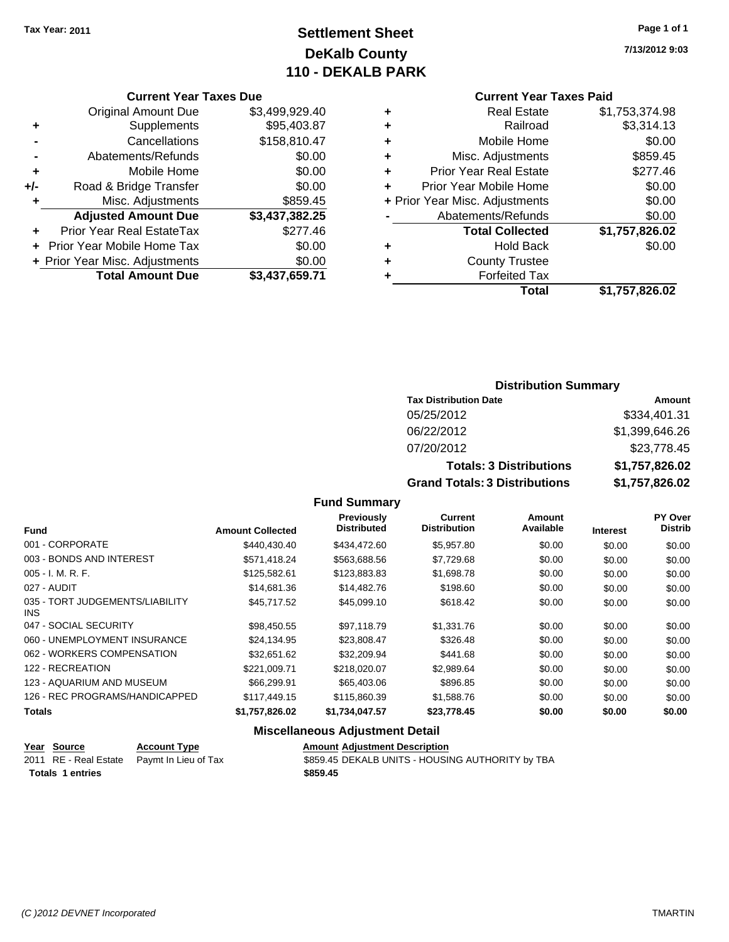# **Settlement Sheet Tax Year: 2011 Page 1 of 1 DeKalb County 110 - DEKALB PARK**

**7/13/2012 9:03**

## **Current Year Taxes Paid**

| <b>Currer</b>            |   |                | <b>Current Year Taxes Due</b>  |       |
|--------------------------|---|----------------|--------------------------------|-------|
| Rea                      |   | \$3,499,929.40 | Original Amount Due            |       |
| Б                        | ٠ | \$95,403.87    | Supplements                    | ٠     |
| Mobile                   | ٠ | \$158,810.47   | Cancellations                  |       |
| Misc. Adjus              |   | \$0.00         | Abatements/Refunds             |       |
| Prior Year Rea           | ٠ | \$0.00         | Mobile Home                    | ٠     |
| <b>Prior Year Mobile</b> |   | \$0.00         | Road & Bridge Transfer         | $+/-$ |
| + Prior Year Misc. Adjus |   | \$859.45       | Misc. Adjustments              | ٠     |
| Abatements/F             |   | \$3,437,382.25 | <b>Adjusted Amount Due</b>     |       |
| <b>Total Co</b>          |   | \$277.46       | Prior Year Real EstateTax      |       |
| Ho                       |   | \$0.00         | + Prior Year Mobile Home Tax   |       |
| County                   | ٠ | \$0.00         | + Prior Year Misc. Adjustments |       |
| Forfei                   |   | \$3,437,659.71 | <b>Total Amount Due</b>        |       |
|                          |   |                |                                |       |

|   | Total                          | \$1,757,826.02 |
|---|--------------------------------|----------------|
|   | <b>Forfeited Tax</b>           |                |
|   | <b>County Trustee</b>          |                |
| ٠ | <b>Hold Back</b>               | \$0.00         |
|   | <b>Total Collected</b>         | \$1,757,826.02 |
|   | Abatements/Refunds             | \$0.00         |
|   | + Prior Year Misc. Adjustments | \$0.00         |
|   | Prior Year Mobile Home         | \$0.00         |
| ÷ | <b>Prior Year Real Estate</b>  | \$277.46       |
| ÷ | Misc. Adjustments              | \$859.45       |
|   | Mobile Home                    | \$0.00         |
|   | Railroad                       | \$3,314.13     |
| ٠ | <b>Real Estate</b>             | \$1,753,374.98 |

## **Distribution Summary**

| <b>Tax Distribution Date</b>         | Amount         |
|--------------------------------------|----------------|
| 05/25/2012                           | \$334,401.31   |
| 06/22/2012                           | \$1,399,646.26 |
| 07/20/2012                           | \$23,778.45    |
| <b>Totals: 3 Distributions</b>       | \$1,757,826.02 |
| <b>Grand Totals: 3 Distributions</b> | \$1,757,826.02 |

## **Fund Summary**

| <b>Fund</b>                                   | <b>Amount Collected</b> | <b>Previously</b><br><b>Distributed</b> | Current<br><b>Distribution</b> | Amount<br>Available | <b>Interest</b> | PY Over<br><b>Distrib</b> |
|-----------------------------------------------|-------------------------|-----------------------------------------|--------------------------------|---------------------|-----------------|---------------------------|
| 001 - CORPORATE                               | \$440.430.40            | \$434.472.60                            | \$5,957.80                     | \$0.00              | \$0.00          | \$0.00                    |
| 003 - BONDS AND INTEREST                      | \$571,418.24            | \$563,688.56                            | \$7,729.68                     | \$0.00              | \$0.00          | \$0.00                    |
| $005 - I. M. R. F.$                           | \$125,582.61            | \$123,883.83                            | \$1,698.78                     | \$0.00              | \$0.00          | \$0.00                    |
| 027 - AUDIT                                   | \$14,681.36             | \$14,482.76                             | \$198.60                       | \$0.00              | \$0.00          | \$0.00                    |
| 035 - TORT JUDGEMENTS/LIABILITY<br><b>INS</b> | \$45,717.52             | \$45,099.10                             | \$618.42                       | \$0.00              | \$0.00          | \$0.00                    |
| 047 - SOCIAL SECURITY                         | \$98,450.55             | \$97.118.79                             | \$1,331.76                     | \$0.00              | \$0.00          | \$0.00                    |
| 060 - UNEMPLOYMENT INSURANCE                  | \$24.134.95             | \$23,808.47                             | \$326.48                       | \$0.00              | \$0.00          | \$0.00                    |
| 062 - WORKERS COMPENSATION                    | \$32.651.62             | \$32,209.94                             | \$441.68                       | \$0.00              | \$0.00          | \$0.00                    |
| 122 - RECREATION                              | \$221.009.71            | \$218,020,07                            | \$2,989.64                     | \$0.00              | \$0.00          | \$0.00                    |
| 123 - AQUARIUM AND MUSEUM                     | \$66,299.91             | \$65,403.06                             | \$896.85                       | \$0.00              | \$0.00          | \$0.00                    |
| 126 - REC PROGRAMS/HANDICAPPED                | \$117,449.15            | \$115,860,39                            | \$1,588.76                     | \$0.00              | \$0.00          | \$0.00                    |
| <b>Totals</b>                                 | \$1,757,826.02          | \$1,734,047.57                          | \$23,778.45                    | \$0.00              | \$0.00          | \$0.00                    |

## **Miscellaneous Adjustment Detail**

| Year Source             | <b>Account Type</b>                        | <b>Amount Adjustment Description</b>             |
|-------------------------|--------------------------------------------|--------------------------------------------------|
|                         | 2011 RE - Real Estate Paymt In Lieu of Tax | \$859.45 DEKALB UNITS - HOUSING AUTHORITY by TBA |
| <b>Totals 1 entries</b> |                                            | \$859.45                                         |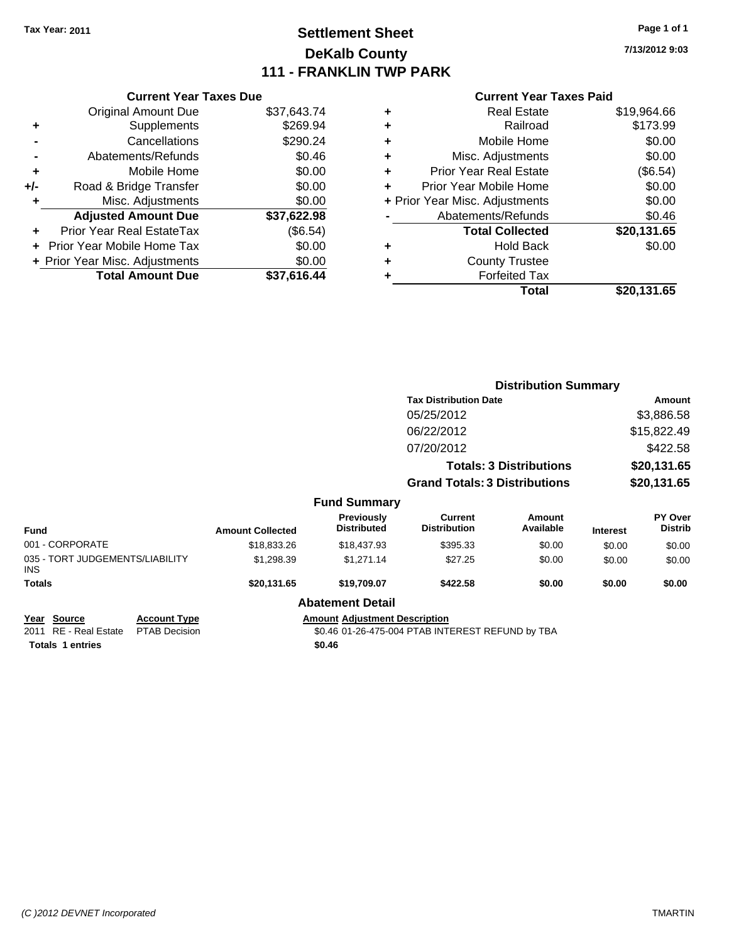# **Settlement Sheet Tax Year: 2011 Page 1 of 1 DeKalb County 111 - FRANKLIN TWP PARK**

**7/13/2012 9:03**

#### **Current Year Taxes Paid**

| <b>Current Year Taxes Due</b>     |                                |
|-----------------------------------|--------------------------------|
| <b>Original Amount Due</b>        | \$37,643.74                    |
| Supplements                       | \$269.94                       |
| Cancellations                     | \$290.24                       |
| Abatements/Refunds                | \$0.46                         |
| Mobile Home                       | \$0.00                         |
| Road & Bridge Transfer            | \$0.00                         |
| Misc. Adjustments                 | \$0.00                         |
| <b>Adjusted Amount Due</b>        | \$37,622.98                    |
| Prior Year Real EstateTax         | (\$6.54)                       |
| <b>Prior Year Mobile Home Tax</b> | \$0.00                         |
|                                   | \$0.00                         |
| <b>Total Amount Due</b>           | \$37.616.44                    |
|                                   | + Prior Year Misc. Adjustments |

| ٠ | <b>Real Estate</b>             | \$19,964.66 |
|---|--------------------------------|-------------|
| ٠ | Railroad                       | \$173.99    |
| ٠ | Mobile Home                    | \$0.00      |
| ٠ | Misc. Adjustments              | \$0.00      |
| ÷ | <b>Prior Year Real Estate</b>  | (\$6.54)    |
| ٠ | Prior Year Mobile Home         | \$0.00      |
|   | + Prior Year Misc. Adjustments | \$0.00      |
|   | Abatements/Refunds             | \$0.46      |
|   | <b>Total Collected</b>         | \$20,131.65 |
| ٠ | Hold Back                      | \$0.00      |
|   | <b>County Trustee</b>          |             |
| ٠ | <b>Forfeited Tax</b>           |             |
|   | Total                          | \$20,131.65 |
|   |                                |             |

|                                               |                         |                                                  |                                       | <b>Distribution Summary</b>    |                 |                           |
|-----------------------------------------------|-------------------------|--------------------------------------------------|---------------------------------------|--------------------------------|-----------------|---------------------------|
|                                               |                         |                                                  | <b>Tax Distribution Date</b>          |                                |                 | Amount                    |
|                                               |                         |                                                  | 05/25/2012                            |                                |                 | \$3,886.58                |
|                                               |                         |                                                  | 06/22/2012                            |                                |                 | \$15,822.49               |
|                                               |                         |                                                  | 07/20/2012                            |                                |                 | \$422.58                  |
|                                               |                         |                                                  |                                       | <b>Totals: 3 Distributions</b> |                 | \$20,131.65               |
|                                               |                         |                                                  | <b>Grand Totals: 3 Distributions</b>  |                                |                 | \$20,131.65               |
|                                               |                         | <b>Fund Summary</b>                              |                                       |                                |                 |                           |
| Fund                                          | <b>Amount Collected</b> | <b>Previously</b><br><b>Distributed</b>          | <b>Current</b><br><b>Distribution</b> | Amount<br>Available            | <b>Interest</b> | PY Over<br><b>Distrib</b> |
| 001 - CORPORATE                               | \$18,833.26             | \$18,437.93                                      | \$395.33                              | \$0.00                         | \$0.00          | \$0.00                    |
| 035 - TORT JUDGEMENTS/LIABILITY<br>INS.       | \$1,298.39              | \$1,271.14                                       | \$27.25                               | \$0.00                         | \$0.00          | \$0.00                    |
| Totals                                        | \$20,131.65             | \$19,709.07                                      | \$422.58                              | \$0.00                         | \$0.00          | \$0.00                    |
|                                               |                         | <b>Abatement Detail</b>                          |                                       |                                |                 |                           |
| <u> Year Source</u><br><b>Account Type</b>    |                         | <b>Amount Adjustment Description</b>             |                                       |                                |                 |                           |
| 2011 RE - Real Estate<br><b>PTAB Decision</b> |                         | \$0.46 01-26-475-004 PTAB INTEREST REFUND by TBA |                                       |                                |                 |                           |

**Totals \$0.46 1 entries**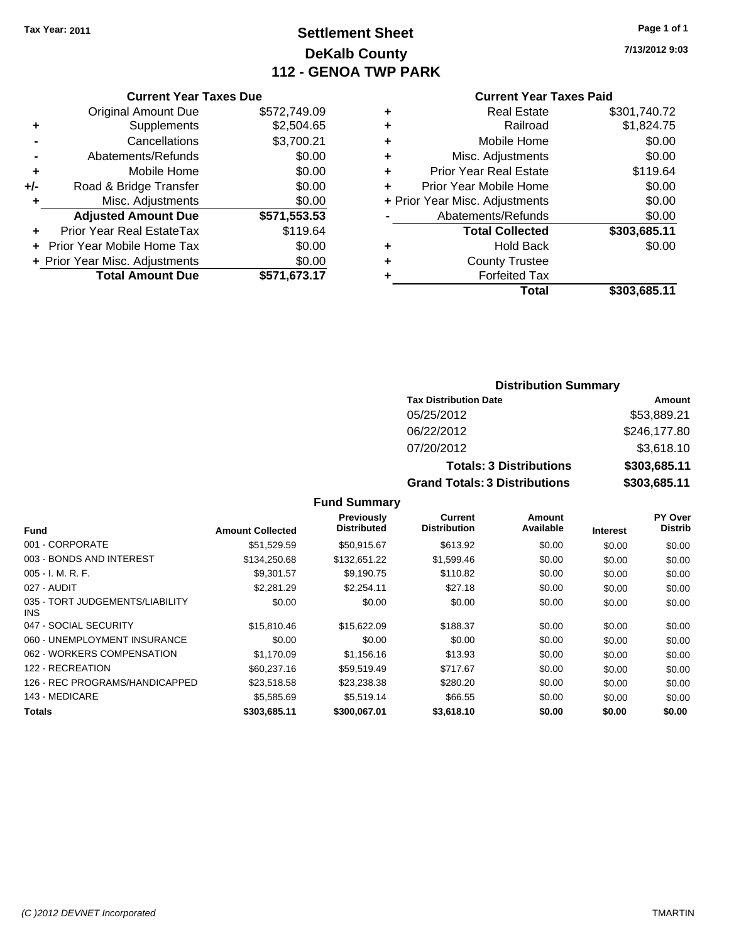# **Settlement Sheet Tax Year: 2011 Page 1 of 1 DeKalb County 112 - GENOA TWP PARK**

**7/13/2012 9:03**

## **Current Year Taxes Paid**

|     | <b>Current Year Taxes Due</b>  |              |  |
|-----|--------------------------------|--------------|--|
|     | <b>Original Amount Due</b>     | \$572,749.09 |  |
| ٠   | Supplements                    | \$2,504.65   |  |
|     | Cancellations                  | \$3,700.21   |  |
|     | Abatements/Refunds             | \$0.00       |  |
| ٠   | Mobile Home                    | \$0.00       |  |
| +/- | Road & Bridge Transfer         | \$0.00       |  |
| ٠   | Misc. Adjustments              | \$0.00       |  |
|     | <b>Adjusted Amount Due</b>     | \$571,553.53 |  |
| ٠   | Prior Year Real EstateTax      | \$119.64     |  |
|     | Prior Year Mobile Home Tax     | \$0.00       |  |
|     | + Prior Year Misc. Adjustments | \$0.00       |  |
|     | <b>Total Amount Due</b>        | \$571,673.17 |  |
|     |                                |              |  |

|   | <b>Real Estate</b>             | \$301,740.72 |
|---|--------------------------------|--------------|
| ٠ | Railroad                       | \$1,824.75   |
| ٠ | Mobile Home                    | \$0.00       |
| ٠ | Misc. Adjustments              | \$0.00       |
| ٠ | <b>Prior Year Real Estate</b>  | \$119.64     |
| ÷ | Prior Year Mobile Home         | \$0.00       |
|   | + Prior Year Misc. Adjustments | \$0.00       |
|   | Abatements/Refunds             | \$0.00       |
|   | <b>Total Collected</b>         | \$303,685.11 |
| ٠ | Hold Back                      | \$0.00       |
| ٠ | <b>County Trustee</b>          |              |
| ٠ | <b>Forfeited Tax</b>           |              |
|   | Total                          | \$303,685.11 |

## **Distribution Summary**

| <b>Tax Distribution Date</b>         | Amount       |
|--------------------------------------|--------------|
| 05/25/2012                           | \$53,889.21  |
| 06/22/2012                           | \$246,177.80 |
| 07/20/2012                           | \$3,618.10   |
| <b>Totals: 3 Distributions</b>       | \$303,685.11 |
| <b>Grand Totals: 3 Distributions</b> | \$303,685.11 |

## **Fund Summary**

|                                               |                         | <b>Previously</b>  | Current             | Amount    |                 | <b>PY Over</b> |
|-----------------------------------------------|-------------------------|--------------------|---------------------|-----------|-----------------|----------------|
| <b>Fund</b>                                   | <b>Amount Collected</b> | <b>Distributed</b> | <b>Distribution</b> | Available | <b>Interest</b> | <b>Distrib</b> |
| 001 - CORPORATE                               | \$51.529.59             | \$50.915.67        | \$613.92            | \$0.00    | \$0.00          | \$0.00         |
| 003 - BONDS AND INTEREST                      | \$134,250.68            | \$132,651.22       | \$1,599.46          | \$0.00    | \$0.00          | \$0.00         |
| $005 - I. M. R. F.$                           | \$9.301.57              | \$9.190.75         | \$110.82            | \$0.00    | \$0.00          | \$0.00         |
| 027 - AUDIT                                   | \$2,281.29              | \$2.254.11         | \$27.18             | \$0.00    | \$0.00          | \$0.00         |
| 035 - TORT JUDGEMENTS/LIABILITY<br><b>INS</b> | \$0.00                  | \$0.00             | \$0.00              | \$0.00    | \$0.00          | \$0.00         |
| 047 - SOCIAL SECURITY                         | \$15,810.46             | \$15,622.09        | \$188.37            | \$0.00    | \$0.00          | \$0.00         |
| 060 - UNEMPLOYMENT INSURANCE                  | \$0.00                  | \$0.00             | \$0.00              | \$0.00    | \$0.00          | \$0.00         |
| 062 - WORKERS COMPENSATION                    | \$1.170.09              | \$1.156.16         | \$13.93             | \$0.00    | \$0.00          | \$0.00         |
| 122 - RECREATION                              | \$60,237.16             | \$59.519.49        | \$717.67            | \$0.00    | \$0.00          | \$0.00         |
| 126 - REC PROGRAMS/HANDICAPPED                | \$23,518.58             | \$23,238,38        | \$280.20            | \$0.00    | \$0.00          | \$0.00         |
| 143 - MEDICARE                                | \$5,585.69              | \$5.519.14         | \$66.55             | \$0.00    | \$0.00          | \$0.00         |
| Totals                                        | \$303,685.11            | \$300,067.01       | \$3.618.10          | \$0.00    | \$0.00          | \$0.00         |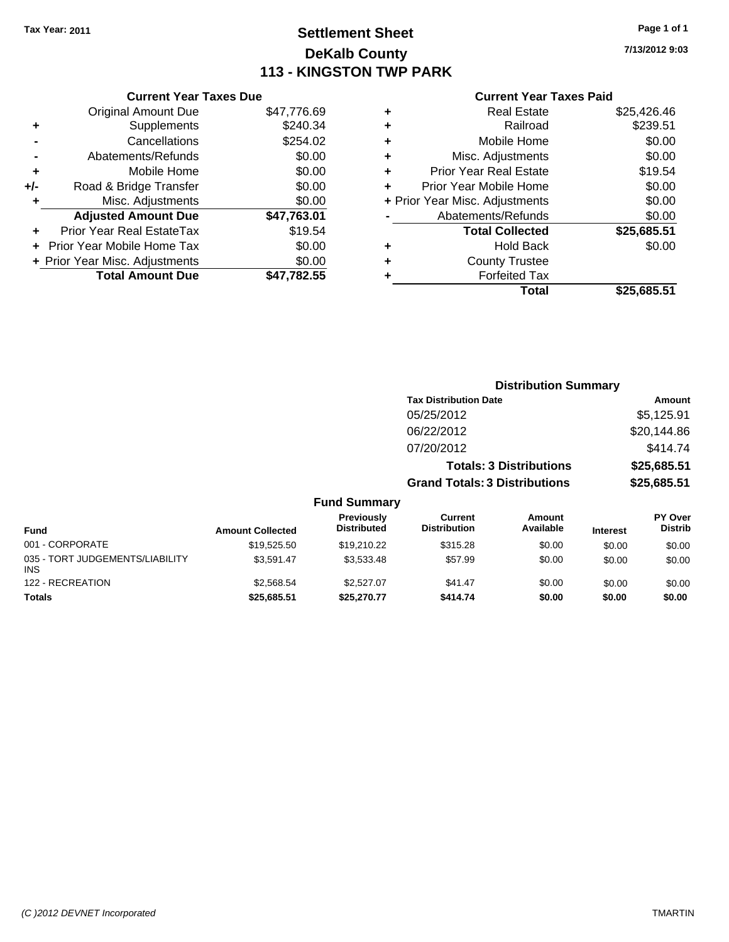# **Settlement Sheet Tax Year: 2011 Page 1 of 1 DeKalb County 113 - KINGSTON TWP PARK**

**7/13/2012 9:03**

## **Current Year Taxes Paid**

|     | <b>Current Year Taxes Due</b>  |             |
|-----|--------------------------------|-------------|
|     | <b>Original Amount Due</b>     | \$47,776.69 |
| ٠   | Supplements                    | \$240.34    |
|     | Cancellations                  | \$254.02    |
|     | Abatements/Refunds             | \$0.00      |
| ٠   | Mobile Home                    | \$0.00      |
| +/- | Road & Bridge Transfer         | \$0.00      |
| ٠   | Misc. Adjustments              | \$0.00      |
|     | <b>Adjusted Amount Due</b>     | \$47,763.01 |
| ٠   | Prior Year Real EstateTax      | \$19.54     |
|     | Prior Year Mobile Home Tax     | \$0.00      |
|     | + Prior Year Misc. Adjustments | \$0.00      |
|     | <b>Total Amount Due</b>        | \$47.782.55 |
|     |                                |             |

|   | <b>Real Estate</b>             | \$25,426.46 |
|---|--------------------------------|-------------|
| ٠ | Railroad                       | \$239.51    |
| ٠ | Mobile Home                    | \$0.00      |
| ٠ | Misc. Adjustments              | \$0.00      |
| ٠ | <b>Prior Year Real Estate</b>  | \$19.54     |
|   | Prior Year Mobile Home         | \$0.00      |
|   | + Prior Year Misc. Adjustments | \$0.00      |
|   | Abatements/Refunds             | \$0.00      |
|   | <b>Total Collected</b>         | \$25,685.51 |
| ٠ | Hold Back                      | \$0.00      |
| ٠ | <b>County Trustee</b>          |             |
| ٠ | <b>Forfeited Tax</b>           |             |
|   | Total                          | \$25,685.51 |
|   |                                |             |

|                                         |                         | <b>Distribution Summary</b>      |                                       |                                |                 |                                  |
|-----------------------------------------|-------------------------|----------------------------------|---------------------------------------|--------------------------------|-----------------|----------------------------------|
|                                         |                         |                                  | <b>Tax Distribution Date</b>          |                                |                 | <b>Amount</b>                    |
|                                         |                         |                                  | 05/25/2012                            |                                |                 | \$5,125.91                       |
|                                         |                         |                                  | 06/22/2012                            |                                |                 | \$20,144.86                      |
|                                         |                         |                                  | 07/20/2012                            |                                |                 | \$414.74                         |
|                                         |                         |                                  |                                       | <b>Totals: 3 Distributions</b> |                 | \$25,685.51                      |
|                                         |                         |                                  | <b>Grand Totals: 3 Distributions</b>  |                                |                 | \$25,685.51                      |
|                                         |                         | <b>Fund Summary</b>              |                                       |                                |                 |                                  |
| <b>Fund</b>                             | <b>Amount Collected</b> | Previously<br><b>Distributed</b> | <b>Current</b><br><b>Distribution</b> | Amount<br>Available            | <b>Interest</b> | <b>PY Over</b><br><b>Distrib</b> |
| 001 - CORPORATE                         | \$19,525.50             | \$19,210.22                      | \$315.28                              | \$0.00                         | \$0.00          | \$0.00                           |
| 035 - TORT JUDGEMENTS/LIABILITY<br>INS. | \$3,591.47              | \$3,533.48                       | \$57.99                               | \$0.00                         | \$0.00          | \$0.00                           |
| 122 - RECREATION                        | \$2,568.54              | \$2,527.07                       | \$41.47                               | \$0.00                         | \$0.00          | \$0.00                           |
| Totals                                  | \$25,685.51             | \$25,270.77                      | \$414.74                              | \$0.00                         | \$0.00          | \$0.00                           |

 $035 \frac{1}{122}$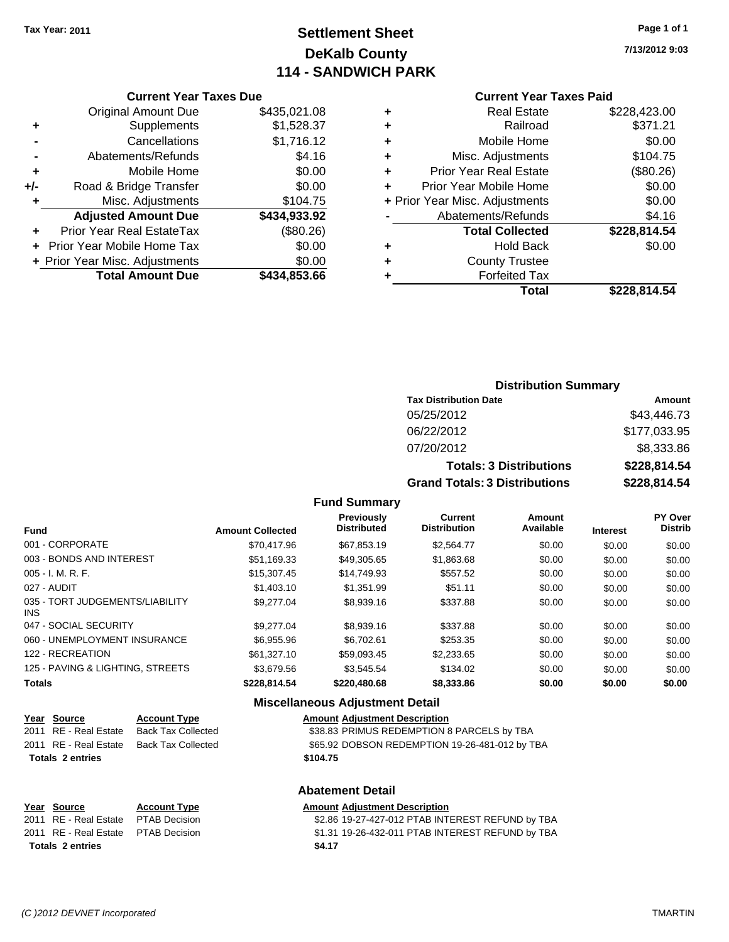# **Settlement Sheet Tax Year: 2011 Page 1 of 1 DeKalb County 114 - SANDWICH PARK**

**7/13/2012 9:03**

## **Current Year Taxes Paid**

|     | <b>Current Year Taxes Due</b>  |              |
|-----|--------------------------------|--------------|
|     | <b>Original Amount Due</b>     | \$435,021.08 |
| ٠   | Supplements                    | \$1,528.37   |
|     | Cancellations                  | \$1,716.12   |
|     | Abatements/Refunds             | \$4.16       |
| ٠   | Mobile Home                    | \$0.00       |
| +/- | Road & Bridge Transfer         | \$0.00       |
| ٠   | Misc. Adjustments              | \$104.75     |
|     | <b>Adjusted Amount Due</b>     | \$434,933.92 |
|     | Prior Year Real EstateTax      | (\$80.26)    |
|     | Prior Year Mobile Home Tax     | \$0.00       |
|     | + Prior Year Misc. Adjustments | \$0.00       |
|     | <b>Total Amount Due</b>        | \$434,853.66 |
|     |                                |              |

| \$371.21<br>Railroad<br>٠<br>\$0.00<br>Mobile Home<br>٠<br>\$104.75<br>Misc. Adjustments<br>٠<br>(\$80.26)<br>Prior Year Real Estate<br>٠<br>\$0.00<br>Prior Year Mobile Home<br>\$0.00<br>+ Prior Year Misc. Adjustments<br>\$4.16<br>Abatements/Refunds |
|-----------------------------------------------------------------------------------------------------------------------------------------------------------------------------------------------------------------------------------------------------------|
|                                                                                                                                                                                                                                                           |
|                                                                                                                                                                                                                                                           |
|                                                                                                                                                                                                                                                           |
|                                                                                                                                                                                                                                                           |
|                                                                                                                                                                                                                                                           |
|                                                                                                                                                                                                                                                           |
|                                                                                                                                                                                                                                                           |
| \$228,814.54<br><b>Total Collected</b>                                                                                                                                                                                                                    |
| \$0.00<br><b>Hold Back</b><br>٠                                                                                                                                                                                                                           |
| <b>County Trustee</b><br>٠                                                                                                                                                                                                                                |
| <b>Forfeited Tax</b><br>٠                                                                                                                                                                                                                                 |
| \$228.814.54<br>Total                                                                                                                                                                                                                                     |

## **Distribution Summary Tax Distribution Date Amount** 05/25/2012 \$43,446.73 06/22/2012 \$177,033.95 07/20/2012 \$8,333.86 **Totals: 3 Distributions \$228,814.54 Grand Totals: 3 Distributions \$228,814.54**

#### **Fund Summary**

| <b>Fund</b>                                   | <b>Amount Collected</b> | <b>Previously</b><br><b>Distributed</b> | Current<br><b>Distribution</b> | Amount<br>Available | <b>Interest</b> | <b>PY Over</b><br><b>Distrib</b> |
|-----------------------------------------------|-------------------------|-----------------------------------------|--------------------------------|---------------------|-----------------|----------------------------------|
| 001 - CORPORATE                               | \$70.417.96             | \$67,853.19                             | \$2,564.77                     | \$0.00              | \$0.00          | \$0.00                           |
| 003 - BONDS AND INTEREST                      | \$51,169.33             | \$49,305.65                             | \$1,863.68                     | \$0.00              | \$0.00          | \$0.00                           |
| $005 - I. M. R. F.$                           | \$15,307.45             | \$14,749.93                             | \$557.52                       | \$0.00              | \$0.00          | \$0.00                           |
| 027 - AUDIT                                   | \$1,403.10              | \$1.351.99                              | \$51.11                        | \$0.00              | \$0.00          | \$0.00                           |
| 035 - TORT JUDGEMENTS/LIABILITY<br><b>INS</b> | \$9,277,04              | \$8,939.16                              | \$337.88                       | \$0.00              | \$0.00          | \$0.00                           |
| 047 - SOCIAL SECURITY                         | \$9,277,04              | \$8,939.16                              | \$337.88                       | \$0.00              | \$0.00          | \$0.00                           |
| 060 - UNEMPLOYMENT INSURANCE                  | \$6,955.96              | \$6,702.61                              | \$253.35                       | \$0.00              | \$0.00          | \$0.00                           |
| 122 - RECREATION                              | \$61,327.10             | \$59.093.45                             | \$2,233.65                     | \$0.00              | \$0.00          | \$0.00                           |
| 125 - PAVING & LIGHTING, STREETS              | \$3.679.56              | \$3.545.54                              | \$134.02                       | \$0.00              | \$0.00          | \$0.00                           |
| <b>Totals</b>                                 | \$228.814.54            | \$220,480.68                            | \$8,333.86                     | \$0.00              | \$0.00          | \$0.00                           |

#### **Miscellaneous Adjustment Detail**

| Year Source             | <b>Account Type</b>       | <b>Amount Adjustment Description</b>           |
|-------------------------|---------------------------|------------------------------------------------|
| 2011 RE - Real Estate   | <b>Back Tax Collected</b> | \$38.83 PRIMUS REDEMPTION 8 PARCELS by TBA     |
| 2011 RE - Real Estate   | <b>Back Tax Collected</b> | \$65.92 DOBSON REDEMPTION 19-26-481-012 by TBA |
| <b>Totals 2 entries</b> |                           | \$104.75                                       |
|                         |                           | <b>Abatement Detail</b>                        |

**Year Source Account Type Amount Adjustment Description** \$2.86 19-27-427-012 PTAB INTEREST REFUND by TBA 2011 RE - Real Estate \$1.31 19-26-432-011 PTAB INTEREST REFUND by TBA PTAB Decision **Totals \$4.17 2 entries**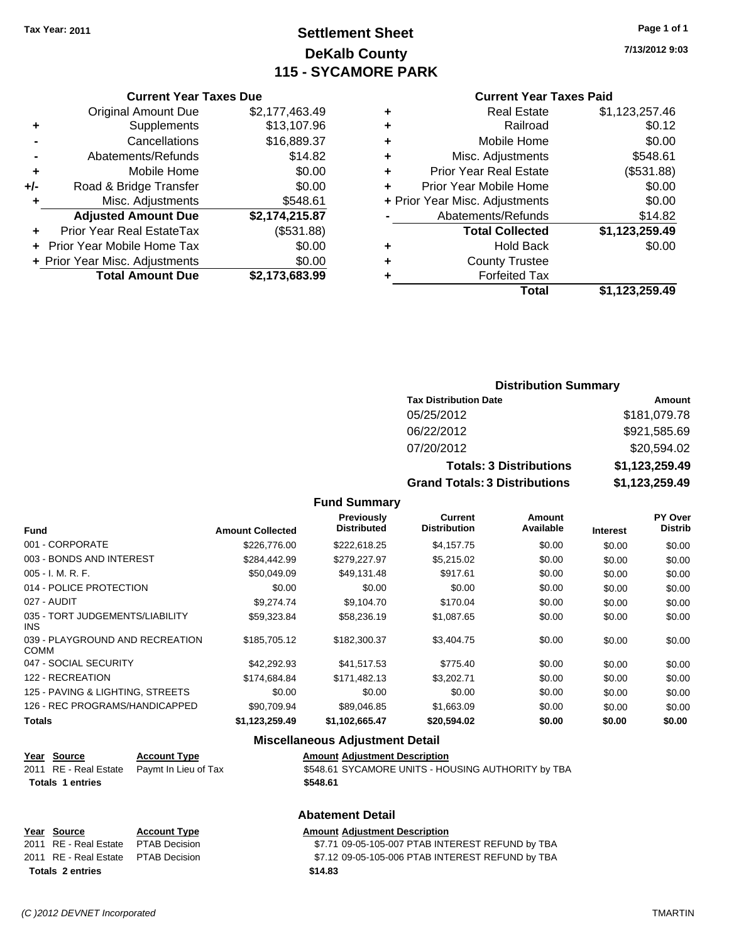# **Settlement Sheet Tax Year: 2011 Page 1 of 1 DeKalb County 115 - SYCAMORE PARK**

**7/13/2012 9:03**

| <b>Current Year Taxes Paid</b> |  |  |  |  |  |  |  |
|--------------------------------|--|--|--|--|--|--|--|
|--------------------------------|--|--|--|--|--|--|--|

| Total                              | \$1,123,259.49 |
|------------------------------------|----------------|
| <b>Forfeited Tax</b>               |                |
| <b>County Trustee</b><br>٠         |                |
| <b>Hold Back</b><br>٠              | \$0.00         |
| <b>Total Collected</b>             | \$1,123,259.49 |
| Abatements/Refunds                 | \$14.82        |
| + Prior Year Misc. Adjustments     | \$0.00         |
| Prior Year Mobile Home             | \$0.00         |
| <b>Prior Year Real Estate</b><br>٠ | (\$531.88)     |
| Misc. Adjustments<br>٠             | \$548.61       |
| Mobile Home<br>٠                   | \$0.00         |
| Railroad<br>٠                      | \$0.12         |
| <b>Real Estate</b><br>٠            | \$1,123,257.46 |
|                                    |                |

|     | <b>Current Year Taxes Due</b>     |                |
|-----|-----------------------------------|----------------|
|     | <b>Original Amount Due</b>        | \$2,177,463.49 |
| ٠   | Supplements                       | \$13,107.96    |
|     | Cancellations                     | \$16,889.37    |
|     | Abatements/Refunds                | \$14.82        |
| ٠   | Mobile Home                       | \$0.00         |
| +/- | Road & Bridge Transfer            | \$0.00         |
| ٠   | Misc. Adjustments                 | \$548.61       |
|     | <b>Adjusted Amount Due</b>        | \$2,174,215.87 |
|     | <b>Prior Year Real EstateTax</b>  | (\$531.88)     |
|     | <b>Prior Year Mobile Home Tax</b> | \$0.00         |
|     | + Prior Year Misc. Adjustments    | \$0.00         |
|     | <b>Total Amount Due</b>           | \$2,173,683.99 |

| <b>Distribution Summary</b> |  |
|-----------------------------|--|
|-----------------------------|--|

| <b>Tax Distribution Date</b>         | Amount         |
|--------------------------------------|----------------|
| 05/25/2012                           | \$181,079.78   |
| 06/22/2012                           | \$921,585.69   |
| 07/20/2012                           | \$20,594.02    |
| <b>Totals: 3 Distributions</b>       | \$1,123,259.49 |
| <b>Grand Totals: 3 Distributions</b> | \$1,123,259.49 |

#### **Fund Summary**

| <b>Fund</b>                                    | <b>Amount Collected</b> | <b>Previously</b><br><b>Distributed</b> | <b>Current</b><br><b>Distribution</b> | Amount<br>Available | <b>Interest</b> | <b>PY Over</b><br><b>Distrib</b> |
|------------------------------------------------|-------------------------|-----------------------------------------|---------------------------------------|---------------------|-----------------|----------------------------------|
| 001 - CORPORATE                                | \$226,776.00            | \$222.618.25                            | \$4,157.75                            | \$0.00              | \$0.00          | \$0.00                           |
| 003 - BONDS AND INTEREST                       | \$284,442.99            | \$279.227.97                            | \$5,215.02                            | \$0.00              | \$0.00          | \$0.00                           |
| $005 - I. M. R. F.$                            | \$50,049.09             | \$49,131.48                             | \$917.61                              | \$0.00              | \$0.00          | \$0.00                           |
| 014 - POLICE PROTECTION                        | \$0.00                  | \$0.00                                  | \$0.00                                | \$0.00              | \$0.00          | \$0.00                           |
| 027 - AUDIT                                    | \$9,274.74              | \$9,104.70                              | \$170.04                              | \$0.00              | \$0.00          | \$0.00                           |
| 035 - TORT JUDGEMENTS/LIABILITY<br><b>INS</b>  | \$59,323.84             | \$58,236.19                             | \$1,087.65                            | \$0.00              | \$0.00          | \$0.00                           |
| 039 - PLAYGROUND AND RECREATION<br><b>COMM</b> | \$185,705.12            | \$182,300.37                            | \$3,404.75                            | \$0.00              | \$0.00          | \$0.00                           |
| 047 - SOCIAL SECURITY                          | \$42,292.93             | \$41,517.53                             | \$775.40                              | \$0.00              | \$0.00          | \$0.00                           |
| 122 - RECREATION                               | \$174,684.84            | \$171,482.13                            | \$3,202.71                            | \$0.00              | \$0.00          | \$0.00                           |
| 125 - PAVING & LIGHTING, STREETS               | \$0.00                  | \$0.00                                  | \$0.00                                | \$0.00              | \$0.00          | \$0.00                           |
| 126 - REC PROGRAMS/HANDICAPPED                 | \$90,709.94             | \$89,046.85                             | \$1,663.09                            | \$0.00              | \$0.00          | \$0.00                           |
| <b>Totals</b>                                  | \$1,123,259.49          | \$1,102,665.47                          | \$20,594.02                           | \$0.00              | \$0.00          | \$0.00                           |

## **Miscellaneous Adjustment Detail**

| <u>Year Source</u>      | <b>Account Type</b>                        | <b>Amount Adjustment Description</b>               |
|-------------------------|--------------------------------------------|----------------------------------------------------|
|                         | 2011 RE - Real Estate Paymt In Lieu of Tax | \$548.61 SYCAMORE UNITS - HOUSING AUTHORITY by TBA |
| <b>Totals 1 entries</b> |                                            | \$548.61                                           |
|                         |                                            |                                                    |

## **Abatement Detail**

#### **Year Source Account Type Amount Adjustment Description** 2011 RE - Real Estate \$7.71 09-05-105-007 PTAB INTEREST REFUND by TBA PTAB Decision 2011 RE - Real Estate \$7.12 09-05-105-006 PTAB INTEREST REFUND by TBA PTAB Decision **Totals \$14.83 2 entries**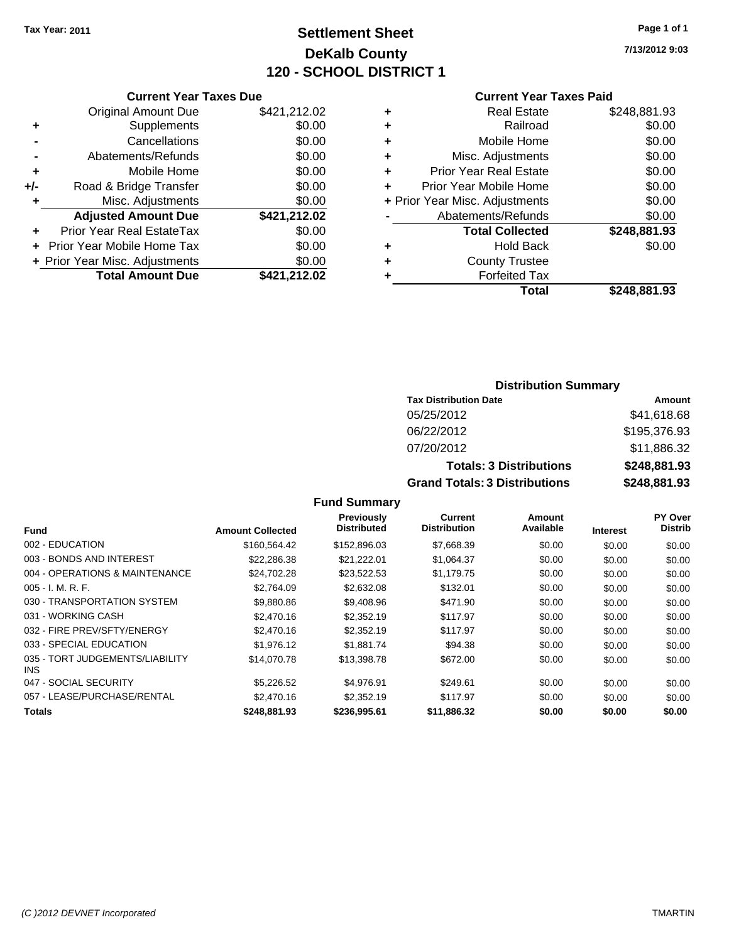# **Settlement Sheet Tax Year: 2011 Page 1 of 1 DeKalb County 120 - SCHOOL DISTRICT 1**

**7/13/2012 9:03**

## **Current Year Taxes Paid**

|     | <b>Current Year Taxes Due</b>     |              |  |  |
|-----|-----------------------------------|--------------|--|--|
|     | <b>Original Amount Due</b>        | \$421,212.02 |  |  |
| ٠   | Supplements                       | \$0.00       |  |  |
|     | Cancellations                     | \$0.00       |  |  |
|     | Abatements/Refunds                | \$0.00       |  |  |
| ٠   | Mobile Home                       | \$0.00       |  |  |
| +/- | Road & Bridge Transfer            | \$0.00       |  |  |
| ٠   | Misc. Adjustments                 | \$0.00       |  |  |
|     | <b>Adjusted Amount Due</b>        | \$421,212.02 |  |  |
| ٠   | Prior Year Real EstateTax         | \$0.00       |  |  |
|     | <b>Prior Year Mobile Home Tax</b> | \$0.00       |  |  |
|     | + Prior Year Misc. Adjustments    | \$0.00       |  |  |
|     | <b>Total Amount Due</b>           | \$421,212.02 |  |  |
|     |                                   |              |  |  |

## **Distribution Summary**

| <b>Tax Distribution Date</b>         | Amount       |  |  |  |
|--------------------------------------|--------------|--|--|--|
| 05/25/2012                           | \$41,618.68  |  |  |  |
| 06/22/2012                           | \$195,376.93 |  |  |  |
| 07/20/2012                           | \$11,886.32  |  |  |  |
| <b>Totals: 3 Distributions</b>       | \$248,881.93 |  |  |  |
| <b>Grand Totals: 3 Distributions</b> | \$248,881.93 |  |  |  |

## **Fund Summary**

|                                         |                         | Previously         | Current             | Amount    |                 | PY Over        |
|-----------------------------------------|-------------------------|--------------------|---------------------|-----------|-----------------|----------------|
| <b>Fund</b>                             | <b>Amount Collected</b> | <b>Distributed</b> | <b>Distribution</b> | Available | <b>Interest</b> | <b>Distrib</b> |
| 002 - EDUCATION                         | \$160.564.42            | \$152,896.03       | \$7,668.39          | \$0.00    | \$0.00          | \$0.00         |
| 003 - BONDS AND INTEREST                | \$22,286.38             | \$21,222.01        | \$1,064.37          | \$0.00    | \$0.00          | \$0.00         |
| 004 - OPERATIONS & MAINTENANCE          | \$24,702.28             | \$23,522.53        | \$1,179.75          | \$0.00    | \$0.00          | \$0.00         |
| $005 - I. M. R. F.$                     | \$2,764.09              | \$2,632.08         | \$132.01            | \$0.00    | \$0.00          | \$0.00         |
| 030 - TRANSPORTATION SYSTEM             | \$9,880.86              | \$9,408.96         | \$471.90            | \$0.00    | \$0.00          | \$0.00         |
| 031 - WORKING CASH                      | \$2,470.16              | \$2,352.19         | \$117.97            | \$0.00    | \$0.00          | \$0.00         |
| 032 - FIRE PREV/SFTY/ENERGY             | \$2,470.16              | \$2,352.19         | \$117.97            | \$0.00    | \$0.00          | \$0.00         |
| 033 - SPECIAL EDUCATION                 | \$1,976.12              | \$1.881.74         | \$94.38             | \$0.00    | \$0.00          | \$0.00         |
| 035 - TORT JUDGEMENTS/LIABILITY<br>INS. | \$14,070.78             | \$13,398.78        | \$672.00            | \$0.00    | \$0.00          | \$0.00         |
| 047 - SOCIAL SECURITY                   | \$5,226.52              | \$4.976.91         | \$249.61            | \$0.00    | \$0.00          | \$0.00         |
| 057 - LEASE/PURCHASE/RENTAL             | \$2,470.16              | \$2,352.19         | \$117.97            | \$0.00    | \$0.00          | \$0.00         |
| <b>Totals</b>                           | \$248.881.93            | \$236,995.61       | \$11,886.32         | \$0.00    | \$0.00          | \$0.00         |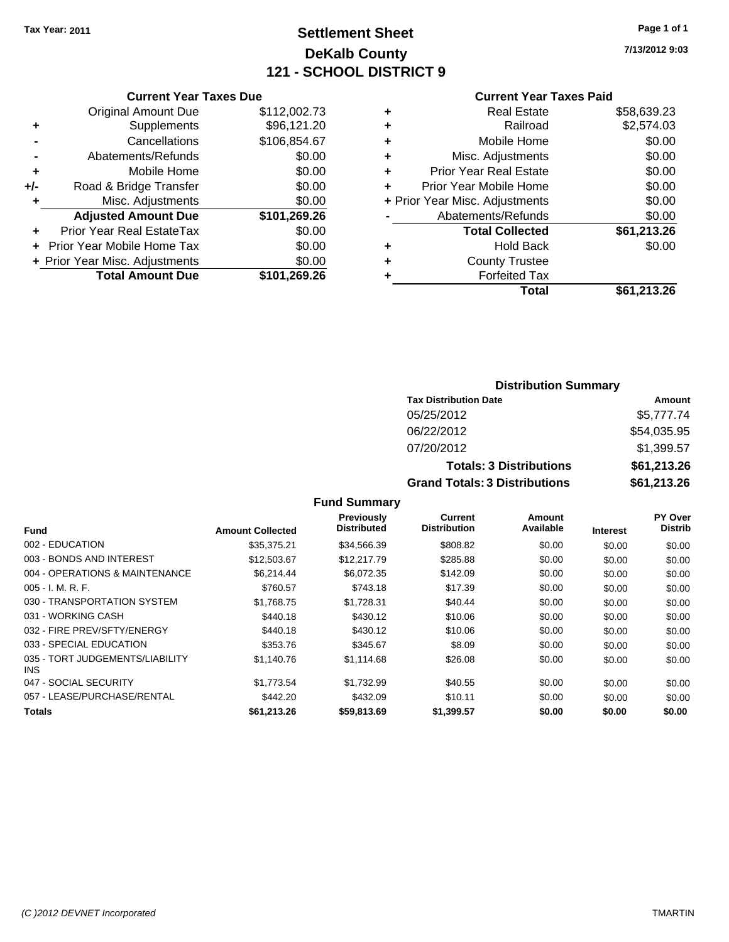# **Settlement Sheet Tax Year: 2011 Page 1 of 1 DeKalb County 121 - SCHOOL DISTRICT 9**

**7/13/2012 9:03**

### **Current Year Taxes Paid**

|     | <b>Current Year Taxes Due</b>  |              |  |  |  |
|-----|--------------------------------|--------------|--|--|--|
|     | <b>Original Amount Due</b>     | \$112,002.73 |  |  |  |
| ÷   | Supplements                    | \$96,121.20  |  |  |  |
|     | \$106,854.67<br>Cancellations  |              |  |  |  |
|     | \$0.00<br>Abatements/Refunds   |              |  |  |  |
| ٠   | Mobile Home                    |              |  |  |  |
| +/- | Road & Bridge Transfer         | \$0.00       |  |  |  |
|     | Misc. Adjustments              | \$0.00       |  |  |  |
|     | <b>Adjusted Amount Due</b>     | \$101,269.26 |  |  |  |
| ÷   | Prior Year Real EstateTax      | \$0.00       |  |  |  |
|     | Prior Year Mobile Home Tax     | \$0.00       |  |  |  |
|     | + Prior Year Misc. Adjustments | \$0.00       |  |  |  |
|     | <b>Total Amount Due</b>        | \$101,269.26 |  |  |  |
|     |                                |              |  |  |  |

| ٠ | <b>Real Estate</b>             | \$58,639.23 |
|---|--------------------------------|-------------|
| ٠ | Railroad                       | \$2,574.03  |
| ٠ | Mobile Home                    | \$0.00      |
| ٠ | Misc. Adjustments              | \$0.00      |
| ÷ | <b>Prior Year Real Estate</b>  | \$0.00      |
| ٠ | Prior Year Mobile Home         | \$0.00      |
|   | + Prior Year Misc. Adjustments | \$0.00      |
|   | Abatements/Refunds             | \$0.00      |
|   | <b>Total Collected</b>         | \$61,213.26 |
| ٠ | <b>Hold Back</b>               | \$0.00      |
| ٠ | <b>County Trustee</b>          |             |
| ٠ | <b>Forfeited Tax</b>           |             |
|   | Total                          | \$61,213.26 |
|   |                                |             |

## **Distribution Summary Tax Distribution Date Amount** 05/25/2012 \$5,777.74 06/22/2012 \$54,035.95 07/20/2012 \$1,399.57 **Totals: 3 Distributions \$61,213.26**

**Grand Totals: 3 Distributions \$61,213.26**

## **Fund Summary**

| <b>Fund</b>                             | <b>Amount Collected</b> | <b>Previously</b><br><b>Distributed</b> | Current<br><b>Distribution</b> | Amount<br>Available | <b>Interest</b> | <b>PY Over</b><br><b>Distrib</b> |
|-----------------------------------------|-------------------------|-----------------------------------------|--------------------------------|---------------------|-----------------|----------------------------------|
| 002 - EDUCATION                         | \$35.375.21             | \$34,566.39                             | \$808.82                       | \$0.00              | \$0.00          | \$0.00                           |
| 003 - BONDS AND INTEREST                | \$12,503.67             | \$12,217.79                             | \$285.88                       | \$0.00              | \$0.00          | \$0.00                           |
| 004 - OPERATIONS & MAINTENANCE          | \$6.214.44              | \$6.072.35                              | \$142.09                       | \$0.00              | \$0.00          | \$0.00                           |
| $005 - I. M. R. F.$                     | \$760.57                | \$743.18                                | \$17.39                        | \$0.00              | \$0.00          | \$0.00                           |
| 030 - TRANSPORTATION SYSTEM             | \$1,768.75              | \$1,728.31                              | \$40.44                        | \$0.00              | \$0.00          | \$0.00                           |
| 031 - WORKING CASH                      | \$440.18                | \$430.12                                | \$10.06                        | \$0.00              | \$0.00          | \$0.00                           |
| 032 - FIRE PREV/SFTY/ENERGY             | \$440.18                | \$430.12                                | \$10.06                        | \$0.00              | \$0.00          | \$0.00                           |
| 033 - SPECIAL EDUCATION                 | \$353.76                | \$345.67                                | \$8.09                         | \$0.00              | \$0.00          | \$0.00                           |
| 035 - TORT JUDGEMENTS/LIABILITY<br>INS. | \$1,140.76              | \$1,114.68                              | \$26.08                        | \$0.00              | \$0.00          | \$0.00                           |
| 047 - SOCIAL SECURITY                   | \$1.773.54              | \$1.732.99                              | \$40.55                        | \$0.00              | \$0.00          | \$0.00                           |
| 057 - LEASE/PURCHASE/RENTAL             | \$442.20                | \$432.09                                | \$10.11                        | \$0.00              | \$0.00          | \$0.00                           |
| <b>Totals</b>                           | \$61,213.26             | \$59,813.69                             | \$1,399.57                     | \$0.00              | \$0.00          | \$0.00                           |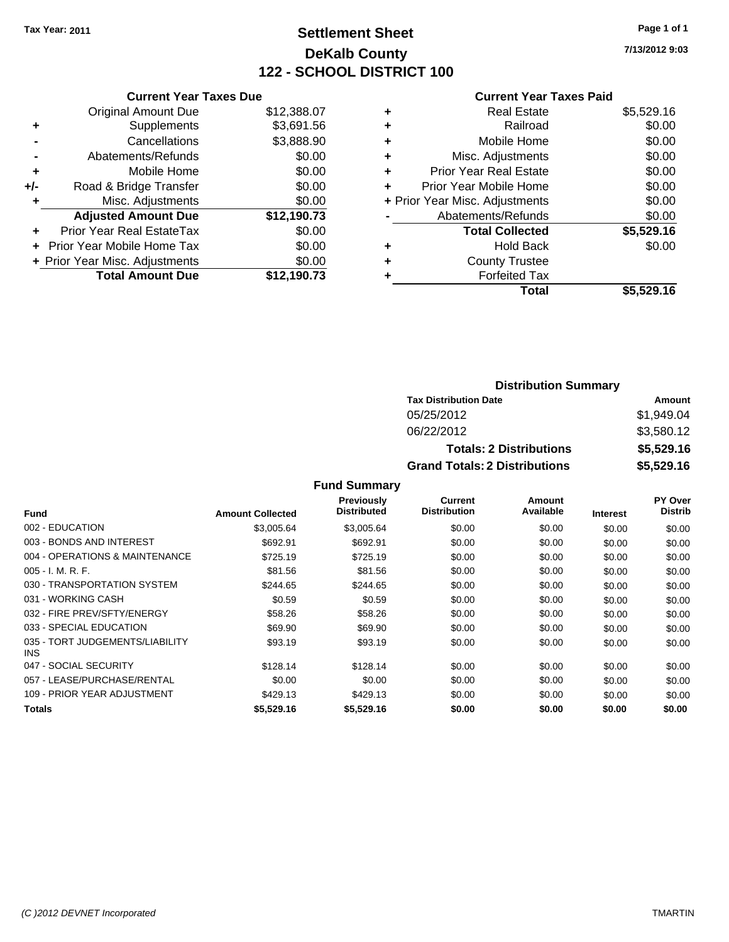## **Settlement Sheet Tax Year: 2011 Page 1 of 1 DeKalb County 122 - SCHOOL DISTRICT 100**

**7/13/2012 9:03**

#### **Current Year Taxes Paid**

|     | <b>Current Year Taxes Due</b>  |             |
|-----|--------------------------------|-------------|
|     | <b>Original Amount Due</b>     | \$12,388.07 |
| ٠   | Supplements                    | \$3,691.56  |
|     | Cancellations                  | \$3,888.90  |
|     | Abatements/Refunds             | \$0.00      |
| ٠   | Mobile Home                    | \$0.00      |
| +/- | Road & Bridge Transfer         | \$0.00      |
|     | Misc. Adjustments              | \$0.00      |
|     | <b>Adjusted Amount Due</b>     | \$12,190.73 |
|     | Prior Year Real EstateTax      | \$0.00      |
|     | Prior Year Mobile Home Tax     | \$0.00      |
|     | + Prior Year Misc. Adjustments | \$0.00      |
|     | <b>Total Amount Due</b>        | \$12.190.73 |
|     |                                |             |

| ٠ | <b>Real Estate</b>             | \$5,529.16 |
|---|--------------------------------|------------|
| ٠ | Railroad                       | \$0.00     |
| ٠ | Mobile Home                    | \$0.00     |
| ٠ | Misc. Adjustments              | \$0.00     |
| ÷ | Prior Year Real Estate         | \$0.00     |
| ٠ | Prior Year Mobile Home         | \$0.00     |
|   | + Prior Year Misc. Adjustments | \$0.00     |
|   | Abatements/Refunds             | \$0.00     |
|   | <b>Total Collected</b>         | \$5,529.16 |
| ٠ | <b>Hold Back</b>               | \$0.00     |
| ٠ | <b>County Trustee</b>          |            |
| ٠ | <b>Forfeited Tax</b>           |            |
|   | Total                          | \$5,529.16 |
|   |                                |            |

#### **Distribution Summary Tax Distribution Date Amount** 05/25/2012 \$1,949.04 06/22/2012 \$3,580.12 **Totals: 2 Distributions \$5,529.16 Grand Totals: 2 Distributions \$5,529.16**

| <b>Fund</b>                             | <b>Amount Collected</b> | <b>Previously</b><br>Distributed | <b>Current</b><br><b>Distribution</b> | Amount<br>Available | <b>Interest</b> | <b>PY Over</b><br><b>Distrib</b> |
|-----------------------------------------|-------------------------|----------------------------------|---------------------------------------|---------------------|-----------------|----------------------------------|
| 002 - EDUCATION                         | \$3,005.64              | \$3,005.64                       | \$0.00                                | \$0.00              | \$0.00          | \$0.00                           |
| 003 - BONDS AND INTEREST                | \$692.91                | \$692.91                         | \$0.00                                | \$0.00              | \$0.00          | \$0.00                           |
| 004 - OPERATIONS & MAINTENANCE          | \$725.19                | \$725.19                         | \$0.00                                | \$0.00              | \$0.00          | \$0.00                           |
| $005 - I. M. R. F.$                     | \$81.56                 | \$81.56                          | \$0.00                                | \$0.00              | \$0.00          | \$0.00                           |
| 030 - TRANSPORTATION SYSTEM             | \$244.65                | \$244.65                         | \$0.00                                | \$0.00              | \$0.00          | \$0.00                           |
| 031 - WORKING CASH                      | \$0.59                  | \$0.59                           | \$0.00                                | \$0.00              | \$0.00          | \$0.00                           |
| 032 - FIRE PREV/SFTY/ENERGY             | \$58.26                 | \$58.26                          | \$0.00                                | \$0.00              | \$0.00          | \$0.00                           |
| 033 - SPECIAL EDUCATION                 | \$69.90                 | \$69.90                          | \$0.00                                | \$0.00              | \$0.00          | \$0.00                           |
| 035 - TORT JUDGEMENTS/LIABILITY<br>INS. | \$93.19                 | \$93.19                          | \$0.00                                | \$0.00              | \$0.00          | \$0.00                           |
| 047 - SOCIAL SECURITY                   | \$128.14                | \$128.14                         | \$0.00                                | \$0.00              | \$0.00          | \$0.00                           |
| 057 - LEASE/PURCHASE/RENTAL             | \$0.00                  | \$0.00                           | \$0.00                                | \$0.00              | \$0.00          | \$0.00                           |
| 109 - PRIOR YEAR ADJUSTMENT             | \$429.13                | \$429.13                         | \$0.00                                | \$0.00              | \$0.00          | \$0.00                           |
| <b>Totals</b>                           | \$5,529.16              | \$5,529.16                       | \$0.00                                | \$0.00              | \$0.00          | \$0.00                           |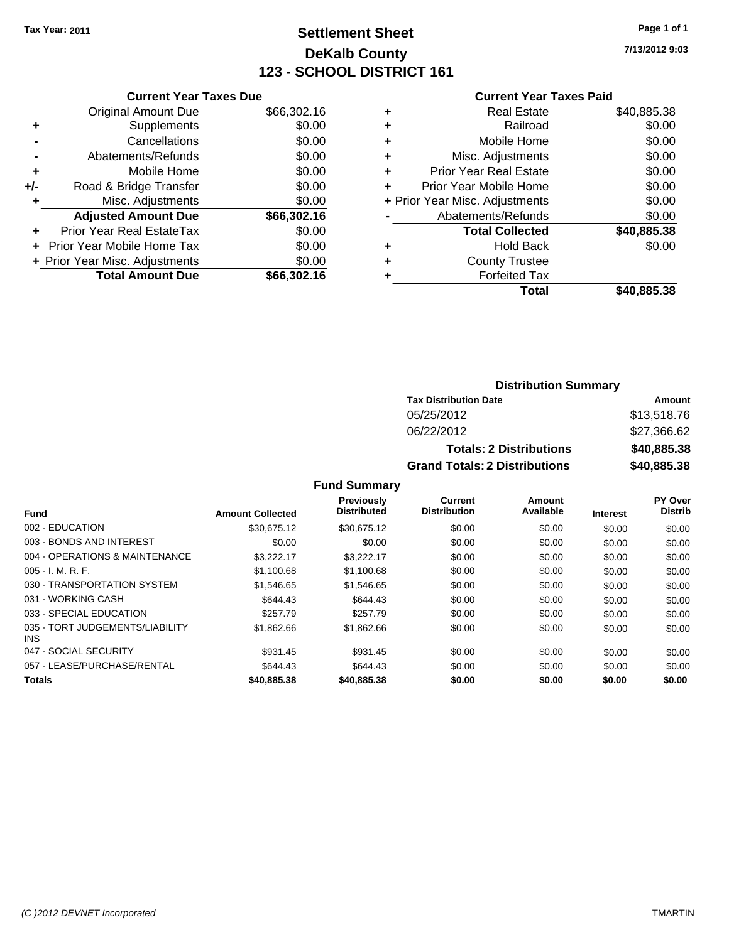## **Settlement Sheet Tax Year: 2011 Page 1 of 1 DeKalb County 123 - SCHOOL DISTRICT 161**

**7/13/2012 9:03**

#### **Current Year Taxes Paid**

|     | <b>Current Year Taxes Due</b>  |             |       |
|-----|--------------------------------|-------------|-------|
|     | <b>Original Amount Due</b>     | \$66,302.16 | ٠     |
|     | <b>Supplements</b>             | \$0.00      | ٠     |
|     | Cancellations                  | \$0.00      | ٠     |
|     | Abatements/Refunds             | \$0.00      | ٠     |
|     | Mobile Home                    | \$0.00      | ٠     |
| +/- | Road & Bridge Transfer         | \$0.00      | ٠     |
|     | Misc. Adjustments              | \$0.00      | + Pri |
|     | <b>Adjusted Amount Due</b>     | \$66,302.16 |       |
|     | Prior Year Real EstateTax      | \$0.00      |       |
|     | Prior Year Mobile Home Tax     | \$0.00      | ٠     |
|     | + Prior Year Misc. Adjustments | \$0.00      | ٠     |
|     | <b>Total Amount Due</b>        | \$66,302.16 |       |

| ٠ | <b>Real Estate</b>             | \$40,885.38 |
|---|--------------------------------|-------------|
| ٠ | Railroad                       | \$0.00      |
| ٠ | Mobile Home                    | \$0.00      |
| ٠ | Misc. Adjustments              | \$0.00      |
| ÷ | Prior Year Real Estate         | \$0.00      |
| ٠ | Prior Year Mobile Home         | \$0.00      |
|   | + Prior Year Misc. Adjustments | \$0.00      |
|   | Abatements/Refunds             | \$0.00      |
|   | <b>Total Collected</b>         | \$40,885.38 |
| ٠ | <b>Hold Back</b>               | \$0.00      |
| ٠ | <b>County Trustee</b>          |             |
| ٠ | <b>Forfeited Tax</b>           |             |
|   | Total                          | \$40,885.38 |
|   |                                |             |

## **Distribution Summary**

| <b>Tax Distribution Date</b>         | Amount      |  |  |
|--------------------------------------|-------------|--|--|
| 05/25/2012                           | \$13,518.76 |  |  |
| 06/22/2012                           | \$27,366.62 |  |  |
| <b>Totals: 2 Distributions</b>       | \$40,885.38 |  |  |
| <b>Grand Totals: 2 Distributions</b> | \$40,885.38 |  |  |

|                                               |                         | <b>Previously</b>  | Current             | Amount    |                 | PY Over        |
|-----------------------------------------------|-------------------------|--------------------|---------------------|-----------|-----------------|----------------|
| <b>Fund</b>                                   | <b>Amount Collected</b> | <b>Distributed</b> | <b>Distribution</b> | Available | <b>Interest</b> | <b>Distrib</b> |
| 002 - EDUCATION                               | \$30.675.12             | \$30.675.12        | \$0.00              | \$0.00    | \$0.00          | \$0.00         |
| 003 - BONDS AND INTEREST                      | \$0.00                  | \$0.00             | \$0.00              | \$0.00    | \$0.00          | \$0.00         |
| 004 - OPERATIONS & MAINTENANCE                | \$3.222.17              | \$3,222.17         | \$0.00              | \$0.00    | \$0.00          | \$0.00         |
| $005 - I. M. R. F.$                           | \$1,100.68              | \$1,100.68         | \$0.00              | \$0.00    | \$0.00          | \$0.00         |
| 030 - TRANSPORTATION SYSTEM                   | \$1.546.65              | \$1,546.65         | \$0.00              | \$0.00    | \$0.00          | \$0.00         |
| 031 - WORKING CASH                            | \$644.43                | \$644.43           | \$0.00              | \$0.00    | \$0.00          | \$0.00         |
| 033 - SPECIAL EDUCATION                       | \$257.79                | \$257.79           | \$0.00              | \$0.00    | \$0.00          | \$0.00         |
| 035 - TORT JUDGEMENTS/LIABILITY<br><b>INS</b> | \$1,862.66              | \$1,862.66         | \$0.00              | \$0.00    | \$0.00          | \$0.00         |
| 047 - SOCIAL SECURITY                         | \$931.45                | \$931.45           | \$0.00              | \$0.00    | \$0.00          | \$0.00         |
| 057 - LEASE/PURCHASE/RENTAL                   | \$644.43                | \$644.43           | \$0.00              | \$0.00    | \$0.00          | \$0.00         |
| <b>Totals</b>                                 | \$40,885.38             | \$40,885.38        | \$0.00              | \$0.00    | \$0.00          | \$0.00         |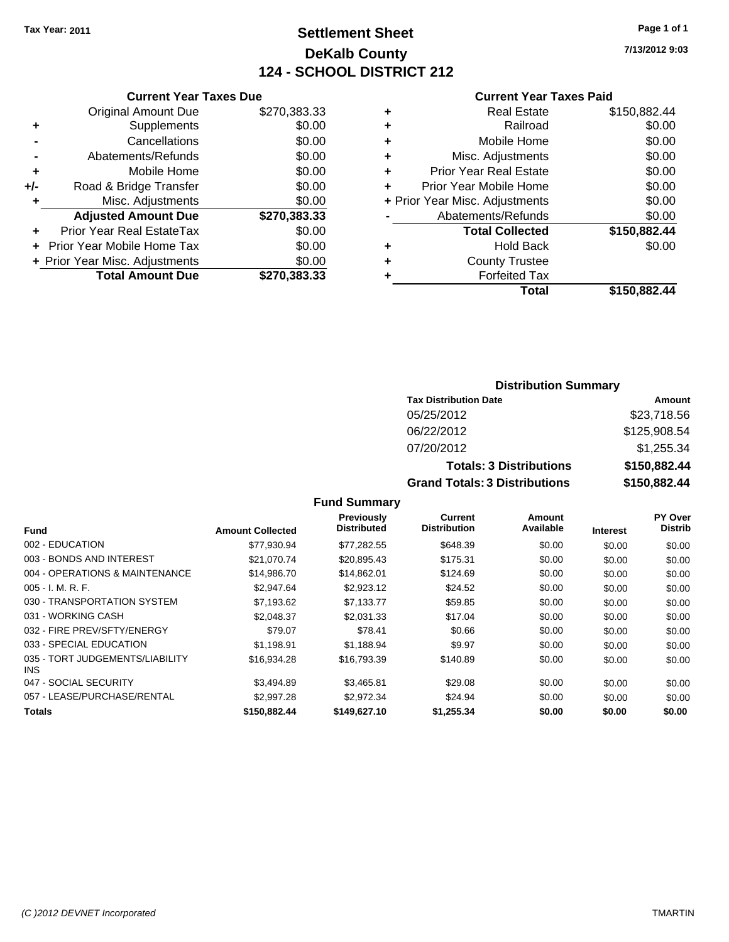## **Settlement Sheet Tax Year: 2011 Page 1 of 1 DeKalb County 124 - SCHOOL DISTRICT 212**

**7/13/2012 9:03**

#### **Current Year Taxes Paid**

|     | <b>Current Year Taxes Due</b>  |              |  |
|-----|--------------------------------|--------------|--|
|     | <b>Original Amount Due</b>     | \$270,383.33 |  |
| ٠   | Supplements                    | \$0.00       |  |
|     | Cancellations                  | \$0.00       |  |
|     | Abatements/Refunds             | \$0.00       |  |
| ٠   | Mobile Home                    | \$0.00       |  |
| +/- | Road & Bridge Transfer         | \$0.00       |  |
| ٠   | Misc. Adjustments              | \$0.00       |  |
|     | <b>Adjusted Amount Due</b>     | \$270,383.33 |  |
| ÷   | Prior Year Real EstateTax      | \$0.00       |  |
|     | Prior Year Mobile Home Tax     | \$0.00       |  |
|     | + Prior Year Misc. Adjustments | \$0.00       |  |
|     | <b>Total Amount Due</b>        | \$270.383.33 |  |
|     |                                |              |  |

| ٠ | <b>Real Estate</b>             | \$150,882.44 |
|---|--------------------------------|--------------|
| ٠ | Railroad                       | \$0.00       |
| ٠ | Mobile Home                    | \$0.00       |
| ٠ | Misc. Adjustments              | \$0.00       |
| ٠ | <b>Prior Year Real Estate</b>  | \$0.00       |
| ٠ | Prior Year Mobile Home         | \$0.00       |
|   | + Prior Year Misc. Adjustments | \$0.00       |
|   | Abatements/Refunds             | \$0.00       |
|   | <b>Total Collected</b>         | \$150,882.44 |
| ٠ | <b>Hold Back</b>               | \$0.00       |
| ٠ | <b>County Trustee</b>          |              |
| ٠ | <b>Forfeited Tax</b>           |              |
|   | Total                          | \$150,882.44 |
|   |                                |              |

#### **Distribution Summary Tax Distribution Date Amount** 05/25/2012 \$23,718.56 06/22/2012 \$125,908.54 07/20/2012 \$1,255.34 **Totals: 3 Distributions \$150,882.44 Grand Totals: 3 Distributions \$150,882.44**

|                                         |                         | Previously<br><b>Distributed</b> | Current<br><b>Distribution</b> | Amount<br>Available |                 | PY Over<br><b>Distrib</b> |
|-----------------------------------------|-------------------------|----------------------------------|--------------------------------|---------------------|-----------------|---------------------------|
| Fund                                    | <b>Amount Collected</b> |                                  |                                |                     | <b>Interest</b> |                           |
| 002 - EDUCATION                         | \$77.930.94             | \$77,282.55                      | \$648.39                       | \$0.00              | \$0.00          | \$0.00                    |
| 003 - BONDS AND INTEREST                | \$21,070.74             | \$20,895.43                      | \$175.31                       | \$0.00              | \$0.00          | \$0.00                    |
| 004 - OPERATIONS & MAINTENANCE          | \$14,986,70             | \$14.862.01                      | \$124.69                       | \$0.00              | \$0.00          | \$0.00                    |
| $005 - I. M. R. F.$                     | \$2,947.64              | \$2,923.12                       | \$24.52                        | \$0.00              | \$0.00          | \$0.00                    |
| 030 - TRANSPORTATION SYSTEM             | \$7.193.62              | \$7.133.77                       | \$59.85                        | \$0.00              | \$0.00          | \$0.00                    |
| 031 - WORKING CASH                      | \$2.048.37              | \$2,031.33                       | \$17.04                        | \$0.00              | \$0.00          | \$0.00                    |
| 032 - FIRE PREV/SFTY/ENERGY             | \$79.07                 | \$78.41                          | \$0.66                         | \$0.00              | \$0.00          | \$0.00                    |
| 033 - SPECIAL EDUCATION                 | \$1.198.91              | \$1.188.94                       | \$9.97                         | \$0.00              | \$0.00          | \$0.00                    |
| 035 - TORT JUDGEMENTS/LIABILITY<br>INS. | \$16,934.28             | \$16,793.39                      | \$140.89                       | \$0.00              | \$0.00          | \$0.00                    |
| 047 - SOCIAL SECURITY                   | \$3.494.89              | \$3.465.81                       | \$29.08                        | \$0.00              | \$0.00          | \$0.00                    |
| 057 - LEASE/PURCHASE/RENTAL             | \$2,997.28              | \$2,972.34                       | \$24.94                        | \$0.00              | \$0.00          | \$0.00                    |
| <b>Totals</b>                           | \$150,882.44            | \$149,627.10                     | \$1,255.34                     | \$0.00              | \$0.00          | \$0.00                    |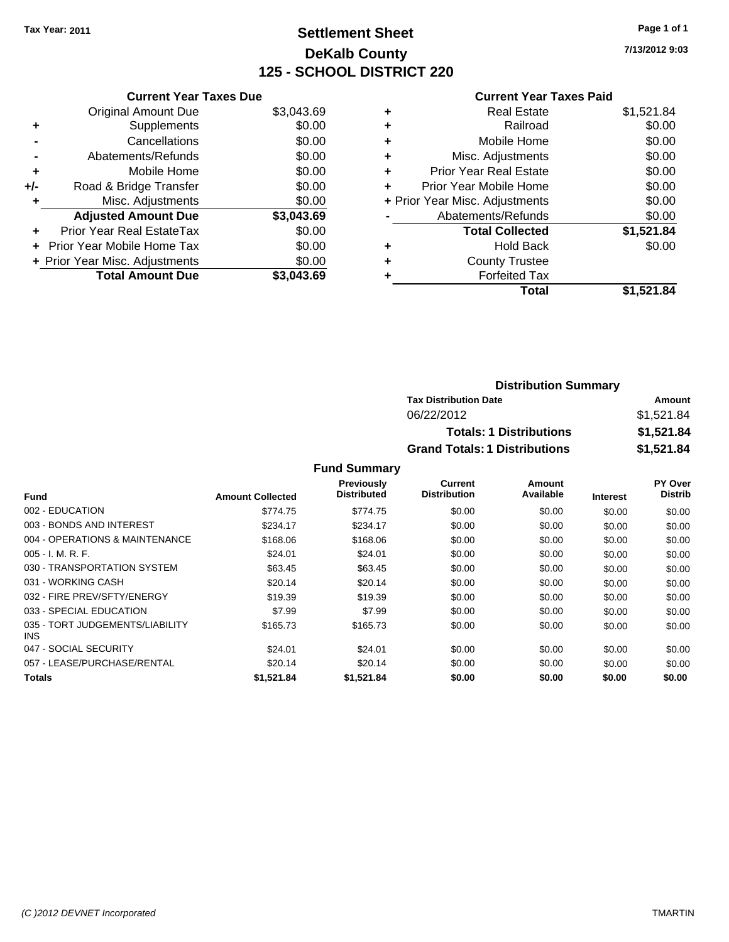## **Settlement Sheet Tax Year: 2011 Page 1 of 1 DeKalb County 125 - SCHOOL DISTRICT 220**

**7/13/2012 9:03**

#### **Current Year Taxes Paid**

|     | <b>Current Year Taxes Due</b>  |            |
|-----|--------------------------------|------------|
|     | <b>Original Amount Due</b>     | \$3,043.69 |
| ٠   | Supplements                    | \$0.00     |
|     | Cancellations                  | \$0.00     |
|     | Abatements/Refunds             | \$0.00     |
| ٠   | Mobile Home                    | \$0.00     |
| +/- | Road & Bridge Transfer         | \$0.00     |
| ٠   | Misc. Adjustments              | \$0.00     |
|     | <b>Adjusted Amount Due</b>     | \$3,043.69 |
| ÷   | Prior Year Real EstateTax      | \$0.00     |
|     | Prior Year Mobile Home Tax     | \$0.00     |
|     | + Prior Year Misc. Adjustments | \$0.00     |
|     | <b>Total Amount Due</b>        | \$3.043.69 |

| ٠ | <b>Real Estate</b>             | \$1,521.84 |
|---|--------------------------------|------------|
| ٠ | Railroad                       | \$0.00     |
| ٠ | Mobile Home                    | \$0.00     |
| ٠ | Misc. Adjustments              | \$0.00     |
| ÷ | <b>Prior Year Real Estate</b>  | \$0.00     |
| ÷ | Prior Year Mobile Home         | \$0.00     |
|   | + Prior Year Misc. Adjustments | \$0.00     |
|   | Abatements/Refunds             | \$0.00     |
|   | <b>Total Collected</b>         | \$1,521.84 |
| ٠ | <b>Hold Back</b>               | \$0.00     |
| ٠ | <b>County Trustee</b>          |            |
| ٠ | <b>Forfeited Tax</b>           |            |
|   | Total                          | \$1,521.84 |

| <b>Distribution Summary</b>          |            |
|--------------------------------------|------------|
| <b>Tax Distribution Date</b>         | Amount     |
| 06/22/2012                           | \$1,521.84 |
| <b>Totals: 1 Distributions</b>       | \$1,521.84 |
| <b>Grand Totals: 1 Distributions</b> | \$1,521.84 |

|                                         |                         | <b>Previously</b>  | Current             | Amount    |                 | PY Over        |
|-----------------------------------------|-------------------------|--------------------|---------------------|-----------|-----------------|----------------|
| Fund                                    | <b>Amount Collected</b> | <b>Distributed</b> | <b>Distribution</b> | Available | <b>Interest</b> | <b>Distrib</b> |
| 002 - EDUCATION                         | \$774.75                | \$774.75           | \$0.00              | \$0.00    | \$0.00          | \$0.00         |
| 003 - BONDS AND INTEREST                | \$234.17                | \$234.17           | \$0.00              | \$0.00    | \$0.00          | \$0.00         |
| 004 - OPERATIONS & MAINTENANCE          | \$168.06                | \$168.06           | \$0.00              | \$0.00    | \$0.00          | \$0.00         |
| $005 - I. M. R. F.$                     | \$24.01                 | \$24.01            | \$0.00              | \$0.00    | \$0.00          | \$0.00         |
| 030 - TRANSPORTATION SYSTEM             | \$63.45                 | \$63.45            | \$0.00              | \$0.00    | \$0.00          | \$0.00         |
| 031 - WORKING CASH                      | \$20.14                 | \$20.14            | \$0.00              | \$0.00    | \$0.00          | \$0.00         |
| 032 - FIRE PREV/SFTY/ENERGY             | \$19.39                 | \$19.39            | \$0.00              | \$0.00    | \$0.00          | \$0.00         |
| 033 - SPECIAL EDUCATION                 | \$7.99                  | \$7.99             | \$0.00              | \$0.00    | \$0.00          | \$0.00         |
| 035 - TORT JUDGEMENTS/LIABILITY<br>INS. | \$165.73                | \$165.73           | \$0.00              | \$0.00    | \$0.00          | \$0.00         |
| 047 - SOCIAL SECURITY                   | \$24.01                 | \$24.01            | \$0.00              | \$0.00    | \$0.00          | \$0.00         |
| 057 - LEASE/PURCHASE/RENTAL             | \$20.14                 | \$20.14            | \$0.00              | \$0.00    | \$0.00          | \$0.00         |
| <b>Totals</b>                           | \$1,521.84              | \$1,521.84         | \$0.00              | \$0.00    | \$0.00          | \$0.00         |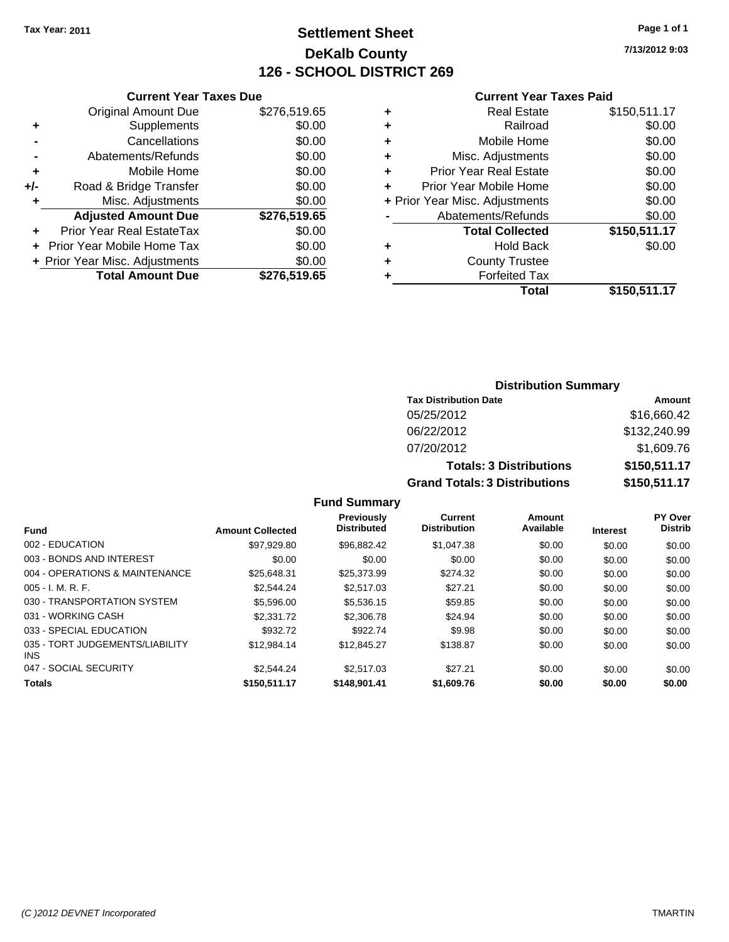## **Settlement Sheet Tax Year: 2011 Page 1 of 1 DeKalb County 126 - SCHOOL DISTRICT 269**

**7/13/2012 9:03**

#### **Current Year Taxes Paid**

|     | <b>Current Year Taxes Due</b>  |              |  |  |  |
|-----|--------------------------------|--------------|--|--|--|
|     | <b>Original Amount Due</b>     | \$276,519.65 |  |  |  |
| ٠   | Supplements                    | \$0.00       |  |  |  |
|     | Cancellations                  | \$0.00       |  |  |  |
|     | Abatements/Refunds             | \$0.00       |  |  |  |
| ٠   | Mobile Home                    | \$0.00       |  |  |  |
| +/- | Road & Bridge Transfer         | \$0.00       |  |  |  |
| ٠   | Misc. Adjustments              | \$0.00       |  |  |  |
|     | <b>Adjusted Amount Due</b>     | \$276,519.65 |  |  |  |
|     | Prior Year Real EstateTax      | \$0.00       |  |  |  |
|     | Prior Year Mobile Home Tax     | \$0.00       |  |  |  |
|     | + Prior Year Misc. Adjustments | \$0.00       |  |  |  |
|     | <b>Total Amount Due</b>        | \$276,519.65 |  |  |  |
|     |                                |              |  |  |  |

| ٠ | <b>Real Estate</b>             | \$150,511.17 |
|---|--------------------------------|--------------|
| ٠ | Railroad                       | \$0.00       |
| ٠ | Mobile Home                    | \$0.00       |
| ٠ | Misc. Adjustments              | \$0.00       |
| ÷ | <b>Prior Year Real Estate</b>  | \$0.00       |
| ٠ | Prior Year Mobile Home         | \$0.00       |
|   | + Prior Year Misc. Adjustments | \$0.00       |
|   | Abatements/Refunds             | \$0.00       |
|   | <b>Total Collected</b>         | \$150,511.17 |
| ٠ | <b>Hold Back</b>               | \$0.00       |
| ٠ | <b>County Trustee</b>          |              |
| ٠ | <b>Forfeited Tax</b>           |              |
|   | Total                          | \$150,511.17 |
|   |                                |              |

### **Distribution Summary Tax Distribution Date Amount** 05/25/2012 \$16,660.42 06/22/2012 \$132,240.99 07/20/2012 \$1,609.76 **Totals: 3 Distributions \$150,511.17 Grand Totals: 3 Distributions \$150,511.17**

| <b>Fund</b>                                   | <b>Amount Collected</b> | <b>Previously</b><br><b>Distributed</b> | Current<br><b>Distribution</b> | Amount<br>Available | <b>Interest</b> | <b>PY Over</b><br><b>Distrib</b> |
|-----------------------------------------------|-------------------------|-----------------------------------------|--------------------------------|---------------------|-----------------|----------------------------------|
| 002 - EDUCATION                               | \$97.929.80             | \$96.882.42                             | \$1.047.38                     | \$0.00              | \$0.00          | \$0.00                           |
| 003 - BONDS AND INTEREST                      | \$0.00                  | \$0.00                                  | \$0.00                         | \$0.00              | \$0.00          | \$0.00                           |
| 004 - OPERATIONS & MAINTENANCE                | \$25.648.31             | \$25,373.99                             | \$274.32                       | \$0.00              | \$0.00          | \$0.00                           |
| $005 - I. M. R. F.$                           | \$2,544.24              | \$2,517.03                              | \$27.21                        | \$0.00              | \$0.00          | \$0.00                           |
| 030 - TRANSPORTATION SYSTEM                   | \$5,596.00              | \$5.536.15                              | \$59.85                        | \$0.00              | \$0.00          | \$0.00                           |
| 031 - WORKING CASH                            | \$2,331.72              | \$2,306.78                              | \$24.94                        | \$0.00              | \$0.00          | \$0.00                           |
| 033 - SPECIAL EDUCATION                       | \$932.72                | \$922.74                                | \$9.98                         | \$0.00              | \$0.00          | \$0.00                           |
| 035 - TORT JUDGEMENTS/LIABILITY<br><b>INS</b> | \$12.984.14             | \$12,845.27                             | \$138.87                       | \$0.00              | \$0.00          | \$0.00                           |
| 047 - SOCIAL SECURITY                         | \$2.544.24              | \$2,517.03                              | \$27.21                        | \$0.00              | \$0.00          | \$0.00                           |
| <b>Totals</b>                                 | \$150,511.17            | \$148,901.41                            | \$1,609.76                     | \$0.00              | \$0.00          | \$0.00                           |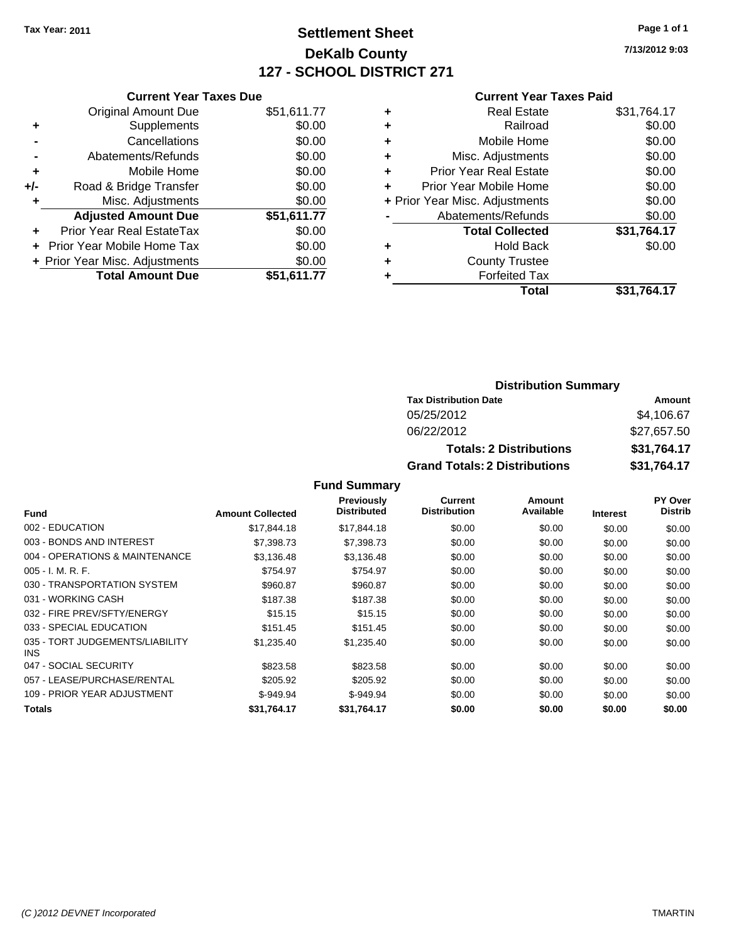## **Settlement Sheet Tax Year: 2011 Page 1 of 1 DeKalb County 127 - SCHOOL DISTRICT 271**

**7/13/2012 9:03**

#### **Current Year Taxes Paid**

|       | <b>Current Year Taxes Due</b>  |             |
|-------|--------------------------------|-------------|
|       | <b>Original Amount Due</b>     | \$51,611.77 |
| ٠     | Supplements                    | \$0.00      |
|       | Cancellations                  | \$0.00      |
|       | Abatements/Refunds             | \$0.00      |
| ٠     | Mobile Home                    | \$0.00      |
| $+/-$ | Road & Bridge Transfer         | \$0.00      |
| ٠     | Misc. Adjustments              | \$0.00      |
|       | <b>Adjusted Amount Due</b>     | \$51,611.77 |
|       | Prior Year Real EstateTax      | \$0.00      |
|       | Prior Year Mobile Home Tax     | \$0.00      |
|       | + Prior Year Misc. Adjustments | \$0.00      |
|       | <b>Total Amount Due</b>        | \$51.611.77 |
|       |                                |             |

| ٠ | <b>Real Estate</b>             | \$31,764.17 |
|---|--------------------------------|-------------|
| ٠ | Railroad                       | \$0.00      |
| ٠ | Mobile Home                    | \$0.00      |
| ٠ | Misc. Adjustments              | \$0.00      |
| ÷ | <b>Prior Year Real Estate</b>  | \$0.00      |
| ÷ | Prior Year Mobile Home         | \$0.00      |
|   | + Prior Year Misc. Adjustments | \$0.00      |
|   | Abatements/Refunds             | \$0.00      |
|   | <b>Total Collected</b>         | \$31,764.17 |
| ٠ | <b>Hold Back</b>               | \$0.00      |
| ٠ | <b>County Trustee</b>          |             |
|   | <b>Forfeited Tax</b>           |             |
|   | Total                          | \$31.764.17 |

## **Distribution Summary**

| <b>Tax Distribution Date</b>         | Amount      |
|--------------------------------------|-------------|
| 05/25/2012                           | \$4,106.67  |
| 06/22/2012                           | \$27.657.50 |
| <b>Totals: 2 Distributions</b>       | \$31,764.17 |
| <b>Grand Totals: 2 Distributions</b> | \$31,764.17 |

|                                               |                         | <b>Previously</b>  | Current             | Amount    |                 | <b>PY Over</b> |
|-----------------------------------------------|-------------------------|--------------------|---------------------|-----------|-----------------|----------------|
| <b>Fund</b>                                   | <b>Amount Collected</b> | <b>Distributed</b> | <b>Distribution</b> | Available | <b>Interest</b> | <b>Distrib</b> |
| 002 - EDUCATION                               | \$17.844.18             | \$17,844.18        | \$0.00              | \$0.00    | \$0.00          | \$0.00         |
| 003 - BONDS AND INTEREST                      | \$7,398,73              | \$7,398,73         | \$0.00              | \$0.00    | \$0.00          | \$0.00         |
| 004 - OPERATIONS & MAINTENANCE                | \$3,136.48              | \$3,136.48         | \$0.00              | \$0.00    | \$0.00          | \$0.00         |
| $005 - I. M. R. F.$                           | \$754.97                | \$754.97           | \$0.00              | \$0.00    | \$0.00          | \$0.00         |
| 030 - TRANSPORTATION SYSTEM                   | \$960.87                | \$960.87           | \$0.00              | \$0.00    | \$0.00          | \$0.00         |
| 031 - WORKING CASH                            | \$187.38                | \$187.38           | \$0.00              | \$0.00    | \$0.00          | \$0.00         |
| 032 - FIRE PREV/SFTY/ENERGY                   | \$15.15                 | \$15.15            | \$0.00              | \$0.00    | \$0.00          | \$0.00         |
| 033 - SPECIAL EDUCATION                       | \$151.45                | \$151.45           | \$0.00              | \$0.00    | \$0.00          | \$0.00         |
| 035 - TORT JUDGEMENTS/LIABILITY<br><b>INS</b> | \$1,235.40              | \$1,235.40         | \$0.00              | \$0.00    | \$0.00          | \$0.00         |
| 047 - SOCIAL SECURITY                         | \$823.58                | \$823.58           | \$0.00              | \$0.00    | \$0.00          | \$0.00         |
| 057 - LEASE/PURCHASE/RENTAL                   | \$205.92                | \$205.92           | \$0.00              | \$0.00    | \$0.00          | \$0.00         |
| 109 - PRIOR YEAR ADJUSTMENT                   | $$-949.94$              | $$-949.94$         | \$0.00              | \$0.00    | \$0.00          | \$0.00         |
| <b>Totals</b>                                 | \$31.764.17             | \$31.764.17        | \$0.00              | \$0.00    | \$0.00          | \$0.00         |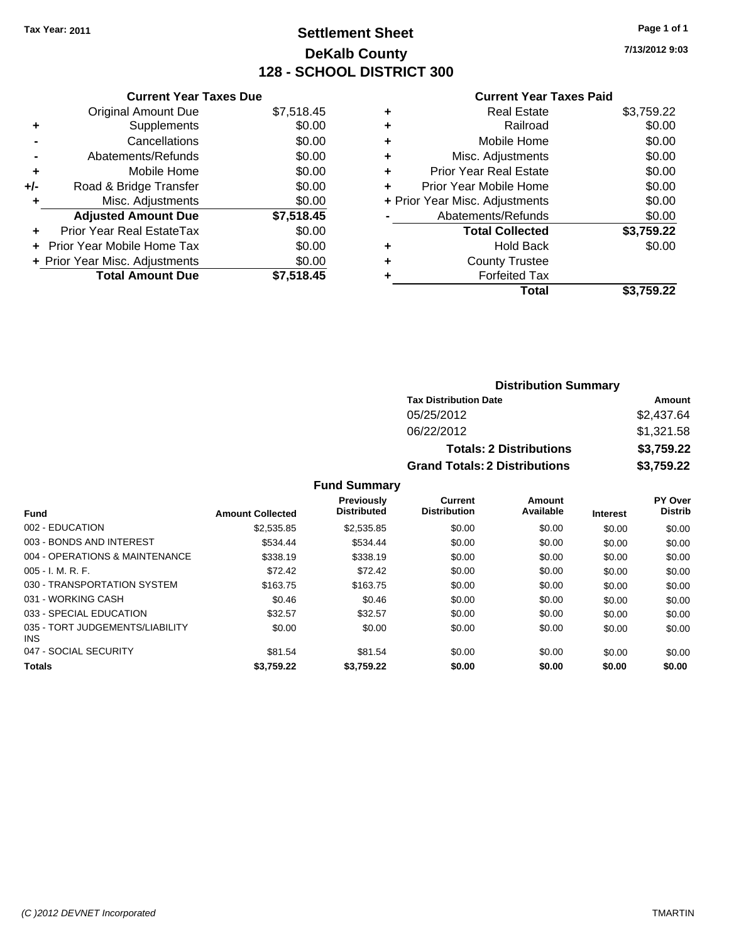## **Settlement Sheet Tax Year: 2011 Page 1 of 1 DeKalb County 128 - SCHOOL DISTRICT 300**

**7/13/2012 9:03**

#### **Current Year Taxes Paid**

|     | <b>Current Year Taxes Due</b>     |            |
|-----|-----------------------------------|------------|
|     | <b>Original Amount Due</b>        | \$7,518.45 |
| ٠   | Supplements                       | \$0.00     |
|     | Cancellations                     | \$0.00     |
|     | Abatements/Refunds                | \$0.00     |
| ٠   | Mobile Home                       | \$0.00     |
| +/- | Road & Bridge Transfer            | \$0.00     |
| ٠   | Misc. Adjustments                 | \$0.00     |
|     | <b>Adjusted Amount Due</b>        | \$7,518.45 |
| ÷   | Prior Year Real EstateTax         | \$0.00     |
| ÷   | <b>Prior Year Mobile Home Tax</b> | \$0.00     |
|     | + Prior Year Misc. Adjustments    | \$0.00     |
|     | <b>Total Amount Due</b>           | \$7.518.45 |

|   | <b>Real Estate</b>             | \$3,759.22 |
|---|--------------------------------|------------|
| ٠ | Railroad                       | \$0.00     |
| ٠ | Mobile Home                    | \$0.00     |
| ٠ | Misc. Adjustments              | \$0.00     |
| ÷ | <b>Prior Year Real Estate</b>  | \$0.00     |
|   | Prior Year Mobile Home         | \$0.00     |
|   | + Prior Year Misc. Adjustments | \$0.00     |
|   | Abatements/Refunds             | \$0.00     |
|   | <b>Total Collected</b>         | \$3,759.22 |
| ٠ | Hold Back                      | \$0.00     |
| ٠ | <b>County Trustee</b>          |            |
| ٠ | <b>Forfeited Tax</b>           |            |
|   | Total                          | \$3,759.22 |
|   |                                |            |

| <b>Distribution Summary</b>          |            |  |  |
|--------------------------------------|------------|--|--|
| <b>Tax Distribution Date</b>         | Amount     |  |  |
| 05/25/2012                           | \$2,437.64 |  |  |
| 06/22/2012                           | \$1,321.58 |  |  |
| <b>Totals: 2 Distributions</b>       | \$3,759.22 |  |  |
| <b>Grand Totals: 2 Distributions</b> | \$3,759.22 |  |  |

| <b>Fund</b>                                   | <b>Amount Collected</b> | <b>Previously</b><br><b>Distributed</b> | Current<br><b>Distribution</b> | Amount<br>Available | <b>Interest</b> | <b>PY Over</b><br><b>Distrib</b> |
|-----------------------------------------------|-------------------------|-----------------------------------------|--------------------------------|---------------------|-----------------|----------------------------------|
| 002 - EDUCATION                               | \$2,535.85              | \$2,535.85                              | \$0.00                         | \$0.00              | \$0.00          | \$0.00                           |
| 003 - BONDS AND INTEREST                      | \$534.44                | \$534.44                                | \$0.00                         | \$0.00              | \$0.00          | \$0.00                           |
| 004 - OPERATIONS & MAINTENANCE                | \$338.19                | \$338.19                                | \$0.00                         | \$0.00              | \$0.00          | \$0.00                           |
| 005 - I. M. R. F.                             | \$72.42                 | \$72.42                                 | \$0.00                         | \$0.00              | \$0.00          | \$0.00                           |
| 030 - TRANSPORTATION SYSTEM                   | \$163.75                | \$163.75                                | \$0.00                         | \$0.00              | \$0.00          | \$0.00                           |
| 031 - WORKING CASH                            | \$0.46                  | \$0.46                                  | \$0.00                         | \$0.00              | \$0.00          | \$0.00                           |
| 033 - SPECIAL EDUCATION                       | \$32.57                 | \$32.57                                 | \$0.00                         | \$0.00              | \$0.00          | \$0.00                           |
| 035 - TORT JUDGEMENTS/LIABILITY<br><b>INS</b> | \$0.00                  | \$0.00                                  | \$0.00                         | \$0.00              | \$0.00          | \$0.00                           |
| 047 - SOCIAL SECURITY                         | \$81.54                 | \$81.54                                 | \$0.00                         | \$0.00              | \$0.00          | \$0.00                           |
| <b>Totals</b>                                 | \$3,759.22              | \$3,759.22                              | \$0.00                         | \$0.00              | \$0.00          | \$0.00                           |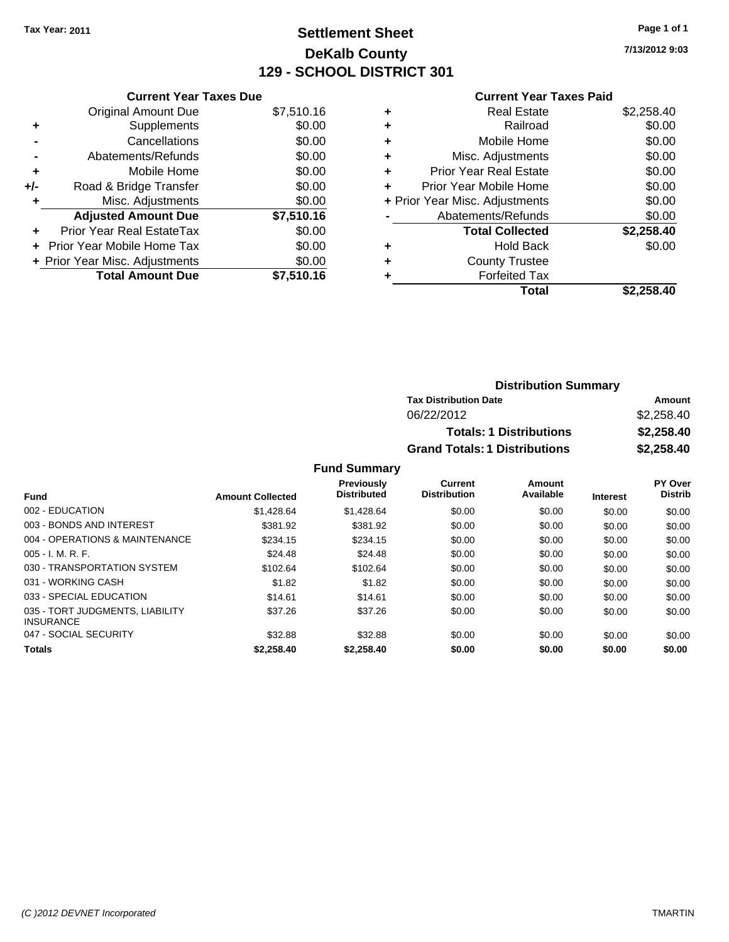## **Settlement Sheet Tax Year: 2011 Page 1 of 1 DeKalb County 129 - SCHOOL DISTRICT 301**

**7/13/2012 9:03**

#### **Current Year Taxes Paid**

|     | <b>Current Year Taxes Due</b>     |            |
|-----|-----------------------------------|------------|
|     | <b>Original Amount Due</b>        | \$7,510.16 |
| ٠   | Supplements                       | \$0.00     |
|     | Cancellations                     | \$0.00     |
|     | Abatements/Refunds                | \$0.00     |
| ٠   | Mobile Home                       | \$0.00     |
| +/- | Road & Bridge Transfer            | \$0.00     |
|     | Misc. Adjustments                 | \$0.00     |
|     | <b>Adjusted Amount Due</b>        | \$7,510.16 |
| ÷   | Prior Year Real EstateTax         | \$0.00     |
|     | <b>Prior Year Mobile Home Tax</b> | \$0.00     |
|     | + Prior Year Misc. Adjustments    | \$0.00     |
|     | <b>Total Amount Due</b>           | \$7,510.16 |

| ٠ | <b>Real Estate</b>             | \$2,258.40 |
|---|--------------------------------|------------|
| ٠ | Railroad                       | \$0.00     |
| ٠ | Mobile Home                    | \$0.00     |
| ٠ | Misc. Adjustments              | \$0.00     |
| ٠ | <b>Prior Year Real Estate</b>  | \$0.00     |
| ٠ | Prior Year Mobile Home         | \$0.00     |
|   | + Prior Year Misc. Adjustments | \$0.00     |
|   | Abatements/Refunds             | \$0.00     |
|   | <b>Total Collected</b>         | \$2,258.40 |
| ٠ | <b>Hold Back</b>               | \$0.00     |
| ٠ | <b>County Trustee</b>          |            |
| ٠ | <b>Forfeited Tax</b>           |            |
|   | Total                          | \$2,258.40 |
|   |                                |            |

| <b>Distribution Summary</b>          |            |
|--------------------------------------|------------|
| <b>Tax Distribution Date</b>         | Amount     |
| 06/22/2012                           | \$2,258.40 |
| <b>Totals: 1 Distributions</b>       | \$2,258,40 |
| <b>Grand Totals: 1 Distributions</b> | \$2,258.40 |

| <b>Fund</b>                                         | <b>Amount Collected</b> | <b>Previously</b><br><b>Distributed</b> | Current<br><b>Distribution</b> | Amount<br>Available | <b>Interest</b> | PY Over<br><b>Distrib</b> |
|-----------------------------------------------------|-------------------------|-----------------------------------------|--------------------------------|---------------------|-----------------|---------------------------|
| 002 - EDUCATION                                     | \$1,428.64              | \$1,428.64                              | \$0.00                         | \$0.00              | \$0.00          | \$0.00                    |
| 003 - BONDS AND INTEREST                            | \$381.92                | \$381.92                                | \$0.00                         | \$0.00              | \$0.00          | \$0.00                    |
| 004 - OPERATIONS & MAINTENANCE                      | \$234.15                | \$234.15                                | \$0.00                         | \$0.00              | \$0.00          | \$0.00                    |
| $005 - I. M. R. F.$                                 | \$24.48                 | \$24.48                                 | \$0.00                         | \$0.00              | \$0.00          | \$0.00                    |
| 030 - TRANSPORTATION SYSTEM                         | \$102.64                | \$102.64                                | \$0.00                         | \$0.00              | \$0.00          | \$0.00                    |
| 031 - WORKING CASH                                  | \$1.82                  | \$1.82                                  | \$0.00                         | \$0.00              | \$0.00          | \$0.00                    |
| 033 - SPECIAL EDUCATION                             | \$14.61                 | \$14.61                                 | \$0.00                         | \$0.00              | \$0.00          | \$0.00                    |
| 035 - TORT JUDGMENTS, LIABILITY<br><b>INSURANCE</b> | \$37.26                 | \$37.26                                 | \$0.00                         | \$0.00              | \$0.00          | \$0.00                    |
| 047 - SOCIAL SECURITY                               | \$32.88                 | \$32.88                                 | \$0.00                         | \$0.00              | \$0.00          | \$0.00                    |
| <b>Totals</b>                                       | \$2.258.40              | \$2,258.40                              | \$0.00                         | \$0.00              | \$0.00          | \$0.00                    |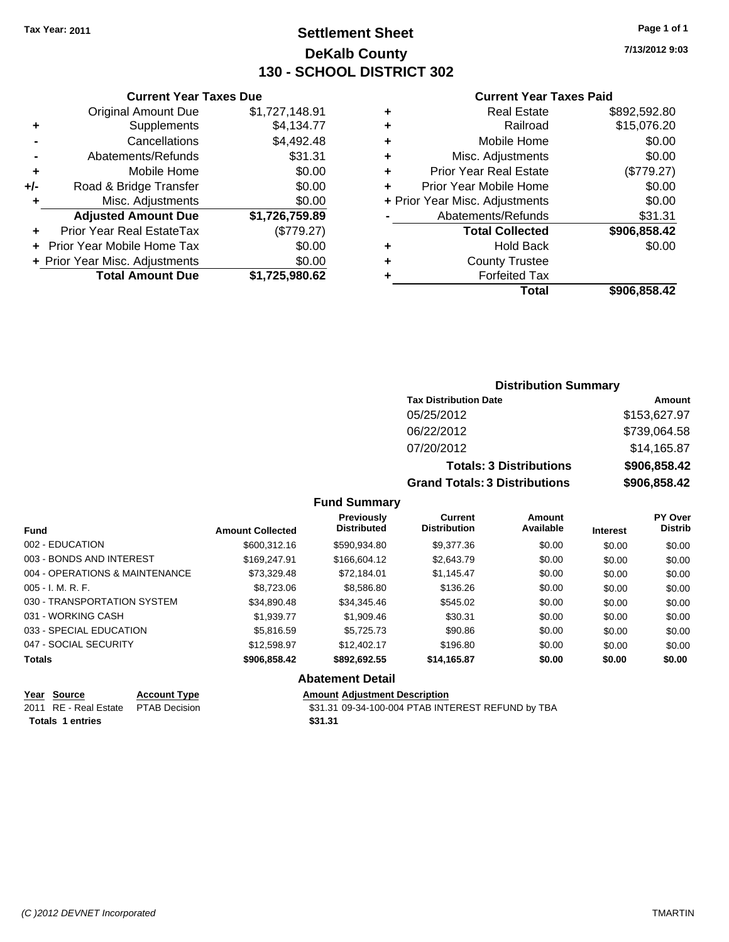## **Settlement Sheet Tax Year: 2011 Page 1 of 1 DeKalb County 130 - SCHOOL DISTRICT 302**

**7/13/2012 9:03**

#### **Current Year Taxes Paid**

|     | <b>Total Amount Due</b>           | \$1,725,980.62 |
|-----|-----------------------------------|----------------|
|     | + Prior Year Misc. Adjustments    | \$0.00         |
|     | <b>Prior Year Mobile Home Tax</b> | \$0.00         |
|     | Prior Year Real EstateTax         | (\$779.27)     |
|     | <b>Adjusted Amount Due</b>        | \$1,726,759.89 |
| ٠   | Misc. Adjustments                 | \$0.00         |
| +/- | Road & Bridge Transfer            | \$0.00         |
| ÷   | Mobile Home                       | \$0.00         |
|     | Abatements/Refunds                | \$31.31        |
|     | Cancellations                     | \$4,492.48     |
| ٠   | Supplements                       | \$4,134.77     |
|     | <b>Original Amount Due</b>        | \$1,727,148.91 |
|     |                                   |                |

**Current Year Taxes Due**

| ٠ | <b>Real Estate</b>             | \$892,592.80 |
|---|--------------------------------|--------------|
| ٠ | Railroad                       | \$15,076.20  |
| ٠ | Mobile Home                    | \$0.00       |
| ٠ | Misc. Adjustments              | \$0.00       |
| ٠ | <b>Prior Year Real Estate</b>  | (\$779.27)   |
| ÷ | Prior Year Mobile Home         | \$0.00       |
|   | + Prior Year Misc. Adjustments | \$0.00       |
|   | Abatements/Refunds             | \$31.31      |
|   | <b>Total Collected</b>         | \$906,858.42 |
| ٠ | Hold Back                      | \$0.00       |
| ٠ | <b>County Trustee</b>          |              |
| ٠ | <b>Forfeited Tax</b>           |              |
|   | Total                          | \$906,858.42 |
|   |                                |              |

#### **Distribution Summary Tax Distribution Date Amount** 05/25/2012 \$153,627.97 06/22/2012 \$739,064.58 07/20/2012 \$14,165.87 **Totals: 3 Distributions \$906,858.42 Grand Totals: 3 Distributions \$906,858.42**

#### **Fund Summary**

| <b>Fund</b>                    | <b>Amount Collected</b> | <b>Previously</b><br><b>Distributed</b> | Current<br><b>Distribution</b> | <b>Amount</b><br>Available | <b>Interest</b> | <b>PY Over</b><br><b>Distrib</b> |
|--------------------------------|-------------------------|-----------------------------------------|--------------------------------|----------------------------|-----------------|----------------------------------|
| 002 - EDUCATION                | \$600,312.16            | \$590.934.80                            | \$9,377.36                     | \$0.00                     | \$0.00          | \$0.00                           |
| 003 - BONDS AND INTEREST       | \$169,247.91            | \$166,604.12                            | \$2,643.79                     | \$0.00                     | \$0.00          | \$0.00                           |
| 004 - OPERATIONS & MAINTENANCE | \$73,329.48             | \$72.184.01                             | \$1,145.47                     | \$0.00                     | \$0.00          | \$0.00                           |
| $005 - I. M. R. F.$            | \$8,723,06              | \$8,586.80                              | \$136.26                       | \$0.00                     | \$0.00          | \$0.00                           |
| 030 - TRANSPORTATION SYSTEM    | \$34,890.48             | \$34,345.46                             | \$545.02                       | \$0.00                     | \$0.00          | \$0.00                           |
| 031 - WORKING CASH             | \$1,939.77              | \$1,909.46                              | \$30.31                        | \$0.00                     | \$0.00          | \$0.00                           |
| 033 - SPECIAL EDUCATION        | \$5,816.59              | \$5,725.73                              | \$90.86                        | \$0.00                     | \$0.00          | \$0.00                           |
| 047 - SOCIAL SECURITY          | \$12,598.97             | \$12,402.17                             | \$196.80                       | \$0.00                     | \$0.00          | \$0.00                           |
| <b>Totals</b>                  | \$906,858.42            | \$892,692.55                            | \$14,165.87                    | \$0.00                     | \$0.00          | \$0.00                           |

# **Abatement Detail**<br>**Amount Adjustment**

| Year Source                         | <b>Account Type</b> | <b>Amount Adjustment Description</b>              |
|-------------------------------------|---------------------|---------------------------------------------------|
| 2011 RE - Real Estate PTAB Decision |                     | \$31.31 09-34-100-004 PTAB INTEREST REFUND by TBA |
| <b>Totals 1 entries</b>             |                     | \$31.31                                           |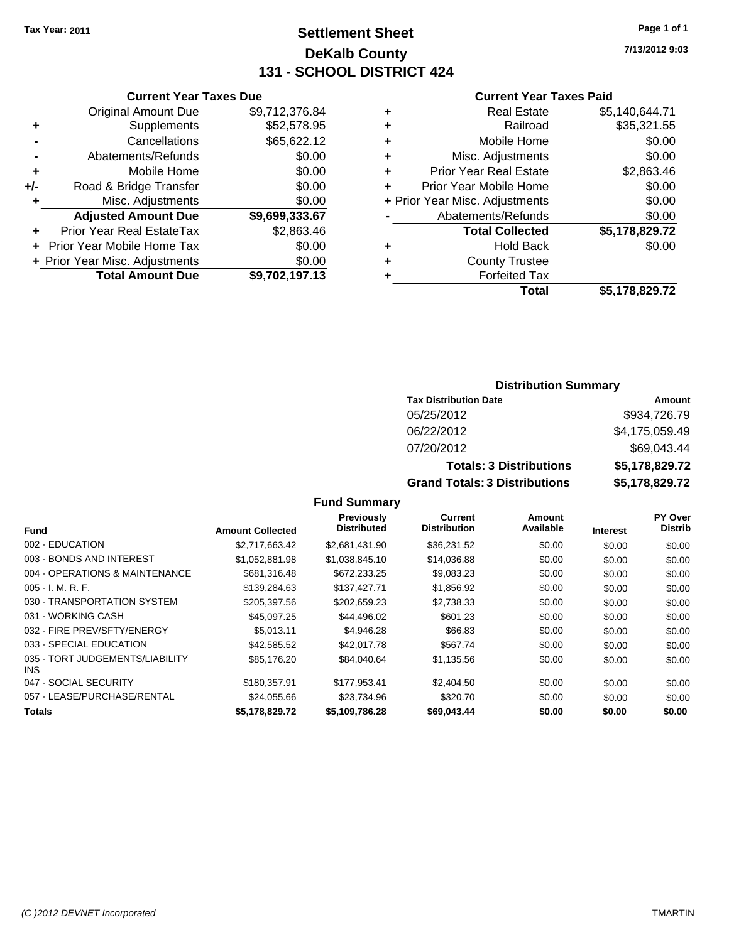Original Amount Due

**Adjusted Amount Due** 

**Total Amount Due** 

**+** Supplements **-** Cancellations **-** Abatements/Refunds **+** Mobile Home **+/-** Road & Bridge Transfer **+** Misc. Adjustments

**+** Prior Year Real EstateTax \$2,863.46 **+** Prior Year Mobile Home Tax **+ Prior Year Misc. Adjustments** 

## **Settlement Sheet Tax Year: 2011 Page 1 of 1 DeKalb County 131 - SCHOOL DISTRICT 424**

**7/13/2012 9:03**

#### **Current Year Taxes Paid**

| <b>Current Year Taxes Due</b> |                |   | <b>Current Year Taxes Paid</b> |                |
|-------------------------------|----------------|---|--------------------------------|----------------|
| ıl Amount Due                 | \$9,712,376.84 | ٠ | <b>Real Estate</b>             | \$5,140,644.71 |
| Supplements                   | \$52,578.95    | ٠ | Railroad                       | \$35,321.55    |
| Cancellations                 | \$65,622.12    | ÷ | Mobile Home                    | \$0.00         |
| าents/Refunds                 | \$0.00         | ÷ | Misc. Adjustments              | \$0.00         |
| Mobile Home                   | \$0.00         | ÷ | <b>Prior Year Real Estate</b>  | \$2,863.46     |
| ridge Transfer                | \$0.00         | ÷ | Prior Year Mobile Home         | \$0.00         |
| . Adjustments                 | \$0.00         |   | + Prior Year Misc. Adjustments | \$0.00         |
| <b>Amount Due</b>             | \$9,699,333.67 |   | Abatements/Refunds             | \$0.00         |
| eal EstateTax                 | \$2,863.46     |   | <b>Total Collected</b>         | \$5,178,829.72 |
| pile Home Tax                 | \$0.00         | ÷ | <b>Hold Back</b>               | \$0.00         |
| . Adjustments                 | \$0.00         | ÷ | <b>County Trustee</b>          |                |
| <b>Amount Due</b>             | \$9,702,197.13 |   | <b>Forfeited Tax</b>           |                |
|                               |                |   | Total                          | \$5,178,829.72 |

#### **Distribution Summary**

| <b>Tax Distribution Date</b>         | Amount         |
|--------------------------------------|----------------|
| 05/25/2012                           | \$934,726.79   |
| 06/22/2012                           | \$4,175,059.49 |
| 07/20/2012                           | \$69,043.44    |
| <b>Totals: 3 Distributions</b>       | \$5,178,829.72 |
| <b>Grand Totals: 3 Distributions</b> | \$5,178,829.72 |

|                                               |                         | Previously         | Current             | Amount    |                 | <b>PY Over</b> |
|-----------------------------------------------|-------------------------|--------------------|---------------------|-----------|-----------------|----------------|
| Fund                                          | <b>Amount Collected</b> | <b>Distributed</b> | <b>Distribution</b> | Available | <b>Interest</b> | <b>Distrib</b> |
| 002 - EDUCATION                               | \$2.717.663.42          | \$2.681.431.90     | \$36,231.52         | \$0.00    | \$0.00          | \$0.00         |
| 003 - BONDS AND INTEREST                      | \$1.052.881.98          | \$1.038.845.10     | \$14,036.88         | \$0.00    | \$0.00          | \$0.00         |
| 004 - OPERATIONS & MAINTENANCE                | \$681,316.48            | \$672,233,25       | \$9,083.23          | \$0.00    | \$0.00          | \$0.00         |
| $005 - I. M. R. F.$                           | \$139,284.63            | \$137,427,71       | \$1,856.92          | \$0.00    | \$0.00          | \$0.00         |
| 030 - TRANSPORTATION SYSTEM                   | \$205,397.56            | \$202.659.23       | \$2,738.33          | \$0.00    | \$0.00          | \$0.00         |
| 031 - WORKING CASH                            | \$45.097.25             | \$44,496.02        | \$601.23            | \$0.00    | \$0.00          | \$0.00         |
| 032 - FIRE PREV/SFTY/ENERGY                   | \$5.013.11              | \$4,946.28         | \$66.83             | \$0.00    | \$0.00          | \$0.00         |
| 033 - SPECIAL EDUCATION                       | \$42,585.52             | \$42,017.78        | \$567.74            | \$0.00    | \$0.00          | \$0.00         |
| 035 - TORT JUDGEMENTS/LIABILITY<br><b>INS</b> | \$85,176.20             | \$84,040.64        | \$1,135.56          | \$0.00    | \$0.00          | \$0.00         |
| 047 - SOCIAL SECURITY                         | \$180.357.91            | \$177.953.41       | \$2,404.50          | \$0.00    | \$0.00          | \$0.00         |
| 057 - LEASE/PURCHASE/RENTAL                   | \$24.055.66             | \$23.734.96        | \$320.70            | \$0.00    | \$0.00          | \$0.00         |
| <b>Totals</b>                                 | \$5,178,829.72          | \$5.109.786.28     | \$69,043.44         | \$0.00    | \$0.00          | \$0.00         |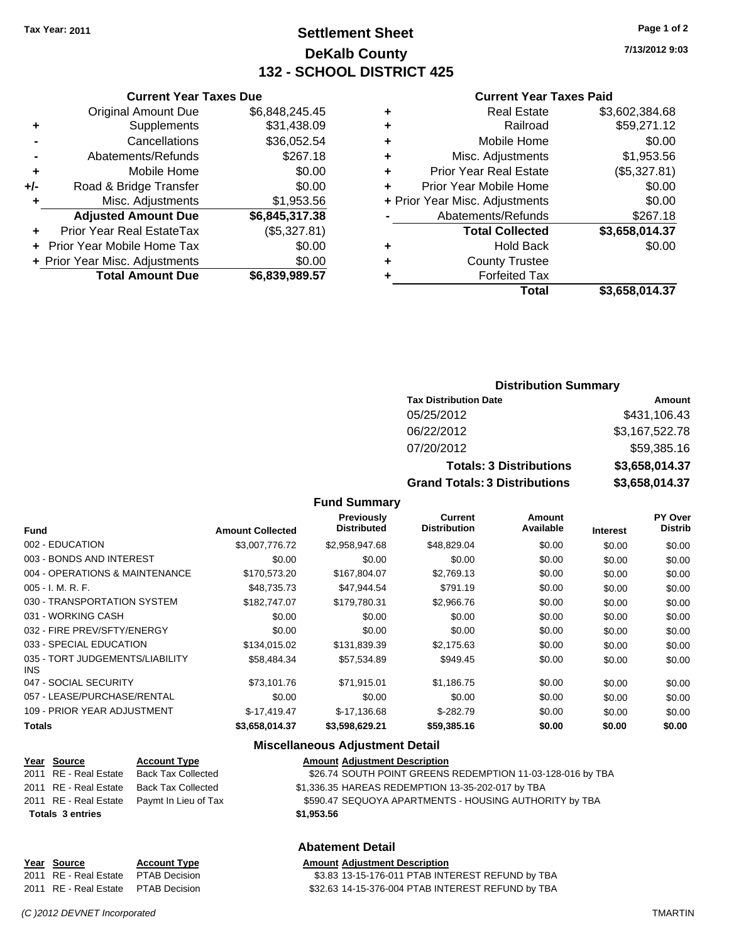## **Settlement Sheet Tax Year: 2011 Page 1 of 2 DeKalb County 132 - SCHOOL DISTRICT 425**

**7/13/2012 9:03**

#### **Current Year Taxes Paid**

|   | <b>Real Estate</b>             | \$3,602,384.68 |
|---|--------------------------------|----------------|
| ٠ | Railroad                       | \$59,271.12    |
| ٠ | Mobile Home                    | \$0.00         |
| ٠ | Misc. Adjustments              | \$1,953.56     |
| ÷ | <b>Prior Year Real Estate</b>  | (\$5,327.81)   |
| ÷ | Prior Year Mobile Home         | \$0.00         |
|   | + Prior Year Misc. Adjustments | \$0.00         |
|   | Abatements/Refunds             | \$267.18       |
|   | <b>Total Collected</b>         | \$3,658,014.37 |
| ٠ | <b>Hold Back</b>               | \$0.00         |
| ٠ | <b>County Trustee</b>          |                |
|   | <b>Forfeited Tax</b>           |                |
|   | Total                          | \$3.658.014.37 |

|     | <b>Current Year Taxes Due</b>    |                |  |  |  |
|-----|----------------------------------|----------------|--|--|--|
|     | <b>Original Amount Due</b>       | \$6,848,245.45 |  |  |  |
| ٠   | Supplements                      | \$31,438.09    |  |  |  |
|     | Cancellations                    | \$36,052.54    |  |  |  |
|     | Abatements/Refunds               | \$267.18       |  |  |  |
| ٠   | Mobile Home                      | \$0.00         |  |  |  |
| +/- | Road & Bridge Transfer           | \$0.00         |  |  |  |
| ٠   | Misc. Adjustments                | \$1,953.56     |  |  |  |
|     | <b>Adjusted Amount Due</b>       | \$6,845,317.38 |  |  |  |
|     | <b>Prior Year Real EstateTax</b> | (\$5,327.81)   |  |  |  |
|     | Prior Year Mobile Home Tax       | \$0.00         |  |  |  |
|     | + Prior Year Misc. Adjustments   | \$0.00         |  |  |  |
|     | <b>Total Amount Due</b>          | \$6,839,989.57 |  |  |  |

#### **Distribution Summary**

| <b>Tax Distribution Date</b>         | Amount         |
|--------------------------------------|----------------|
| 05/25/2012                           | \$431,106.43   |
| 06/22/2012                           | \$3,167,522.78 |
| 07/20/2012                           | \$59,385.16    |
| <b>Totals: 3 Distributions</b>       | \$3,658,014.37 |
| <b>Grand Totals: 3 Distributions</b> | \$3,658,014.37 |

#### **Fund Summary**

| <b>Fund</b>                             | <b>Amount Collected</b> | <b>Previously</b><br><b>Distributed</b> | Current<br><b>Distribution</b> | Amount<br>Available | <b>Interest</b> | <b>PY Over</b><br><b>Distrib</b> |
|-----------------------------------------|-------------------------|-----------------------------------------|--------------------------------|---------------------|-----------------|----------------------------------|
| 002 - EDUCATION                         | \$3,007,776,72          | \$2,958,947.68                          | \$48,829.04                    | \$0.00              | \$0.00          | \$0.00                           |
| 003 - BONDS AND INTEREST                | \$0.00                  | \$0.00                                  | \$0.00                         | \$0.00              | \$0.00          | \$0.00                           |
| 004 - OPERATIONS & MAINTENANCE          | \$170,573.20            | \$167,804.07                            | \$2,769.13                     | \$0.00              | \$0.00          | \$0.00                           |
| $005 - I. M. R. F.$                     | \$48.735.73             | \$47,944.54                             | \$791.19                       | \$0.00              | \$0.00          | \$0.00                           |
| 030 - TRANSPORTATION SYSTEM             | \$182,747.07            | \$179,780.31                            | \$2,966.76                     | \$0.00              | \$0.00          | \$0.00                           |
| 031 - WORKING CASH                      | \$0.00                  | \$0.00                                  | \$0.00                         | \$0.00              | \$0.00          | \$0.00                           |
| 032 - FIRE PREV/SFTY/ENERGY             | \$0.00                  | \$0.00                                  | \$0.00                         | \$0.00              | \$0.00          | \$0.00                           |
| 033 - SPECIAL EDUCATION                 | \$134,015.02            | \$131,839.39                            | \$2,175.63                     | \$0.00              | \$0.00          | \$0.00                           |
| 035 - TORT JUDGEMENTS/LIABILITY<br>INS. | \$58,484.34             | \$57,534.89                             | \$949.45                       | \$0.00              | \$0.00          | \$0.00                           |
| 047 - SOCIAL SECURITY                   | \$73,101.76             | \$71,915.01                             | \$1,186.75                     | \$0.00              | \$0.00          | \$0.00                           |
| 057 - LEASE/PURCHASE/RENTAL             | \$0.00                  | \$0.00                                  | \$0.00                         | \$0.00              | \$0.00          | \$0.00                           |
| 109 - PRIOR YEAR ADJUSTMENT             | $$-17,419.47$           | $$-17,136.68$                           | $$-282.79$                     | \$0.00              | \$0.00          | \$0.00                           |
| <b>Totals</b>                           | \$3,658,014.37          | \$3,598,629.21                          | \$59,385.16                    | \$0.00              | \$0.00          | \$0.00                           |

#### **Miscellaneous Adjustment Detail**

| Year Source             | <b>Account Type</b>                        | <b>Amount Adjustment Description</b>                       |
|-------------------------|--------------------------------------------|------------------------------------------------------------|
| 2011 RE - Real Estate   | Back Tax Collected                         | \$26.74 SOUTH POINT GREENS REDEMPTION 11-03-128-016 by TBA |
| 2011 RE - Real Estate   | Back Tax Collected                         | \$1,336.35 HAREAS REDEMPTION 13-35-202-017 by TBA          |
|                         | 2011 RE - Real Estate Paymt In Lieu of Tax | \$590.47 SEQUOYA APARTMENTS - HOUSING AUTHORITY by TBA     |
| <b>Totals 3 entries</b> |                                            | \$1,953.56                                                 |

#### **Abatement Detail**

**Year Source Account Type Amount Adjustment Description** 2011 RE - Real Estate \$3.83 13-15-176-011 PTAB INTEREST REFUND by TBA PTAB Decision 2011 RE - Real Estate \$32.63 14-15-376-004 PTAB INTEREST REFUND by TBA PTAB Decision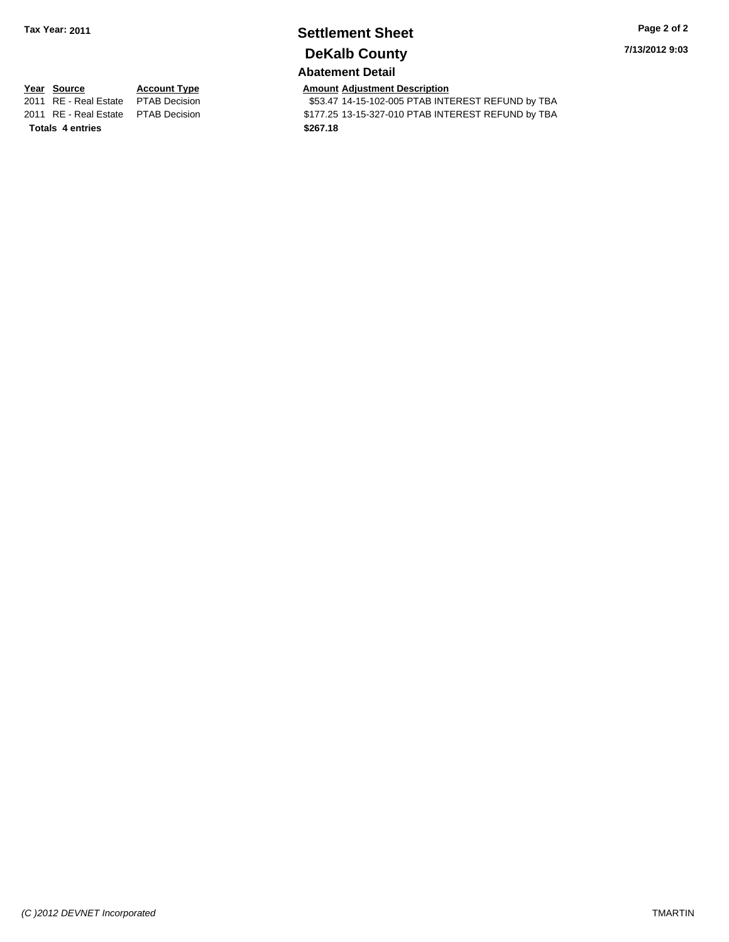## **Settlement Sheet Tax Year: 2011 Page 2 of 2 DeKalb County**

**7/13/2012 9:03**

## **Abatement Detail**

\$53.47 14-15-102-005 PTAB INTEREST REFUND by TBA 2011 RE - Real Estate \$177.25 13-15-327-010 PTAB INTEREST REFUND by TBA PTAB Decision

**Year Source Account Type Amount Adjustment Description**<br>2011 RE - Real Estate PTAB Decision **Amount** \$53.47 14-15-102-005 PTAB INTI **Totals \$267.18 4 entries**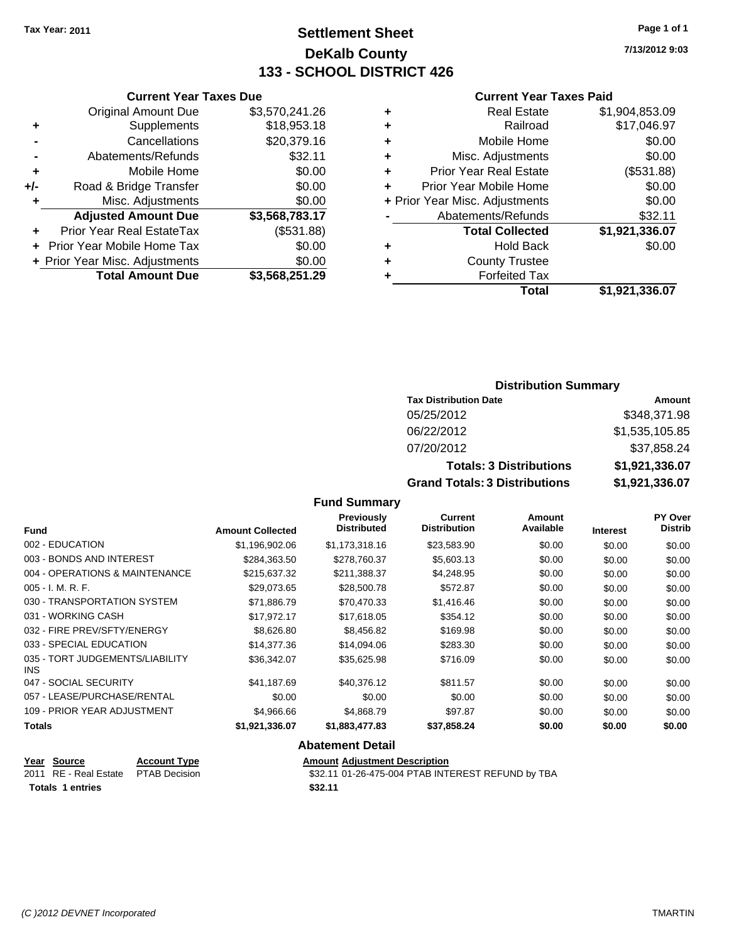## **Settlement Sheet Tax Year: 2011 Page 1 of 1 DeKalb County 133 - SCHOOL DISTRICT 426**

**7/13/2012 9:03**

#### **Current Year Taxes Paid**

| <b>Real Estate</b>            | \$1,904,853.09                 |
|-------------------------------|--------------------------------|
| Railroad                      | \$17,046.97                    |
| Mobile Home                   | \$0.00                         |
| Misc. Adjustments             | \$0.00                         |
| <b>Prior Year Real Estate</b> | (\$531.88)                     |
| Prior Year Mobile Home        | \$0.00                         |
|                               | \$0.00                         |
| Abatements/Refunds            | \$32.11                        |
| <b>Total Collected</b>        | \$1,921,336.07                 |
| <b>Hold Back</b>              | \$0.00                         |
| <b>County Trustee</b>         |                                |
| <b>Forfeited Tax</b>          |                                |
| Total                         | \$1,921,336.07                 |
|                               | + Prior Year Misc. Adjustments |

|     | <b>Current Year Taxes Due</b>  |                |  |  |  |
|-----|--------------------------------|----------------|--|--|--|
|     | <b>Original Amount Due</b>     | \$3,570,241.26 |  |  |  |
| ٠   | Supplements                    | \$18,953.18    |  |  |  |
|     | Cancellations                  | \$20,379.16    |  |  |  |
|     | Abatements/Refunds             | \$32.11        |  |  |  |
| ٠   | Mobile Home                    | \$0.00         |  |  |  |
| +/- | Road & Bridge Transfer         | \$0.00         |  |  |  |
| ٠   | Misc. Adjustments              | \$0.00         |  |  |  |
|     | <b>Adjusted Amount Due</b>     | \$3,568,783.17 |  |  |  |
|     | Prior Year Real EstateTax      | (\$531.88)     |  |  |  |
|     | Prior Year Mobile Home Tax     | \$0.00         |  |  |  |
|     | + Prior Year Misc. Adjustments | \$0.00         |  |  |  |
|     | <b>Total Amount Due</b>        | \$3,568,251.29 |  |  |  |
|     |                                |                |  |  |  |

#### **Distribution Summary**

| <b>Tax Distribution Date</b>         | Amount         |
|--------------------------------------|----------------|
| 05/25/2012                           | \$348,371.98   |
| 06/22/2012                           | \$1,535,105.85 |
| 07/20/2012                           | \$37,858.24    |
| <b>Totals: 3 Distributions</b>       | \$1,921,336.07 |
| <b>Grand Totals: 3 Distributions</b> | \$1,921,336.07 |

#### **Fund Summary**

| <b>Fund</b>                                   | <b>Amount Collected</b> | <b>Previously</b><br><b>Distributed</b> | Current<br><b>Distribution</b> | Amount<br>Available | <b>Interest</b> | <b>PY Over</b><br><b>Distrib</b> |
|-----------------------------------------------|-------------------------|-----------------------------------------|--------------------------------|---------------------|-----------------|----------------------------------|
| 002 - EDUCATION                               | \$1,196,902.06          | \$1,173,318.16                          | \$23,583.90                    | \$0.00              | \$0.00          | \$0.00                           |
| 003 - BONDS AND INTEREST                      | \$284,363.50            | \$278,760.37                            | \$5,603.13                     | \$0.00              | \$0.00          | \$0.00                           |
| 004 - OPERATIONS & MAINTENANCE                | \$215,637.32            | \$211,388.37                            | \$4,248.95                     | \$0.00              | \$0.00          | \$0.00                           |
| $005 - I. M. R. F.$                           | \$29,073.65             | \$28,500.78                             | \$572.87                       | \$0.00              | \$0.00          | \$0.00                           |
| 030 - TRANSPORTATION SYSTEM                   | \$71,886.79             | \$70,470.33                             | \$1,416.46                     | \$0.00              | \$0.00          | \$0.00                           |
| 031 - WORKING CASH                            | \$17.972.17             | \$17,618.05                             | \$354.12                       | \$0.00              | \$0.00          | \$0.00                           |
| 032 - FIRE PREV/SFTY/ENERGY                   | \$8,626.80              | \$8,456.82                              | \$169.98                       | \$0.00              | \$0.00          | \$0.00                           |
| 033 - SPECIAL EDUCATION                       | \$14,377.36             | \$14,094.06                             | \$283.30                       | \$0.00              | \$0.00          | \$0.00                           |
| 035 - TORT JUDGEMENTS/LIABILITY<br><b>INS</b> | \$36.342.07             | \$35.625.98                             | \$716.09                       | \$0.00              | \$0.00          | \$0.00                           |
| 047 - SOCIAL SECURITY                         | \$41.187.69             | \$40.376.12                             | \$811.57                       | \$0.00              | \$0.00          | \$0.00                           |
| 057 - LEASE/PURCHASE/RENTAL                   | \$0.00                  | \$0.00                                  | \$0.00                         | \$0.00              | \$0.00          | \$0.00                           |
| 109 - PRIOR YEAR ADJUSTMENT                   | \$4,966.66              | \$4,868.79                              | \$97.87                        | \$0.00              | \$0.00          | \$0.00                           |
| <b>Totals</b>                                 | \$1,921,336.07          | \$1,883,477.83                          | \$37,858.24                    | \$0.00              | \$0.00          | \$0.00                           |

#### **Abatement Detail**

**Year Source Account Type Amount Adjustment Description**<br>
2011 RE - Real Estate PTAB Decision **Account 1** \$32.11 01-26-475-004 PTAB INTI

\$32.11 01-26-475-004 PTAB INTEREST REFUND by TBA

**Totals 1 entries** \$32.11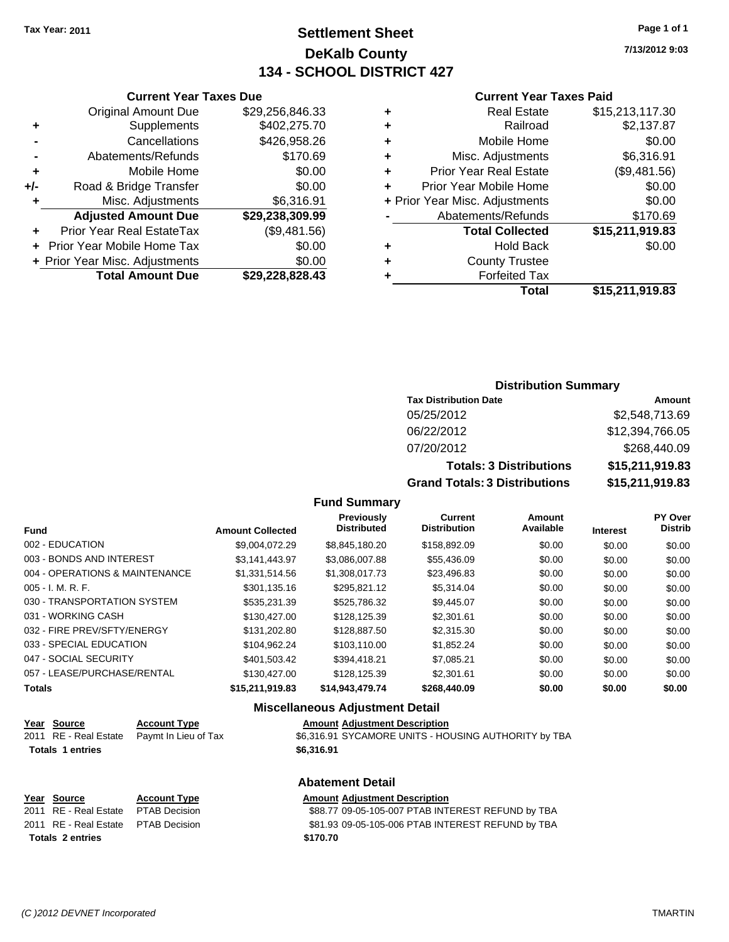## **Settlement Sheet Tax Year: 2011 Page 1 of 1 DeKalb County 134 - SCHOOL DISTRICT 427**

**7/13/2012 9:03**

#### **Current Year Taxes Paid**

|   | Total                          | \$15,211,919.83 |
|---|--------------------------------|-----------------|
|   | <b>Forfeited Tax</b>           |                 |
| ٠ | <b>County Trustee</b>          |                 |
| ٠ | <b>Hold Back</b>               | \$0.00          |
|   | <b>Total Collected</b>         | \$15,211,919.83 |
|   | Abatements/Refunds             | \$170.69        |
|   | + Prior Year Misc. Adjustments | \$0.00          |
| ÷ | Prior Year Mobile Home         | \$0.00          |
| ٠ | <b>Prior Year Real Estate</b>  | (\$9,481.56)    |
| ÷ | Misc. Adjustments              | \$6,316.91      |
| ٠ | Mobile Home                    | \$0.00          |
| ٠ | Railroad                       | \$2,137.87      |
| ٠ | <b>Real Estate</b>             | \$15,213,117.30 |
|   |                                |                 |

|     | <b>Current Year Taxes Due</b>  |                 |
|-----|--------------------------------|-----------------|
|     | <b>Original Amount Due</b>     | \$29,256,846.33 |
| ٠   | Supplements                    | \$402,275.70    |
|     | Cancellations                  | \$426,958.26    |
|     | Abatements/Refunds             | \$170.69        |
| ٠   | Mobile Home                    | \$0.00          |
| +/- | Road & Bridge Transfer         | \$0.00          |
| ٠   | Misc. Adjustments              | \$6,316.91      |
|     | <b>Adjusted Amount Due</b>     | \$29,238,309.99 |
|     | Prior Year Real EstateTax      | (\$9,481.56)    |
|     | Prior Year Mobile Home Tax     | \$0.00          |
|     | + Prior Year Misc. Adjustments | \$0.00          |
|     | <b>Total Amount Due</b>        | \$29,228,828.43 |
|     |                                |                 |

#### **Distribution Summary**

| <b>Tax Distribution Date</b>         | Amount          |
|--------------------------------------|-----------------|
| 05/25/2012                           | \$2,548,713.69  |
| 06/22/2012                           | \$12,394,766.05 |
| 07/20/2012                           | \$268,440.09    |
| <b>Totals: 3 Distributions</b>       | \$15,211,919.83 |
| <b>Grand Totals: 3 Distributions</b> | \$15,211,919.83 |

**Fund Summary**

|                                |                         | <b>Previously</b><br><b>Distributed</b> | <b>Current</b><br><b>Distribution</b> | Amount<br>Available |                 | PY Over<br><b>Distrib</b> |
|--------------------------------|-------------------------|-----------------------------------------|---------------------------------------|---------------------|-----------------|---------------------------|
| <b>Fund</b>                    | <b>Amount Collected</b> |                                         |                                       |                     | <b>Interest</b> |                           |
| 002 - EDUCATION                | \$9.004.072.29          | \$8.845.180.20                          | \$158,892.09                          | \$0.00              | \$0.00          | \$0.00                    |
| 003 - BONDS AND INTEREST       | \$3.141.443.97          | \$3,086,007.88                          | \$55,436.09                           | \$0.00              | \$0.00          | \$0.00                    |
| 004 - OPERATIONS & MAINTENANCE | \$1.331.514.56          | \$1.308.017.73                          | \$23,496.83                           | \$0.00              | \$0.00          | \$0.00                    |
| $005 - I. M. R. F.$            | \$301,135.16            | \$295.821.12                            | \$5,314.04                            | \$0.00              | \$0.00          | \$0.00                    |
| 030 - TRANSPORTATION SYSTEM    | \$535.231.39            | \$525,786.32                            | \$9,445.07                            | \$0.00              | \$0.00          | \$0.00                    |
| 031 - WORKING CASH             | \$130,427.00            | \$128,125,39                            | \$2,301.61                            | \$0.00              | \$0.00          | \$0.00                    |
| 032 - FIRE PREV/SFTY/ENERGY    | \$131.202.80            | \$128,887.50                            | \$2,315.30                            | \$0.00              | \$0.00          | \$0.00                    |
| 033 - SPECIAL EDUCATION        | \$104.962.24            | \$103.110.00                            | \$1.852.24                            | \$0.00              | \$0.00          | \$0.00                    |
| 047 - SOCIAL SECURITY          | \$401.503.42            | \$394,418.21                            | \$7.085.21                            | \$0.00              | \$0.00          | \$0.00                    |
| 057 - LEASE/PURCHASE/RENTAL    | \$130,427,00            | \$128,125,39                            | \$2,301.61                            | \$0.00              | \$0.00          | \$0.00                    |
| <b>Totals</b>                  | \$15,211,919.83         | \$14,943,479.74                         | \$268,440.09                          | \$0.00              | \$0.00          | \$0.00                    |

## **Miscellaneous Adjustment Detail**

| Year Source             | <b>Account Type</b>  | <b>Amount Adjustment Description</b>                 |
|-------------------------|----------------------|------------------------------------------------------|
| 2011 RE - Real Estate   | Pavmt In Lieu of Tax | \$6,316.91 SYCAMORE UNITS - HOUSING AUTHORITY by TBA |
| <b>Totals 1 entries</b> |                      | \$6.316.91                                           |
|                         |                      |                                                      |

#### **Abatement Detail**

| Year Source                         | <b>Account Type</b> | <b>Amount Adjustment Description</b>              |
|-------------------------------------|---------------------|---------------------------------------------------|
| 2011 RE - Real Estate PTAB Decision |                     | \$88.77 09-05-105-007 PTAB INTEREST REFUND by TBA |
| 2011 RE - Real Estate PTAB Decision |                     | \$81.93 09-05-105-006 PTAB INTEREST REFUND by TBA |
| <b>Totals 2 entries</b>             |                     | \$170.70                                          |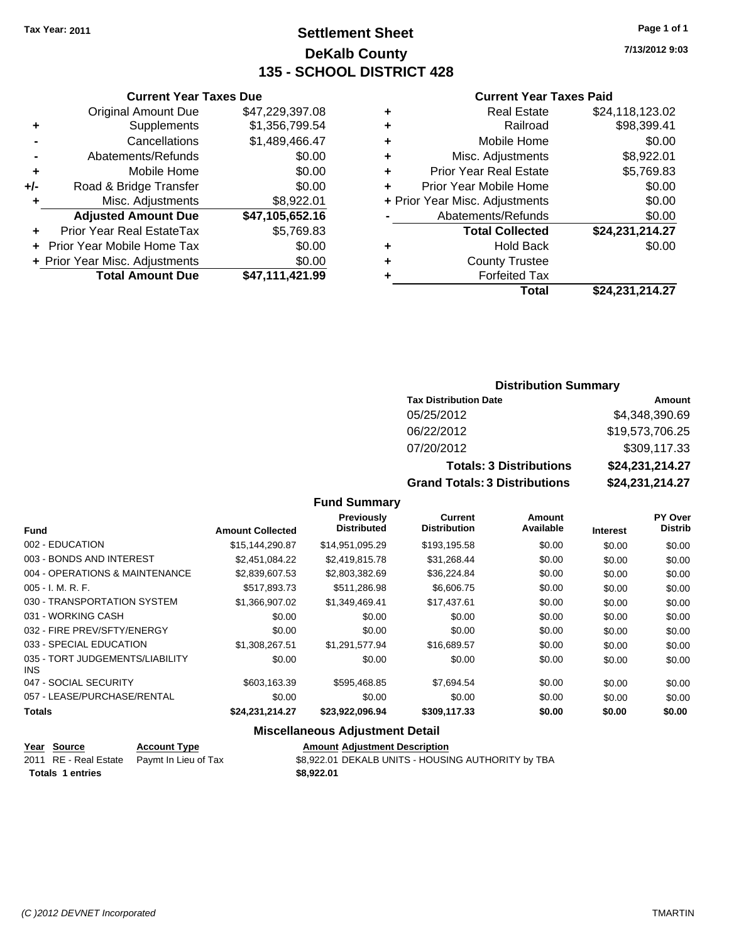## **Settlement Sheet Tax Year: 2011 Page 1 of 1 DeKalb County 135 - SCHOOL DISTRICT 428**

**7/13/2012 9:03**

#### **Current Year Taxes Paid**

| ٠ | <b>Real Estate</b>             | \$24,118,123.02 |
|---|--------------------------------|-----------------|
| ٠ | Railroad                       | \$98,399.41     |
| ٠ | Mobile Home                    | \$0.00          |
| ٠ | Misc. Adjustments              | \$8,922.01      |
| ÷ | <b>Prior Year Real Estate</b>  | \$5,769.83      |
| ٠ | Prior Year Mobile Home         | \$0.00          |
|   | + Prior Year Misc. Adjustments | \$0.00          |
|   | Abatements/Refunds             | \$0.00          |
|   | <b>Total Collected</b>         | \$24,231,214.27 |
| ٠ | Hold Back                      | \$0.00          |
| ٠ | <b>County Trustee</b>          |                 |
| ٠ | <b>Forfeited Tax</b>           |                 |
|   | Total                          | \$24,231,214.27 |

|     | <b>Original Amount Due</b>       | \$47,229,397.08 |
|-----|----------------------------------|-----------------|
| ٠   | Supplements                      | \$1,356,799.54  |
|     | Cancellations                    | \$1,489,466.47  |
|     | Abatements/Refunds               | \$0.00          |
| ÷   | Mobile Home                      | \$0.00          |
| +/- | Road & Bridge Transfer           | \$0.00          |
| ٠   | Misc. Adjustments                | \$8,922.01      |
|     | <b>Adjusted Amount Due</b>       | \$47,105,652.16 |
| ٠   | <b>Prior Year Real EstateTax</b> | \$5,769.83      |
|     | + Prior Year Mobile Home Tax     | \$0.00          |
|     | + Prior Year Misc. Adjustments   | \$0.00          |
|     | <b>Total Amount Due</b>          | \$47,111,421.99 |

**Current Year Taxes Due**

### **Distribution Summary**

| <b>Tax Distribution Date</b>         | Amount          |
|--------------------------------------|-----------------|
| 05/25/2012                           | \$4,348,390.69  |
| 06/22/2012                           | \$19,573,706.25 |
| 07/20/2012                           | \$309,117.33    |
| <b>Totals: 3 Distributions</b>       | \$24,231,214.27 |
| <b>Grand Totals: 3 Distributions</b> | \$24,231,214.27 |

#### **Fund Summary**

|                                         |                         | Previously<br><b>Distributed</b> | Current<br><b>Distribution</b> | Amount<br>Available |                 | <b>PY Over</b><br><b>Distrib</b> |
|-----------------------------------------|-------------------------|----------------------------------|--------------------------------|---------------------|-----------------|----------------------------------|
| <b>Fund</b>                             | <b>Amount Collected</b> |                                  |                                |                     | <b>Interest</b> |                                  |
| 002 - EDUCATION                         | \$15,144,290.87         | \$14,951,095.29                  | \$193,195.58                   | \$0.00              | \$0.00          | \$0.00                           |
| 003 - BONDS AND INTEREST                | \$2,451,084.22          | \$2,419,815.78                   | \$31,268.44                    | \$0.00              | \$0.00          | \$0.00                           |
| 004 - OPERATIONS & MAINTENANCE          | \$2,839,607.53          | \$2,803,382.69                   | \$36,224.84                    | \$0.00              | \$0.00          | \$0.00                           |
| $005 - I. M. R. F.$                     | \$517,893.73            | \$511,286.98                     | \$6,606.75                     | \$0.00              | \$0.00          | \$0.00                           |
| 030 - TRANSPORTATION SYSTEM             | \$1,366,907.02          | \$1.349.469.41                   | \$17,437.61                    | \$0.00              | \$0.00          | \$0.00                           |
| 031 - WORKING CASH                      | \$0.00                  | \$0.00                           | \$0.00                         | \$0.00              | \$0.00          | \$0.00                           |
| 032 - FIRE PREV/SFTY/ENERGY             | \$0.00                  | \$0.00                           | \$0.00                         | \$0.00              | \$0.00          | \$0.00                           |
| 033 - SPECIAL EDUCATION                 | \$1,308,267.51          | \$1,291,577.94                   | \$16,689.57                    | \$0.00              | \$0.00          | \$0.00                           |
| 035 - TORT JUDGEMENTS/LIABILITY<br>INS. | \$0.00                  | \$0.00                           | \$0.00                         | \$0.00              | \$0.00          | \$0.00                           |
| 047 - SOCIAL SECURITY                   | \$603.163.39            | \$595.468.85                     | \$7.694.54                     | \$0.00              | \$0.00          | \$0.00                           |
| 057 - LEASE/PURCHASE/RENTAL             | \$0.00                  | \$0.00                           | \$0.00                         | \$0.00              | \$0.00          | \$0.00                           |
| <b>Totals</b>                           | \$24,231,214.27         | \$23,922,096.94                  | \$309,117.33                   | \$0.00              | \$0.00          | \$0.00                           |

## **Miscellaneous Adjustment Detail**

| <u>Year Source</u>      | <b>Account Type</b>                        | <b>Amount Adjustment Description</b>               |
|-------------------------|--------------------------------------------|----------------------------------------------------|
|                         | 2011 RE - Real Estate Paymt In Lieu of Tax | \$8,922.01 DEKALB UNITS - HOUSING AUTHORITY by TBA |
| <b>Totals 1 entries</b> |                                            | \$8.922.01                                         |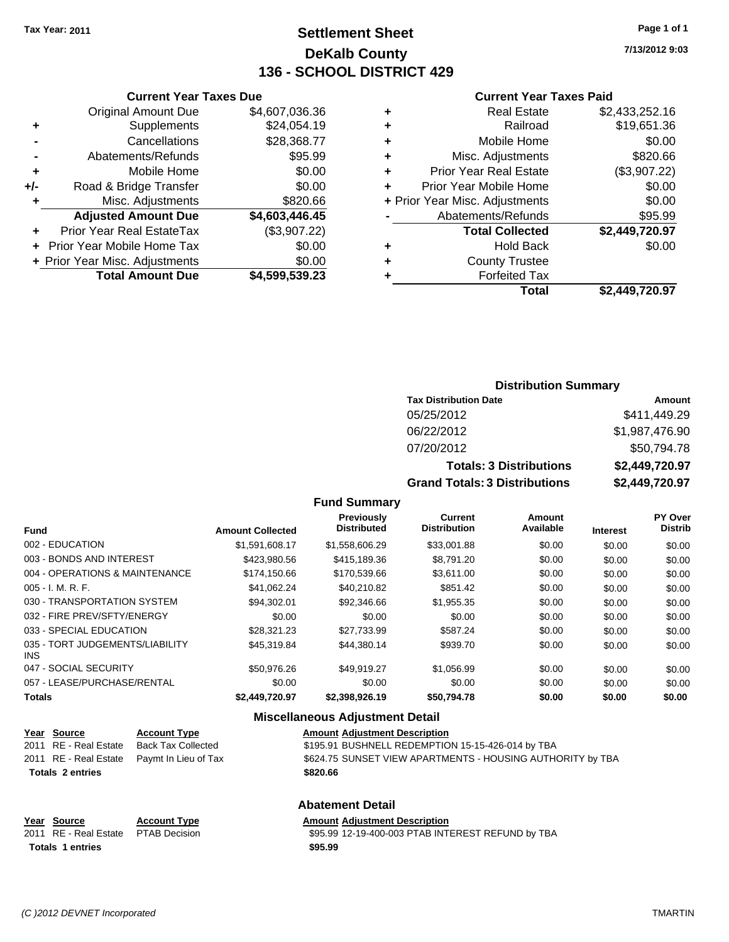## **Settlement Sheet Tax Year: 2011 Page 1 of 1 DeKalb County 136 - SCHOOL DISTRICT 429**

**7/13/2012 9:03**

#### **Current Year Taxes Paid**

| <b>Real Estate</b>            | \$2,433,252.16                 |
|-------------------------------|--------------------------------|
| Railroad                      | \$19,651.36                    |
| Mobile Home                   | \$0.00                         |
| Misc. Adjustments             | \$820.66                       |
| <b>Prior Year Real Estate</b> | (\$3,907.22)                   |
| Prior Year Mobile Home        | \$0.00                         |
|                               | \$0.00                         |
| Abatements/Refunds            | \$95.99                        |
| <b>Total Collected</b>        | \$2,449,720.97                 |
| <b>Hold Back</b>              | \$0.00                         |
| <b>County Trustee</b>         |                                |
| <b>Forfeited Tax</b>          |                                |
| Total                         | \$2,449,720.97                 |
|                               | + Prior Year Misc. Adjustments |

| <b>Current Year Taxes Due</b>  |                |  |  |  |
|--------------------------------|----------------|--|--|--|
| <b>Original Amount Due</b>     | \$4,607,036.36 |  |  |  |
| Supplements                    | \$24,054.19    |  |  |  |
| Cancellations                  | \$28,368.77    |  |  |  |
| Abatements/Refunds             | \$95.99        |  |  |  |
| Mobile Home                    | \$0.00         |  |  |  |
| Road & Bridge Transfer         | \$0.00         |  |  |  |
| Misc. Adjustments              | \$820.66       |  |  |  |
| <b>Adjusted Amount Due</b>     | \$4,603,446.45 |  |  |  |
| Prior Year Real EstateTax      | (\$3,907.22)   |  |  |  |
| Prior Year Mobile Home Tax     | \$0.00         |  |  |  |
| + Prior Year Misc. Adjustments | \$0.00         |  |  |  |
| <b>Total Amount Due</b>        | \$4,599,539.23 |  |  |  |
|                                |                |  |  |  |

#### **Distribution Summary**

| <b>Tax Distribution Date</b>         | Amount         |
|--------------------------------------|----------------|
| 05/25/2012                           | \$411,449.29   |
| 06/22/2012                           | \$1,987,476.90 |
| 07/20/2012                           | \$50,794.78    |
| <b>Totals: 3 Distributions</b>       | \$2,449,720.97 |
| <b>Grand Totals: 3 Distributions</b> | \$2,449,720.97 |

#### **Fund Summary**

| <b>Fund</b>                             | <b>Amount Collected</b> | Previously<br><b>Distributed</b> | <b>Current</b><br><b>Distribution</b> | Amount<br>Available | <b>Interest</b> | <b>PY Over</b><br><b>Distrib</b> |
|-----------------------------------------|-------------------------|----------------------------------|---------------------------------------|---------------------|-----------------|----------------------------------|
|                                         |                         |                                  |                                       |                     |                 |                                  |
| 002 - EDUCATION                         | \$1.591.608.17          | \$1,558,606.29                   | \$33,001.88                           | \$0.00              | \$0.00          | \$0.00                           |
| 003 - BONDS AND INTEREST                | \$423.980.56            | \$415,189.36                     | \$8,791.20                            | \$0.00              | \$0.00          | \$0.00                           |
| 004 - OPERATIONS & MAINTENANCE          | \$174.150.66            | \$170,539,66                     | \$3.611.00                            | \$0.00              | \$0.00          | \$0.00                           |
| $005 - I. M. R. F.$                     | \$41.062.24             | \$40,210.82                      | \$851.42                              | \$0.00              | \$0.00          | \$0.00                           |
| 030 - TRANSPORTATION SYSTEM             | \$94.302.01             | \$92,346.66                      | \$1,955.35                            | \$0.00              | \$0.00          | \$0.00                           |
| 032 - FIRE PREV/SFTY/ENERGY             | \$0.00                  | \$0.00                           | \$0.00                                | \$0.00              | \$0.00          | \$0.00                           |
| 033 - SPECIAL EDUCATION                 | \$28,321.23             | \$27.733.99                      | \$587.24                              | \$0.00              | \$0.00          | \$0.00                           |
| 035 - TORT JUDGEMENTS/LIABILITY<br>INS. | \$45,319.84             | \$44,380.14                      | \$939.70                              | \$0.00              | \$0.00          | \$0.00                           |
| 047 - SOCIAL SECURITY                   | \$50,976.26             | \$49.919.27                      | \$1,056.99                            | \$0.00              | \$0.00          | \$0.00                           |
| 057 - LEASE/PURCHASE/RENTAL             | \$0.00                  | \$0.00                           | \$0.00                                | \$0.00              | \$0.00          | \$0.00                           |
| <b>Totals</b>                           | \$2,449,720.97          | \$2,398,926.19                   | \$50,794.78                           | \$0.00              | \$0.00          | \$0.00                           |

#### **Miscellaneous Adjustment Detail**

| Year Source             | <b>Account Type</b>                        | <b>Amount Adjustment Description</b>                       |
|-------------------------|--------------------------------------------|------------------------------------------------------------|
| 2011 RE - Real Estate   | Back Tax Collected                         | \$195.91 BUSHNELL REDEMPTION 15-15-426-014 by TBA          |
|                         | 2011 RE - Real Estate Paymt In Lieu of Tax | \$624.75 SUNSET VIEW APARTMENTS - HOUSING AUTHORITY by TBA |
| <b>Totals 2 entries</b> |                                            | \$820.66                                                   |
|                         |                                            |                                                            |
|                         |                                            |                                                            |

#### **Abatement Detail Year Source Account Type Amount Adjustment Description**<br>
2011 RE - Real Estate PTAB Decision **Amount** \$95.99 12-19-400-003 PTAB INTI \$95.99 12-19-400-003 PTAB INTEREST REFUND by TBA **Totals 1 entries 1 and 1 and 1 and 1 and 1 and 1 and 1 and 1 and 1 and 1 and 1 and 1 and 1 and 1 and 1 and 1 and 1 and 1 and 1 and 1 and 1 and 1 and 1 and 1 and 1 and 1 and 1 and 1 and 1 and 1 and 1 and 1 and 1 and 1 an**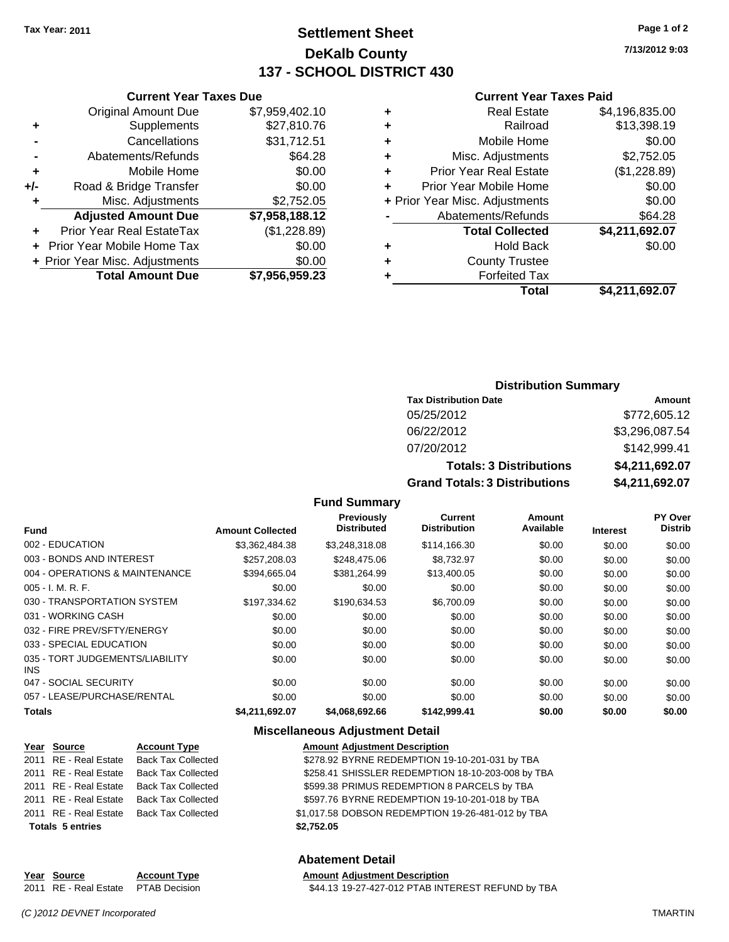## **Settlement Sheet Tax Year: 2011 Page 1 of 2 DeKalb County 137 - SCHOOL DISTRICT 430**

**7/13/2012 9:03**

#### **Current Year Taxes Paid**

| ٠ | <b>Real Estate</b>             | \$4,196,835.00 |
|---|--------------------------------|----------------|
| ٠ | Railroad                       | \$13,398.19    |
| ÷ | Mobile Home                    | \$0.00         |
| ٠ | Misc. Adjustments              | \$2,752.05     |
| ٠ | <b>Prior Year Real Estate</b>  | (\$1,228.89)   |
| ٠ | Prior Year Mobile Home         | \$0.00         |
|   | + Prior Year Misc. Adjustments | \$0.00         |
|   | Abatements/Refunds             | \$64.28        |
|   | <b>Total Collected</b>         | \$4,211,692.07 |
| ٠ | <b>Hold Back</b>               | \$0.00         |
| ٠ | <b>County Trustee</b>          |                |
|   | <b>Forfeited Tax</b>           |                |
|   | Total                          | \$4,211,692.07 |

|     | <b>Current Year Taxes Due</b>  |                |  |  |
|-----|--------------------------------|----------------|--|--|
|     | <b>Original Amount Due</b>     | \$7,959,402.10 |  |  |
| ٠   | Supplements                    | \$27,810.76    |  |  |
|     | Cancellations                  | \$31,712.51    |  |  |
|     | Abatements/Refunds             | \$64.28        |  |  |
| ٠   | Mobile Home                    | \$0.00         |  |  |
| +/- | Road & Bridge Transfer         | \$0.00         |  |  |
| ٠   | Misc. Adjustments              | \$2,752.05     |  |  |
|     | <b>Adjusted Amount Due</b>     | \$7,958,188.12 |  |  |
|     | Prior Year Real EstateTax      | (\$1,228.89)   |  |  |
|     | Prior Year Mobile Home Tax     | \$0.00         |  |  |
|     | + Prior Year Misc. Adjustments | \$0.00         |  |  |
|     | <b>Total Amount Due</b>        | \$7,956,959.23 |  |  |

#### **Distribution Summary**

| <b>Tax Distribution Date</b>         | Amount         |
|--------------------------------------|----------------|
| 05/25/2012                           | \$772,605.12   |
| 06/22/2012                           | \$3,296,087.54 |
| 07/20/2012                           | \$142,999.41   |
| <b>Totals: 3 Distributions</b>       | \$4,211,692.07 |
| <b>Grand Totals: 3 Distributions</b> | \$4,211,692.07 |

#### **Fund Summary**

| Fund                                          | <b>Amount Collected</b> | <b>Previously</b><br><b>Distributed</b> | <b>Current</b><br><b>Distribution</b> | Amount<br>Available | <b>Interest</b> | PY Over<br><b>Distrib</b> |
|-----------------------------------------------|-------------------------|-----------------------------------------|---------------------------------------|---------------------|-----------------|---------------------------|
| 002 - EDUCATION                               | \$3.362,484.38          | \$3.248.318.08                          | \$114,166.30                          | \$0.00              | \$0.00          | \$0.00                    |
| 003 - BONDS AND INTEREST                      | \$257,208.03            | \$248,475.06                            | \$8,732.97                            | \$0.00              | \$0.00          | \$0.00                    |
| 004 - OPERATIONS & MAINTENANCE                | \$394,665.04            | \$381.264.99                            | \$13,400.05                           | \$0.00              | \$0.00          | \$0.00                    |
| $005 - I. M. R. F.$                           | \$0.00                  | \$0.00                                  | \$0.00                                | \$0.00              | \$0.00          | \$0.00                    |
| 030 - TRANSPORTATION SYSTEM                   | \$197.334.62            | \$190.634.53                            | \$6,700.09                            | \$0.00              | \$0.00          | \$0.00                    |
| 031 - WORKING CASH                            | \$0.00                  | \$0.00                                  | \$0.00                                | \$0.00              | \$0.00          | \$0.00                    |
| 032 - FIRE PREV/SFTY/ENERGY                   | \$0.00                  | \$0.00                                  | \$0.00                                | \$0.00              | \$0.00          | \$0.00                    |
| 033 - SPECIAL EDUCATION                       | \$0.00                  | \$0.00                                  | \$0.00                                | \$0.00              | \$0.00          | \$0.00                    |
| 035 - TORT JUDGEMENTS/LIABILITY<br><b>INS</b> | \$0.00                  | \$0.00                                  | \$0.00                                | \$0.00              | \$0.00          | \$0.00                    |
| 047 - SOCIAL SECURITY                         | \$0.00                  | \$0.00                                  | \$0.00                                | \$0.00              | \$0.00          | \$0.00                    |
| 057 - LEASE/PURCHASE/RENTAL                   | \$0.00                  | \$0.00                                  | \$0.00                                | \$0.00              | \$0.00          | \$0.00                    |
| <b>Totals</b>                                 | \$4.211.692.07          | \$4.068.692.66                          | \$142.999.41                          | \$0.00              | \$0.00          | \$0.00                    |

#### **Miscellaneous Adjustment Detail**

| Year Source             | <b>Account Type</b>       | <b>Amount Adjustment Description</b>              |
|-------------------------|---------------------------|---------------------------------------------------|
| 2011 RE - Real Estate   | <b>Back Tax Collected</b> | \$278.92 BYRNE REDEMPTION 19-10-201-031 by TBA    |
| 2011 RE - Real Estate   | Back Tax Collected        | \$258.41 SHISSLER REDEMPTION 18-10-203-008 by TBA |
| 2011 RE - Real Estate   | Back Tax Collected        | \$599.38 PRIMUS REDEMPTION 8 PARCELS by TBA       |
| 2011 RE - Real Estate   | Back Tax Collected        | \$597.76 BYRNE REDEMPTION 19-10-201-018 by TBA    |
| 2011 RE - Real Estate   | Back Tax Collected        | \$1,017.58 DOBSON REDEMPTION 19-26-481-012 by TBA |
| <b>Totals 5 entries</b> |                           | \$2,752.05                                        |
|                         |                           |                                                   |

#### **Abatement Detail**

| Year Source                         | <b>Account Type</b> | <b>Amount Adiustment Description</b>              |
|-------------------------------------|---------------------|---------------------------------------------------|
| 2011 RE - Real Estate PTAB Decision |                     | \$44.13 19-27-427-012 PTAB INTEREST REFUND by TBA |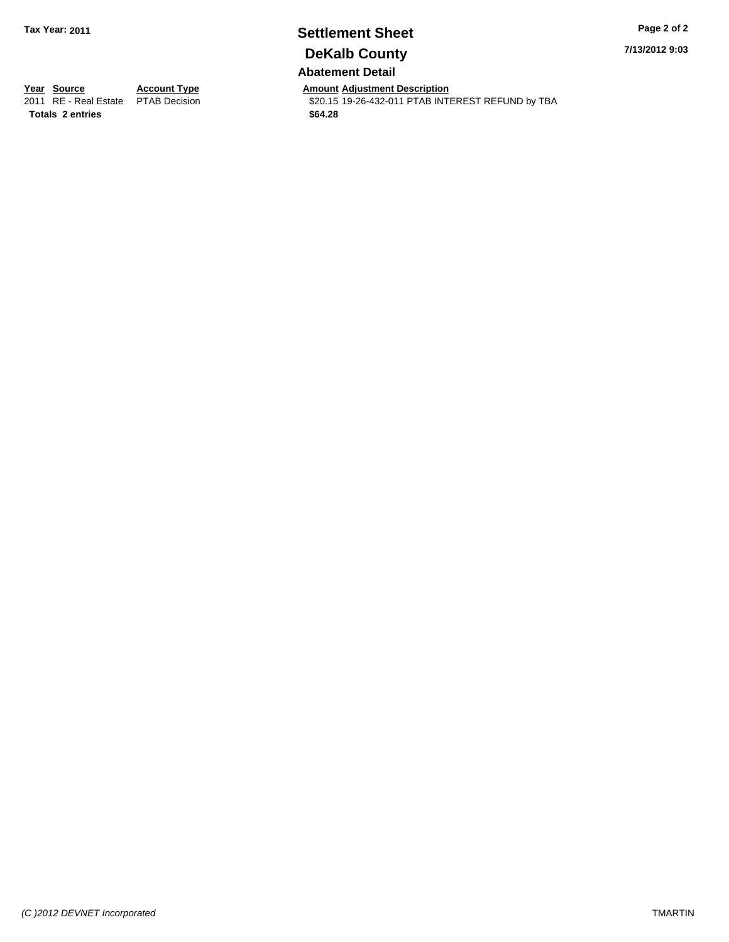## **Settlement Sheet Tax Year: 2011 Page 2 of 2 DeKalb County Abatement Detail**

#### **7/13/2012 9:03**

**Totals \$64.28 2 entries**

**Year Source Account Type Amount Adjustment Description**<br> **2011** RE - Real Estate PTAB Decision **Amount \$20.15** 19-26-432-011 PTAB INTI \$20.15 19-26-432-011 PTAB INTEREST REFUND by TBA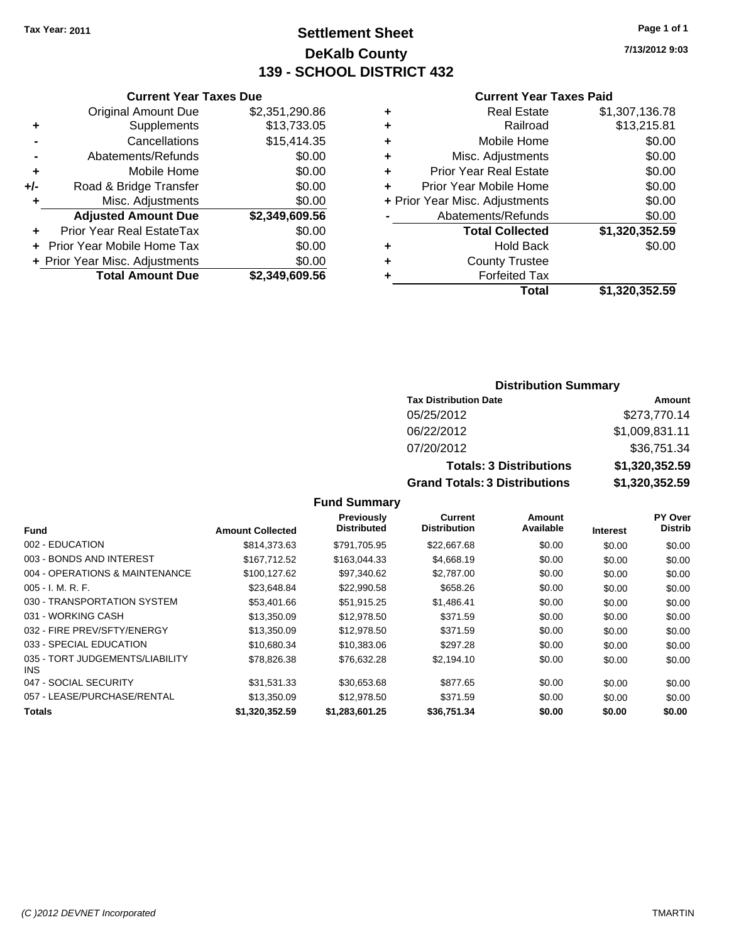## **Settlement Sheet Tax Year: 2011 Page 1 of 1 DeKalb County 139 - SCHOOL DISTRICT 432**

**7/13/2012 9:03**

#### **Current Year Taxes Paid**

|           |   | Total                          | \$1,320,352.59 |
|-----------|---|--------------------------------|----------------|
| 19,609.56 | ٠ | <b>Forfeited Tax</b>           |                |
| \$0.00    | ٠ | <b>County Trustee</b>          |                |
| \$0.00    | ٠ | <b>Hold Back</b>               | \$0.00         |
| \$0.00    |   | <b>Total Collected</b>         | \$1,320,352.59 |
| 19,609.56 |   | Abatements/Refunds             | \$0.00         |
| \$0.00    |   | + Prior Year Misc. Adjustments | \$0.00         |
| \$0.00    | ÷ | Prior Year Mobile Home         | \$0.00         |
| \$0.00    | ÷ | <b>Prior Year Real Estate</b>  | \$0.00         |
| \$0.00    | ÷ | Misc. Adjustments              | \$0.00         |
| 15,414.35 | ÷ | Mobile Home                    | \$0.00         |
| 13,733.05 | ÷ | Railroad                       | \$13,215.81    |
| 51,290.86 | ٠ | <b>Real Estate</b>             | \$1,307,136.78 |
|           |   |                                |                |

|     | <b>Current Year Taxes Due</b>  |                |  |  |
|-----|--------------------------------|----------------|--|--|
|     | <b>Original Amount Due</b>     | \$2,351,290.86 |  |  |
| ٠   | Supplements                    | \$13,733.05    |  |  |
|     | Cancellations                  | \$15,414.35    |  |  |
|     | Abatements/Refunds             | \$0.00         |  |  |
| ٠   | Mobile Home                    | \$0.00         |  |  |
| +/- | Road & Bridge Transfer         | \$0.00         |  |  |
| ٠   | Misc. Adjustments              | \$0.00         |  |  |
|     | <b>Adjusted Amount Due</b>     | \$2,349,609.56 |  |  |
|     | Prior Year Real EstateTax      | \$0.00         |  |  |
|     | Prior Year Mobile Home Tax     | \$0.00         |  |  |
|     | + Prior Year Misc. Adjustments | \$0.00         |  |  |
|     | <b>Total Amount Due</b>        | \$2.349.609.56 |  |  |

#### **Distribution Summary**

| <b>Tax Distribution Date</b>         | Amount         |
|--------------------------------------|----------------|
| 05/25/2012                           | \$273,770.14   |
| 06/22/2012                           | \$1,009,831.11 |
| 07/20/2012                           | \$36,751.34    |
| <b>Totals: 3 Distributions</b>       | \$1,320,352.59 |
| <b>Grand Totals: 3 Distributions</b> | \$1,320,352.59 |

| <b>Fund</b>                             | <b>Amount Collected</b> | <b>Previously</b><br><b>Distributed</b> | Current<br><b>Distribution</b> | Amount<br>Available | <b>Interest</b> | <b>PY Over</b><br><b>Distrib</b> |
|-----------------------------------------|-------------------------|-----------------------------------------|--------------------------------|---------------------|-----------------|----------------------------------|
| 002 - EDUCATION                         |                         |                                         |                                |                     |                 |                                  |
|                                         | \$814,373,63            | \$791,705.95                            | \$22,667.68                    | \$0.00              | \$0.00          | \$0.00                           |
| 003 - BONDS AND INTEREST                | \$167.712.52            | \$163,044.33                            | \$4,668.19                     | \$0.00              | \$0.00          | \$0.00                           |
| 004 - OPERATIONS & MAINTENANCE          | \$100.127.62            | \$97.340.62                             | \$2,787.00                     | \$0.00              | \$0.00          | \$0.00                           |
| $005 - I. M. R. F.$                     | \$23.648.84             | \$22,990.58                             | \$658.26                       | \$0.00              | \$0.00          | \$0.00                           |
| 030 - TRANSPORTATION SYSTEM             | \$53,401.66             | \$51,915.25                             | \$1,486.41                     | \$0.00              | \$0.00          | \$0.00                           |
| 031 - WORKING CASH                      | \$13,350.09             | \$12,978.50                             | \$371.59                       | \$0.00              | \$0.00          | \$0.00                           |
| 032 - FIRE PREV/SFTY/ENERGY             | \$13,350.09             | \$12,978.50                             | \$371.59                       | \$0.00              | \$0.00          | \$0.00                           |
| 033 - SPECIAL EDUCATION                 | \$10.680.34             | \$10.383.06                             | \$297.28                       | \$0.00              | \$0.00          | \$0.00                           |
| 035 - TORT JUDGEMENTS/LIABILITY<br>INS. | \$78,826.38             | \$76,632.28                             | \$2,194.10                     | \$0.00              | \$0.00          | \$0.00                           |
| 047 - SOCIAL SECURITY                   | \$31,531.33             | \$30,653.68                             | \$877.65                       | \$0.00              | \$0.00          | \$0.00                           |
| 057 - LEASE/PURCHASE/RENTAL             | \$13,350.09             | \$12,978.50                             | \$371.59                       | \$0.00              | \$0.00          | \$0.00                           |
| Totals                                  | \$1.320.352.59          | \$1,283,601.25                          | \$36,751.34                    | \$0.00              | \$0.00          | \$0.00                           |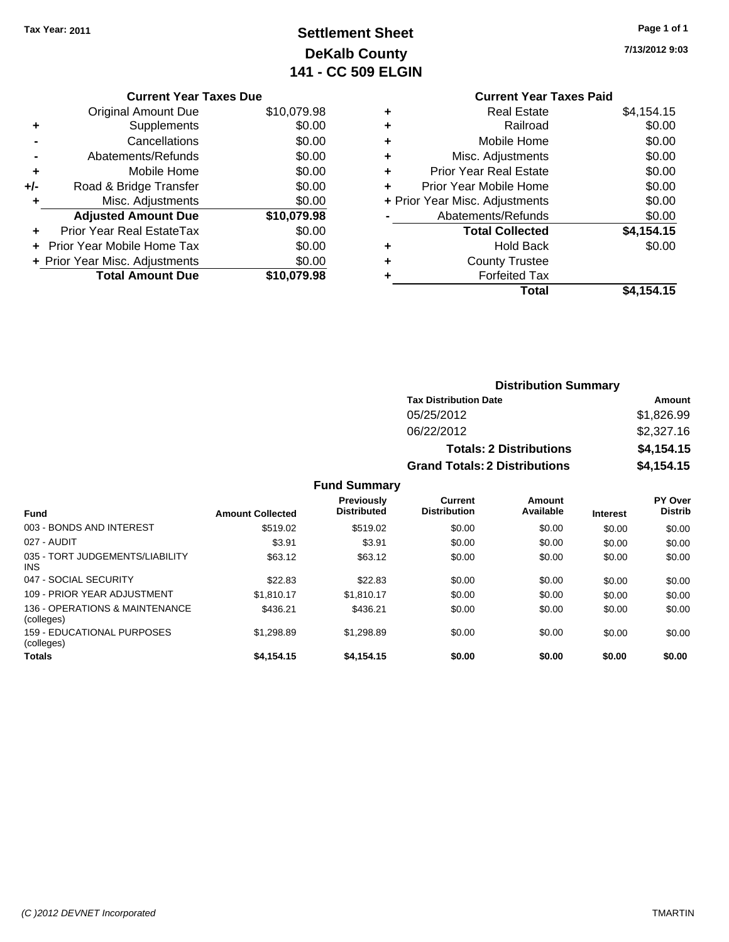## **Settlement Sheet Tax Year: 2011 Page 1 of 1 DeKalb County 141 - CC 509 ELGIN**

**7/13/2012 9:03**

|     | <b>Original Amount Due</b>     | \$10,079.98 |
|-----|--------------------------------|-------------|
| ٠   | Supplements                    | \$0.00      |
|     | Cancellations                  | \$0.00      |
|     | Abatements/Refunds             | \$0.00      |
| ٠   | Mobile Home                    | \$0.00      |
| +/- | Road & Bridge Transfer         | \$0.00      |
| ٠   | Misc. Adjustments              | \$0.00      |
|     | <b>Adjusted Amount Due</b>     | \$10,079.98 |
|     |                                |             |
|     | Prior Year Real EstateTax      | \$0.00      |
|     | Prior Year Mobile Home Tax     | \$0.00      |
|     | + Prior Year Misc. Adjustments | \$0.00      |
|     |                                |             |

#### **Current Year Taxes Paid +** Real Estate \$4,154.15 **+** Railroad \$0.00 **+** Mobile Home \$0.00 **+** Misc. Adjustments \$0.00 **+** Prior Year Real Estate \$0.00 **+** Prior Year Mobile Home \$0.00 **+** Prior Year Misc. Adjustments  $$0.00$ **-** Abatements/Refunds \$0.00 **Total Collected \$4,154.15 +** Hold Back \$0.00 **+** County Trustee **+** Forfeited Tax **Total \$4,154.15**

| <b>Distribution Summary</b>          |            |  |  |  |
|--------------------------------------|------------|--|--|--|
| <b>Tax Distribution Date</b>         | Amount     |  |  |  |
| 05/25/2012                           | \$1,826.99 |  |  |  |
| 06/22/2012                           | \$2,327.16 |  |  |  |
| <b>Totals: 2 Distributions</b>       | \$4,154.15 |  |  |  |
| <b>Grand Totals: 2 Distributions</b> | \$4,154.15 |  |  |  |

|                                              |                         | <b>Fund Summary</b>                     |                                       |                     |                 |                           |
|----------------------------------------------|-------------------------|-----------------------------------------|---------------------------------------|---------------------|-----------------|---------------------------|
| <b>Fund</b>                                  | <b>Amount Collected</b> | <b>Previously</b><br><b>Distributed</b> | <b>Current</b><br><b>Distribution</b> | Amount<br>Available | <b>Interest</b> | PY Over<br><b>Distrib</b> |
| 003 - BONDS AND INTEREST                     | \$519.02                | \$519.02                                | \$0.00                                | \$0.00              | \$0.00          | \$0.00                    |
| 027 - AUDIT                                  | \$3.91                  | \$3.91                                  | \$0.00                                | \$0.00              | \$0.00          | \$0.00                    |
| 035 - TORT JUDGEMENTS/LIABILITY<br>INS.      | \$63.12                 | \$63.12                                 | \$0.00                                | \$0.00              | \$0.00          | \$0.00                    |
| 047 - SOCIAL SECURITY                        | \$22.83                 | \$22.83                                 | \$0.00                                | \$0.00              | \$0.00          | \$0.00                    |
| 109 - PRIOR YEAR ADJUSTMENT                  | \$1.810.17              | \$1.810.17                              | \$0.00                                | \$0.00              | \$0.00          | \$0.00                    |
| 136 - OPERATIONS & MAINTENANCE<br>(colleges) | \$436.21                | \$436.21                                | \$0.00                                | \$0.00              | \$0.00          | \$0.00                    |
| 159 - EDUCATIONAL PURPOSES<br>(colleges)     | \$1,298.89              | \$1,298.89                              | \$0.00                                | \$0.00              | \$0.00          | \$0.00                    |
| Totals                                       | \$4,154.15              | \$4,154.15                              | \$0.00                                | \$0.00              | \$0.00          | \$0.00                    |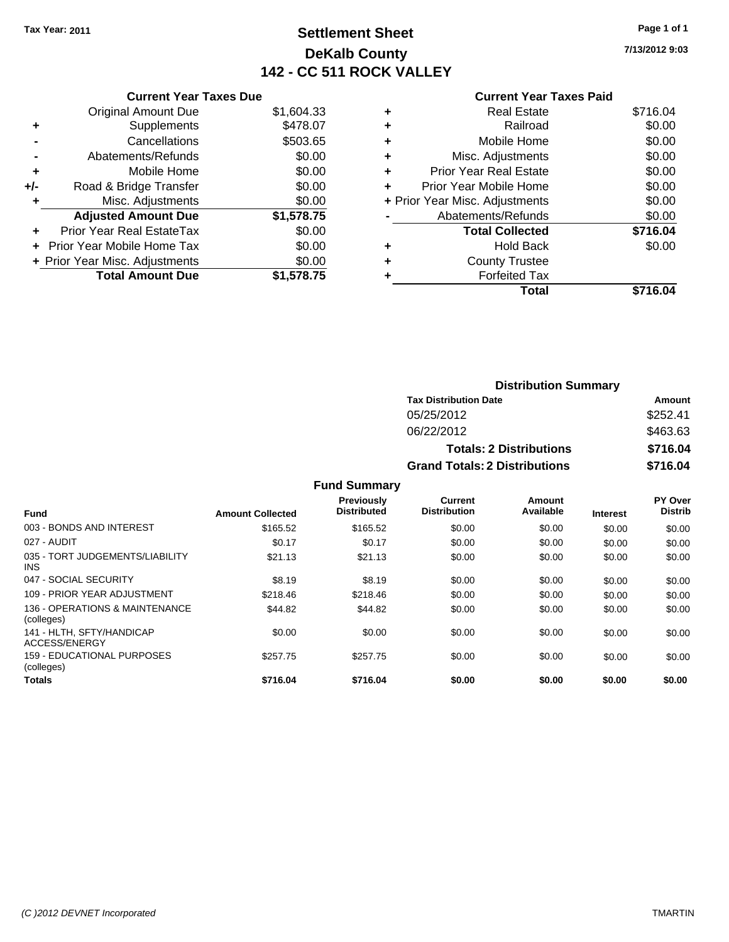## **Settlement Sheet Tax Year: 2011 Page 1 of 1 DeKalb County 142 - CC 511 ROCK VALLEY**

**7/13/2012 9:03**

|     | <b>Current Year Taxes Due</b>  |            |
|-----|--------------------------------|------------|
|     | <b>Original Amount Due</b>     | \$1,604.33 |
| ٠   | Supplements                    | \$478.07   |
|     | Cancellations                  | \$503.65   |
|     | Abatements/Refunds             | \$0.00     |
| ٠   | Mobile Home                    | \$0.00     |
| +/- | Road & Bridge Transfer         | \$0.00     |
|     | Misc. Adjustments              | \$0.00     |
|     | <b>Adjusted Amount Due</b>     | \$1,578.75 |
| ÷   | Prior Year Real EstateTax      | \$0.00     |
|     | Prior Year Mobile Home Tax     | \$0.00     |
|     | + Prior Year Misc. Adjustments | \$0.00     |
|     | <b>Total Amount Due</b>        | \$1,578.75 |
|     |                                |            |

|   | Total                          | \$716.04 |
|---|--------------------------------|----------|
|   | <b>Forfeited Tax</b>           |          |
|   | <b>County Trustee</b>          |          |
| ٠ | <b>Hold Back</b>               | \$0.00   |
|   | <b>Total Collected</b>         | \$716.04 |
|   | Abatements/Refunds             | \$0.00   |
|   | + Prior Year Misc. Adjustments | \$0.00   |
| ٠ | Prior Year Mobile Home         | \$0.00   |
| ÷ | <b>Prior Year Real Estate</b>  | \$0.00   |
| ٠ | Misc. Adjustments              | \$0.00   |
| ÷ | Mobile Home                    | \$0.00   |
| ٠ | Railroad                       | \$0.00   |
| ٠ | <b>Real Estate</b>             | \$716.04 |
|   |                                |          |

| <b>Distribution Summary</b>          |          |  |  |
|--------------------------------------|----------|--|--|
| <b>Tax Distribution Date</b>         | Amount   |  |  |
| 05/25/2012                           | \$252.41 |  |  |
| 06/22/2012                           | \$463.63 |  |  |
| <b>Totals: 2 Distributions</b>       | \$716.04 |  |  |
| <b>Grand Totals: 2 Distributions</b> | \$716.04 |  |  |

|                                               |                         | <b>Fund Summary</b>                     |                                |                     |                 |                                  |
|-----------------------------------------------|-------------------------|-----------------------------------------|--------------------------------|---------------------|-----------------|----------------------------------|
| <b>Fund</b>                                   | <b>Amount Collected</b> | <b>Previously</b><br><b>Distributed</b> | Current<br><b>Distribution</b> | Amount<br>Available | <b>Interest</b> | <b>PY Over</b><br><b>Distrib</b> |
| 003 - BONDS AND INTEREST                      | \$165.52                | \$165.52                                | \$0.00                         | \$0.00              | \$0.00          | \$0.00                           |
| 027 - AUDIT                                   | \$0.17                  | \$0.17                                  | \$0.00                         | \$0.00              | \$0.00          | \$0.00                           |
| 035 - TORT JUDGEMENTS/LIABILITY<br><b>INS</b> | \$21.13                 | \$21.13                                 | \$0.00                         | \$0.00              | \$0.00          | \$0.00                           |
| 047 - SOCIAL SECURITY                         | \$8.19                  | \$8.19                                  | \$0.00                         | \$0.00              | \$0.00          | \$0.00                           |
| 109 - PRIOR YEAR ADJUSTMENT                   | \$218.46                | \$218.46                                | \$0.00                         | \$0.00              | \$0.00          | \$0.00                           |
| 136 - OPERATIONS & MAINTENANCE<br>(colleges)  | \$44.82                 | \$44.82                                 | \$0.00                         | \$0.00              | \$0.00          | \$0.00                           |
| 141 - HLTH. SFTY/HANDICAP<br>ACCESS/ENERGY    | \$0.00                  | \$0.00                                  | \$0.00                         | \$0.00              | \$0.00          | \$0.00                           |
| 159 - EDUCATIONAL PURPOSES<br>(colleges)      | \$257.75                | \$257.75                                | \$0.00                         | \$0.00              | \$0.00          | \$0.00                           |
| <b>Totals</b>                                 | \$716.04                | \$716.04                                | \$0.00                         | \$0.00              | \$0.00          | \$0.00                           |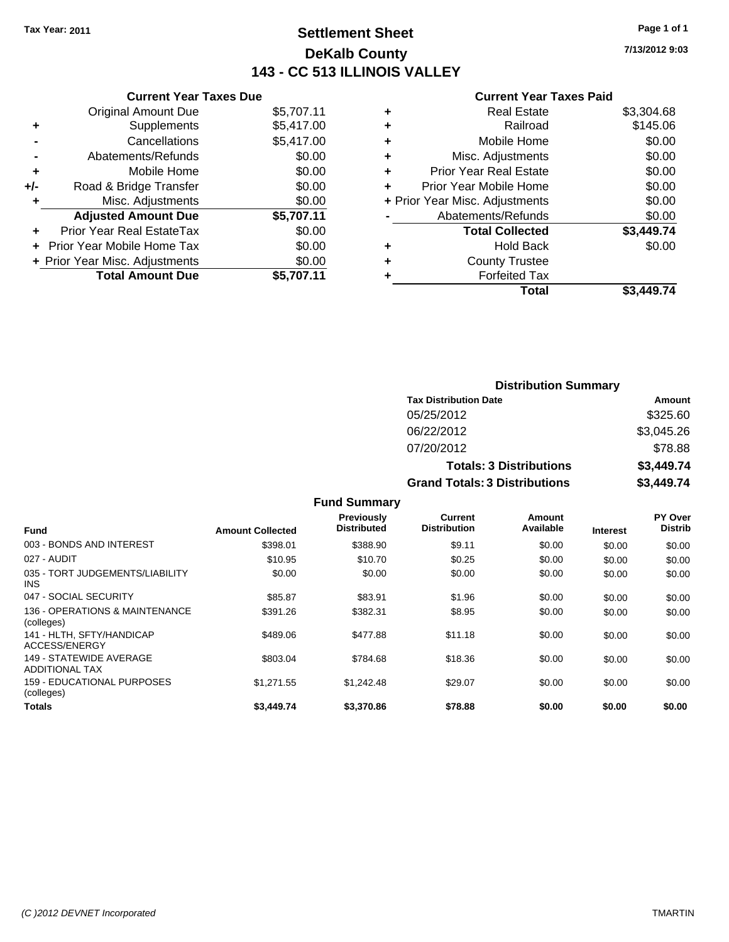## **Settlement Sheet Tax Year: 2011 Page 1 of 1 DeKalb County 143 - CC 513 ILLINOIS VALLEY**

**7/13/2012 9:03**

| <b>Current Year</b>            |   |            | <b>Current Year Taxes Due</b>  |       |
|--------------------------------|---|------------|--------------------------------|-------|
| <b>Real Estate</b>             | ٠ | \$5,707.11 | <b>Original Amount Due</b>     |       |
| Railroad                       | ٠ | \$5,417.00 | Supplements                    |       |
| Mobile Home                    | ÷ | \$5,417.00 | Cancellations                  |       |
| Misc. Adjustments              | ÷ | \$0.00     | Abatements/Refunds             |       |
| <b>Prior Year Real Estate</b>  | ÷ | \$0.00     | Mobile Home                    |       |
| Prior Year Mobile Home         | ÷ | \$0.00     | Road & Bridge Transfer         | $+/-$ |
| + Prior Year Misc. Adjustments |   | \$0.00     | Misc. Adjustments              |       |
| Abatements/Refunds             |   | \$5,707.11 | <b>Adjusted Amount Due</b>     |       |
| <b>Total Collected</b>         |   | \$0.00     | Prior Year Real EstateTax      |       |
| Hold Back                      | ٠ | \$0.00     | + Prior Year Mobile Home Tax   |       |
| <b>County Trustee</b>          | ÷ | \$0.00     | + Prior Year Misc. Adjustments |       |
| <b>Forfeited Tax</b>           |   | \$5,707.11 | <b>Total Amount Due</b>        |       |
| T <sub>of</sub>                |   |            |                                |       |

|   | Total                          | \$3.449.74 |
|---|--------------------------------|------------|
|   | <b>Forfeited Tax</b>           |            |
| ٠ | <b>County Trustee</b>          |            |
|   | <b>Hold Back</b>               | \$0.00     |
|   | <b>Total Collected</b>         | \$3,449.74 |
|   | Abatements/Refunds             | \$0.00     |
|   | + Prior Year Misc. Adjustments | \$0.00     |
|   | Prior Year Mobile Home         | \$0.00     |
| ÷ | <b>Prior Year Real Estate</b>  | \$0.00     |
| ٠ | Misc. Adjustments              | \$0.00     |
|   | Mobile Home                    | \$0.00     |
|   | Railroad                       | \$145.06   |
|   | <b>Real Estate</b>             | \$3,304.68 |

| <b>Distribution Summary</b>          |            |
|--------------------------------------|------------|
| <b>Tax Distribution Date</b>         | Amount     |
| 05/25/2012                           | \$325.60   |
| 06/22/2012                           | \$3,045.26 |
| 07/20/2012                           | \$78.88    |
| <b>Totals: 3 Distributions</b>       | \$3,449.74 |
| <b>Grand Totals: 3 Distributions</b> | \$3,449.74 |

|                                                  |                         | <b>Fund Summary</b>              |                                |                     |                 |                                  |
|--------------------------------------------------|-------------------------|----------------------------------|--------------------------------|---------------------|-----------------|----------------------------------|
| <b>Fund</b>                                      | <b>Amount Collected</b> | Previously<br><b>Distributed</b> | Current<br><b>Distribution</b> | Amount<br>Available | <b>Interest</b> | <b>PY Over</b><br><b>Distrib</b> |
| 003 - BONDS AND INTEREST                         | \$398.01                | \$388.90                         | \$9.11                         | \$0.00              | \$0.00          | \$0.00                           |
| 027 - AUDIT                                      | \$10.95                 | \$10.70                          | \$0.25                         | \$0.00              | \$0.00          | \$0.00                           |
| 035 - TORT JUDGEMENTS/LIABILITY<br>INS.          | \$0.00                  | \$0.00                           | \$0.00                         | \$0.00              | \$0.00          | \$0.00                           |
| 047 - SOCIAL SECURITY                            | \$85.87                 | \$83.91                          | \$1.96                         | \$0.00              | \$0.00          | \$0.00                           |
| 136 - OPERATIONS & MAINTENANCE<br>(colleges)     | \$391.26                | \$382.31                         | \$8.95                         | \$0.00              | \$0.00          | \$0.00                           |
| 141 - HLTH, SFTY/HANDICAP<br>ACCESS/ENERGY       | \$489.06                | \$477.88                         | \$11.18                        | \$0.00              | \$0.00          | \$0.00                           |
| 149 - STATEWIDE AVERAGE<br><b>ADDITIONAL TAX</b> | \$803.04                | \$784.68                         | \$18.36                        | \$0.00              | \$0.00          | \$0.00                           |
| <b>159 - EDUCATIONAL PURPOSES</b><br>(colleges)  | \$1.271.55              | \$1,242.48                       | \$29.07                        | \$0.00              | \$0.00          | \$0.00                           |
| Totals                                           | \$3,449.74              | \$3,370.86                       | \$78.88                        | \$0.00              | \$0.00          | \$0.00                           |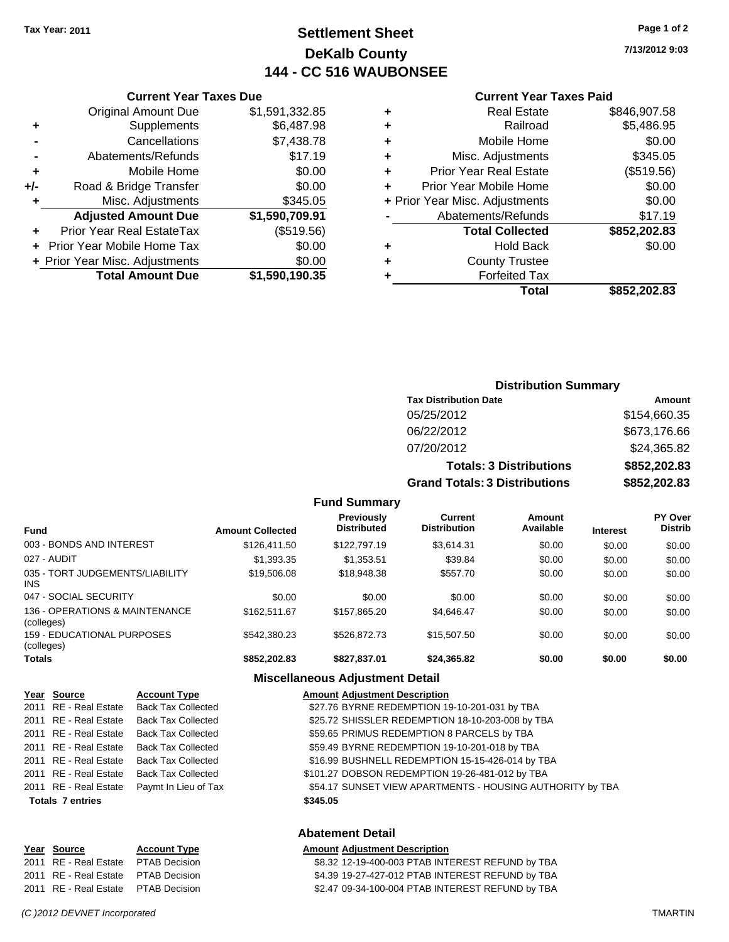## **Settlement Sheet Tax Year: 2011 Page 1 of 2 DeKalb County 144 - CC 516 WAUBONSEE**

**7/13/2012 9:03**

#### **Current Year Taxes Paid**

| <b>Forfeited Tax</b>           |              |
|--------------------------------|--------------|
|                                |              |
| <b>County Trustee</b>          |              |
| <b>Hold Back</b>               | \$0.00       |
| <b>Total Collected</b>         | \$852,202.83 |
| Abatements/Refunds             | \$17.19      |
| + Prior Year Misc. Adjustments | \$0.00       |
| Prior Year Mobile Home         | \$0.00       |
| <b>Prior Year Real Estate</b>  | (\$519.56)   |
| Misc. Adjustments              | \$345.05     |
| Mobile Home                    | \$0.00       |
| Railroad                       | \$5,486.95   |
| <b>Real Estate</b>             | \$846,907.58 |
|                                |              |

|     | <b>Current Year Taxes Due</b>     |                |
|-----|-----------------------------------|----------------|
|     | <b>Original Amount Due</b>        | \$1,591,332.85 |
| ٠   | Supplements                       | \$6,487.98     |
|     | Cancellations                     | \$7,438.78     |
|     | Abatements/Refunds                | \$17.19        |
| ٠   | Mobile Home                       | \$0.00         |
| +/- | Road & Bridge Transfer            | \$0.00         |
| ٠   | Misc. Adjustments                 | \$345.05       |
|     | <b>Adjusted Amount Due</b>        | \$1,590,709.91 |
|     | Prior Year Real EstateTax         | (\$519.56)     |
|     | <b>Prior Year Mobile Home Tax</b> | \$0.00         |
|     | + Prior Year Misc. Adjustments    | \$0.00         |
|     | <b>Total Amount Due</b>           | \$1,590,190.35 |
|     |                                   |                |

| <b>Distribution Summary</b> |  |
|-----------------------------|--|
|-----------------------------|--|

| <b>Tax Distribution Date</b>         | Amount       |
|--------------------------------------|--------------|
| 05/25/2012                           | \$154,660.35 |
| 06/22/2012                           | \$673,176.66 |
| 07/20/2012                           | \$24,365.82  |
| <b>Totals: 3 Distributions</b>       | \$852,202.83 |
| <b>Grand Totals: 3 Distributions</b> | \$852,202.83 |

#### **Fund Summary**

| <b>Fund</b>                                   | <b>Amount Collected</b> | <b>Previously</b><br><b>Distributed</b> | <b>Current</b><br><b>Distribution</b> | Amount<br>Available | <b>Interest</b> | <b>PY Over</b><br><b>Distrib</b> |
|-----------------------------------------------|-------------------------|-----------------------------------------|---------------------------------------|---------------------|-----------------|----------------------------------|
| 003 - BONDS AND INTEREST                      | \$126,411.50            | \$122,797.19                            | \$3.614.31                            | \$0.00              | \$0.00          | \$0.00                           |
| 027 - AUDIT                                   | \$1,393.35              | \$1,353.51                              | \$39.84                               | \$0.00              | \$0.00          | \$0.00                           |
| 035 - TORT JUDGEMENTS/LIABILITY<br><b>INS</b> | \$19,506.08             | \$18,948.38                             | \$557.70                              | \$0.00              | \$0.00          | \$0.00                           |
| 047 - SOCIAL SECURITY                         | \$0.00                  | \$0.00                                  | \$0.00                                | \$0.00              | \$0.00          | \$0.00                           |
| 136 - OPERATIONS & MAINTENANCE<br>(colleges)  | \$162,511.67            | \$157.865.20                            | \$4.646.47                            | \$0.00              | \$0.00          | \$0.00                           |
| 159 - EDUCATIONAL PURPOSES<br>(colleges)      | \$542,380.23            | \$526.872.73                            | \$15,507.50                           | \$0.00              | \$0.00          | \$0.00                           |
| <b>Totals</b>                                 | \$852,202.83            | \$827.837.01                            | \$24,365.82                           | \$0.00              | \$0.00          | \$0.00                           |

#### **Miscellaneous Adjustment Detail**

| Year Source             | <b>Account Type</b>                        | <b>Amount Adjustment Description</b>                      |
|-------------------------|--------------------------------------------|-----------------------------------------------------------|
| 2011 RE - Real Estate   | <b>Back Tax Collected</b>                  | \$27.76 BYRNE REDEMPTION 19-10-201-031 by TBA             |
|                         | 2011 RE - Real Estate Back Tax Collected   | \$25.72 SHISSLER REDEMPTION 18-10-203-008 by TBA          |
| 2011 RE - Real Estate   | Back Tax Collected                         | \$59.65 PRIMUS REDEMPTION 8 PARCELS by TBA                |
|                         | 2011 RE - Real Estate Back Tax Collected   | \$59.49 BYRNE REDEMPTION 19-10-201-018 by TBA             |
| 2011 RE - Real Estate   | Back Tax Collected                         | \$16.99 BUSHNELL REDEMPTION 15-15-426-014 by TBA          |
| 2011 RE - Real Estate   | Back Tax Collected                         | \$101.27 DOBSON REDEMPTION 19-26-481-012 by TBA           |
|                         | 2011 RE - Real Estate Paymt In Lieu of Tax | \$54.17 SUNSET VIEW APARTMENTS - HOUSING AUTHORITY by TBA |
| <b>Totals 7 entries</b> |                                            | \$345.05                                                  |
|                         |                                            |                                                           |
|                         |                                            | .                                                         |

## **Abatement Detail**

#### **Year Source Account Type Amount Adjustment Description** 2011 RE - Real Estate PTAB Decision 68.32 12-19-400-003 PTAB INTEREST REFUND by TBA 2011 RE - Real Estate PTAB Decision 64.39 19-27-427-012 PTAB INTEREST REFUND by TBA 2011 RE - Real Estate \$2.47 09-34-100-004 PTAB INTEREST REFUND by TBA PTAB Decision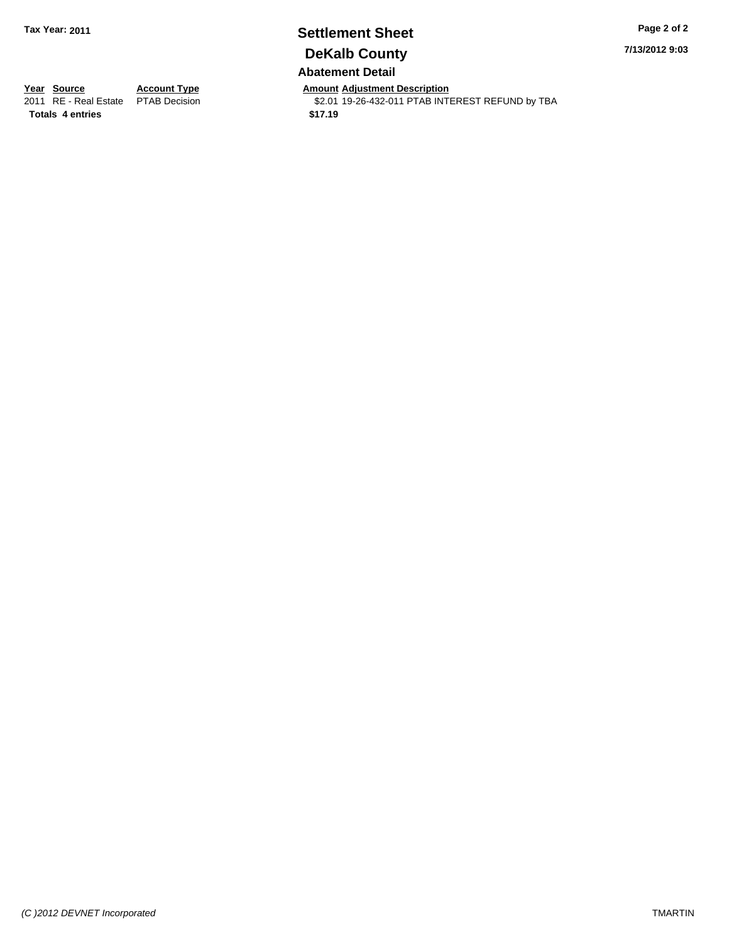## **Settlement Sheet Tax Year: 2011 Page 2 of 2 DeKalb County Abatement Detail**

**7/13/2012 9:03**

**Totals \$17.19 4 entries**

**Year Source Account Type Amount Adjustment Description**<br>2011 RE - Real Estate PTAB Decision **Amount** \$2.01 19-26-432-011 PTAB INTI \$2.01 19-26-432-011 PTAB INTEREST REFUND by TBA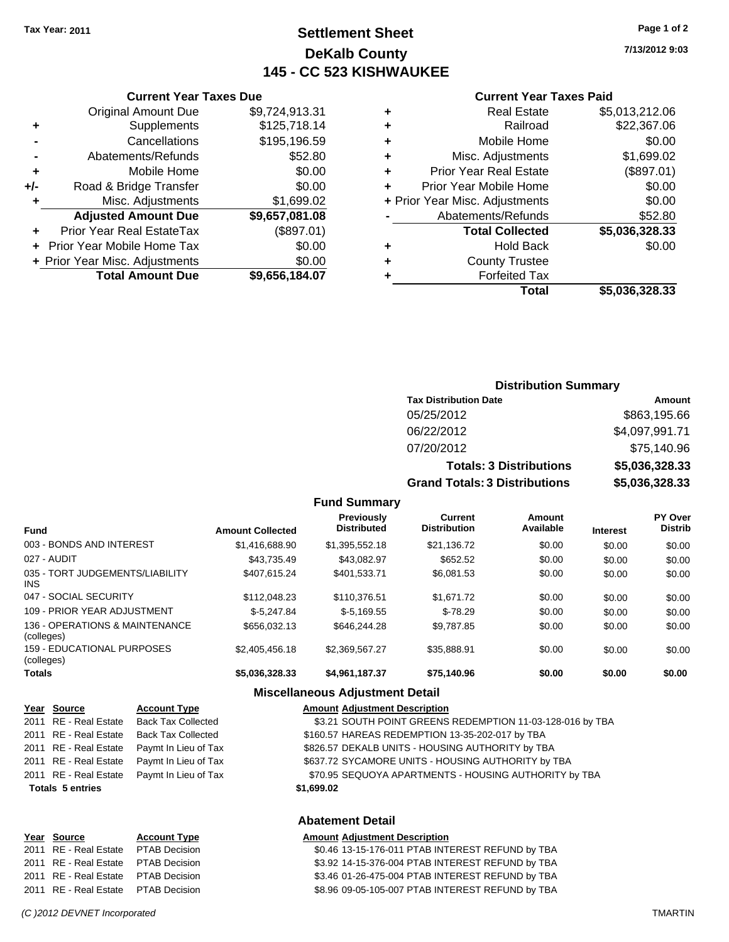## **Settlement Sheet Tax Year: 2011 Page 1 of 2 DeKalb County 145 - CC 523 KISHWAUKEE**

**7/13/2012 9:03**

#### **Current Year Taxes Paid**

| Cu                   |   |                | <b>Current Year Taxes Due</b>  |     |
|----------------------|---|----------------|--------------------------------|-----|
| Е                    | ٠ | \$9,724,913.31 | <b>Original Amount Due</b>     |     |
|                      | ÷ | \$125,718.14   | Supplements                    | ٠   |
| Mo                   | ٠ | \$195,196.59   | Cancellations                  |     |
| Misc. A              |   | \$52.80        | Abatements/Refunds             |     |
| Prior Year F         |   | \$0.00         | Mobile Home                    |     |
| Prior Year Mo        |   | \$0.00         | Road & Bridge Transfer         | +/- |
| + Prior Year Misc. A |   | \$1,699.02     | Misc. Adjustments              |     |
| Abatemen             |   | \$9,657,081.08 | <b>Adjusted Amount Due</b>     |     |
| <b>Total</b>         |   | (\$897.01)     | Prior Year Real EstateTax      |     |
|                      | ٠ | \$0.00         | + Prior Year Mobile Home Tax   |     |
| Cour                 |   | \$0.00         | + Prior Year Misc. Adjustments |     |
| Fo                   |   | \$9,656,184.07 | <b>Total Amount Due</b>        |     |
|                      |   |                |                                |     |

|   | Total                          | \$5,036,328.33 |
|---|--------------------------------|----------------|
|   | <b>Forfeited Tax</b>           |                |
| ٠ | <b>County Trustee</b>          |                |
| ٠ | <b>Hold Back</b>               | \$0.00         |
|   | <b>Total Collected</b>         | \$5,036,328.33 |
|   | Abatements/Refunds             | \$52.80        |
|   | + Prior Year Misc. Adjustments | \$0.00         |
| ÷ | <b>Prior Year Mobile Home</b>  | \$0.00         |
| ٠ | <b>Prior Year Real Estate</b>  | (\$897.01)     |
| ٠ | Misc. Adjustments              | \$1,699.02     |
| ٠ | Mobile Home                    | \$0.00         |
| ٠ | Railroad                       | \$22,367.06    |
| ٠ | <b>Real Estate</b>             | \$5,013,212.06 |

## **Distribution Summary Tax Distribution Date Amount** 05/25/2012 \$863,195.66 06/22/2012 \$4,097,991.71 07/20/2012 \$75,140.96 **Totals: 3 Distributions \$5,036,328.33 Grand Totals: 3 Distributions \$5,036,328.33 Fund Summary**

| <b>Fund</b>                                     | <b>Amount Collected</b> | Previously<br><b>Distributed</b> | Current<br><b>Distribution</b> | Amount<br>Available | <b>Interest</b> | PY Over<br><b>Distrib</b> |
|-------------------------------------------------|-------------------------|----------------------------------|--------------------------------|---------------------|-----------------|---------------------------|
| 003 - BONDS AND INTEREST                        | \$1,416,688,90          | \$1,395,552.18                   | \$21.136.72                    | \$0.00              | \$0.00          | \$0.00                    |
| 027 - AUDIT                                     | \$43.735.49             | \$43.082.97                      | \$652.52                       | \$0.00              | \$0.00          | \$0.00                    |
| 035 - TORT JUDGEMENTS/LIABILITY<br><b>INS</b>   | \$407.615.24            | \$401.533.71                     | \$6,081.53                     | \$0.00              | \$0.00          | \$0.00                    |
| 047 - SOCIAL SECURITY                           | \$112,048.23            | \$110,376.51                     | \$1,671.72                     | \$0.00              | \$0.00          | \$0.00                    |
| 109 - PRIOR YEAR ADJUSTMENT                     | $$-5.247.84$            | $$-5.169.55$                     | $$-78.29$                      | \$0.00              | \$0.00          | \$0.00                    |
| 136 - OPERATIONS & MAINTENANCE<br>(colleges)    | \$656,032.13            | \$646,244,28                     | \$9.787.85                     | \$0.00              | \$0.00          | \$0.00                    |
| <b>159 - EDUCATIONAL PURPOSES</b><br>(colleges) | \$2,405,456.18          | \$2.369.567.27                   | \$35.888.91                    | \$0.00              | \$0.00          | \$0.00                    |
| <b>Totals</b>                                   | \$5,036,328.33          | \$4,961,187.37                   | \$75.140.96                    | \$0.00              | \$0.00          | \$0.00                    |

#### **Miscellaneous Adjustment Detail**

| Year Source             | <b>Account Type</b>                        | <b>Amount Adjustment Description</b>                      |
|-------------------------|--------------------------------------------|-----------------------------------------------------------|
| 2011 RE - Real Estate   | <b>Back Tax Collected</b>                  | \$3.21 SOUTH POINT GREENS REDEMPTION 11-03-128-016 by TBA |
| 2011 RE - Real Estate   | <b>Back Tax Collected</b>                  | \$160.57 HAREAS REDEMPTION 13-35-202-017 by TBA           |
| 2011 RE - Real Estate   | Paymt In Lieu of Tax                       | \$826.57 DEKALB UNITS - HOUSING AUTHORITY by TBA          |
| 2011 RE - Real Estate   | Paymt In Lieu of Tax                       | \$637.72 SYCAMORE UNITS - HOUSING AUTHORITY by TBA        |
|                         | 2011 RE - Real Estate Paymt In Lieu of Tax | \$70.95 SEQUOYA APARTMENTS - HOUSING AUTHORITY by TBA     |
| <b>Totals 5 entries</b> |                                            | \$1,699.02                                                |
|                         |                                            |                                                           |
|                         |                                            |                                                           |

## **Abatement Detail**

#### **Year Source Account Type Amount Adjustment Description**

2011 RE - Real Estate \$0.46 13-15-176-011 PTAB INTEREST REFUND by TBA PTAB Decision 2011 RE - Real Estate \$3.92 14-15-376-004 PTAB INTEREST REFUND by TBA PTAB Decision 2011 RE - Real Estate \$3.46 01-26-475-004 PTAB INTEREST REFUND by TBA PTAB Decision 2011 RE - Real Estate \$8.96 09-05-105-007 PTAB INTEREST REFUND by TBA PTAB Decision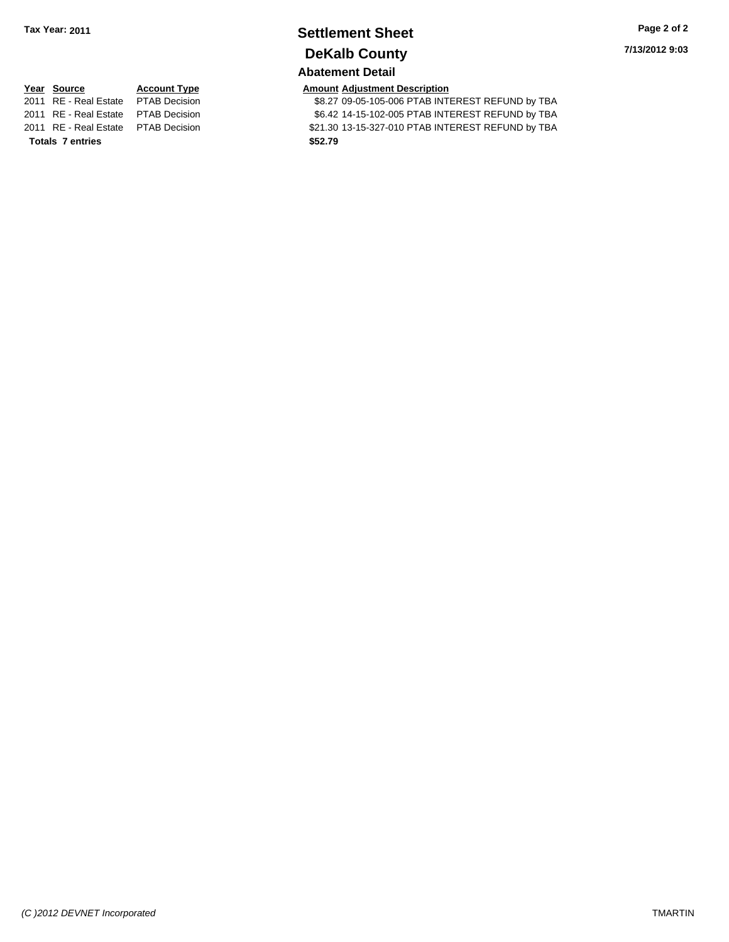## **Settlement Sheet Tax Year: 2011 Page 2 of 2 DeKalb County Abatement Detail**

**7/13/2012 9:03**

\$8.27 09-05-105-006 PTAB INTEREST REFUND by TBA 2011 RE - Real Estate \$6.42 14-15-102-005 PTAB INTEREST REFUND by TBA PTAB Decision 2011 RE - Real Estate \$21.30 13-15-327-010 PTAB INTEREST REFUND by TBA PTAB Decision

# **<u>Year Source</u> <b>Account Type Amount Amount Adjustment Description**<br>2011 RE - Real Estate PTAB Decision **\$8.27 09-05-105-006 PTAB INTI**

**Totals \$52.79 7 entries**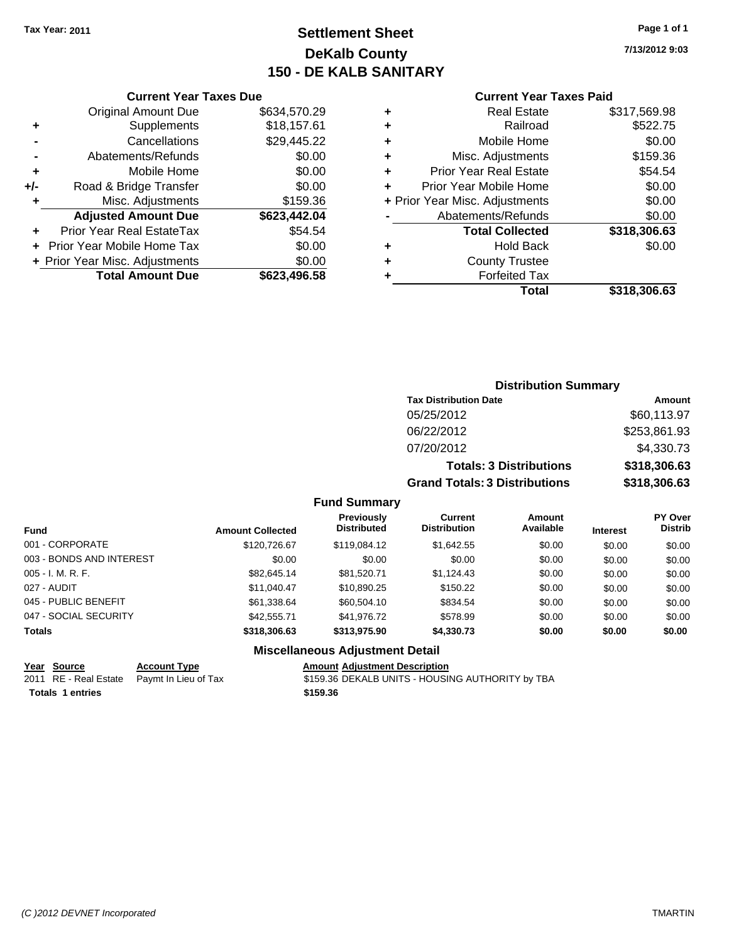## **Settlement Sheet Tax Year: 2011 Page 1 of 1 DeKalb County 150 - DE KALB SANITARY**

**7/13/2012 9:03**

#### **Current Year Taxes Paid**

|       | <b>Original Amount Due</b>     | \$634,570.29 |
|-------|--------------------------------|--------------|
| ٠     | Supplements                    | \$18,157.61  |
|       | Cancellations                  | \$29,445.22  |
|       | Abatements/Refunds             | \$0.00       |
| ٠     | Mobile Home                    | \$0.00       |
| $+/-$ | Road & Bridge Transfer         | \$0.00       |
| ٠     | Misc. Adjustments              | \$159.36     |
|       | <b>Adjusted Amount Due</b>     | \$623,442.04 |
|       | Prior Year Real EstateTax      | \$54.54      |
|       | Prior Year Mobile Home Tax     | \$0.00       |
|       | + Prior Year Misc. Adjustments | \$0.00       |
|       | <b>Total Amount Due</b>        | \$623,496.58 |
|       |                                |              |

**Current Year Taxes Due**

| ٠ | <b>Real Estate</b>             | \$317,569.98 |
|---|--------------------------------|--------------|
| ÷ | Railroad                       | \$522.75     |
| ٠ | Mobile Home                    | \$0.00       |
| ٠ | Misc. Adjustments              | \$159.36     |
| ٠ | <b>Prior Year Real Estate</b>  | \$54.54      |
| ٠ | Prior Year Mobile Home         | \$0.00       |
|   | + Prior Year Misc. Adjustments | \$0.00       |
|   | Abatements/Refunds             | \$0.00       |
|   | <b>Total Collected</b>         | \$318,306.63 |
| ٠ | <b>Hold Back</b>               | \$0.00       |
| ٠ | <b>County Trustee</b>          |              |
| ٠ | <b>Forfeited Tax</b>           |              |
|   | Total                          | \$318,306.63 |

### **Distribution Summary Tax Distribution Date Amount** 05/25/2012 \$60,113.97 06/22/2012 \$253,861.93 07/20/2012 \$4,330.73 **Totals: 3 Distributions \$318,306.63 Grand Totals: 3 Distributions \$318,306.63**

#### **Fund Summary**

| <b>Fund</b>              | <b>Amount Collected</b> | <b>Previously</b><br><b>Distributed</b> | Current<br><b>Distribution</b> | <b>Amount</b><br>Available | <b>Interest</b> | <b>PY Over</b><br><b>Distrib</b> |
|--------------------------|-------------------------|-----------------------------------------|--------------------------------|----------------------------|-----------------|----------------------------------|
| 001 - CORPORATE          | \$120,726.67            | \$119,084.12                            | \$1.642.55                     | \$0.00                     | \$0.00          | \$0.00                           |
| 003 - BONDS AND INTEREST | \$0.00                  | \$0.00                                  | \$0.00                         | \$0.00                     | \$0.00          | \$0.00                           |
| $005 - I. M. R. F.$      | \$82,645.14             | \$81.520.71                             | \$1.124.43                     | \$0.00                     | \$0.00          | \$0.00                           |
| 027 - AUDIT              | \$11,040.47             | \$10,890.25                             | \$150.22                       | \$0.00                     | \$0.00          | \$0.00                           |
| 045 - PUBLIC BENEFIT     | \$61,338.64             | \$60.504.10                             | \$834.54                       | \$0.00                     | \$0.00          | \$0.00                           |
| 047 - SOCIAL SECURITY    | \$42,555,71             | \$41,976.72                             | \$578.99                       | \$0.00                     | \$0.00          | \$0.00                           |
| <b>Totals</b>            | \$318,306.63            | \$313,975.90                            | \$4,330.73                     | \$0.00                     | \$0.00          | \$0.00                           |

# **Miscellaneous Adjustment Detail**

| Year Source      | <b>Account Type</b>                        | <b>Amount Adjustment Description</b>             |
|------------------|--------------------------------------------|--------------------------------------------------|
|                  | 2011 RE - Real Estate Paymt In Lieu of Tax | \$159.36 DEKALB UNITS - HOUSING AUTHORITY by TBA |
| Totals 1 entries |                                            | \$159.36                                         |

**Totals 1 entries**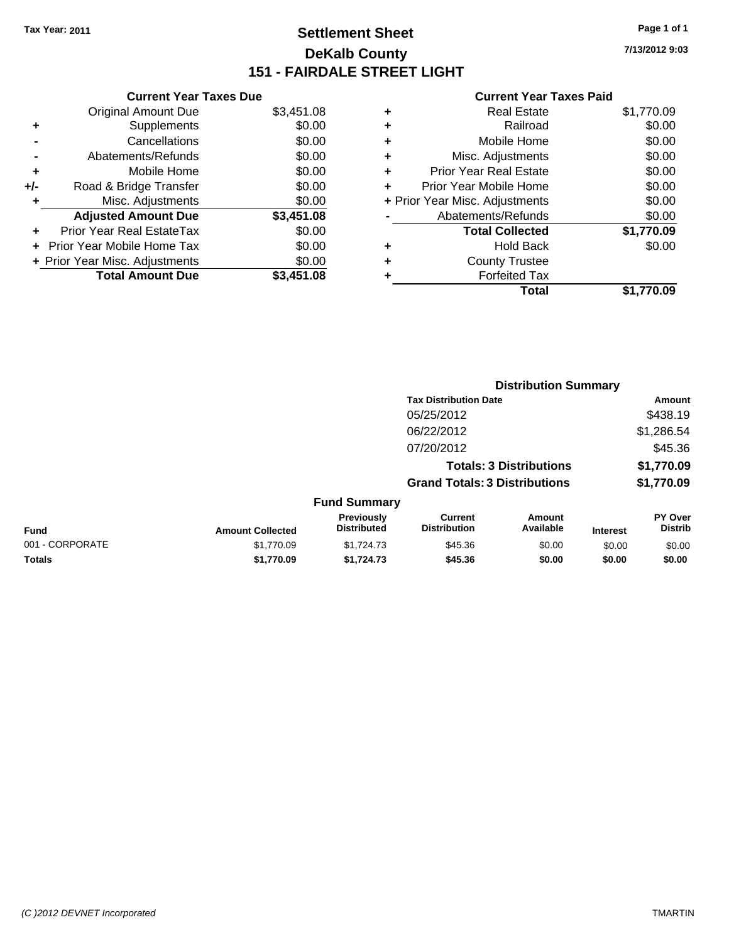## **Settlement Sheet Tax Year: 2011 Page 1 of 1 DeKalb County 151 - FAIRDALE STREET LIGHT**

**7/13/2012 9:03**

| \$3,451.08 |
|------------|
|            |
| \$0.00     |
| \$0.00     |
| \$0.00     |
| \$0.00     |
| \$0.00     |
| \$0.00     |
| \$3,451.08 |
| \$0.00     |
| \$0.00     |
| \$0.00     |
|            |
|            |

|   | Total                          | \$1,770.09 |
|---|--------------------------------|------------|
| ٠ | <b>Forfeited Tax</b>           |            |
| ٠ | <b>County Trustee</b>          |            |
| ٠ | <b>Hold Back</b>               | \$0.00     |
|   | <b>Total Collected</b>         | \$1,770.09 |
|   | Abatements/Refunds             | \$0.00     |
|   | + Prior Year Misc. Adjustments | \$0.00     |
| ٠ | Prior Year Mobile Home         | \$0.00     |
| ÷ | Prior Year Real Estate         | \$0.00     |
| ٠ | Misc. Adjustments              | \$0.00     |
| ٠ | Mobile Home                    | \$0.00     |
| ٠ | Railroad                       | \$0.00     |
| ٠ | <b>Real Estate</b>             | \$1,770.09 |
|   |                                |            |

|                 |                         |                                  | <b>Distribution Summary</b>           |                                |                 |                           |
|-----------------|-------------------------|----------------------------------|---------------------------------------|--------------------------------|-----------------|---------------------------|
|                 |                         |                                  | <b>Tax Distribution Date</b>          |                                |                 | Amount                    |
|                 |                         |                                  | 05/25/2012                            |                                |                 | \$438.19                  |
|                 |                         |                                  | 06/22/2012                            |                                |                 | \$1,286.54                |
|                 |                         |                                  | 07/20/2012                            |                                |                 | \$45.36                   |
|                 |                         |                                  |                                       | <b>Totals: 3 Distributions</b> |                 | \$1,770.09                |
|                 |                         |                                  | <b>Grand Totals: 3 Distributions</b>  |                                |                 | \$1,770.09                |
|                 |                         | <b>Fund Summary</b>              |                                       |                                |                 |                           |
| Fund            | <b>Amount Collected</b> | Previously<br><b>Distributed</b> | <b>Current</b><br><b>Distribution</b> | <b>Amount</b><br>Available     | <b>Interest</b> | PY Over<br><b>Distrib</b> |
| 001 - CORPORATE | \$1.770.09              | \$1,724.73                       | \$45.36                               | \$0.00                         | \$0.00          | \$0.00                    |
| Totals          | \$1,770.09              | \$1,724.73                       | \$45.36                               | \$0.00                         | \$0.00          | \$0.00                    |
|                 |                         |                                  |                                       |                                |                 |                           |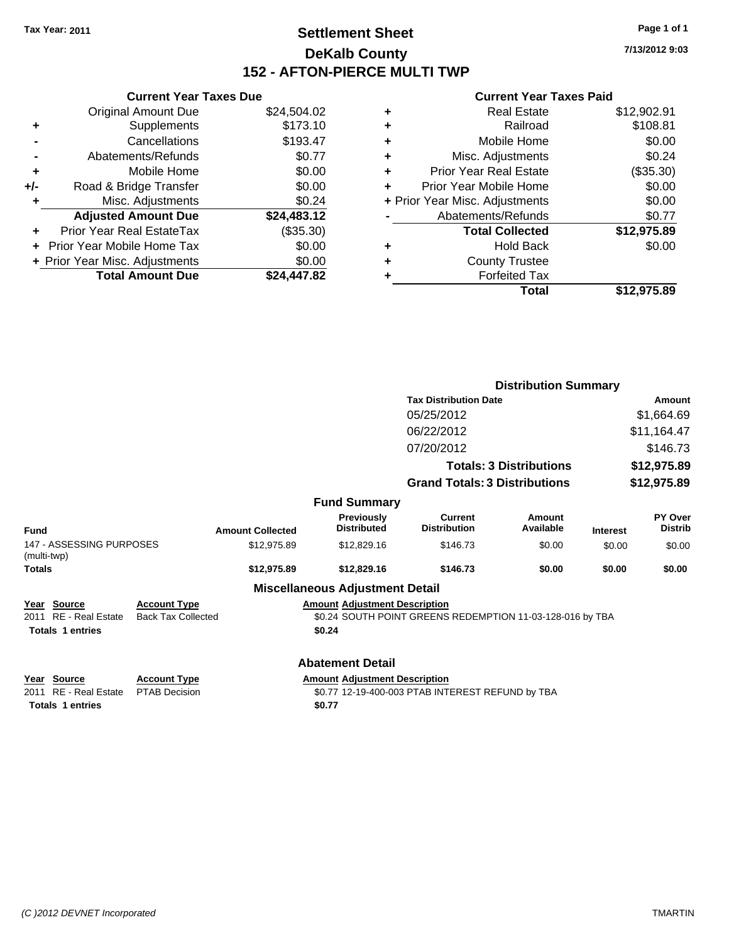## **Settlement Sheet Tax Year: 2011 Page 1 of 1 DeKalb County 152 - AFTON-PIERCE MULTI TWP**

**7/13/2012 9:03**

|     | <b>Current Year Taxes Due</b>  |             |  |  |  |  |
|-----|--------------------------------|-------------|--|--|--|--|
|     | <b>Original Amount Due</b>     | \$24,504.02 |  |  |  |  |
| ٠   | Supplements                    | \$173.10    |  |  |  |  |
|     | Cancellations                  | \$193.47    |  |  |  |  |
|     | Abatements/Refunds             | \$0.77      |  |  |  |  |
| ٠   | Mobile Home                    | \$0.00      |  |  |  |  |
| +/- | Road & Bridge Transfer         | \$0.00      |  |  |  |  |
| ٠   | Misc. Adjustments              | \$0.24      |  |  |  |  |
|     | <b>Adjusted Amount Due</b>     | \$24,483.12 |  |  |  |  |
|     | Prior Year Real EstateTax      | (\$35.30)   |  |  |  |  |
|     | Prior Year Mobile Home Tax     | \$0.00      |  |  |  |  |
|     | + Prior Year Misc. Adjustments | \$0.00      |  |  |  |  |
|     | <b>Total Amount Due</b>        | \$24,447.82 |  |  |  |  |
|     |                                |             |  |  |  |  |

| ٠ | Real Estate                    | \$12,902.91 |
|---|--------------------------------|-------------|
| ٠ | Railroad                       | \$108.81    |
| ٠ | Mobile Home                    | \$0.00      |
| ٠ | Misc. Adjustments              | \$0.24      |
| ÷ | <b>Prior Year Real Estate</b>  | (\$35.30)   |
| ÷ | Prior Year Mobile Home         | \$0.00      |
|   | + Prior Year Misc. Adjustments | \$0.00      |
|   | Abatements/Refunds             | \$0.77      |
|   | <b>Total Collected</b>         | \$12,975.89 |
| ٠ | Hold Back                      | \$0.00      |
|   | <b>County Trustee</b>          |             |
| ٠ | <b>Forfeited Tax</b>           |             |
|   | Total                          | \$12,975.89 |
|   |                                |             |

|                         |                          |                           |                         |                                                  |                                                           | <b>Distribution Summary</b>    |                 |                           |  |
|-------------------------|--------------------------|---------------------------|-------------------------|--------------------------------------------------|-----------------------------------------------------------|--------------------------------|-----------------|---------------------------|--|
|                         |                          |                           |                         |                                                  | <b>Tax Distribution Date</b>                              |                                |                 | Amount                    |  |
|                         |                          |                           |                         |                                                  | 05/25/2012                                                |                                |                 | \$1,664.69                |  |
|                         |                          |                           |                         |                                                  | 06/22/2012                                                |                                |                 | \$11,164.47               |  |
|                         | 07/20/2012               |                           |                         | \$146.73                                         |                                                           |                                |                 |                           |  |
|                         |                          |                           |                         |                                                  |                                                           | <b>Totals: 3 Distributions</b> | \$12,975.89     |                           |  |
|                         |                          |                           |                         |                                                  | <b>Grand Totals: 3 Distributions</b>                      |                                | \$12,975.89     |                           |  |
|                         |                          |                           |                         | <b>Fund Summary</b>                              |                                                           |                                |                 |                           |  |
| Fund                    |                          |                           | <b>Amount Collected</b> | Previously<br><b>Distributed</b>                 | <b>Current</b><br><b>Distribution</b>                     | Amount<br>Available            | <b>Interest</b> | PY Over<br><b>Distrib</b> |  |
| (multi-twp)             | 147 - ASSESSING PURPOSES |                           | \$12,975.89             | \$12,829.16                                      | \$146.73                                                  | \$0.00                         | \$0.00          | \$0.00                    |  |
| <b>Totals</b>           |                          |                           | \$12,975.89             | \$12,829.16                                      | \$146.73                                                  | \$0.00                         | \$0.00          | \$0.00                    |  |
|                         |                          |                           |                         | <b>Miscellaneous Adjustment Detail</b>           |                                                           |                                |                 |                           |  |
| Year Source             |                          | <b>Account Type</b>       |                         | <b>Amount Adjustment Description</b>             |                                                           |                                |                 |                           |  |
|                         | 2011 RE - Real Estate    | <b>Back Tax Collected</b> |                         |                                                  | \$0.24 SOUTH POINT GREENS REDEMPTION 11-03-128-016 by TBA |                                |                 |                           |  |
| <b>Totals 1 entries</b> |                          |                           |                         | \$0.24                                           |                                                           |                                |                 |                           |  |
|                         |                          |                           |                         | <b>Abatement Detail</b>                          |                                                           |                                |                 |                           |  |
| Year Source             |                          | <b>Account Type</b>       |                         | <b>Amount Adjustment Description</b>             |                                                           |                                |                 |                           |  |
|                         | 2011 RE - Real Estate    | <b>PTAB Decision</b>      |                         | \$0.77 12-19-400-003 PTAB INTEREST REFUND by TBA |                                                           |                                |                 |                           |  |
| <b>Totals 1 entries</b> |                          |                           |                         | \$0.77                                           |                                                           |                                |                 |                           |  |
|                         |                          |                           |                         |                                                  |                                                           |                                |                 |                           |  |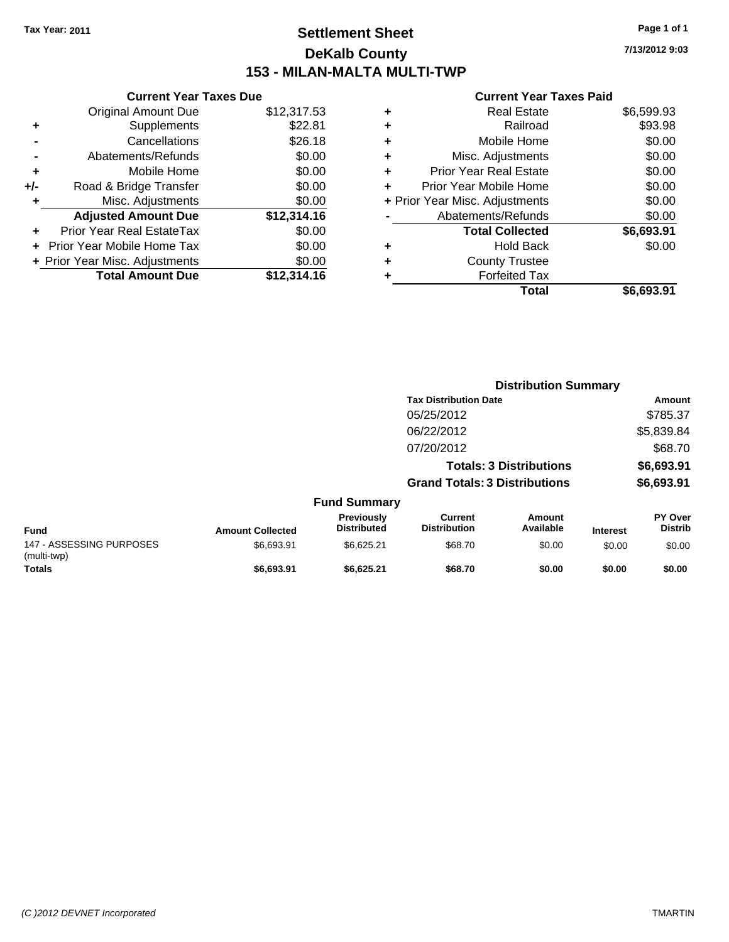## **Settlement Sheet Tax Year: 2011 Page 1 of 1 DeKalb County 153 - MILAN-MALTA MULTI-TWP**

**7/13/2012 9:03**

|       | <b>Current Year Taxes Due</b>  |             |
|-------|--------------------------------|-------------|
|       | <b>Original Amount Due</b>     | \$12,317.53 |
| ٠     | Supplements                    | \$22.81     |
|       | Cancellations                  | \$26.18     |
|       | Abatements/Refunds             | \$0.00      |
| ٠     | Mobile Home                    | \$0.00      |
| $+/-$ | Road & Bridge Transfer         | \$0.00      |
|       | Misc. Adjustments              | \$0.00      |
|       | <b>Adjusted Amount Due</b>     | \$12,314.16 |
|       | Prior Year Real EstateTax      | \$0.00      |
|       | Prior Year Mobile Home Tax     | \$0.00      |
|       | + Prior Year Misc. Adjustments | \$0.00      |
|       | <b>Total Amount Due</b>        | \$12,314.16 |
|       |                                |             |

|   | <b>Real Estate</b>             | \$6,599.93 |
|---|--------------------------------|------------|
| ٠ | Railroad                       | \$93.98    |
| ٠ | Mobile Home                    | \$0.00     |
| ٠ | Misc. Adjustments              | \$0.00     |
| ٠ | <b>Prior Year Real Estate</b>  | \$0.00     |
|   | Prior Year Mobile Home         | \$0.00     |
|   | + Prior Year Misc. Adjustments | \$0.00     |
|   | Abatements/Refunds             | \$0.00     |
|   | <b>Total Collected</b>         | \$6,693.91 |
| ٠ | <b>Hold Back</b>               | \$0.00     |
| ٠ | <b>County Trustee</b>          |            |
| ٠ | <b>Forfeited Tax</b>           |            |
|   | Total                          | \$6,693.91 |
|   |                                |            |

|                                         |                         |                                  |                                       | <b>Distribution Summary</b>    |                 |                           |
|-----------------------------------------|-------------------------|----------------------------------|---------------------------------------|--------------------------------|-----------------|---------------------------|
|                                         |                         |                                  | <b>Tax Distribution Date</b>          |                                |                 | Amount                    |
|                                         |                         |                                  | 05/25/2012                            |                                |                 | \$785.37                  |
|                                         |                         |                                  | 06/22/2012                            |                                |                 | \$5,839.84                |
|                                         |                         |                                  | 07/20/2012                            |                                |                 | \$68.70                   |
|                                         |                         |                                  |                                       | <b>Totals: 3 Distributions</b> |                 | \$6,693.91                |
|                                         |                         |                                  | <b>Grand Totals: 3 Distributions</b>  |                                |                 | \$6,693.91                |
|                                         |                         | <b>Fund Summary</b>              |                                       |                                |                 |                           |
| <b>Fund</b>                             | <b>Amount Collected</b> | Previously<br><b>Distributed</b> | <b>Current</b><br><b>Distribution</b> | Amount<br>Available            | <b>Interest</b> | PY Over<br><b>Distrib</b> |
| 147 - ASSESSING PURPOSES<br>(multi-twp) | \$6,693.91              | \$6,625.21                       | \$68.70                               | \$0.00                         | \$0.00          | \$0.00                    |
| <b>Totals</b>                           | \$6.693.91              | \$6.625.21                       | \$68.70                               | \$0.00                         | \$0.00          | \$0.00                    |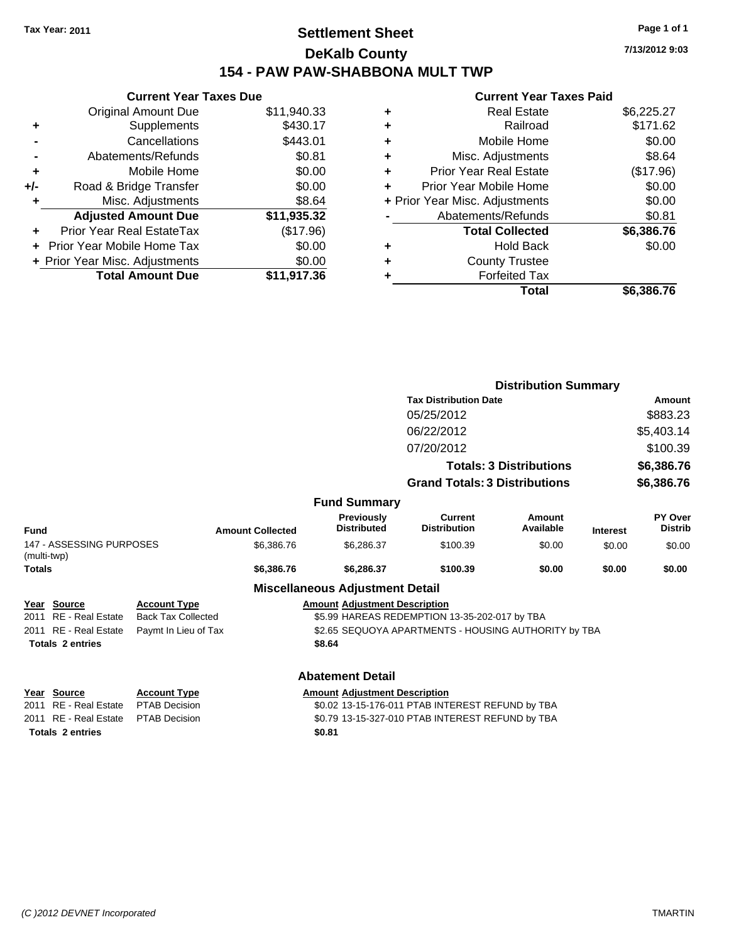## **Settlement Sheet Tax Year: 2011 Page 1 of 1 DeKalb County 154 - PAW PAW-SHABBONA MULT TWP**

**Current Year Taxes Due** Original Amount Due \$11,940.33 **+** Supplements \$430.17 **-** Cancellations \$443.01 **-** Abatements/Refunds \$0.81 **+** Mobile Home \$0.00 **+/-** Road & Bridge Transfer \$0.00 **+** Misc. Adjustments \$8.64 **Adjusted Amount Due \$11,935.32 +** Prior Year Real EstateTax (\$17.96) **+** Prior Year Mobile Home Tax \$0.00 **+ Prior Year Misc. Adjustments**  $$0.00$ **Total Amount Due \$11,917.36**

#### **Current Year Taxes Paid**

|   | <b>Real Estate</b>             | \$6,225.27 |
|---|--------------------------------|------------|
| ٠ | Railroad                       | \$171.62   |
| ٠ | Mobile Home                    | \$0.00     |
| ٠ | Misc. Adjustments              | \$8.64     |
| ٠ | <b>Prior Year Real Estate</b>  | (\$17.96)  |
|   | Prior Year Mobile Home         | \$0.00     |
|   | + Prior Year Misc. Adjustments | \$0.00     |
|   | Abatements/Refunds             | \$0.81     |
|   | <b>Total Collected</b>         | \$6,386.76 |
| ٠ | Hold Back                      | \$0.00     |
| ٠ | <b>County Trustee</b>          |            |
| ٠ | <b>Forfeited Tax</b>           |            |
|   | Total                          | \$6,386.76 |
|   |                                |            |

|                                         |                                              |                                                  |                         | <b>Distribution Summary</b>            |                                                      |                     |                 |                                  |
|-----------------------------------------|----------------------------------------------|--------------------------------------------------|-------------------------|----------------------------------------|------------------------------------------------------|---------------------|-----------------|----------------------------------|
|                                         |                                              |                                                  |                         |                                        | <b>Tax Distribution Date</b>                         |                     |                 | Amount                           |
|                                         |                                              |                                                  |                         |                                        | 05/25/2012                                           |                     |                 | \$883.23                         |
|                                         |                                              |                                                  |                         |                                        | 06/22/2012                                           |                     |                 | \$5,403.14                       |
|                                         | 07/20/2012<br><b>Totals: 3 Distributions</b> |                                                  |                         |                                        | \$100.39                                             |                     |                 |                                  |
|                                         |                                              |                                                  |                         |                                        | \$6,386.76                                           |                     |                 |                                  |
|                                         |                                              |                                                  |                         |                                        | <b>Grand Totals: 3 Distributions</b>                 |                     |                 | \$6,386.76                       |
|                                         |                                              |                                                  |                         | <b>Fund Summary</b>                    |                                                      |                     |                 |                                  |
| <b>Fund</b>                             |                                              |                                                  | <b>Amount Collected</b> | Previously<br><b>Distributed</b>       | <b>Current</b><br><b>Distribution</b>                | Amount<br>Available | <b>Interest</b> | <b>PY Over</b><br><b>Distrib</b> |
| 147 - ASSESSING PURPOSES<br>(multi-twp) |                                              |                                                  | \$6,386.76              | \$6,286.37                             | \$100.39                                             | \$0.00              | \$0.00          | \$0.00                           |
| Totals                                  |                                              |                                                  | \$6,386.76              | \$6,286.37                             | \$100.39                                             | \$0.00              | \$0.00          | \$0.00                           |
|                                         |                                              |                                                  |                         | <b>Miscellaneous Adjustment Detail</b> |                                                      |                     |                 |                                  |
|                                         | Year Source<br>2011 RE - Real Estate         | <b>Account Type</b><br><b>Back Tax Collected</b> |                         | <b>Amount Adjustment Description</b>   | \$5.99 HAREAS REDEMPTION 13-35-202-017 by TBA        |                     |                 |                                  |
|                                         | 2011 RE - Real Estate                        | Paymt In Lieu of Tax                             |                         |                                        | \$2.65 SEQUOYA APARTMENTS - HOUSING AUTHORITY by TBA |                     |                 |                                  |
|                                         | <b>Totals 2 entries</b>                      |                                                  |                         | \$8.64                                 |                                                      |                     |                 |                                  |
|                                         |                                              |                                                  |                         | <b>Abatement Detail</b>                |                                                      |                     |                 |                                  |
|                                         | Year Source                                  | <b>Account Type</b>                              |                         | <b>Amount Adjustment Description</b>   |                                                      |                     |                 |                                  |
|                                         | 2011 RE - Real Estate                        | <b>PTAB Decision</b>                             |                         |                                        | \$0.02 13-15-176-011 PTAB INTEREST REFUND by TBA     |                     |                 |                                  |
|                                         | 2011 RE - Real Estate                        | <b>PTAB Decision</b>                             |                         |                                        | \$0.79 13-15-327-010 PTAB INTEREST REFUND by TBA     |                     |                 |                                  |
|                                         | <b>Totals 2 entries</b>                      |                                                  |                         | \$0.81                                 |                                                      |                     |                 |                                  |
|                                         |                                              |                                                  |                         |                                        |                                                      |                     |                 |                                  |

**7/13/2012 9:03**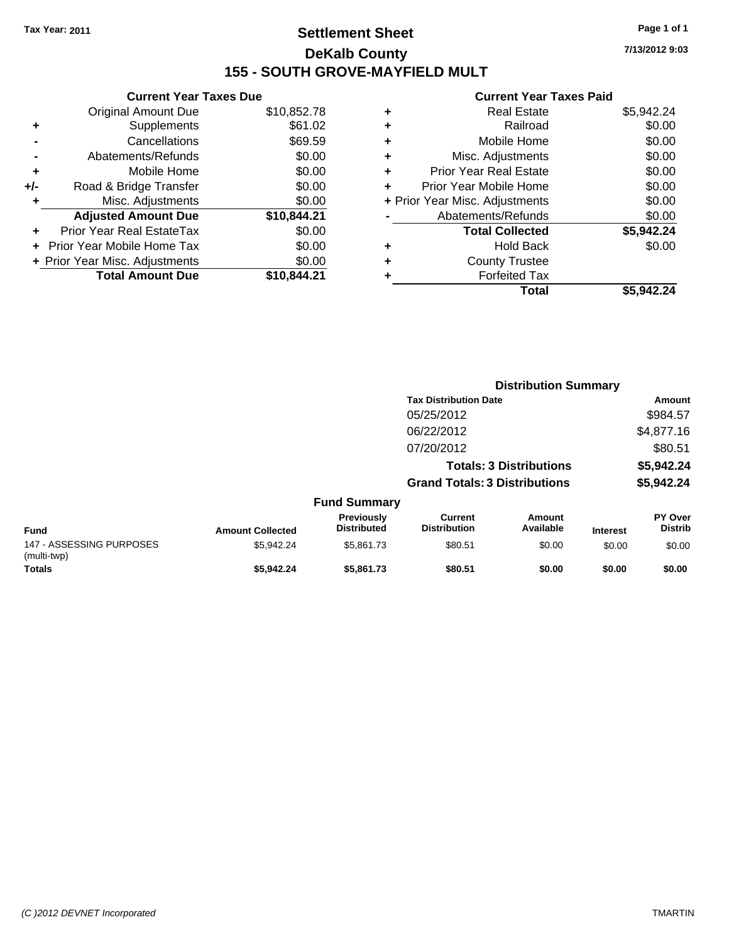## **Settlement Sheet Tax Year: 2011 Page 1 of 1 DeKalb County 155 - SOUTH GROVE-MAYFIELD MULT**

**7/13/2012 9:03**

| <b>Original Amount Due</b> | \$10,852.78                    |                               |
|----------------------------|--------------------------------|-------------------------------|
| Supplements                | \$61.02                        |                               |
| Cancellations              | \$69.59                        |                               |
| Abatements/Refunds         | \$0.00                         |                               |
| Mobile Home                | \$0.00                         |                               |
| Road & Bridge Transfer     | \$0.00                         |                               |
| Misc. Adjustments          | \$0.00                         |                               |
| <b>Adjusted Amount Due</b> | \$10,844.21                    |                               |
| Prior Year Real EstateTax  | \$0.00                         |                               |
| Prior Year Mobile Home Tax | \$0.00                         |                               |
|                            | \$0.00                         |                               |
| <b>Total Amount Due</b>    | \$10.844.21                    |                               |
|                            | + Prior Year Misc. Adjustments | <b>Current Year Taxes Due</b> |

| \$5,942.24 |
|------------|
| \$0.00     |
| \$0.00     |
| \$0.00     |
| \$0.00     |
| \$0.00     |
| \$0.00     |
| \$0.00     |
| \$5,942.24 |
| \$0.00     |
|            |
|            |
| \$5.942.24 |
|            |

|                                         |                         |                                  | <b>Distribution Summary</b>           |                                |                 |                           |  |
|-----------------------------------------|-------------------------|----------------------------------|---------------------------------------|--------------------------------|-----------------|---------------------------|--|
|                                         |                         |                                  | <b>Tax Distribution Date</b>          |                                |                 | Amount                    |  |
|                                         |                         |                                  | 05/25/2012                            |                                |                 | \$984.57                  |  |
|                                         |                         |                                  | 06/22/2012                            |                                |                 | \$4,877.16                |  |
|                                         |                         |                                  | 07/20/2012                            |                                |                 | \$80.51                   |  |
|                                         |                         |                                  |                                       | <b>Totals: 3 Distributions</b> |                 | \$5,942.24                |  |
|                                         |                         |                                  | <b>Grand Totals: 3 Distributions</b>  |                                |                 | \$5,942.24                |  |
|                                         |                         | <b>Fund Summary</b>              |                                       |                                |                 |                           |  |
| <b>Fund</b>                             | <b>Amount Collected</b> | Previously<br><b>Distributed</b> | <b>Current</b><br><b>Distribution</b> | <b>Amount</b><br>Available     | <b>Interest</b> | PY Over<br><b>Distrib</b> |  |
| 147 - ASSESSING PURPOSES<br>(multi-twp) | \$5,942.24              | \$5,861.73                       | \$80.51                               | \$0.00                         | \$0.00          | \$0.00                    |  |
| Totals                                  | \$5,942.24              | \$5,861.73                       | \$80.51                               | \$0.00                         | \$0.00          | \$0.00                    |  |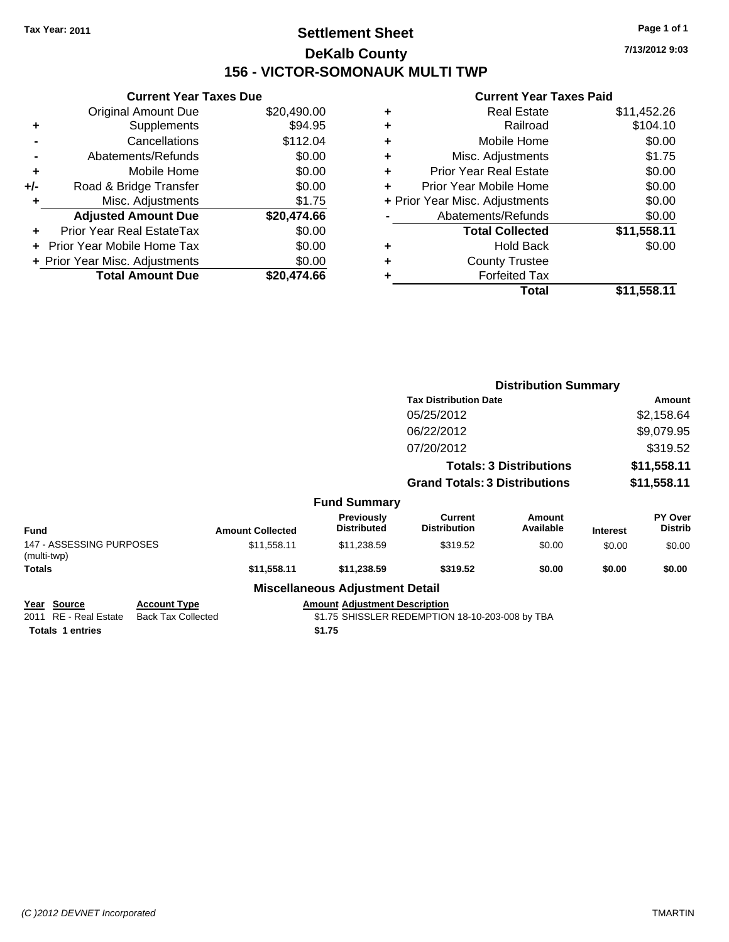## **Settlement Sheet Tax Year: 2011 Page 1 of 1 DeKalb County 156 - VICTOR-SOMONAUK MULTI TWP**

**7/13/2012 9:03**

|     | <b>Current Year Taxes Due</b>  |             |  |
|-----|--------------------------------|-------------|--|
|     | <b>Original Amount Due</b>     | \$20,490.00 |  |
| ٠   | Supplements                    | \$94.95     |  |
|     | Cancellations                  | \$112.04    |  |
|     | Abatements/Refunds             | \$0.00      |  |
| ٠   | Mobile Home                    | \$0.00      |  |
| +/- | Road & Bridge Transfer         | \$0.00      |  |
| ٠   | Misc. Adjustments              | \$1.75      |  |
|     | <b>Adjusted Amount Due</b>     | \$20,474.66 |  |
|     | Prior Year Real EstateTax      | \$0.00      |  |
|     | Prior Year Mobile Home Tax     | \$0.00      |  |
|     | + Prior Year Misc. Adjustments | \$0.00      |  |
|     | <b>Total Amount Due</b>        | \$20.474.66 |  |
|     |                                |             |  |

| ٠ | <b>Real Estate</b>             | \$11,452.26 |
|---|--------------------------------|-------------|
| ٠ | Railroad                       | \$104.10    |
| ٠ | Mobile Home                    | \$0.00      |
| ٠ | Misc. Adjustments              | \$1.75      |
| ÷ | <b>Prior Year Real Estate</b>  | \$0.00      |
| ٠ | Prior Year Mobile Home         | \$0.00      |
|   | + Prior Year Misc. Adjustments | \$0.00      |
|   | Abatements/Refunds             | \$0.00      |
|   | <b>Total Collected</b>         | \$11,558.11 |
| ٠ | Hold Back                      | \$0.00      |
| ٠ | <b>County Trustee</b>          |             |
| ٠ | <b>Forfeited Tax</b>           |             |
|   | Total                          | \$11,558.11 |
|   |                                |             |

|                                                                 |                                                  |                         |                                                | <b>Distribution Summary</b>                     |                                |                 |                           |
|-----------------------------------------------------------------|--------------------------------------------------|-------------------------|------------------------------------------------|-------------------------------------------------|--------------------------------|-----------------|---------------------------|
|                                                                 |                                                  |                         |                                                | <b>Tax Distribution Date</b>                    |                                |                 | Amount                    |
|                                                                 |                                                  |                         |                                                | 05/25/2012                                      |                                |                 | \$2,158.64                |
|                                                                 |                                                  |                         |                                                | 06/22/2012                                      |                                |                 | \$9,079.95                |
|                                                                 |                                                  |                         |                                                | 07/20/2012                                      |                                |                 | \$319.52                  |
|                                                                 |                                                  |                         |                                                |                                                 | <b>Totals: 3 Distributions</b> |                 | \$11,558.11               |
|                                                                 |                                                  |                         |                                                | <b>Grand Totals: 3 Distributions</b>            |                                |                 | \$11,558.11               |
|                                                                 |                                                  |                         | <b>Fund Summary</b>                            |                                                 |                                |                 |                           |
| <b>Fund</b>                                                     |                                                  | <b>Amount Collected</b> | <b>Previously</b><br><b>Distributed</b>        | <b>Current</b><br><b>Distribution</b>           | Amount<br>Available            | <b>Interest</b> | PY Over<br><b>Distrib</b> |
| 147 - ASSESSING PURPOSES<br>(multi-twp)                         |                                                  | \$11,558.11             | \$11,238.59                                    | \$319.52                                        | \$0.00                         | \$0.00          | \$0.00                    |
| Totals                                                          |                                                  | \$11,558.11             | \$11,238.59                                    | \$319.52                                        | \$0.00                         | \$0.00          | \$0.00                    |
|                                                                 |                                                  |                         | <b>Miscellaneous Adjustment Detail</b>         |                                                 |                                |                 |                           |
| Year Source<br>2011 RE - Real Estate<br><b>Totals 1 entries</b> | <b>Account Type</b><br><b>Back Tax Collected</b> |                         | <b>Amount Adjustment Description</b><br>\$1.75 | \$1.75 SHISSLER REDEMPTION 18-10-203-008 by TBA |                                |                 |                           |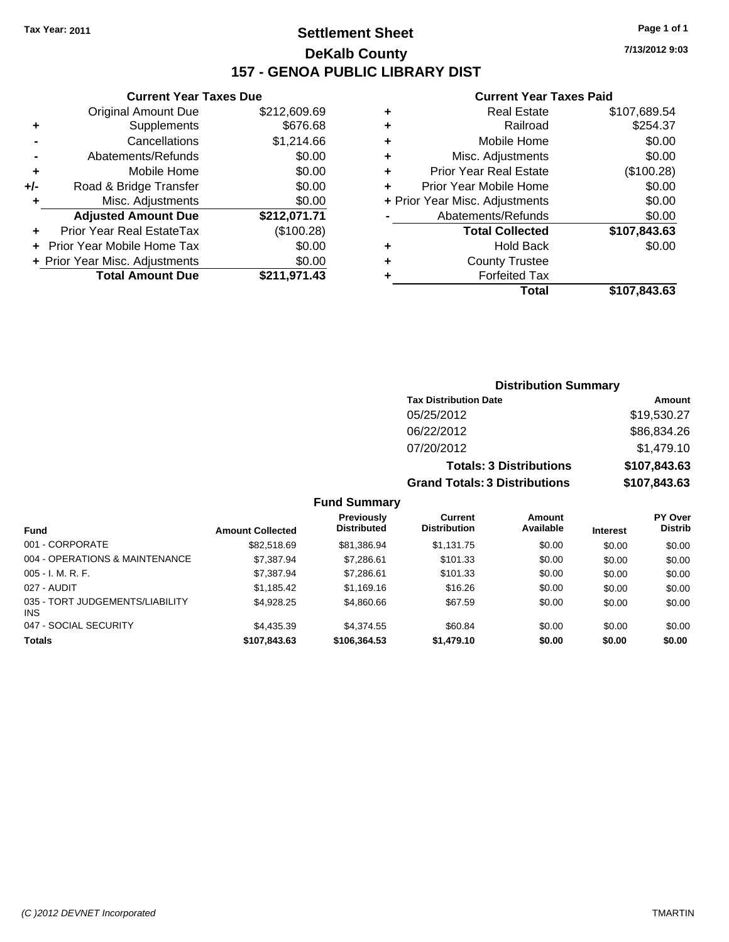## **Settlement Sheet Tax Year: 2011 Page 1 of 1 DeKalb County 157 - GENOA PUBLIC LIBRARY DIST**

|     | <b>Current Year Taxes Due</b>  |              |
|-----|--------------------------------|--------------|
|     | <b>Original Amount Due</b>     | \$212,609.69 |
| ٠   | Supplements                    | \$676.68     |
|     | Cancellations                  | \$1,214.66   |
|     | Abatements/Refunds             | \$0.00       |
| ٠   | Mobile Home                    | \$0.00       |
| +/- | Road & Bridge Transfer         | \$0.00       |
| ٠   | Misc. Adjustments              | \$0.00       |
|     | <b>Adjusted Amount Due</b>     | \$212,071.71 |
|     | Prior Year Real EstateTax      | (\$100.28)   |
|     | Prior Year Mobile Home Tax     | \$0.00       |
|     | + Prior Year Misc. Adjustments | \$0.00       |
|     | <b>Total Amount Due</b>        | \$211,971.43 |
|     |                                |              |

#### **Current Year Taxes Paid**

|   | <b>Real Estate</b>             | \$107,689.54 |
|---|--------------------------------|--------------|
| ٠ | Railroad                       | \$254.37     |
| ٠ | Mobile Home                    | \$0.00       |
| ٠ | Misc. Adjustments              | \$0.00       |
| ٠ | <b>Prior Year Real Estate</b>  | (\$100.28)   |
|   | Prior Year Mobile Home         | \$0.00       |
|   | + Prior Year Misc. Adjustments | \$0.00       |
|   | Abatements/Refunds             | \$0.00       |
|   | <b>Total Collected</b>         | \$107,843.63 |
| ٠ | Hold Back                      | \$0.00       |
| ٠ | <b>County Trustee</b>          |              |
|   | <b>Forfeited Tax</b>           |              |
|   | Total                          | \$107,843.63 |
|   |                                |              |

| <b>Distribution Summary</b>          |              |
|--------------------------------------|--------------|
| <b>Tax Distribution Date</b>         | Amount       |
| 05/25/2012                           | \$19,530.27  |
| 06/22/2012                           | \$86,834.26  |
| 07/20/2012                           | \$1,479.10   |
| <b>Totals: 3 Distributions</b>       | \$107,843.63 |
| <b>Grand Totals: 3 Distributions</b> | \$107,843.63 |

## **Fund Summary**

| <b>Fund</b>                                   | <b>Amount Collected</b> | Previously<br><b>Distributed</b> | Current<br><b>Distribution</b> | Amount<br>Available | <b>Interest</b> | <b>PY Over</b><br><b>Distrib</b> |
|-----------------------------------------------|-------------------------|----------------------------------|--------------------------------|---------------------|-----------------|----------------------------------|
|                                               |                         |                                  |                                |                     |                 |                                  |
| 001 - CORPORATE                               | \$82,518.69             | \$81,386.94                      | \$1,131.75                     | \$0.00              | \$0.00          | \$0.00                           |
| 004 - OPERATIONS & MAINTENANCE                | \$7,387.94              | \$7,286.61                       | \$101.33                       | \$0.00              | \$0.00          | \$0.00                           |
| $005 - I. M. R. F.$                           | \$7,387.94              | \$7,286.61                       | \$101.33                       | \$0.00              | \$0.00          | \$0.00                           |
| 027 - AUDIT                                   | \$1,185.42              | \$1,169.16                       | \$16.26                        | \$0.00              | \$0.00          | \$0.00                           |
| 035 - TORT JUDGEMENTS/LIABILITY<br><b>INS</b> | \$4.928.25              | \$4,860.66                       | \$67.59                        | \$0.00              | \$0.00          | \$0.00                           |
| 047 - SOCIAL SECURITY                         | \$4,435.39              | \$4,374.55                       | \$60.84                        | \$0.00              | \$0.00          | \$0.00                           |
| <b>Totals</b>                                 | \$107,843.63            | \$106,364,53                     | \$1,479.10                     | \$0.00              | \$0.00          | \$0.00                           |

**7/13/2012 9:03**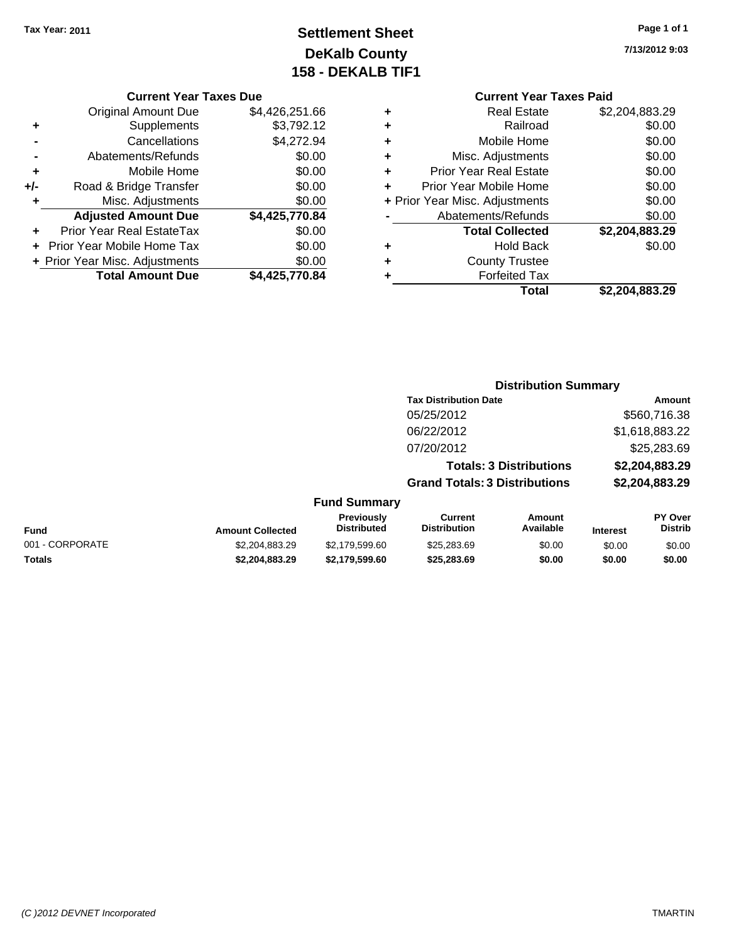## **Settlement Sheet Tax Year: 2011 Page 1 of 1 DeKalb County 158 - DEKALB TIF1**

#### **Current Year Taxes Due**

|     | <b>Original Amount Due</b>        | \$4,426,251.66 |
|-----|-----------------------------------|----------------|
| ٠   | Supplements                       | \$3,792.12     |
|     | Cancellations                     | \$4,272.94     |
|     | Abatements/Refunds                | \$0.00         |
| ٠   | Mobile Home                       | \$0.00         |
| +/- | Road & Bridge Transfer            | \$0.00         |
| ٠   | Misc. Adjustments                 | \$0.00         |
|     | <b>Adjusted Amount Due</b>        | \$4,425,770.84 |
|     | Prior Year Real EstateTax         | \$0.00         |
|     | <b>Prior Year Mobile Home Tax</b> | \$0.00         |
|     | + Prior Year Misc. Adjustments    | \$0.00         |
|     | <b>Total Amount Due</b>           | \$4,425,770.84 |

**7/13/2012 9:03**

## **Current Year Taxes Paid**

|   | Total                          | \$2,204,883.29 |
|---|--------------------------------|----------------|
|   | <b>Forfeited Tax</b>           |                |
| ٠ | <b>County Trustee</b>          |                |
| ٠ | <b>Hold Back</b>               | \$0.00         |
|   | <b>Total Collected</b>         | \$2,204,883.29 |
|   | Abatements/Refunds             | \$0.00         |
|   | + Prior Year Misc. Adjustments | \$0.00         |
| ÷ | Prior Year Mobile Home         | \$0.00         |
| ٠ | <b>Prior Year Real Estate</b>  | \$0.00         |
| ٠ | Misc. Adjustments              | \$0.00         |
| ٠ | Mobile Home                    | \$0.00         |
| ٠ | Railroad                       | \$0.00         |
| ٠ | <b>Real Estate</b>             | \$2,204,883.29 |

#### **Distribution Summary Tax Distribution Date Amount** 05/25/2012 \$560,716.38 06/22/2012 \$1,618,883.22 07/20/2012 \$25,283.69 **Totals: 3 Distributions \$2,204,883.29 Grand Totals: 3 Distributions \$2,204,883.29 Fund Summary Fund Interest Amount Collected Distributed PY Over Distrib Amount Available Current Distribution Previously** 001 - CORPORATE \$2,204,883.29 \$2,179,599.60 \$25,283.69 \$0.00 \$0.00 \$0.00

**Totals \$2,204,883.29 \$2,179,599.60 \$25,283.69 \$0.00 \$0.00 \$0.00**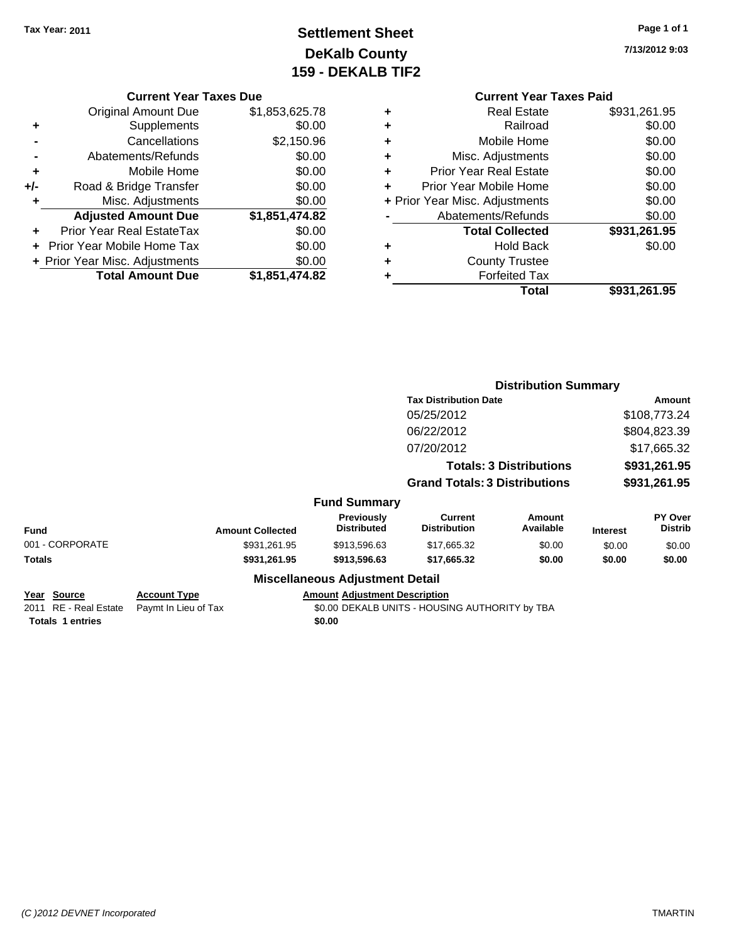## **Settlement Sheet Tax Year: 2011 Page 1 of 1 DeKalb County 159 - DEKALB TIF2**

**7/13/2012 9:03**

#### **Current Year Taxes Due**

|     | <b>Original Amount Due</b>       | \$1,853,625.78 |
|-----|----------------------------------|----------------|
|     | Supplements                      | \$0.00         |
|     | Cancellations                    | \$2,150.96     |
|     | Abatements/Refunds               | \$0.00         |
| ٠   | Mobile Home                      | \$0.00         |
| +/- | Road & Bridge Transfer           | \$0.00         |
| ٠   | Misc. Adjustments                | \$0.00         |
|     | <b>Adjusted Amount Due</b>       | \$1,851,474.82 |
|     | <b>Prior Year Real EstateTax</b> | \$0.00         |
|     | Prior Year Mobile Home Tax       | \$0.00         |
|     | + Prior Year Misc. Adjustments   | \$0.00         |
|     | <b>Total Amount Due</b>          | \$1,851,474.82 |

|   | <b>Real Estate</b>             | \$931,261.95 |
|---|--------------------------------|--------------|
| ٠ | Railroad                       | \$0.00       |
| ٠ | Mobile Home                    | \$0.00       |
| ٠ | Misc. Adjustments              | \$0.00       |
| ٠ | <b>Prior Year Real Estate</b>  | \$0.00       |
| ٠ | Prior Year Mobile Home         | \$0.00       |
|   | + Prior Year Misc. Adjustments | \$0.00       |
|   | Abatements/Refunds             | \$0.00       |
|   | <b>Total Collected</b>         | \$931,261.95 |
| ٠ | <b>Hold Back</b>               | \$0.00       |
| ٠ | <b>County Trustee</b>          |              |
|   | <b>Forfeited Tax</b>           |              |
|   | Total                          | \$931,261.95 |
|   |                                |              |

|                                                                 |                                             |                                                | <b>Distribution Summary</b>                    |                        |                 |                           |
|-----------------------------------------------------------------|---------------------------------------------|------------------------------------------------|------------------------------------------------|------------------------|-----------------|---------------------------|
|                                                                 | <b>Tax Distribution Date</b>                |                                                |                                                | Amount<br>\$108,773.24 |                 |                           |
|                                                                 | 05/25/2012<br>06/22/2012<br>07/20/2012      |                                                |                                                |                        |                 |                           |
|                                                                 |                                             |                                                |                                                | \$804,823.39           |                 |                           |
|                                                                 |                                             |                                                | \$17,665.32                                    |                        |                 |                           |
|                                                                 | <b>Totals: 3 Distributions</b>              |                                                | \$931,261.95                                   |                        |                 |                           |
|                                                                 | <b>Grand Totals: 3 Distributions</b>        |                                                |                                                | \$931,261.95           |                 |                           |
|                                                                 |                                             | <b>Fund Summary</b>                            |                                                |                        |                 |                           |
| <b>Fund</b>                                                     | <b>Amount Collected</b>                     | Previously<br><b>Distributed</b>               | Current<br><b>Distribution</b>                 | Amount<br>Available    | <b>Interest</b> | PY Over<br><b>Distrib</b> |
| 001 - CORPORATE                                                 | \$931,261.95                                | \$913,596.63                                   | \$17,665.32                                    | \$0.00                 | \$0.00          | \$0.00                    |
| Totals                                                          | \$931,261.95                                | \$913,596.63                                   | \$17,665.32                                    | \$0.00                 | \$0.00          | \$0.00                    |
|                                                                 |                                             | <b>Miscellaneous Adjustment Detail</b>         |                                                |                        |                 |                           |
| Year Source<br>2011 RE - Real Estate<br><b>Totals 1 entries</b> | <b>Account Type</b><br>Paymt In Lieu of Tax | <b>Amount Adjustment Description</b><br>\$0.00 | \$0.00 DEKALB UNITS - HOUSING AUTHORITY by TBA |                        |                 |                           |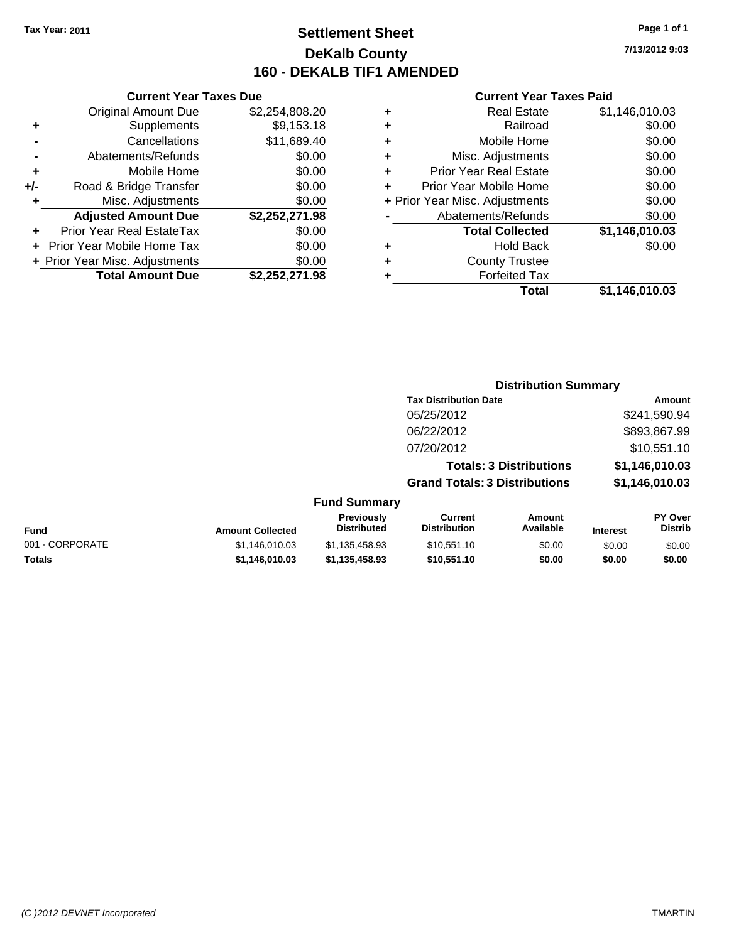## **Settlement Sheet Tax Year: 2011 Page 1 of 1 DeKalb County 160 - DEKALB TIF1 AMENDED**

#### **Current Year Taxes Due**

|     | <b>Original Amount Due</b>        | \$2,254,808.20 |
|-----|-----------------------------------|----------------|
| ٠   | Supplements                       | \$9,153.18     |
|     | Cancellations                     | \$11,689.40    |
|     | Abatements/Refunds                | \$0.00         |
| ٠   | Mobile Home                       | \$0.00         |
| +/- | Road & Bridge Transfer            | \$0.00         |
| ٠   | Misc. Adjustments                 | \$0.00         |
|     | <b>Adjusted Amount Due</b>        | \$2,252,271.98 |
|     | <b>Prior Year Real EstateTax</b>  | \$0.00         |
|     | <b>Prior Year Mobile Home Tax</b> | \$0.00         |
|     | + Prior Year Misc. Adjustments    | \$0.00         |
|     | <b>Total Amount Due</b>           | \$2,252,271.98 |

#### **Current Year Taxes Paid**

|   | <b>Real Estate</b>             | \$1,146,010.03 |
|---|--------------------------------|----------------|
| ٠ | Railroad                       | \$0.00         |
| ٠ | Mobile Home                    | \$0.00         |
| ٠ | Misc. Adjustments              | \$0.00         |
| ٠ | <b>Prior Year Real Estate</b>  | \$0.00         |
|   | Prior Year Mobile Home         | \$0.00         |
|   | + Prior Year Misc. Adjustments | \$0.00         |
|   | Abatements/Refunds             | \$0.00         |
|   | <b>Total Collected</b>         | \$1,146,010.03 |
| ٠ | Hold Back                      | \$0.00         |
| ٠ | <b>County Trustee</b>          |                |
| ٠ | <b>Forfeited Tax</b>           |                |
|   | Total                          | \$1,146,010.03 |
|   |                                |                |

| <b>Distribution Summary</b>          |                |
|--------------------------------------|----------------|
| <b>Tax Distribution Date</b>         | Amount         |
| 05/25/2012                           | \$241.590.94   |
| 06/22/2012                           | \$893,867.99   |
| 07/20/2012                           | \$10,551.10    |
| <b>Totals: 3 Distributions</b>       | \$1,146,010.03 |
| <b>Grand Totals: 3 Distributions</b> | \$1,146,010.03 |
| 'W                                   |                |

#### **Fund Summary**

| Fund            | <b>Amount Collected</b> | <b>Previously</b><br><b>Distributed</b> | Current<br><b>Distribution</b> | Amount<br>Available | <b>Interest</b> | <b>PY Over</b><br><b>Distrib</b> |
|-----------------|-------------------------|-----------------------------------------|--------------------------------|---------------------|-----------------|----------------------------------|
| 001 - CORPORATE | \$1,146,010.03          | \$1.135.458.93                          | \$10,551.10                    | \$0.00              | \$0.00          | \$0.00                           |
| Totals          | \$1,146,010.03          | \$1.135.458.93                          | \$10,551.10                    | \$0.00              | \$0.00          | \$0.00                           |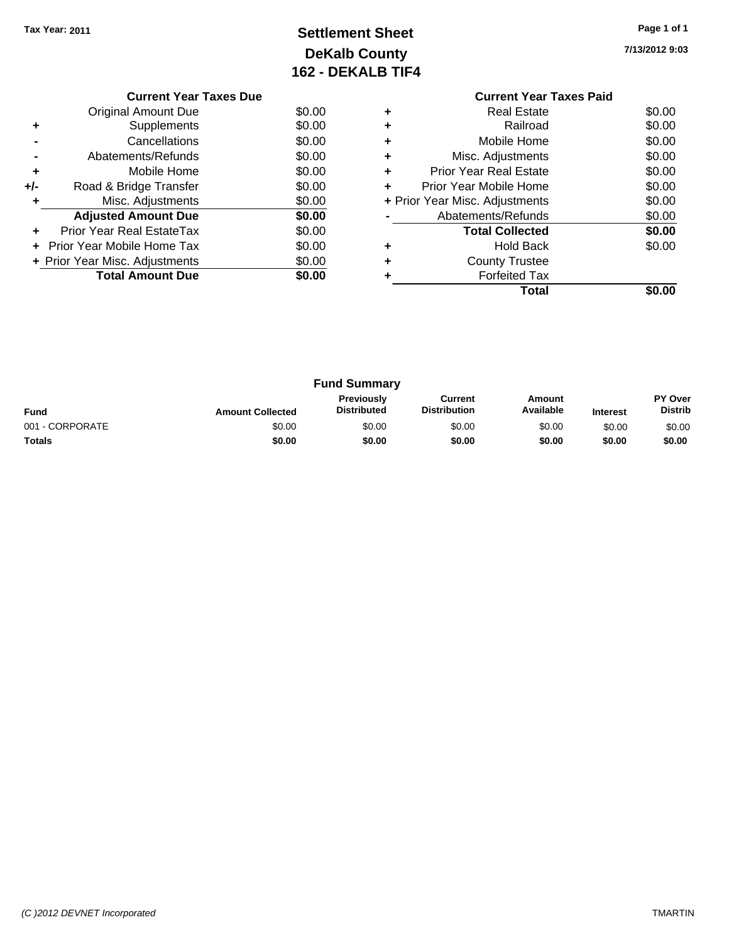# **Settlement Sheet Tax Year: 2011 Page 1 of 1 DeKalb County 162 - DEKALB TIF4**

**7/13/2012 9:03**

|        | IOZ - DENALD IIF4 |                                |        |
|--------|-------------------|--------------------------------|--------|
|        |                   | <b>Current Year Taxes Paid</b> |        |
| \$0.00 | ٠                 | <b>Real Estate</b>             | \$0.00 |
| \$0.00 | ٠                 | Railroad                       | \$0.00 |
| \$0.00 | ٠                 | Mobile Home                    | \$0.00 |
| \$0.00 | ٠                 | Misc. Adjustments              | \$0.00 |

|   | Total                          | SO.OO  |
|---|--------------------------------|--------|
|   | <b>Forfeited Tax</b>           |        |
| ٠ | <b>County Trustee</b>          |        |
| ٠ | <b>Hold Back</b>               | \$0.00 |
|   | <b>Total Collected</b>         | \$0.00 |
|   | Abatements/Refunds             | \$0.00 |
|   | + Prior Year Misc. Adjustments | \$0.00 |
| ÷ | Prior Year Mobile Home         | \$0.00 |
| ٠ | <b>Prior Year Real Estate</b>  | \$0.00 |
| ٠ | Misc. Adjustments              | \$0.00 |
| ٠ | Mobile Home                    | \$0.00 |
|   | Railroad                       | \$0.00 |

|                 |                         | <b>Fund Summary</b>              |                                       |                     |                 |                                  |
|-----------------|-------------------------|----------------------------------|---------------------------------------|---------------------|-----------------|----------------------------------|
| <b>Fund</b>     | <b>Amount Collected</b> | Previously<br><b>Distributed</b> | <b>Current</b><br><b>Distribution</b> | Amount<br>Available | <b>Interest</b> | <b>PY Over</b><br><b>Distrib</b> |
| 001 - CORPORATE | \$0.00                  | \$0.00                           | \$0.00                                | \$0.00              | \$0.00          | \$0.00                           |
| Totals          | \$0.00                  | \$0.00                           | \$0.00                                | \$0.00              | \$0.00          | \$0.00                           |

|                | <b>Original Amount Due</b>     | \$0.00 |
|----------------|--------------------------------|--------|
| ٠              | Supplements                    | \$0.00 |
|                | Cancellations                  | \$0.00 |
| $\blacksquare$ | Abatements/Refunds             | \$0.00 |
| ٠              | Mobile Home                    | \$0.00 |
| +/-            | Road & Bridge Transfer         | \$0.00 |
| ٠              | Misc. Adjustments              | \$0.00 |
|                | <b>Adjusted Amount Due</b>     | \$0.00 |
| ٠              | Prior Year Real EstateTax      | \$0.00 |
|                | Prior Year Mobile Home Tax     | \$0.00 |
|                | + Prior Year Misc. Adjustments | \$0.00 |
|                | <b>Total Amount Due</b>        | \$0.00 |
|                |                                |        |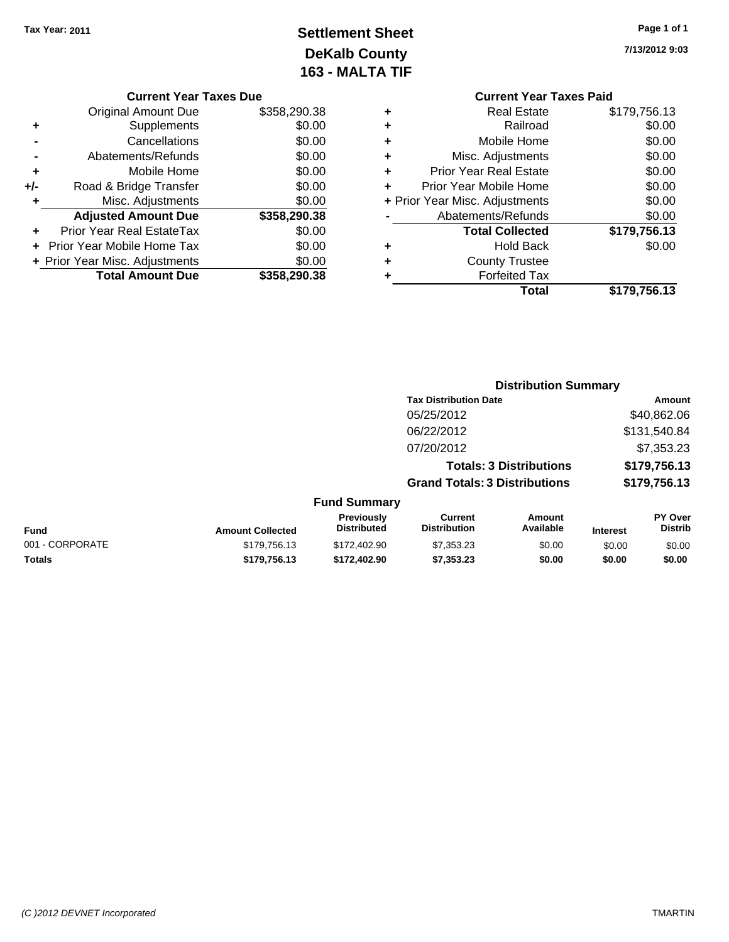# **Settlement Sheet Tax Year: 2011 Page 1 of 1 DeKalb County 163 - MALTA TIF**

**7/13/2012 9:03**

| <b>Original Amount Due</b>       | \$358,290.38                                              |
|----------------------------------|-----------------------------------------------------------|
| Supplements                      | \$0.00                                                    |
| Cancellations                    | \$0.00                                                    |
| Abatements/Refunds               | \$0.00                                                    |
| Mobile Home                      | \$0.00                                                    |
| Road & Bridge Transfer           | \$0.00                                                    |
| Misc. Adjustments                | \$0.00                                                    |
| <b>Adjusted Amount Due</b>       | \$358,290.38                                              |
| <b>Prior Year Real EstateTax</b> | \$0.00                                                    |
| Prior Year Mobile Home Tax       | \$0.00                                                    |
|                                  | \$0.00                                                    |
|                                  |                                                           |
|                                  | + Prior Year Misc. Adjustments<br><b>Total Amount Due</b> |

#### **Current Year Taxes Paid +** Real Estate \$179,756.13 **+** Railroad \$0.00 **+** Mobile Home \$0.00 **+** Misc. Adjustments \$0.00 **+** Prior Year Real Estate \$0.00 **+** Prior Year Mobile Home \$0.00 **+** Prior Year Misc. Adjustments  $$0.00$ **-** Abatements/Refunds \$0.00 **Total Collected \$179,756.13 +** Hold Back \$0.00 **+** County Trustee **+** Forfeited Tax **Total \$179,756.13**

|                 |                         |                                  |                                       | <b>Distribution Summary</b>    |                 |                                  |
|-----------------|-------------------------|----------------------------------|---------------------------------------|--------------------------------|-----------------|----------------------------------|
|                 |                         |                                  | <b>Tax Distribution Date</b>          |                                |                 | Amount                           |
|                 |                         |                                  | 05/25/2012                            |                                |                 | \$40,862.06                      |
|                 |                         |                                  | 06/22/2012                            |                                |                 | \$131,540.84                     |
|                 |                         |                                  | 07/20/2012                            |                                |                 | \$7,353.23                       |
|                 |                         |                                  |                                       | <b>Totals: 3 Distributions</b> |                 | \$179,756.13                     |
|                 |                         |                                  | <b>Grand Totals: 3 Distributions</b>  |                                |                 | \$179,756.13                     |
|                 |                         | <b>Fund Summary</b>              |                                       |                                |                 |                                  |
| Fund            | <b>Amount Collected</b> | Previously<br><b>Distributed</b> | <b>Current</b><br><b>Distribution</b> | <b>Amount</b><br>Available     | <b>Interest</b> | <b>PY Over</b><br><b>Distrib</b> |
| 001 - CORPORATE | \$179,756.13            | \$172,402.90                     | \$7,353.23                            | \$0.00                         | \$0.00          | \$0.00                           |
| Totals          | \$179,756.13            | \$172,402.90                     | \$7,353.23                            | \$0.00                         | \$0.00          | \$0.00                           |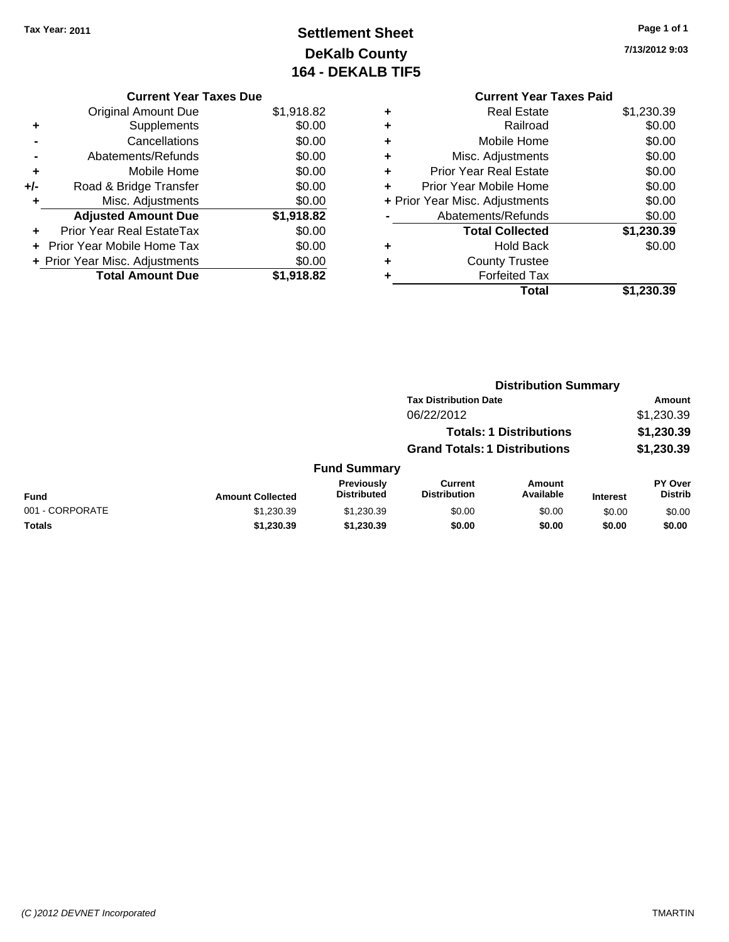# **Settlement Sheet Tax Year: 2011 Page 1 of 1 DeKalb County 164 - DEKALB TIF5**

## **7/13/2012 9:03**

| <b>Current Year Taxes Due</b>  |            |
|--------------------------------|------------|
| <b>Original Amount Due</b>     | \$1,918.82 |
| Supplements                    | \$0.00     |
| Cancellations                  | \$0.00     |
| Abatements/Refunds             | \$0.00     |
| Mobile Home                    | \$0.00     |
| Road & Bridge Transfer         | \$0.00     |
|                                |            |
| Misc. Adjustments              | \$0.00     |
| <b>Adjusted Amount Due</b>     | \$1,918.82 |
| Prior Year Real EstateTax      | \$0.00     |
| Prior Year Mobile Home Tax     | \$0.00     |
| + Prior Year Misc. Adjustments | \$0.00     |
|                                |            |

|   | <b>Current Year Taxes Paid</b> |            |
|---|--------------------------------|------------|
| ٠ | <b>Real Estate</b>             | \$1,230.39 |
| ٠ | Railroad                       | \$0.00     |
| ٠ | Mobile Home                    | \$0.00     |
| ٠ | Misc. Adjustments              | \$0.00     |
| ٠ | <b>Prior Year Real Estate</b>  | \$0.00     |
| ٠ | Prior Year Mobile Home         | \$0.00     |
|   | + Prior Year Misc. Adjustments | \$0.00     |
|   | Abatements/Refunds             | \$0.00     |
|   | <b>Total Collected</b>         | \$1,230.39 |
| ٠ | Hold Back                      | \$0.00     |
| ٠ | <b>County Trustee</b>          |            |
| ٠ | <b>Forfeited Tax</b>           |            |
|   | Total                          | \$1,230.39 |
|   |                                |            |

|                 |                         |                                  |                                       | <b>Distribution Summary</b>    |                 |                           |
|-----------------|-------------------------|----------------------------------|---------------------------------------|--------------------------------|-----------------|---------------------------|
|                 |                         |                                  | <b>Tax Distribution Date</b>          |                                |                 | Amount                    |
|                 |                         |                                  | 06/22/2012                            |                                |                 | \$1,230.39                |
|                 |                         |                                  |                                       | <b>Totals: 1 Distributions</b> |                 | \$1,230.39                |
|                 |                         |                                  | <b>Grand Totals: 1 Distributions</b>  |                                |                 | \$1,230.39                |
|                 |                         | <b>Fund Summary</b>              |                                       |                                |                 |                           |
| <b>Fund</b>     | <b>Amount Collected</b> | Previously<br><b>Distributed</b> | <b>Current</b><br><b>Distribution</b> | Amount<br>Available            | <b>Interest</b> | PY Over<br><b>Distrib</b> |
| 001 - CORPORATE | \$1,230.39              | \$1,230.39                       | \$0.00                                | \$0.00                         | \$0.00          | \$0.00                    |
| Totals          | \$1,230.39              | \$1,230.39                       | \$0.00                                | \$0.00                         | \$0.00          | \$0.00                    |
|                 |                         |                                  |                                       |                                |                 |                           |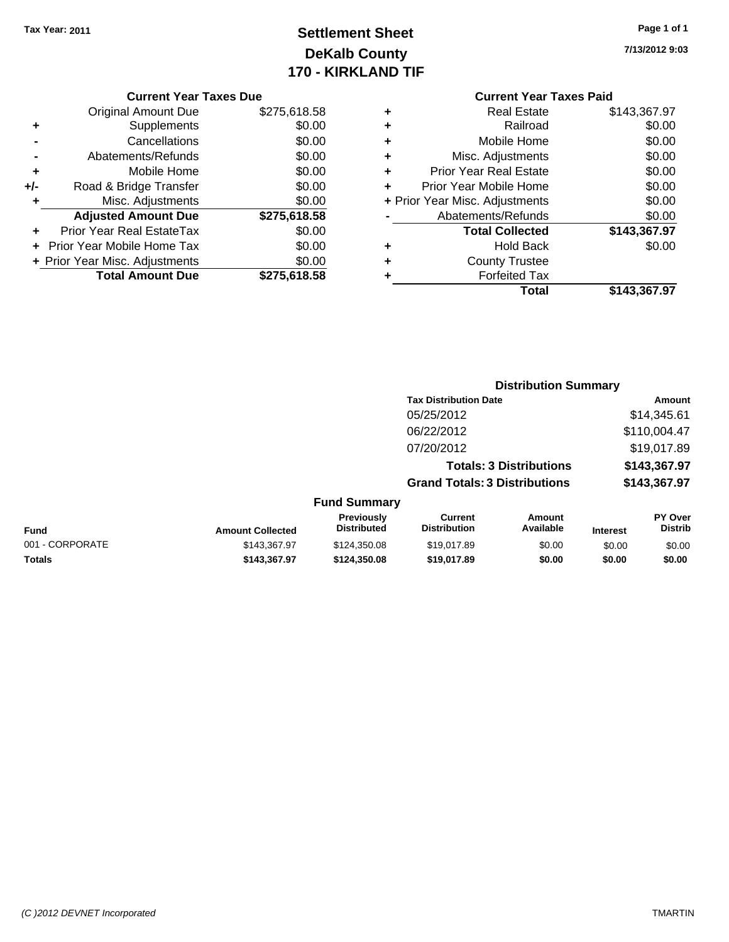# **Settlement Sheet Tax Year: 2011 Page 1 of 1 DeKalb County 170 - KIRKLAND TIF**

**7/13/2012 9:03**

|       | <b>Original Amount Due</b>        | \$275,618.58 |
|-------|-----------------------------------|--------------|
| ٠     | Supplements                       | \$0.00       |
|       | Cancellations                     | \$0.00       |
|       | Abatements/Refunds                | \$0.00       |
| ٠     | Mobile Home                       | \$0.00       |
| $+/-$ | Road & Bridge Transfer            | \$0.00       |
| ٠     | Misc. Adjustments                 | \$0.00       |
|       | <b>Adjusted Amount Due</b>        | \$275,618.58 |
|       | Prior Year Real EstateTax         | \$0.00       |
|       | <b>Prior Year Mobile Home Tax</b> | \$0.00       |
|       | + Prior Year Misc. Adjustments    | \$0.00       |
|       | <b>Total Amount Due</b>           | \$275,618.58 |
|       |                                   |              |

#### **Current Year Taxes Paid**

|   | Total                          | \$143,367.97 |
|---|--------------------------------|--------------|
| ٠ | <b>Forfeited Tax</b>           |              |
| ٠ | <b>County Trustee</b>          |              |
| ٠ | <b>Hold Back</b>               | \$0.00       |
|   | <b>Total Collected</b>         | \$143,367.97 |
|   | Abatements/Refunds             | \$0.00       |
|   | + Prior Year Misc. Adjustments | \$0.00       |
|   | Prior Year Mobile Home         | \$0.00       |
| ٠ | Prior Year Real Estate         | \$0.00       |
| ٠ | Misc. Adjustments              | \$0.00       |
| ÷ | Mobile Home                    | \$0.00       |
| ÷ | Railroad                       | \$0.00       |
|   | <b>Real Estate</b>             | \$143,367.97 |

|                 |                         |                                  |                                       | <b>Distribution Summary</b> |                 |                           |
|-----------------|-------------------------|----------------------------------|---------------------------------------|-----------------------------|-----------------|---------------------------|
|                 |                         |                                  | <b>Tax Distribution Date</b>          |                             |                 | Amount                    |
|                 |                         |                                  | 05/25/2012                            |                             |                 | \$14,345.61               |
|                 |                         |                                  | 06/22/2012                            |                             |                 | \$110,004.47              |
|                 |                         |                                  | 07/20/2012                            |                             |                 | \$19,017.89               |
|                 |                         | <b>Totals: 3 Distributions</b>   |                                       | \$143,367.97                |                 |                           |
|                 |                         |                                  | <b>Grand Totals: 3 Distributions</b>  |                             |                 | \$143,367.97              |
|                 |                         | <b>Fund Summary</b>              |                                       |                             |                 |                           |
| <b>Fund</b>     | <b>Amount Collected</b> | Previously<br><b>Distributed</b> | <b>Current</b><br><b>Distribution</b> | Amount<br>Available         | <b>Interest</b> | PY Over<br><b>Distrib</b> |
| 001 - CORPORATE | \$143,367.97            | \$124,350.08                     | \$19,017.89                           | \$0.00                      | \$0.00          | \$0.00                    |
|                 |                         |                                  |                                       |                             |                 |                           |

**Totals \$143,367.97 \$124,350.08 \$19,017.89 \$0.00 \$0.00 \$0.00**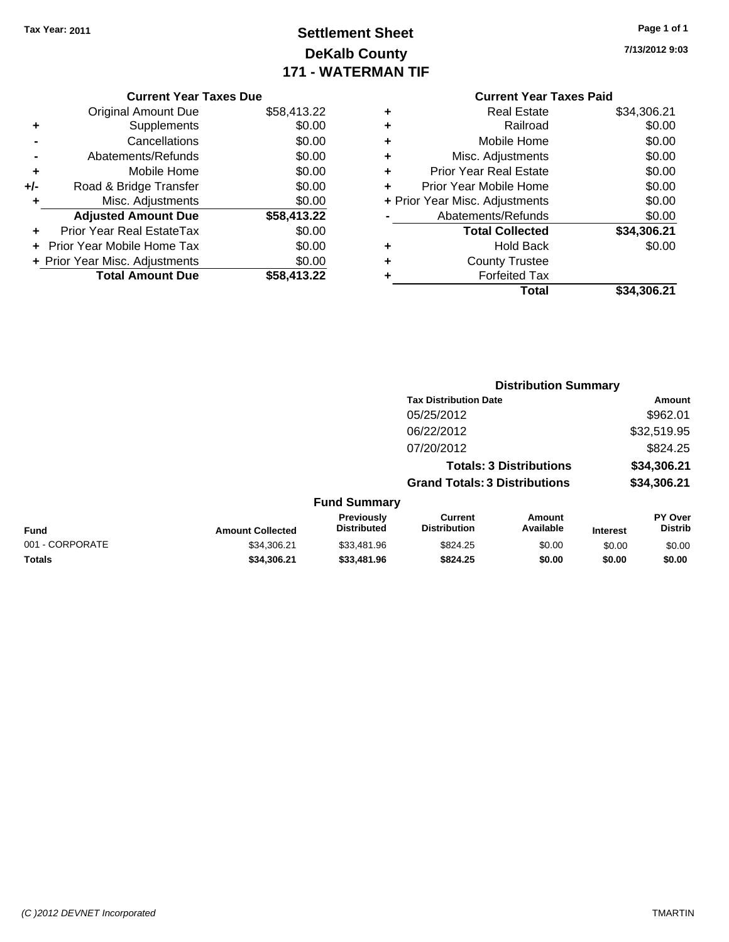# **Settlement Sheet Tax Year: 2011 Page 1 of 1 DeKalb County 171 - WATERMAN TIF**

**7/13/2012 9:03**

#### **Current Year Taxes Due**

|     | <b>Original Amount Due</b>       | \$58,413.22 |
|-----|----------------------------------|-------------|
| ٠   | Supplements                      | \$0.00      |
|     | Cancellations                    | \$0.00      |
|     | Abatements/Refunds               | \$0.00      |
| ٠   | Mobile Home                      | \$0.00      |
| +/- | Road & Bridge Transfer           | \$0.00      |
| ٠   | Misc. Adjustments                | \$0.00      |
|     | <b>Adjusted Amount Due</b>       | \$58,413.22 |
|     | <b>Prior Year Real EstateTax</b> | \$0.00      |
|     | Prior Year Mobile Home Tax       | \$0.00      |
|     | + Prior Year Misc. Adjustments   | \$0.00      |
|     | <b>Total Amount Due</b>          | \$58,413.22 |

| ٠ | <b>Real Estate</b>             | \$34,306.21 |
|---|--------------------------------|-------------|
| ٠ | Railroad                       | \$0.00      |
| ٠ | Mobile Home                    | \$0.00      |
| ٠ | Misc. Adjustments              | \$0.00      |
| ٠ | <b>Prior Year Real Estate</b>  | \$0.00      |
| ÷ | Prior Year Mobile Home         | \$0.00      |
|   | + Prior Year Misc. Adjustments | \$0.00      |
|   | Abatements/Refunds             | \$0.00      |
|   | <b>Total Collected</b>         | \$34,306.21 |
| ٠ | <b>Hold Back</b>               | \$0.00      |
| ٠ | <b>County Trustee</b>          |             |
| ٠ | <b>Forfeited Tax</b>           |             |
|   | Total                          | \$34,306.21 |
|   |                                |             |

|                 |                         |                                  | <b>Distribution Summary</b>           |                                |                 |                           |
|-----------------|-------------------------|----------------------------------|---------------------------------------|--------------------------------|-----------------|---------------------------|
|                 |                         |                                  | <b>Tax Distribution Date</b>          |                                |                 | Amount                    |
|                 |                         |                                  | 05/25/2012                            |                                |                 | \$962.01                  |
|                 |                         |                                  | 06/22/2012                            |                                |                 | \$32,519.95               |
|                 |                         |                                  | 07/20/2012                            |                                |                 | \$824.25                  |
|                 |                         |                                  |                                       | <b>Totals: 3 Distributions</b> |                 | \$34,306.21               |
|                 |                         |                                  | <b>Grand Totals: 3 Distributions</b>  |                                |                 | \$34,306.21               |
|                 |                         | <b>Fund Summary</b>              |                                       |                                |                 |                           |
| Fund            | <b>Amount Collected</b> | Previously<br><b>Distributed</b> | <b>Current</b><br><b>Distribution</b> | Amount<br>Available            | <b>Interest</b> | PY Over<br><b>Distrib</b> |
| 001 - CORPORATE | \$34,306.21             | \$33,481.96                      | \$824.25                              | \$0.00                         | \$0.00          | \$0.00                    |
| Totals          | \$34,306.21             | \$33,481.96                      | \$824.25                              | \$0.00                         | \$0.00          | \$0.00                    |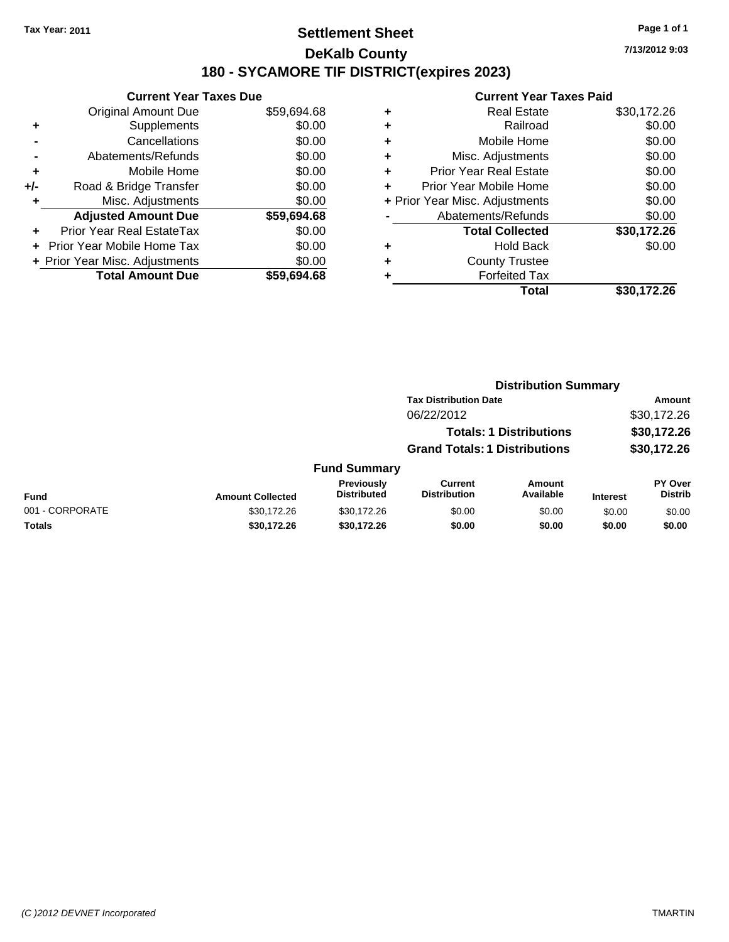### **Settlement Sheet Tax Year: 2011 Page 1 of 1 DeKalb County 180 - SYCAMORE TIF DISTRICT(expires 2023)**

**7/13/2012 9:03**

|     | <b>Current Year Taxes Due</b>    |             |  |  |  |  |
|-----|----------------------------------|-------------|--|--|--|--|
|     | <b>Original Amount Due</b>       | \$59,694.68 |  |  |  |  |
| ٠   | Supplements                      | \$0.00      |  |  |  |  |
|     | Cancellations                    | \$0.00      |  |  |  |  |
|     | Abatements/Refunds               | \$0.00      |  |  |  |  |
| ٠   | Mobile Home                      | \$0.00      |  |  |  |  |
| +/- | Road & Bridge Transfer           | \$0.00      |  |  |  |  |
| ٠   | Misc. Adjustments                | \$0.00      |  |  |  |  |
|     | <b>Adjusted Amount Due</b>       | \$59,694.68 |  |  |  |  |
| ÷   | <b>Prior Year Real EstateTax</b> | \$0.00      |  |  |  |  |
| ÷   | Prior Year Mobile Home Tax       | \$0.00      |  |  |  |  |
|     | + Prior Year Misc. Adjustments   | \$0.00      |  |  |  |  |
|     | <b>Total Amount Due</b>          | \$59,694.68 |  |  |  |  |

| ٠ | <b>Real Estate</b>             | \$30,172.26 |
|---|--------------------------------|-------------|
| ٠ | Railroad                       | \$0.00      |
| ٠ | Mobile Home                    | \$0.00      |
| ٠ | Misc. Adjustments              | \$0.00      |
| ٠ | <b>Prior Year Real Estate</b>  | \$0.00      |
| ٠ | Prior Year Mobile Home         | \$0.00      |
|   | + Prior Year Misc. Adjustments | \$0.00      |
|   | Abatements/Refunds             | \$0.00      |
|   | <b>Total Collected</b>         | \$30,172.26 |
| ٠ | Hold Back                      | \$0.00      |
| ٠ | <b>County Trustee</b>          |             |
| ٠ | <b>Forfeited Tax</b>           |             |
|   | Total                          | \$30,172.26 |
|   |                                |             |

|                 |                         |                                         | <b>Distribution Summary</b>           |                                |                 |                                  |
|-----------------|-------------------------|-----------------------------------------|---------------------------------------|--------------------------------|-----------------|----------------------------------|
|                 |                         |                                         | <b>Tax Distribution Date</b>          |                                | Amount          |                                  |
|                 |                         |                                         | 06/22/2012                            |                                |                 | \$30,172.26                      |
|                 |                         |                                         |                                       | <b>Totals: 1 Distributions</b> |                 | \$30,172.26                      |
|                 |                         |                                         | <b>Grand Totals: 1 Distributions</b>  |                                |                 | \$30,172.26                      |
|                 |                         | <b>Fund Summary</b>                     |                                       |                                |                 |                                  |
| Fund            | <b>Amount Collected</b> | <b>Previously</b><br><b>Distributed</b> | <b>Current</b><br><b>Distribution</b> | Amount<br>Available            | <b>Interest</b> | <b>PY Over</b><br><b>Distrib</b> |
| 001 - CORPORATE | \$30,172.26             | \$30,172.26                             | \$0.00                                | \$0.00                         | \$0.00          | \$0.00                           |
| Totals          | \$30,172.26             | \$30,172.26                             | \$0.00                                | \$0.00                         | \$0.00          | \$0.00                           |
|                 |                         |                                         |                                       |                                |                 |                                  |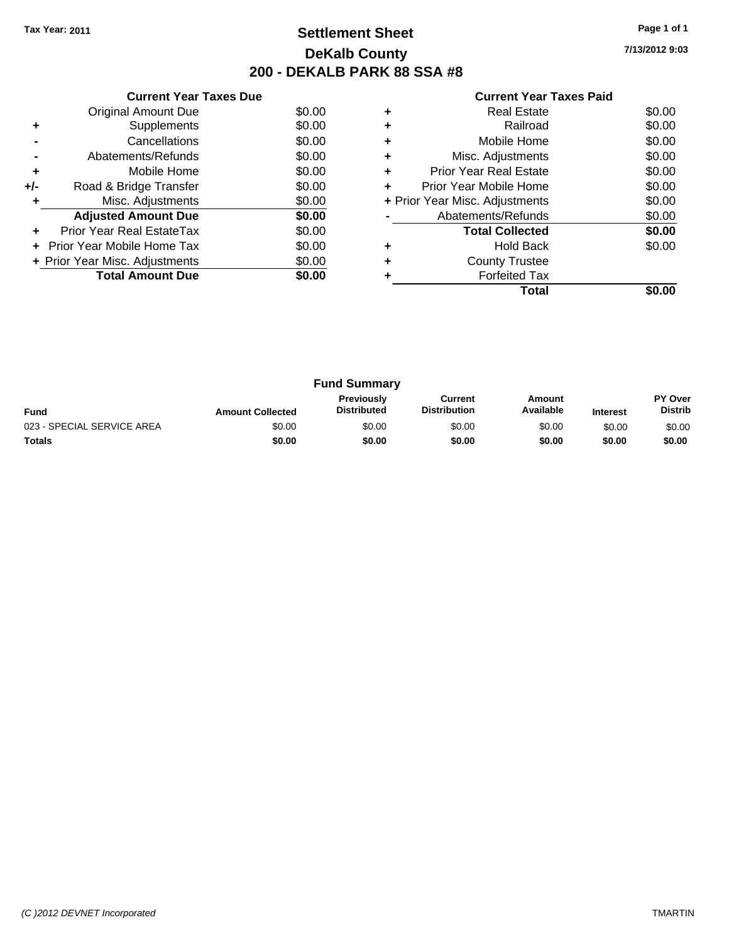## **Settlement Sheet Tax Year: 2011 Page 1 of 1 DeKalb County 200 - DEKALB PARK 88 SSA #8**

**7/13/2012 9:03**

|     | <b>Current Year Taxes Due</b>  |        |
|-----|--------------------------------|--------|
|     | Original Amount Due            | \$0.00 |
| ÷   | Supplements                    | \$0.00 |
|     | Cancellations                  | \$0.00 |
|     | Abatements/Refunds             | \$0.00 |
| ٠   | Mobile Home                    | \$0.00 |
| +/- | Road & Bridge Transfer         | \$0.00 |
| ÷   | Misc. Adjustments              | \$0.00 |
|     | <b>Adjusted Amount Due</b>     | \$0.00 |
| ٠   | Prior Year Real EstateTax      | \$0.00 |
|     | Prior Year Mobile Home Tax     | \$0.00 |
|     | + Prior Year Misc. Adjustments | \$0.00 |
|     | <b>Total Amount Due</b>        | \$0.00 |
|     |                                |        |

|   | Total                          |        |
|---|--------------------------------|--------|
|   | <b>Forfeited Tax</b>           |        |
|   | <b>County Trustee</b>          |        |
|   | <b>Hold Back</b>               | \$0.00 |
|   | <b>Total Collected</b>         | \$0.00 |
|   | Abatements/Refunds             | \$0.00 |
|   | + Prior Year Misc. Adjustments | \$0.00 |
| ٠ | Prior Year Mobile Home         | \$0.00 |
| ٠ | <b>Prior Year Real Estate</b>  | \$0.00 |
|   | Misc. Adjustments              | \$0.00 |
| ٠ | Mobile Home                    | \$0.00 |
|   | Railroad                       | \$0.00 |
|   | <b>Real Estate</b>             | \$0.00 |
|   |                                |        |

| <b>Fund Summary</b>        |                         |                                         |                                |                     |                 |                                  |
|----------------------------|-------------------------|-----------------------------------------|--------------------------------|---------------------|-----------------|----------------------------------|
| <b>Fund</b>                | <b>Amount Collected</b> | <b>Previously</b><br><b>Distributed</b> | Current<br><b>Distribution</b> | Amount<br>Available | <b>Interest</b> | <b>PY Over</b><br><b>Distrib</b> |
| 023 - SPECIAL SERVICE AREA | \$0.00                  | \$0.00                                  | \$0.00                         | \$0.00              | \$0.00          | \$0.00                           |
| <b>Totals</b>              | \$0.00                  | \$0.00                                  | \$0.00                         | \$0.00              | \$0.00          | \$0.00                           |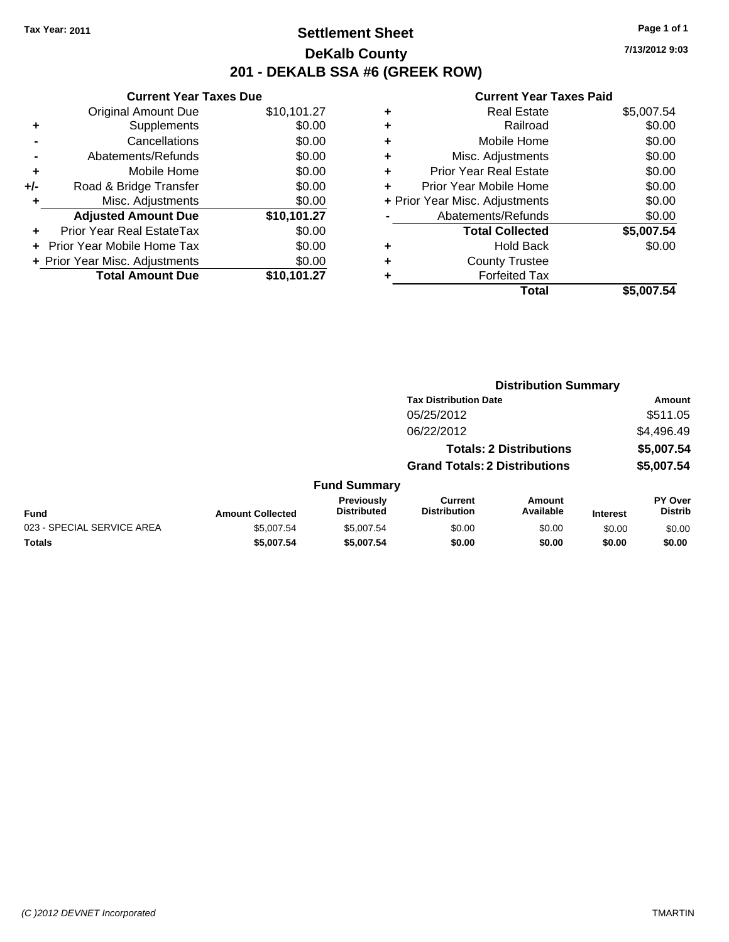### **Settlement Sheet Tax Year: 2011 Page 1 of 1 DeKalb County 201 - DEKALB SSA #6 (GREEK ROW)**

**7/13/2012 9:03**

|     | <b>Current Year Taxes Due</b>  |             |  |
|-----|--------------------------------|-------------|--|
|     | <b>Original Amount Due</b>     | \$10,101.27 |  |
| ٠   | Supplements                    | \$0.00      |  |
|     | Cancellations                  | \$0.00      |  |
|     | Abatements/Refunds             | \$0.00      |  |
| ٠   | Mobile Home                    | \$0.00      |  |
| +/- | Road & Bridge Transfer         | \$0.00      |  |
| ٠   | Misc. Adjustments              | \$0.00      |  |
|     | <b>Adjusted Amount Due</b>     | \$10,101.27 |  |
| ٠   | Prior Year Real EstateTax      | \$0.00      |  |
|     | Prior Year Mobile Home Tax     | \$0.00      |  |
|     | + Prior Year Misc. Adjustments | \$0.00      |  |
|     | <b>Total Amount Due</b>        | \$10,101.27 |  |
|     |                                |             |  |

| <b>Real Estate</b><br>\$5,007.54         |
|------------------------------------------|
| \$0.00<br>Railroad                       |
| \$0.00<br>Mobile Home                    |
| \$0.00<br>Misc. Adjustments              |
| \$0.00<br><b>Prior Year Real Estate</b>  |
| \$0.00<br>Prior Year Mobile Home         |
| \$0.00<br>+ Prior Year Misc. Adjustments |
| \$0.00<br>Abatements/Refunds             |
| \$5,007.54<br><b>Total Collected</b>     |
| \$0.00<br>Hold Back                      |
| <b>County Trustee</b>                    |
| <b>Forfeited Tax</b>                     |
| Total<br>\$5,007.54                      |
|                                          |

|                            | <b>Distribution Summary</b> |                                  |                                       |                                |                 |                                  |  |
|----------------------------|-----------------------------|----------------------------------|---------------------------------------|--------------------------------|-----------------|----------------------------------|--|
|                            |                             |                                  | <b>Tax Distribution Date</b>          |                                |                 | Amount                           |  |
|                            |                             |                                  | 05/25/2012                            |                                |                 | \$511.05                         |  |
|                            |                             |                                  | 06/22/2012                            |                                |                 | \$4,496.49                       |  |
|                            |                             |                                  |                                       | <b>Totals: 2 Distributions</b> |                 | \$5,007.54                       |  |
|                            |                             |                                  | <b>Grand Totals: 2 Distributions</b>  |                                |                 | \$5,007.54                       |  |
|                            |                             | <b>Fund Summary</b>              |                                       |                                |                 |                                  |  |
| <b>Fund</b>                | <b>Amount Collected</b>     | Previously<br><b>Distributed</b> | <b>Current</b><br><b>Distribution</b> | <b>Amount</b><br>Available     | <b>Interest</b> | <b>PY Over</b><br><b>Distrib</b> |  |
| 023 - SPECIAL SERVICE AREA | \$5,007.54                  | \$5,007.54                       | \$0.00                                | \$0.00                         | \$0.00          | \$0.00                           |  |
| Totals                     | \$5,007.54                  | \$5,007.54                       | \$0.00                                | \$0.00                         | \$0.00          | \$0.00                           |  |
|                            |                             |                                  |                                       |                                |                 |                                  |  |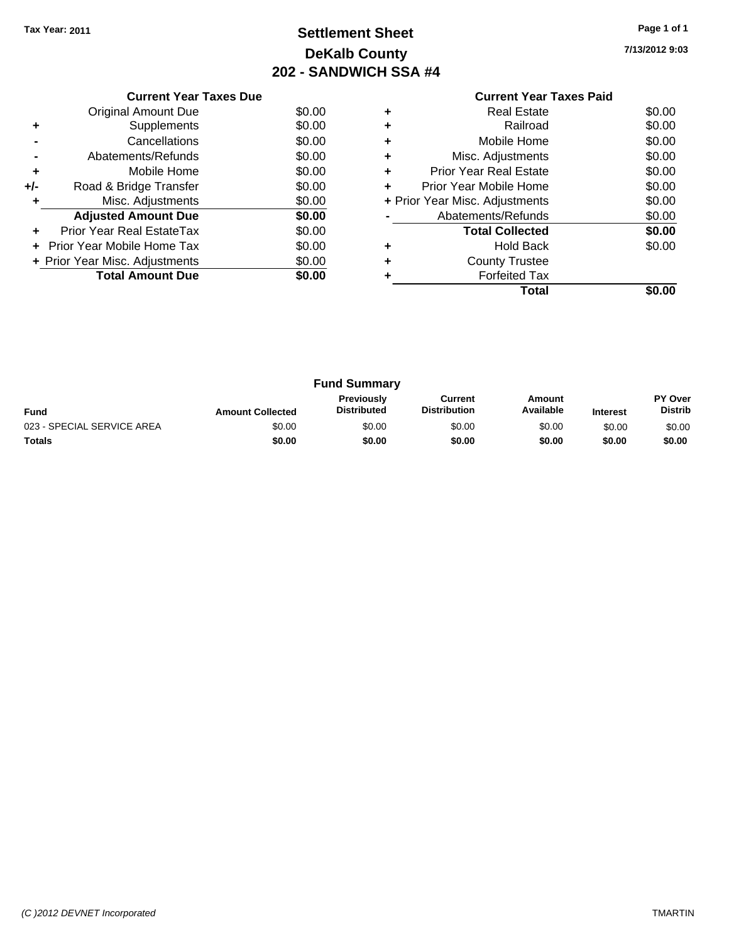# **Settlement Sheet Tax Year: 2011 Page 1 of 1 DeKalb County 202 - SANDWICH SSA #4**

**7/13/2012 9:03**

|                                          | <b>Current Year Taxes Due</b> |        |  |  |
|------------------------------------------|-------------------------------|--------|--|--|
|                                          | Original Amount Due           | \$0.00 |  |  |
|                                          | Supplements                   | \$0.00 |  |  |
|                                          | Cancellations                 | \$0.00 |  |  |
|                                          | Abatements/Refunds            | \$0.00 |  |  |
| ٠                                        | Mobile Home                   | \$0.00 |  |  |
| +/-                                      | Road & Bridge Transfer        | \$0.00 |  |  |
|                                          | Misc. Adjustments             | \$0.00 |  |  |
|                                          | <b>Adjusted Amount Due</b>    | \$0.00 |  |  |
|                                          | Prior Year Real EstateTax     | \$0.00 |  |  |
| \$0.00<br>Prior Year Mobile Home Tax     |                               |        |  |  |
| \$0.00<br>+ Prior Year Misc. Adjustments |                               |        |  |  |
|                                          | <b>Total Amount Due</b>       | \$0.00 |  |  |
|                                          |                               |        |  |  |

#### **Current Year Taxes Paid +** Real Estate \$0.00 **+** Railroad \$0.00 **+** Mobile Home \$0.00 **+** Misc. Adjustments \$0.00 **+** Prior Year Real Estate \$0.00 **+** Prior Year Mobile Home \$0.00 **+** Prior Year Misc. Adjustments \$0.00 **-** Abatements/Refunds \$0.00 **Total Collected \$0.00 +** Hold Back \$0.00 **+** County Trustee

**Total \$0.00**

**+** Forfeited Tax

| <b>Fund Summary</b>        |                         |                                         |                                |                     |                 |                                  |
|----------------------------|-------------------------|-----------------------------------------|--------------------------------|---------------------|-----------------|----------------------------------|
| <b>Fund</b>                | <b>Amount Collected</b> | <b>Previously</b><br><b>Distributed</b> | Current<br><b>Distribution</b> | Amount<br>Available | <b>Interest</b> | <b>PY Over</b><br><b>Distrib</b> |
| 023 - SPECIAL SERVICE AREA | \$0.00                  | \$0.00                                  | \$0.00                         | \$0.00              | \$0.00          | \$0.00                           |
| <b>Totals</b>              | \$0.00                  | \$0.00                                  | \$0.00                         | \$0.00              | \$0.00          | \$0.00                           |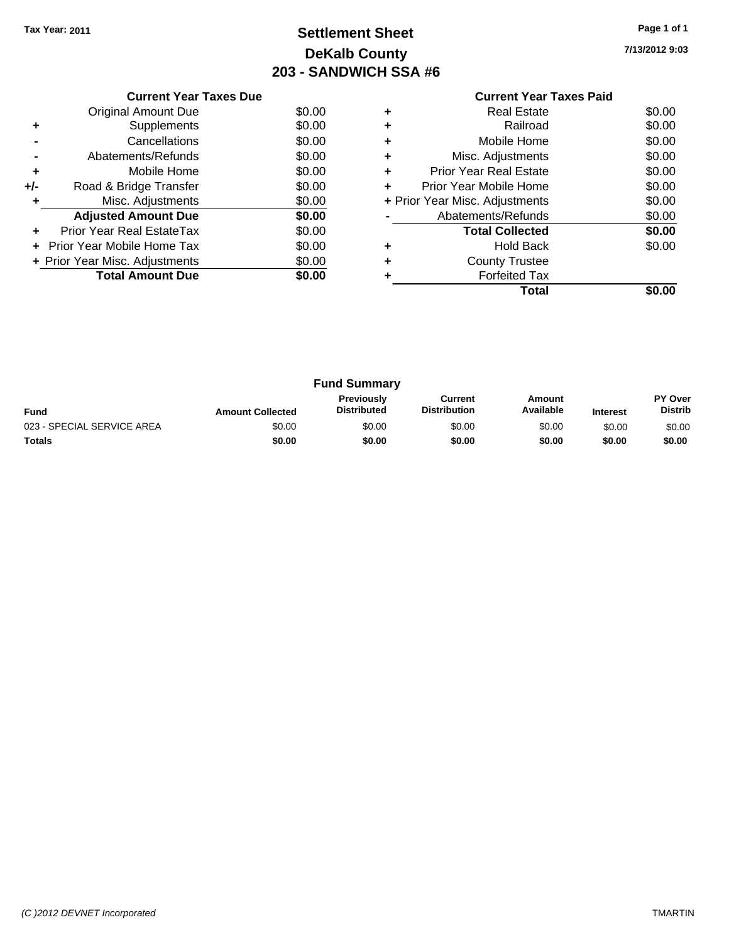# **Settlement Sheet Tax Year: 2011 Page 1 of 1 DeKalb County 203 - SANDWICH SSA #6**

**7/13/2012 9:03**

|                                             | <b>Current Year Taxes Due</b> |        |  |  |
|---------------------------------------------|-------------------------------|--------|--|--|
|                                             | Original Amount Due           | \$0.00 |  |  |
|                                             | Supplements                   | \$0.00 |  |  |
|                                             | Cancellations                 | \$0.00 |  |  |
|                                             | Abatements/Refunds            | \$0.00 |  |  |
| ٠                                           | Mobile Home                   | \$0.00 |  |  |
| +/-                                         | Road & Bridge Transfer        | \$0.00 |  |  |
|                                             | Misc. Adjustments             | \$0.00 |  |  |
|                                             | <b>Adjusted Amount Due</b>    | \$0.00 |  |  |
|                                             | Prior Year Real EstateTax     | \$0.00 |  |  |
| \$0.00<br><b>Prior Year Mobile Home Tax</b> |                               |        |  |  |
| \$0.00<br>+ Prior Year Misc. Adjustments    |                               |        |  |  |
|                                             | <b>Total Amount Due</b>       | \$0.00 |  |  |
|                                             |                               |        |  |  |

#### **Current Year Taxes Paid +** Real Estate \$0.00 **+** Railroad \$0.00 **+** Mobile Home \$0.00 **+** Misc. Adjustments \$0.00 **+** Prior Year Real Estate \$0.00 **+** Prior Year Mobile Home \$0.00 **+** Prior Year Misc. Adjustments  $\begin{array}{c} \text{$60.00} \\ \text{•} \end{array}$ **-** Abatements/Refunds \$0.00

|   | Total                  | \$0.00 |
|---|------------------------|--------|
| ٠ | <b>Forfeited Tax</b>   |        |
| ٠ | <b>County Trustee</b>  |        |
| ٠ | Hold Back              | \$0.00 |
|   | <b>Total Collected</b> | \$0.00 |
| - | AVAITHEIII NTIUI IUS   | JU.UU  |

| <b>Fund Summary</b>        |                         |                                         |                                |                     |                 |                           |
|----------------------------|-------------------------|-----------------------------------------|--------------------------------|---------------------|-----------------|---------------------------|
| <b>Fund</b>                | <b>Amount Collected</b> | <b>Previously</b><br><b>Distributed</b> | Current<br><b>Distribution</b> | Amount<br>Available | <b>Interest</b> | PY Over<br><b>Distrib</b> |
| 023 - SPECIAL SERVICE AREA | \$0.00                  | \$0.00                                  | \$0.00                         | \$0.00              | \$0.00          | \$0.00                    |
| Totals                     | \$0.00                  | \$0.00                                  | \$0.00                         | \$0.00              | \$0.00          | \$0.00                    |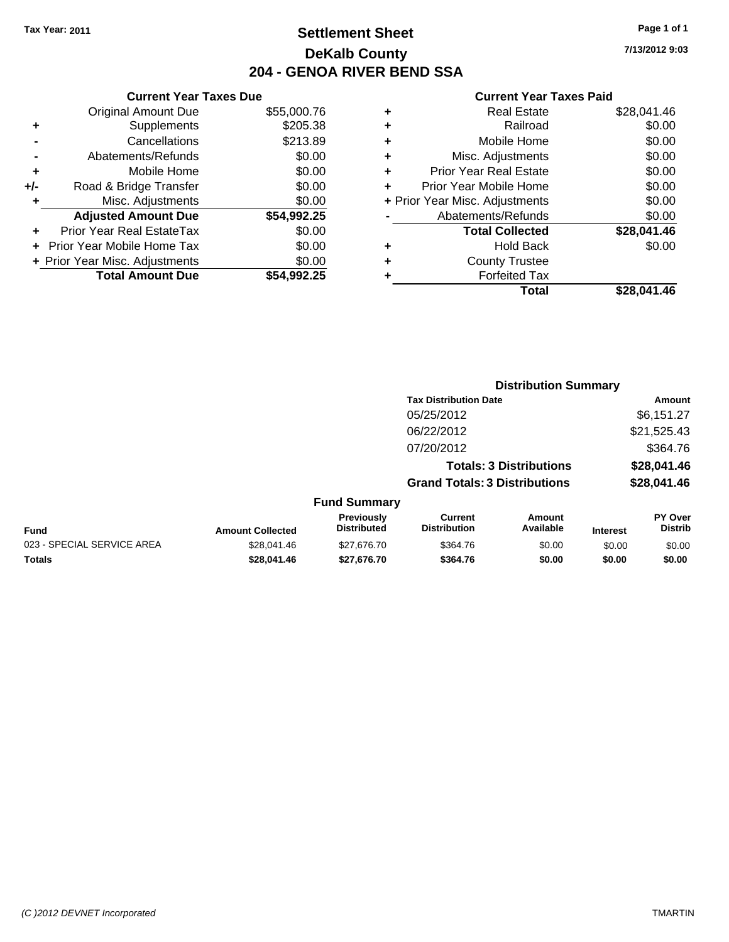## **Settlement Sheet Tax Year: 2011 Page 1 of 1 DeKalb County 204 - GENOA RIVER BEND SSA**

#### **Current Year Taxes Paid**

| ٠ | <b>Real Estate</b>             | \$28.041.46 |
|---|--------------------------------|-------------|
| ٠ | Railroad                       | \$0.00      |
| ٠ | Mobile Home                    | \$0.00      |
| ٠ | Misc. Adjustments              | \$0.00      |
| ٠ | <b>Prior Year Real Estate</b>  | \$0.00      |
| ÷ | Prior Year Mobile Home         | \$0.00      |
|   | + Prior Year Misc. Adjustments | \$0.00      |
|   | Abatements/Refunds             | \$0.00      |
|   | <b>Total Collected</b>         | \$28,041,46 |
|   | <b>Hold Back</b>               | \$0.00      |
|   | <b>County Trustee</b>          |             |
|   | <b>Forfeited Tax</b>           |             |
|   | Total                          | \$28.041.46 |
|   |                                |             |

**Distribution Summary**

| <b>Current Year Taxes Due</b> |                                |  |  |  |  |
|-------------------------------|--------------------------------|--|--|--|--|
| <b>Original Amount Due</b>    | \$55,000.76                    |  |  |  |  |
| Supplements                   | \$205.38                       |  |  |  |  |
| Cancellations                 | \$213.89                       |  |  |  |  |
| Abatements/Refunds            | \$0.00                         |  |  |  |  |
| Mobile Home                   | \$0.00                         |  |  |  |  |
| Road & Bridge Transfer        | \$0.00                         |  |  |  |  |
| Misc. Adjustments             | \$0.00                         |  |  |  |  |
| <b>Adjusted Amount Due</b>    | \$54,992.25                    |  |  |  |  |
| Prior Year Real EstateTax     | \$0.00                         |  |  |  |  |
| Prior Year Mobile Home Tax    | \$0.00                         |  |  |  |  |
|                               | \$0.00                         |  |  |  |  |
| <b>Total Amount Due</b>       | \$54,992.25                    |  |  |  |  |
|                               | + Prior Year Misc. Adjustments |  |  |  |  |

|                            |                         |                                  | <b>Tax Distribution Date</b>          |                                |                 | Amount                    |
|----------------------------|-------------------------|----------------------------------|---------------------------------------|--------------------------------|-----------------|---------------------------|
|                            |                         |                                  | 05/25/2012                            |                                |                 | \$6,151.27                |
|                            |                         |                                  | 06/22/2012                            |                                |                 | \$21,525.43               |
|                            |                         |                                  | 07/20/2012                            |                                |                 | \$364.76                  |
|                            |                         |                                  |                                       | <b>Totals: 3 Distributions</b> |                 | \$28,041.46               |
|                            |                         |                                  | <b>Grand Totals: 3 Distributions</b>  |                                |                 | \$28,041.46               |
|                            |                         | <b>Fund Summary</b>              |                                       |                                |                 |                           |
| Fund                       | <b>Amount Collected</b> | Previously<br><b>Distributed</b> | <b>Current</b><br><b>Distribution</b> | <b>Amount</b><br>Available     | <b>Interest</b> | PY Over<br><b>Distrib</b> |
| 023 - SPECIAL SERVICE AREA | \$28,041.46             | \$27.676.70                      | \$364.76                              | \$0.00                         | \$0.00          | \$0.00                    |
| Totals                     | \$28,041.46             | \$27,676.70                      | \$364.76                              | \$0.00                         | \$0.00          | \$0.00                    |

**7/13/2012 9:03**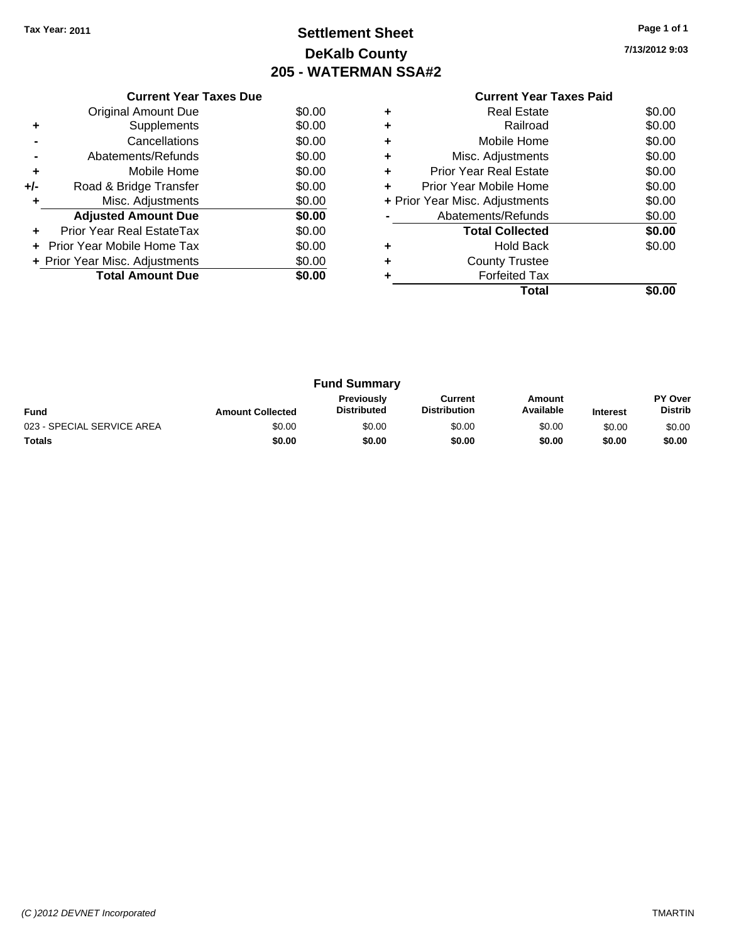# **Settlement Sheet Tax Year: 2011 Page 1 of 1 DeKalb County 205 - WATERMAN SSA#2**

**7/13/2012 9:03**

| Current Year Taxes Paid |  |  |
|-------------------------|--|--|
|                         |  |  |

|     | <b>Current Year Taxes Due</b>  |        |
|-----|--------------------------------|--------|
|     | Original Amount Due            | \$0.00 |
| ٠   | Supplements                    | \$0.00 |
|     | Cancellations                  | \$0.00 |
|     | Abatements/Refunds             | \$0.00 |
| ٠   | Mobile Home                    | \$0.00 |
| +/- | Road & Bridge Transfer         | \$0.00 |
|     | Misc. Adjustments              | \$0.00 |
|     | <b>Adjusted Amount Due</b>     | \$0.00 |
|     | Prior Year Real EstateTax      | \$0.00 |
|     | Prior Year Mobile Home Tax     | \$0.00 |
|     | + Prior Year Misc. Adjustments | \$0.00 |
|     | <b>Total Amount Due</b>        | \$0.00 |
|     |                                |        |

|   | <b>Real Estate</b>             | \$0.00 |
|---|--------------------------------|--------|
|   | Railroad                       | \$0.00 |
|   | Mobile Home                    | \$0.00 |
| ٠ | Misc. Adjustments              | \$0.00 |
| ٠ | <b>Prior Year Real Estate</b>  | \$0.00 |
|   | Prior Year Mobile Home         | \$0.00 |
|   | + Prior Year Misc. Adjustments | \$0.00 |
|   | Abatements/Refunds             | \$0.00 |
|   | <b>Total Collected</b>         | \$0.00 |
|   | <b>Hold Back</b>               | \$0.00 |
|   | <b>County Trustee</b>          |        |
|   | <b>Forfeited Tax</b>           |        |
|   | Total                          |        |

| <b>Fund Summary</b>        |                         |                                         |                                |                     |                 |                                  |
|----------------------------|-------------------------|-----------------------------------------|--------------------------------|---------------------|-----------------|----------------------------------|
| <b>Fund</b>                | <b>Amount Collected</b> | <b>Previously</b><br><b>Distributed</b> | Current<br><b>Distribution</b> | Amount<br>Available | <b>Interest</b> | <b>PY Over</b><br><b>Distrib</b> |
| 023 - SPECIAL SERVICE AREA | \$0.00                  | \$0.00                                  | \$0.00                         | \$0.00              | \$0.00          | \$0.00                           |
| <b>Totals</b>              | \$0.00                  | \$0.00                                  | \$0.00                         | \$0.00              | \$0.00          | \$0.00                           |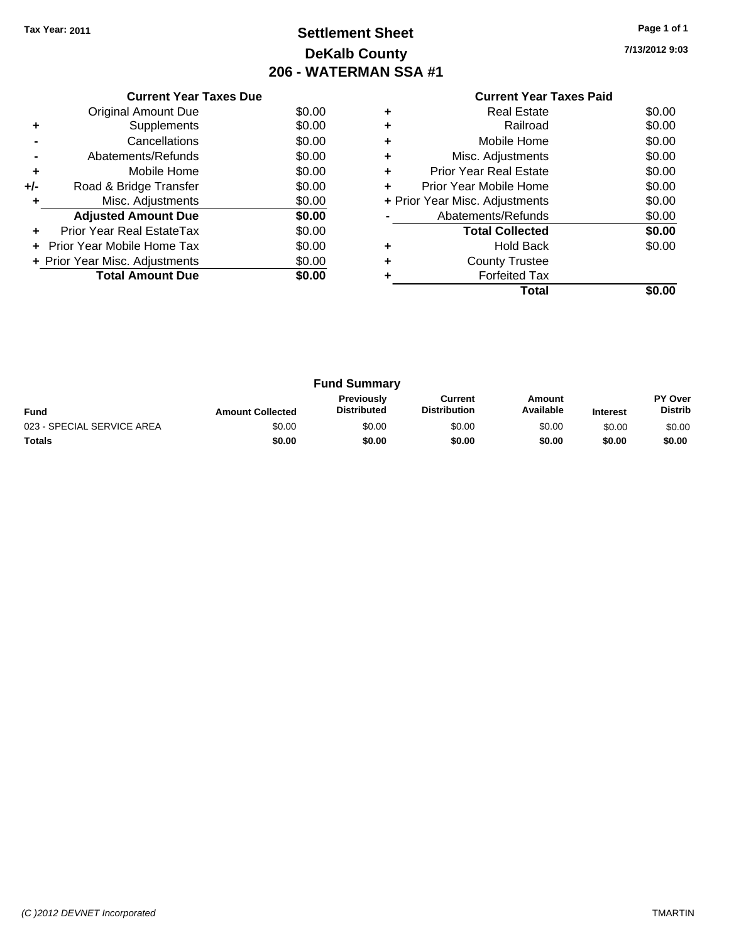# **Settlement Sheet Tax Year: 2011 Page 1 of 1 DeKalb County 206 - WATERMAN SSA #1**

**7/13/2012 9:03**

|     | <b>Current Year Taxes Due</b>     |        |  |  |  |  |
|-----|-----------------------------------|--------|--|--|--|--|
|     | Original Amount Due               | \$0.00 |  |  |  |  |
| ٠   | Supplements                       | \$0.00 |  |  |  |  |
|     | Cancellations                     | \$0.00 |  |  |  |  |
|     | Abatements/Refunds                | \$0.00 |  |  |  |  |
| ٠   | Mobile Home                       | \$0.00 |  |  |  |  |
| +/- | Road & Bridge Transfer            | \$0.00 |  |  |  |  |
| ٠   | Misc. Adjustments                 | \$0.00 |  |  |  |  |
|     | <b>Adjusted Amount Due</b>        | \$0.00 |  |  |  |  |
| ٠   | Prior Year Real EstateTax         | \$0.00 |  |  |  |  |
|     | <b>Prior Year Mobile Home Tax</b> | \$0.00 |  |  |  |  |
|     | + Prior Year Misc. Adjustments    | \$0.00 |  |  |  |  |
|     | <b>Total Amount Due</b>           | \$0.00 |  |  |  |  |
|     |                                   |        |  |  |  |  |

#### **Current Year Taxes Paid +** Real Estate \$0.00 **+** Railroad \$0.00 **+** Mobile Home \$0.00 **+** Misc. Adjustments \$0.00 **+** Prior Year Real Estate \$0.00 **+** Prior Year Mobile Home \$0.00 **+** Prior Year Misc. Adjustments \$0.00 **-** Abatements/Refunds \$0.00 **Total Collected \$0.00 +** Hold Back \$0.00 **+** County Trustee **+** Forfeited Tax **Total \$0.00**

| <b>Fund Summary</b>        |                         |                                         |                                |                     |                 |                                  |
|----------------------------|-------------------------|-----------------------------------------|--------------------------------|---------------------|-----------------|----------------------------------|
| <b>Fund</b>                | <b>Amount Collected</b> | <b>Previously</b><br><b>Distributed</b> | Current<br><b>Distribution</b> | Amount<br>Available | <b>Interest</b> | <b>PY Over</b><br><b>Distrib</b> |
| 023 - SPECIAL SERVICE AREA | \$0.00                  | \$0.00                                  | \$0.00                         | \$0.00              | \$0.00          | \$0.00                           |
| <b>Totals</b>              | \$0.00                  | \$0.00                                  | \$0.00                         | \$0.00              | \$0.00          | \$0.00                           |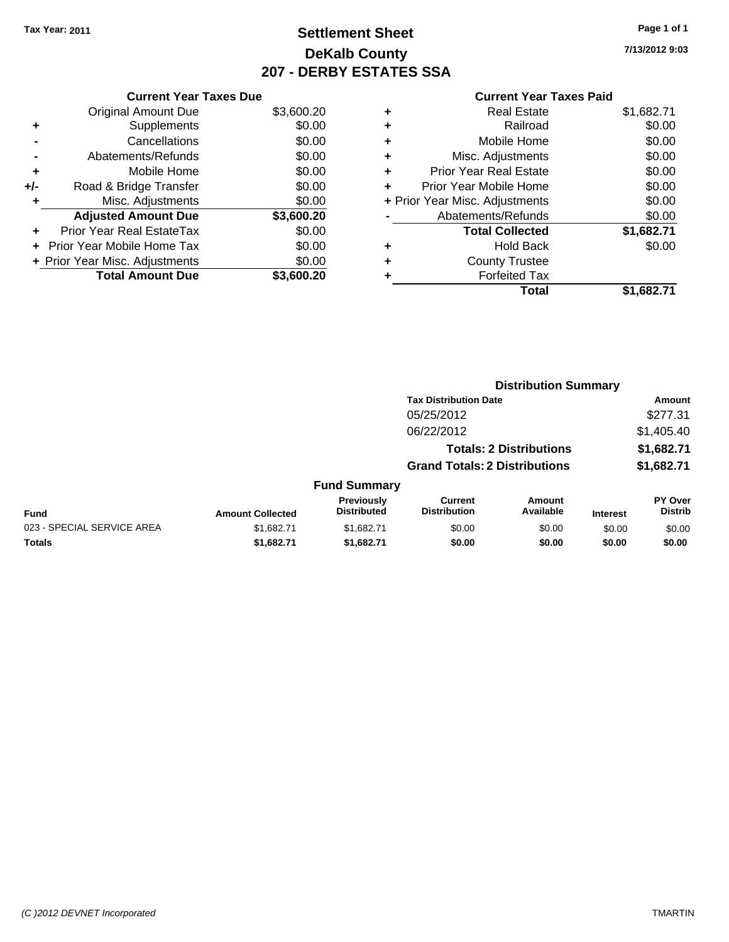## **Settlement Sheet Tax Year: 2011 Page 1 of 1 DeKalb County 207 - DERBY ESTATES SSA**

**7/13/2012 9:03**

| <b>Current Year Taxes Paid</b> |  |  |
|--------------------------------|--|--|
|                                |  |  |

|     | <b>Current Year Taxes Due</b>  |            |
|-----|--------------------------------|------------|
|     | <b>Original Amount Due</b>     | \$3,600.20 |
| ٠   | Supplements                    | \$0.00     |
|     | Cancellations                  | \$0.00     |
|     | Abatements/Refunds             | \$0.00     |
| ٠   | Mobile Home                    | \$0.00     |
| +/- | Road & Bridge Transfer         | \$0.00     |
| ٠   | Misc. Adjustments              | \$0.00     |
|     | <b>Adjusted Amount Due</b>     | \$3,600.20 |
| ٠   | Prior Year Real EstateTax      | \$0.00     |
|     | Prior Year Mobile Home Tax     | \$0.00     |
|     | + Prior Year Misc. Adjustments | \$0.00     |
|     | <b>Total Amount Due</b>        | \$3.600.20 |
|     |                                |            |

| ٠ | <b>Real Estate</b>             | \$1,682.71 |
|---|--------------------------------|------------|
| ٠ | Railroad                       | \$0.00     |
| ٠ | Mobile Home                    | \$0.00     |
| ٠ | Misc. Adjustments              | \$0.00     |
| ٠ | <b>Prior Year Real Estate</b>  | \$0.00     |
|   | Prior Year Mobile Home         | \$0.00     |
|   | + Prior Year Misc. Adjustments | \$0.00     |
|   | Abatements/Refunds             | \$0.00     |
|   | <b>Total Collected</b>         | \$1,682.71 |
| ٠ | Hold Back                      | \$0.00     |
| ٠ | <b>County Trustee</b>          |            |
| ٠ | <b>Forfeited Tax</b>           |            |
|   | Total                          | \$1,682.71 |
|   |                                |            |

|                            |                         |                                  |                                       | <b>Distribution Summary</b>    |                 |                                  |
|----------------------------|-------------------------|----------------------------------|---------------------------------------|--------------------------------|-----------------|----------------------------------|
|                            |                         |                                  | <b>Tax Distribution Date</b>          |                                |                 | Amount                           |
|                            |                         |                                  | 05/25/2012                            |                                |                 | \$277.31                         |
|                            |                         |                                  | 06/22/2012                            |                                |                 | \$1,405.40                       |
|                            |                         |                                  |                                       | <b>Totals: 2 Distributions</b> |                 | \$1,682.71                       |
|                            |                         |                                  | <b>Grand Totals: 2 Distributions</b>  |                                |                 | \$1,682.71                       |
|                            |                         | <b>Fund Summary</b>              |                                       |                                |                 |                                  |
| Fund                       | <b>Amount Collected</b> | Previously<br><b>Distributed</b> | <b>Current</b><br><b>Distribution</b> | Amount<br>Available            | <b>Interest</b> | <b>PY Over</b><br><b>Distrib</b> |
| 023 - SPECIAL SERVICE AREA | \$1.682.71              | \$1.682.71                       | \$0.00                                | \$0.00                         | \$0.00          | \$0.00                           |
| Totals                     | \$1,682.71              | \$1,682.71                       | \$0.00                                | \$0.00                         | \$0.00          | \$0.00                           |
|                            |                         |                                  |                                       |                                |                 |                                  |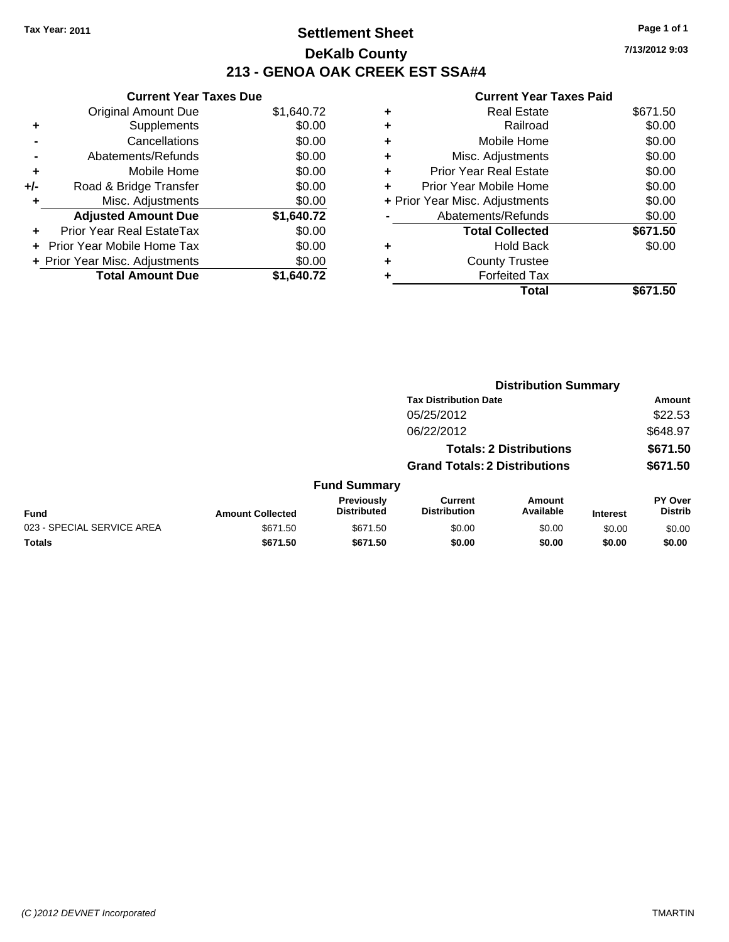## **Settlement Sheet Tax Year: 2011 Page 1 of 1 DeKalb County 213 - GENOA OAK CREEK EST SSA#4**

**7/13/2012 9:03**

|     | <b>Current Year Taxes Due</b>    |            |  |  |  |  |  |
|-----|----------------------------------|------------|--|--|--|--|--|
|     | <b>Original Amount Due</b>       | \$1,640.72 |  |  |  |  |  |
| ٠   | Supplements                      | \$0.00     |  |  |  |  |  |
|     | Cancellations                    | \$0.00     |  |  |  |  |  |
|     | Abatements/Refunds               | \$0.00     |  |  |  |  |  |
| ٠   | Mobile Home                      | \$0.00     |  |  |  |  |  |
| +/- | Road & Bridge Transfer           | \$0.00     |  |  |  |  |  |
| ٠   | Misc. Adjustments                | \$0.00     |  |  |  |  |  |
|     | <b>Adjusted Amount Due</b>       | \$1,640.72 |  |  |  |  |  |
|     | <b>Prior Year Real EstateTax</b> | \$0.00     |  |  |  |  |  |
| ÷   | Prior Year Mobile Home Tax       | \$0.00     |  |  |  |  |  |
|     | + Prior Year Misc. Adjustments   | \$0.00     |  |  |  |  |  |
|     | <b>Total Amount Due</b>          | \$1.640.72 |  |  |  |  |  |

|   | Total                          | \$671.50 |
|---|--------------------------------|----------|
|   | <b>Forfeited Tax</b>           |          |
| ٠ | <b>County Trustee</b>          |          |
| ٠ | <b>Hold Back</b>               | \$0.00   |
|   | <b>Total Collected</b>         | \$671.50 |
|   | Abatements/Refunds             | \$0.00   |
|   | + Prior Year Misc. Adjustments | \$0.00   |
|   | Prior Year Mobile Home         | \$0.00   |
| ÷ | Prior Year Real Estate         | \$0.00   |
| ٠ | Misc. Adjustments              | \$0.00   |
| ٠ | Mobile Home                    | \$0.00   |
| ٠ | Railroad                       | \$0.00   |
| ٠ | <b>Real Estate</b>             | \$671.50 |
|   |                                |          |

|                            | <b>Distribution Summary</b> |                                  |                                       |                                |                 |                                  |  |
|----------------------------|-----------------------------|----------------------------------|---------------------------------------|--------------------------------|-----------------|----------------------------------|--|
|                            |                             |                                  | <b>Tax Distribution Date</b>          |                                |                 | Amount                           |  |
|                            |                             |                                  | 05/25/2012                            |                                |                 | \$22.53                          |  |
|                            |                             |                                  | 06/22/2012                            |                                |                 | \$648.97                         |  |
|                            |                             |                                  |                                       | <b>Totals: 2 Distributions</b> |                 | \$671.50                         |  |
|                            |                             |                                  | <b>Grand Totals: 2 Distributions</b>  |                                |                 | \$671.50                         |  |
|                            |                             | <b>Fund Summary</b>              |                                       |                                |                 |                                  |  |
| <b>Fund</b>                | <b>Amount Collected</b>     | Previously<br><b>Distributed</b> | <b>Current</b><br><b>Distribution</b> | Amount<br>Available            | <b>Interest</b> | <b>PY Over</b><br><b>Distrib</b> |  |
| 023 - SPECIAL SERVICE AREA | \$671.50                    | \$671.50                         | \$0.00                                | \$0.00                         | \$0.00          | \$0.00                           |  |
| Totals                     | \$671.50                    | \$671.50                         | \$0.00                                | \$0.00                         | \$0.00          | \$0.00                           |  |
|                            |                             |                                  |                                       |                                |                 |                                  |  |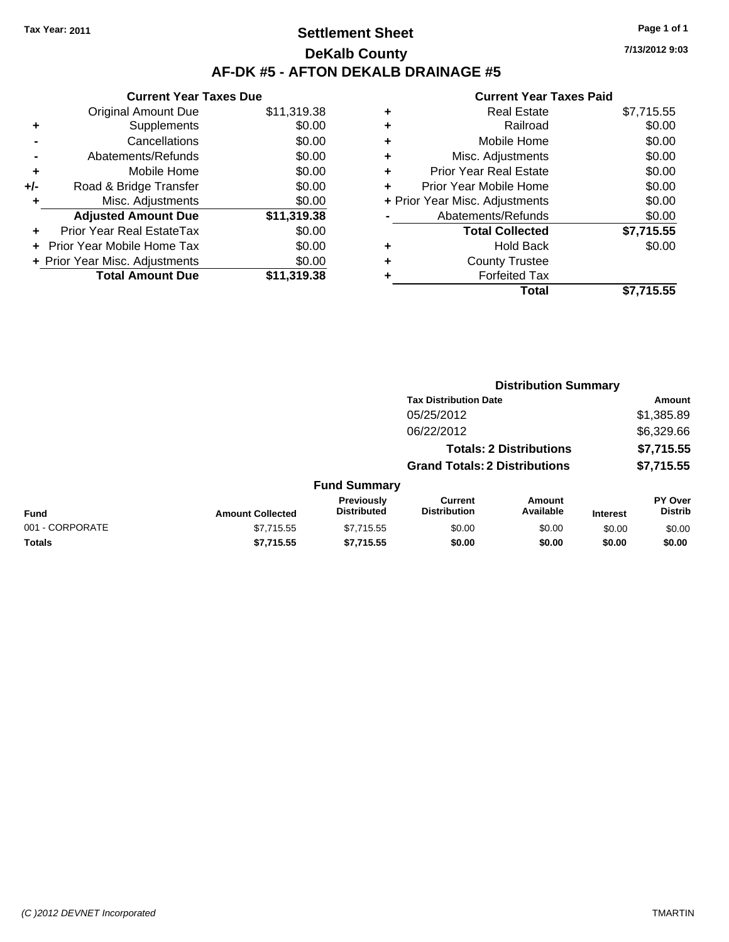## **Settlement Sheet Tax Year: 2011 Page 1 of 1 DeKalb County AF-DK #5 - AFTON DEKALB DRAINAGE #5**

**7/13/2012 9:03**

|     | <b>Current Year Taxes Due</b>     |             |  |  |  |  |  |
|-----|-----------------------------------|-------------|--|--|--|--|--|
|     | <b>Original Amount Due</b>        | \$11,319.38 |  |  |  |  |  |
| ÷   | Supplements                       | \$0.00      |  |  |  |  |  |
|     | Cancellations                     | \$0.00      |  |  |  |  |  |
|     | Abatements/Refunds                | \$0.00      |  |  |  |  |  |
| ÷   | Mobile Home                       | \$0.00      |  |  |  |  |  |
| +/- | Road & Bridge Transfer            | \$0.00      |  |  |  |  |  |
|     | Misc. Adjustments                 | \$0.00      |  |  |  |  |  |
|     | <b>Adjusted Amount Due</b>        | \$11,319.38 |  |  |  |  |  |
| ÷   | Prior Year Real EstateTax         | \$0.00      |  |  |  |  |  |
|     | <b>Prior Year Mobile Home Tax</b> | \$0.00      |  |  |  |  |  |
|     | + Prior Year Misc. Adjustments    | \$0.00      |  |  |  |  |  |
|     | <b>Total Amount Due</b>           | \$11.319.38 |  |  |  |  |  |
|     |                                   |             |  |  |  |  |  |

| ٠ | <b>Real Estate</b>             | \$7,715.55 |
|---|--------------------------------|------------|
| ٠ | Railroad                       | \$0.00     |
| ٠ | Mobile Home                    | \$0.00     |
| ٠ | Misc. Adjustments              | \$0.00     |
| ÷ | <b>Prior Year Real Estate</b>  | \$0.00     |
| ٠ | Prior Year Mobile Home         | \$0.00     |
|   | + Prior Year Misc. Adjustments | \$0.00     |
|   | Abatements/Refunds             | \$0.00     |
|   | <b>Total Collected</b>         | \$7,715.55 |
| ٠ | Hold Back                      | \$0.00     |
| ٠ | <b>County Trustee</b>          |            |
| ٠ | <b>Forfeited Tax</b>           |            |
|   | Total                          | \$7,715.55 |
|   |                                |            |

|                         |                                  | <b>Distribution Summary</b>           |                            |                                                                                                        |                                  |
|-------------------------|----------------------------------|---------------------------------------|----------------------------|--------------------------------------------------------------------------------------------------------|----------------------------------|
|                         |                                  |                                       |                            |                                                                                                        | Amount                           |
|                         |                                  | 05/25/2012                            |                            |                                                                                                        | \$1,385.89                       |
|                         |                                  | 06/22/2012                            |                            |                                                                                                        | \$6,329.66                       |
|                         |                                  |                                       |                            |                                                                                                        | \$7,715.55                       |
|                         |                                  |                                       |                            |                                                                                                        | \$7,715.55                       |
|                         |                                  |                                       |                            |                                                                                                        |                                  |
| <b>Amount Collected</b> | Previously<br><b>Distributed</b> | <b>Current</b><br><b>Distribution</b> | <b>Amount</b><br>Available | <b>Interest</b>                                                                                        | <b>PY Over</b><br><b>Distrib</b> |
| \$7,715.55              | \$7,715.55                       | \$0.00                                | \$0.00                     | \$0.00                                                                                                 | \$0.00                           |
| \$7,715.55              | \$7,715.55                       | \$0.00                                | \$0.00                     | \$0.00                                                                                                 | \$0.00                           |
|                         |                                  |                                       | <b>Fund Summary</b>        | <b>Tax Distribution Date</b><br><b>Totals: 2 Distributions</b><br><b>Grand Totals: 2 Distributions</b> |                                  |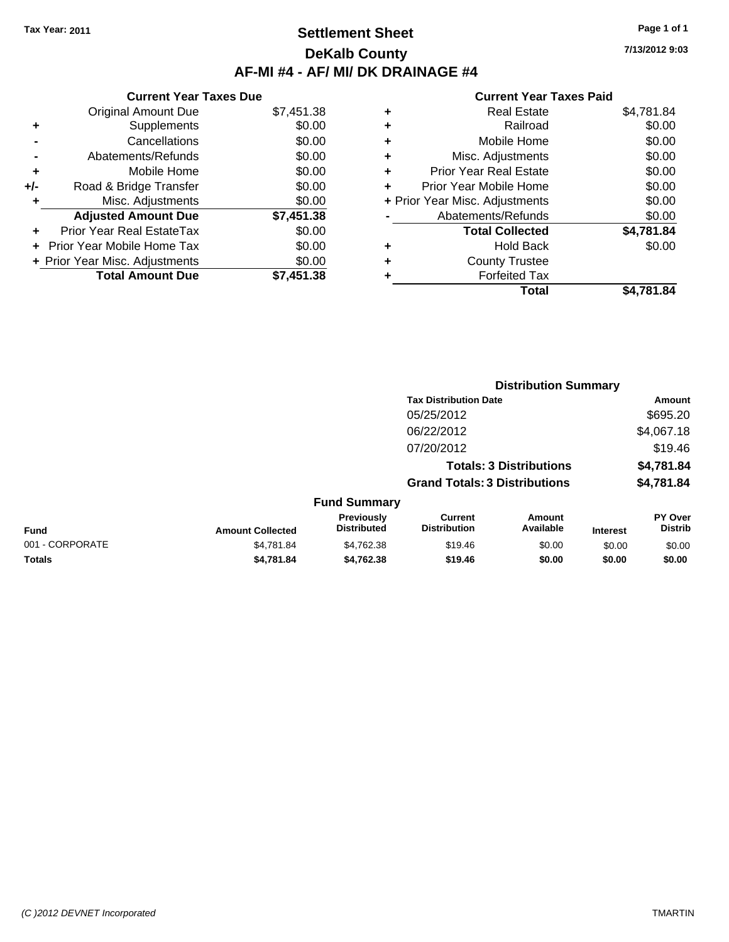### **Settlement Sheet Tax Year: 2011 Page 1 of 1 DeKalb County AF-MI #4 - AF/ MI/ DK DRAINAGE #4**

**7/13/2012 9:03**

|     | <b>Current Year Taxes Due</b>     |            |
|-----|-----------------------------------|------------|
|     | <b>Original Amount Due</b>        | \$7,451.38 |
| ٠   | Supplements                       | \$0.00     |
|     | Cancellations                     | \$0.00     |
|     | Abatements/Refunds                | \$0.00     |
| ÷   | Mobile Home                       | \$0.00     |
| +/- | Road & Bridge Transfer            | \$0.00     |
| ٠   | Misc. Adjustments                 | \$0.00     |
|     | <b>Adjusted Amount Due</b>        | \$7,451.38 |
| ٠   | Prior Year Real EstateTax         | \$0.00     |
|     | <b>Prior Year Mobile Home Tax</b> | \$0.00     |
|     | + Prior Year Misc. Adjustments    | \$0.00     |
|     | <b>Total Amount Due</b>           | \$7,451.38 |

|   | <b>Real Estate</b>             | \$4,781.84 |
|---|--------------------------------|------------|
| ٠ | Railroad                       | \$0.00     |
| ٠ | Mobile Home                    | \$0.00     |
| ٠ | Misc. Adjustments              | \$0.00     |
| ٠ | Prior Year Real Estate         | \$0.00     |
|   | Prior Year Mobile Home         | \$0.00     |
|   | + Prior Year Misc. Adjustments | \$0.00     |
|   | Abatements/Refunds             | \$0.00     |
|   | <b>Total Collected</b>         | \$4,781.84 |
| ٠ | <b>Hold Back</b>               | \$0.00     |
| ٠ | <b>County Trustee</b>          |            |
| ٠ | <b>Forfeited Tax</b>           |            |
|   | Total                          | \$4,781.84 |
|   |                                |            |

|                 |                         |                                  | <b>Distribution Summary</b>           |                                |                 |                           |  |
|-----------------|-------------------------|----------------------------------|---------------------------------------|--------------------------------|-----------------|---------------------------|--|
|                 |                         |                                  | <b>Tax Distribution Date</b>          |                                |                 | <b>Amount</b>             |  |
|                 |                         |                                  | 05/25/2012                            |                                |                 | \$695.20                  |  |
|                 |                         |                                  | 06/22/2012                            |                                |                 | \$4,067.18                |  |
|                 |                         |                                  | 07/20/2012                            |                                |                 | \$19.46                   |  |
|                 |                         |                                  |                                       | <b>Totals: 3 Distributions</b> |                 | \$4,781.84                |  |
|                 |                         |                                  | <b>Grand Totals: 3 Distributions</b>  |                                |                 | \$4,781.84                |  |
|                 |                         | <b>Fund Summary</b>              |                                       |                                |                 |                           |  |
| Fund            | <b>Amount Collected</b> | Previously<br><b>Distributed</b> | <b>Current</b><br><b>Distribution</b> | Amount<br>Available            | <b>Interest</b> | PY Over<br><b>Distrib</b> |  |
| 001 - CORPORATE | \$4,781.84              | \$4,762.38                       | \$19.46                               | \$0.00                         | \$0.00          | \$0.00                    |  |
| Totals          | \$4,781.84              | \$4,762.38                       | \$19.46                               | \$0.00                         | \$0.00          | \$0.00                    |  |
|                 |                         |                                  |                                       |                                |                 |                           |  |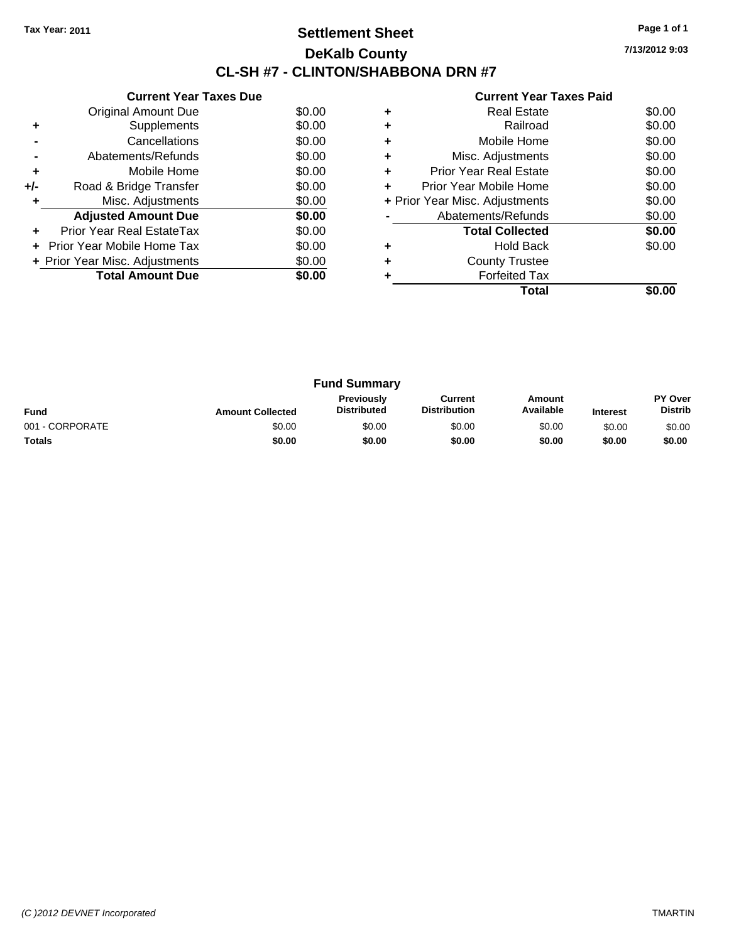## **Settlement Sheet Tax Year: 2011 Page 1 of 1 DeKalb County CL-SH #7 - CLINTON/SHABBONA DRN #7**

**7/13/2012 9:03**

|     | <b>Current Year Taxes Due</b>     |        |
|-----|-----------------------------------|--------|
|     | <b>Original Amount Due</b>        | \$0.00 |
| ٠   | Supplements                       | \$0.00 |
|     | Cancellations                     | \$0.00 |
|     | Abatements/Refunds                | \$0.00 |
| ٠   | Mobile Home                       | \$0.00 |
| +/- | Road & Bridge Transfer            | \$0.00 |
| ٠   | Misc. Adjustments                 | \$0.00 |
|     | <b>Adjusted Amount Due</b>        | \$0.00 |
| ÷   | Prior Year Real EstateTax         | \$0.00 |
|     | <b>Prior Year Mobile Home Tax</b> | \$0.00 |
|     | + Prior Year Misc. Adjustments    | \$0.00 |
|     | <b>Total Amount Due</b>           | \$0.00 |
|     |                                   |        |

| ٠ | <b>Real Estate</b>             | \$0.00 |
|---|--------------------------------|--------|
| ٠ | Railroad                       | \$0.00 |
| ٠ | Mobile Home                    | \$0.00 |
| ٠ | Misc. Adjustments              | \$0.00 |
| ٠ | <b>Prior Year Real Estate</b>  | \$0.00 |
| ٠ | Prior Year Mobile Home         | \$0.00 |
|   | + Prior Year Misc. Adjustments | \$0.00 |
|   | Abatements/Refunds             | \$0.00 |
|   | <b>Total Collected</b>         | \$0.00 |
| ٠ | <b>Hold Back</b>               | \$0.00 |
|   | <b>County Trustee</b>          |        |
|   | <b>Forfeited Tax</b>           |        |
|   | Total                          |        |

| <b>Fund Summary</b> |                         |                                         |                                |                     |                 |                                  |
|---------------------|-------------------------|-----------------------------------------|--------------------------------|---------------------|-----------------|----------------------------------|
| <b>Fund</b>         | <b>Amount Collected</b> | <b>Previously</b><br><b>Distributed</b> | Current<br><b>Distribution</b> | Amount<br>Available | <b>Interest</b> | <b>PY Over</b><br><b>Distrib</b> |
| 001 - CORPORATE     | \$0.00                  | \$0.00                                  | \$0.00                         | \$0.00              | \$0.00          | \$0.00                           |
| Totals              | \$0.00                  | \$0.00                                  | \$0.00                         | \$0.00              | \$0.00          | \$0.00                           |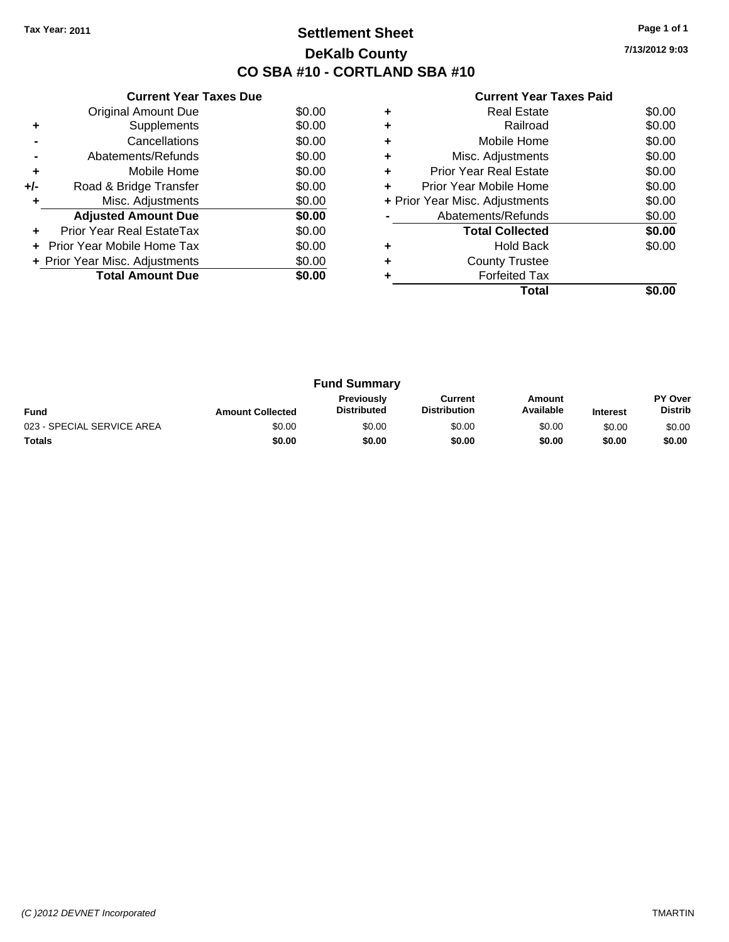## **Settlement Sheet Tax Year: 2011 Page 1 of 1 DeKalb County CO SBA #10 - CORTLAND SBA #10**

**7/13/2012 9:03**

|     | <b>Current Year Taxes Due</b>  |        |
|-----|--------------------------------|--------|
|     | <b>Original Amount Due</b>     | \$0.00 |
| ٠   | Supplements                    | \$0.00 |
|     | Cancellations                  | \$0.00 |
|     | Abatements/Refunds             | \$0.00 |
| ٠   | Mobile Home                    | \$0.00 |
| +/- | Road & Bridge Transfer         | \$0.00 |
|     | Misc. Adjustments              | \$0.00 |
|     | <b>Adjusted Amount Due</b>     | \$0.00 |
|     | Prior Year Real EstateTax      | \$0.00 |
|     | Prior Year Mobile Home Tax     | \$0.00 |
|     | + Prior Year Misc. Adjustments | \$0.00 |
|     | <b>Total Amount Due</b>        | \$0.00 |
|     |                                |        |

|   | Real Estate                    | \$0.00 |
|---|--------------------------------|--------|
|   | Railroad                       | \$0.00 |
|   | Mobile Home                    | \$0.00 |
| ٠ | Misc. Adjustments              | \$0.00 |
| ٠ | <b>Prior Year Real Estate</b>  | \$0.00 |
|   | Prior Year Mobile Home         | \$0.00 |
|   | + Prior Year Misc. Adjustments | \$0.00 |
|   | Abatements/Refunds             | \$0.00 |
|   | <b>Total Collected</b>         | \$0.00 |
| ٠ | Hold Back                      | \$0.00 |
|   | <b>County Trustee</b>          |        |
|   | <b>Forfeited Tax</b>           |        |
|   | Total                          |        |

| <b>Fund Summary</b>        |                         |                                  |                                |                     |                 |                                  |
|----------------------------|-------------------------|----------------------------------|--------------------------------|---------------------|-----------------|----------------------------------|
| <b>Fund</b>                | <b>Amount Collected</b> | Previously<br><b>Distributed</b> | Current<br><b>Distribution</b> | Amount<br>Available | <b>Interest</b> | <b>PY Over</b><br><b>Distrib</b> |
| 023 - SPECIAL SERVICE AREA | \$0.00                  | \$0.00                           | \$0.00                         | \$0.00              | \$0.00          | \$0.00                           |
| <b>Totals</b>              | \$0.00                  | \$0.00                           | \$0.00                         | \$0.00              | \$0.00          | \$0.00                           |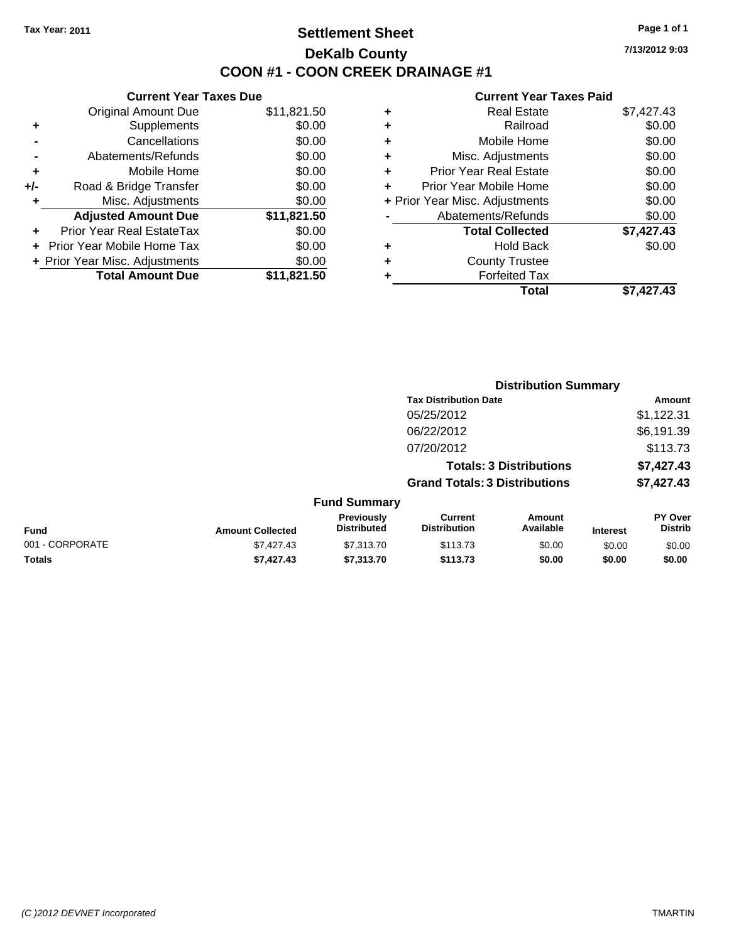## **Settlement Sheet Tax Year: 2011 Page 1 of 1 DeKalb County COON #1 - COON CREEK DRAINAGE #1**

**7/13/2012 9:03**

|     | <b>Current Year Taxes Due</b>     |             |
|-----|-----------------------------------|-------------|
|     | <b>Original Amount Due</b>        | \$11,821.50 |
| ٠   | Supplements                       | \$0.00      |
|     | Cancellations                     | \$0.00      |
|     | Abatements/Refunds                | \$0.00      |
| ٠   | Mobile Home                       | \$0.00      |
| +/- | Road & Bridge Transfer            | \$0.00      |
| ÷   | Misc. Adjustments                 | \$0.00      |
|     | <b>Adjusted Amount Due</b>        | \$11,821.50 |
| ÷   | Prior Year Real EstateTax         | \$0.00      |
|     | <b>Prior Year Mobile Home Tax</b> | \$0.00      |
|     | + Prior Year Misc. Adjustments    | \$0.00      |
|     | <b>Total Amount Due</b>           | \$11.821.50 |

| ٠ | <b>Real Estate</b>             | \$7,427.43 |
|---|--------------------------------|------------|
| ٠ | Railroad                       | \$0.00     |
| ٠ | Mobile Home                    | \$0.00     |
| ٠ | Misc. Adjustments              | \$0.00     |
| ÷ | <b>Prior Year Real Estate</b>  | \$0.00     |
| ٠ | Prior Year Mobile Home         | \$0.00     |
|   | + Prior Year Misc. Adjustments | \$0.00     |
|   | Abatements/Refunds             | \$0.00     |
|   | <b>Total Collected</b>         | \$7,427.43 |
| ÷ | <b>Hold Back</b>               | \$0.00     |
| ٠ | <b>County Trustee</b>          |            |
| ٠ | <b>Forfeited Tax</b>           |            |
|   | Total                          | \$7,427.43 |
|   |                                |            |

|                 |                         |                                  | <b>Distribution Summary</b>           |                                |                 |                                  |
|-----------------|-------------------------|----------------------------------|---------------------------------------|--------------------------------|-----------------|----------------------------------|
|                 |                         |                                  | <b>Tax Distribution Date</b>          |                                |                 | Amount                           |
|                 |                         |                                  | 05/25/2012                            |                                |                 | \$1,122.31                       |
|                 |                         |                                  | 06/22/2012                            |                                |                 | \$6,191.39                       |
|                 |                         |                                  | 07/20/2012                            |                                |                 | \$113.73                         |
|                 |                         |                                  |                                       | <b>Totals: 3 Distributions</b> |                 | \$7,427.43                       |
|                 |                         |                                  | <b>Grand Totals: 3 Distributions</b>  |                                |                 | \$7,427.43                       |
|                 |                         | <b>Fund Summary</b>              |                                       |                                |                 |                                  |
| Fund            | <b>Amount Collected</b> | Previously<br><b>Distributed</b> | <b>Current</b><br><b>Distribution</b> | Amount<br>Available            | <b>Interest</b> | <b>PY Over</b><br><b>Distrib</b> |
| 001 - CORPORATE | \$7,427.43              | \$7,313.70                       | \$113.73                              | \$0.00                         | \$0.00          | \$0.00                           |
| Totals          | \$7,427.43              | \$7,313.70                       | \$113.73                              | \$0.00                         | \$0.00          | \$0.00                           |
|                 |                         |                                  |                                       |                                |                 |                                  |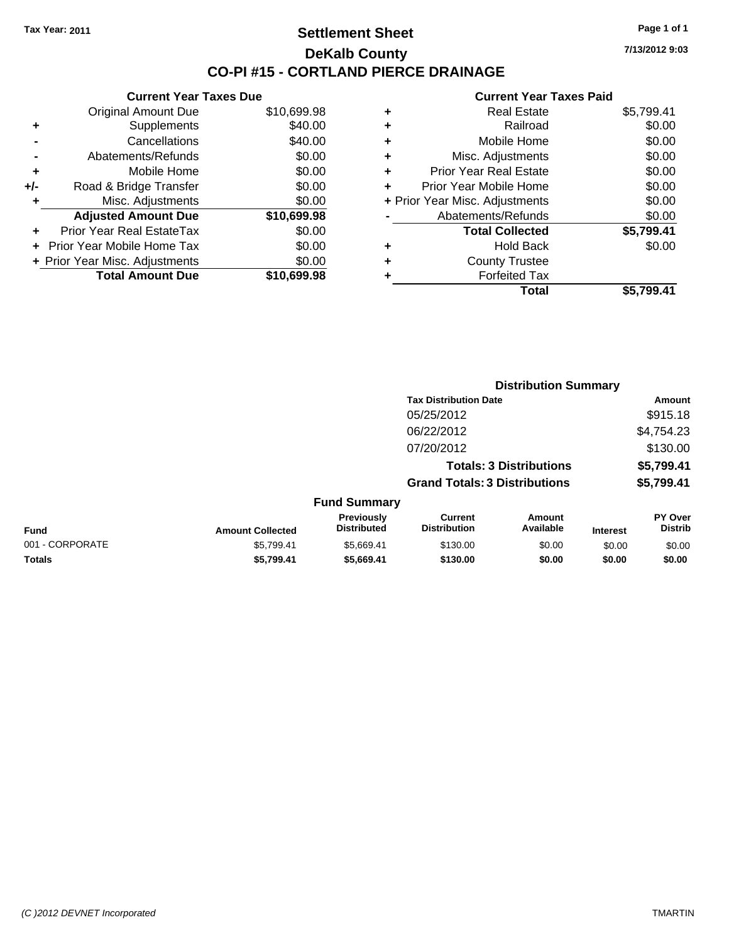**Current Year Taxes Due** Original Amount Due \$10,699.98

**Adjusted Amount Due \$10,699.98**

**Total Amount Due \$10,699.98**

**+** Supplements \$40.00 **-** Cancellations \$40.00 **-** Abatements/Refunds \$0.00 **+** Mobile Home \$0.00 **+/-** Road & Bridge Transfer \$0.00 **+** Misc. Adjustments \$0.00

**+** Prior Year Real EstateTax \$0.00 **+** Prior Year Mobile Home Tax \$0.00 **+ Prior Year Misc. Adjustments**  $$0.00$ 

### **Settlement Sheet Tax Year: 2011 Page 1 of 1 DeKalb County CO-PI #15 - CORTLAND PIERCE DRAINAGE**

**7/13/2012 9:03**

|                 |                         |                                  | <b>Distribution Summary</b>           |                                |                 |                                  |
|-----------------|-------------------------|----------------------------------|---------------------------------------|--------------------------------|-----------------|----------------------------------|
|                 |                         |                                  | <b>Tax Distribution Date</b>          |                                |                 | Amount                           |
|                 |                         |                                  | 05/25/2012                            |                                |                 | \$915.18                         |
|                 |                         |                                  | 06/22/2012                            |                                |                 | \$4,754.23                       |
|                 |                         |                                  | 07/20/2012                            |                                |                 | \$130.00                         |
|                 |                         |                                  |                                       | <b>Totals: 3 Distributions</b> |                 | \$5,799.41                       |
|                 |                         |                                  | <b>Grand Totals: 3 Distributions</b>  |                                |                 | \$5,799.41                       |
|                 |                         | <b>Fund Summary</b>              |                                       |                                |                 |                                  |
| Fund            | <b>Amount Collected</b> | Previously<br><b>Distributed</b> | <b>Current</b><br><b>Distribution</b> | Amount<br>Available            | <b>Interest</b> | <b>PY Over</b><br><b>Distrib</b> |
| 001 - CORPORATE | \$5,799.41              | \$5,669.41                       | \$130.00                              | \$0.00                         | \$0.00          | \$0.00                           |
| Totals          | \$5,799.41              | \$5,669.41                       | \$130.00                              | \$0.00                         | \$0.00          | \$0.00                           |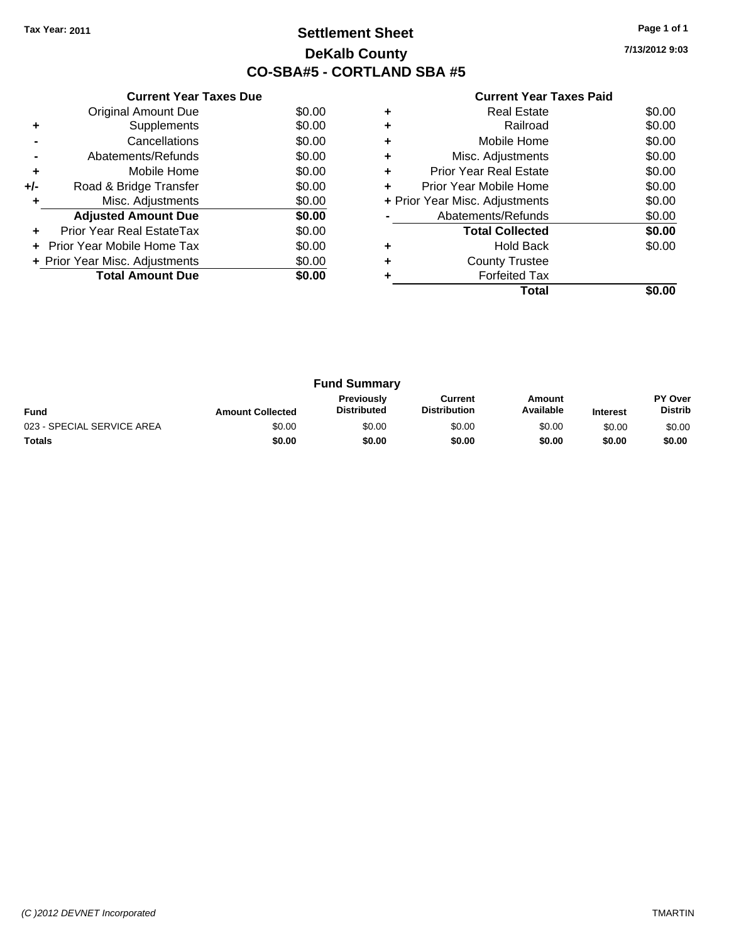## **Settlement Sheet Tax Year: 2011 Page 1 of 1 DeKalb County CO-SBA#5 - CORTLAND SBA #5**

**7/13/2012 9:03**

|     | <b>Current Year Taxes Due</b>  |        |
|-----|--------------------------------|--------|
|     | <b>Original Amount Due</b>     | \$0.00 |
| ٠   | Supplements                    | \$0.00 |
|     | Cancellations                  | \$0.00 |
|     | Abatements/Refunds             | \$0.00 |
| ٠   | Mobile Home                    | \$0.00 |
| +/- | Road & Bridge Transfer         | \$0.00 |
|     | Misc. Adjustments              | \$0.00 |
|     | <b>Adjusted Amount Due</b>     | \$0.00 |
|     | Prior Year Real EstateTax      | \$0.00 |
|     | Prior Year Mobile Home Tax     | \$0.00 |
|     | + Prior Year Misc. Adjustments | \$0.00 |
|     | <b>Total Amount Due</b>        | \$0.00 |
|     |                                |        |

|   | Real Estate                    | \$0.00 |
|---|--------------------------------|--------|
| ٠ | Railroad                       | \$0.00 |
| ٠ | Mobile Home                    | \$0.00 |
| ٠ | Misc. Adjustments              | \$0.00 |
| ٠ | Prior Year Real Estate         | \$0.00 |
| ٠ | Prior Year Mobile Home         | \$0.00 |
|   | + Prior Year Misc. Adjustments | \$0.00 |
|   | Abatements/Refunds             | \$0.00 |
|   | <b>Total Collected</b>         | \$0.00 |
| ٠ | <b>Hold Back</b>               | \$0.00 |
| ٠ | <b>County Trustee</b>          |        |
|   | <b>Forfeited Tax</b>           |        |
|   | Total                          |        |

| <b>Fund Summary</b>        |                         |                                         |                                |                     |                 |                                  |
|----------------------------|-------------------------|-----------------------------------------|--------------------------------|---------------------|-----------------|----------------------------------|
| <b>Fund</b>                | <b>Amount Collected</b> | <b>Previously</b><br><b>Distributed</b> | Current<br><b>Distribution</b> | Amount<br>Available | <b>Interest</b> | <b>PY Over</b><br><b>Distrib</b> |
| 023 - SPECIAL SERVICE AREA | \$0.00                  | \$0.00                                  | \$0.00                         | \$0.00              | \$0.00          | \$0.00                           |
| <b>Totals</b>              | \$0.00                  | \$0.00                                  | \$0.00                         | \$0.00              | \$0.00          | \$0.00                           |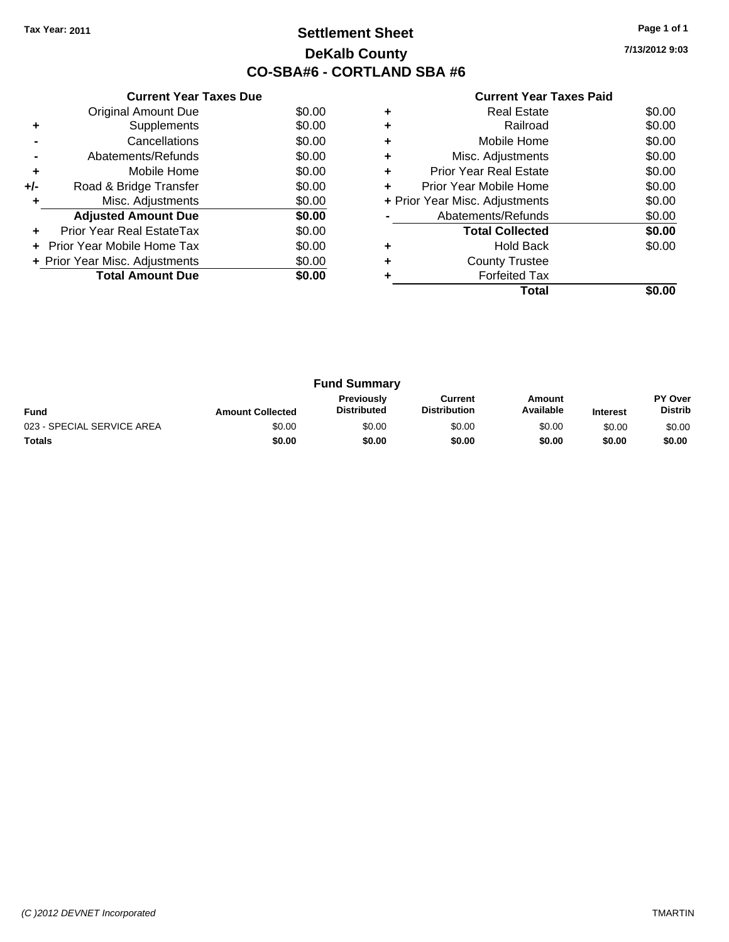## **Settlement Sheet Tax Year: 2011 Page 1 of 1 DeKalb County CO-SBA#6 - CORTLAND SBA #6**

**7/13/2012 9:03**

|     | <b>Current Year Taxes Due</b>  |        |
|-----|--------------------------------|--------|
|     | <b>Original Amount Due</b>     | \$0.00 |
| ٠   | Supplements                    | \$0.00 |
|     | Cancellations                  | \$0.00 |
|     | Abatements/Refunds             | \$0.00 |
| ٠   | Mobile Home                    | \$0.00 |
| +/- | Road & Bridge Transfer         | \$0.00 |
|     | Misc. Adjustments              | \$0.00 |
|     | <b>Adjusted Amount Due</b>     | \$0.00 |
|     | Prior Year Real EstateTax      | \$0.00 |
|     | Prior Year Mobile Home Tax     | \$0.00 |
|     | + Prior Year Misc. Adjustments | \$0.00 |
|     | <b>Total Amount Due</b>        | \$0.00 |
|     |                                |        |

|   | Real Estate                    | \$0.00 |
|---|--------------------------------|--------|
|   | Railroad                       | \$0.00 |
| ٠ | Mobile Home                    | \$0.00 |
| ٠ | Misc. Adjustments              | \$0.00 |
| ٠ | Prior Year Real Estate         | \$0.00 |
|   | Prior Year Mobile Home         | \$0.00 |
|   | + Prior Year Misc. Adjustments | \$0.00 |
|   | Abatements/Refunds             | \$0.00 |
|   | <b>Total Collected</b>         | \$0.00 |
| ٠ | <b>Hold Back</b>               | \$0.00 |
|   | <b>County Trustee</b>          |        |
|   | <b>Forfeited Tax</b>           |        |
|   | Total                          |        |

| <b>Fund Summary</b>        |                         |                                         |                                |                     |                 |                                  |
|----------------------------|-------------------------|-----------------------------------------|--------------------------------|---------------------|-----------------|----------------------------------|
| <b>Fund</b>                | <b>Amount Collected</b> | <b>Previously</b><br><b>Distributed</b> | Current<br><b>Distribution</b> | Amount<br>Available | <b>Interest</b> | <b>PY Over</b><br><b>Distrib</b> |
| 023 - SPECIAL SERVICE AREA | \$0.00                  | \$0.00                                  | \$0.00                         | \$0.00              | \$0.00          | \$0.00                           |
| <b>Totals</b>              | \$0.00                  | \$0.00                                  | \$0.00                         | \$0.00              | \$0.00          | \$0.00                           |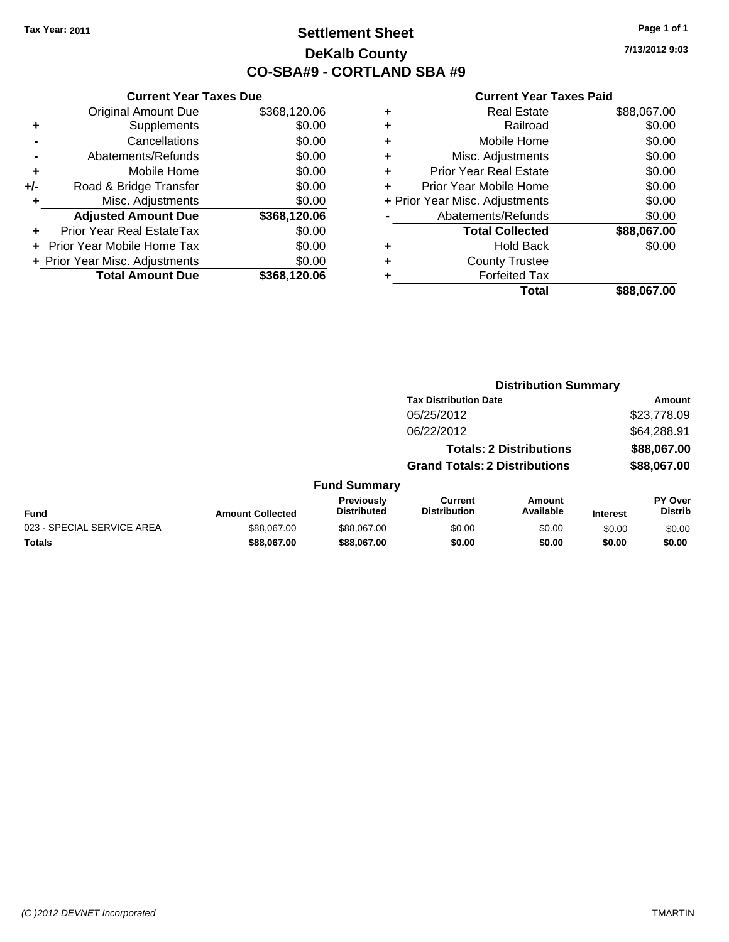**Current Year Taxes Due**

## **Settlement Sheet Tax Year: 2011 Page 1 of 1 DeKalb County CO-SBA#9 - CORTLAND SBA #9**

**7/13/2012 9:03**

#### **Current Year Taxes Paid**

**Distribution Summary**

|                      |                                |              |   | Total                          | \$88,067.00 |
|----------------------|--------------------------------|--------------|---|--------------------------------|-------------|
|                      | <b>Total Amount Due</b>        | \$368,120.06 |   | <b>Forfeited Tax</b>           |             |
|                      | + Prior Year Misc. Adjustments | \$0.00       | ٠ | <b>County Trustee</b>          |             |
|                      | + Prior Year Mobile Home Tax   | \$0.00       | ٠ | <b>Hold Back</b>               | \$0.00      |
| $\ddot{\phantom{1}}$ | Prior Year Real EstateTax      | \$0.00       |   | <b>Total Collected</b>         | \$88,067.00 |
|                      | <b>Adjusted Amount Due</b>     | \$368,120.06 |   | Abatements/Refunds             | \$0.00      |
| ٠                    | Misc. Adjustments              | \$0.00       |   | + Prior Year Misc. Adjustments | \$0.00      |
| I-                   | Road & Bridge Transfer         | \$0.00       |   | Prior Year Mobile Home         | \$0.00      |
| ÷                    | Mobile Home                    | \$0.00       | ÷ | <b>Prior Year Real Estate</b>  | \$0.00      |
|                      | Abatements/Refunds             | \$0.00       |   | Misc. Adjustments              | \$0.00      |
| $\blacksquare$       | Cancellations                  | \$0.00       |   | Mobile Home                    | \$0.00      |
| $\ddot{\phantom{1}}$ | Supplements                    | \$0.00       | ٠ | Railroad                       | \$0.00      |
|                      | <b>Original Amount Due</b>     | \$368,120.06 | ٠ | <b>Real Estate</b>             | \$88,067.00 |
|                      |                                |              |   |                                |             |

|                            |                         |                                         | <b>Tax Distribution Date</b>          |                                |                 | Amount                           |  |
|----------------------------|-------------------------|-----------------------------------------|---------------------------------------|--------------------------------|-----------------|----------------------------------|--|
|                            |                         |                                         | 05/25/2012                            |                                |                 | \$23,778.09                      |  |
|                            |                         |                                         | 06/22/2012                            |                                |                 | \$64,288.91                      |  |
|                            |                         |                                         |                                       | <b>Totals: 2 Distributions</b> |                 | \$88,067.00                      |  |
|                            |                         |                                         | <b>Grand Totals: 2 Distributions</b>  |                                |                 | \$88,067.00                      |  |
|                            |                         | <b>Fund Summary</b>                     |                                       |                                |                 |                                  |  |
| Fund                       | <b>Amount Collected</b> | <b>Previously</b><br><b>Distributed</b> | <b>Current</b><br><b>Distribution</b> | <b>Amount</b><br>Available     | <b>Interest</b> | <b>PY Over</b><br><b>Distrib</b> |  |
| 023 - SPECIAL SERVICE AREA | \$88,067.00             | \$88,067.00                             | \$0.00                                | \$0.00                         | \$0.00          | \$0.00                           |  |
| Totals                     | \$88,067,00             | \$88,067.00                             | \$0.00                                | \$0.00                         | \$0.00          | \$0.00                           |  |
|                            |                         |                                         |                                       |                                |                 |                                  |  |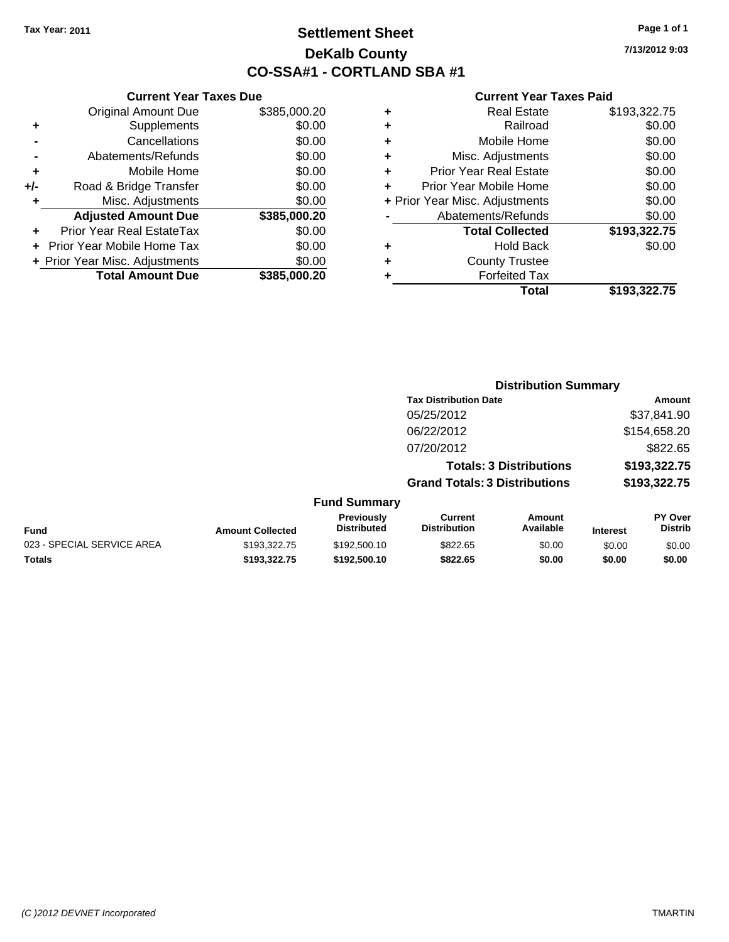## **Settlement Sheet Tax Year: 2011 Page 1 of 1 DeKalb County CO-SSA#1 - CORTLAND SBA #1**

**7/13/2012 9:03**

|     | <b>Current Year Taxes Due</b>  |              |      |  |  |  |
|-----|--------------------------------|--------------|------|--|--|--|
|     | <b>Original Amount Due</b>     | \$385,000.20 |      |  |  |  |
|     | Supplements                    | \$0.00       |      |  |  |  |
|     | Cancellations                  | \$0.00       |      |  |  |  |
|     | Abatements/Refunds             | \$0.00       | ٠    |  |  |  |
|     | Mobile Home                    | \$0.00       |      |  |  |  |
| +/- | Road & Bridge Transfer         | \$0.00       |      |  |  |  |
|     | Misc. Adjustments              | \$0.00       | + Pi |  |  |  |
|     | <b>Adjusted Amount Due</b>     | \$385,000.20 |      |  |  |  |
|     | Prior Year Real EstateTax      | \$0.00       |      |  |  |  |
|     | Prior Year Mobile Home Tax     | \$0.00       |      |  |  |  |
|     | + Prior Year Misc. Adjustments | \$0.00       |      |  |  |  |
|     | <b>Total Amount Due</b>        | \$385,000.20 |      |  |  |  |
|     |                                |              |      |  |  |  |

| ٠ | <b>Real Estate</b>             | \$193,322.75 |
|---|--------------------------------|--------------|
| ٠ | Railroad                       | \$0.00       |
| ٠ | Mobile Home                    | \$0.00       |
| ٠ | Misc. Adjustments              | \$0.00       |
| ٠ | <b>Prior Year Real Estate</b>  | \$0.00       |
| ٠ | Prior Year Mobile Home         | \$0.00       |
|   | + Prior Year Misc. Adjustments | \$0.00       |
|   | Abatements/Refunds             | \$0.00       |
|   | <b>Total Collected</b>         | \$193,322.75 |
| ٠ | <b>Hold Back</b>               | \$0.00       |
| ٠ | <b>County Trustee</b>          |              |
| ٠ | <b>Forfeited Tax</b>           |              |
|   | Total                          | \$193,322.75 |
|   |                                |              |

|                            |                         |                                  | <b>Distribution Summary</b>           |                                |                 |                           |
|----------------------------|-------------------------|----------------------------------|---------------------------------------|--------------------------------|-----------------|---------------------------|
|                            |                         |                                  | <b>Tax Distribution Date</b>          |                                |                 | Amount                    |
|                            |                         |                                  | 05/25/2012                            |                                |                 | \$37,841.90               |
|                            |                         |                                  | 06/22/2012                            |                                |                 | \$154,658.20              |
|                            |                         |                                  | 07/20/2012                            |                                |                 | \$822.65                  |
|                            |                         |                                  |                                       | <b>Totals: 3 Distributions</b> |                 | \$193,322.75              |
|                            |                         |                                  | <b>Grand Totals: 3 Distributions</b>  |                                |                 | \$193,322.75              |
|                            |                         | <b>Fund Summary</b>              |                                       |                                |                 |                           |
| Fund                       | <b>Amount Collected</b> | Previously<br><b>Distributed</b> | <b>Current</b><br><b>Distribution</b> | <b>Amount</b><br>Available     | <b>Interest</b> | PY Over<br><b>Distrib</b> |
| 023 - SPECIAL SERVICE AREA | \$193,322.75            | \$192,500.10                     | \$822.65                              | \$0.00                         | \$0.00          | \$0.00                    |
| Totals                     | \$193,322,75            | \$192,500.10                     | \$822.65                              | \$0.00                         | \$0.00          | \$0.00                    |
|                            |                         |                                  |                                       |                                |                 |                           |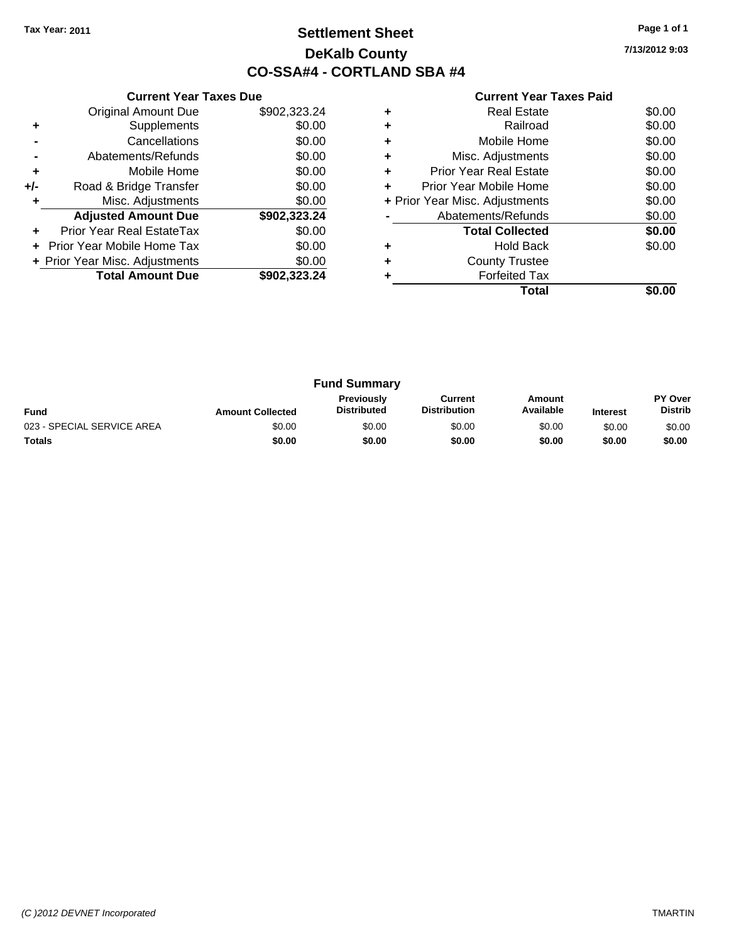## **Settlement Sheet Tax Year: 2011 Page 1 of 1 DeKalb County CO-SSA#4 - CORTLAND SBA #4**

**7/13/2012 9:03**

|     | <b>Current Year Taxes Due</b>  |              |  |  |  |
|-----|--------------------------------|--------------|--|--|--|
|     | <b>Original Amount Due</b>     | \$902,323.24 |  |  |  |
| ٠   | Supplements                    | \$0.00       |  |  |  |
|     | Cancellations                  | \$0.00       |  |  |  |
|     | Abatements/Refunds             | \$0.00       |  |  |  |
| ٠   | Mobile Home                    | \$0.00       |  |  |  |
| +/- | Road & Bridge Transfer         | \$0.00       |  |  |  |
| ٠   | Misc. Adjustments              | \$0.00       |  |  |  |
|     | <b>Adjusted Amount Due</b>     | \$902,323.24 |  |  |  |
| ٠   | Prior Year Real EstateTax      | \$0.00       |  |  |  |
|     | Prior Year Mobile Home Tax     | \$0.00       |  |  |  |
|     | + Prior Year Misc. Adjustments | \$0.00       |  |  |  |
|     | <b>Total Amount Due</b>        | \$902.323.24 |  |  |  |
|     |                                |              |  |  |  |

| ٠ | <b>Real Estate</b>             | \$0.00 |
|---|--------------------------------|--------|
|   | Railroad                       | \$0.00 |
| ٠ | Mobile Home                    | \$0.00 |
| ٠ | Misc. Adjustments              | \$0.00 |
| ÷ | <b>Prior Year Real Estate</b>  | \$0.00 |
| ÷ | Prior Year Mobile Home         | \$0.00 |
|   | + Prior Year Misc. Adjustments | \$0.00 |
|   | Abatements/Refunds             | \$0.00 |
|   | <b>Total Collected</b>         | \$0.00 |
|   | <b>Hold Back</b>               | \$0.00 |
|   | <b>County Trustee</b>          |        |
|   | <b>Forfeited Tax</b>           |        |
|   | Total                          |        |

| <b>Fund Summary</b>        |                         |                                         |                                |                     |                 |                                  |
|----------------------------|-------------------------|-----------------------------------------|--------------------------------|---------------------|-----------------|----------------------------------|
| <b>Fund</b>                | <b>Amount Collected</b> | <b>Previously</b><br><b>Distributed</b> | Current<br><b>Distribution</b> | Amount<br>Available | <b>Interest</b> | <b>PY Over</b><br><b>Distrib</b> |
| 023 - SPECIAL SERVICE AREA | \$0.00                  | \$0.00                                  | \$0.00                         | \$0.00              | \$0.00          | \$0.00                           |
| <b>Totals</b>              | \$0.00                  | \$0.00                                  | \$0.00                         | \$0.00              | \$0.00          | \$0.00                           |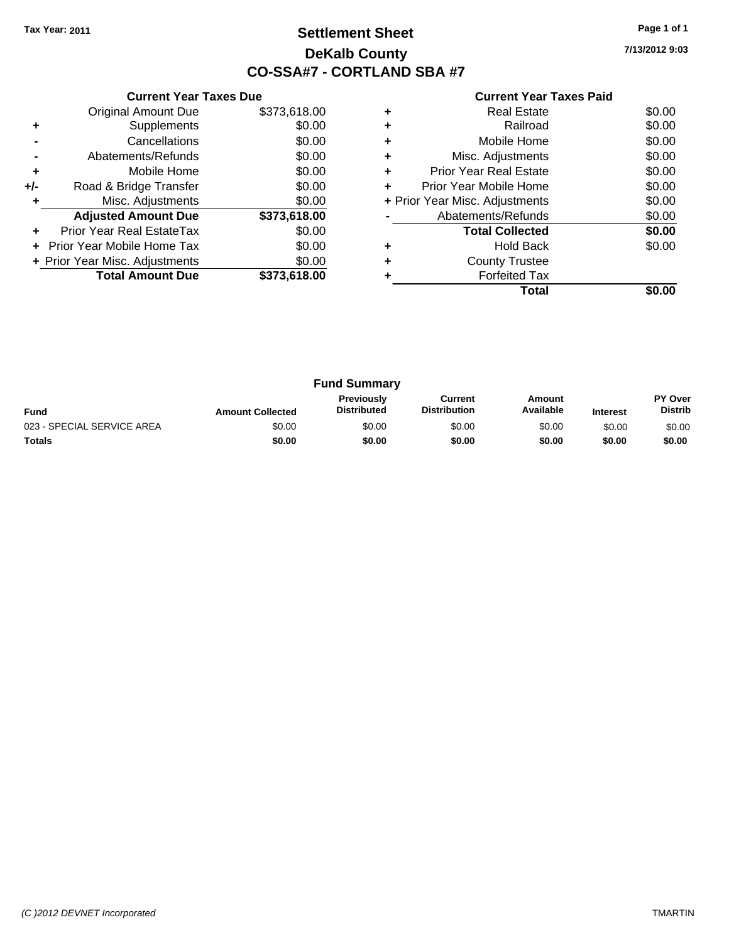## **Settlement Sheet Tax Year: 2011 Page 1 of 1 DeKalb County CO-SSA#7 - CORTLAND SBA #7**

**7/13/2012 9:03**

|     | <b>Current Year Taxes Due</b>  |              |  |  |  |
|-----|--------------------------------|--------------|--|--|--|
|     | <b>Original Amount Due</b>     | \$373,618.00 |  |  |  |
| ÷   | Supplements                    | \$0.00       |  |  |  |
|     | Cancellations                  | \$0.00       |  |  |  |
|     | Abatements/Refunds             | \$0.00       |  |  |  |
| ٠   | Mobile Home                    | \$0.00       |  |  |  |
| +/- | Road & Bridge Transfer         | \$0.00       |  |  |  |
| ٠   | Misc. Adjustments              | \$0.00       |  |  |  |
|     | <b>Adjusted Amount Due</b>     | \$373,618.00 |  |  |  |
| ÷   | Prior Year Real EstateTax      | \$0.00       |  |  |  |
|     | Prior Year Mobile Home Tax     | \$0.00       |  |  |  |
|     | + Prior Year Misc. Adjustments | \$0.00       |  |  |  |
|     | <b>Total Amount Due</b>        | \$373,618.00 |  |  |  |
|     |                                |              |  |  |  |

|   | <b>Real Estate</b>             | \$0.00 |
|---|--------------------------------|--------|
|   | Railroad                       | \$0.00 |
|   | Mobile Home                    | \$0.00 |
| ٠ | Misc. Adjustments              | \$0.00 |
| ٠ | <b>Prior Year Real Estate</b>  | \$0.00 |
| ٠ | Prior Year Mobile Home         | \$0.00 |
|   | + Prior Year Misc. Adjustments | \$0.00 |
|   | Abatements/Refunds             | \$0.00 |
|   | <b>Total Collected</b>         | \$0.00 |
| ٠ | <b>Hold Back</b>               | \$0.00 |
|   | <b>County Trustee</b>          |        |
|   | <b>Forfeited Tax</b>           |        |
|   | Total                          |        |

| <b>Fund Summary</b>        |                         |                                         |                                |                     |                 |                                  |
|----------------------------|-------------------------|-----------------------------------------|--------------------------------|---------------------|-----------------|----------------------------------|
| <b>Fund</b>                | <b>Amount Collected</b> | <b>Previously</b><br><b>Distributed</b> | Current<br><b>Distribution</b> | Amount<br>Available | <b>Interest</b> | <b>PY Over</b><br><b>Distrib</b> |
| 023 - SPECIAL SERVICE AREA | \$0.00                  | \$0.00                                  | \$0.00                         | \$0.00              | \$0.00          | \$0.00                           |
| <b>Totals</b>              | \$0.00                  | \$0.00                                  | \$0.00                         | \$0.00              | \$0.00          | \$0.00                           |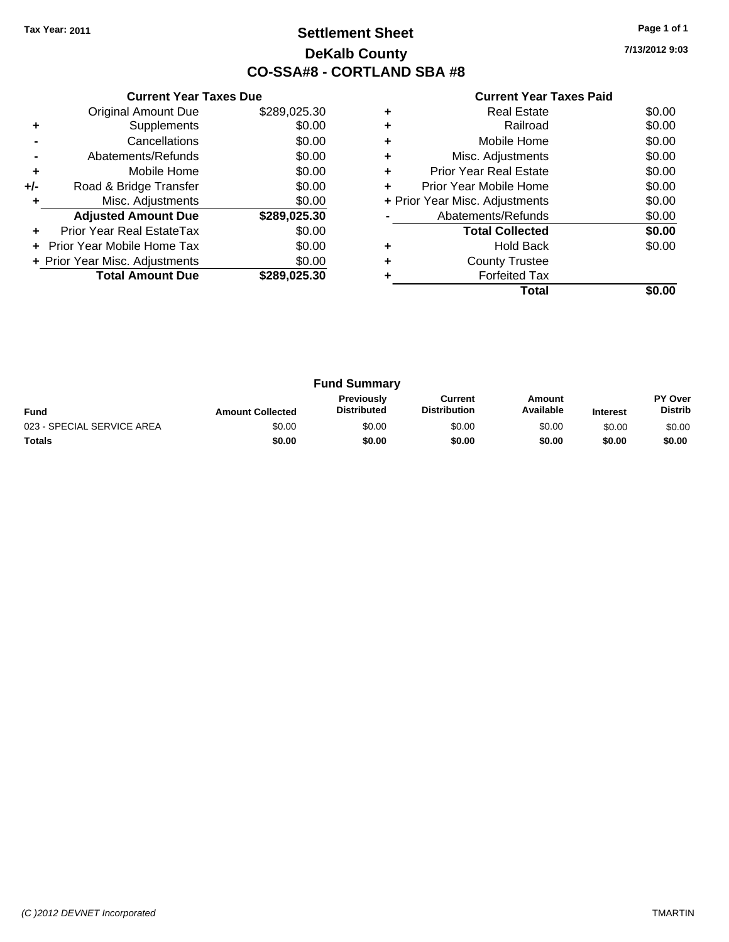## **Settlement Sheet Tax Year: 2011 Page 1 of 1 DeKalb County CO-SSA#8 - CORTLAND SBA #8**

**7/13/2012 9:03**

|     | <b>Current Year Taxes Due</b>  |              |
|-----|--------------------------------|--------------|
|     | <b>Original Amount Due</b>     | \$289,025.30 |
| ٠   | Supplements                    | \$0.00       |
|     | Cancellations                  | \$0.00       |
|     | Abatements/Refunds             | \$0.00       |
| ٠   | Mobile Home                    | \$0.00       |
| +/- | Road & Bridge Transfer         | \$0.00       |
| ٠   | Misc. Adjustments              | \$0.00       |
|     | <b>Adjusted Amount Due</b>     | \$289,025.30 |
| ٠   | Prior Year Real EstateTax      | \$0.00       |
|     | Prior Year Mobile Home Tax     | \$0.00       |
|     | + Prior Year Misc. Adjustments | \$0.00       |
|     | <b>Total Amount Due</b>        | \$289.025.30 |
|     |                                |              |

|   | Total                          |        |
|---|--------------------------------|--------|
|   | <b>Forfeited Tax</b>           |        |
| ÷ | <b>County Trustee</b>          |        |
|   | <b>Hold Back</b>               | \$0.00 |
|   | <b>Total Collected</b>         | \$0.00 |
|   | Abatements/Refunds             | \$0.00 |
|   | + Prior Year Misc. Adjustments | \$0.00 |
| ÷ | Prior Year Mobile Home         | \$0.00 |
| ÷ | <b>Prior Year Real Estate</b>  | \$0.00 |
| ٠ | Misc. Adjustments              | \$0.00 |
| ٠ | Mobile Home                    | \$0.00 |
| ÷ | Railroad                       | \$0.00 |
| ٠ | Real Estate                    | \$0.00 |
|   |                                |        |

| <b>Fund Summary</b>        |                         |                                         |                                |                     |                 |                           |
|----------------------------|-------------------------|-----------------------------------------|--------------------------------|---------------------|-----------------|---------------------------|
| <b>Fund</b>                | <b>Amount Collected</b> | <b>Previously</b><br><b>Distributed</b> | Current<br><b>Distribution</b> | Amount<br>Available | <b>Interest</b> | PY Over<br><b>Distrib</b> |
| 023 - SPECIAL SERVICE AREA | \$0.00                  | \$0.00                                  | \$0.00                         | \$0.00              | \$0.00          | \$0.00                    |
| <b>Totals</b>              | \$0.00                  | \$0.00                                  | \$0.00                         | \$0.00              | \$0.00          | \$0.00                    |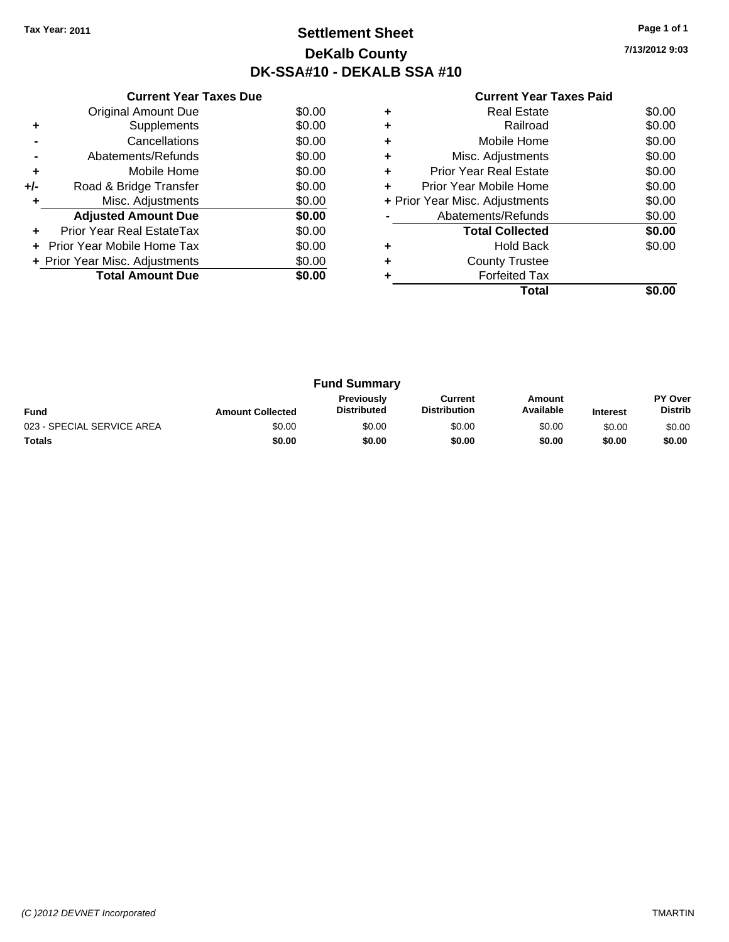## **Settlement Sheet Tax Year: 2011 Page 1 of 1 DeKalb County DK-SSA#10 - DEKALB SSA #10**

**7/13/2012 9:03**

|     | <b>Current Year Taxes Due</b>  |        |
|-----|--------------------------------|--------|
|     | <b>Original Amount Due</b>     | \$0.00 |
| ٠   | Supplements                    | \$0.00 |
|     | Cancellations                  | \$0.00 |
|     | Abatements/Refunds             | \$0.00 |
| ٠   | Mobile Home                    | \$0.00 |
| +/- | Road & Bridge Transfer         | \$0.00 |
|     | Misc. Adjustments              | \$0.00 |
|     | <b>Adjusted Amount Due</b>     | \$0.00 |
|     | Prior Year Real EstateTax      | \$0.00 |
|     | Prior Year Mobile Home Tax     | \$0.00 |
|     | + Prior Year Misc. Adjustments | \$0.00 |
|     | <b>Total Amount Due</b>        | \$0.00 |
|     |                                |        |

|   | Total                          |        |
|---|--------------------------------|--------|
|   | <b>Forfeited Tax</b>           |        |
|   | <b>County Trustee</b>          |        |
|   | <b>Hold Back</b>               | \$0.00 |
|   | <b>Total Collected</b>         | \$0.00 |
|   | Abatements/Refunds             | \$0.00 |
|   | + Prior Year Misc. Adjustments | \$0.00 |
| ٠ | Prior Year Mobile Home         | \$0.00 |
| ٠ | <b>Prior Year Real Estate</b>  | \$0.00 |
| ٠ | Misc. Adjustments              | \$0.00 |
| ٠ | Mobile Home                    | \$0.00 |
| ٠ | Railroad                       | \$0.00 |
|   | Real Estate                    | \$0.00 |
|   |                                |        |

| <b>Fund Summary</b>        |                         |                                         |                                |                     |                 |                                  |
|----------------------------|-------------------------|-----------------------------------------|--------------------------------|---------------------|-----------------|----------------------------------|
| <b>Fund</b>                | <b>Amount Collected</b> | <b>Previously</b><br><b>Distributed</b> | Current<br><b>Distribution</b> | Amount<br>Available | <b>Interest</b> | <b>PY Over</b><br><b>Distrib</b> |
| 023 - SPECIAL SERVICE AREA | \$0.00                  | \$0.00                                  | \$0.00                         | \$0.00              | \$0.00          | \$0.00                           |
| Totals                     | \$0.00                  | \$0.00                                  | \$0.00                         | \$0.00              | \$0.00          | \$0.00                           |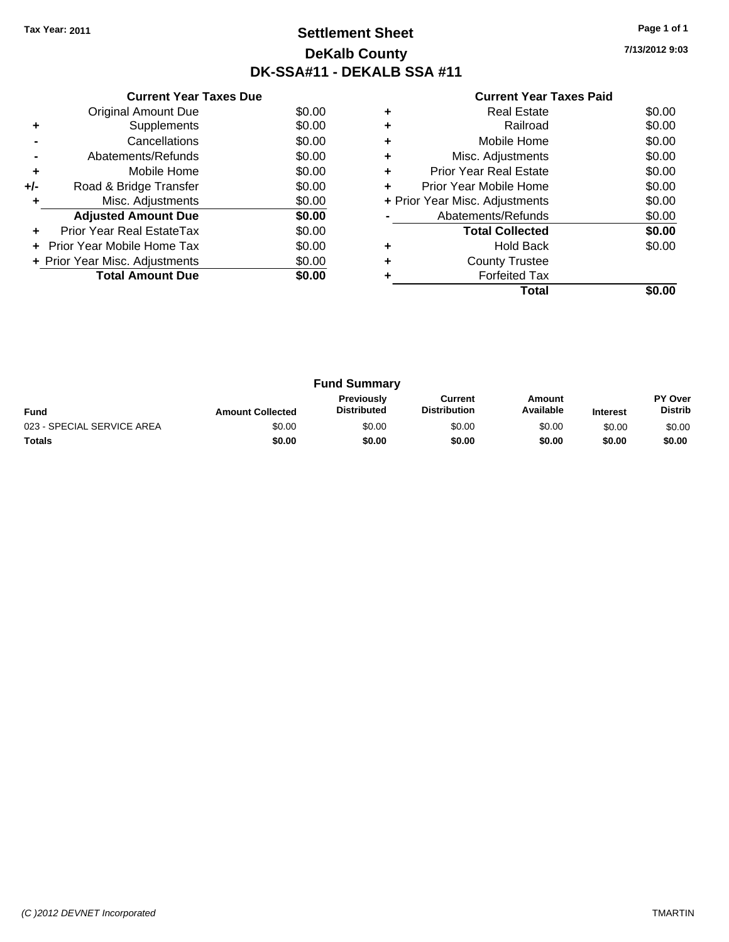## **Settlement Sheet Tax Year: 2011 Page 1 of 1 DeKalb County DK-SSA#11 - DEKALB SSA #11**

**7/13/2012 9:03**

|     | <b>Current Year Taxes Due</b>  |        |
|-----|--------------------------------|--------|
|     | <b>Original Amount Due</b>     | \$0.00 |
| ٠   | Supplements                    | \$0.00 |
|     | Cancellations                  | \$0.00 |
|     | Abatements/Refunds             | \$0.00 |
| ٠   | Mobile Home                    | \$0.00 |
| +/- | Road & Bridge Transfer         | \$0.00 |
| ٠   | Misc. Adjustments              | \$0.00 |
|     | <b>Adjusted Amount Due</b>     | \$0.00 |
| ٠   | Prior Year Real EstateTax      | \$0.00 |
|     | Prior Year Mobile Home Tax     | \$0.00 |
|     | + Prior Year Misc. Adjustments | \$0.00 |
|     | <b>Total Amount Due</b>        | \$0.00 |
|     |                                |        |

|   | <b>Real Estate</b>             | \$0.00 |
|---|--------------------------------|--------|
|   | Railroad                       | \$0.00 |
|   | Mobile Home                    | \$0.00 |
|   | Misc. Adjustments              | \$0.00 |
| ٠ | <b>Prior Year Real Estate</b>  | \$0.00 |
| ÷ | Prior Year Mobile Home         | \$0.00 |
|   | + Prior Year Misc. Adjustments | \$0.00 |
|   | Abatements/Refunds             | \$0.00 |
|   | <b>Total Collected</b>         | \$0.00 |
|   | <b>Hold Back</b>               | \$0.00 |
|   | <b>County Trustee</b>          |        |
|   | <b>Forfeited Tax</b>           |        |
|   | Total                          |        |

| <b>Fund Summary</b>        |                         |                                  |                                |                     |                 |                                  |
|----------------------------|-------------------------|----------------------------------|--------------------------------|---------------------|-----------------|----------------------------------|
| <b>Fund</b>                | <b>Amount Collected</b> | Previously<br><b>Distributed</b> | Current<br><b>Distribution</b> | Amount<br>Available | <b>Interest</b> | <b>PY Over</b><br><b>Distrib</b> |
| 023 - SPECIAL SERVICE AREA | \$0.00                  | \$0.00                           | \$0.00                         | \$0.00              | \$0.00          | \$0.00                           |
| <b>Totals</b>              | \$0.00                  | \$0.00                           | \$0.00                         | \$0.00              | \$0.00          | \$0.00                           |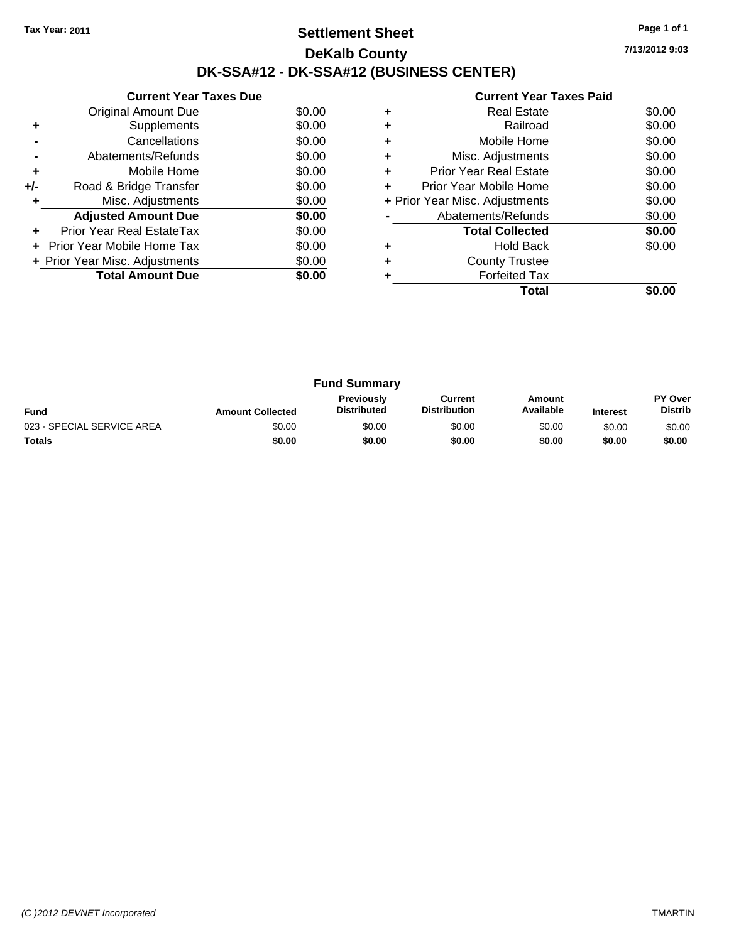## **Settlement Sheet Tax Year: 2011 Page 1 of 1 DeKalb County DK-SSA#12 - DK-SSA#12 (BUSINESS CENTER)**

**7/13/2012 9:03**

|     | <b>Current Year Taxes Due</b>  |        |
|-----|--------------------------------|--------|
|     | Original Amount Due            | \$0.00 |
| ÷   | Supplements                    | \$0.00 |
|     | Cancellations                  | \$0.00 |
|     | Abatements/Refunds             | \$0.00 |
| ٠   | Mobile Home                    | \$0.00 |
| +/- | Road & Bridge Transfer         | \$0.00 |
| ٠   | Misc. Adjustments              | \$0.00 |
|     | <b>Adjusted Amount Due</b>     | \$0.00 |
|     | Prior Year Real EstateTax      | \$0.00 |
|     | Prior Year Mobile Home Tax     | \$0.00 |
|     | + Prior Year Misc. Adjustments | \$0.00 |
|     | <b>Total Amount Due</b>        | \$0.00 |
|     |                                |        |

|   | Total                          |        |
|---|--------------------------------|--------|
|   | <b>Forfeited Tax</b>           |        |
| ٠ | <b>County Trustee</b>          |        |
| ٠ | <b>Hold Back</b>               | \$0.00 |
|   | <b>Total Collected</b>         | \$0.00 |
|   | Abatements/Refunds             | \$0.00 |
|   | + Prior Year Misc. Adjustments | \$0.00 |
| ٠ | Prior Year Mobile Home         | \$0.00 |
| ٠ | <b>Prior Year Real Estate</b>  | \$0.00 |
| ٠ | Misc. Adjustments              | \$0.00 |
| ٠ | Mobile Home                    | \$0.00 |
| ٠ | Railroad                       | \$0.00 |
|   | <b>Real Estate</b>             | \$0.00 |
|   |                                |        |

| <b>Fund Summary</b>        |                         |                                         |                                |                     |                 |                                  |
|----------------------------|-------------------------|-----------------------------------------|--------------------------------|---------------------|-----------------|----------------------------------|
| <b>Fund</b>                | <b>Amount Collected</b> | <b>Previously</b><br><b>Distributed</b> | Current<br><b>Distribution</b> | Amount<br>Available | <b>Interest</b> | <b>PY Over</b><br><b>Distrib</b> |
| 023 - SPECIAL SERVICE AREA | \$0.00                  | \$0.00                                  | \$0.00                         | \$0.00              | \$0.00          | \$0.00                           |
| <b>Totals</b>              | \$0.00                  | \$0.00                                  | \$0.00                         | \$0.00              | \$0.00          | \$0.00                           |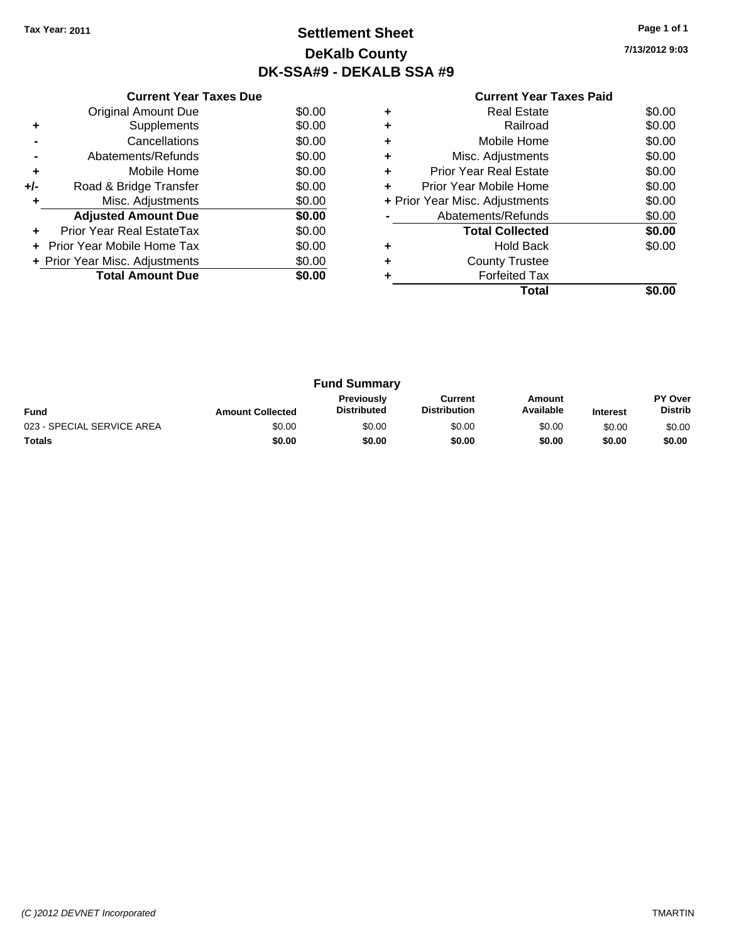## **Settlement Sheet Tax Year: 2011 Page 1 of 1 DeKalb County DK-SSA#9 - DEKALB SSA #9**

**7/13/2012 9:03**

|     | <b>Current Year Taxes Due</b>     |        |  |  |  |  |  |
|-----|-----------------------------------|--------|--|--|--|--|--|
|     | <b>Original Amount Due</b>        | \$0.00 |  |  |  |  |  |
| ٠   | Supplements                       | \$0.00 |  |  |  |  |  |
|     | Cancellations                     | \$0.00 |  |  |  |  |  |
|     | Abatements/Refunds                | \$0.00 |  |  |  |  |  |
| ٠   | Mobile Home                       | \$0.00 |  |  |  |  |  |
| +/- | Road & Bridge Transfer            | \$0.00 |  |  |  |  |  |
|     | Misc. Adjustments                 | \$0.00 |  |  |  |  |  |
|     | <b>Adjusted Amount Due</b>        | \$0.00 |  |  |  |  |  |
|     | Prior Year Real EstateTax         | \$0.00 |  |  |  |  |  |
|     | <b>Prior Year Mobile Home Tax</b> | \$0.00 |  |  |  |  |  |
|     | + Prior Year Misc. Adjustments    | \$0.00 |  |  |  |  |  |
|     | <b>Total Amount Due</b>           | \$0.00 |  |  |  |  |  |
|     |                                   |        |  |  |  |  |  |

|   | <b>Forfeited Tax</b><br>Total  |        |
|---|--------------------------------|--------|
|   | <b>County Trustee</b>          |        |
| ٠ | <b>Hold Back</b>               | \$0.00 |
|   | <b>Total Collected</b>         | \$0.00 |
|   | Abatements/Refunds             | \$0.00 |
|   | + Prior Year Misc. Adjustments | \$0.00 |
| ÷ | Prior Year Mobile Home         | \$0.00 |
| ٠ | <b>Prior Year Real Estate</b>  | \$0.00 |
| ٠ | Misc. Adjustments              | \$0.00 |
| ٠ | Mobile Home                    | \$0.00 |
| ٠ | Railroad                       | \$0.00 |
| ٠ | <b>Real Estate</b>             | \$0.00 |

| <b>Fund Summary</b>        |                         |                                         |                                |                     |                 |                                  |
|----------------------------|-------------------------|-----------------------------------------|--------------------------------|---------------------|-----------------|----------------------------------|
| <b>Fund</b>                | <b>Amount Collected</b> | <b>Previously</b><br><b>Distributed</b> | Current<br><b>Distribution</b> | Amount<br>Available | <b>Interest</b> | <b>PY Over</b><br><b>Distrib</b> |
| 023 - SPECIAL SERVICE AREA | \$0.00                  | \$0.00                                  | \$0.00                         | \$0.00              | \$0.00          | \$0.00                           |
| <b>Totals</b>              | \$0.00                  | \$0.00                                  | \$0.00                         | \$0.00              | \$0.00          | \$0.00                           |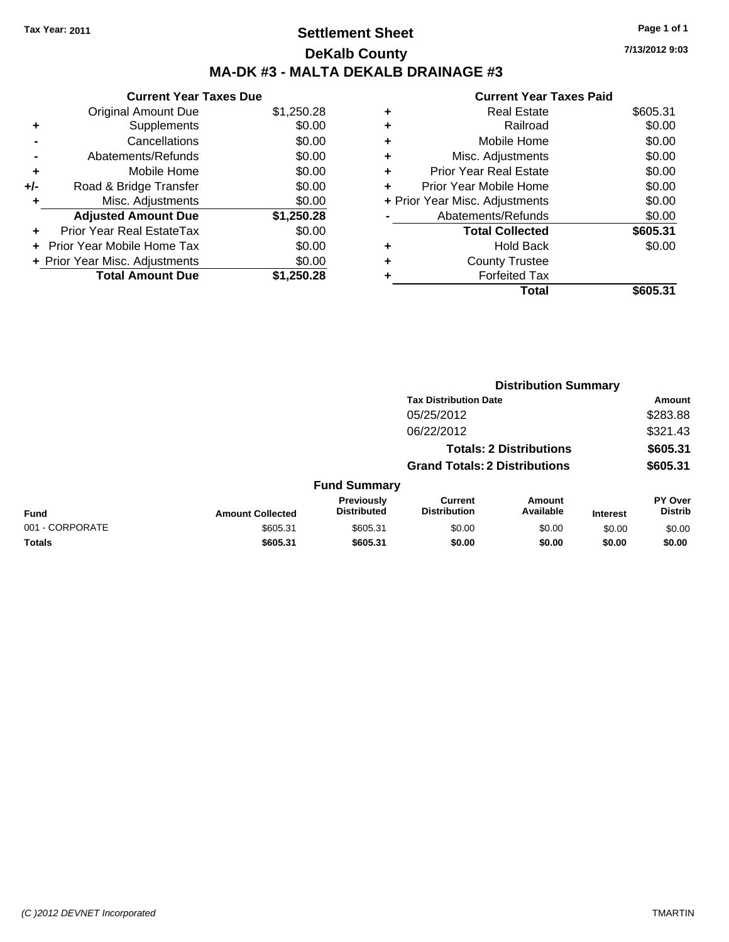## **Settlement Sheet Tax Year: 2011 Page 1 of 1 DeKalb County MA-DK #3 - MALTA DEKALB DRAINAGE #3**

**7/13/2012 9:03**

|     | <b>Current Year Taxes Due</b>  |            |
|-----|--------------------------------|------------|
|     | <b>Original Amount Due</b>     | \$1,250.28 |
| ÷   | Supplements                    | \$0.00     |
|     | Cancellations                  | \$0.00     |
|     | Abatements/Refunds             | \$0.00     |
| ٠   | Mobile Home                    | \$0.00     |
| +/- | Road & Bridge Transfer         | \$0.00     |
| ٠   | Misc. Adjustments              | \$0.00     |
|     | <b>Adjusted Amount Due</b>     | \$1,250.28 |
| ÷   | Prior Year Real EstateTax      | \$0.00     |
|     | Prior Year Mobile Home Tax     | \$0.00     |
|     | + Prior Year Misc. Adjustments | \$0.00     |
|     | <b>Total Amount Due</b>        | \$1.250.28 |

|   | Total                          | \$605.31 |
|---|--------------------------------|----------|
| ٠ | <b>Forfeited Tax</b>           |          |
| ٠ | <b>County Trustee</b>          |          |
| ٠ | <b>Hold Back</b>               | \$0.00   |
|   | <b>Total Collected</b>         | \$605.31 |
|   | Abatements/Refunds             | \$0.00   |
|   | + Prior Year Misc. Adjustments | \$0.00   |
|   | Prior Year Mobile Home         | \$0.00   |
| ÷ | <b>Prior Year Real Estate</b>  | \$0.00   |
| ٠ | Misc. Adjustments              | \$0.00   |
| ٠ | Mobile Home                    | \$0.00   |
| ٠ | Railroad                       | \$0.00   |
| ٠ | <b>Real Estate</b>             | \$605.31 |
|   |                                |          |

|                                | <b>Distribution Summary</b>          |                                  |                                       |                            |                 |                                  |
|--------------------------------|--------------------------------------|----------------------------------|---------------------------------------|----------------------------|-----------------|----------------------------------|
|                                |                                      |                                  | <b>Tax Distribution Date</b>          |                            |                 | Amount                           |
|                                |                                      |                                  | 05/25/2012                            |                            |                 | \$283.88                         |
|                                |                                      |                                  | 06/22/2012                            |                            |                 | \$321.43                         |
| <b>Totals: 2 Distributions</b> |                                      |                                  |                                       | \$605.31                   |                 |                                  |
|                                | <b>Grand Totals: 2 Distributions</b> |                                  |                                       |                            | \$605.31        |                                  |
|                                |                                      | <b>Fund Summary</b>              |                                       |                            |                 |                                  |
| Fund                           | <b>Amount Collected</b>              | Previously<br><b>Distributed</b> | <b>Current</b><br><b>Distribution</b> | <b>Amount</b><br>Available | <b>Interest</b> | <b>PY Over</b><br><b>Distrib</b> |
| 001 - CORPORATE                | \$605.31                             | \$605.31                         | \$0.00                                | \$0.00                     | \$0.00          | \$0.00                           |
| Totals                         | \$605.31                             | \$605.31                         | \$0.00                                | \$0.00                     | \$0.00          | \$0.00                           |
|                                |                                      |                                  |                                       |                            |                 |                                  |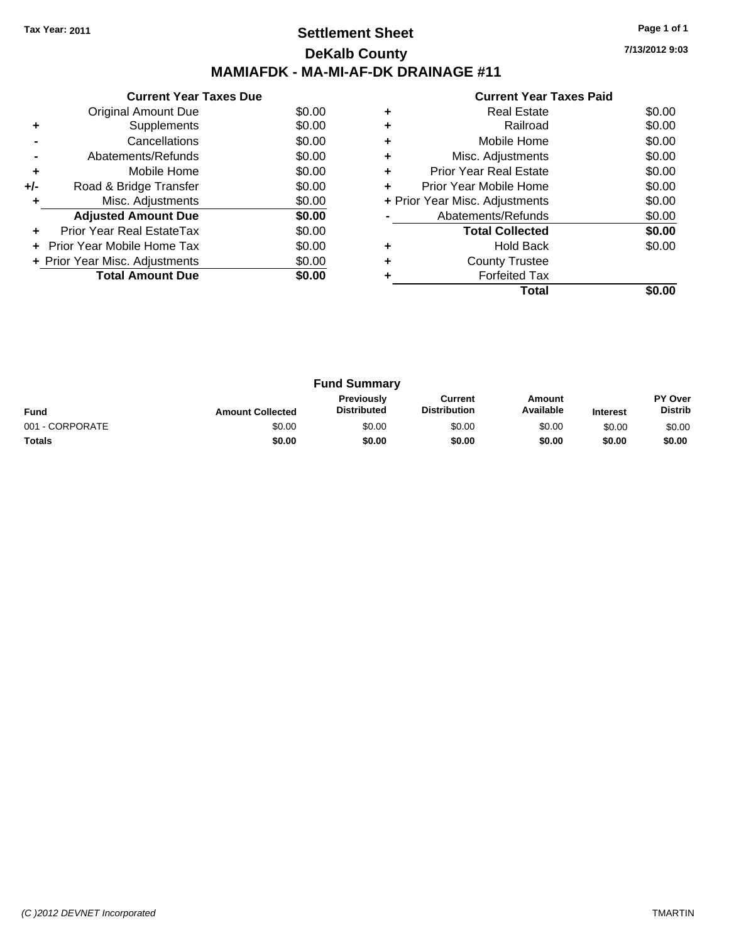## **Settlement Sheet Tax Year: 2011 Page 1 of 1 DeKalb County MAMIAFDK - MA-MI-AF-DK DRAINAGE #11**

**7/13/2012 9:03**

| <b>Current Year Taxes Paid</b> |  |  |
|--------------------------------|--|--|

|     | <b>Current Year Taxes Due</b>     |        |  |  |  |  |  |  |
|-----|-----------------------------------|--------|--|--|--|--|--|--|
|     | Original Amount Due               | \$0.00 |  |  |  |  |  |  |
| ٠   | Supplements                       | \$0.00 |  |  |  |  |  |  |
|     | Cancellations                     | \$0.00 |  |  |  |  |  |  |
|     | Abatements/Refunds                | \$0.00 |  |  |  |  |  |  |
| ٠   | Mobile Home                       | \$0.00 |  |  |  |  |  |  |
| +/- | Road & Bridge Transfer            | \$0.00 |  |  |  |  |  |  |
| ٠   | Misc. Adjustments                 | \$0.00 |  |  |  |  |  |  |
|     | <b>Adjusted Amount Due</b>        | \$0.00 |  |  |  |  |  |  |
| ٠   | Prior Year Real EstateTax         | \$0.00 |  |  |  |  |  |  |
|     | <b>Prior Year Mobile Home Tax</b> | \$0.00 |  |  |  |  |  |  |
|     | + Prior Year Misc. Adjustments    | \$0.00 |  |  |  |  |  |  |
|     | <b>Total Amount Due</b>           | \$0.00 |  |  |  |  |  |  |
|     |                                   |        |  |  |  |  |  |  |

|   | Total                          |        |
|---|--------------------------------|--------|
|   | <b>Forfeited Tax</b>           |        |
|   | <b>County Trustee</b>          |        |
|   | <b>Hold Back</b>               | \$0.00 |
|   | <b>Total Collected</b>         | \$0.00 |
|   | Abatements/Refunds             | \$0.00 |
|   | + Prior Year Misc. Adjustments | \$0.00 |
| ٠ | Prior Year Mobile Home         | \$0.00 |
| ٠ | <b>Prior Year Real Estate</b>  | \$0.00 |
|   | Misc. Adjustments              | \$0.00 |
|   | Mobile Home                    | \$0.00 |
|   | Railroad                       | \$0.00 |
|   | <b>Real Estate</b>             | \$0.00 |
|   |                                |        |

| <b>Fund Summary</b> |                         |                                  |                                |                     |                 |                                  |
|---------------------|-------------------------|----------------------------------|--------------------------------|---------------------|-----------------|----------------------------------|
| <b>Fund</b>         | <b>Amount Collected</b> | Previously<br><b>Distributed</b> | Current<br><b>Distribution</b> | Amount<br>Available | <b>Interest</b> | <b>PY Over</b><br><b>Distrib</b> |
| 001 - CORPORATE     | \$0.00                  | \$0.00                           | \$0.00                         | \$0.00              | \$0.00          | \$0.00                           |
| <b>Totals</b>       | \$0.00                  | \$0.00                           | \$0.00                         | \$0.00              | \$0.00          | \$0.00                           |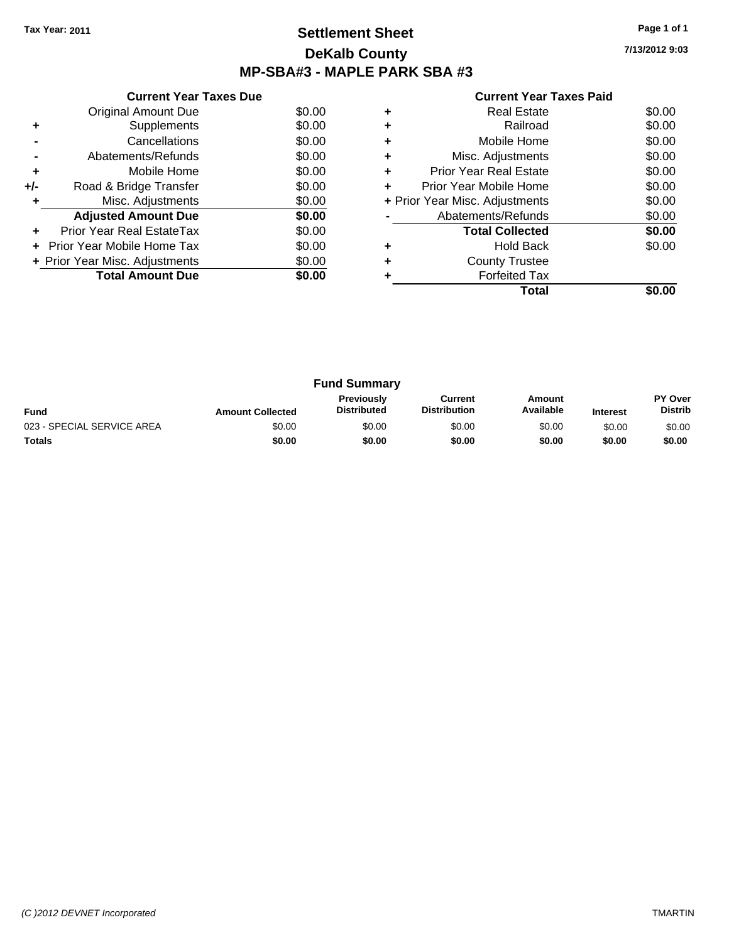## **Settlement Sheet Tax Year: 2011 Page 1 of 1 DeKalb County MP-SBA#3 - MAPLE PARK SBA #3**

**7/13/2012 9:03**

|                                          | <b>Current Year Taxes Due</b> |        |  |  |  |
|------------------------------------------|-------------------------------|--------|--|--|--|
|                                          | Original Amount Due           | \$0.00 |  |  |  |
| ٠                                        | Supplements                   | \$0.00 |  |  |  |
|                                          | Cancellations                 | \$0.00 |  |  |  |
|                                          | Abatements/Refunds            | \$0.00 |  |  |  |
| ٠                                        | Mobile Home                   | \$0.00 |  |  |  |
| +/-                                      | Road & Bridge Transfer        | \$0.00 |  |  |  |
| ٠                                        | Misc. Adjustments             | \$0.00 |  |  |  |
| \$0.00<br><b>Adjusted Amount Due</b>     |                               |        |  |  |  |
|                                          | Prior Year Real EstateTax     | \$0.00 |  |  |  |
| \$0.00<br>Prior Year Mobile Home Tax     |                               |        |  |  |  |
| \$0.00<br>+ Prior Year Misc. Adjustments |                               |        |  |  |  |
|                                          | \$0.00                        |        |  |  |  |
|                                          |                               |        |  |  |  |

|   | <b>Real Estate</b>             | \$0.00 |
|---|--------------------------------|--------|
| ٠ | Railroad                       | \$0.00 |
| ٠ | Mobile Home                    | \$0.00 |
| ٠ | Misc. Adjustments              | \$0.00 |
| ٠ | <b>Prior Year Real Estate</b>  | \$0.00 |
| ÷ | Prior Year Mobile Home         | \$0.00 |
|   | + Prior Year Misc. Adjustments | \$0.00 |
|   | Abatements/Refunds             | \$0.00 |
|   | <b>Total Collected</b>         | \$0.00 |
|   | <b>Hold Back</b>               | \$0.00 |
| ٠ | <b>County Trustee</b>          |        |
|   | <b>Forfeited Tax</b>           |        |
|   | Total                          |        |

| <b>Fund Summary</b>        |                         |                                         |                                |                     |                 |                                  |  |  |  |
|----------------------------|-------------------------|-----------------------------------------|--------------------------------|---------------------|-----------------|----------------------------------|--|--|--|
| <b>Fund</b>                | <b>Amount Collected</b> | <b>Previously</b><br><b>Distributed</b> | Current<br><b>Distribution</b> | Amount<br>Available | <b>Interest</b> | <b>PY Over</b><br><b>Distrib</b> |  |  |  |
| 023 - SPECIAL SERVICE AREA | \$0.00                  | \$0.00                                  | \$0.00                         | \$0.00              | \$0.00          | \$0.00                           |  |  |  |
| <b>Totals</b>              | \$0.00                  | \$0.00                                  | \$0.00                         | \$0.00              | \$0.00          | \$0.00                           |  |  |  |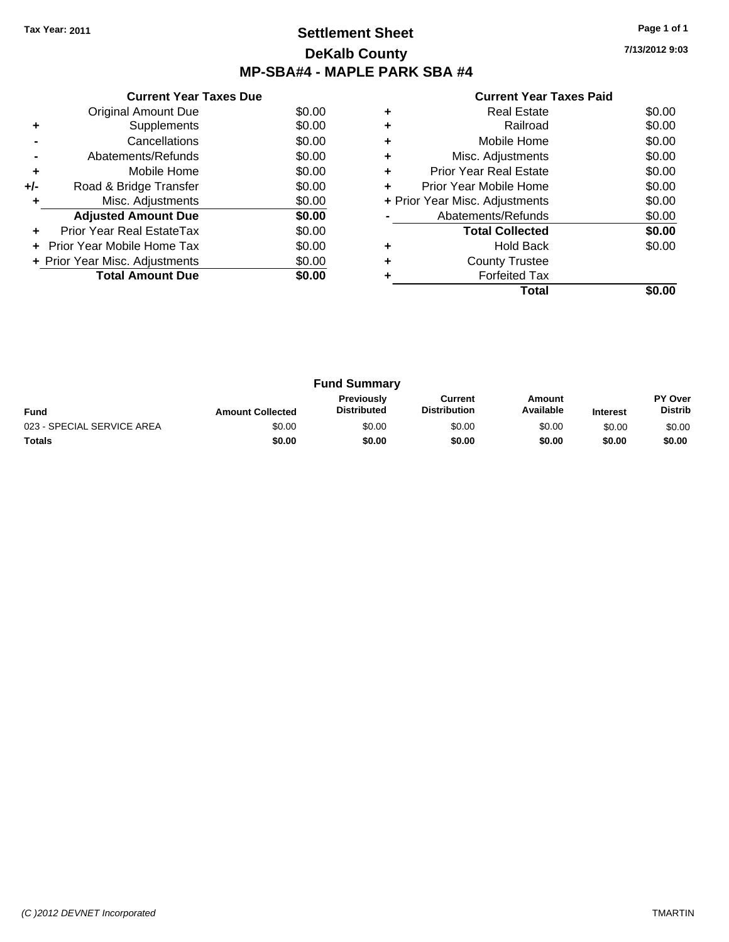# **Settlement Sheet Tax Year: 2011 Page 1 of 1 DeKalb County MP-SBA#4 - MAPLE PARK SBA #4**

**7/13/2012 9:03**

|     | <b>Current Year Taxes Due</b>     |        |
|-----|-----------------------------------|--------|
|     | Original Amount Due               | \$0.00 |
|     | Supplements                       | \$0.00 |
|     | Cancellations                     | \$0.00 |
|     | Abatements/Refunds                | \$0.00 |
| ٠   | Mobile Home                       | \$0.00 |
| +/- | Road & Bridge Transfer            | \$0.00 |
|     | Misc. Adjustments                 | \$0.00 |
|     | <b>Adjusted Amount Due</b>        | \$0.00 |
| ÷   | Prior Year Real EstateTax         | \$0.00 |
|     | <b>Prior Year Mobile Home Tax</b> | \$0.00 |
|     | + Prior Year Misc. Adjustments    | \$0.00 |
|     | <b>Total Amount Due</b>           | \$0.00 |
|     |                                   |        |

| ٠ | <b>Hold Back</b><br><b>County Trustee</b><br><b>Forfeited Tax</b> | \$0.00 |
|---|-------------------------------------------------------------------|--------|
|   | <b>Total Collected</b>                                            | \$0.00 |
|   | Abatements/Refunds                                                | \$0.00 |
|   | + Prior Year Misc. Adjustments                                    | \$0.00 |
|   | Prior Year Mobile Home                                            | \$0.00 |
| ٠ | <b>Prior Year Real Estate</b>                                     | \$0.00 |
| ٠ | Misc. Adjustments                                                 | \$0.00 |
| ٠ | Mobile Home                                                       | \$0.00 |
| ٠ | Railroad                                                          | \$0.00 |
|   | <b>Real Estate</b>                                                | \$0.00 |

| <b>Fund Summary</b>        |                         |                                         |                                |                     |                 |                                  |
|----------------------------|-------------------------|-----------------------------------------|--------------------------------|---------------------|-----------------|----------------------------------|
| Fund                       | <b>Amount Collected</b> | <b>Previously</b><br><b>Distributed</b> | Current<br><b>Distribution</b> | Amount<br>Available | <b>Interest</b> | <b>PY Over</b><br><b>Distrib</b> |
| 023 - SPECIAL SERVICE AREA | \$0.00                  | \$0.00                                  | \$0.00                         | \$0.00              | \$0.00          | \$0.00                           |
| <b>Totals</b>              | \$0.00                  | \$0.00                                  | \$0.00                         | \$0.00              | \$0.00          | \$0.00                           |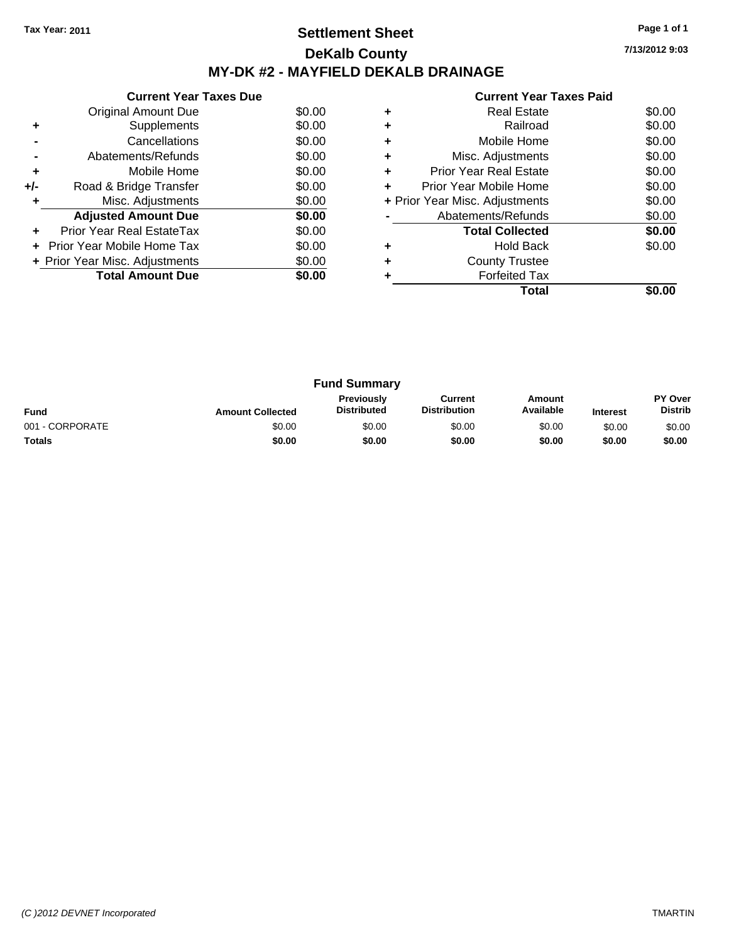# **Settlement Sheet Tax Year: 2011 Page 1 of 1 DeKalb County MY-DK #2 - MAYFIELD DEKALB DRAINAGE**

**7/13/2012 9:03**

|     | <b>Current Year Taxes Due</b>  |        |
|-----|--------------------------------|--------|
|     | Original Amount Due            | \$0.00 |
| ÷   | Supplements                    | \$0.00 |
|     | Cancellations                  | \$0.00 |
|     | Abatements/Refunds             | \$0.00 |
| ٠   | Mobile Home                    | \$0.00 |
| +/- | Road & Bridge Transfer         | \$0.00 |
| ٠   | Misc. Adjustments              | \$0.00 |
|     | <b>Adjusted Amount Due</b>     | \$0.00 |
|     | Prior Year Real EstateTax      | \$0.00 |
|     | Prior Year Mobile Home Tax     | \$0.00 |
|     | + Prior Year Misc. Adjustments | \$0.00 |
|     | <b>Total Amount Due</b>        | \$0.00 |
|     |                                |        |

|   | <b>Real Estate</b>             | \$0.00 |
|---|--------------------------------|--------|
|   | Railroad                       | \$0.00 |
|   | Mobile Home                    | \$0.00 |
| ٠ | Misc. Adjustments              | \$0.00 |
| ٠ | <b>Prior Year Real Estate</b>  | \$0.00 |
| ٠ | Prior Year Mobile Home         | \$0.00 |
|   | + Prior Year Misc. Adjustments | \$0.00 |
|   | Abatements/Refunds             | \$0.00 |
|   | <b>Total Collected</b>         | \$0.00 |
|   | <b>Hold Back</b>               | \$0.00 |
|   | <b>County Trustee</b>          |        |
|   | <b>Forfeited Tax</b>           |        |
|   | Total                          |        |

| <b>Fund Summary</b> |                         |                                  |                                |                     |                 |                           |
|---------------------|-------------------------|----------------------------------|--------------------------------|---------------------|-----------------|---------------------------|
| <b>Fund</b>         | <b>Amount Collected</b> | Previously<br><b>Distributed</b> | Current<br><b>Distribution</b> | Amount<br>Available | <b>Interest</b> | PY Over<br><b>Distrib</b> |
| 001 - CORPORATE     | \$0.00                  | \$0.00                           | \$0.00                         | \$0.00              | \$0.00          | \$0.00                    |
| Totals              | \$0.00                  | \$0.00                           | \$0.00                         | \$0.00              | \$0.00          | \$0.00                    |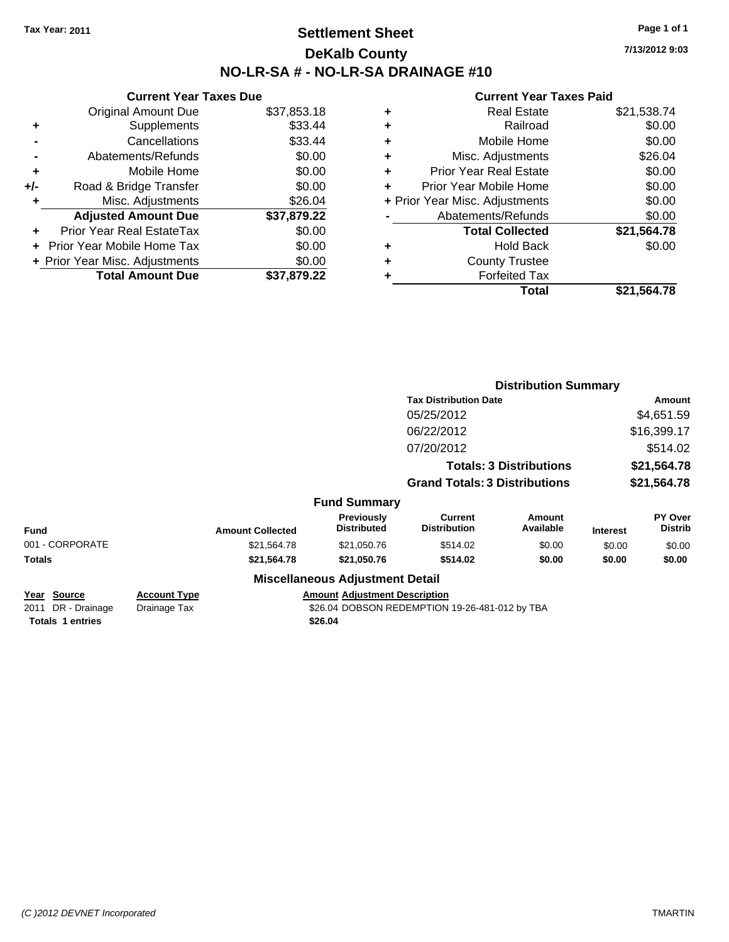## **Settlement Sheet Tax Year: 2011 Page 1 of 1 DeKalb County NO-LR-SA # - NO-LR-SA DRAINAGE #10**

**7/13/2012 9:03**

|     | <b>Current Year Taxes Due</b>  |             |
|-----|--------------------------------|-------------|
|     | <b>Original Amount Due</b>     | \$37,853.18 |
| ٠   | Supplements                    | \$33.44     |
|     | Cancellations                  | \$33.44     |
|     | Abatements/Refunds             | \$0.00      |
| ٠   | Mobile Home                    | \$0.00      |
| +/- | Road & Bridge Transfer         | \$0.00      |
| ٠   | Misc. Adjustments              | \$26.04     |
|     | <b>Adjusted Amount Due</b>     | \$37,879.22 |
| ٠   | Prior Year Real EstateTax      | \$0.00      |
|     | Prior Year Mobile Home Tax     | \$0.00      |
|     | + Prior Year Misc. Adjustments | \$0.00      |
|     | <b>Total Amount Due</b>        | \$37.879.22 |

| ٠ | <b>Real Estate</b>             | \$21,538.74 |
|---|--------------------------------|-------------|
| ٠ | Railroad                       | \$0.00      |
| ٠ | Mobile Home                    | \$0.00      |
| ٠ | Misc. Adjustments              | \$26.04     |
| ÷ | <b>Prior Year Real Estate</b>  | \$0.00      |
| ٠ | Prior Year Mobile Home         | \$0.00      |
|   | + Prior Year Misc. Adjustments | \$0.00      |
|   | Abatements/Refunds             | \$0.00      |
|   | <b>Total Collected</b>         | \$21,564.78 |
| ٠ | <b>Hold Back</b>               | \$0.00      |
| ٠ | <b>County Trustee</b>          |             |
| ٠ | <b>Forfeited Tax</b>           |             |
|   | Total                          | \$21,564.78 |
|   |                                |             |

|                                     |                         |                                         | <b>Distribution Summary</b>           |                                                                                                       |                                                                                                                                                          |                                  |
|-------------------------------------|-------------------------|-----------------------------------------|---------------------------------------|-------------------------------------------------------------------------------------------------------|----------------------------------------------------------------------------------------------------------------------------------------------------------|----------------------------------|
|                                     |                         |                                         |                                       |                                                                                                       | <b>Amount</b>                                                                                                                                            |                                  |
|                                     |                         |                                         | 05/25/2012                            |                                                                                                       |                                                                                                                                                          | \$4,651.59                       |
|                                     |                         |                                         | 06/22/2012                            |                                                                                                       |                                                                                                                                                          | \$16,399.17                      |
|                                     |                         |                                         | 07/20/2012                            |                                                                                                       |                                                                                                                                                          | \$514.02                         |
|                                     |                         |                                         |                                       |                                                                                                       |                                                                                                                                                          | \$21,564.78                      |
|                                     |                         |                                         |                                       |                                                                                                       |                                                                                                                                                          | \$21,564.78                      |
|                                     |                         |                                         |                                       |                                                                                                       |                                                                                                                                                          |                                  |
|                                     | <b>Amount Collected</b> | <b>Previously</b><br><b>Distributed</b> | <b>Current</b><br><b>Distribution</b> | Amount<br>Available                                                                                   | <b>Interest</b>                                                                                                                                          | <b>PY Over</b><br><b>Distrib</b> |
|                                     | \$21,564.78             | \$21,050.76                             | \$514.02                              | \$0.00                                                                                                | \$0.00                                                                                                                                                   | \$0.00                           |
|                                     | \$21,564.78             | \$21,050.76                             | \$514.02                              | \$0.00                                                                                                | \$0.00                                                                                                                                                   | \$0.00                           |
|                                     |                         |                                         |                                       |                                                                                                       |                                                                                                                                                          |                                  |
| <b>Account Type</b><br>Drainage Tax |                         |                                         |                                       |                                                                                                       |                                                                                                                                                          |                                  |
|                                     |                         |                                         | \$26.04                               | <b>Fund Summary</b><br><b>Miscellaneous Adjustment Detail</b><br><b>Amount Adjustment Description</b> | <b>Tax Distribution Date</b><br><b>Totals: 3 Distributions</b><br><b>Grand Totals: 3 Distributions</b><br>\$26.04 DOBSON REDEMPTION 19-26-481-012 by TBA |                                  |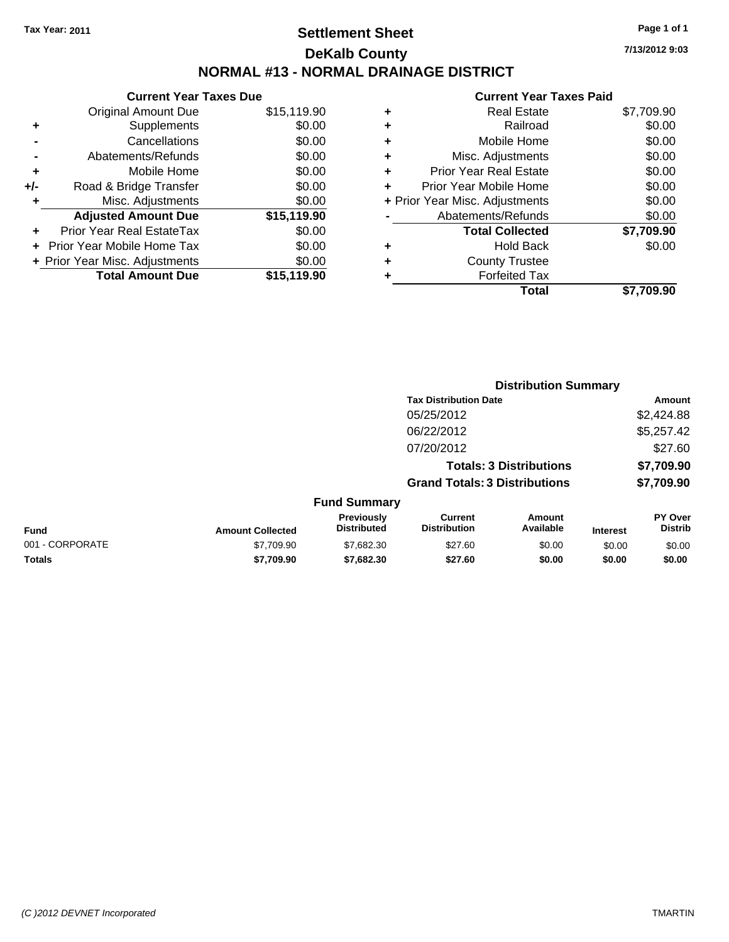# **Settlement Sheet Tax Year: 2011 Page 1 of 1 DeKalb County NORMAL #13 - NORMAL DRAINAGE DISTRICT**

|     | <b>Current Year Taxes Due</b>  |             |
|-----|--------------------------------|-------------|
|     | <b>Original Amount Due</b>     | \$15,119.90 |
| ٠   | Supplements                    | \$0.00      |
|     | Cancellations                  | \$0.00      |
|     | Abatements/Refunds             | \$0.00      |
| ÷   | Mobile Home                    | \$0.00      |
| +/- | Road & Bridge Transfer         | \$0.00      |
| ٠   | Misc. Adjustments              | \$0.00      |
|     | <b>Adjusted Amount Due</b>     | \$15,119.90 |
|     | Prior Year Real EstateTax      | \$0.00      |
|     | Prior Year Mobile Home Tax     | \$0.00      |
|     | + Prior Year Misc. Adjustments | \$0.00      |
|     | <b>Total Amount Due</b>        | \$15,119.90 |

|   | <b>Real Estate</b>             | \$7,709.90 |
|---|--------------------------------|------------|
| ٠ | Railroad                       | \$0.00     |
| ٠ | Mobile Home                    | \$0.00     |
| ٠ | Misc. Adjustments              | \$0.00     |
| ٠ | <b>Prior Year Real Estate</b>  | \$0.00     |
|   | Prior Year Mobile Home         | \$0.00     |
|   | + Prior Year Misc. Adjustments | \$0.00     |
|   | Abatements/Refunds             | \$0.00     |
|   | <b>Total Collected</b>         | \$7,709.90 |
| ٠ | <b>Hold Back</b>               | \$0.00     |
|   | <b>County Trustee</b>          |            |
|   | <b>Forfeited Tax</b>           |            |
|   | <b>Total</b>                   | \$7,709.90 |
|   |                                |            |

|                 |                         | <b>Distribution Summary</b>      |                                       |                                |                 |                                  |
|-----------------|-------------------------|----------------------------------|---------------------------------------|--------------------------------|-----------------|----------------------------------|
|                 |                         |                                  | <b>Tax Distribution Date</b>          |                                |                 | Amount                           |
|                 |                         |                                  | 05/25/2012                            |                                |                 | \$2,424.88                       |
|                 |                         |                                  | 06/22/2012                            |                                |                 | \$5,257.42                       |
|                 |                         |                                  | 07/20/2012                            |                                |                 | \$27.60                          |
|                 |                         |                                  |                                       | <b>Totals: 3 Distributions</b> |                 | \$7,709.90                       |
|                 |                         |                                  | <b>Grand Totals: 3 Distributions</b>  |                                |                 | \$7,709.90                       |
|                 |                         | <b>Fund Summary</b>              |                                       |                                |                 |                                  |
| <b>Fund</b>     | <b>Amount Collected</b> | Previously<br><b>Distributed</b> | <b>Current</b><br><b>Distribution</b> | Amount<br>Available            | <b>Interest</b> | <b>PY Over</b><br><b>Distrib</b> |
| 001 - CORPORATE | \$7,709.90              | \$7,682.30                       | \$27.60                               | \$0.00                         | \$0.00          | \$0.00                           |
| Totals          | \$7,709.90              | \$7,682.30                       | \$27.60                               | \$0.00                         | \$0.00          | \$0.00                           |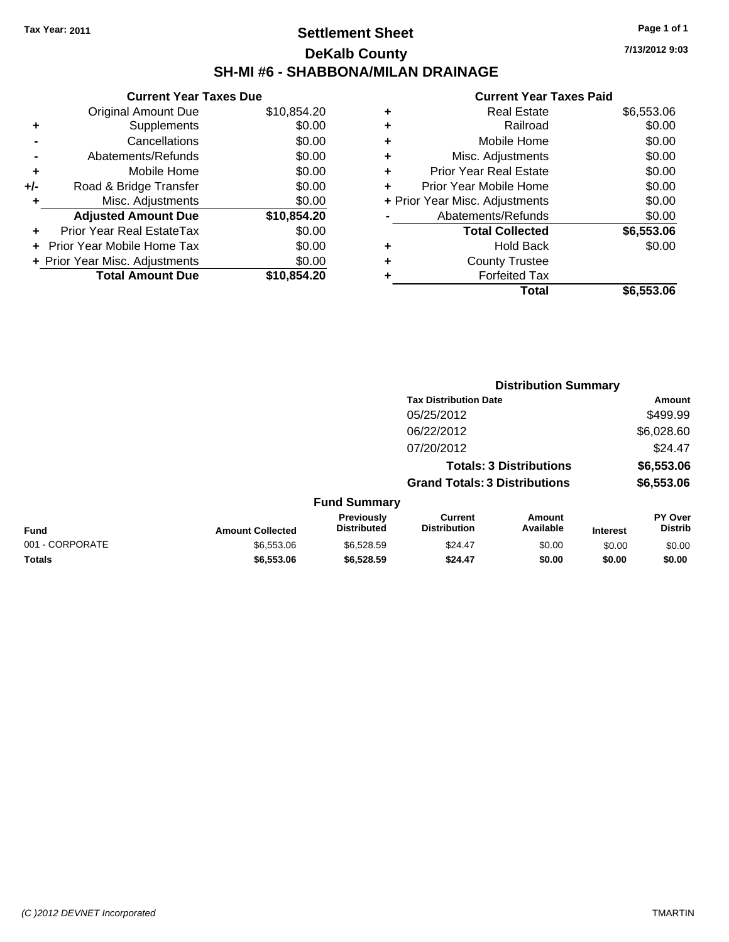## **Settlement Sheet Tax Year: 2011 Page 1 of 1 DeKalb County SH-MI #6 - SHABBONA/MILAN DRAINAGE**

**7/13/2012 9:03**

| <b>Original Amount Due</b>        | \$10,854.20                                                     |
|-----------------------------------|-----------------------------------------------------------------|
| Supplements                       | \$0.00                                                          |
| Cancellations                     | \$0.00                                                          |
| Abatements/Refunds                | \$0.00                                                          |
| Mobile Home                       | \$0.00                                                          |
| Road & Bridge Transfer            | \$0.00                                                          |
| Misc. Adjustments                 | \$0.00                                                          |
| <b>Adjusted Amount Due</b>        | \$10,854.20                                                     |
| Prior Year Real EstateTax         | \$0.00                                                          |
| <b>Prior Year Mobile Home Tax</b> | \$0.00                                                          |
|                                   | \$0.00                                                          |
| <b>Total Amount Due</b>           | \$10.854.20                                                     |
|                                   | <b>Current Year Taxes Due</b><br>+ Prior Year Misc. Adjustments |

|   | <b>Real Estate</b>             | \$6,553.06 |
|---|--------------------------------|------------|
| ٠ | Railroad                       | \$0.00     |
| ٠ | Mobile Home                    | \$0.00     |
| ٠ | Misc. Adjustments              | \$0.00     |
| ٠ | Prior Year Real Estate         | \$0.00     |
|   | Prior Year Mobile Home         | \$0.00     |
|   | + Prior Year Misc. Adjustments | \$0.00     |
|   | Abatements/Refunds             | \$0.00     |
|   | <b>Total Collected</b>         | \$6,553.06 |
| ٠ | <b>Hold Back</b>               | \$0.00     |
| ٠ | <b>County Trustee</b>          |            |
| ٠ | <b>Forfeited Tax</b>           |            |
|   | Total                          | \$6,553.06 |
|   |                                |            |

|                 |                         |                                  |                                       | <b>Distribution Summary</b>    |                 |                                  |
|-----------------|-------------------------|----------------------------------|---------------------------------------|--------------------------------|-----------------|----------------------------------|
|                 |                         |                                  | <b>Tax Distribution Date</b>          |                                |                 | Amount                           |
|                 |                         |                                  | 05/25/2012                            |                                |                 | \$499.99                         |
|                 |                         |                                  | 06/22/2012                            |                                |                 | \$6,028.60                       |
|                 |                         |                                  | 07/20/2012                            |                                |                 | \$24.47                          |
|                 |                         |                                  |                                       | <b>Totals: 3 Distributions</b> |                 | \$6,553.06                       |
|                 |                         |                                  | <b>Grand Totals: 3 Distributions</b>  |                                |                 | \$6,553.06                       |
|                 |                         | <b>Fund Summary</b>              |                                       |                                |                 |                                  |
| <b>Fund</b>     | <b>Amount Collected</b> | Previously<br><b>Distributed</b> | <b>Current</b><br><b>Distribution</b> | Amount<br>Available            | <b>Interest</b> | <b>PY Over</b><br><b>Distrib</b> |
| 001 - CORPORATE | \$6,553.06              | \$6,528.59                       | \$24.47                               | \$0.00                         | \$0.00          | \$0.00                           |
| Totals          | \$6,553.06              | \$6,528.59                       | \$24.47                               | \$0.00                         | \$0.00          | \$0.00                           |
|                 |                         |                                  |                                       |                                |                 |                                  |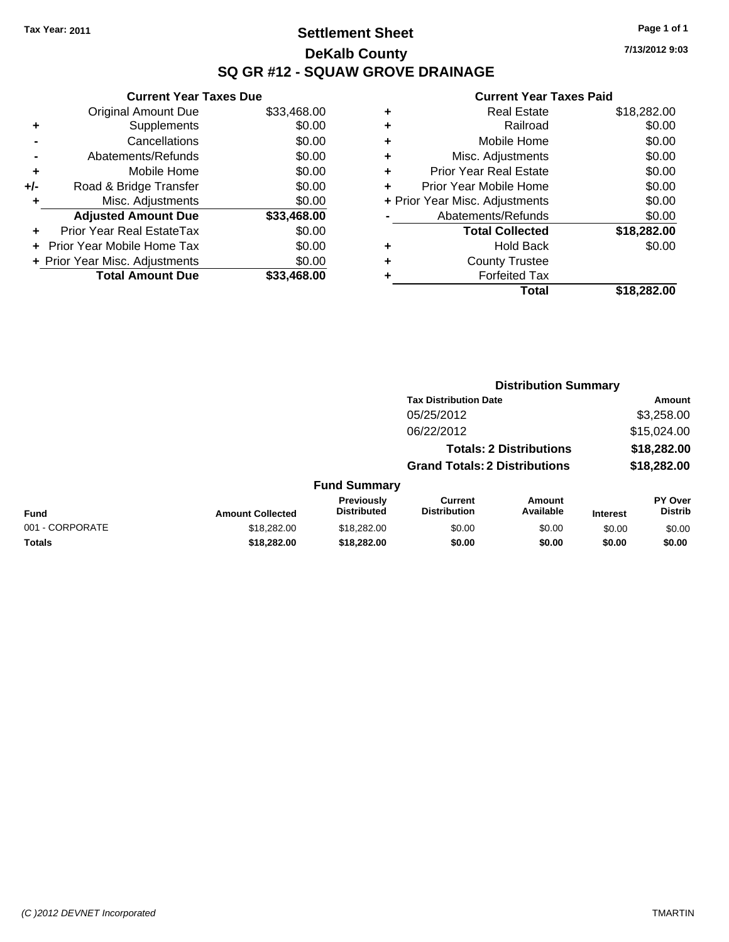# **Settlement Sheet Tax Year: 2011 Page 1 of 1 DeKalb County SQ GR #12 - SQUAW GROVE DRAINAGE**

**7/13/2012 9:03**

|     | <b>Current Year Taxes Due</b>  |             |
|-----|--------------------------------|-------------|
|     | <b>Original Amount Due</b>     | \$33,468.00 |
| ٠   | Supplements                    | \$0.00      |
|     | Cancellations                  | \$0.00      |
|     | Abatements/Refunds             | \$0.00      |
| ٠   | Mobile Home                    | \$0.00      |
| +/- | Road & Bridge Transfer         | \$0.00      |
|     | Misc. Adjustments              | \$0.00      |
|     | <b>Adjusted Amount Due</b>     | \$33,468.00 |
|     | Prior Year Real EstateTax      | \$0.00      |
|     | Prior Year Mobile Home Tax     | \$0.00      |
|     | + Prior Year Misc. Adjustments | \$0.00      |
|     | <b>Total Amount Due</b>        | \$33,468.00 |
|     |                                |             |

| ٠ | <b>Real Estate</b>             | \$18,282.00 |
|---|--------------------------------|-------------|
| ٠ | Railroad                       | \$0.00      |
| ٠ | Mobile Home                    | \$0.00      |
| ٠ | Misc. Adjustments              | \$0.00      |
| ٠ | Prior Year Real Estate         | \$0.00      |
|   | Prior Year Mobile Home         | \$0.00      |
|   | + Prior Year Misc. Adjustments | \$0.00      |
|   | Abatements/Refunds             | \$0.00      |
|   | <b>Total Collected</b>         | \$18,282.00 |
| ٠ | <b>Hold Back</b>               | \$0.00      |
| ٠ | <b>County Trustee</b>          |             |
| ٠ | <b>Forfeited Tax</b>           |             |
|   | Total                          | \$18,282.00 |
|   |                                |             |

|                 |                         |                                  | <b>Distribution Summary</b>           |                                |                 |                                  |
|-----------------|-------------------------|----------------------------------|---------------------------------------|--------------------------------|-----------------|----------------------------------|
|                 |                         |                                  | <b>Tax Distribution Date</b>          |                                |                 | Amount                           |
|                 |                         |                                  | 05/25/2012                            |                                |                 | \$3,258.00                       |
|                 |                         |                                  | 06/22/2012                            |                                |                 | \$15,024.00                      |
|                 |                         |                                  |                                       | <b>Totals: 2 Distributions</b> |                 | \$18,282.00                      |
|                 |                         |                                  | <b>Grand Totals: 2 Distributions</b>  |                                |                 | \$18,282.00                      |
|                 |                         | <b>Fund Summary</b>              |                                       |                                |                 |                                  |
| <b>Fund</b>     | <b>Amount Collected</b> | Previously<br><b>Distributed</b> | <b>Current</b><br><b>Distribution</b> | Amount<br>Available            | <b>Interest</b> | <b>PY Over</b><br><b>Distrib</b> |
| 001 - CORPORATE | \$18,282,00             | \$18,282,00                      | \$0.00                                | \$0.00                         | \$0.00          | \$0.00                           |
| Totals          | \$18,282.00             | \$18,282.00                      | \$0.00                                | \$0.00                         | \$0.00          | \$0.00                           |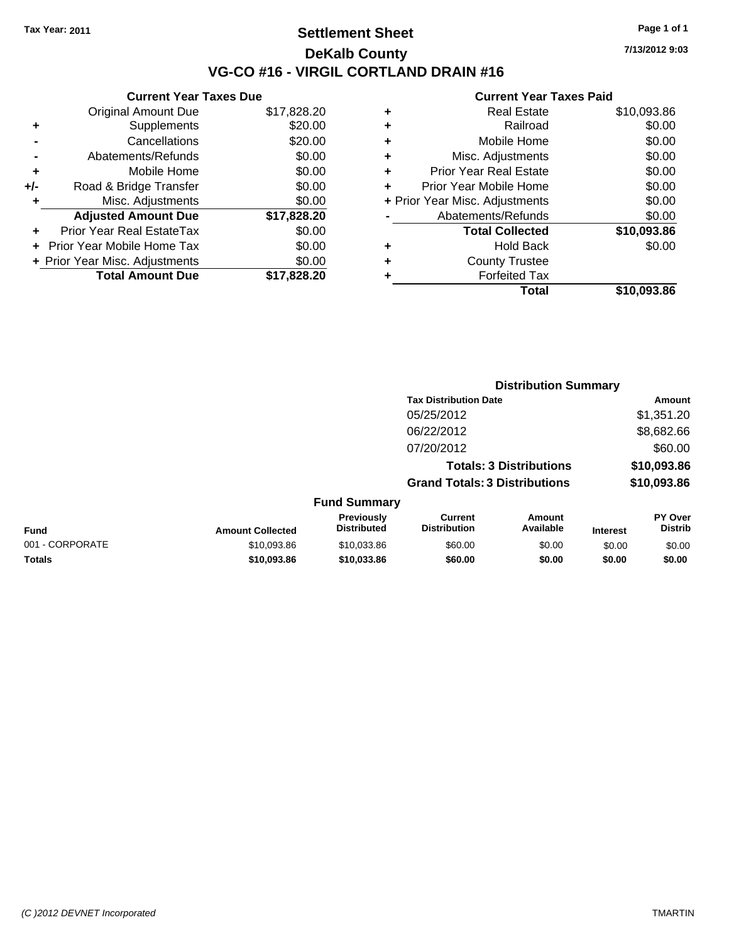**Current Year Taxes Due**

## **Settlement Sheet Tax Year: 2011 Page 1 of 1 DeKalb County VG-CO #16 - VIRGIL CORTLAND DRAIN #16**

**7/13/2012 9:03**

|     |                                |             |   | <b>Total</b>                   | \$10,093.86 |
|-----|--------------------------------|-------------|---|--------------------------------|-------------|
|     | <b>Total Amount Due</b>        | \$17,828.20 |   | <b>Forfeited Tax</b>           |             |
|     | + Prior Year Misc. Adjustments | \$0.00      | ٠ | <b>County Trustee</b>          |             |
|     | + Prior Year Mobile Home Tax   | \$0.00      | ٠ | <b>Hold Back</b>               | \$0.00      |
| ÷.  | Prior Year Real EstateTax      | \$0.00      |   | <b>Total Collected</b>         | \$10,093.86 |
|     | <b>Adjusted Amount Due</b>     | \$17,828.20 |   | Abatements/Refunds             | \$0.00      |
|     | Misc. Adjustments              | \$0.00      |   | + Prior Year Misc. Adjustments | \$0.00      |
| +/- | Road & Bridge Transfer         | \$0.00      | ÷ | Prior Year Mobile Home         | \$0.00      |
|     | Mobile Home                    | \$0.00      | ٠ | <b>Prior Year Real Estate</b>  | \$0.00      |
|     | Abatements/Refunds             | \$0.00      | ٠ | Misc. Adjustments              | \$0.00      |
|     | Cancellations                  | \$20.00     | ٠ | Mobile Home                    | \$0.00      |
| ٠   | <b>Supplements</b>             | \$20.00     | ٠ | Railroad                       | \$0.00      |
|     | <b>Original Amount Due</b>     | \$17,828.20 | ٠ | <b>Real Estate</b>             | \$10,093.86 |
|     |                                |             |   |                                |             |

|                 |                         |                                  |                                       | <b>Distribution Summary</b>    |                 |                           |
|-----------------|-------------------------|----------------------------------|---------------------------------------|--------------------------------|-----------------|---------------------------|
|                 |                         |                                  | <b>Tax Distribution Date</b>          |                                |                 | Amount                    |
|                 |                         |                                  | 05/25/2012                            |                                |                 | \$1,351.20                |
|                 |                         |                                  | 06/22/2012                            |                                |                 | \$8,682.66                |
|                 |                         |                                  | 07/20/2012                            |                                |                 | \$60.00                   |
|                 |                         |                                  |                                       | <b>Totals: 3 Distributions</b> |                 | \$10,093.86               |
|                 |                         |                                  | <b>Grand Totals: 3 Distributions</b>  |                                |                 | \$10,093.86               |
|                 |                         | <b>Fund Summary</b>              |                                       |                                |                 |                           |
| <b>Fund</b>     | <b>Amount Collected</b> | Previously<br><b>Distributed</b> | <b>Current</b><br><b>Distribution</b> | Amount<br>Available            | <b>Interest</b> | PY Over<br><b>Distrib</b> |
| 001 - CORPORATE | \$10,093.86             | \$10,033.86                      | \$60.00                               | \$0.00                         | \$0.00          | \$0.00                    |
| Totals          | \$10,093.86             | \$10,033.86                      | \$60.00                               | \$0.00                         | \$0.00          | \$0.00                    |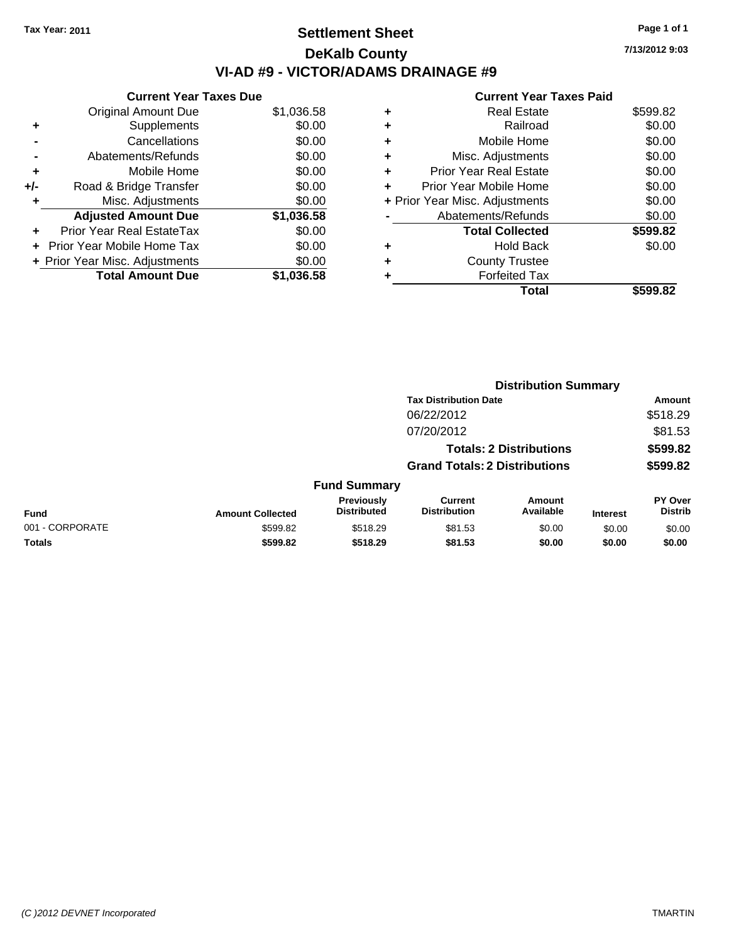# **Settlement Sheet Tax Year: 2011 Page 1 of 1 DeKalb County VI-AD #9 - VICTOR/ADAMS DRAINAGE #9**

**7/13/2012 9:03**

|     | <b>Current Year Taxes Due</b>     |            |
|-----|-----------------------------------|------------|
|     | <b>Original Amount Due</b>        | \$1,036.58 |
| ٠   | Supplements                       | \$0.00     |
|     | Cancellations                     | \$0.00     |
|     | Abatements/Refunds                | \$0.00     |
| ٠   | Mobile Home                       | \$0.00     |
| +/- | Road & Bridge Transfer            | \$0.00     |
| ٠   | Misc. Adjustments                 | \$0.00     |
|     | <b>Adjusted Amount Due</b>        | \$1,036.58 |
| ٠   | Prior Year Real EstateTax         | \$0.00     |
| ÷   | <b>Prior Year Mobile Home Tax</b> | \$0.00     |
|     | + Prior Year Misc. Adjustments    | \$0.00     |
|     | <b>Total Amount Due</b>           | \$1.036.58 |

| ٠ | <b>Real Estate</b>             | \$599.82 |
|---|--------------------------------|----------|
| ٠ | Railroad                       | \$0.00   |
| ٠ | Mobile Home                    | \$0.00   |
| ٠ | Misc. Adjustments              | \$0.00   |
| ٠ | <b>Prior Year Real Estate</b>  | \$0.00   |
|   | Prior Year Mobile Home         | \$0.00   |
|   | + Prior Year Misc. Adjustments | \$0.00   |
|   | Abatements/Refunds             | \$0.00   |
|   | <b>Total Collected</b>         | \$599.82 |
| ٠ | Hold Back                      | \$0.00   |
|   | <b>County Trustee</b>          |          |
| ٠ | <b>Forfeited Tax</b>           |          |
|   | Total                          | \$599.82 |
|   |                                |          |

|                         |                                  |                                       |                     |                                                                                                        | Amount                           |
|-------------------------|----------------------------------|---------------------------------------|---------------------|--------------------------------------------------------------------------------------------------------|----------------------------------|
|                         |                                  | 06/22/2012                            |                     |                                                                                                        | \$518.29                         |
|                         |                                  | 07/20/2012                            |                     |                                                                                                        | \$81.53                          |
|                         |                                  |                                       |                     |                                                                                                        | \$599.82                         |
|                         |                                  |                                       |                     |                                                                                                        | \$599.82                         |
|                         |                                  |                                       |                     |                                                                                                        |                                  |
| <b>Amount Collected</b> | Previously<br><b>Distributed</b> | <b>Current</b><br><b>Distribution</b> | Amount<br>Available | <b>Interest</b>                                                                                        | <b>PY Over</b><br><b>Distrib</b> |
| \$599.82                | \$518.29                         | \$81.53                               | \$0.00              | \$0.00                                                                                                 | \$0.00                           |
| \$599.82                | \$518.29                         | \$81.53                               | \$0.00              | \$0.00                                                                                                 | \$0.00                           |
|                         |                                  |                                       | <b>Fund Summary</b> | <b>Tax Distribution Date</b><br><b>Totals: 2 Distributions</b><br><b>Grand Totals: 2 Distributions</b> | <b>Distribution Summary</b>      |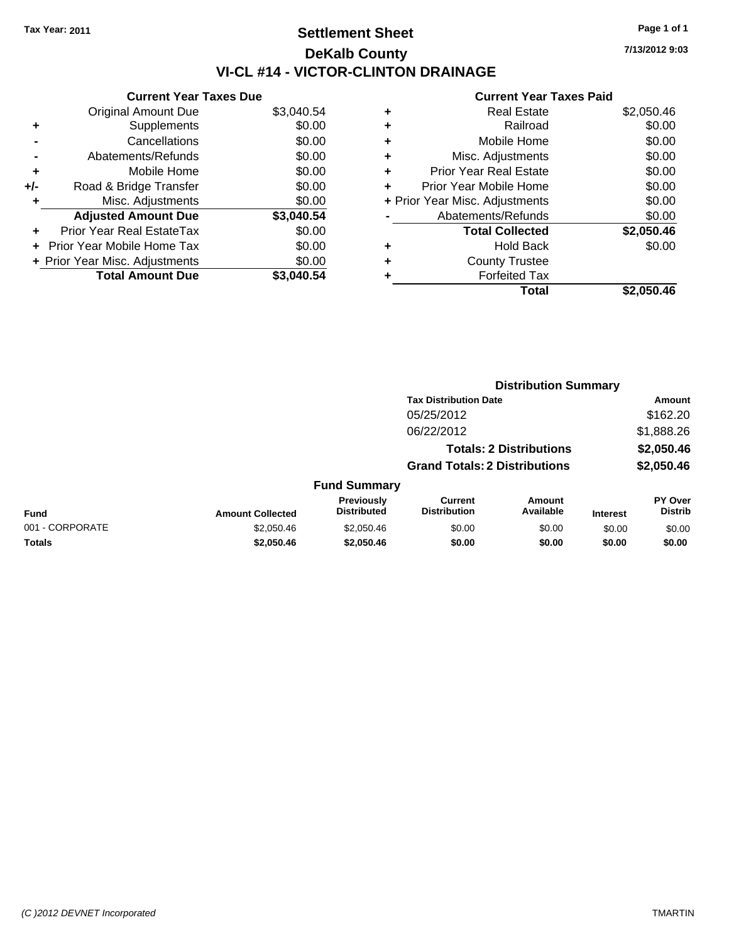# **Settlement Sheet Tax Year: 2011 Page 1 of 1 DeKalb County VI-CL #14 - VICTOR-CLINTON DRAINAGE**

**7/13/2012 9:03**

| \$3,040.54<br><b>Original Amount Due</b><br>\$0.00<br>Supplements<br>٠<br>\$0.00<br>Cancellations<br>\$0.00<br>Abatements/Refunds<br>\$0.00<br>Mobile Home<br>٠<br>\$0.00<br>Road & Bridge Transfer<br>+/-<br>\$0.00<br>Misc. Adjustments<br>٠<br>\$3,040.54<br><b>Adjusted Amount Due</b><br>\$0.00<br>Prior Year Real EstateTax<br>\$0.00<br>Prior Year Mobile Home Tax | <b>Current Year Taxes Due</b>  |        |
|---------------------------------------------------------------------------------------------------------------------------------------------------------------------------------------------------------------------------------------------------------------------------------------------------------------------------------------------------------------------------|--------------------------------|--------|
|                                                                                                                                                                                                                                                                                                                                                                           |                                |        |
|                                                                                                                                                                                                                                                                                                                                                                           |                                |        |
|                                                                                                                                                                                                                                                                                                                                                                           |                                |        |
|                                                                                                                                                                                                                                                                                                                                                                           |                                |        |
|                                                                                                                                                                                                                                                                                                                                                                           |                                |        |
|                                                                                                                                                                                                                                                                                                                                                                           |                                |        |
|                                                                                                                                                                                                                                                                                                                                                                           |                                |        |
|                                                                                                                                                                                                                                                                                                                                                                           |                                |        |
|                                                                                                                                                                                                                                                                                                                                                                           |                                |        |
|                                                                                                                                                                                                                                                                                                                                                                           |                                |        |
|                                                                                                                                                                                                                                                                                                                                                                           | + Prior Year Misc. Adjustments | \$0.00 |
| <b>Total Amount Due</b><br>\$3.040.54                                                                                                                                                                                                                                                                                                                                     |                                |        |
|                                                                                                                                                                                                                                                                                                                                                                           |                                |        |
|                                                                                                                                                                                                                                                                                                                                                                           |                                |        |

| ٠ | Real Estate                    | \$2,050.46 |
|---|--------------------------------|------------|
| ٠ | Railroad                       | \$0.00     |
| ٠ | Mobile Home                    | \$0.00     |
| ٠ | Misc. Adjustments              | \$0.00     |
| ÷ | <b>Prior Year Real Estate</b>  | \$0.00     |
| ٠ | Prior Year Mobile Home         | \$0.00     |
|   | + Prior Year Misc. Adjustments | \$0.00     |
|   | Abatements/Refunds             | \$0.00     |
|   | <b>Total Collected</b>         | \$2,050.46 |
| ٠ | Hold Back                      | \$0.00     |
| ٠ | <b>County Trustee</b>          |            |
| ٠ | <b>Forfeited Tax</b>           |            |
|   | Total                          | \$2,050.46 |
|   |                                |            |

|                                      |                                              |                                  | <b>Distribution Summary</b>           |                            |                 |                                  |  |
|--------------------------------------|----------------------------------------------|----------------------------------|---------------------------------------|----------------------------|-----------------|----------------------------------|--|
|                                      |                                              |                                  | <b>Tax Distribution Date</b>          |                            |                 | Amount                           |  |
|                                      | 05/25/2012                                   |                                  |                                       |                            | \$162.20        |                                  |  |
|                                      | 06/22/2012<br><b>Totals: 2 Distributions</b> |                                  |                                       | \$1,888.26                 |                 |                                  |  |
|                                      |                                              |                                  |                                       | \$2,050.46                 |                 |                                  |  |
| <b>Grand Totals: 2 Distributions</b> |                                              |                                  |                                       | \$2,050.46                 |                 |                                  |  |
|                                      |                                              | <b>Fund Summary</b>              |                                       |                            |                 |                                  |  |
| Fund                                 | <b>Amount Collected</b>                      | Previously<br><b>Distributed</b> | <b>Current</b><br><b>Distribution</b> | <b>Amount</b><br>Available | <b>Interest</b> | <b>PY Over</b><br><b>Distrib</b> |  |
| 001 - CORPORATE                      | \$2,050.46                                   | \$2,050.46                       | \$0.00                                | \$0.00                     | \$0.00          | \$0.00                           |  |
| Totals                               | \$2,050.46                                   | \$2,050.46                       | \$0.00                                | \$0.00                     | \$0.00          | \$0.00                           |  |
|                                      |                                              |                                  |                                       |                            |                 |                                  |  |